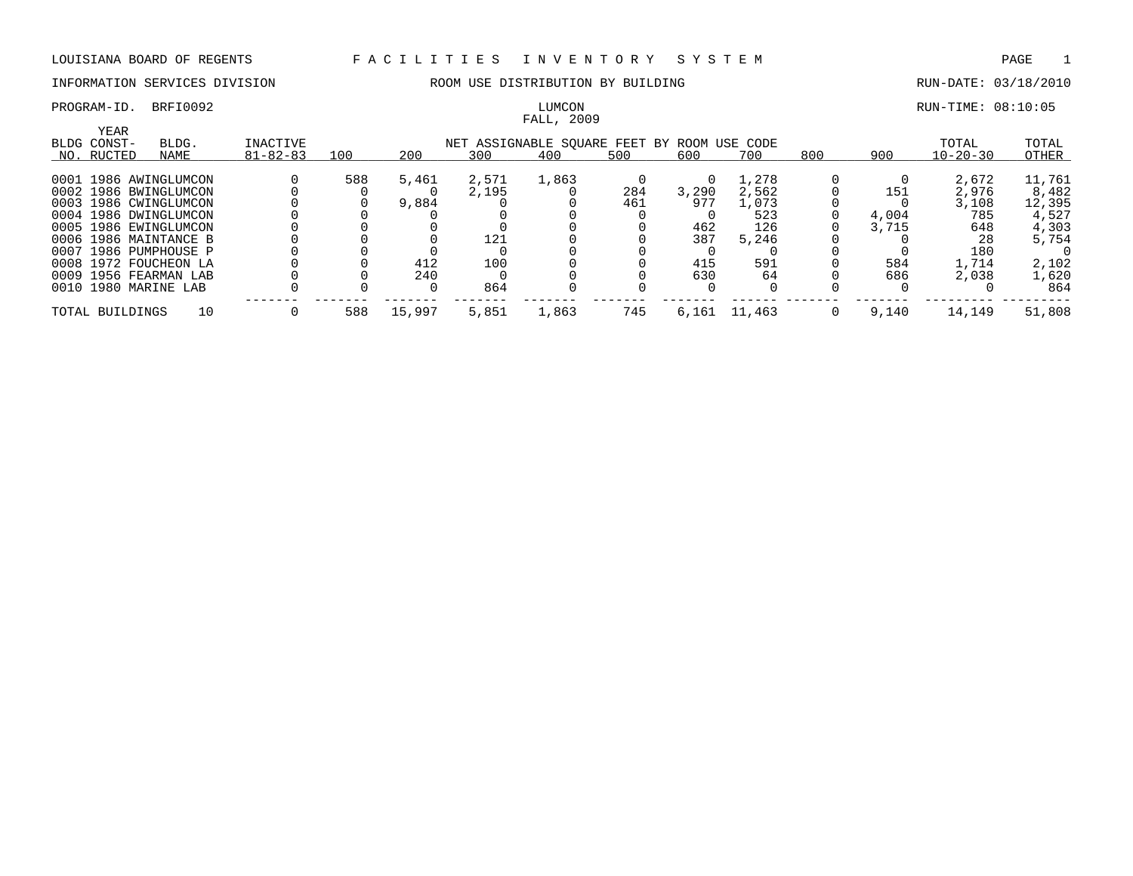# FALL, 2009

### PROGRAM-ID. BRFI0092 **EXELUITS:** 08:10:05 LUMCON LUMCON RUN-TIME: 08:10:05

| YEAR            |                       |                 |     |        |       |                                    |     |       |          |          |       |                |        |
|-----------------|-----------------------|-----------------|-----|--------|-------|------------------------------------|-----|-------|----------|----------|-------|----------------|--------|
| BLDG CONST-     | BLDG.                 | <b>INACTIVE</b> |     |        |       | NET ASSIGNABLE SOUARE FEET BY ROOM |     |       | USE CODE |          |       | TOTAL          | TOTAL  |
| NO. RUCTED      | NAME                  | $81 - 82 - 83$  | 100 | 200    | 300   | 400                                | 500 | 600   | 700      | 800      | 900   | $10 - 20 - 30$ | OTHER  |
|                 | 0001 1986 AWINGLUMCON |                 | 588 | 5,461  | 2,571 | 1,863                              |     |       | ., 278   |          |       | 2,672          | 11,761 |
|                 |                       |                 |     |        |       |                                    |     |       |          |          |       |                |        |
|                 | 0002 1986 BWINGLUMCON |                 |     |        | 2,195 |                                    | 284 | 3,290 | 2,562    |          | 151   | 2,976          | 8,482  |
|                 | 0003 1986 CWINGLUMCON |                 |     | 9,884  |       |                                    | 461 | 977   | 1,073    |          |       | 3,108          | 12,395 |
|                 | 0004 1986 DWINGLUMCON |                 |     |        |       |                                    |     |       | 523      |          | 4,004 | 785            | 4,527  |
|                 | 0005 1986 EWINGLUMCON |                 |     |        |       |                                    |     | 462   | 126      |          | 3,715 | 648            | 4,303  |
|                 | 0006 1986 MAINTANCE B |                 |     |        | 121   |                                    |     | 387   | 5,246    |          |       | 28             | 5,754  |
|                 | 0007 1986 PUMPHOUSE P |                 |     |        |       |                                    |     |       |          |          |       | 180            |        |
|                 | 0008 1972 FOUCHEON LA |                 |     | 412    | 100   |                                    |     | 415   | 591      |          | 584   | 1,714          | 2,102  |
|                 | 0009 1956 FEARMAN LAB |                 |     | 240    |       |                                    |     | 630   | 64       |          | 686   | 2,038          | 1,620  |
|                 | 0010 1980 MARINE LAB  |                 |     |        | 864   |                                    |     |       |          |          |       |                | 864    |
| TOTAL BUILDINGS | 10                    |                 | 588 | 15,997 | 5,851 | 1,863                              | 745 | 6,161 | 11,463   | $\Omega$ | 9,140 | 14,149         | 51,808 |
|                 |                       |                 |     |        |       |                                    |     |       |          |          |       |                |        |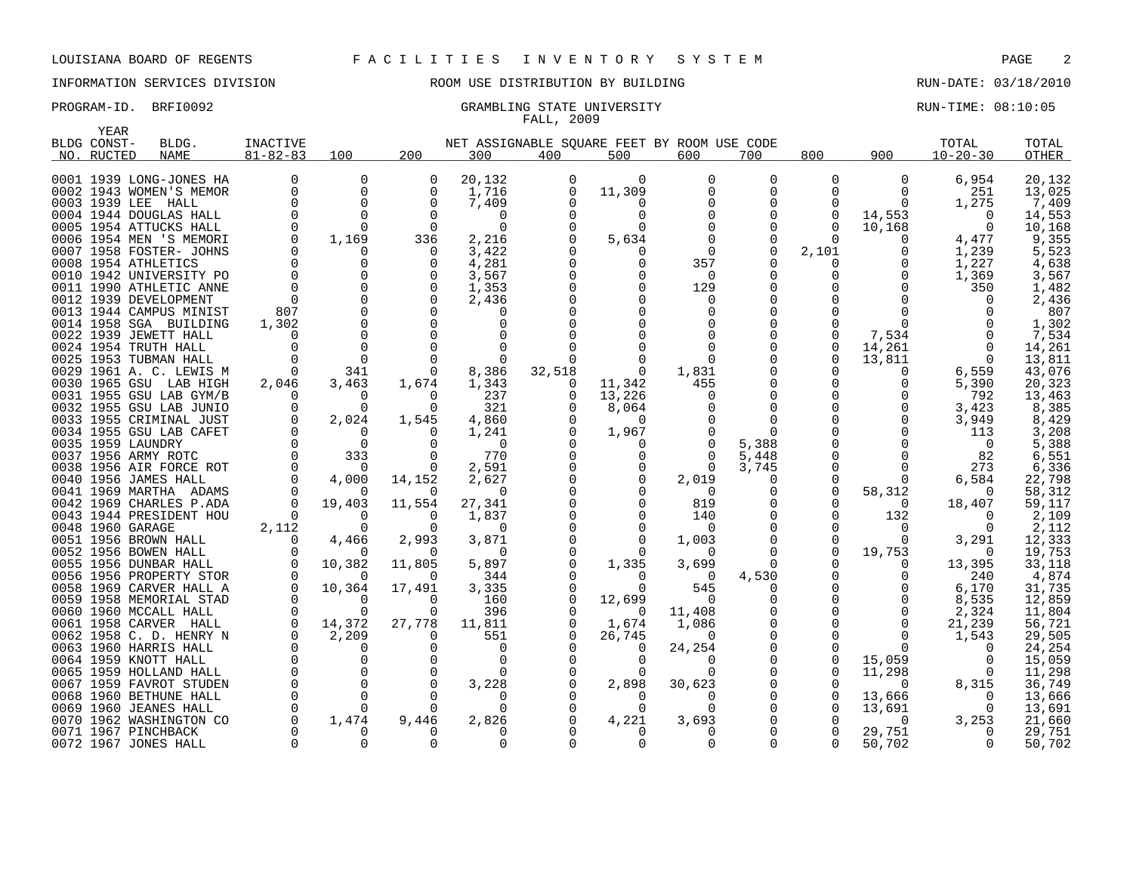# INFORMATION SERVICES DIVISION ROOM USE DISTRIBUTION BY BUILDING RUN-DATE: 03/18/2010

### PROGRAM-ID. BRFI0092 CRAMBLING STATE UNIVERSITY STATE UNIVERSITY RUN-TIME: 08:10:05 FALL, 2009

|      | YEAR        |                                                 |                |                         |               |                                             |          |          |                         |               |                         |                    |                   |                  |
|------|-------------|-------------------------------------------------|----------------|-------------------------|---------------|---------------------------------------------|----------|----------|-------------------------|---------------|-------------------------|--------------------|-------------------|------------------|
|      | BLDG CONST- | BLDG.                                           | INACTIVE       |                         |               | NET ASSIGNABLE SOUARE FEET BY ROOM USE CODE |          |          |                         |               |                         |                    | TOTAL             | TOTAL            |
|      | NO. RUCTED  | <b>NAME</b>                                     | $81 - 82 - 83$ | 100                     | 200           | 300                                         | 400      | 500      | 600                     | 700           | 800                     | 900                | $10 - 20 - 30$    | <b>OTHER</b>     |
|      |             |                                                 |                |                         |               |                                             |          |          |                         |               |                         |                    |                   |                  |
|      |             | 0001 1939 LONG-JONES HA                         | $\Omega$       | $\mathbf 0$<br>$\Omega$ | 0             | 20,132                                      |          | 0        | $\mathbf 0$<br>$\Omega$ | 0<br>$\Omega$ | $\mathbf 0$<br>$\Omega$ | 0                  | 6,954             | 20,132           |
|      |             | 0002 1943 WOMEN'S MEMOR<br>0003 1939 LEE HALL   |                | 0                       | 0<br>$\Omega$ | 1,716<br>7,409                              | 0<br>O   | 11,309   |                         | 0             | 0                       | 0<br>$\Omega$      | 251<br>1,275      | 13,025<br>7,409  |
|      |             | 0004 1944 DOUGLAS HALL                          |                | $\Omega$                | $\Omega$      | $\Omega$                                    |          | $\Omega$ |                         | $\Omega$      | 0                       |                    | $\Omega$          |                  |
|      |             | 0005 1954 ATTUCKS HALL                          |                | $\Omega$                | $\Omega$      | $\Omega$                                    |          |          |                         | $\Omega$      | $\Omega$                | 14,553             | $\Omega$          | 14,553           |
|      |             | 0006 1954 MEN 'S MEMORI                         | $\Omega$       | 1,169                   | 336           | 2,216                                       |          | 5,634    |                         | $\Omega$      | $\Omega$                | 10,168<br>$\Omega$ | 4,477             | 10,168<br>9,355  |
|      |             | 0007 1958 FOSTER- JOHNS                         |                | 0                       | $\Omega$      |                                             |          |          |                         | $\Omega$      |                         | $\Omega$           |                   | 5,523            |
|      |             | 0008 1954 ATHLETICS                             |                | $\Omega$                | $\Omega$      | 3,422<br>4,281                              |          | $\Omega$ | 357                     | $\Omega$      | 2,101<br>0              | $\Omega$           | 1,239<br>1,227    | 4,638            |
|      |             | 0010 1942 UNIVERSITY PO                         |                | $\Omega$                | $\Omega$      | 3,567                                       |          | $\Omega$ | $\Omega$                | 0             | 0                       | $\Omega$           | 1,369             | 3,567            |
| 0011 |             | 1990 ATHLETIC ANNE                              |                | $\mathbf{0}$            | $\Omega$      | 1,353                                       |          |          | 129                     | $\mathbf 0$   |                         | $\Omega$           | 350               | 1,482            |
|      |             | 0012 1939 DEVELOPMENT                           |                | $\Omega$                |               | 2,436                                       |          |          | O                       | $\Omega$      | 0                       |                    | <sup>n</sup>      | 2,436            |
|      |             | 0013 1944 CAMPUS MINIST                         | 807            | $\Omega$                |               | $\Omega$                                    |          |          |                         |               | U                       |                    |                   | 807              |
|      |             | 0014 1958 SGA BUILDING                          | 1,302          | $\Omega$                | $\Omega$      |                                             |          |          |                         |               | O                       | U                  |                   | 1,302            |
|      |             | 0022 1939 JEWETT HALL                           |                | $\Omega$                |               |                                             |          |          |                         | $\Omega$      | $\Omega$                | 7,534              |                   | 7,534            |
|      |             | 0024 1954 TRUTH HALL                            |                | $\Omega$                | $\Omega$      | $\Omega$                                    |          |          |                         | $\Omega$      | $\Omega$                | 14,261             | $\Omega$          | 14,261           |
|      |             | 0025 1953 TUBMAN HALL                           |                | $\Omega$                |               | $\Omega$                                    |          |          |                         |               | $\Omega$                | 13,811             | $\Omega$          | 13,811           |
|      |             | 0029 1961 A. C. LEWIS M                         | $\Omega$       | 341                     | $\Omega$      | 8,386                                       | 32,518   | 0        | 1,831                   |               |                         | 0                  | 6,559             | 43,076           |
|      |             | 0030 1965 GSU LAB HIGH                          | 2,046          | 3,463                   | 1,674         | 1,343                                       | 0        | 11,342   | 455                     |               | 0                       | 0                  | 5,390             | 20,323           |
|      |             | 0031 1955 GSU LAB GYM/B                         | $\Omega$       | $\Omega$                | $\Omega$      | 237                                         | $\Omega$ | 13,226   |                         | $\Omega$      | $\Omega$                |                    | 792               | 13,463           |
|      |             | 0032 1955 GSU LAB JUNIO                         |                | $\Omega$                | 0             | 321                                         |          | 8,064    |                         | 0             | $\Omega$                |                    | 3,423             | 8,385            |
|      |             | 0033 1955 CRIMINAL JUST                         | $\Omega$       | 2,024                   | 1,545         | 4,860                                       |          | $\Omega$ |                         | $\Omega$      |                         | $\Omega$           | 3,949             | 8,429            |
|      |             | 0034 1955 GSU LAB CAFET                         | $\Omega$       | $\Omega$                | $\Omega$      | 1,241                                       |          | 1,967    |                         | $\Omega$      |                         |                    | 113               | 3,208            |
|      |             | 0035 1959 LAUNDRY                               |                | $\Omega$                | $\Omega$      | $\Omega$                                    |          | $\Omega$ |                         | 5,388         |                         |                    | $\Omega$          | 5,388            |
|      |             | 0037 1956 ARMY ROTC                             |                | 333                     | $\Omega$      | 770                                         |          | $\Omega$ |                         | 5,448         | $\Omega$                | $\Omega$           | 82                | 6,551            |
|      |             | 0038 1956 AIR FORCE ROT                         |                | $\Omega$                | $\Omega$      | 2,591                                       |          |          | $\Omega$                | 3,745         | 0                       | $\Omega$           | 273               | 6,336            |
|      |             | 0040 1956 JAMES HALL                            |                | 4,000                   | 14,152        | 2,627                                       |          |          | 2,019                   | 0             | $\Omega$                | 0                  | 6,584             | 22,798           |
|      |             | 0041 1969 MARTHA ADAMS                          |                | $\Omega$                | $\Omega$      | $\Omega$                                    |          |          | $\Omega$                | 0             | $\mathbf 0$             | 58,312             | $\Omega$          | 58,312           |
|      |             | 0042 1969 CHARLES P.ADA                         |                | 19,403                  | 11,554        | 27,341                                      |          |          | 819                     | 0             | 0                       | $\Omega$           | 18,407            | 59,117           |
|      |             | 0043 1944 PRESIDENT HOU                         | $\Omega$       | $\Omega$                | $\Omega$      | 1,837                                       |          | $\Omega$ | 140                     | $\Omega$      | $\Omega$                | 132                | $\Omega$          | 2,109            |
|      |             | 0048 1960 GARAGE                                | 2,112          | $\Omega$                | $\Omega$      | $\Omega$                                    |          | $\Omega$ | $\Omega$                | $\Omega$      | $\Omega$                | 0                  | $\Omega$          | 2,112            |
|      |             | 0051 1956 BROWN HALL                            | $\Omega$       | 4,466                   | 2,993         | 3,871                                       |          | $\Omega$ | 1,003                   | 0             | 0                       | 0                  | 3,291             | 12,333           |
|      |             | 0052 1956 BOWEN HALL                            |                |                         | ∩             | $\Omega$                                    |          |          | <sup>0</sup>            | $\Omega$      | $\Omega$                | 19,753             | $\Omega$          | 19,753           |
|      |             | 0055 1956 DUNBAR HALL                           |                | 10,382                  | 11,805        | 5,897                                       |          | 1,335    | 3,699                   | $\Omega$      |                         | 0                  | 13,395            | 33,118           |
|      |             | 0056 1956 PROPERTY STOR                         |                | $\Omega$                | $\Omega$      | 344                                         |          | $\Omega$ | - 0                     | 4,530         |                         |                    | 240               | 4,874            |
|      |             | 0058 1969 CARVER HALL A                         |                | 10,364                  | 17,491        | 3,335                                       |          | U        | 545                     | 0             | $\Omega$                |                    | 6,170             | 31,735           |
|      |             | 0059 1958 MEMORIAL STAD                         |                | $\Omega$                | $\Omega$      | 160                                         | $\Omega$ | 12,699   | $\Omega$                | $\Omega$      | $\Omega$                | $\Omega$           | 8,535             | 12,859           |
|      |             | 0060 1960 MCCALL HALL                           |                | $\Omega$                | $\Omega$      | 396                                         |          | $\Omega$ | 11,408                  | $\Omega$      |                         | $\Omega$           | 2,324             | 11,804           |
|      |             | 0061 1958 CARVER HALL                           | $\Omega$       | 14,372                  | 27,778        | 11,811                                      | $\Omega$ | 1,674    | 1,086                   | $\mathbf 0$   |                         | $\Omega$           | 21,239            | 56,721           |
|      |             | 0062 1958 C. D. HENRY N                         |                | 2,209                   | $\Omega$      | 551                                         |          | 26,745   | $\Omega$                | $\Omega$      | $\Omega$                | $\Omega$           | 1,543             | 29,505           |
|      |             | 0063 1960 HARRIS HALL                           |                | 0                       | $\Omega$      | $\Omega$                                    |          | $\Omega$ | 24,254                  | $\mathbf 0$   |                         | $\Omega$           | $\Omega$          | 24,254           |
|      |             | 0064 1959 KNOTT HALL                            |                | $\Omega$                |               | $\Omega$                                    |          | $\Omega$ |                         | 0             | 0<br>∩                  | 15,059             | $\Omega$          | 15,059           |
|      |             | 0065 1959 HOLLAND HALL                          |                | $\Omega$<br>$\Omega$    | 0<br>$\Omega$ |                                             |          |          |                         | $\Omega$      |                         | 11,298             | $\Omega$          | 11,298           |
|      |             | 0067 1959 FAVROT STUDEN                         |                | $\Omega$                |               | 3,228                                       |          | 2,898    | 30,623                  | 0             |                         | $\Omega$           | 8,315<br>$\Omega$ | 36,749           |
|      |             | 0068 1960 BETHUNE HALL<br>0069 1960 JEANES HALL |                | $\Omega$                | $\Omega$      | $\Omega$                                    |          | $\Omega$ |                         |               | $\Omega$<br>$\Omega$    | 13,666<br>13,691   | $\Omega$          | 13,666<br>13,691 |
|      |             | 0070 1962 WASHINGTON CO                         |                | 1,474                   | 9,446         | 2,826                                       |          | 4,221    | 3,693                   |               | O                       | $\Omega$           | 3,253             | 21,660           |
|      |             | 0071 1967 PINCHBACK                             |                | O                       | $\Omega$      |                                             |          |          |                         |               |                         | 29,751             | $\Omega$          | 29,751           |
|      |             | 0072 1967 JONES HALL                            |                | 0                       | $\Omega$      | $\Omega$                                    |          | $\Omega$ |                         | $\Omega$      | $\Omega$                | 50,702             | $\Omega$          | 50,702           |
|      |             |                                                 |                |                         |               |                                             |          |          |                         |               |                         |                    |                   |                  |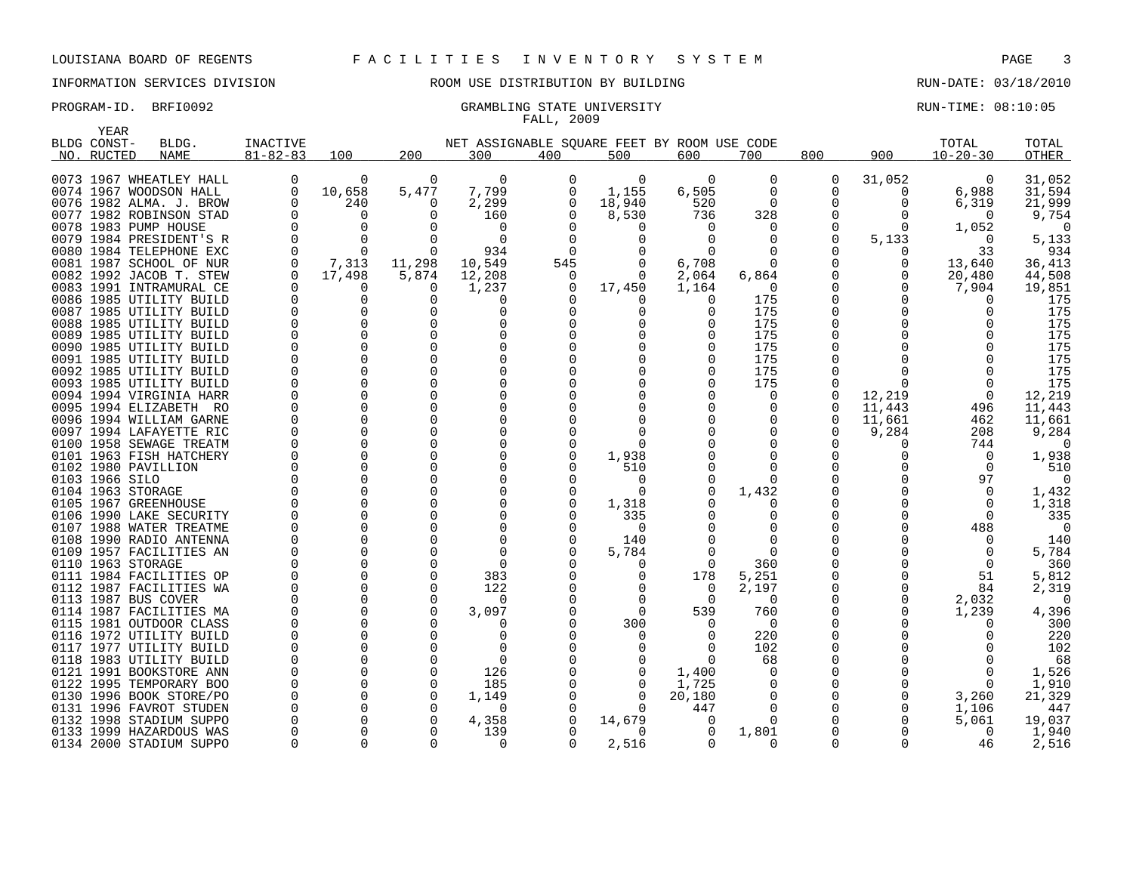# INFORMATION SERVICES DIVISION ROOM USE DISTRIBUTION BY BUILDING RUN-DATE: 03/18/2010

### PROGRAM-ID. BRFI0092 CRAMBLING STATE UNIVERSITY STATE UNIVERSITY RUN-TIME: 08:10:05 FALL, 2009

|      | <b>YEAR</b>    |                                                    |                      |               |                      |                                             |          |                      |                |                   |          |                   |                 |                  |
|------|----------------|----------------------------------------------------|----------------------|---------------|----------------------|---------------------------------------------|----------|----------------------|----------------|-------------------|----------|-------------------|-----------------|------------------|
|      | BLDG CONST-    | BLDG.                                              | <b>INACTIVE</b>      |               |                      | NET ASSIGNABLE SOUARE FEET BY ROOM USE CODE |          |                      |                |                   |          |                   | TOTAL           | TOTAL            |
|      | NO. RUCTED     | <b>NAME</b>                                        | $81 - 82 - 83$       | 100           | 200                  | 300                                         | 400      | 500                  | 600            | 700               | 800      | 900               | $10 - 20 - 30$  | <b>OTHER</b>     |
|      |                |                                                    |                      |               |                      |                                             |          |                      |                |                   |          |                   |                 |                  |
|      |                | 0073 1967 WHEATLEY HALL                            | 0                    | 0             | 0                    | $\Omega$                                    | 0        | 0                    | $\Omega$       | 0                 | 0        | 31,052            | 0               | 31,052           |
|      |                | 0074 1967 WOODSON HALL                             | $\Omega$             | 10,658        | 5,477                | 7,799                                       | O        | 1,155                | 6,505          | $\Omega$          | 0        | 0                 | 6,988           | 31,594           |
|      |                | 0076 1982 ALMA. J. BROW                            | $\Omega$             | 240           | $\Omega$             | 2,299                                       | $\Omega$ | 18,940               | 520            | $\Omega$          |          | 0                 | 6,319           | 21,999           |
|      |                | 0077 1982 ROBINSON STAD                            | <sup>0</sup>         | $\Omega$      | $\Omega$             | 160                                         | $\Omega$ | 8,530                | 736            | 328               |          | 0                 | $\Omega$        | 9,754            |
|      |                | 0078 1983 PUMP HOUSE                               |                      | $\Omega$      |                      | $\cap$                                      |          |                      |                |                   |          | 0                 | 1,052           | $\Omega$         |
| 0079 |                | 1984 PRESIDENT'S R                                 |                      | $\Omega$      | $\Omega$             | $\Omega$                                    |          |                      |                |                   |          | 5,133             | $\Omega$        | 5,133            |
|      |                | 0080 1984 TELEPHONE EXC                            |                      | ∩             | $\Omega$             | 934                                         |          |                      |                |                   |          | 0                 | 33              | 934              |
| 0081 |                | 1987 SCHOOL OF NUR                                 | $\Omega$             | 7,313         | 11,298               | 10,549                                      | 545      | $\Omega$             | 6,708          | $\Omega$          |          | 0                 | 13,640          | 36,413           |
|      |                | 0082 1992 JACOB T. STEW<br>0083 1991 INTRAMURAL CE |                      | 17,498<br>0   | 5,874<br>$\Omega$    | 12,208<br>1,237                             | 0<br>0   | $\Omega$<br>17,450   | 2,064<br>1,164 | 6,864<br>$\Omega$ |          | 0<br><sup>0</sup> | 20,480<br>7,904 | 44,508<br>19,851 |
|      |                | 0086 1985 UTILITY BUILD                            |                      | 0             | $\Omega$             | $\Omega$                                    | $\Omega$ | $\Omega$             | $\Omega$       | 175               | $\Omega$ | <sup>0</sup>      | $\Omega$        | 175              |
| 0087 |                | 1985 UTILITY BUILD                                 |                      | 0             | $\Omega$             | O                                           | O        | 0                    |                | 175               |          | <sup>0</sup>      | <sup>0</sup>    | 175              |
|      |                | 0088 1985 UTILITY BUILD                            | $\Omega$             | $\Omega$      | $\Omega$             |                                             | ∩        | O                    |                | 175               |          | <sup>0</sup>      |                 | 175              |
|      |                | 0089 1985 UTILITY BUILD                            |                      | $\Omega$      | $\Omega$             |                                             |          |                      |                | 175               |          |                   |                 | 175              |
| 0090 |                | 1985 UTILITY BUILD                                 | $\Omega$             | $\Omega$      | $\Omega$             |                                             |          |                      |                | 175               |          |                   |                 | 175              |
|      |                | 0091 1985 UTILITY BUILD                            |                      | 0             | $\Omega$             |                                             |          |                      |                | 175               | 0        |                   |                 | 175              |
|      |                | 0092 1985 UTILITY BUILD                            |                      | 0             | $\Omega$             |                                             |          |                      |                | 175               |          |                   | $\cap$          | 175              |
|      |                | 0093 1985 UTILITY BUILD                            |                      | 0             | $\Omega$             |                                             |          |                      |                | 175               | 0        | 0                 | $\Omega$        | 175              |
|      |                | 0094 1994 VIRGINIA HARR                            |                      | $\Omega$      | $\Omega$             |                                             |          |                      |                | n                 |          | 12,219            | $\Omega$        | 12,219           |
|      |                | 0095 1994 ELIZABETH RO                             |                      | 0             | $\Omega$             |                                             |          |                      |                |                   | 0        | 11,443            | 496             | 11,443           |
|      |                | 0096 1994 WILLIAM GARNE                            |                      | $\Omega$      | <sup>n</sup>         | U                                           |          |                      |                |                   | 0        | 11,661            | 462             | 11,661           |
| 0097 |                | 1994 LAFAYETTE RIC                                 | $\Omega$             | 0             | $\Omega$             |                                             |          | $\Omega$             |                |                   |          | 9,284             | 208             | 9,284            |
|      |                | 0100 1958 SEWAGE TREATM                            |                      | $\Omega$      | $\Omega$             |                                             |          | $\Omega$             |                |                   | 0        | 0                 | 744             | $\Omega$         |
| 0101 |                | 1963 FISH HATCHERY                                 |                      | 0             | $\Omega$             |                                             |          | 1,938                |                |                   | 0        | <sup>0</sup>      | $\mathbf 0$     | 1,938            |
|      |                | 0102 1980 PAVILLION                                |                      | $\Omega$      | $\Omega$             |                                             |          | 510                  |                |                   |          |                   | $\Omega$        | 510              |
|      | 0103 1966 SILO |                                                    |                      | $\Omega$      | $\Omega$             |                                             | O        | 0                    |                |                   |          |                   | 97              | $\Omega$         |
|      |                | 0104 1963 STORAGE                                  |                      | $\Omega$      | <sup>n</sup>         |                                             | $\Omega$ | $\Omega$             |                | 1,432             |          |                   | 0               | 1,432            |
|      |                | 0105 1967 GREENHOUSE                               |                      | $\Omega$      | <sup>n</sup>         |                                             |          | 1,318                |                |                   |          |                   | $\Omega$        | 1,318            |
|      |                | 0106 1990 LAKE SECURITY                            |                      | $\Omega$      | $\Omega$             |                                             |          | 335                  |                |                   |          |                   | $\Omega$        | 335              |
|      |                | 0107 1988 WATER TREATME                            |                      | 0             |                      |                                             |          | 0                    |                |                   | 0        |                   | 488             | $\Omega$         |
|      |                | 0108 1990 RADIO ANTENNA                            |                      | 0             | <sup>n</sup>         |                                             |          | 140                  |                |                   |          |                   | $\Omega$        | 140              |
|      |                | 0109 1957 FACILITIES AN                            |                      | 0             | <sup>n</sup>         | $\Omega$                                    |          | 5,784                |                |                   |          |                   | $\Omega$        | 5,784            |
|      |                | 0110 1963 STORAGE                                  |                      | $\Omega$      | $\Omega$             | $\cap$                                      |          | $\Omega$             |                | 360               |          | <sup>0</sup>      | $\Omega$        | 360              |
|      |                | 0111 1984 FACILITIES OP                            |                      | 0             | $\Omega$             | 383                                         |          | 0                    | 178            | 5,251             |          | 0                 | 51              | 5,812            |
|      |                | 0112 1987 FACILITIES WA                            | $\Omega$             | $\Omega$      | $\Omega$             | 122                                         |          | $\Omega$             | $\Omega$       | 2,197             |          | 0                 | 84              | 2,319            |
|      |                | 0113 1987 BUS COVER                                | $\Omega$<br>$\Omega$ | 0<br>$\Omega$ | 0                    | $\Omega$                                    |          | $\Omega$             | $\Omega$       | $\Omega$          |          | 0                 | 2,032           | $\Omega$         |
|      |                | 0114 1987 FACILITIES MA                            |                      | 0             | $\Omega$<br>$\Omega$ | 3,097                                       |          | $\Omega$             | 539            | 760               |          | 0                 | 1,239           | 4,396            |
| 0115 |                | 1981 OUTDOOR CLASS                                 |                      | 0             | <sup>n</sup>         | O<br>n                                      |          | 300                  | $\Omega$<br>O  | $\Omega$<br>220   |          |                   | O               | 300              |
| 0117 |                | 0116 1972 UTILITY BUILD<br>1977 UTILITY BUILD      | $\Omega$             | 0             |                      | O                                           |          | $\Omega$<br>$\Omega$ |                | 102               |          |                   |                 | 220<br>102       |
| 0118 |                | 1983 UTILITY BUILD                                 | $\Omega$             | $\Omega$      |                      | $\Omega$                                    |          | 0                    | $\Omega$       | 68                |          |                   | ∩               | 68               |
|      |                | 0121 1991 BOOKSTORE ANN                            |                      | $\Omega$      | $\Omega$             | 126                                         |          | 0                    | 1,400          |                   |          |                   | 0               | 1,526            |
| 0122 |                | 1995 TEMPORARY BOO                                 | $\Omega$             | $\Omega$      | $\Omega$             | 185                                         |          | $\Omega$             | 1,725          |                   |          |                   | $\Omega$        | 1,910            |
| 0130 |                | 1996 BOOK STORE/PO                                 | $\Omega$             | 0             | $\Omega$             | 1,149                                       |          | $\Omega$             | 20,180         | $\Omega$          |          | 0                 | 3,260           | 21,329           |
| 0131 |                | 1996 FAVROT STUDEN                                 |                      | 0             | 0                    | $\Omega$                                    | O        | $\Omega$             | 447            | $\Omega$          |          | 0                 | 1,106           | 447              |
| 0132 |                | 1998 STADIUM SUPPO                                 |                      | $\Omega$      | $\Omega$             | 4,358                                       |          | 14,679               | ()             |                   |          |                   | 5,061           | 19,037           |
|      |                | 0133 1999 HAZARDOUS WAS                            |                      | $\Omega$      | $\Omega$             | 139                                         |          | $\Omega$             | $\Omega$       | 1,801             |          |                   | $\Omega$        | 1,940            |
|      |                | 0134 2000 STADIUM SUPPO                            | $\Omega$             | $\Omega$      | $\Omega$             | 0                                           | $\Omega$ | 2,516                | $\Omega$       | $\Omega$          | 0        | 0                 | 46              | 2,516            |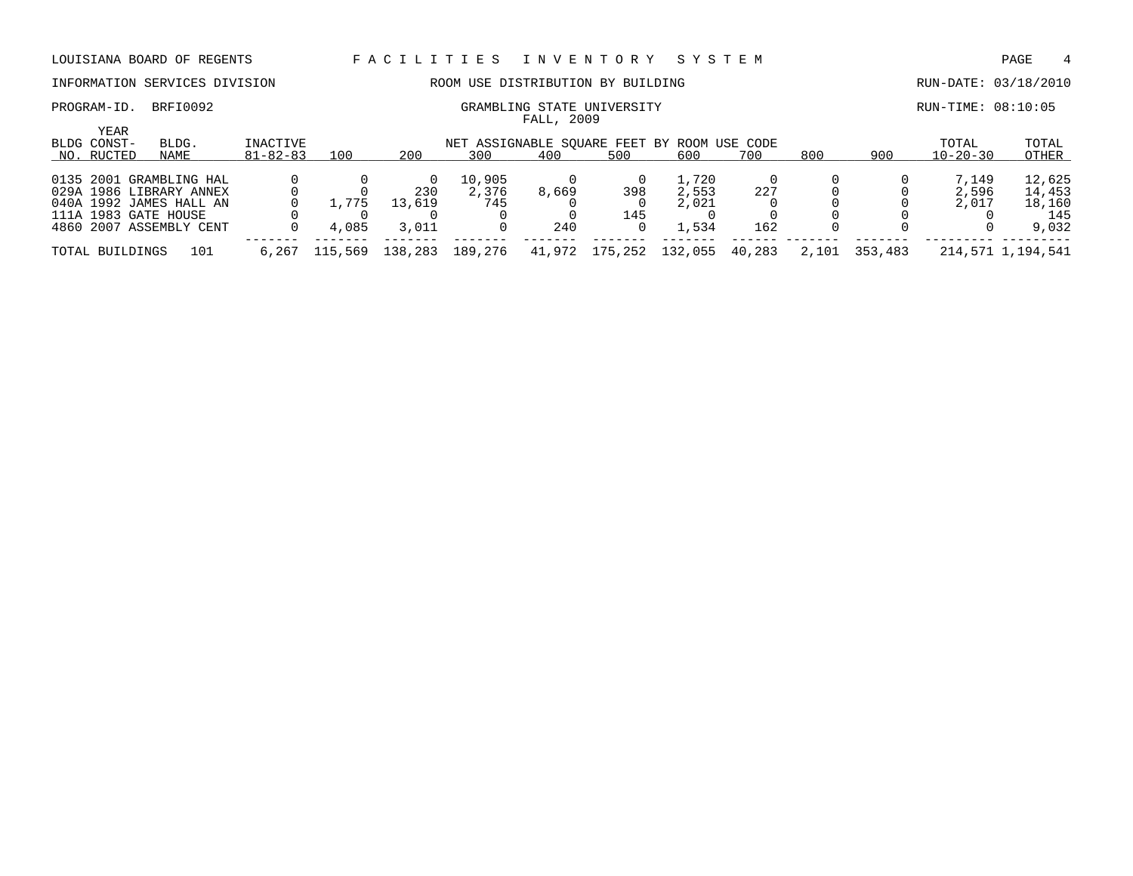### INFORMATION SERVICES DIVISION ROOM USE DISTRIBUTION BY BUILDING RUN-DATE: 03/18/2010

PROGRAM-ID. BRFI0092 CRAMBLING STATE UNIVERSITY CROSS CRAMBLING STATE UNIVERSITY

| <b>YEAR</b><br>BLDG CONST- | BLDG.                   | INACTIVE       |         |         | NET ASSIGNABLE SOUARE FEET BY ROOM USE CODE |        |         |         |        |       |         | TOTAL          | TOTAL             |
|----------------------------|-------------------------|----------------|---------|---------|---------------------------------------------|--------|---------|---------|--------|-------|---------|----------------|-------------------|
| NO. RUCTED                 | NAME                    | $81 - 82 - 83$ | 100     | 200     | 300                                         | 400    | 500     | 600     | 700    | 800   | 900     | $10 - 20 - 30$ | OTHER             |
|                            | 0135 2001 GRAMBLING HAL |                |         |         | 10,905                                      |        |         | 1,720   |        |       |         | 7.149          | 12,625            |
|                            | 029A 1986 LIBRARY ANNEX |                |         | 230     | 2,376                                       | 8,669  | 398     | 2,553   | 227    |       |         | 2,596          | 14,453            |
|                            | 040A 1992 JAMES HALL AN |                | L.775   | 13,619  | 745                                         |        |         | 2,021   |        |       |         | 2,017          | 18,160            |
|                            | 111A 1983 GATE HOUSE    |                |         |         |                                             |        | 145     |         |        |       |         |                | 145               |
|                            | 4860 2007 ASSEMBLY CENT |                | 4,085   | 3,011   |                                             | 240    |         | 1,534   | 162    |       |         |                | 9,032             |
| TOTAL BUILDINGS            | 101                     | 6.267          | 115,569 | 138,283 | 189,276                                     | 41,972 | 175,252 | 132,055 | 40,283 | 2,101 | 353,483 |                | 214,571 1,194,541 |

FALL, 2009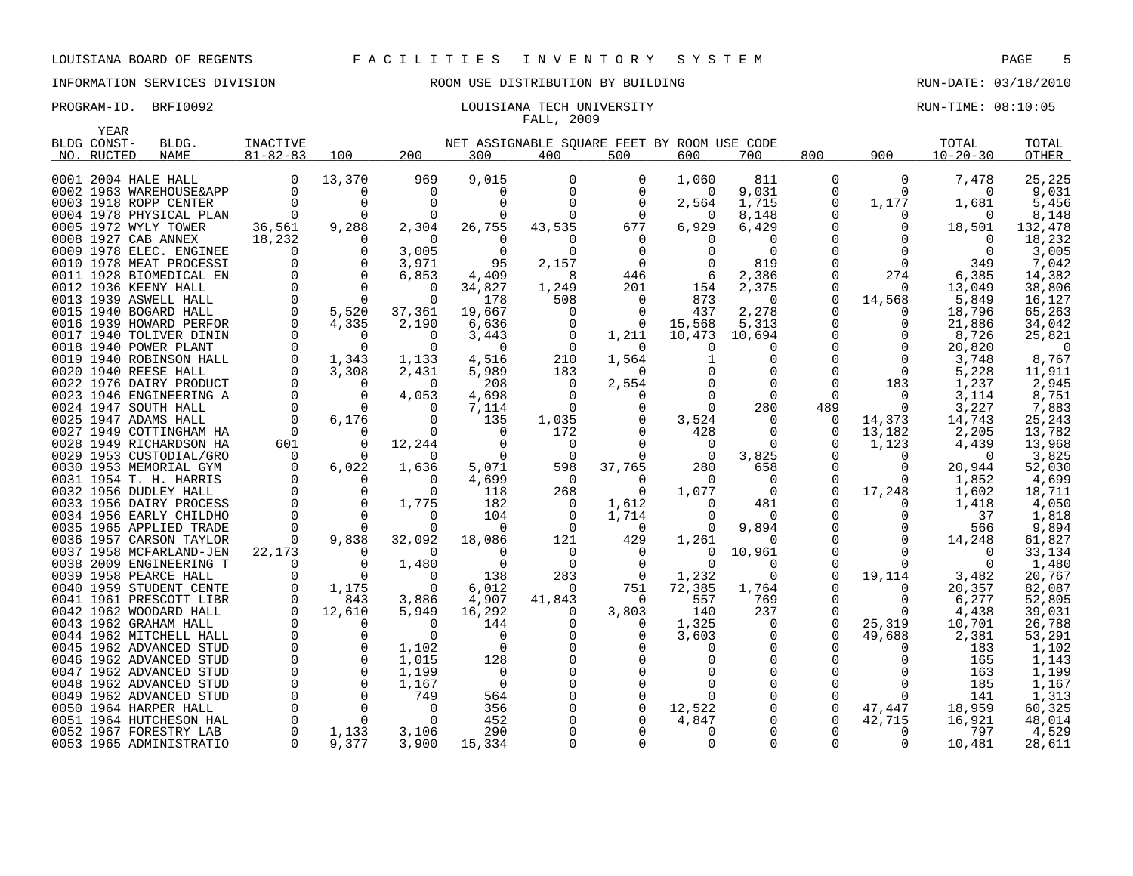## INFORMATION SERVICES DIVISION ROOM USE DISTRIBUTION BY BUILDING RUN-DATE: 03/18/2010

### PROGRAM-ID. BRFI0092 **EXAM-ID.** BRFI0092 **RUN-TIME: 08:10:05** LOUISIANA TECH UNIVERSITY FALL, 2009

| YEAR        |                         |                |                |             |                                             |              |                |             |             |          |             |                |          |
|-------------|-------------------------|----------------|----------------|-------------|---------------------------------------------|--------------|----------------|-------------|-------------|----------|-------------|----------------|----------|
| BLDG CONST- | BLDG.                   | INACTIVE       |                |             | NET ASSIGNABLE SOUARE FEET BY ROOM USE CODE |              |                |             |             |          |             | TOTAL          | TOTAL    |
| NO. RUCTED  | <b>NAME</b>             | $81 - 82 - 83$ | 100            | 200         | 300                                         | 400          | 500            | 600         | 700         | 800      | 900         | $10 - 20 - 30$ | OTHER    |
|             | 0001 2004 HALE HALL     | $\mathbf 0$    | 13,370         | 969         | 9,015                                       | 0            | 0              | 1,060       | 811         | 0        | 0           | 7,478          | 25,225   |
|             | 0002 1963 WAREHOUSE&APP | $\Omega$       | $\Omega$       | $\mathbf 0$ | 0                                           | $\Omega$     | $\Omega$       | $\Omega$    | 9,031       | 0        | $\Omega$    | $\Omega$       | 9,031    |
|             | 0003 1918 ROPP CENTER   | $\Omega$       | $\mathbf 0$    | $\Omega$    | $\mathbf 0$                                 |              | $\Omega$       | 2,564       | 1,715       | 0        | 1,177       | 1,681          | 5,456    |
|             | 0004 1978 PHYSICAL PLAN |                | $\Omega$       | $\Omega$    | $\Omega$                                    | $\Omega$     | $\Omega$       | $\Omega$    | 8,148       | U        | $\Omega$    |                | 8,148    |
|             | 0005 1972 WYLY TOWER    | 36,561         | 9,288          | 2,304       | 26,755                                      | 43,535       | 677            | 6,929       | 6,429       |          | $\Omega$    | 18,501         | 132,478  |
|             | 0008 1927 CAB ANNEX     | 18,232         | $\Omega$       | $\Omega$    | $\Omega$                                    | 0            | $\Omega$       | $\Omega$    | $\Omega$    | $\Omega$ | $\Omega$    | $\Omega$       | 18,232   |
|             | 0009 1978 ELEC. ENGINEE | $\Omega$       | $\Omega$       | 3,005       | $\Omega$                                    |              | $\Omega$       |             | $\Omega$    |          | $\Omega$    | $\Omega$       | 3,005    |
|             | 0010 1978 MEAT PROCESSI | $\Omega$       | $\overline{0}$ | 3,971       | 95                                          | 2,157        | $\overline{0}$ |             | 819         | $\Omega$ | 0           | 349            | 7,042    |
|             | 0011 1928 BIOMEDICAL EN | $\Omega$       | $\Omega$       | 6,853       | 4,409                                       | 8            | 446            | -6          | 2,386       | $\Omega$ | 274         | 6,385          | 14,382   |
|             | 0012 1936 KEENY HALL    | $\mathbf 0$    | $\mathbf 0$    | 0           | 34,827                                      | 1,249        | 201            | 154         | 2,375       | 0        | $\Omega$    | 13,049         | 38,806   |
|             | 0013 1939 ASWELL HALL   | $\Omega$       | $\Omega$       | $\Omega$    | 178                                         | 508          | 0              | 873         | $\Omega$    | 0        | 14,568      | 5,849          | 16,127   |
|             | 0015 1940 BOGARD HALL   | $\mathbf 0$    | 5,520          | 37,361      | 19,667                                      | $\Omega$     | $\Omega$       | 437         | 2,278       | $\Omega$ | $\Omega$    | 18,796         | 65,263   |
|             | 0016 1939 HOWARD PERFOR | $\Omega$       | 4,335          | 2,190       | 6,636                                       | 0            | $\mathbf 0$    | 15,568      | 5,313       | 0        | 0           | 21,886         | 34,042   |
|             | 0017 1940 TOLIVER DININ |                | $\Omega$       | $\Omega$    | 3,443                                       | $\Omega$     | 1,211          | 10,473      | 10,694      | $\Omega$ | $\Omega$    | 8,726          | 25,821   |
|             | 0018 1940 POWER PLANT   | $\Omega$       | $\Omega$       | $\Omega$    | $\Omega$                                    | 0            | $\Omega$       | $\Omega$    | $\Omega$    | $\Omega$ | $\Omega$    | 20,820         | $\Omega$ |
|             | 0019 1940 ROBINSON HALL | $\Omega$       | 1,343          | 1,133       | 4,516                                       | 210          | 1,564          |             | $\Omega$    | $\Omega$ | $\Omega$    | 3,748          | 8,767    |
|             | 0020 1940 REESE HALL    | $\Omega$       | 3,308          | 2,431       | 5,989                                       | 183          | $\Omega$       |             | $\mathbf 0$ | $\Omega$ | $\mathbf 0$ | 5,228          | 11,911   |
|             | 0022 1976 DAIRY PRODUCT |                | $\Omega$       | $\Omega$    | 208                                         | $\Omega$     | 2,554          |             | $\Omega$    | $\Omega$ | 183         | 1,237          | 2,945    |
|             | 0023 1946 ENGINEERING A |                | $\mathbf 0$    | 4,053       | 4,698                                       | $\Omega$     | 0              |             | $\Omega$    | $\Omega$ | $\Omega$    | 3,114          | 8,751    |
|             | 0024 1947 SOUTH HALL    | $\Omega$       | $\Omega$       | $\Omega$    | 7,114                                       | $\Omega$     | $\mathbf 0$    | $\Omega$    | 280         | 489      | $\Omega$    | 3,227          | 7,883    |
|             | 0025 1947 ADAMS HALL    | $\Omega$       | 6,176          | $\Omega$    | 135                                         | 1,035        | 0              | 3,524       | $\Omega$    | 0        | 14,373      | 14,743         | 25,243   |
|             | 0027 1949 COTTINGHAM HA | $\Omega$       | $\Omega$       | $\Omega$    | 0                                           | 172          | 0              | 428         | $\Omega$    | 0        | 13,182      | 2,205          | 13,782   |
|             | 0028 1949 RICHARDSON HA | 601            | $\Omega$       | 12,244      | $\Omega$                                    | $\Omega$     |                | $\Omega$    | $\Omega$    | $\Omega$ | 1,123       | 4,439          | 13,968   |
|             | 0029 1953 CUSTODIAL/GRO | $\Omega$       | $\Omega$       | $\Omega$    | $\mathbf 0$                                 | $\mathbf{0}$ | $\Omega$       | $\mathbf 0$ | 3,825       | $\Omega$ | $\Omega$    | $\Omega$       | 3,825    |
|             | 0030 1953 MEMORIAL GYM  | $\Omega$       | 6,022          | 1,636       | 5,071                                       | 598          | 37,765         | 280         | 658         | $\Omega$ | $\Omega$    | 20,944         | 52,030   |
|             | 0031 1954 T. H. HARRIS  | $\Omega$       | $\Omega$       | $\Omega$    | 4,699                                       | $\Omega$     | $\Omega$       | $\Omega$    | $\Omega$    | $\Omega$ | $\Omega$    | 1,852          | 4,699    |
|             | 0032 1956 DUDLEY HALL   |                | $\Omega$       | $\Omega$    | 118                                         | 268          | $\Omega$       | 1,077       | $\Omega$    | $\Omega$ | 17,248      | 1,602          | 18,711   |
|             | 0033 1956 DAIRY PROCESS |                | $\mathbf 0$    | 1,775       | 182                                         | 0            | 1,612          | $\Omega$    | 481         | $\Omega$ | $\Omega$    | 1,418          | 4,050    |
|             | 0034 1956 EARLY CHILDHO |                | $\Omega$       | $\Omega$    | 104                                         | 0            | 1,714          | $\Omega$    | 0           | $\Omega$ | $\Omega$    | 37             | 1,818    |
|             | 0035 1965 APPLIED TRADE |                | $\Omega$       |             | $\Omega$                                    | $\Omega$     | $\Omega$       | $\Omega$    | 9,894       | $\Omega$ |             | 566            | 9,894    |
|             | 0036 1957 CARSON TAYLOR | $\Omega$       | 9,838          | 32,092      | 18,086                                      | 121          | 429            | 1,261       | $\Omega$    | $\Omega$ | $\Omega$    | 14,248         | 61,827   |
|             | 0037 1958 MCFARLAND-JEN | 22,173         | 0              | $\Omega$    | $\Omega$                                    | $\Omega$     | $\Omega$       | $\Omega$    | 10,961      | $\Omega$ | $\Omega$    | $\Omega$       | 33,134   |
|             | 0038 2009 ENGINEERING T |                | 0              | 1,480       | 0                                           | $\Omega$     | 0              | $\Omega$    | 0           | $\Omega$ | $\Omega$    | $\Omega$       | 1,480    |
|             | 0039 1958 PEARCE HALL   |                | $\Omega$       | $\Omega$    | 138                                         | 283          | $\overline{0}$ | 1,232       | $\Omega$    | 0        | 19,114      | 3,482          | 20,767   |
|             | 0040 1959 STUDENT CENTE |                | 1,175          | $\mathbf 0$ | 6,012                                       | $\Omega$     | 751            | 72,385      | 1,764       | $\Omega$ | 0           | 20,357         | 82,087   |
|             | 0041 1961 PRESCOTT LIBR |                | 843            | 3,886       | 4,907                                       | 41,843       | $\Omega$       | 557         | 769         | 0        | 0           | 6,277          | 52,805   |
|             | 0042 1962 WOODARD HALL  |                | 12,610         | 5,949       | 16,292                                      | $\Omega$     | 3,803          | 140         | 237         | $\Omega$ | $\Omega$    | 4,438          | 39,031   |
|             | 0043 1962 GRAHAM HALL   |                | $\Omega$       | $\Omega$    | 144                                         | 0            | $\Omega$       | 1,325       | $\Omega$    | $\Omega$ | 25,319      | 10,701         | 26,788   |
|             | 0044 1962 MITCHELL HALL |                | 0              | $\Omega$    | 0                                           |              | 0              | 3,603       | 0           | $\Omega$ | 49,688      | 2,381          | 53,291   |
|             | 0045 1962 ADVANCED STUD |                | $\mathbf 0$    | 1,102       | $\mathbf 0$                                 |              |                | 0           | $\mathbf 0$ |          | ∩           | 183            | 1,102    |
|             | 0046 1962 ADVANCED STUD |                | $\Omega$       | 1,015       | 128                                         |              |                |             | $\Omega$    |          |             | 165            | 1,143    |
|             | 0047 1962 ADVANCED STUD |                | $\mathbf 0$    | 1,199       | $\mathbf 0$                                 |              |                |             | 0           |          |             | 163            | 1,199    |
|             | 0048 1962 ADVANCED STUD |                | $\Omega$       | 1,167       | $\overline{0}$                              |              | $\Omega$       |             | $\Omega$    | ∩        | 0           | 185            | 1,167    |
|             | 0049 1962 ADVANCED STUD | $\Omega$       | $\Omega$       | 749         | 564                                         |              | 0              | $\Omega$    | $\Omega$    |          | $\Omega$    | 141            | 1,313    |
|             | 0050 1964 HARPER HALL   |                | $\Omega$       | $\Omega$    | 356                                         |              | $\mathbf 0$    | 12,522      | $\Omega$    | 0        | 47,447      | 18,959         | 60,325   |
|             | 0051 1964 HUTCHESON HAL |                | $\Omega$       | $\Omega$    | 452                                         |              |                | 4,847       | $\Omega$    | $\Omega$ | 42,715      | 16,921         | 48,014   |
|             | 0052 1967 FORESTRY LAB  | $\Omega$       | 1,133          | 3,106       | 290                                         |              |                | $\Omega$    | $\Omega$    |          | $\Omega$    | 797            | 4,529    |
|             | 0053 1965 ADMINISTRATIO | $\Omega$       | 9,377          | 3,900       | 15,334                                      |              |                | 0           | $\Omega$    | $\Omega$ | $\Omega$    | 10,481         | 28,611   |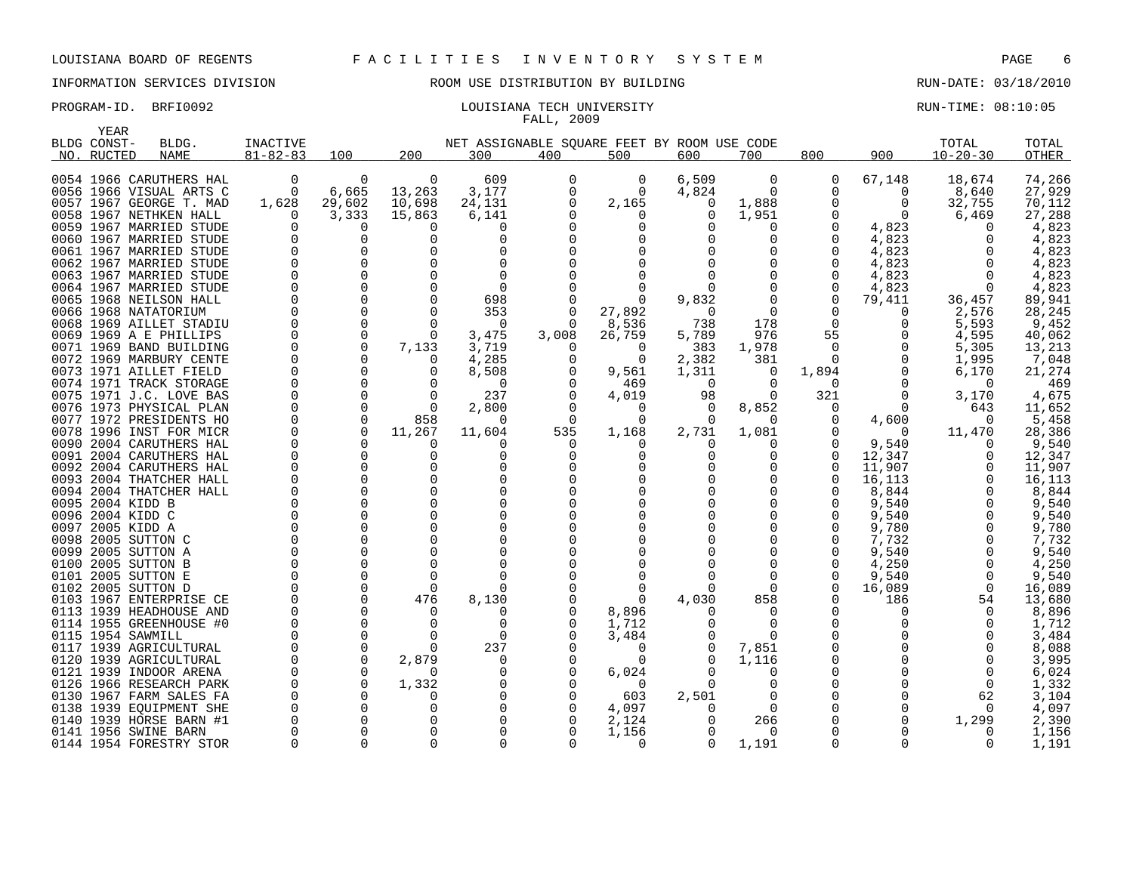YEAR

# INFORMATION SERVICES DIVISION ROOM USE DISTRIBUTION BY BUILDING RUN-DATE: 03/18/2010

### PROGRAM-ID. BRFI0092 COULSIANA TECH UNIVERSITY COULSIAN TECH UNIVERSITY RUN-TIME: 08:10:05 FALL, 2009

| سمسد<br>BLDG CONST- | BLDG.                   | <b>INACTIVE</b> |             |              | NET ASSIGNABLE SQUARE FEET BY ROOM USE CODE |          |             |          |              |                |          | TOTAL          | TOTAL  |
|---------------------|-------------------------|-----------------|-------------|--------------|---------------------------------------------|----------|-------------|----------|--------------|----------------|----------|----------------|--------|
| NO. RUCTED          | NAME                    | $81 - 82 - 83$  | 100         | 200          | 300                                         | 400      | 500         | 600      | 700          | 800            | 900      | $10 - 20 - 30$ | OTHER  |
|                     | 0054 1966 CARUTHERS HAL | 0               | 0           | 0            | 609                                         | 0        | 0           | 6,509    | 0            | 0              | 67,148   | 18,674         | 74,266 |
|                     | 0056 1966 VISUAL ARTS C | $\mathsf{O}$    | 6,665       | 13,263       | 3,177                                       |          | $\mathbf 0$ | 4,824    | $\Omega$     | 0              | 0        | 8,640          | 27,929 |
|                     | 0057 1967 GEORGE T. MAD | 1,628           | 29,602      | 10,698       | 24,131                                      |          | 2,165       | 0        | 1,888        | 0              | 0        | 32,755         | 70,112 |
|                     | 0058 1967 NETHKEN HALL  | $\Omega$        | 3,333       | 15,863       | 6,141                                       |          | $\Omega$    | $\Omega$ | 1,951        |                | 0        | 6,469          | 27,288 |
|                     | 0059 1967 MARRIED STUDE | 0               | 0           |              | 0                                           |          | 0           |          | $\Omega$     | 0              | 4,823    | $\Omega$       | 4,823  |
|                     | 0060 1967 MARRIED STUDE | 0               | 0           | $\Omega$     | 0                                           |          |             |          | $\Omega$     |                | 4,823    | 0              | 4,823  |
|                     | 0061 1967 MARRIED STUDE | $\Omega$        | $\Omega$    |              | $\Omega$                                    |          |             |          |              |                | 4,823    | $\Omega$       | 4,823  |
|                     | 0062 1967 MARRIED STUDE | $\Omega$        | $\Omega$    |              | $\Omega$                                    |          |             |          |              | $\Omega$       | 4,823    | $\Omega$       | 4,823  |
|                     | 0063 1967 MARRIED STUDE | $\Omega$        | $\Omega$    |              | $\Omega$                                    |          |             |          |              | $\Omega$       | 4,823    | $\Omega$       | 4,823  |
|                     | 0064 1967 MARRIED STUDE | $\Omega$        | $\Omega$    | $\Omega$     | $\Omega$                                    |          | $\Omega$    |          |              | $\Omega$       | 4,823    | $\Omega$       | 4,823  |
|                     | 0065 1968 NEILSON HALL  | $\Omega$        | $\Omega$    |              | 698                                         |          | $\Omega$    | 9,832    |              | 0              | 79,411   | 36,457         | 89,941 |
|                     | 0066 1968 NATATORIUM    | $\mathbf 0$     | $\mathbf 0$ | $\Omega$     | 353                                         |          | 27,892      | $\Omega$ | 0            | 0              | 0        | 2,576          | 28,245 |
|                     | 0068 1969 AILLET STADIU | $\mathbf 0$     | $\mathbf 0$ | $\Omega$     | $\Omega$                                    | 0        | 8,536       | 738      | 178          | $\mathbf 0$    | 0        | 5,593          | 9,452  |
|                     | 0069 1969 A E PHILLIPS  | $\mathbf 0$     | $\mathbf 0$ | $\Omega$     | 3,475                                       | 3,008    | 26,759      | 5,789    | 976          | 55             |          | 4,595          | 40,062 |
|                     | 0071 1969 BAND BUILDING | $\mathbf 0$     | $\mathbf 0$ | 7,133        | 3,719                                       | O        | 0           | 383      | 1,978        | $\overline{0}$ |          | 5,305          | 13,213 |
|                     | 0072 1969 MARBURY CENTE | 0               | 0           |              | 4,285                                       |          | 0           | 2,382    | 381          | 0              | 0        | 1,995          | 7,048  |
|                     | 0073 1971 AILLET FIELD  | $\mathbf 0$     | 0           |              | 8,508                                       |          | 9,561       | 1,311    | $\mathbf{0}$ | 1,894          | 0        | 6,170          | 21,274 |
|                     | 0074 1971 TRACK STORAGE | $\Omega$        | $\Omega$    |              | $\Omega$                                    |          | 469         | $\Omega$ | $\Omega$     | $\Omega$       | $\Omega$ | - 0            | 469    |
|                     | 0075 1971 J.C. LOVE BAS | $\mathbf 0$     | $\Omega$    | $\Omega$     | 237                                         |          | 4,019       | 98       | $\Omega$     | 321            | 0        | 3,170          | 4,675  |
|                     | 0076 1973 PHYSICAL PLAN | $\Omega$        | $\Omega$    | - ೧          | 2,800                                       |          | $\Omega$    | $\Omega$ | 8,852        | 0              | $\Omega$ | 643            | 11,652 |
|                     | 0077 1972 PRESIDENTS HO | 0               | $\Omega$    | 858          | $\Omega$                                    | $\Omega$ | $\Omega$    | $\Omega$ | $\Omega$     | 0              | 4,600    | $\Omega$       | 5,458  |
|                     | 0078 1996 INST FOR MICR | $\Omega$        | $\Omega$    | 11,267       | 11,604                                      | 535      | 1,168       | 2,731    | 1,081        | 0              | $\Omega$ | 11,470         | 28,386 |
|                     | 0090 2004 CARUTHERS HAL | $\mathbf 0$     | $\mathbf 0$ | <sup>0</sup> | 0                                           | $\Omega$ | 0           |          | 0            | 0              | 9,540    | 0              | 9,540  |
|                     | 0091 2004 CARUTHERS HAL | $\mathbf 0$     | $\mathbf 0$ | $\Omega$     | 0                                           |          | 0           |          | 0            | 0              | 12,347   | 0              | 12,347 |
|                     | 0092 2004 CARUTHERS HAL | 0               | $\Omega$    |              | $\Omega$                                    |          |             |          |              | 0              | 11,907   | 0              | 11,907 |
|                     | 0093 2004 THATCHER HALL | 0               | $\Omega$    |              |                                             |          |             |          |              | 0              | 16,113   | 0              | 16,113 |
|                     | 0094 2004 THATCHER HALL | $\mathbf 0$     | $\Omega$    |              |                                             |          |             |          |              |                | 8,844    | $\Omega$       | 8,844  |
| 0095 2004 KIDD B    |                         | $\Omega$        | 0           |              | $\Omega$                                    |          |             |          | $\Omega$     | 0              | 9,540    | 0              | 9,540  |
| 0096 2004 KIDD C    |                         | $\Omega$        | $\Omega$    |              |                                             |          |             |          |              | $\Omega$       | 9,540    | $\Omega$       | 9,540  |
| 0097 2005 KIDD A    |                         | $\Omega$        | $\Omega$    |              |                                             |          |             |          |              |                | 9,780    | $\Omega$       | 9,780  |
| 0098 2005 SUTTON C  |                         | $\Omega$        | $\Omega$    |              | $\Omega$                                    |          |             |          |              | $\Omega$       | 7,732    | $\Omega$       | 7,732  |
| 0099 2005 SUTTON A  |                         | $\Omega$        | $\Omega$    |              |                                             |          |             |          |              | $\Omega$       | 9,540    | $\Omega$       | 9,540  |
| 0100 2005 SUTTON B  |                         | $\Omega$        | $\Omega$    |              | $\Omega$                                    |          |             |          |              | $\Omega$       | 4,250    | $\Omega$       | 4,250  |
| 0101 2005 SUTTON E  |                         | $\Omega$        | $\Omega$    | $\Omega$     | $\Omega$                                    |          | O           |          |              | $\Omega$       | 9,540    | $\Omega$       | 9,540  |
| 0102 2005 SUTTON D  |                         | 0               | 0           | $\Omega$     | 0                                           |          | $\Omega$    |          | $\Omega$     | 0              | 16,089   | 0              | 16,089 |
|                     | 0103 1967 ENTERPRISE CE | 0               | $\Omega$    | 476          | 8,130                                       |          | $\Omega$    | 4,030    | 858          | $\Omega$       | 186      | 54             | 13,680 |
|                     | 0113 1939 HEADHOUSE AND | 0               | $\Omega$    | $\Omega$     | 0                                           |          | 8,896       |          | $\Omega$     | 0              | O        | $\Omega$       | 8,896  |
|                     | 0114 1955 GREENHOUSE #0 | 0               | 0           | 0            | 0                                           |          | 1,712       |          | $\Omega$     | 0              | O        | $\Omega$       | 1,712  |
| 0115 1954 SAWMILL   |                         | $\Omega$        | 0           | $\Omega$     | 0                                           |          | 3,484       |          | $\Omega$     | 0              |          | $\Omega$       | 3,484  |
|                     | 0117 1939 AGRICULTURAL  | $\Omega$        | $\Omega$    |              | 237                                         |          | 0           |          | 7,851        | 0              |          | $\Omega$       | 8,088  |
|                     | 0120 1939 AGRICULTURAL  | $\Omega$        | $\Omega$    | 2,879        | 0                                           |          | $\Omega$    |          | 1,116        |                |          | 0              | 3,995  |
|                     | 0121 1939 INDOOR ARENA  | $\Omega$        | $\Omega$    |              |                                             |          | 6,024       |          |              | $\Omega$       |          | $\Omega$       | 6,024  |
|                     | 0126 1966 RESEARCH PARK | $\Omega$        | $\Omega$    | 1,332        | 0                                           |          | 0           |          | $\Omega$     | $\Omega$       |          | $\Omega$       | 1,332  |
|                     | 0130 1967 FARM SALES FA | $\Omega$        | $\Omega$    |              | $\Omega$                                    |          | 603         | 2,501    |              | $\Omega$       |          | 62             | 3,104  |
|                     | 0138 1939 EQUIPMENT SHE | $\Omega$        | $\Omega$    |              | 0                                           |          | 4,097       |          | $\Omega$     |                |          | $\Omega$       | 4,097  |
|                     | 0140 1939 HORSE BARN #1 | 0               | 0           |              |                                             |          | 2,124       |          | 266          | 0              |          | 1,299          | 2,390  |
|                     | 0141 1956 SWINE BARN    | 0               | $\mathbf 0$ |              |                                             |          | 1,156       |          | $\Omega$     |                |          | 0              | 1,156  |
|                     | 0144 1954 FORESTRY STOR | $\Omega$        | $\Omega$    |              | $\Omega$                                    |          | $\Omega$    | $\Omega$ | 1,191        | $\Omega$       | $\Omega$ | $\Omega$       | 1,191  |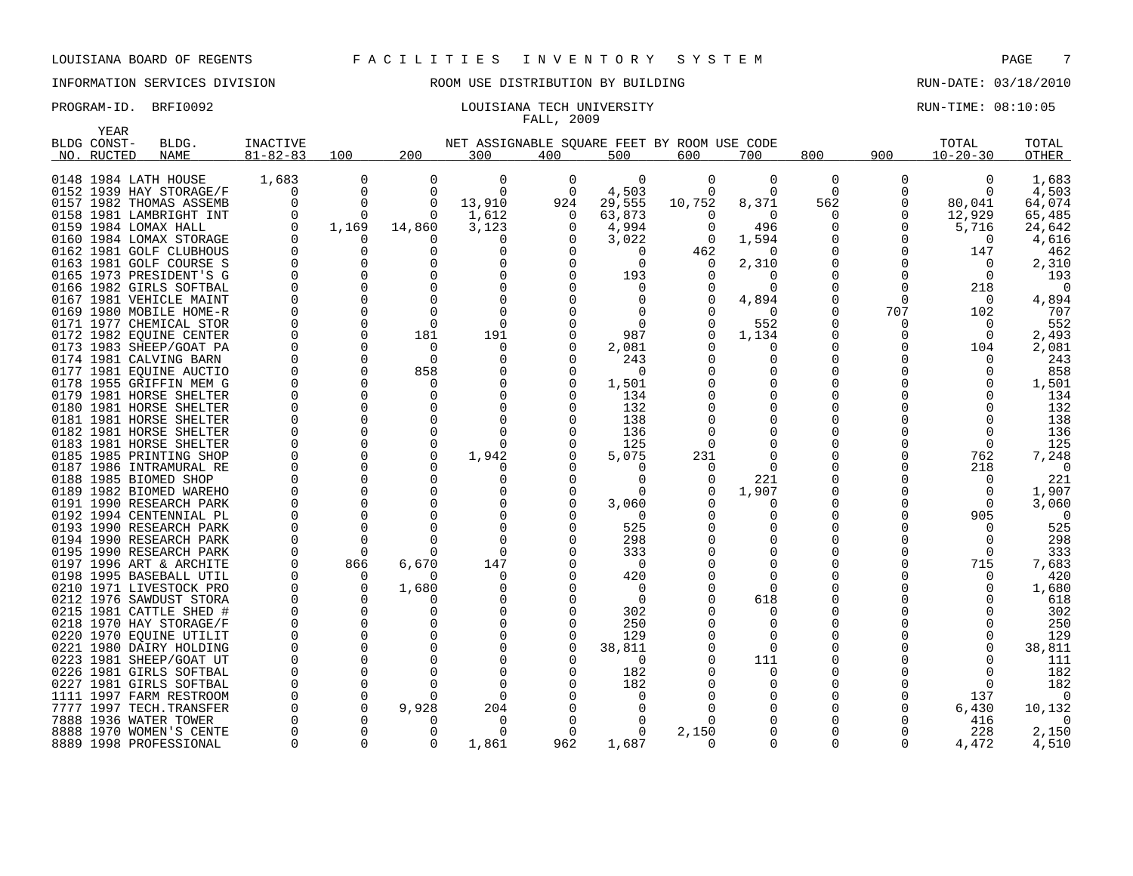YEAR

## INFORMATION SERVICES DIVISION ROOM USE DISTRIBUTION BY BUILDING RUN-DATE: 03/18/2010

### PROGRAM-ID. BRFI0092 **EXAM-ID.** BRFI0092 LOUISIANA TECH UNIVERSITY **EXAM-TIME: 08:10:05** FALL, 2009

|      | BLDG CONST- | BLDG.                                              | <b>INACTIVE</b> |                      |              | NET ASSIGNABLE SQUARE FEET BY ROOM USE CODE |          |            |          |          |                |              | TOTAL                | TOTAL      |
|------|-------------|----------------------------------------------------|-----------------|----------------------|--------------|---------------------------------------------|----------|------------|----------|----------|----------------|--------------|----------------------|------------|
|      | NO. RUCTED  | NAME                                               | $81 - 82 - 83$  | 100                  | 200          | 300                                         | 400      | 500        | 600      | 700      | 800            | 900          | $10 - 20 - 30$       | OTHER      |
|      |             | 0148 1984 LATH HOUSE                               | 1,683           | $\Omega$             | $\Omega$     | $\Omega$                                    | $\Omega$ | $\Omega$   | 0        | $\Omega$ | $\overline{0}$ | 0            | $\Omega$             | 1,683      |
|      |             | 0152 1939 HAY STORAGE/F                            | $\Omega$        | $\Omega$             | $\Omega$     | $\Omega$                                    | 0        | 4,503      | $\Omega$ | $\Omega$ | $\Omega$       |              | $\Omega$             | 4,503      |
|      |             | 0157 1982 THOMAS ASSEMB                            | $\Omega$        | $\Omega$             | 0            | 13,910                                      | 924      | 29,555     | 10,752   | 8,371    | 562            | 0            | 80,041               | 64,074     |
|      |             | 0158 1981 LAMBRIGHT INT                            | 0               | $\Omega$             | $\Omega$     | 1,612                                       | $\Omega$ | 63,873     | $\Omega$ | $\Omega$ | 0              | 0            | 12,929               | 65,485     |
|      |             | 0159 1984 LOMAX HALL                               | $\Omega$        | 1,169                | 14,860       | 3,123                                       | 0        | 4,994      | $\Omega$ | 496      |                | 0            | 5,716                | 24,642     |
|      |             | 0160 1984 LOMAX STORAGE                            | $\Omega$        | 0                    |              | O                                           | O        | 3,022      | $\Omega$ | 1,594    |                | $\Omega$     | 0                    | 4,616      |
|      |             | 0162 1981 GOLF CLUBHOUS                            |                 | 0                    |              |                                             |          | $\Omega$   | 462      |          |                | $\Omega$     | 147                  | 462        |
|      |             | 0163 1981 GOLF COURSE S                            |                 | 0                    |              |                                             | ∩        | $\Omega$   |          | 2,310    |                | 0            | $\Omega$             | 2,310      |
|      |             | 0165 1973 PRESIDENT'S G                            |                 | 0                    |              |                                             | $\Omega$ | 193        |          |          |                | 0            | $\Omega$             | 193        |
|      |             | 0166 1982 GIRLS SOFTBAL                            |                 | $\Omega$             |              |                                             |          | 0          |          |          |                | 0            | 218                  | $\Omega$   |
|      |             | 0167 1981 VEHICLE MAINT                            |                 | $\Omega$             | $\Omega$     |                                             |          | $\Omega$   |          | 4,894    |                | $\Omega$     | $\Omega$             | 4,894      |
|      |             | 0169 1980 MOBILE HOME-R                            |                 | $\Omega$             | $\cap$       |                                             |          |            |          |          |                | 707          | 102                  | 707        |
|      |             | 0171 1977 CHEMICAL STOR                            |                 | $\Omega$             | $\Omega$     | $\Omega$                                    |          | $\Omega$   |          | 552      |                | 0            | $\Omega$             | 552        |
|      |             | 0172 1982 EQUINE CENTER                            |                 | $\Omega$             | 181          | 191                                         |          | 987        |          | 1,134    |                | O            | $\Omega$             | 2,493      |
|      |             | 0173 1983 SHEEP/GOAT PA                            | $\Omega$        | $\Omega$             | $\Omega$     | $\Omega$                                    | $\Omega$ | 2,081      |          | ∩        |                |              | 104                  | 2,081      |
|      |             | 0174 1981 CALVING BARN                             |                 | $\Omega$             | $\Omega$     | O                                           | O        | 243        |          |          | 0              |              | $\Omega$             | 243        |
|      |             | 0177 1981 EQUINE AUCTIO                            |                 | $\mathbf 0$          | 858          |                                             | $\Omega$ | 0          |          |          |                |              | $\Omega$             | 858        |
|      |             | 0178 1955 GRIFFIN MEM G                            |                 | $\Omega$             | $\Omega$     |                                             | 0        | 1,501      |          |          |                |              | $\Omega$             | 1,501      |
|      |             | 0179 1981 HORSE SHELTER                            |                 | $\mathbf 0$          |              |                                             |          | 134        |          |          |                |              | $\Omega$             | 134        |
|      |             | 0180 1981 HORSE SHELTER                            |                 | $\Omega$             |              |                                             |          | 132        |          |          |                |              |                      | 132        |
|      |             | 0181 1981 HORSE SHELTER                            |                 | $\Omega$             |              |                                             |          | 138        |          |          |                |              | $\Omega$             | 138        |
|      |             | 0182 1981 HORSE SHELTER                            |                 | $\Omega$             | $\Omega$     |                                             |          | 136        |          |          |                |              | $\Omega$             | 136        |
|      |             | 0183 1981 HORSE SHELTER                            |                 | $\Omega$             | 0            |                                             |          | 125        |          |          |                |              | $\mathbf 0$          | 125        |
|      |             | 0185 1985 PRINTING SHOP                            |                 | 0                    | $\mathbf 0$  | 1,942                                       |          | 5,075      | 231      |          |                |              | 762                  | 7,248      |
|      |             | 0187 1986 INTRAMURAL RE                            |                 | $\Omega$             |              |                                             |          |            |          |          |                |              | 218                  | $\Omega$   |
|      |             | 0188 1985 BIOMED SHOP                              |                 | $\Omega$             |              |                                             |          | $\Omega$   |          | 221      |                |              | $\Omega$             | 221        |
|      |             | 0189 1982 BIOMED WAREHO                            |                 | $\Omega$             |              |                                             |          |            |          | 1,907    |                |              | $\Omega$             | 1,907      |
|      |             | 0191 1990 RESEARCH PARK                            |                 | $\Omega$             | $\Omega$     |                                             | $\Omega$ | 3,060      |          |          |                |              | $\Omega$             | 3,060      |
|      |             | 0192 1994 CENTENNIAL PL                            |                 | $\Omega$             |              |                                             |          | $\Omega$   |          |          |                |              | 905                  | $\Omega$   |
|      |             | 0193 1990 RESEARCH PARK<br>0194 1990 RESEARCH PARK |                 | $\Omega$<br>$\Omega$ |              |                                             |          | 525<br>298 |          |          | O              |              | $\Omega$<br>$\Omega$ | 525<br>298 |
|      |             |                                                    |                 | $\Omega$             | <sup>n</sup> | $\cap$                                      |          | 333        |          |          |                |              | $\Omega$             | 333        |
|      |             | 0195 1990 RESEARCH PARK<br>0197 1996 ART & ARCHITE |                 | 866                  | 6,670        | 147                                         |          | - 0        |          |          |                |              | 715                  | 7,683      |
|      |             | 0198 1995 BASEBALL UTIL                            |                 | $\Omega$             | n            | O                                           |          | 420        |          |          |                |              | $\Omega$             | 420        |
|      |             | 0210 1971 LIVESTOCK PRO                            |                 | $\Omega$             | 1,680        |                                             |          | $\Omega$   |          |          |                |              | $\Omega$             | 1,680      |
|      |             | 0212 1976 SAWDUST STORA                            |                 | $\Omega$             |              |                                             | ∩        | $\Omega$   |          | 618      |                |              | <sup>n</sup>         | 618        |
|      |             | 0215 1981 CATTLE SHED #                            |                 | $\Omega$             |              |                                             |          | 302        |          |          |                |              | ∩                    | 302        |
|      |             | 0218 1970 HAY STORAGE/F                            |                 | $\Omega$             |              |                                             |          | 250        |          |          |                |              | $\Omega$             | 250        |
|      |             | 0220 1970 EQUINE UTILIT                            |                 | $\Omega$             |              |                                             | $\Omega$ | 129        |          |          |                |              | $\Omega$             | 129        |
|      |             | 0221 1980 DAIRY HOLDING                            |                 | $\Omega$             |              |                                             |          | 38,811     |          |          |                |              | $\Omega$             | 38,811     |
|      |             | 0223 1981 SHEEP/GOAT UT                            |                 | $\Omega$             |              |                                             |          | 0          |          | 111      |                |              | ∩                    | 111        |
|      |             | 0226 1981 GIRLS SOFTBAL                            |                 | $\Omega$             |              |                                             |          | 182        |          |          |                |              |                      | 182        |
|      |             | 0227 1981 GIRLS SOFTBAL                            |                 | $\Omega$             |              |                                             |          | 182        |          |          |                |              | $\Omega$             | 182        |
|      |             | 1111 1997 FARM RESTROOM                            |                 | $\Omega$             |              |                                             |          | $\Omega$   |          |          |                | <sup>0</sup> | 137                  | $\Omega$   |
| 7777 |             | 1997 TECH.TRANSFER                                 |                 | $\Omega$             | 9,928        | 204                                         |          | $\Omega$   |          |          |                |              | 6,430                | 10,132     |
|      |             | 7888 1936 WATER TOWER                              |                 | $\Omega$             |              |                                             |          |            |          |          |                |              | 416                  |            |
|      |             | 8888 1970 WOMEN'S CENTE                            |                 | $\Omega$             |              | $\cap$                                      |          | $\Omega$   | 2,150    |          |                |              | 228                  | 2,150      |
|      |             | 8889 1998 PROFESSIONAL                             | $\Omega$        | $\Omega$             | $\Omega$     | 1,861                                       | 962      | 1,687      |          |          | $\Omega$       | $\Omega$     | 4,472                | 4,510      |

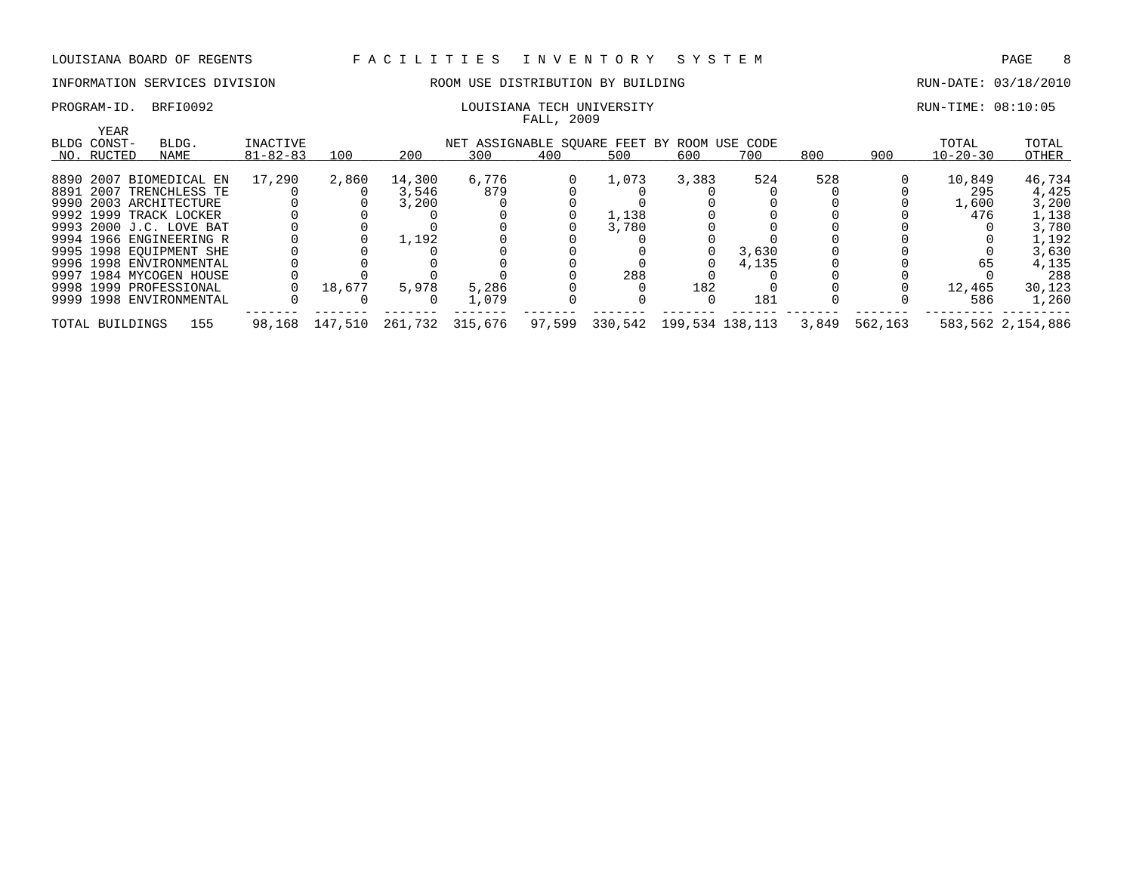# PROGRAM-ID. BRFI0092 LOUISIANA TECH UNIVERSITY RUN-TIME: 08:10:05

# INFORMATION SERVICES DIVISION **ROOM USE DISTRIBUTION BY BUILDING RUN-DATE: 03/18/2010**

| DONTSTANA IECH UNIVEKSII |            |  |
|--------------------------|------------|--|
|                          | FALL, 2009 |  |

| YEAR<br>BLDG CONST- | BLDG.                   | INACTIVE       |         |        | NET ASSIGNABLE SQUARE FEET BY ROOM USE CODE |        |         |                 |       |       |         | TOTAL          | TOTAL             |
|---------------------|-------------------------|----------------|---------|--------|---------------------------------------------|--------|---------|-----------------|-------|-------|---------|----------------|-------------------|
| NO. RUCTED          | NAME                    | $81 - 82 - 83$ | 100     | 200    | 300                                         | 400    | 500     | 600             | 700   | 800   | 900     | $10 - 20 - 30$ | OTHER             |
|                     |                         |                |         |        |                                             |        |         |                 |       |       |         |                |                   |
|                     | 8890 2007 BIOMEDICAL EN | 17,290         | 2,860   | 14,300 | 6,776                                       |        | 1,073   | 3,383           | 524   | 528   |         | 10,849         | 46,734            |
|                     | 8891 2007 TRENCHLESS TE |                |         | 3,546  | 879                                         |        |         |                 |       |       |         | 295            | 4,425             |
|                     | 9990 2003 ARCHITECTURE  |                |         | 3,200  |                                             |        |         |                 |       |       |         | 1,600          | 3,200             |
|                     | 9992 1999 TRACK LOCKER  |                |         |        |                                             |        | 1,138   |                 |       |       |         | 476            | 1,138             |
|                     | 9993 2000 J.C. LOVE BAT |                |         |        |                                             |        | 3,780   |                 |       |       |         |                | 3,780             |
|                     | 9994 1966 ENGINEERING R |                |         | 1,192  |                                             |        |         |                 |       |       |         |                | 1,192             |
|                     | 9995 1998 EOUIPMENT SHE |                |         |        |                                             |        |         |                 | 3,630 |       |         |                | 3,630             |
|                     | 9996 1998 ENVIRONMENTAL |                |         |        |                                             |        |         |                 | 4,135 |       |         | 65             | 4,135             |
|                     | 9997 1984 MYCOGEN HOUSE |                |         |        |                                             |        | 288     |                 |       |       |         |                | 288               |
|                     | 9998 1999 PROFESSIONAL  |                | 18,677  | 5,978  | 5,286                                       |        |         | 182             |       |       |         | 12,465         | 30,123            |
|                     | 9999 1998 ENVIRONMENTAL |                |         |        | 1,079                                       |        |         |                 | 181   |       |         | 586            | 1,260             |
| TOTAL BUILDINGS     | 155                     | 98,168         | 147,510 |        | 261,732 315,676                             | 97,599 | 330,542 | 199,534 138,113 |       | 3,849 | 562,163 |                | 583,562 2,154,886 |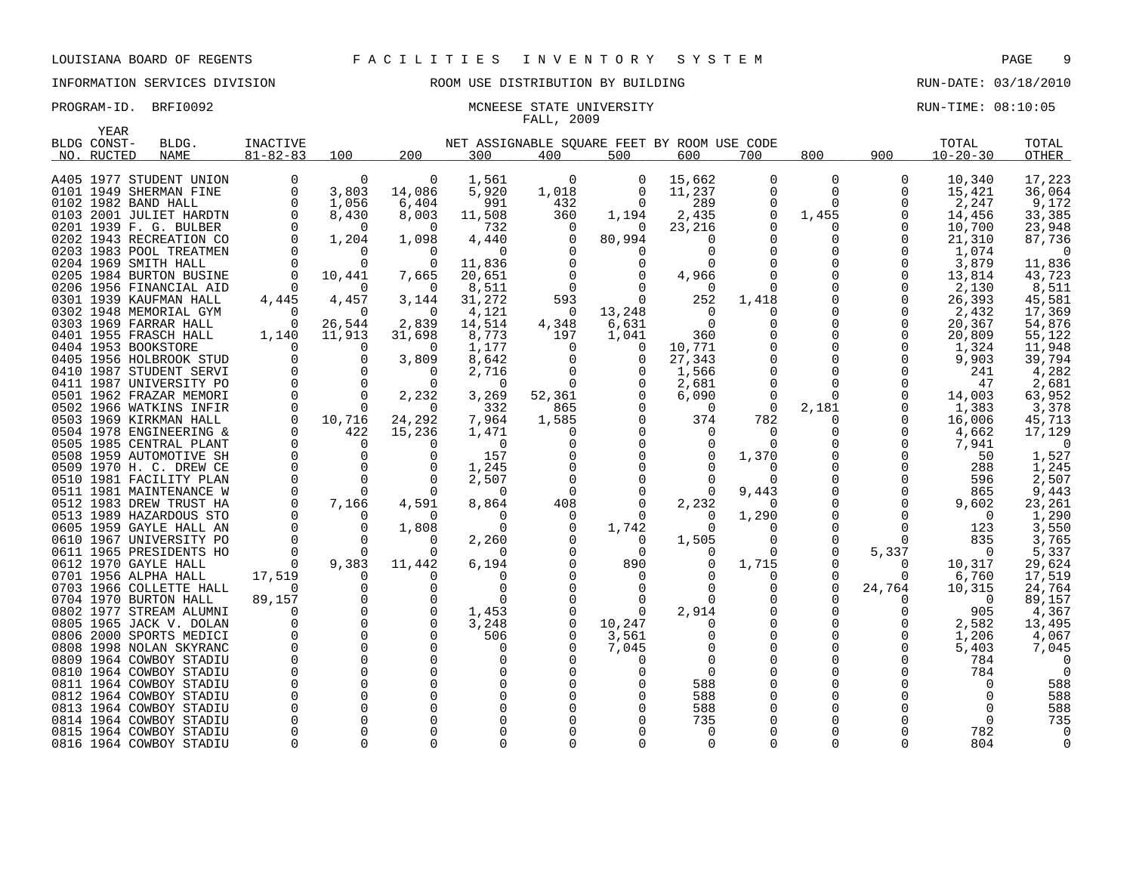YEAR

# INFORMATION SERVICES DIVISION ROOM USE DISTRIBUTION BY BUILDING RUN-DATE: 03/18/2010

# FALL, 2009

PROGRAM-ID. BRFI0092 **MONEESE STATE UNIVERSITY EXAMPLE STATE ON A SET AND A SET AND A SET AND A SET AND A SET A** 

| BLDG CONST-                                        | BLDG. | <b>INACTIVE</b> |                                                      |                | NET ASSIGNABLE SQUARE FEET BY ROOM USE CODE |                |                      |                |                |                |          | TOTAL          | TOTAL          |
|----------------------------------------------------|-------|-----------------|------------------------------------------------------|----------------|---------------------------------------------|----------------|----------------------|----------------|----------------|----------------|----------|----------------|----------------|
| NO. RUCTED                                         | NAME  | $81 - 82 - 83$  | 100                                                  | 200            | 300                                         | 400            | 500                  | 600            | 700            | 800            | 900      | $10 - 20 - 30$ | OTHER          |
|                                                    |       |                 |                                                      |                |                                             |                |                      |                |                |                |          |                |                |
| A405 1977 STUDENT UNION                            |       | 0               | $\Omega$                                             | 0              | 1,561                                       | 0              | 0                    | 15,662         | 0              | $\overline{0}$ | 0        | 10,340         | 17,223         |
| 0101 1949 SHERMAN FINE                             |       | $\mathbf 0$     | 3,803                                                | 14,086         | 5,920                                       | 1,018          | $\overline{0}$       | 11,237         | 0              | $\Omega$       | $\Omega$ | 15,421         | 36,064         |
| 0102 1982 BAND HALL                                |       | 0               | 1,056                                                | 6,404          | 991                                         | 432            | $\Omega$             | 289            | $\Omega$       | $\Omega$       | $\Omega$ | 2,247          | 9,172          |
| 0103 2001 JULIET HARDTN                            |       | $\Omega$        | 8,430                                                | 8,003          | 11,508                                      | 360            | 1,194                | 2,435          | $\Omega$       | 1,455          | $\Omega$ | 14,456         | 33,385         |
| 0201 1939 F. G. BULBER                             |       | $\Omega$        | $\overline{0}$                                       | $\Omega$       | 732                                         | $\overline{0}$ | 0                    | 23,216         | $\Omega$       | $\Omega$       |          | 10,700         | 23,948         |
| 0202 1943 RECREATION CO                            |       | $\overline{0}$  | 1,204                                                | 1,098          | 4,440                                       | $\overline{0}$ | 80,994               | 0              | 0              | 0              | 0        | 21,310         | 87,736         |
| 0203 1983 POOL TREATMEN                            |       | $\overline{0}$  | 0                                                    |                | $\overline{0}$                              | 0              | 0                    |                | $\Omega$       | 0              |          | 1,074          | $\overline{0}$ |
| 0204 1969 SMITH HALL                               |       | $\Omega$        | $\Omega$                                             | $\Omega$       | 11,836                                      | $\Omega$       | $\mathbf 0$          |                |                | $\Omega$       |          | 3,879          | 11,836         |
| 0205 1984 BURTON BUSINE                            |       | $\overline{0}$  | 10,441                                               | 7,665          | 20,651                                      | $\Omega$       | $\overline{0}$       | 4,966          |                | $\Omega$       |          | 13,814         | 43,723         |
| 0206 1956 FINANCIAL AID                            |       | $\overline{0}$  | $\overline{0}$                                       | $\overline{0}$ | 8,511                                       | $\Omega$       | $\Omega$             | $\Omega$       | $\Omega$       |                |          | 2,130          | 8,511          |
| 0301 1939 KAUFMAN HALL                             |       | 4,445           | 4,457                                                | 3,144          | 31,272                                      | 593            | $\overline{0}$       | 252            | 1,418          |                | $\Omega$ | 26,393         | 45,581         |
| 0302 1948 MEMORIAL GYM                             |       | $\overline{0}$  | $\Omega$                                             | $\bigcirc$     | 4,121                                       | $\overline{0}$ | 13,248               | $\Omega$       | 0              | 0              |          | 2,432          | 17,369         |
| 0303 1969 FARRAR HALL                              |       | $\overline{0}$  | 26,544                                               | 2,839          | 14,514                                      | 4,348          | 6,631                | $\Omega$       | $\Omega$       |                | $\Omega$ | 20,367         | 54,876         |
| 0401 1955 FRASCH HALL                              |       | 1,140           | 11,913                                               | 31,698         | 8,773                                       | 197            | 1,041                | 360            |                | $\mathbf 0$    |          | 20,809         | 55,122         |
| 0404 1953 BOOKSTORE                                |       | $\Omega$        | $\Omega$                                             | 0              | 1,177                                       | $\Omega$       | $\Omega$             | 10,771         | $\Omega$       |                |          | 1,324          | 11,948         |
| 0405 1956 HOLBROOK STUD                            |       | $\mathbf 0$     |                                                      | 3,809          | 8,642                                       | 0              | $\overline{0}$       | 27,343         | 0              | 0              |          | 9,903          | 39,794         |
| 0410 1987 STUDENT SERVI                            |       | $\overline{0}$  |                                                      | $\Omega$       | 2,716                                       | 0              | $\overline{0}$       | 1,566          | $\mathbf 0$    | $\overline{0}$ |          | 241            | 4,282          |
| 0411 1987 UNIVERSITY PO                            |       | $\overline{0}$  |                                                      | $\bigcirc$     | $\overline{0}$                              | $\overline{0}$ | $\mathsf{O}$         | 2,681          | $\mathbf 0$    | $\Omega$       |          | 47             | 2,681          |
| 0501 1962 FRAZAR MEMORI                            |       | $\Omega$        | $\begin{array}{c} 0 \\ 0 \\ 0 \\ 0 \\ 0 \end{array}$ | 2,232          | 3,269                                       | 52,361         | $\overline{0}$       | 6,090          | $\overline{0}$ | $\Omega$       | $\Omega$ | 14,003         | 63,952         |
| 0502 1966 WATKINS INFIR                            |       | $\Omega$        |                                                      | 0              | 332                                         | 865            | $\Omega$             | $\Omega$       | $\overline{0}$ | 2,181          |          | 1,383          | 3,378          |
| 0503 1969 KIRKMAN HALL                             |       | $\overline{0}$  | 10,716                                               | 24,292         | 7,964                                       | 1,585          | $\overline{0}$       | 374            | 782            | $\Omega$       | $\Omega$ | 16,006         | 45,713         |
| 0504 1978 ENGINEERING &                            |       | $\Omega$        | 422                                                  | 15,236         | 1,471                                       | $\Omega$       | $\Omega$             | $\Omega$       | $\Omega$       | $\Omega$       |          | 4,662          | 17,129         |
| 0505 1985 CENTRAL PLANT                            |       | $\Omega$        | $\Omega$                                             |                | $\Omega$                                    |                | $\Omega$             |                | $\Omega$       | 0              |          | 7,941          | $\circ$        |
| 0508 1959 AUTOMOTIVE SH                            |       | $\overline{0}$  | $\Omega$                                             |                | 157                                         |                | $\Omega$             | $\Omega$       | 1,370          | $\Omega$       |          | 50             | 1,527          |
| 0509 1970 H. C. DREW CE                            |       | $\overline{0}$  | $\overline{0}$                                       |                | 1,245                                       |                | $\Omega$             |                | $\Omega$       |                |          | 288            | 1,245          |
| 0510 1981 FACILITY PLAN                            |       | $\overline{0}$  | $\overline{0}$                                       |                | 2,507                                       | 0              | $\Omega$             | 0              | $\Omega$       |                |          | 596            | 2,507          |
| 0511 1981 MAINTENANCE W                            |       | $\overline{0}$  | $\overline{0}$                                       | $\Omega$       | $\Omega$                                    | $\overline{0}$ | $\mathbf 0$          | $\overline{0}$ | 9,443          | $\mathbf 0$    |          | 865            | 9,443          |
| 0512 1983 DREW TRUST HA                            |       | $\mathbf 0$     | 7,166                                                | 4,591          | 8,864                                       | 408            | $\Omega$             | 2,232          | $\Omega$       |                |          | 9,602          | 23,261         |
| 0513 1989 HAZARDOUS STO                            |       | 0               | 0                                                    | $\Omega$       | 0                                           | 0              | 0                    | 0              | 1,290          |                |          | 0              | 1,290          |
| 0605 1959 GAYLE HALL AN                            |       | $\Omega$        | $\Omega$                                             | 1,808          | $\Omega$                                    | $\Omega$       | 1,742                | $\Omega$       |                | $\Omega$       | $\Omega$ | 123            | 3,550          |
| 0610 1967 UNIVERSITY PO                            |       | $\Omega$        | $\Omega$                                             |                | 2,260                                       | $\Omega$       | $\Omega$             | 1,505          | $\Omega$       | $\Omega$       | $\Omega$ | 835            | 3,765          |
| 0611 1965 PRESIDENTS HO                            |       | $\Omega$        | $\Omega$                                             |                | $\Omega$                                    | $\Omega$       | $\Omega$             |                | $\Omega$       | $\Omega$       | 5,337    | $\Omega$       | 5,337          |
| 0612 1970 GAYLE HALL                               |       | $\overline{0}$  | 9,383                                                | 11,442         | 6,194                                       |                | 890                  | $\Omega$       | 1,715          | $\Omega$       | $\Omega$ | 10,317         | 29,624         |
| 0701 1956 ALPHA HALL                               |       | 17,519          | $\Omega$                                             |                | $\Omega$                                    |                | $\Omega$             |                | $\Omega$       | $\Omega$       | $\Omega$ | 6,760          | 17,519         |
| 0703 1966 COLLETTE HALL                            |       | 0               | $\mathbf 0$                                          | 0              | 0                                           |                | $\overline{0}$       | $\Omega$       | 0              | $\mathbf 0$    | 24,764   | 10,315         | 24,764         |
| 0704 1970 BURTON HALL                              |       | 89,157          | $\mathbf 0$                                          | $\mathbf 0$    | $\Omega$                                    |                | $\Omega$             | $\Omega$       |                |                |          | $\Omega$       | 89,157         |
| 0802 1977 STREAM ALUMNI                            |       | $\Omega$        | $\mathbf 0$                                          | $\mathbf 0$    | 1,453                                       | 0              | $\Omega$             | 2,914          |                | $\mathbf 0$    |          | 905            | 4,367          |
| 0805 1965 JACK V. DOLAN                            |       |                 | $\overline{0}$                                       |                | 3,248                                       |                | 10,247               |                | 0              | 0              |          | 2,582          | 13,495         |
| 0806 2000 SPORTS MEDICI                            |       |                 | $\overline{0}$                                       |                |                                             | 0<br>0         |                      |                | $\Omega$       |                | $\Omega$ |                |                |
|                                                    |       | $\mathbf 0$     | $\Omega$                                             |                | 506                                         |                | 3,561                |                | $\Omega$       | 0              |          | 1,206          | 4,067          |
| 0808 1998 NOLAN SKYRANC                            |       | $\Omega$        | $\Omega$                                             |                | 0<br>0                                      |                | 7,045                |                | $\Omega$       | $\Omega$       |          | 5,403<br>784   | 7,045          |
| 0809 1964 COWBOY STADIU                            |       | $\Omega$        | $\Omega$                                             |                |                                             |                | $\Omega$             | $\Omega$       |                |                |          |                |                |
| 0810 1964 COWBOY STADIU<br>0811 1964 COWBOY STADIU |       | $\Omega$        | $\Omega$                                             |                | $\mathbf 0$<br>$\Omega$                     |                | $\Omega$<br>$\Omega$ | 588            |                |                |          | 784            | - 0            |
|                                                    |       |                 | $\overline{0}$                                       |                |                                             |                |                      |                |                |                |          | $\Omega$       | 588            |
| 0812 1964 COWBOY STADIU                            |       | $\mathbf 0$     | $\Omega$                                             |                | $\mathbf 0$                                 |                | $\Omega$             | 588            | $\Omega$       |                |          | 0              | 588            |
| 0813 1964 COWBOY STADIU                            |       | $\mathbf 0$     | $\mathbf 0$                                          |                |                                             |                | $\Omega$             | 588            |                |                |          | 0<br>$\Omega$  | 588            |
| 0814 1964 COWBOY STADIU                            |       |                 |                                                      |                |                                             |                | $\Omega$             | 735            |                |                |          |                | 735            |
| 0815 1964 COWBOY STADIU                            |       | $\Omega$        | $\Omega$                                             |                |                                             |                | $\Omega$             |                |                |                |          | 782            |                |
| 0816 1964 COWBOY STADIU                            |       | $\Omega$        | $\Omega$                                             |                | $\Omega$                                    |                | $\Omega$             | $\Omega$       | $\Omega$       | $\Omega$       |          | 804            | $\overline{0}$ |

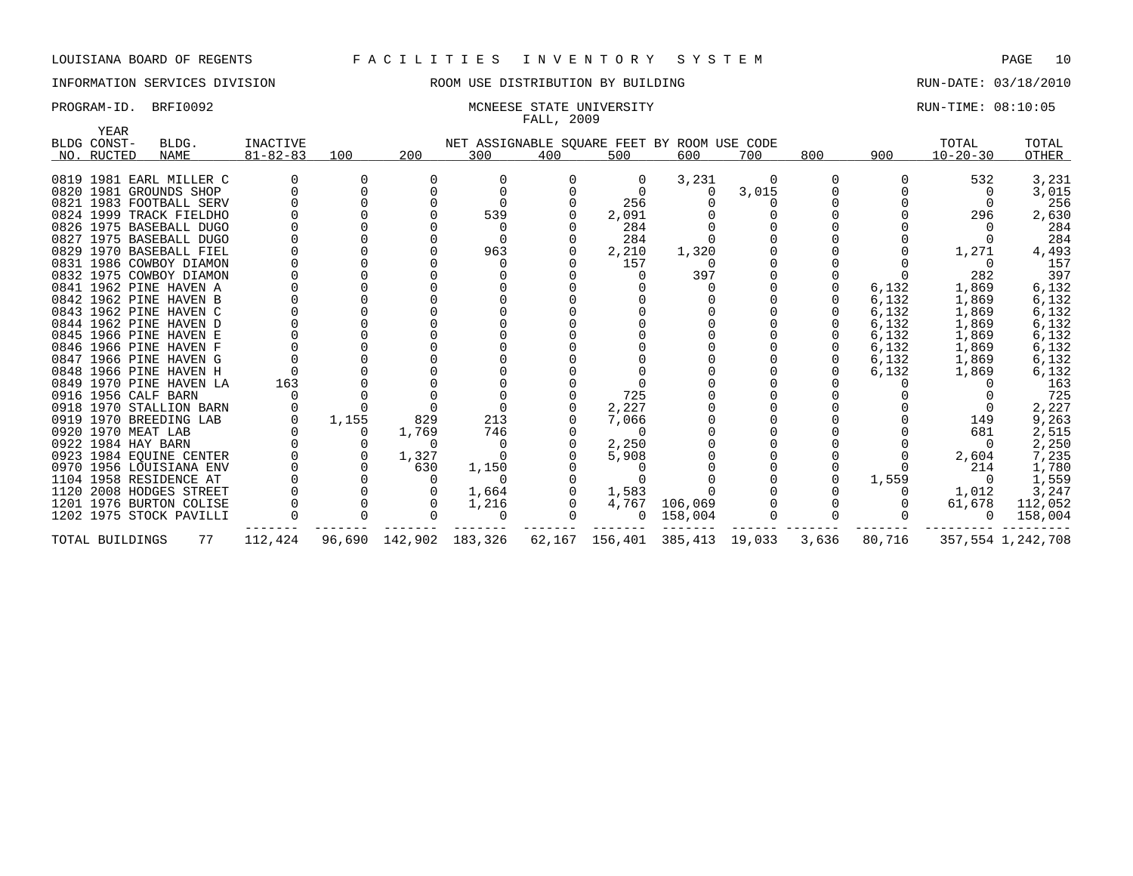# INFORMATION SERVICES DIVISION ROOM USE DISTRIBUTION BY BUILDING RUN-DATE: 03/18/2010

# FALL, 2009

PROGRAM-ID. BRFI0092 **MONEESE STATE UNIVERSITY EXAMPLE STATE ON A SET AND A SET AND A SET AND A SET AND A SET A** 

| YEAR               |                         |                |       |                |                                             |     |                |         |        |       |        |                |                   |
|--------------------|-------------------------|----------------|-------|----------------|---------------------------------------------|-----|----------------|---------|--------|-------|--------|----------------|-------------------|
| BLDG CONST-        | BLDG.                   | INACTIVE       |       |                | NET ASSIGNABLE SQUARE FEET BY ROOM USE CODE |     |                |         |        |       |        | TOTAL          | TOTAL             |
| NO. RUCTED         | NAME                    | $81 - 82 - 83$ | 100   | 200            | 300                                         | 400 | 500            | 600     | 700    | 800   | 900    | $10 - 20 - 30$ | OTHER             |
|                    |                         |                |       |                |                                             |     |                |         |        |       |        |                |                   |
|                    | 0819 1981 EARL MILLER C |                |       |                |                                             |     | 0              | 3,231   |        |       |        | 532            | 3,231             |
|                    | 0820 1981 GROUNDS SHOP  |                |       |                |                                             |     |                |         | 3,015  |       |        |                | 3,015             |
|                    | 0821 1983 FOOTBALL SERV |                |       |                | $\Omega$                                    |     | 256            |         |        |       |        |                | 256               |
|                    | 0824 1999 TRACK FIELDHO |                |       |                | 539                                         |     | 2,091          |         |        |       |        | 296            | 2,630             |
|                    | 0826 1975 BASEBALL DUGO |                |       |                |                                             |     | 284            |         |        |       |        |                | 284               |
|                    | 0827 1975 BASEBALL DUGO |                |       |                |                                             |     | 284            |         |        |       |        |                | 284               |
|                    | 0829 1970 BASEBALL FIEL |                |       |                | 963                                         |     | 2,210          | 1,320   |        |       |        | 1,271          | 4,493             |
|                    | 0831 1986 COWBOY DIAMON |                |       |                |                                             |     | 157            |         |        |       |        |                | 157               |
|                    | 0832 1975 COWBOY DIAMON |                |       |                |                                             |     |                | 397     |        |       |        | 282            | 397               |
|                    | 0841 1962 PINE HAVEN A  |                |       |                |                                             |     |                |         |        |       | 6,132  | 1,869          | 6,132             |
|                    | 0842 1962 PINE HAVEN B  |                |       |                |                                             |     |                |         |        |       | 6,132  | 1,869          | 6,132             |
|                    | 0843 1962 PINE HAVEN C  |                |       |                |                                             |     |                |         |        |       | 6,132  | 1,869          | 6,132             |
|                    | 0844 1962 PINE HAVEN D  |                |       |                |                                             |     |                |         |        |       | 6,132  | 1,869          | 6,132             |
|                    | 0845 1966 PINE HAVEN E  |                |       |                |                                             |     |                |         |        |       | 6,132  | 1,869          | 6,132             |
|                    | 0846 1966 PINE HAVEN F  |                |       |                |                                             |     |                |         |        |       | 6,132  | 1,869          | 6,132             |
|                    | 0847 1966 PINE HAVEN G  |                |       |                |                                             |     |                |         |        |       | 6,132  | 1,869          | 6,132             |
|                    | 0848 1966 PINE HAVEN H  |                |       |                |                                             |     |                |         |        |       | 6,132  | 1,869          | 6,132             |
|                    | 0849 1970 PINE HAVEN LA | 163            |       |                |                                             |     |                |         |        |       |        |                | 163               |
|                    | 0916 1956 CALF BARN     |                |       |                |                                             |     | 725            |         |        |       |        |                | 725               |
|                    | 0918 1970 STALLION BARN |                |       |                |                                             |     | 2,227          |         |        |       |        |                | 2,227             |
|                    | 0919 1970 BREEDING LAB  |                | 1,155 | 829            | 213                                         |     | 7,066          |         |        |       |        | 149            | 9,263             |
| 0920 1970 MEAT LAB |                         |                | 0     | 1,769          | 746                                         |     | $\Omega$       |         |        |       |        | 681            | 2,515             |
| 0922 1984 HAY BARN |                         |                |       | $\Omega$       | 0                                           |     | 2,250          |         |        |       |        | - 0            | 2,250             |
|                    | 0923 1984 EQUINE CENTER |                | 0     | 1,327          | $\Omega$                                    |     | 5,908          |         |        |       |        | 2,604          | 7,235             |
|                    | 0970 1956 LOUISIANA ENV |                |       | 630            | 1,150                                       |     |                |         |        |       |        | 214            | 1,780             |
|                    | 1104 1958 RESIDENCE AT  |                |       |                | $\Omega$                                    |     |                |         |        |       | 1,559  |                | 1,559             |
|                    | 1120 2008 HODGES STREET |                |       |                | 1,664                                       |     | 1,583          |         |        |       |        | 1,012          | 3,247             |
|                    | 1201 1976 BURTON COLISE |                |       |                | 1,216                                       |     | 4,767          | 106,069 |        |       |        | 61,678         | 112,052           |
|                    | 1202 1975 STOCK PAVILLI |                |       |                | 0                                           |     | $\mathbf{0}$   | 158,004 |        |       |        |                | 158,004           |
| TOTAL BUILDINGS    | 77                      | 112,424        |       | 96,690 142,902 | 183,326                                     |     | 62,167 156,401 | 385,413 | 19,033 | 3,636 | 80,716 |                | 357,554 1,242,708 |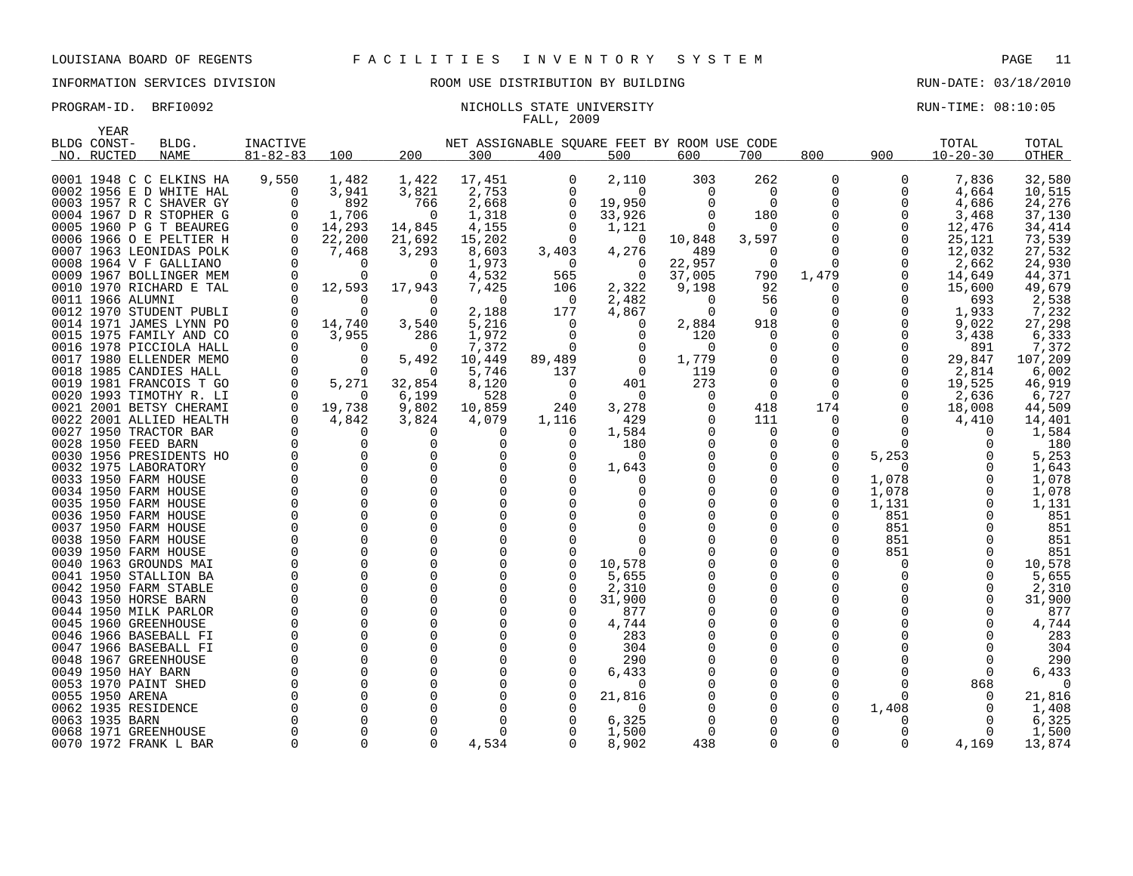### PROGRAM-ID. BRFI0092 NICHOLLS STATE UNIVERSITY NEXT RUN-TIME: 08:10:05 FALL, 2009

| YEAR           |                                                |                 |          |               |                      |                                             |                 |          |          |              |                 |                |                |
|----------------|------------------------------------------------|-----------------|----------|---------------|----------------------|---------------------------------------------|-----------------|----------|----------|--------------|-----------------|----------------|----------------|
| BLDG CONST-    | BLDG.                                          | <b>INACTIVE</b> |          |               |                      | NET ASSIGNABLE SOUARE FEET BY ROOM USE CODE |                 |          |          |              |                 | TOTAL          | TOTAL          |
| NO. RUCTED     | <b>NAME</b>                                    | $81 - 82 - 83$  | 100      | 200           | 300                  | 400                                         | 500             | 600      | 700      | 800          | 900             | $10 - 20 - 30$ | OTHER          |
|                | 0001 1948 C C ELKINS HA                        | 9,550           | 1,482    | 1,422         | 17,451               | 0                                           | 2,110           | 303      | 262      | 0            | 0               | 7,836          | 32,580         |
|                | 0002 1956 E D WHITE HAL                        | 0               | 3,941    | 3,821         | 2,753                | $\Omega$                                    | $\Omega$        | 0        | 0        | 0            | 0               | 4,664          | 10,515         |
|                | 0003 1957 R C SHAVER GY                        | $\Omega$        | 892      | 766           | 2,668                | 0                                           | 19,950          | $\Omega$ | 0        | $\Omega$     | 0               | 4,686          | 24,276         |
|                | 0004 1967 D R STOPHER G                        | 0               | 1,706    | - 0           | 1,318                | 0                                           | 33,926          | $\Omega$ | 180      | $\Omega$     | 0               | 3,468          | 37,130         |
|                | 0005 1960 P G T BEAUREG                        | $\overline{0}$  | 14,293   | 14,845        | 4,155                | 0                                           | 1,121           | 0        | 0        | $\Omega$     | 0               | 12,476         | 34,414         |
|                | 0006 1966 O E PELTIER H                        | $\mathbf 0$     | 22,200   | 21,692        | 15,202               | 0                                           | 0               | 10,848   | 3,597    | $\Omega$     | 0               | 25,121         | 73,539         |
|                | 0007 1963 LEONIDAS POLK                        | $\Omega$        | 7,468    | 3,293         | 8,603                | 3,403                                       | 4,276           | 489      | $\Omega$ | $\Omega$     | $\Omega$        | 12,032         | 27,532         |
|                | 0008 1964 V F GALLIANO                         | $\Omega$        | $\Omega$ | $\Omega$      | 1,973                | 0                                           | $\Omega$        | 22,957   | 0        | $\Omega$     | $\Omega$        | 2,662          | 24,930         |
|                | 0009 1967 BOLLINGER MEM                        | 0               | $\Omega$ | 0             | 4,532                | 565                                         | 0               | 37,005   | 790      | 1,479        | 0               | 14,649         | 44,371         |
|                | 0010 1970 RICHARD E TAL                        | $\Omega$        | 12,593   | 17,943        | 7,425                | 106                                         | 2,322           | 9,198    | 92       | 0            | $\Omega$        | 15,600         | 49,679         |
|                | 0011 1966 ALUMNI                               |                 | $\Omega$ | $\Omega$      | 0                    | 0                                           | 2,482           | $\Omega$ | 56       | 0            | 0               | 693            | 2,538          |
|                | 0012 1970 STUDENT PUBLI                        | $\Omega$        |          | $\Omega$      | 2,188                | 177                                         | 4,867           | $\Omega$ | $\Omega$ | U            | 0               | 1,933          | 7,232          |
|                | 0014 1971 JAMES LYNN PO                        | 0               | 14,740   | 3,540         | 5,216                | 0                                           | 0               | 2,884    | 918      | $\Omega$     | 0               | 9,022          | 27,298         |
|                | 0015 1975 FAMILY AND CO                        | $\Omega$        | 3,955    | 286           | 1,972                | $\Omega$                                    | $\Omega$        | 120      | $\Omega$ | <sup>n</sup> | $\Omega$        | 3,438          | 6,333          |
|                | 0016 1978 PICCIOLA HALL                        | $\Omega$        | $\Omega$ | - 0           | 7,372                | 0                                           | 0               | $\Omega$ | 0        | $\Omega$     | 0               | 891            | 7,372          |
|                | 0017 1980 ELLENDER MEMO                        | 0               | $\Omega$ | 5,492         | 10,449               | 89,489                                      | $\mathbf 0$     | 1,779    | 0        | 0            | 0               | 29,847         | 107,209        |
|                | 0018 1985 CANDIES HALL                         | $\mathbf 0$     | $\Omega$ | - 0           | 5,746                | 137                                         | 0               | 119      | 0        | 0            | 0               | 2,814          | 6,002          |
|                | 0019 1981 FRANCOIS T GO                        | $\Omega$        | 5,271    | 32,854        | 8,120                | 0                                           | 401             | 273      | $\Omega$ | $\Omega$     | 0               | 19,525         | 46,919         |
|                | 0020 1993 TIMOTHY R. LI                        | $\Omega$        | $\Omega$ | 6,199         | 528                  | 0                                           | $\Omega$        | 0        | $\Omega$ | $\Omega$     | 0               | 2,636          | 6,727          |
|                | 0021 2001 BETSY CHERAMI                        | 0               | 19,738   | 9,802         | 10,859               | 240                                         | 3,278           | 0        | 418      | 174          | 0               | 18,008         | 44,509         |
|                | 0022 2001 ALLIED HEALTH                        | $\Omega$        | 4,842    | 3,824         | 4,079                | 1,116                                       | 429             |          | 111      | 0            | O               | 4,410          | 14,401         |
|                | 0027 1950 TRACTOR BAR                          | $\Omega$        | $\Omega$ | $\Omega$      | O                    | $\Omega$                                    | 1,584           |          | $\Omega$ | $\Omega$     | ∩               |                | 1,584          |
|                | 0028 1950 FEED BARN                            |                 | O        | 0             | $\Omega$             | 0                                           | 180             |          | 0        | 0            | $\Omega$        |                | 180            |
|                | 0030 1956 PRESIDENTS HO                        |                 | $\Omega$ | 0             | $\Omega$             | $\Omega$                                    | $\Omega$        |          | 0        | $\Omega$     | 5,253           |                | 5,253          |
|                | 0032 1975 LABORATORY                           |                 |          | $\Omega$      | $\Omega$             |                                             | 1,643           |          | 0        | O            | $\Omega$        |                | 1,643          |
|                | 0033 1950 FARM HOUSE                           |                 |          | 0             | $\Omega$             |                                             |                 |          | $\Omega$ | $\Omega$     | 1,078           |                | 1,078          |
|                | 0034 1950 FARM HOUSE                           |                 |          | $\Omega$      | $\Omega$             |                                             |                 |          | O        | U            | 1,078           | $\Omega$       | 1,078          |
|                | 0035 1950 FARM HOUSE                           |                 |          | $\Omega$      | $\Omega$             |                                             |                 |          | O        | $\Omega$     | 1,131           |                | 1,131          |
|                | 0036 1950 FARM HOUSE                           |                 |          | $\Omega$      | $\Omega$             |                                             |                 |          | O        | U            | 851             |                | 851            |
|                | 0037 1950 FARM HOUSE                           |                 | $\Omega$ | $\Omega$      | $\Omega$             |                                             |                 |          | 0        | <sup>0</sup> | 851             |                | 851            |
|                | 0038 1950 FARM HOUSE                           |                 |          | $\Omega$      | $\Omega$             |                                             |                 |          | O        | 0            | 851             |                | 851            |
|                | 0039 1950 FARM HOUSE                           |                 | $\Omega$ | 0<br>$\Omega$ | $\Omega$<br>$\Omega$ | $\Omega$                                    | U               |          | 0<br>0   | 0<br>U       | 851<br>$\Omega$ |                | 851            |
|                | 0040 1963 GROUNDS MAI<br>0041 1950 STALLION BA |                 |          | 0             | $\Omega$             | 0                                           | 10,578<br>5,655 |          | 0        |              |                 | $\Omega$       | 10,578         |
|                | 0042 1950 FARM STABLE                          |                 |          | $\Omega$      | <sup>0</sup>         | $\Omega$                                    | 2,310           |          | O        | <sup>0</sup> |                 |                | 5,655<br>2,310 |
|                | 0043 1950 HORSE BARN                           |                 | $\Omega$ | 0             | $\Omega$             | $\Omega$                                    | 31,900          |          | 0        | $\Omega$     |                 |                | 31,900         |
|                | 0044 1950 MILK PARLOR                          |                 |          | $\Omega$      | $\Omega$             | ∩                                           | 877             |          | 0        | U            |                 |                | 877            |
|                | 0045 1960 GREENHOUSE                           |                 |          | 0             | $\Omega$             |                                             | 4,744           |          | 0        | U            |                 |                | 4,744          |
|                | 0046 1966 BASEBALL FI                          |                 | $\Omega$ | $\Omega$      | $\Omega$             |                                             | 283             |          | 0        | U            |                 |                | 283            |
|                | 0047 1966 BASEBALL FI                          |                 |          | 0             | $\Omega$             |                                             | 304             |          | 0        |              |                 |                | 304            |
|                | 0048 1967 GREENHOUSE                           |                 |          | $\Omega$      | $\Omega$             |                                             | 290             |          | O        |              |                 | $\Omega$       | 290            |
|                | 0049 1950 HAY BARN                             |                 |          | 0             | $\Omega$             |                                             | 6,433           |          | 0        | U            |                 |                | 6,433          |
|                | 0053 1970 PAINT SHED                           |                 |          | $\Omega$      | <sup>0</sup>         |                                             | $\Omega$        |          | O        | <sup>0</sup> |                 | 868            |                |
|                | 0055 1950 ARENA                                |                 |          | $\Omega$      |                      |                                             | 21,816          |          | $\Omega$ | $\Omega$     |                 |                | 21,816         |
|                | 0062 1935 RESIDENCE                            |                 |          | $\Omega$      | <sup>0</sup>         |                                             | $\Omega$        |          | 0        | <sup>0</sup> | 1,408           |                | 1,408          |
| 0063 1935 BARN |                                                |                 |          | O             | <sup>0</sup>         |                                             | 6,325           |          | O        | Ω            |                 |                | 6,325          |
|                | 0068 1971 GREENHOUSE                           |                 |          | $\Omega$      | <sup>0</sup>         |                                             | 1,500           |          | O        | U            | O               | <sup>0</sup>   | 1,500          |
|                | 0070 1972 FRANK L BAR                          | $\Omega$        | $\Omega$ | $\Omega$      | 4,534                | $\Omega$                                    | 8,902           | 438      | 0        | $\Omega$     | 0               | 4,169          | 13,874         |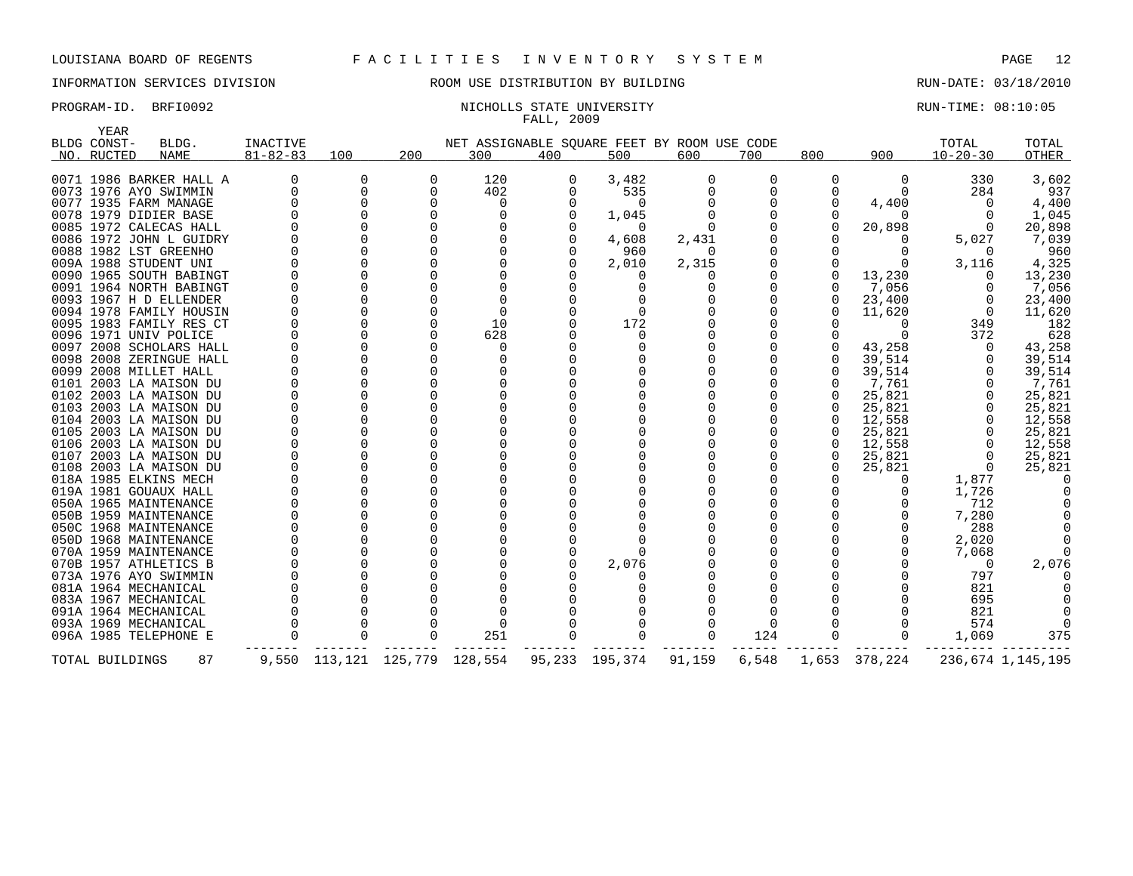# INFORMATION SERVICES DIVISION ROOM USE DISTRIBUTION BY BUILDING RUN-DATE: 03/18/2010

### PROGRAM-ID. BRFI0092 NICHOLLS STATE UNIVERSITY NEXT RUN-TIME: 08:10:05 FALL, 2009

| YEAR            |                         |                 |             |                               |          |     |                                             |          |       |              |          |                |                   |
|-----------------|-------------------------|-----------------|-------------|-------------------------------|----------|-----|---------------------------------------------|----------|-------|--------------|----------|----------------|-------------------|
| BLDG CONST-     | BLDG.                   | <b>INACTIVE</b> |             |                               |          |     | NET ASSIGNABLE SQUARE FEET BY ROOM USE CODE |          |       |              |          | TOTAL          | TOTAL             |
| NO. RUCTED      | NAME                    | $81 - 82 - 83$  | 100         | 200                           | 300      | 400 | 500                                         | 600      | 700   | 800          | 900      | $10 - 20 - 30$ | OTHER             |
|                 |                         |                 |             |                               |          |     |                                             |          |       |              |          |                |                   |
|                 | 0071 1986 BARKER HALL A | <sup>0</sup>    | 0           | $\Omega$                      | 120      | 0   | 3,482                                       | 0        | 0     | 0            | 0        | 330            | 3,602             |
|                 | 0073 1976 AYO SWIMMIN   | $\Omega$        | $\mathbf 0$ |                               | 402      |     | 535                                         | $\Omega$ | 0     |              | $\Omega$ | 284            | 937               |
|                 | 0077 1935 FARM MANAGE   | <sup>0</sup>    | 0           |                               | 0        |     | $\Omega$                                    |          | O     | $\Omega$     | 4,400    |                | 4,400             |
|                 | 0078 1979 DIDIER BASE   | $\Omega$        | $\Omega$    |                               |          |     | 1,045                                       |          |       |              |          |                | 1,045             |
|                 | 0085 1972 CALECAS HALL  |                 | $\Omega$    |                               |          |     | $\Omega$                                    |          |       | $\Omega$     | 20,898   |                | 20,898            |
|                 | 0086 1972 JOHN L GUIDRY |                 | $\Omega$    |                               |          |     | 4,608                                       | 2,431    |       |              |          | 5,027          | 7,039             |
|                 | 0088 1982 LST GREENHO   |                 | $\Omega$    |                               |          |     | 960                                         | $\Omega$ |       |              |          | $\Omega$       | 960               |
|                 | 009A 1988 STUDENT UNI   |                 | $\Omega$    |                               |          |     | 2,010                                       | 2,315    |       |              |          | 3,116          | 4,325             |
|                 | 0090 1965 SOUTH BABINGT |                 | $\Omega$    |                               |          |     | $\Omega$                                    |          |       | $\Omega$     | 13,230   |                | 13,230            |
|                 | 0091 1964 NORTH BABINGT |                 | $\Omega$    |                               |          |     | <sup>0</sup>                                |          |       |              | 7,056    |                | 7,056             |
|                 | 0093 1967 H D ELLENDER  |                 |             |                               |          |     |                                             |          |       | $\Omega$     | 23,400   |                | 23,400            |
|                 | 0094 1978 FAMILY HOUSIN |                 | $\Omega$    |                               | $\Omega$ |     | $\Omega$                                    |          |       |              | 11,620   |                | 11,620            |
|                 | 0095 1983 FAMILY RES CT | O               |             |                               | 10       |     | 172                                         |          |       |              | ∩        | 349            | 182               |
|                 | 0096 1971 UNIV POLICE   |                 | U           |                               | 628      |     | $\Omega$                                    |          |       |              |          | 372            | 628               |
|                 | 0097 2008 SCHOLARS HALL |                 | $\Omega$    |                               | $\Omega$ |     |                                             |          |       |              | 43,258   |                | 43,258            |
|                 | 0098 2008 ZERINGUE HALL |                 |             |                               | O        |     |                                             |          |       |              | 39,514   |                | 39,514            |
|                 | 0099 2008 MILLET HALL   | U               | $\Omega$    |                               |          |     |                                             |          |       | $\Omega$     | 39,514   |                | 39,514            |
|                 | 0101 2003 LA MAISON DU  |                 | $\Omega$    |                               |          |     |                                             |          |       | $\Omega$     | 7,761    |                | 7,761             |
|                 | 0102 2003 LA MAISON DU  |                 |             |                               |          |     |                                             |          |       | $\Omega$     | 25,821   |                | 25,821            |
|                 | 0103 2003 LA MAISON DU  | <sup>0</sup>    | $\Omega$    |                               |          |     |                                             |          |       | <sup>0</sup> | 25,821   |                | 25,821            |
|                 | 0104 2003 LA MAISON DU  | $\Omega$        | $\Omega$    |                               |          |     |                                             |          |       | $\Omega$     | 12,558   |                | 12,558            |
|                 | 0105 2003 LA MAISON DU  |                 |             |                               |          |     |                                             |          |       |              | 25,821   |                | 25,821            |
|                 | 0106 2003 LA MAISON DU  | $\Omega$        | $\Omega$    |                               |          |     |                                             |          |       | 0            | 12,558   |                | 12,558            |
|                 | 0107 2003 LA MAISON DU  |                 | $\Omega$    |                               |          |     |                                             |          |       | $\Omega$     | 25,821   |                | 25,821            |
|                 | 0108 2003 LA MAISON DU  |                 | $\Omega$    |                               |          |     |                                             |          |       | <sup>n</sup> | 25,821   |                | 25,821            |
|                 | 018A 1985 ELKINS MECH   |                 | $\Omega$    |                               |          |     |                                             |          |       |              |          | 1,877          |                   |
|                 | 019A 1981 GOUAUX HALL   | $\Omega$        | $\Omega$    |                               |          |     |                                             |          |       |              |          | 1,726          |                   |
|                 | 050A 1965 MAINTENANCE   |                 | $\Omega$    |                               |          |     |                                             |          |       |              |          | 712            |                   |
|                 | 050B 1959 MAINTENANCE   | <sup>0</sup>    | $\Omega$    |                               |          |     |                                             |          |       |              |          | 7,280          |                   |
|                 | 050C 1968 MAINTENANCE   | $\Omega$        | $\Omega$    |                               |          |     |                                             |          |       |              |          | 288            |                   |
|                 | 050D 1968 MAINTENANCE   |                 | $\Omega$    |                               |          |     |                                             |          |       |              |          | 2,020          |                   |
|                 | 070A 1959 MAINTENANCE   |                 | $\Omega$    |                               |          |     | ∩                                           |          |       |              |          | 7,068          |                   |
|                 | 070B 1957 ATHLETICS B   |                 | $\Omega$    |                               |          |     | 2,076                                       |          |       |              |          | $\Omega$       | 2,076             |
|                 | 073A 1976 AYO SWIMMIN   |                 | $\Omega$    |                               |          |     |                                             |          |       |              |          | 797            |                   |
|                 | 081A 1964 MECHANICAL    |                 | $\Omega$    |                               |          |     |                                             |          |       |              |          | 821            |                   |
|                 | 083A 1967 MECHANICAL    |                 |             |                               |          |     |                                             |          |       |              |          | 695            |                   |
|                 | 091A 1964 MECHANICAL    |                 |             |                               |          |     |                                             |          |       |              |          | 821            |                   |
|                 | 093A 1969 MECHANICAL    |                 | $\Omega$    |                               | $\Omega$ |     |                                             |          | O     |              |          | 574            |                   |
|                 | 096A 1985 TELEPHONE E   | $\Omega$        | $\Omega$    |                               | 251      |     |                                             | 0        | 124   | $\mathbf 0$  |          | 1,069          | 375               |
|                 |                         |                 |             |                               |          |     |                                             |          |       |              |          |                |                   |
| TOTAL BUILDINGS | 87                      |                 |             | 9,550 113,121 125,779 128,554 |          |     | 95,233 195,374                              | 91,159   | 6,548 | 1,653        | 378,224  |                | 236,674 1,145,195 |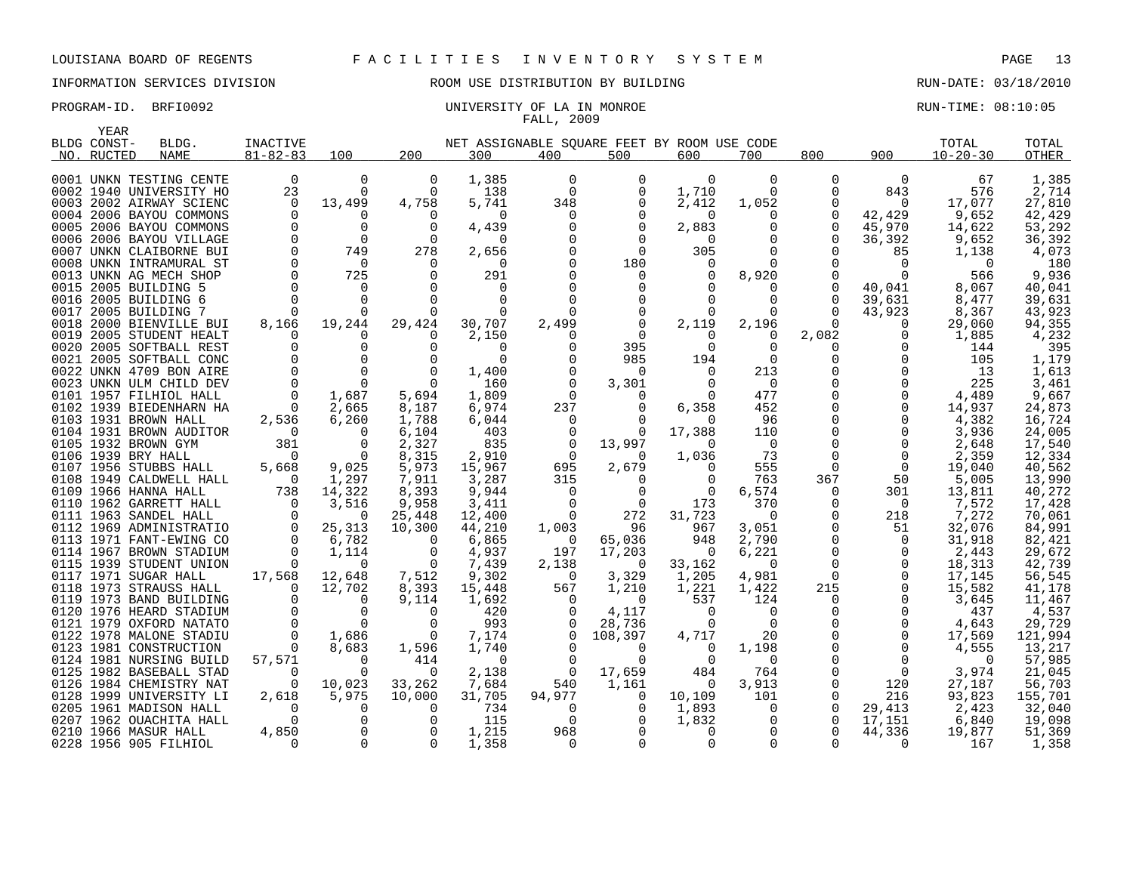### PROGRAM-ID. BRFI0092 CONSERVATION: UNIVERSITY OF LA IN MONROE CONSERVATION: 08:10:05 FALL, 2009

| YEAR        |                                                |                    |                         |                     |                 |                                 |                                             |                |                |             |               |                  |                  |
|-------------|------------------------------------------------|--------------------|-------------------------|---------------------|-----------------|---------------------------------|---------------------------------------------|----------------|----------------|-------------|---------------|------------------|------------------|
| BLDG CONST- | BLDG.                                          | <b>INACTIVE</b>    |                         |                     |                 |                                 | NET ASSIGNABLE SOUARE FEET BY ROOM USE CODE |                |                |             |               | TOTAL            | TOTAL            |
| NO. RUCTED  | <b>NAME</b>                                    | $81 - 82 - 83$     | 100                     | 200                 | 300             | 400                             | 500                                         | 600            | 700            | 800         | 900           | $10 - 20 - 30$   | OTHER            |
|             |                                                |                    |                         |                     |                 |                                 |                                             |                |                |             |               |                  |                  |
|             | 0001 UNKN TESTING CENTE                        | $\overline{0}$     | $\mathbf 0$             | 0                   | 1,385           | $\mathbf 0$                     | 0                                           | $\mathbf 0$    | $\mathbf 0$    | 0           | 0             | 67               | 1,385            |
|             | 0002 1940 UNIVERSITY HO                        | 23                 | $\Omega$                | $\Omega$            | 138             | $\mathbf 0$                     | 0                                           | 1,710          | $\Omega$       | 0           | 843           | 576              | 2,714            |
|             | 0003 2002 AIRWAY SCIENC                        | $\Omega$           | 13,499                  | 4,758               | 5,741           | 348                             | $\Omega$                                    | 2,412          | 1,052          | $\Omega$    | $\Omega$      | 17,077           | 27,810           |
|             | 0004 2006 BAYOU COMMONS                        |                    | $\Omega$                | $\Omega$            | $\Omega$        | $\Omega$                        |                                             | $\Omega$       | 0              | 0           | 42,429        | 9,652            | 42,429           |
|             | 0005 2006 BAYOU COMMONS                        |                    | $\Omega$                | $\Omega$            | 4,439           |                                 | $\Omega$                                    | 2,883          | $\Omega$       | $\Omega$    | 45,970        | 14,622           | 53,292           |
|             | 0006 2006 BAYOU VILLAGE                        | $\mathbf 0$        | $\Omega$                | 0                   | 0               |                                 |                                             | $\Omega$       | 0              | 0           | 36,392        | 9,652            | 36,392           |
|             | 0007 UNKN CLAIBORNE BUI                        | $\Omega$           | 749                     | 278                 | 2,656           |                                 | $\Omega$                                    | 305            | $\Omega$       | $\Omega$    | 85            | 1,138            | 4,073            |
|             | 0008 UNKN INTRAMURAL ST                        | $\mathbf 0$        | $\overline{0}$          | $\Omega$            | 0               |                                 | 180                                         | 0              | 0              | $\Omega$    | 0             | 0                | 180              |
|             | 0013 UNKN AG MECH SHOP                         | $\Omega$           | 725                     | $\Omega$            | 291             |                                 | $\Omega$                                    |                | 8,920          | $\Omega$    | $\Omega$      | 566              | 9,936            |
|             | 0015 2005 BUILDING 5                           | $\Omega$           | $\Omega$                | $\Omega$            | $\Omega$        |                                 |                                             |                | $\Omega$       | $\Omega$    | 40,041        | 8,067            | 40,041           |
|             | 0016 2005 BUILDING 6                           | $\Omega$           | $\Omega$                | $\Omega$            | $\Omega$        |                                 |                                             |                | 0              | 0           | 39,631        | 8,477            | 39,631           |
|             | 0017 2005 BUILDING 7                           |                    |                         |                     | $\Omega$        |                                 |                                             |                | $\Omega$       | $\Omega$    | 43,923        | 8,367            | 43,923           |
|             | 0018 2000 BIENVILLE BUI                        | 8,166              | 19,244                  | 29,424              | 30,707          | 2,499                           | $\mathbf 0$                                 | 2,119          | 2,196          | 0           | 0             | 29,060           | 94,355           |
|             | 0019 2005 STUDENT HEALT                        | $\Omega$           |                         | $\Omega$            | 2,150           | $\Omega$                        | $\Omega$                                    | $\Omega$       | $\Omega$       | 2,082       | $\Omega$      | 1,885            | 4,232            |
|             | 0020 2005 SOFTBALL REST                        | $\Omega$           | $\Omega$                | $\Omega$            | 0               | $\Omega$                        | 395                                         | $\Omega$       | $\Omega$       | 0           | O             | 144              | 395              |
|             | 0021 2005 SOFTBALL CONC                        |                    |                         |                     | $\Omega$        |                                 | 985                                         | 194            | $\Omega$       | 0           | $\Omega$      | 105              | 1,179            |
|             | 0022 UNKN 4709 BON AIRE                        | $\Omega$           | $\Omega$                | $\Omega$            | 1,400           | $\Omega$                        | $\Omega$                                    | $\Omega$       | 213            | 0           | $\Omega$      | 13               | 1,613            |
|             | 0023 UNKN ULM CHILD DEV                        | $\mathbf 0$        | $\Omega$                | $\Omega$            | 160             | 0                               | 3,301                                       | $\Omega$       | $\overline{0}$ | 0           | 0             | 225              | 3,461            |
|             | 0101 1957 FILHIOL HALL                         | $\Omega$           | 1,687                   | 5,694               | 1,809           | $\Omega$                        |                                             |                | 477            | 0           | $\Omega$      | 4,489            | 9,667            |
|             | 0102 1939 BIEDENHARN HA                        | $\overline{0}$     | 2,665                   | 8,187               | 6,974           | 237                             | $\mathbf 0$                                 | 6,358          | 452            | 0           | 0             | 14,937           | 24,873           |
|             | 0103 1931 BROWN HALL                           | 2,536              | 6,260                   | 1,788               | 6,044           | 0                               |                                             |                | 96             | 0           | $\Omega$      | 4,382            | 16,724           |
|             | 0104 1931 BROWN AUDITOR                        | $\overline{0}$     | $\Omega$                | 6,104               | 403             | 0                               | 0                                           | 17,388         | 110            | 0           | 0             | 3,936            | 24,005           |
|             | 0105 1932 BROWN GYM                            | 381                | $\Omega$                | 2,327               | 835             | 0                               | 13,997                                      | $\Omega$       | $\overline{0}$ | $\mathbf 0$ | $\Omega$      | 2,648            | 17,540           |
|             | 0106 1939 BRY HALL                             | $\Omega$           | $\overline{0}$          | 8,315               | 2,910           | 0                               | $\Omega$                                    | 1,036          | 73             | $\Omega$    | $\Omega$      | 2,359            | 12,334           |
|             | 0107 1956 STUBBS HALL                          | 5,668              | 9,025                   | 5,973               | 15,967          | 695                             | 2,679                                       | 0              | 555            | 0           | 0             | 19,040           | 40,562           |
|             | 0108 1949 CALDWELL HALL                        | $\overline{0}$     | 1,297                   | 7,911               | 3,287           | 315                             | $\Omega$                                    |                | 763            | 367         | 50            | 5,005            | 13,990           |
|             | 0109 1966 HANNA HALL                           | 738                | 14,322                  | 8,393               | 9,944           | 0                               | $\mathbf 0$                                 | $\Omega$       | 6,574          | 0           | 301           | 13,811           | 40,272           |
|             | 0110 1962 GARRETT HALL                         | $\overline{0}$     | 3,516                   | 9,958               | 3,411           | $\mathbf 0$                     | $\overline{0}$                              | 173            | 370            | 0           | $\mathbf{0}$  | 7,572            | 17,428           |
|             | 0111 1963 SANDEL HALL                          | $\overline{0}$     | $\Omega$                | 25,448              | 12,400          | $\Omega$                        | 272                                         | 31,723         | $\Omega$       | 0           | 218           | 7,272            | 70,061           |
|             | 0112 1969 ADMINISTRATIO                        | $\overline{0}$     | 25,313                  | 10,300              | 44,210          | 1,003                           | 96                                          | 967            | 3,051          | $\mathbf 0$ | 51            | 32,076           | 84,991           |
|             | 0113 1971 FANT-EWING CO                        | $\Omega$           | 6,782                   | $\Omega$            | 6,865           | 0                               | 65,036                                      | 948            | 2,790          | $\Omega$    | $\Omega$      | 31,918           | 82,421           |
|             | 0114 1967 BROWN STADIUM                        | $\overline{0}$     | 1,114<br>$\overline{0}$ | 0<br>$\overline{0}$ | 4,937           | 197                             | 17,203                                      | $\Omega$       | 6,221          | $\mathbf 0$ | 0             | 2,443            | 29,672           |
|             | 0115 1939 STUDENT UNION                        | $\overline{0}$     |                         |                     | 7,439           | 2,138                           | 0                                           | 33,162         | 0              | 0           | 0             | 18,313           | 42,739           |
|             | 0117 1971 SUGAR HALL<br>0118 1973 STRAUSS HALL | 17,568<br>$\Omega$ | 12,648<br>12,702        | 7,512<br>8,393      | 9,302<br>15,448 | $\overline{\phantom{0}}$<br>567 | 3,329<br>1,210                              | 1,205<br>1,221 | 4,981<br>1,422 | 0<br>215    | 0<br>$\Omega$ | 17,145<br>15,582 | 56,545<br>41,178 |
|             | 0119 1973 BAND BUILDING                        |                    | $\Omega$                | 9,114               | 1,692           | 0                               | $\Omega$                                    | 537            | 124            | 0           | 0             | 3,645            | 11,467           |
|             | 0120 1976 HEARD STADIUM                        |                    | $\Omega$                | $\Omega$            |                 | $\Omega$                        |                                             | $\Omega$       | 0              | 0           | $\Omega$      |                  | 4,537            |
|             | 0121 1979 OXFORD NATATO                        | $\overline{0}$     | $\overline{0}$          | $\Omega$            | 420<br>993      | $\Omega$                        | 4,117<br>28,736                             | $\Omega$       | $\overline{0}$ | 0           | $\Omega$      | 437<br>4,643     | 29,729           |
|             | 0122 1978 MALONE STADIU                        | $\overline{0}$     | 1,686                   | $\bigcirc$          | 7,174           |                                 | 108,397                                     | 4,717          | 20             | 0           | 0             | 17,569           | 121,994          |
|             | 0123 1981 CONSTRUCTION                         | $\overline{0}$     | 8,683                   | 1,596               | 1,740           | $\Omega$                        | $\Omega$                                    | $\Omega$       |                | $\Omega$    | $\Omega$      | 4,555            | 13,217           |
|             | 0124 1981 NURSING BUILD                        | 57,571             | $\Omega$                | 414                 | 0               | 0                               | $\Omega$                                    | $\Omega$       | 1,198<br>0     | 0           | 0             | $\Omega$         | 57,985           |
|             | 0125 1982 BASEBALL STAD                        | $\Omega$           | $\Omega$                | $\overline{0}$      | 2,138           | $\mathbf 0$                     | 17,659                                      | 484            | 764            | $\mathbf 0$ | 0             | 3,974            | 21,045           |
|             | 0126 1984 CHEMISTRY NAT                        | $\Omega$           | 10,023                  | 33,262              | 7,684           | 540                             | 1,161                                       | $\Omega$       | 3,913          | 0           | 120           | 27,187           | 56,703           |
|             | 0128 1999 UNIVERSITY LI                        | 2,618              | 5,975                   | 10,000              | 31,705          | 94,977                          | 0                                           | 10,109         | 101            | 0           | 216           | 93,823           | 155,701          |
|             | 0205 1961 MADISON HALL                         | $\Omega$           |                         | $\Omega$            | 734             | 0                               | 0                                           | 1,893          | 0              | 0           | 29,413        | 2,423            | 32,040           |
|             | 0207 1962 OUACHITA HALL                        | $\Omega$           |                         | $\Omega$            | 115             | $\Omega$                        |                                             | 1,832          | 0              | $\Omega$    | 17,151        | 6,840            | 19,098           |
|             | 0210 1966 MASUR HALL                           | 4,850              |                         | $\Omega$            | 1,215           | 968                             |                                             |                | $\Omega$       | $\Omega$    | 44,336        | 19,877           | 51,369           |
|             | 0228 1956 905 FILHIOL                          | $\Omega$           |                         | $\Omega$            | 1,358           | $\Omega$                        |                                             |                | $\cap$         | U           | $\Omega$      | 167              | 1,358            |
|             |                                                |                    |                         |                     |                 |                                 |                                             |                |                |             |               |                  |                  |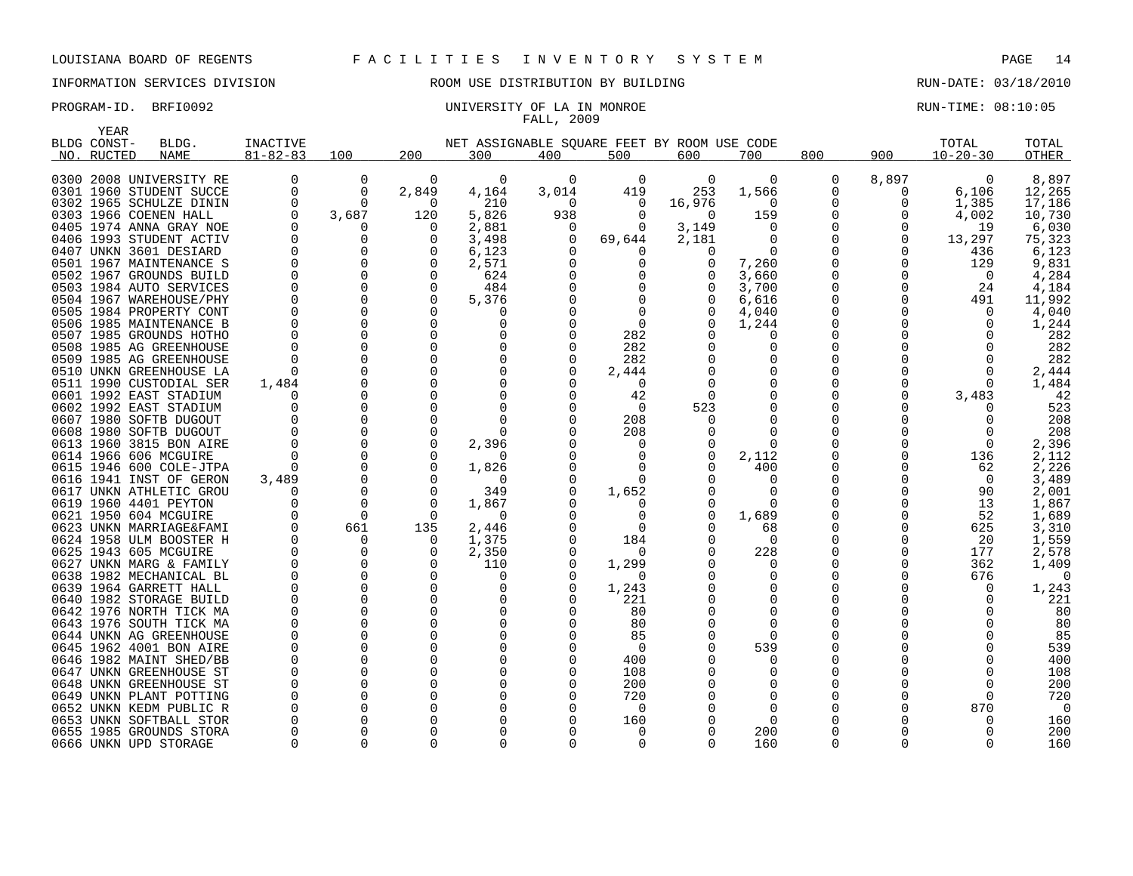# INFORMATION SERVICES DIVISION ROOM USE DISTRIBUTION BY BUILDING RUN-DATE: 03/18/2010

### PROGRAM-ID. BRFI0092 CONSERVATION: UNIVERSITY OF LA IN MONROE CONSERVATION: 08:10:05 FALL, 2009

|      | <b>YEAR</b> |                                               |                      |               |          |                      |              |              |                                             |               |              |              |                |                |
|------|-------------|-----------------------------------------------|----------------------|---------------|----------|----------------------|--------------|--------------|---------------------------------------------|---------------|--------------|--------------|----------------|----------------|
|      | BLDG CONST- | BLDG.                                         | INACTIVE             |               |          |                      |              |              | NET ASSIGNABLE SOUARE FEET BY ROOM USE CODE |               |              |              | TOTAL          | TOTAL          |
|      | NO. RUCTED  | <b>NAME</b>                                   | $81 - 82 - 83$       | 100           | 200      | 300                  | 400          | 500          | 600                                         | 700           | 800          | 900          | $10 - 20 - 30$ | <b>OTHER</b>   |
|      |             |                                               |                      |               |          |                      |              |              |                                             |               |              |              |                |                |
|      |             | 0300 2008 UNIVERSITY RE                       | 0                    | 0             | 0        | 0                    | 0            | 0            | 0                                           | 0             | 0            | 8,897        | 0              | 8,897          |
|      |             | 0301 1960 STUDENT SUCCE                       | 0                    | 0             | 2,849    | 4,164                | 3,014        | 419          | 253                                         | 1,566         | 0            | 0            | 6,106          | 12,265         |
|      |             | 0302 1965 SCHULZE DININ                       | 0                    | $\Omega$      | $\Omega$ | 210                  | $\Omega$     | 0            | 16,976                                      | $\Omega$      | 0            | 0            | 1,385          | 17,186         |
|      |             | 0303 1966 COENEN HALL                         | 0                    | 3,687         | 120      | 5,826                | 938          | $\Omega$     | $\Omega$                                    | 159           | 0            | 0            | 4,002          | 10,730         |
|      |             | 0405 1974 ANNA GRAY NOE                       | $\Omega$             | O             | O        | 2,881                | $\Omega$     | $\Omega$     | 3,149                                       | $\Omega$      | 0            | 0            | 19             | 6,030          |
|      |             | 0406 1993 STUDENT ACTIV                       | $\Omega$             | $\Omega$      | ∩        | 3,498                | $\Omega$     | 69,644       | 2,181                                       | $\Omega$      | 0            | 0            | 13,297         | 75,323         |
|      |             | 0407 UNKN 3601 DESIARD                        | $\Omega$             | $\Omega$      | O        | 6,123                |              | $\Omega$     | 0                                           | $\Omega$      | 0            | $\Omega$     | 436            | 6,123          |
| 0501 |             | 1967 MAINTENANCE S                            | $\Omega$             | $\Omega$      | $\Omega$ | 2,571                |              | $\Omega$     | 0                                           | 7,260         | 0            | 0            | 129            | 9,831          |
|      |             | 0502 1967 GROUNDS BUILD                       | $\Omega$             | $\Omega$      | O        | 624                  |              | $\Omega$     | 0                                           | 3,660         | 0            | $\Omega$     | $\Omega$       | 4,284          |
| 0503 |             | 1984 AUTO SERVICES                            | $\mathbf 0$          | $\mathbf 0$   | $\Omega$ | 484                  |              | <sup>0</sup> |                                             | 3,700         | 0            | $\Omega$     | 24             | 4,184          |
|      |             | 0504 1967 WAREHOUSE/PHY                       | $\Omega$             | 0             | $\Omega$ | 5,376                |              | <sup>0</sup> |                                             | 6,616         | 0            | 0            | 491            | 11,992         |
|      |             | 0505 1984 PROPERTY CONT                       | $\Omega$             | $\Omega$      | $\Omega$ | 0                    |              | $\Omega$     |                                             | 4,040         | 0            |              | $\Omega$       | 4,040          |
|      |             | 0506 1985 MAINTENANCE B                       | $\Omega$             | $\Omega$      | ∩        | $\Omega$             |              | 0            |                                             | 1,244         | 0            |              | 0              | 1,244          |
|      |             | 0507 1985 GROUNDS HOTHO                       | $\Omega$             | $\Omega$      | ∩<br>∩   | $\Omega$             |              | 282          | 0                                           | O             | 0            |              |                | 282            |
|      |             | 0508 1985 AG GREENHOUSE                       | $\Omega$<br>$\Omega$ | 0             | $\Omega$ | $\Omega$<br>$\Omega$ | <sup>0</sup> | 282          | 0                                           | $\Omega$<br>0 | 0            |              | ∩              | 282            |
|      |             | 0509 1985 AG GREENHOUSE                       |                      | 0<br>$\Omega$ | O        |                      |              | 282          | 0                                           | $\Omega$      | 0            |              | 0              | 282            |
|      |             | 0510 UNKN GREENHOUSE LA<br>1990 CUSTODIAL SER | $\Omega$<br>1,484    | 0             | $\Omega$ | $\Omega$             |              | 2,444        |                                             | 0             | 0<br>0       |              | 0<br>$\Omega$  | 2,444<br>1,484 |
| 0511 |             | 0601 1992 EAST STADIUM                        | $\cap$               | $\Omega$      | $\Omega$ |                      |              | 0<br>42      | $\Omega$                                    | $\Omega$      | 0            | <sup>0</sup> |                | 42             |
|      |             | 0602 1992 EAST STADIUM                        | O                    | 0             | O        | $\Omega$             |              | 0            | 523                                         | $\Omega$      | 0            |              | 3,483          | 523            |
|      |             | 0607 1980 SOFTB DUGOUT                        |                      | $\Omega$      | ∩        | $\Omega$             |              | 208          |                                             | $\Omega$      | O            |              |                | 208            |
|      |             | 0608 1980 SOFTB DUGOUT                        | $\Omega$             | $\Omega$      | $\Omega$ | $\Omega$             |              | 208          |                                             | $\Omega$      | 0            |              |                | 208            |
|      |             | 0613 1960 3815 BON AIRE                       | $\Omega$             | $\Omega$      | $\Omega$ | 2,396                |              | <sup>0</sup> |                                             | $\Omega$      | O            |              | $\Omega$       | 2,396          |
|      |             | 0614 1966 606 MCGUIRE                         | $\Omega$             | $\Omega$      | O        | $\Omega$             |              | $\Omega$     | $\Omega$                                    | 2,112         | O            | <sup>0</sup> | 136            | 2,112          |
|      |             | 0615 1946 600 COLE-JTPA                       | $\Omega$             | $\Omega$      | O        | 1,826                |              | <sup>0</sup> | 0                                           | 400           | 0            | <sup>0</sup> | 62             | 2,226          |
|      |             | 0616 1941 INST OF GERON                       | 3,489                | $\Omega$      | $\Omega$ | $\Omega$             |              | ∩            | U                                           | $\Omega$      | <sup>0</sup> |              | $\Omega$       | 3,489          |
|      |             | 0617 UNKN ATHLETIC GROU                       | $\Omega$             | 0             | $\Omega$ | 349                  |              | 1,652        |                                             | $\Omega$      | 0            |              | 90             | 2,001          |
|      |             | 0619 1960 4401 PEYTON                         |                      | $\Omega$      | $\Omega$ | 1,867                |              | $\left($ )   | 0                                           | $\Omega$      | O            |              | 13             | 1,867          |
|      |             | 0621 1950 604 MCGUIRE                         | $\Omega$             | $\Omega$      | $\Omega$ | $\Omega$             |              | 0            | $\Omega$                                    | 1,689         | 0            | <sup>0</sup> | 52             | 1,689          |
|      |             | 0623 UNKN MARRIAGE&FAMI                       | $\Omega$             | 661           | 135      | 2,446                |              | ∩            | <sup>0</sup>                                | 68            | O            | <sup>0</sup> | 625            | 3,310          |
|      |             | 0624 1958 ULM BOOSTER H                       | 0                    | 0             | 0        | 1,375                |              | 184          |                                             | 0             | 0            | 0            | 20             | 1,559          |
|      |             | 0625 1943 605 MCGUIRE                         | $\Omega$             | 0             | O        | 2,350                |              | $\Omega$     |                                             | 228           | 0            | <sup>0</sup> | 177            | 2,578          |
|      |             | 0627 UNKN MARG & FAMILY                       | 0                    | 0             | $\Omega$ | 110                  | O            | 1,299        |                                             | $\Omega$      | 0            | <sup>0</sup> | 362            | 1,409          |
|      |             | 0638 1982 MECHANICAL BL                       | $\Omega$             | $\Omega$      | ∩        | $\Omega$             |              | $\Omega$     |                                             | $\Omega$      | 0            |              | 676            | $\Omega$       |
|      |             | 0639 1964 GARRETT HALL                        | $\Omega$             | $\Omega$      | $\Omega$ | $\Omega$             |              | 1,243        |                                             | $\Omega$      | 0            |              | $\Omega$       | 1,243          |
|      |             | 0640 1982 STORAGE BUILD                       | $\Omega$             | $\Omega$      | ∩        | 0                    |              | 221          |                                             | $\Omega$      | 0            |              |                | 221            |
|      |             | 0642 1976 NORTH TICK MA                       | $\Omega$             | $\Omega$      | ∩        | $\Omega$             |              | 80           |                                             | $\Omega$      | 0            |              |                | 80             |
|      |             | 0643 1976 SOUTH TICK MA                       | $\Omega$             | 0             | $\Omega$ | 0                    |              | 80           |                                             | $\Omega$      | <sup>0</sup> |              |                | 80             |
|      |             | 0644 UNKN AG GREENHOUSE                       | $\Omega$             | 0             | ∩        | $\Omega$             |              | 85           |                                             | $\Omega$      | <sup>0</sup> |              |                | 85             |
| 0645 |             | 1962 4001 BON AIRE                            | 0                    | $\Omega$      | $\Omega$ | $\Omega$             |              | 0            |                                             | 539           | 0            |              |                | 539            |
|      |             | 0646 1982 MAINT SHED/BB                       | $\Omega$             | 0             | ∩        | <sup>0</sup>         |              | 400          |                                             | $\Omega$      | 0            |              |                | 400            |
|      |             | 0647 UNKN GREENHOUSE ST                       | $\Omega$             | $\Omega$      | ∩        | $\Omega$             |              | 108          |                                             | O             | 0            |              |                | 108            |
|      |             | 0648 UNKN GREENHOUSE ST                       | $\Omega$             | $\Omega$      | ∩        | $\Omega$             |              | 200          |                                             | O             | 0            |              |                | 200            |
|      |             | 0649 UNKN PLANT POTTING                       |                      | $\Omega$      | ∩        | $\Omega$             |              | 720          |                                             | $\Omega$      | O            |              |                | 720            |
|      |             | 0652 UNKN KEDM PUBLIC R                       | $\Omega$             | $\Omega$      | ∩        | $\Omega$             |              | $\Omega$     |                                             | $\Omega$      | O            |              | 870            | $\Omega$       |
|      |             | 0653 UNKN SOFTBALL STOR                       |                      | $\Omega$      |          | <sup>0</sup>         |              | 160          |                                             | $\Omega$      | 0            |              |                | 160            |
|      |             | 0655 1985 GROUNDS STORA                       | $\Omega$             | $\Omega$      |          | $\Omega$             |              | $\Omega$     |                                             | 200           | O            |              | ∩              | 200            |
|      |             | 0666 UNKN UPD STORAGE                         | $\Omega$             | 0             | ∩        | $\Omega$             | 0            | $\Omega$     | <sup>0</sup>                                | 160           | <sup>0</sup> | $\Omega$     | $\Omega$       | 160            |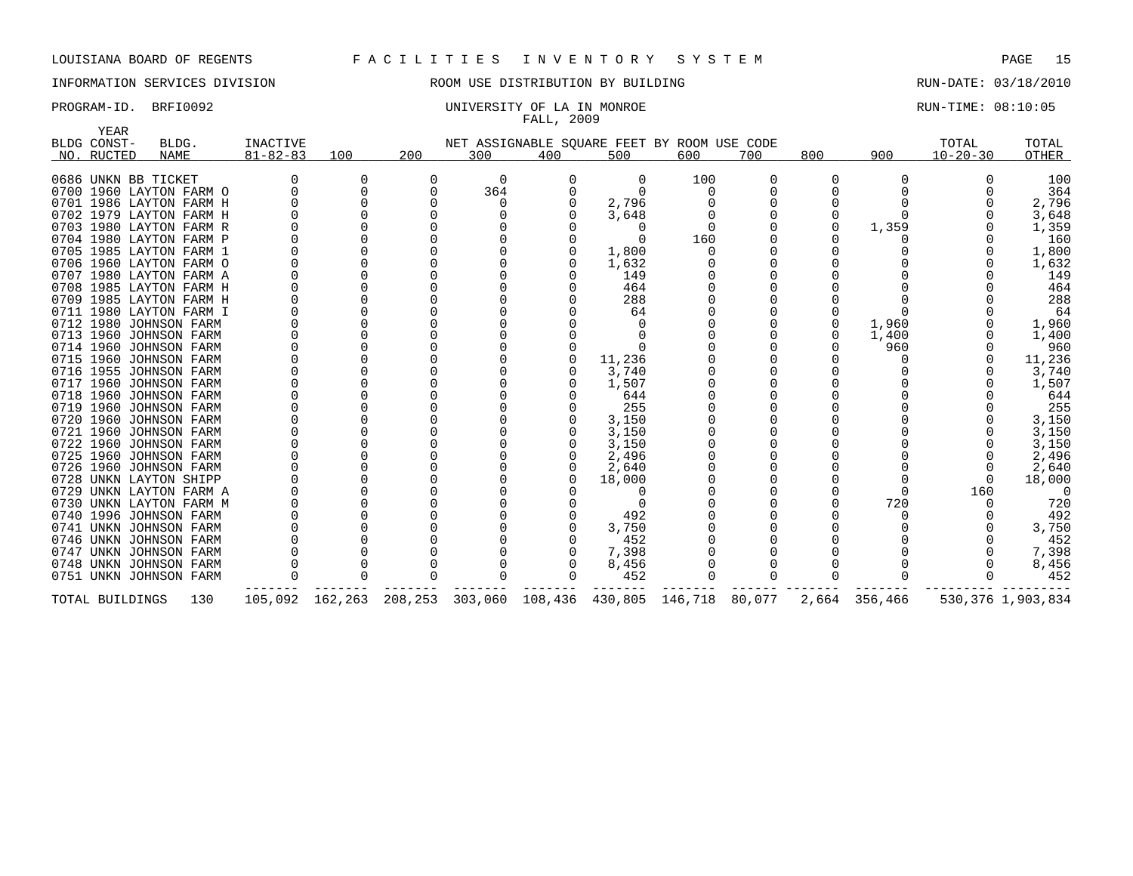# INFORMATION SERVICES DIVISION ROOM USE DISTRIBUTION BY BUILDING RUN-DATE: 03/18/2010

### PROGRAM-ID. BRFI0092 CONSERVATION: UNIVERSITY OF LA IN MONROE CONSERVATION: 08:10:05 FALL, 2009

|      | YEAR            |                         |                 |                 |              |     |     |                                             |     |     |     |               |                |                   |
|------|-----------------|-------------------------|-----------------|-----------------|--------------|-----|-----|---------------------------------------------|-----|-----|-----|---------------|----------------|-------------------|
|      | BLDG CONST-     | BLDG.                   | <b>INACTIVE</b> |                 |              |     |     | NET ASSIGNABLE SQUARE FEET BY ROOM USE CODE |     |     |     |               | TOTAL          | TOTAL             |
|      | NO. RUCTED      | NAME                    | $81 - 82 - 83$  | 100             | 200          | 300 | 400 | 500                                         | 600 | 700 | 800 | 900           | $10 - 20 - 30$ | OTHER             |
|      |                 | 0686 UNKN BB TICKET     |                 | 0               | <sup>0</sup> | 0   | 0   | 0                                           | 100 |     | 0   |               |                | 100               |
|      |                 | 0700 1960 LAYTON FARM O |                 |                 | $\Omega$     | 364 |     | $\Omega$                                    |     |     |     |               |                | 364               |
|      |                 | 0701 1986 LAYTON FARM H |                 |                 |              |     |     | 2,796                                       |     |     |     |               |                | 2,796             |
|      |                 | 0702 1979 LAYTON FARM H |                 |                 |              |     |     | 3,648                                       |     |     |     |               |                | 3,648             |
|      |                 | 0703 1980 LAYTON FARM R |                 |                 |              |     |     |                                             |     |     |     | 1,359         |                | 1,359             |
|      |                 | 0704 1980 LAYTON FARM P |                 |                 |              |     |     |                                             | 160 |     |     |               |                | 160               |
|      |                 | 0705 1985 LAYTON FARM 1 |                 |                 |              |     |     | 1,800                                       |     |     |     |               |                | 1,800             |
|      |                 | 0706 1960 LAYTON FARM O |                 |                 |              |     |     | 1,632                                       |     |     |     |               |                | 1,632             |
|      |                 | 0707 1980 LAYTON FARM A |                 |                 |              |     |     | 149                                         |     |     |     |               |                | 149               |
|      |                 | 0708 1985 LAYTON FARM H |                 |                 |              |     |     | 464                                         |     |     |     |               |                | 464               |
|      |                 | 0709 1985 LAYTON FARM H |                 |                 |              |     |     | 288                                         |     |     |     |               |                | 288               |
|      |                 | 0711 1980 LAYTON FARM I |                 |                 |              |     |     | 64                                          |     |     |     |               |                | 64                |
|      |                 | 0712 1980 JOHNSON FARM  |                 |                 |              |     |     |                                             |     |     |     | 1,960         |                | 1,960             |
|      |                 | 0713 1960 JOHNSON FARM  |                 |                 |              |     |     |                                             |     |     |     | 1,400         |                | 1,400             |
|      |                 | 0714 1960 JOHNSON FARM  |                 |                 |              |     |     |                                             |     |     |     | 960           |                | 960               |
|      |                 | 0715 1960 JOHNSON FARM  |                 |                 |              |     |     | 11,236                                      |     |     |     |               |                | 11,236            |
| 0716 |                 | 1955 JOHNSON FARM       |                 |                 |              |     |     | 3,740                                       |     |     |     |               |                | 3,740             |
| 0717 |                 | 1960 JOHNSON FARM       |                 |                 |              |     |     | 1,507                                       |     |     |     |               |                | 1,507             |
|      |                 | 0718 1960 JOHNSON FARM  |                 |                 |              |     |     | 644                                         |     |     |     |               |                | 644               |
|      |                 | 0719 1960 JOHNSON FARM  |                 |                 |              |     |     | 255                                         |     |     |     |               |                | 255               |
|      |                 | 0720 1960 JOHNSON FARM  |                 |                 |              |     |     | 3,150                                       |     |     |     |               |                | 3,150             |
|      |                 | 0721 1960 JOHNSON FARM  |                 |                 |              |     |     | 3,150                                       |     |     |     |               |                | 3,150             |
|      |                 | 0722 1960 JOHNSON FARM  |                 |                 |              |     |     | 3,150                                       |     |     |     |               |                | 3,150             |
|      |                 | 0725 1960 JOHNSON FARM  |                 |                 |              |     |     | 2,496                                       |     |     |     |               |                | 2,496             |
|      |                 | 0726 1960 JOHNSON FARM  |                 |                 |              |     |     | 2,640                                       |     |     |     |               |                | 2,640             |
|      |                 | 0728 UNKN LAYTON SHIPP  |                 |                 |              |     |     | 18,000                                      |     |     |     |               | $\Omega$       | 18,000            |
| 0729 |                 | UNKN LAYTON FARM A      |                 |                 |              |     |     |                                             |     |     |     |               | 160            | $\Omega$          |
|      |                 | 0730 UNKN LAYTON FARM M |                 |                 |              |     |     |                                             |     |     |     | 720           |                | 720               |
|      |                 | 0740 1996 JOHNSON FARM  |                 |                 |              |     |     | 492                                         |     |     |     |               |                | 492               |
|      |                 | 0741 UNKN JOHNSON FARM  |                 |                 |              |     |     | 3,750                                       |     |     |     |               |                | 3,750             |
|      |                 | 0746 UNKN JOHNSON FARM  |                 |                 |              |     |     | 452                                         |     |     |     |               |                | 452               |
| 0747 |                 | UNKN JOHNSON FARM       |                 |                 |              |     |     | 7,398                                       |     |     |     |               |                | 7,398             |
|      |                 | 0748 UNKN JOHNSON FARM  |                 |                 |              |     |     | 8,456                                       |     |     |     |               |                | 8,456             |
|      |                 | 0751 UNKN JOHNSON FARM  |                 |                 |              |     |     | 452                                         |     |     |     |               |                | 452               |
|      | TOTAL BUILDINGS | 130                     |                 | 105,092 162,263 | 208,253      |     |     | 303,060 108,436 430,805 146,718 80,077      |     |     |     | 2,664 356,466 |                | 530,376 1,903,834 |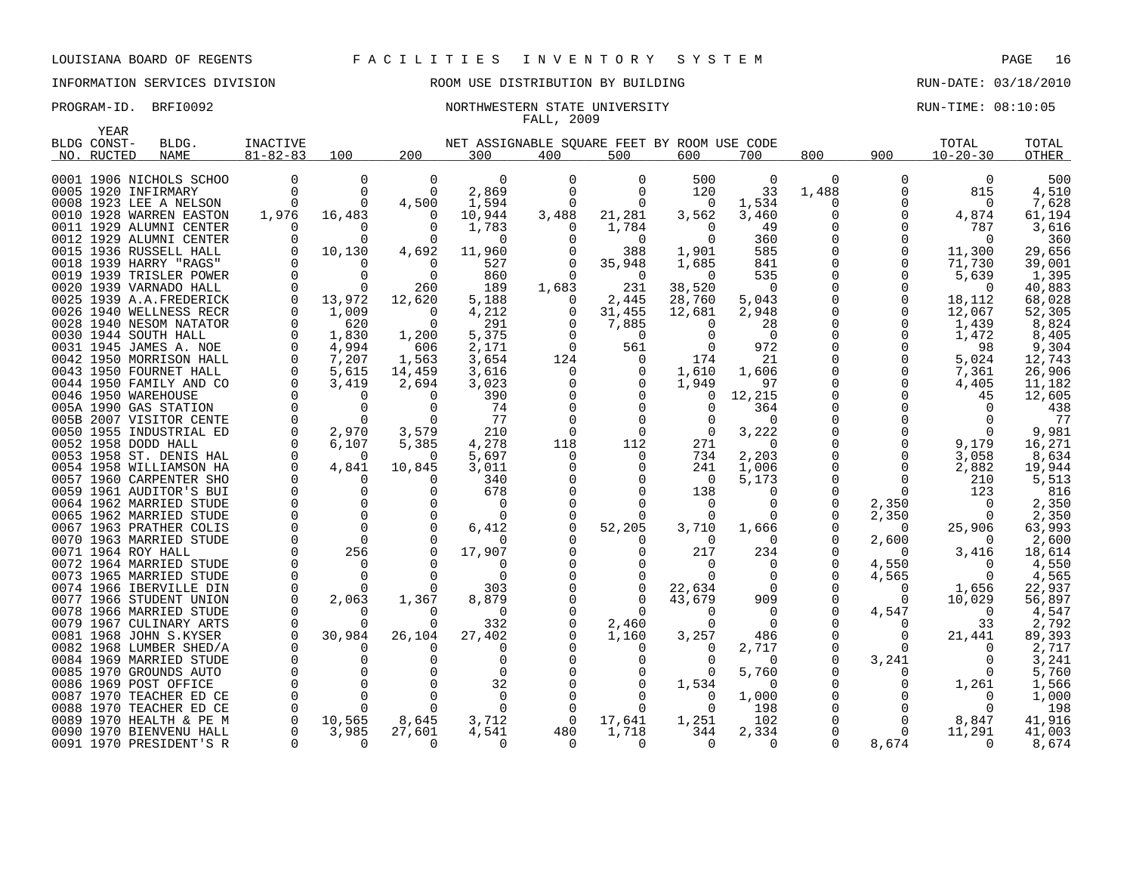YEAR

## INFORMATION SERVICES DIVISION ROOM USE DISTRIBUTION BY BUILDING RUN-DATE: 03/18/2010

### PROGRAM-ID. BRFI0092 **NORTHWESTERN STATE UNIVERSITY** NORTHWESTERN STATE ON LOST RUN-TIME: 08:10:05 FALL, 2009

| سمدد<br>BLDG CONST- | BLDG.                                              | <b>INACTIVE</b>      |                   |          | NET ASSIGNABLE SQUARE FEET BY ROOM USE CODE |          |                      |               |                      |             |                   | TOTAL          | TOTAL           |
|---------------------|----------------------------------------------------|----------------------|-------------------|----------|---------------------------------------------|----------|----------------------|---------------|----------------------|-------------|-------------------|----------------|-----------------|
| NO. RUCTED          | NAME                                               | $81 - 82 - 83$       | 100               | 200      | 300                                         | 400      | 500                  | 600           | 700                  | 800         | 900               | $10 - 20 - 30$ | OTHER           |
|                     | 0001 1906 NICHOLS SCHOO                            | 0                    | 0                 | 0        | 0                                           |          | 0                    | 500           | 0                    | 0           | 0                 | 0              | 500             |
| 0005 1920 INFIRMARY |                                                    | $\mathbf 0$          | $\mathbf 0$       | $\Omega$ | 2,869                                       | $\Omega$ | $\mathbf 0$          | 120           | 33                   | 1,488       | 0                 | 815            | 4,510           |
|                     | 0008 1923 LEE A NELSON                             | $\Omega$             | $\Omega$          | 4,500    | 1,594                                       |          | $\Omega$             | 0             | 1,534                | 0           | 0                 | $\overline{0}$ | 7,628           |
|                     | 0010 1928 WARREN EASTON                            | 1,976                | 16,483            | 0        | 10,944                                      | 3,488    | 21,281               | 3,562         | 3,460                |             | 0                 | 4,874          | 61,194          |
|                     | 0011 1929 ALUMNI CENTER                            | O                    | 0                 |          | 1,783                                       | O        | 1,784                | $\Omega$      | 49                   |             | 0                 | 787            | 3,616           |
|                     | 0012 1929 ALUMNI CENTER                            | $\Omega$             | $\Omega$          | $\Omega$ | 0                                           |          | 0                    | $\Omega$      | 360                  | 0           | $\Omega$          | $\Omega$       | 360             |
|                     | 0015 1936 RUSSELL HALL                             |                      | 10,130            | 4,692    | 11,960                                      |          | 388                  | 1,901         | 585                  | $\Omega$    | $\Omega$          | 11,300         | 29,656          |
|                     | 0018 1939 HARRY "RAGS"                             | $\Omega$             | $\Omega$          | $\Omega$ | 527                                         | $\Omega$ | 35,948               | 1,685         | 841                  | $\Omega$    | 0                 | 71,730         | 39,001          |
|                     | 0019 1939 TRISLER POWER                            | $\Omega$             | $\Omega$          | $\Omega$ | 860                                         |          | $\Omega$             | $\cap$        | 535                  | $\Omega$    | 0                 | 5,639          | 1,395           |
|                     | 0020 1939 VARNADO HALL                             | $\Omega$             | $\Omega$          | 260      | 189                                         | 1,683    | 231                  | 38,520        | $\Omega$             | $\Omega$    |                   | $\Omega$       | 40,883          |
|                     | 0025 1939 A.A.FREDERICK                            | 0                    | 13,972            | 12,620   | 5,188                                       | $\Omega$ | 2,445                | 28,760        | 5,043                |             | 0                 | 18,112         | 68,028          |
|                     | 0026 1940 WELLNESS RECR                            | $\overline{0}$       | 1,009             | $\Omega$ | 4,212                                       | 0        | 31,455               | 12,681        | 2,948                |             | 0                 | 12,067         | 52,305          |
|                     | 0028 1940 NESOM NATATOR                            | 0                    | 620               | $\Omega$ | 291                                         | $\Omega$ | 7,885                | $\Omega$      | 28                   |             | 0                 | 1,439          | 8,824           |
|                     | 0030 1944 SOUTH HALL                               | $\mathbf 0$          | 1,830             | 1,200    | 5,375                                       |          | $\Omega$             |               | $\overline{0}$       | $\mathbf 0$ |                   | 1,472          | 8,405           |
|                     | 0031 1945 JAMES A. NOE                             | 0                    | 4,994             | 606      | 2,171                                       | 0        | 561                  |               | 972                  |             | 0                 | 98             | 9,304           |
|                     | 0042 1950 MORRISON HALL                            | $\Omega$             | 7,207             | 1,563    | 3,654                                       | 124      | 0                    | 174           | 21                   |             | 0                 | 5,024          | 12,743          |
|                     | 0043 1950 FOURNET HALL                             | 0                    | 5,615             | 14,459   | 3,616                                       | 0        | 0                    | 1,610         | 1,606                |             | 0<br>0            | 7,361          | 26,906          |
| 0046 1950 WAREHOUSE | 0044 1950 FAMILY AND CO                            | $\Omega$<br>$\Omega$ | 3,419<br>$\Omega$ | 2,694    | 3,023                                       |          | 0                    | 1,949         | 97                   | $\Omega$    |                   | 4,405          | 11,182          |
|                     | 005A 1990 GAS STATION                              | $\Omega$             | $\Omega$          |          | 390<br>74                                   |          |                      | $\Omega$<br>0 | 12,215<br>364        | $\Omega$    |                   | 45<br>$\Omega$ | 12,605<br>438   |
|                     | 005B 2007 VISITOR CENTE                            | $\Omega$             | $\Omega$          | $\Omega$ | 77                                          |          |                      |               | $\Omega$             | $\Omega$    |                   | $\Omega$       | 77              |
|                     | 0050 1955 INDUSTRIAL ED                            | $\Omega$             | 2,970             | 3,579    | 210                                         | $\Omega$ | $\Omega$             | $\Omega$      | 3,222                |             |                   | $\Omega$       | 9,981           |
| 0052 1958 DODD HALL |                                                    | $\mathbf 0$          | 6,107             | 5,385    | 4,278                                       | 118      | 112                  | 271           | 0                    |             | 0                 | 9,179          | 16,271          |
|                     | 0053 1958 ST. DENIS HAL                            | 0                    | 0                 | $\Omega$ | 5,697                                       | 0        | 0                    | 734           | 2,203                | 0           | 0                 | 3,058          | 8,634           |
|                     | 0054 1958 WILLIAMSON HA                            | $\mathbf 0$          | 4,841             | 10,845   | 3,011                                       |          |                      | 241           | 1,006                |             | $\Omega$          | 2,882          | 19,944          |
|                     | 0057 1960 CARPENTER SHO                            | $\Omega$             | $\Omega$          |          | 340                                         |          |                      | $\Omega$      | 5,173                | 0           | $\Omega$          | 210            | 5,513           |
|                     | 0059 1961 AUDITOR'S BUI                            | $\Omega$             | $\Omega$          |          | 678                                         |          |                      | 138           | $\Omega$             | $\Omega$    | $\Omega$          | 123            | 816             |
|                     | 0064 1962 MARRIED STUDE                            | $\Omega$             | $\mathbf 0$       |          | 0                                           |          |                      | $\Omega$      | $\Omega$             | 0           | 2,350             | $\Omega$       | 2,350           |
|                     | 0065 1962 MARRIED STUDE                            | $\Omega$             | $\Omega$          |          | $\Omega$                                    |          |                      |               |                      |             | 2,350             | 0              | 2,350           |
|                     | 0067 1963 PRATHER COLIS                            | $\Omega$             | $\Omega$          | $\Omega$ | 6,412                                       |          | 52,205               | 3,710         | 1,666                |             | $\Omega$          | 25,906         | 63,993          |
|                     | 0070 1963 MARRIED STUDE                            | $\Omega$             | $\Omega$          |          |                                             |          |                      | 0             | $\Omega$             |             | 2,600             |                | 2,600           |
| 0071 1964 ROY HALL  |                                                    | $\Omega$             | 256               | $\Omega$ | 17,907                                      |          | 0                    | 217           | 234                  | $\Omega$    | $\Omega$          | 3,416          | 18,614          |
|                     | 0072 1964 MARRIED STUDE                            | $\Omega$             | $\Omega$          |          | $\Omega$                                    |          | ∩                    | $\Omega$      | $\Omega$             | $\Omega$    | 4,550             | $\Omega$       | 4,550           |
|                     | 0073 1965 MARRIED STUDE                            | $\Omega$             | $\Omega$          |          | $\Omega$                                    |          | $\Omega$             | $\Omega$      | $\Omega$             | 0           | 4,565             | $\Omega$       | 4,565           |
|                     | 0074 1966 IBERVILLE DIN                            | 0                    | $\Omega$          | $\Omega$ | 303                                         |          | 0                    | 22,634        | $\Omega$             |             | 0                 | 1,656          | 22,937          |
|                     | 0077 1966 STUDENT UNION                            | 0                    | 2,063             | 1,367    | 8,879                                       |          | $\Omega$<br>$\Omega$ | 43,679        | 909                  | 0           | $\Omega$          | 10,029         | 56,897          |
|                     | 0078 1966 MARRIED STUDE<br>0079 1967 CULINARY ARTS | $\Omega$             | $\Omega$          |          | $\Omega$<br>332                             |          |                      | $\Omega$<br>∩ | $\Omega$<br>$\Omega$ | 0           | 4,547<br>$\Omega$ | $\Omega$<br>33 | 4,547           |
|                     | 0081 1968 JOHN S.KYSER                             | 0                    | 30,984            | 26,104   | 27,402                                      |          | 2,460<br>1,160       | 3,257         | 486                  | 0           | $\Omega$          | 21,441         | 2,792<br>89,393 |
|                     | 0082 1968 LUMBER SHED/A                            | $\Omega$             |                   |          | $\Omega$                                    |          | 0                    |               | 2,717                | 0           | $\Omega$          | $\Omega$       | 2,717           |
|                     | 0084 1969 MARRIED STUDE                            | $\Omega$             | $\Omega$          |          | 0                                           |          |                      |               | $\Omega$             | $\Omega$    | 3,241             | 0              | 3,241           |
|                     | 0085 1970 GROUNDS AUTO                             | $\Omega$             | $\Omega$          |          | $\Omega$                                    |          | 0                    |               | 5,760                | $\Omega$    | $\left( \right)$  |                | 5,760           |
|                     | 0086 1969 POST OFFICE                              | $\Omega$             | $\Omega$          |          | 32                                          |          | $\Omega$             | 1,534         | $\Omega$             | $\Omega$    | $\Omega$          | 1,261          | 1,566           |
|                     | 0087 1970 TEACHER ED CE                            | $\Omega$             | $\Omega$          |          | $\Omega$                                    |          |                      |               | 1,000                |             |                   | $\Omega$       | 1,000           |
|                     | 0088 1970 TEACHER ED CE                            | $\Omega$             | $\Omega$          | $\Omega$ | $\Omega$                                    |          | $\Omega$             | $\Omega$      | 198                  |             |                   | $\Omega$       | 198             |
|                     | 0089 1970 HEALTH & PE M                            | 0                    | 10,565            | 8,645    | 3,712                                       | $\Omega$ | 17,641               | 1,251         | 102                  |             | 0                 | 8,847          | 41,916          |
|                     | 0090 1970 BIENVENU HALL                            | $\Omega$             | 3,985             | 27,601   | 4,541                                       | 480      | 1,718                | 344           | 2,334                |             | 0                 | 11,291         | 41,003          |
|                     | 0091 1970 PRESIDENT'S R                            | $\Omega$             | $\Omega$          | $\Omega$ | $\Omega$                                    | $\cap$   | $\Omega$             | $\Omega$      | $\Omega$             | $\Omega$    | 8,674             | $\Omega$       | 8,674           |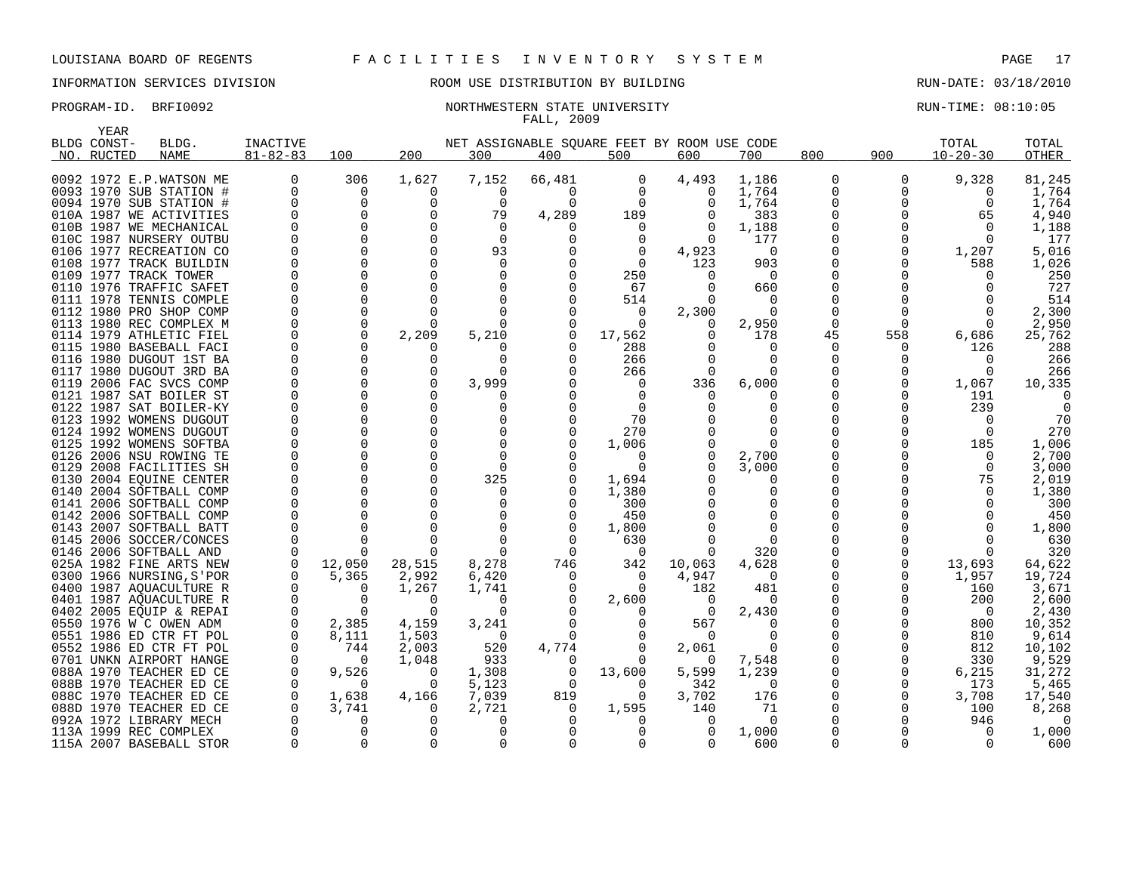## INFORMATION SERVICES DIVISION ROOM USE DISTRIBUTION BY BUILDING RUN-DATE: 03/18/2010

### PROGRAM-ID. BRFI0092 **NORTHWESTERN STATE UNIVERSITY** NORTHWESTERN STATE ON LOST RUN-TIME: 08:10:05 FALL, 2009

|      | YEAR        |                          |                |          |              |          |          |          |                                             |              |          |     |                |          |
|------|-------------|--------------------------|----------------|----------|--------------|----------|----------|----------|---------------------------------------------|--------------|----------|-----|----------------|----------|
|      | BLDG CONST- | BLDG.                    | INACTIVE       |          |              |          |          |          | NET ASSIGNABLE SOUARE FEET BY ROOM USE CODE |              |          |     | TOTAL          | TOTAL    |
|      | NO. RUCTED  | <b>NAME</b>              | $81 - 82 - 83$ | 100      | 200          | 300      | 400      | 500      | 600                                         | 700          | 800      | 900 | $10 - 20 - 30$ | OTHER    |
|      |             | 0092 1972 E.P.WATSON ME  | 0              | 306      | 1,627        | 7,152    | 66,481   | 0        | 4,493                                       | 1,186        | 0        | 0   | 9,328          | 81,245   |
|      |             | 0093 1970 SUB STATION #  | $\Omega$       | 0        | 0            | $\Omega$ | $\Omega$ | $\Omega$ | $\Omega$                                    | 1,764        | 0        | 0   | $\Omega$       | 1,764    |
|      |             | 0094 1970 SUB STATION #  |                | 0        | 0            | $\Omega$ | $\Omega$ | $\Omega$ | $\Omega$                                    | 1,764        | 0        | 0   | $\Omega$       | 1,764    |
|      |             | 010A 1987 WE ACTIVITIES  |                | $\Omega$ | O            | 79       | 4,289    | 189      |                                             | 383          | 0        |     | 65             | 4,940    |
|      |             | 010B 1987 WE MECHANICAL  |                | $\Omega$ | $\Omega$     | $\Omega$ |          | $\Omega$ |                                             | 1,188        | O        |     | $\Omega$       | 1,188    |
|      |             | 010C 1987 NURSERY OUTBU  |                | $\Omega$ | $\Omega$     | $\Omega$ |          | $\Omega$ | $\Omega$                                    | 177          | O        |     | $\Omega$       | 177      |
|      |             | 0106 1977 RECREATION CO  |                | $\Omega$ | $\Omega$     | 93       |          | $\Omega$ | 4,923                                       | $\Omega$     | $\Omega$ | U   | 1,207          | 5,016    |
|      |             | 0108 1977 TRACK BUILDIN  |                | $\Omega$ | $\Omega$     | $\Omega$ |          | $\Omega$ | 123                                         | 903          | O        |     | 588            | 1,026    |
|      |             | 0109 1977 TRACK TOWER    |                | $\Omega$ | O            | $\Omega$ |          | 250      |                                             | $\Omega$     | 0        |     |                | 250      |
| 0110 |             | 1976 TRAFFIC SAFET       |                | 0        |              |          |          | 67       |                                             | 660          |          |     |                | 727      |
|      |             | 0111 1978 TENNIS COMPLE  |                | $\Omega$ |              |          |          | 514      |                                             | $\Omega$     | N        |     |                | 514      |
|      |             | 0112 1980 PRO SHOP COMP  |                | $\Omega$ |              |          |          | 0        | 2,300                                       | $\Omega$     | O        |     |                | 2,300    |
|      |             | 0113 1980 REC COMPLEX M  |                | $\Omega$ | $\Omega$     |          | $\Omega$ | $\Omega$ | O                                           | 2,950        | 0        | Ω   | $\Omega$       | 2,950    |
|      |             | 0114 1979 ATHLETIC FIEL  |                | $\Omega$ | 2,209        | 5,210    | $\Omega$ | 17,562   |                                             | 178          | 45       | 558 | 6,686          | 25,762   |
|      |             | 0115 1980 BASEBALL FACI  |                | $\Omega$ | $\Omega$     |          |          | 288      |                                             | $\Omega$     | $\Omega$ | U   | 126            | 288      |
|      |             | 0116 1980 DUGOUT 1ST BA  |                | $\Omega$ | O            | $\Omega$ | n        | 266      |                                             | $\Omega$     | 0        |     | n              | 266      |
|      |             | 0117 1980 DUGOUT 3RD BA  |                | $\Omega$ | 0            | n        |          | 266      | $\Omega$                                    | $\Omega$     | N        |     | $\Omega$       | 266      |
|      |             | 0119 2006 FAC SVCS COMP  |                | $\Omega$ | 0            | 3,999    |          | $\Omega$ | 336                                         | 6,000        | 0        | O   | 1,067          | 10,335   |
|      |             | 0121 1987 SAT BOILER ST  |                | $\Omega$ | U            |          |          | $\Omega$ | <sup>0</sup>                                |              | U        |     | 191            |          |
|      |             | 0122 1987 SAT BOILER-KY  |                | $\Omega$ |              |          |          | $\Omega$ |                                             | 0            | O        |     | 239            |          |
|      |             | 0123 1992 WOMENS DUGOUT  |                | $\Omega$ | $\cap$       |          |          | 70       |                                             |              |          |     | ∩              | 70       |
|      |             | 0124 1992 WOMENS DUGOUT  |                | $\Omega$ | $\Omega$     |          |          | 270      |                                             | ∩            |          |     | $\Omega$       | 270      |
|      |             | 0125 1992 WOMENS SOFTBA  |                | $\Omega$ | $\Omega$     | $\Omega$ |          | 1,006    |                                             | <sup>0</sup> | O        |     | 185            | 1,006    |
| 0126 |             | 2006 NSU ROWING TE       |                | $\Omega$ | $\Omega$     | $\Omega$ |          | $\Omega$ |                                             | 2,700        | O        |     | $\Omega$       | 2,700    |
|      |             | 0129 2008 FACILITIES SH  |                | $\Omega$ | $\Omega$     | $\Omega$ |          | $\Omega$ |                                             | 3,000        | 0        |     | $\Omega$       | 3,000    |
|      |             | 0130 2004 EOUINE CENTER  |                | $\Omega$ | $\Omega$     | 325      |          | 1,694    |                                             | $\Omega$     | N        |     | 75             | 2,019    |
|      |             | 0140 2004 SOFTBALL COMP  |                | $\Omega$ | $\Omega$     | $\Omega$ |          | 1,380    |                                             | $\Omega$     | O        |     | $\Omega$       | 1,380    |
|      |             | 0141 2006 SOFTBALL COMP  |                | $\Omega$ | ∩            |          |          | 300      |                                             | O            | U        |     |                | 300      |
|      |             | 0142 2006 SOFTBALL COMP  |                | $\Omega$ | $\Omega$     |          | $\Omega$ | 450      |                                             | $\Omega$     | O        |     |                | 450      |
|      |             | 0143 2007 SOFTBALL BATT  |                | $\Omega$ |              | $\Omega$ | $\cap$   | 1,800    |                                             | $\Omega$     | U        |     |                | 1,800    |
|      |             | 0145 2006 SOCCER/CONCES  |                | 0        | $\Omega$     | $\Omega$ | n        | 630      |                                             | $\Omega$     |          |     | O              | 630      |
|      |             | 0146 2006 SOFTBALL AND   |                | ∩        |              | ∩        | $\Omega$ | $\Omega$ |                                             | 320          | N        |     |                | 320      |
|      |             | 025A 1982 FINE ARTS NEW  |                | 12,050   | 28,515       | 8,278    | 746      | 342      | 10,063                                      | 4,628        | 0        | O   | 13,693         | 64,622   |
|      |             | 0300 1966 NURSING, S'POR |                | 5,365    | 2,992        | 6,420    | $\Omega$ | $\Omega$ | 4,947                                       | $\Omega$     | 0        |     | 1,957          | 19,724   |
|      |             | 0400 1987 AQUACULTURE R  |                | $\Omega$ | 1,267        | 1,741    | 0        | $\Omega$ | 182                                         | 481          | 0        | O   | 160            | 3,671    |
|      |             | 0401 1987 AQUACULTURE R  |                | $\Omega$ | $\Omega$     | $\Omega$ |          | 2,600    | $\Omega$                                    | $\Omega$     | O        |     | 200            | 2,600    |
|      |             | 0402 2005 EQUIP & REPAI  |                | $\Omega$ | <sup>0</sup> |          |          |          | $\Omega$                                    | 2,430        | Ω        |     | $\Omega$       | 2,430    |
|      |             | 0550 1976 W C OWEN ADM   |                | 2,385    | 4,159        | 3,241    |          | $\Omega$ | 567                                         | $\Omega$     | O        |     | 800            | 10,352   |
|      |             | 0551 1986 ED CTR FT POL  |                | 8,111    | 1,503        | $\Omega$ | ∩        |          | $\Omega$                                    | <sup>0</sup> | 0        |     | 810            | 9,614    |
|      |             | 0552 1986 ED CTR FT POL  |                | 744      | 2,003        | 520      | 4,774    | $\Omega$ | 2,061                                       | $\Omega$     | 0        |     | 812            | 10,102   |
|      |             | 0701 UNKN AIRPORT HANGE  |                | $\Omega$ | 1,048        | 933      | 0        | $\Omega$ | $\Omega$                                    | 7,548        | 0        | O   | 330            | 9,529    |
|      |             | 088A 1970 TEACHER ED CE  |                | 9,526    | 0            | 1,308    | 0        | 13,600   | 5,599                                       | 1,239        | 0        | O   | 6,215          | 31,272   |
|      |             | 088B 1970 TEACHER ED CE  |                | $\Omega$ | $\Omega$     | 5,123    | 0        | $\Omega$ | 342                                         | 0            | 0        | 0   | 173            | 5,465    |
|      |             | 088C 1970 TEACHER ED CE  |                | 1,638    | 4,166        | 7,039    | 819      | $\Omega$ | 3,702                                       | 176          | $\Omega$ | O   | 3,708          | 17,540   |
|      |             | 088D 1970 TEACHER ED CE  |                | 3,741    | $\Omega$     | 2,721    |          | 1,595    | 140                                         | 71           | N        | U   | 100            | 8,268    |
|      |             | 092A 1972 LIBRARY MECH   |                | O        |              | ∩        |          |          |                                             | 0            |          |     | 946            | $\Omega$ |
|      |             | 113A 1999 REC COMPLEX    |                | $\Omega$ | U            | $\Omega$ |          |          | $\Omega$                                    | 1,000        |          |     | $\Omega$       | 1,000    |
|      |             | 115A 2007 BASEBALL STOR  |                | $\Omega$ | $\Omega$     | $\Omega$ |          | U        | <sup>0</sup>                                | 600          | $\Omega$ | U   | $\Omega$       | 600      |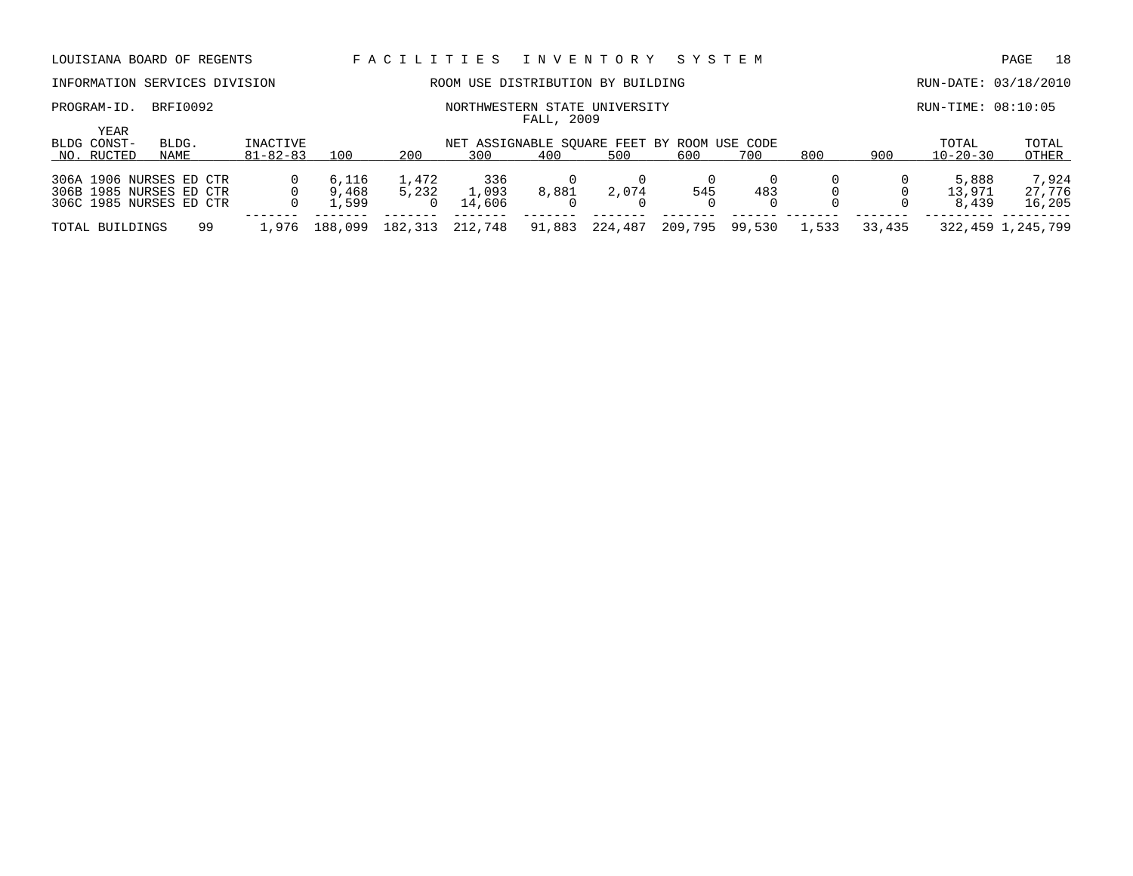# INFORMATION SERVICES DIVISION ROOM USE DISTRIBUTION BY BUILDING RUN-DATE: 03/18/2010

PROGRAM-ID. BRFI0092 **NORTHWESTERN STATE UNIVERSITY** NORTHWESTERN STATE ON LOST RUN-TIME: 08:10:05

| YEAR                    |       |                |         |         |                                             |        |         |         |        |       |        |                |                   |
|-------------------------|-------|----------------|---------|---------|---------------------------------------------|--------|---------|---------|--------|-------|--------|----------------|-------------------|
| BLDG CONST-             | BLDG. | INACTIVE       |         |         | NET ASSIGNABLE SOUARE FEET BY ROOM USE CODE |        |         |         |        |       |        | TOTAL          | TOTAL             |
| NO. RUCTED              | NAME  | $81 - 82 - 83$ | 100     | 200     | 300                                         | 400    | 500     | 600     | 700    | 800   | 900    | $10 - 20 - 30$ | OTHER             |
|                         |       |                |         |         |                                             |        |         |         |        |       |        |                |                   |
| 306A 1906 NURSES ED CTR |       |                | 6,116   | 1,472   | 336                                         |        |         |         |        |       |        | 5,888          | 7,924             |
| 306B 1985 NURSES ED CTR |       |                | 9,468   | 5,232   | .,093                                       | 8,881  | 2,074   | 545     | 483    |       |        | 13,971         | 27,776            |
| 306C 1985 NURSES ED CTR |       |                | .599    |         | 14.606                                      |        |         |         |        |       |        | 8,439          | 16,205            |
|                         |       |                |         |         |                                             |        |         |         |        |       |        |                |                   |
| TOTAL BUILDINGS         | 99    | .976           | 188,099 | 182,313 | 212,748                                     | 91,883 | 224,487 | 209,795 | 99,530 | 1,533 | 33,435 |                | 322,459 1,245,799 |

FALL, 2009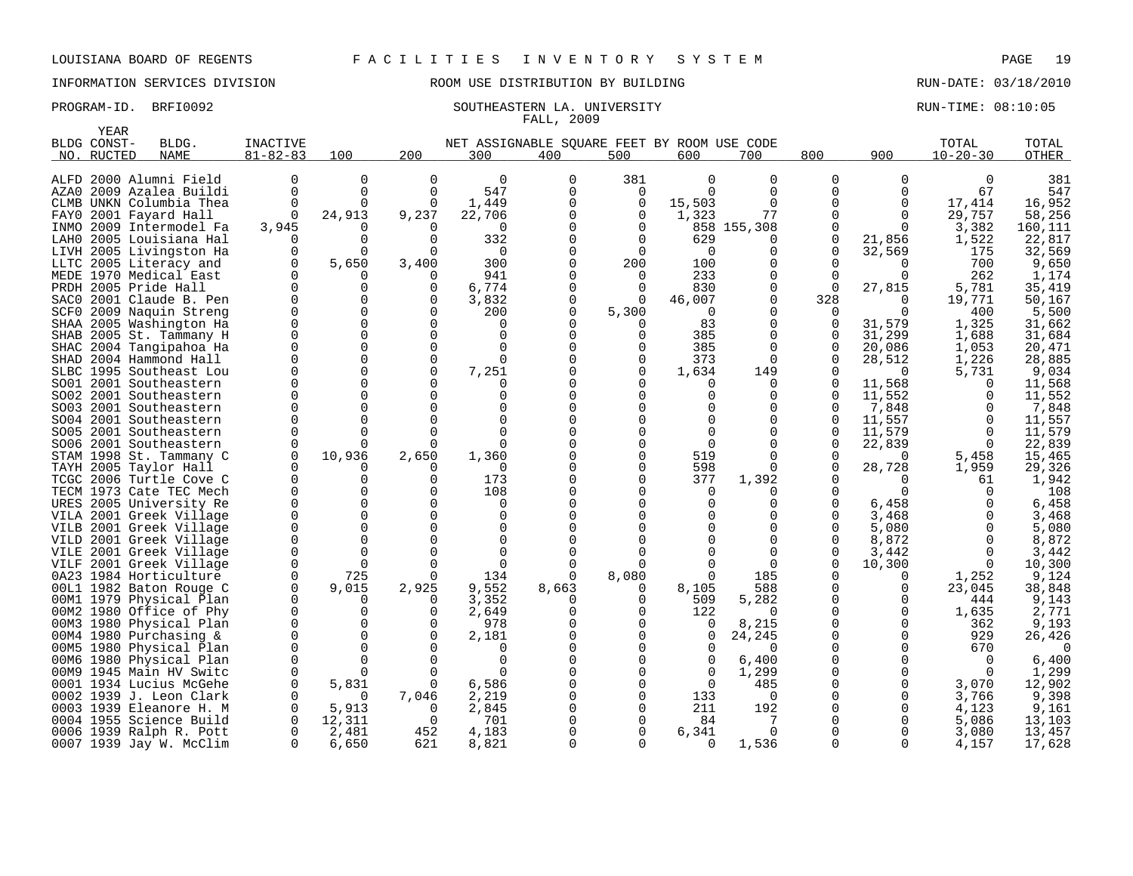### PROGRAM-ID. BRFI0092 SOUTHEASTERN LA. UNIVERSITY SALL ASSESS RUN-TIME: 08:10:05

YEAR

# INFORMATION SERVICES DIVISION ROOM USE DISTRIBUTION BY BUILDING RUN-DATE: 03/18/2010

# FALL, 2009

|      | BLDG CONST- | BLDG.                                         | <b>INACTIVE</b> |                      |              | NET ASSIGNABLE SQUARE FEET BY ROOM USE CODE |          |              |          |               |             |                | TOTAL          | TOTAL          |
|------|-------------|-----------------------------------------------|-----------------|----------------------|--------------|---------------------------------------------|----------|--------------|----------|---------------|-------------|----------------|----------------|----------------|
|      | NO. RUCTED  | <b>NAME</b>                                   | $81 - 82 - 83$  | 100                  | 200          | 300                                         | 400      | 500          | 600      | 700           | 800         | 900            | $10 - 20 - 30$ | <b>OTHER</b>   |
|      |             | ALFD 2000 Alumni Field                        | 0               | $\Omega$             | <sup>0</sup> | $\Omega$                                    | 0        | 381          | $\Omega$ | 0             | $\Omega$    | $\Omega$       | $\Omega$       | 381            |
| AZA0 |             | 2009 Azalea Buildi                            | 0               | $\Omega$             | $\Omega$     | 547                                         | $\Omega$ | $\mathbf 0$  | $\Omega$ | $\Omega$      | $\Omega$    | ∩              | 67             | 547            |
|      |             | CLMB UNKN Columbia Thea                       | $\Omega$        | $\Omega$             | $\Omega$     | 1,449                                       |          | 0            | 15,503   | $\Omega$      | $\Omega$    | $\Omega$       | 17,414         | 16,952         |
| FAY0 |             | 2001 Fayard Hall                              | $\Omega$        | 24,913               | 9,237        | 22,706                                      |          | $\Omega$     | 1,323    | 77            | $\Omega$    | $\Omega$       | 29,757         | 58,256         |
|      |             | INMO 2009 Intermodel Fa                       | 3,945           |                      |              | $\Omega$                                    |          | 0            |          | 858 155,308   | 0           | $\Omega$       | 3,382          | 160,111        |
| LAH0 |             | 2005 Louisiana Hal                            | O               | 0                    | ∩            | 332                                         |          | ∩            | 629      | 0             | O           | 21,856         | 1,522          | 22,817         |
|      |             | LIVH 2005 Livingston Ha                       | 0               | 0                    |              | $\Omega$                                    |          | $\Omega$     | $\Omega$ | U             | O           | 32,569         | 175            | 32,569         |
| LLTC |             | 2005 Literacy and                             | O               | 5,650                | 3,400        | 300                                         |          | 200          | 100      | U             |             |                | 700            | 9,650          |
|      |             | MEDE 1970 Medical East                        | $\Omega$        |                      | <sup>0</sup> | 941                                         |          | $\Omega$     | 233      | 0             | $\Omega$    |                | 262            | 1,174          |
|      |             | PRDH 2005 Pride Hall                          | 0               | O                    | $\Omega$     | 6,774                                       |          |              | 830      | U             | $\Omega$    | 27,815         | 5,781          | 35,419         |
|      |             | SACO 2001 Claude B. Pen                       | $\Omega$        | $\Omega$             | $\Omega$     | 3,832                                       |          | $\Omega$     | 46,007   | $\Omega$      | 328         |                | 19,771         | 50,167         |
|      |             | SCF0 2009 Naquin Streng                       | $\Omega$        | $\Omega$             |              | 200                                         |          | 5,300        | $\Omega$ | U             | $\Omega$    |                | 400            | 5,500          |
|      |             | SHAA 2005 Washington Ha                       | $\Omega$        | $\Omega$             |              | $\Omega$                                    |          |              | 83       | 0             | $\Omega$    | 31,579         | 1,325          | 31,662         |
|      |             | SHAB 2005 St. Tammany H                       | $\Omega$        | $\Omega$             |              | U                                           |          | ∩            | 385      | 0             | O           | 31,299         | 1,688          | 31,684         |
| SHAC |             | 2004 Tangipahoa Ha                            | $\Omega$        | $\Omega$             | $\Omega$     | $\Omega$                                    |          |              | 385      | $\Omega$      | $\mathbf 0$ | 20,086         | 1,053          | 20,471         |
|      |             | SHAD 2004 Hammond Hall                        | 0               | $\Omega$             | $\Omega$     | $\Omega$                                    |          | 0            | 373      | $\Omega$      | $\Omega$    | 28,512         | 1,226          | 28,885         |
|      |             | SLBC 1995 Southeast Lou                       | $\Omega$        | $\Omega$             | $\Omega$     | 7,251                                       |          | $\Omega$     | 1,634    | 149           | U           | $\cap$         | 5,731          | 9,034          |
|      |             | SO01 2001 Southeastern                        | 0               | $\Omega$             |              |                                             |          |              | 0        | 0             | $\Omega$    | 11,568         |                | 11,568         |
|      |             | SO02 2001 Southeastern                        | $\Omega$        | $\Omega$             |              |                                             |          |              | U        |               | U           | 11,552         |                | 11,552         |
|      |             | SO03 2001 Southeastern                        |                 | $\Omega$             |              | n                                           |          |              |          | U             | O           | 7,848          |                | 7,848          |
|      |             | SO04 2001 Southeastern                        |                 | U                    |              |                                             |          |              |          | U             | U           | 11,557         |                | 11,557         |
|      |             | SO05 2001 Southeastern                        | U               | U                    |              | $\Omega$                                    |          |              |          |               | O           | 11,579         |                | 11,579         |
|      |             | SO06 2001 Southeastern                        |                 |                      |              |                                             |          |              | 0        |               | U           | 22,839         |                | 22,839         |
|      |             | STAM 1998 St. Tammany C                       | $\Omega$        | 10,936               | 2,650        | 1,360                                       |          |              | 519      | U             | O           | $\Omega$       | 5,458          | 15,465         |
|      |             | TAYH 2005 Taylor Hall                         |                 |                      |              | $\Omega$                                    |          | ∩            | 598      |               |             | 28,728         | 1,959          | 29,326         |
|      |             | TCGC 2006 Turtle Cove C                       | $\Omega$        | 0                    |              | 173                                         |          |              | 377      | 1,392         |             |                | 61             | 1,942          |
|      |             | TECM 1973 Cate TEC Mech                       | U               | U                    |              | 108                                         |          |              | $\Omega$ |               |             |                |                | 108            |
|      |             | URES 2005 University Re                       | $\Omega$        | 0<br>U               |              | $\Omega$                                    |          |              | $\Omega$ | U             | O           | 6,458          |                | 6,458          |
|      |             | VILA 2001 Greek Village                       |                 |                      |              | U                                           |          |              |          | U             | $\Omega$    | 3,468          |                | 3,468          |
|      |             | VILB 2001 Greek Village                       | $\Omega$<br>0   | $\Omega$<br>$\Omega$ |              | U                                           |          |              |          | 0<br>$\Omega$ | O           | 5,080          | $\Omega$       | 5,080          |
| VILE |             | VILD 2001 Greek Village<br>2001 Greek Village | 0               | $\Omega$             |              |                                             |          |              |          | $\Omega$      |             | 8,872<br>3,442 |                | 8,872<br>3,442 |
|      |             | VILF 2001 Greek Village                       | 0               | $\Omega$             |              | $\Omega$                                    |          |              |          | $\Omega$      | $\Omega$    | 10,300         |                | 10,300         |
|      |             | 0A23 1984 Horticulture                        | $\Omega$        | 725                  |              | 134                                         |          | 8,080        | $\Omega$ | 185           |             |                | 1,252          | 9,124          |
|      |             | 00L1 1982 Baton Rouge C                       | $\Omega$        | 9,015                | 2,925        | 9,552                                       | 8,663    |              | 8,105    | 588           |             |                | 23,045         | 38,848         |
|      |             | 00M1 1979 Physical Plan                       | $\Omega$        | 0                    |              | 3,352                                       |          | ∩            | 509      | 5,282         |             |                | 444            | 9,143          |
|      |             | 00M2 1980 Office of Phy                       | $\Omega$        | $\Omega$             |              | 2,649                                       |          | ∩            | 122      | 0             | O           |                | 1,635          | 2.771          |
|      |             | 00M3 1980 Physical Plan                       | $\Omega$        | 0                    |              | 978                                         |          |              | 0        | 8,215         |             |                | 362            | 9,193          |
|      |             | 00M4 1980 Purchasing &                        | $\Omega$        | $\Omega$             |              | 2,181                                       |          |              | 0        | 24,245        |             |                | 929            | 26,426         |
|      |             | 00M5 1980 Physical Plan                       | 0               | 0                    |              |                                             |          |              | 0        | 0             |             |                | 670            |                |
|      |             | 00M6 1980 Physical Plan                       | $\Omega$        | 0                    |              | $\Omega$                                    |          |              | 0        | 6,400         |             |                |                | 6,400          |
|      |             | 00M9 1945 Main HV Switc                       | $\Omega$        |                      |              |                                             |          |              | $\Omega$ | 1,299         |             |                |                | 1,299          |
|      |             | 0001 1934 Lucius McGehe                       | $\Omega$        | 5,831                | ∩            | 6,586                                       |          |              | $\Omega$ | 485           |             |                | 3,070          | 12,902         |
|      |             | 0002 1939 J. Leon Clark                       |                 | $\Omega$             | 7,046        | 2,219                                       |          | ∩            | 133      | $\Omega$      |             |                | 3,766          | 9,398          |
|      |             | 0003 1939 Eleanore H. M                       | $\Omega$        | 5,913                |              | 2,845                                       |          |              | 211      | 192           |             |                | 4,123          | 9,161          |
|      |             | 0004 1955 Science Build                       |                 | 12,311               |              | 701                                         |          |              | 84       |               |             |                | 5,086          | 13,103         |
|      |             | 0006 1939 Ralph R. Pott                       | 0               | 2,481                | 452          | 4,183                                       |          |              | 6,341    | $\Omega$      |             |                | 3,080          | 13,457         |
|      |             | 0007 1939 Jay W. McClim                       | $\Omega$        | 6,650                | 621          | 8,821                                       |          | <sup>n</sup> | $\Omega$ | 1,536         | $\Omega$    |                | 4,157          | 17,628         |

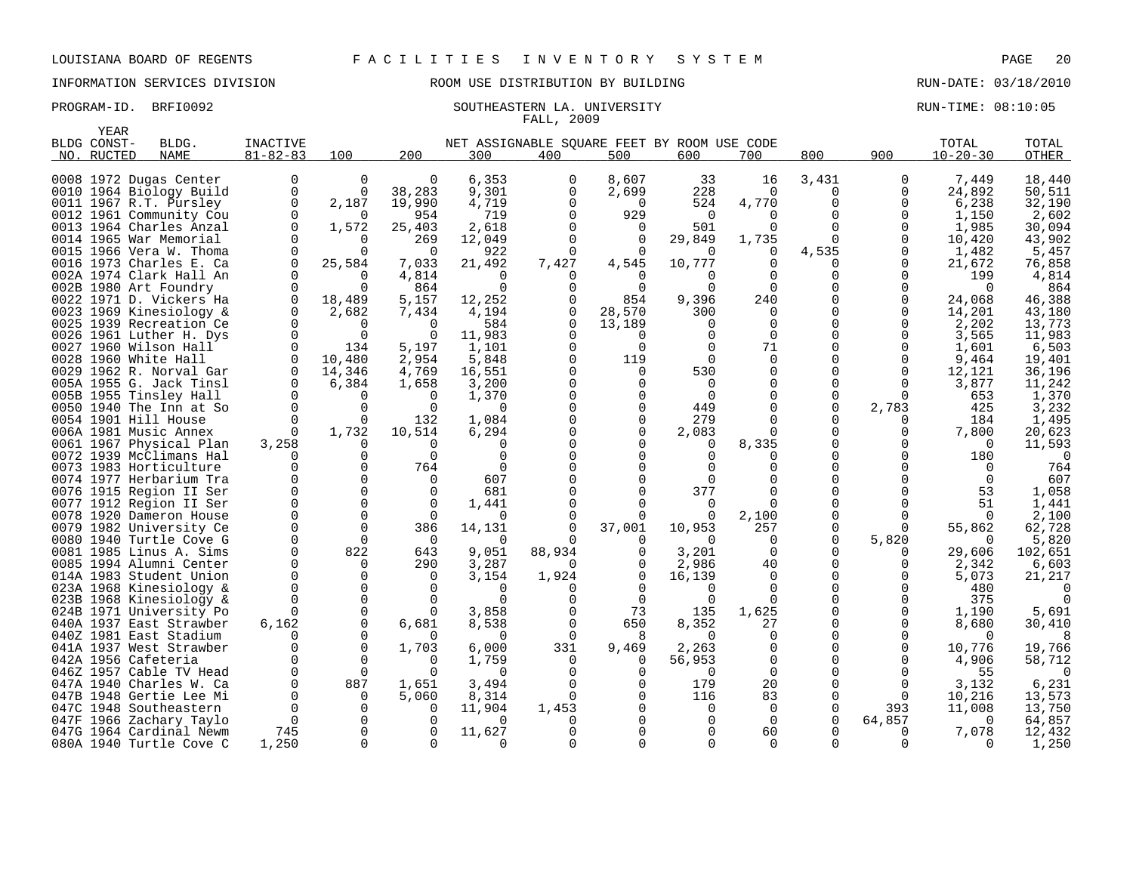# INFORMATION SERVICES DIVISION ROOM USE DISTRIBUTION BY BUILDING RUN-DATE: 03/18/2010

### PROGRAM-ID. BRFI0092 SOUTHEASTERN LA. UNIVERSITY SALL RUN-TIME: 08:10:05 FALL, 2009

|      | YEAR        |                                                    |                |             |                |                                             |              |                   |              |                   |            |          |                 |                  |
|------|-------------|----------------------------------------------------|----------------|-------------|----------------|---------------------------------------------|--------------|-------------------|--------------|-------------------|------------|----------|-----------------|------------------|
|      | BLDG CONST- | BLDG.                                              | INACTIVE       |             |                | NET ASSIGNABLE SQUARE FEET BY ROOM USE CODE |              |                   |              |                   |            |          | TOTAL           | TOTAL            |
|      | NO. RUCTED  | <b>NAME</b>                                        | $81 - 82 - 83$ | 100         | 200            | 300                                         | 400          | 500               | 600          | 700               | 800        | 900      | $10 - 20 - 30$  | OTHER            |
|      |             |                                                    | 0              | 0           | 0              | 6,353                                       | 0            | 8,607             | 33           | 16                | 3,431      | 0        |                 |                  |
|      |             | 0008 1972 Dugas Center<br>0010 1964 Biology Build  | $\Omega$       | $\Omega$    | 38,283         | 9,301                                       | $\Omega$     | 2,699             | 228          | $\Omega$          | $\Omega$   | 0        | 7,449<br>24,892 | 18,440<br>50,511 |
|      |             | 0011 1967 R.T. Pursley                             | $\Omega$       | 2,187       | 19,990         | 4,719                                       |              | $\Omega$          | 524          |                   | $\Omega$   | $\Omega$ | 6,238           | 32,190           |
|      |             |                                                    | $\Omega$       | $\Omega$    |                |                                             | $\Omega$     |                   | $\Omega$     | 4,770<br>$\Omega$ | $\Omega$   | 0        |                 |                  |
|      |             | 0012 1961 Community Cou                            | ∩              | 1,572       | 954<br>25,403  | 719                                         |              | 929<br>$\Omega$   | 501          | $\Omega$          | ∩          | $\Omega$ | 1,150           | 2,602<br>30,094  |
|      |             | 0013 1964 Charles Anzal                            |                | $\mathbf 0$ | 269            | 2,618                                       |              | $\Omega$          | 29,849       |                   | $\Omega$   | 0        | 1,985<br>10,420 | 43,902           |
|      |             | 0014 1965 War Memorial                             |                |             | $\Omega$       | 12,049                                      |              |                   |              | 1,735             |            |          |                 |                  |
|      |             | 0015 1966 Vera W. Thoma                            |                | 0<br>25,584 |                | 922                                         | 7,427        |                   | 10,777       | 0<br>0            | 4,535<br>0 | 0<br>0   | 1,482           | 5,457            |
|      |             | 0016 1973 Charles E. Ca<br>002A 1974 Clark Hall An |                | $\Omega$    | 7,033<br>4,814 | 21,492<br>$\Omega$                          |              | 4,545<br>$\Omega$ | $\Omega$     | $\Omega$          | U          | $\Omega$ | 21,672<br>199   | 76,858<br>4,814  |
|      |             | 002B 1980 Art Foundry                              |                | $\Omega$    | 864            | $\Omega$                                    |              | $\Omega$          | $\Omega$     | $\Omega$          |            | $\Omega$ | $\Omega$        | 864              |
|      |             | 0022 1971 D. Vickers Ha                            |                | 18,489      | 5,157          | 12,252                                      |              | 854               | 9,396        | 240               | 0          | 0        | 24,068          | 46,388           |
|      |             | 0023 1969 Kinesiology &                            |                | 2,682       | 7,434          | 4,194                                       | 0            | 28,570            | 300          | $\Omega$          | $\Omega$   | $\Omega$ | 14,201          | 43,180           |
|      |             | 0025 1939 Recreation Ce                            |                | $\Omega$    | $\Omega$       | 584                                         | $\Omega$     | 13,189            | $\Omega$     | $\Omega$          | 0          | $\Omega$ | 2,202           | 13,773           |
|      |             | 0026 1961 Luther H. Dys                            |                | $\Omega$    |                | 11,983                                      |              |                   |              | $\Omega$          |            | ∩        | 3,565           | 11,983           |
|      |             | 0027 1960 Wilson Hall                              |                | 134         | 5,197          | 1,101                                       |              | 0                 | 0            | 71                |            | $\Omega$ | 1,601           | 6,503            |
|      |             | 0028 1960 White Hall                               |                | 10,480      | 2,954          | 5,848                                       |              | 119               | $\Omega$     | $\Omega$          |            | 0        | 9,464           | 19,401           |
|      |             | 0029 1962 R. Norval Gar                            |                | 14,346      | 4,769          | 16,551                                      |              | $\Omega$          | 530          | $\Omega$          |            | $\Omega$ | 12,121          | 36,196           |
|      |             | 005A 1955 G. Jack Tinsl                            |                | 6,384       | 1,658          | 3,200                                       |              | 0                 | $\Omega$     | 0                 | O          | $\Omega$ | 3,877           | 11,242           |
|      |             | 005B 1955 Tinsley Hall                             |                | 0           | $\Omega$       | 1,370                                       |              | $\Omega$          | $\Omega$     | $\Omega$          |            |          | 653             | 1,370            |
|      |             | 0050 1940 The Inn at So                            |                | $\Omega$    | $\Omega$       | 0                                           |              | 0                 | 449          | $\Omega$          | 0          | 2,783    | 425             | 3,232            |
|      |             | 0054 1901 Hill House                               |                | U           | 132            | 1,084                                       |              | $\Omega$          | 279          | $\Omega$          |            |          | 184             | 1,495            |
|      |             | 006A 1981 Music Annex                              |                | 1,732       | 10,514         | 6,294                                       |              | $\overline{0}$    | 2,083        | 0                 |            | $\Omega$ | 7,800           | 20,623           |
|      |             | 0061 1967 Physical Plan                            | 3,258          | $\Omega$    | $\Omega$       | $\Omega$                                    |              |                   | 0            | 8,335             |            | ∩        | $\Omega$        | 11,593           |
|      |             | 0072 1939 McClimans Hal                            |                | $\Omega$    | $\Omega$       | $\Omega$                                    |              |                   |              | $\Omega$          |            |          | 180             | $\Omega$         |
|      |             | 0073 1983 Horticulture                             |                | 0           | 764            | $\mathbf 0$                                 |              |                   |              | 0                 |            |          |                 | 764              |
|      |             | 0074 1977 Herbarium Tra                            |                | $\Omega$    | $\Omega$       | 607                                         |              |                   | <sup>n</sup> | U                 |            |          | $\Omega$        | 607              |
|      |             | 0076 1915 Region II Ser                            |                | 0           | $\Omega$       | 681                                         |              |                   | 377          | $\Omega$          |            | O        | 53              | 1,058            |
|      |             | 0077 1912 Region II Ser                            |                | $\Omega$    | $\Omega$       | 1,441                                       |              |                   | $\Omega$     | $\Omega$          |            |          | 51              | 1,441            |
|      |             | 0078 1920 Dameron House                            |                | $\mathbf 0$ | $\Omega$       | $\Omega$                                    |              | 0                 | $\Omega$     | 2,100             | O          | $\Omega$ | $\Omega$        | 2,100            |
|      |             | 0079 1982 University Ce                            | $\Omega$       | $\Omega$    | 386            | 14,131                                      | 0            | 37,001            | 10,953       | 257               | $\Omega$   | $\Omega$ | 55,862          | 62,728           |
|      |             | 0080 1940 Turtle Cove G                            |                | $\Omega$    | $\Omega$       | $\Omega$                                    |              |                   | $\Omega$     | $\Omega$          | U          | 5,820    | $\Omega$        | 5,820            |
|      |             | 0081 1985 Linus A. Sims                            |                | 822         | 643            | 9,051                                       | 88,934       | 0                 | 3,201        | $\mathbf 0$       | O          | $\Omega$ | 29,606          | 102,651          |
|      |             | 0085 1994 Alumni Center                            |                | 0           | 290            | 3,287                                       | $\Omega$     | $\Omega$          | 2,986        | 40                | U          | $\Omega$ | 2,342           | 6,603            |
|      |             | 014A 1983 Student Union                            |                | $\mathbf 0$ | $\Omega$       | 3,154                                       | 1,924        | 0                 | 16,139       | 0                 | O          | 0        | 5,073           | 21,217           |
|      |             | 023A 1968 Kinesiology &                            |                | $\Omega$    |                | $\Omega$                                    |              |                   | $\Omega$     | $\Omega$          | U          | ∩        | 480             |                  |
|      |             | 023B 1968 Kinesiology &                            |                | $\mathbf 0$ | $\Omega$       | $\Omega$                                    |              | $\mathbf 0$       | $\Omega$     | $\Omega$          |            | O        | 375             |                  |
|      |             | 024B 1971 University Po                            |                | $\Omega$    |                | 3,858                                       |              | 73                | 135          | 1,625             |            | $\Omega$ | 1,190           | 5,691            |
|      |             | 040A 1937 East Strawber                            | 6,162          | $\mathbf 0$ | 6,681          | 8,538                                       | <sup>0</sup> | 650               | 8,352        | 27                |            | $\Omega$ | 8,680           | 30,410           |
|      |             | 040Z 1981 East Stadium                             |                | 0           |                | $\Omega$                                    | 0            | 8                 | $\Omega$     | 0                 | 0          | $\Omega$ |                 |                  |
|      |             | 041A 1937 West Strawber                            |                | $\Omega$    | 1,703          | 6,000                                       | 331          | 9,469             | 2,263        | 0                 |            | $\Omega$ | 10,776          | 19,766           |
|      |             | 042A 1956 Cafeteria                                |                | $\Omega$    | $\Omega$       | 1,759                                       | 0            | 0                 | 56,953       | $\mathbf 0$       |            | 0        | 4,906           | 58,712           |
|      |             | 046Z 1957 Cable TV Head                            |                | $\Omega$    | $\Omega$       | $\Omega$                                    |              | $\Omega$          | $\Omega$     | $\Omega$          |            | $\Omega$ | 55              | 0                |
|      |             | 047A 1940 Charles W. Ca                            | $\Omega$       | 887         | 1,651          | 3,494                                       |              | 0                 | 179          | 20                | 0          | 0        | 3,132           | 6,231            |
|      |             | 047B 1948 Gertie Lee Mi                            | ∩              | $\Omega$    | 5,060          | 8,314                                       | $\Omega$     | $\Omega$          | 116          | 83                | $\Omega$   | ∩        | 10,216          | 13,573           |
| 047C |             | 1948 Southeastern                                  |                | $\Omega$    | $\Omega$       | 11,904                                      | 1,453        |                   | $\Omega$     | $\Omega$          | $\Omega$   | 393      | 11,008          | 13,750           |
|      |             | 047F 1966 Zachary Taylo                            |                | $\Omega$    |                | $\Omega$                                    |              |                   | O            | 0                 | $\Omega$   | 64,857   |                 | 64,857           |
|      |             | 047G 1964 Cardinal Newm                            | 745            | $\Omega$    | <sup>n</sup>   | 11,627                                      |              |                   |              | 60                |            |          | 7,078           | 12,432           |
|      |             | 080A 1940 Turtle Cove C                            | 1,250          | $\Omega$    | $\Omega$       | $\Omega$                                    | $\Omega$     | $\Omega$          |              | $\Omega$          | ∩          | ∩        |                 | 1,250            |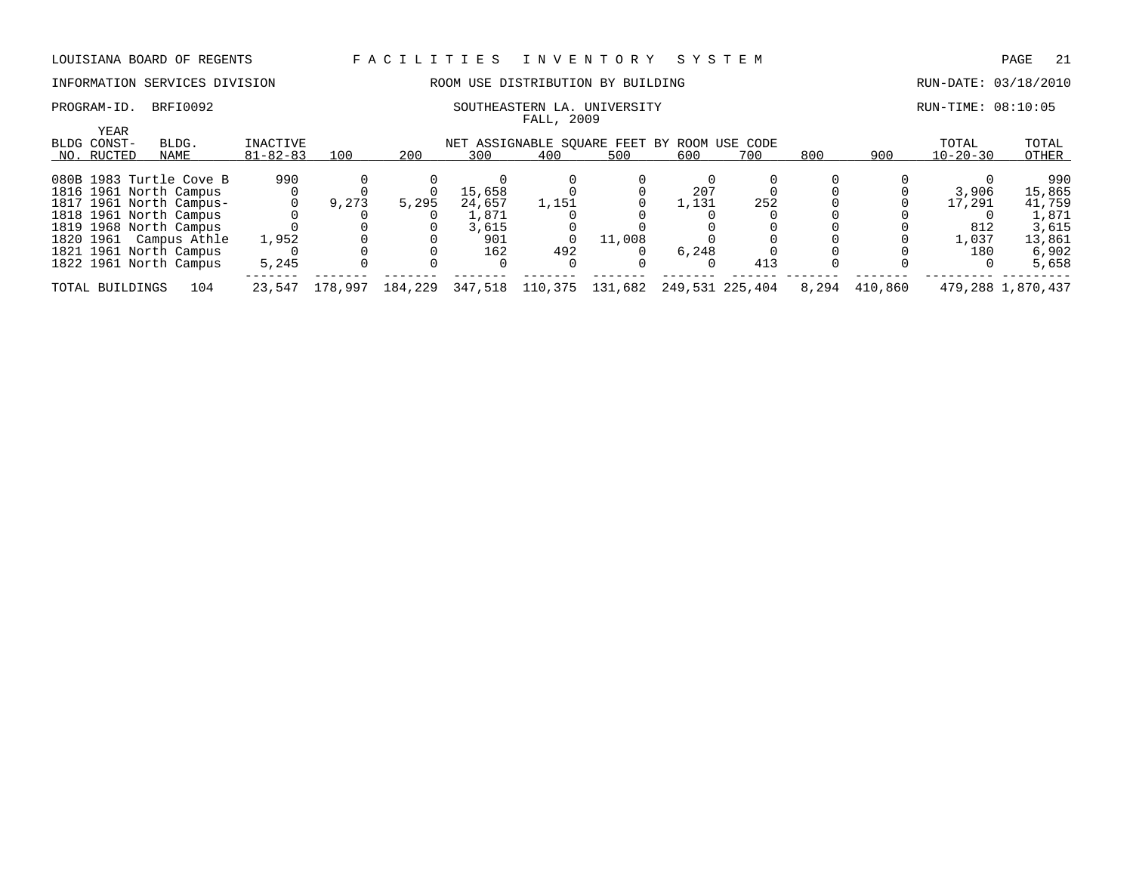### INFORMATION SERVICES DIVISION ROOM USE DISTRIBUTION BY BUILDING RUN-DATE: 03/18/2010

### PROGRAM-ID. BRFI0092 SOUTHEASTERN LA. UNIVERSITY SALL ASSESS RUN-TIME: 08:10:05 FALL, 2009

| YEAR<br>BLDG CONST-<br>NO. RUCTED | BLDG.<br>NAME           | INACTIVE<br>$81 - 82 - 83$ | 100     | 200     | 300     | NET ASSIGNABLE SQUARE FEET BY ROOM USE CODE<br>400 | 500     | 600   | 700             | 800   | 900     | TOTAL<br>$10 - 20 - 30$ | TOTAL<br>OTHER    |
|-----------------------------------|-------------------------|----------------------------|---------|---------|---------|----------------------------------------------------|---------|-------|-----------------|-------|---------|-------------------------|-------------------|
|                                   |                         |                            |         |         |         |                                                    |         |       |                 |       |         |                         |                   |
|                                   | 080B 1983 Turtle Cove B | 990                        |         |         |         |                                                    |         |       |                 |       |         |                         | 990               |
|                                   | 1816 1961 North Campus  |                            |         |         | 15,658  |                                                    |         | 207   |                 |       |         | 3,906                   | 15,865            |
|                                   | 1817 1961 North Campus- |                            | 9,273   | 5,295   | 24,657  | 1,151                                              |         | 1,131 | 252             |       |         | 17,291                  | 41,759            |
|                                   | 1818 1961 North Campus  |                            |         |         | 1,871   |                                                    |         |       |                 |       |         |                         | 1,871             |
|                                   | 1819 1968 North Campus  |                            |         |         | 3,615   |                                                    |         |       |                 |       |         | 812                     | 3,615             |
| 1820 1961                         | Campus Athle            | 1,952                      |         |         | 901     |                                                    | 11,008  |       |                 |       |         | 1,037                   | 13,861            |
|                                   | 1821 1961 North Campus  |                            |         |         | 162     | 492                                                |         | 6,248 |                 |       |         | 180                     | 6,902             |
|                                   | 1822 1961 North Campus  | 5,245                      |         |         |         |                                                    |         |       | 413             |       |         |                         | 5,658             |
| TOTAL BUILDINGS                   | 104                     | 23,547                     | 178,997 | 184,229 | 347,518 | 110,375                                            | 131,682 |       | 249,531 225,404 | 8,294 | 410,860 |                         | 479,288 1,870,437 |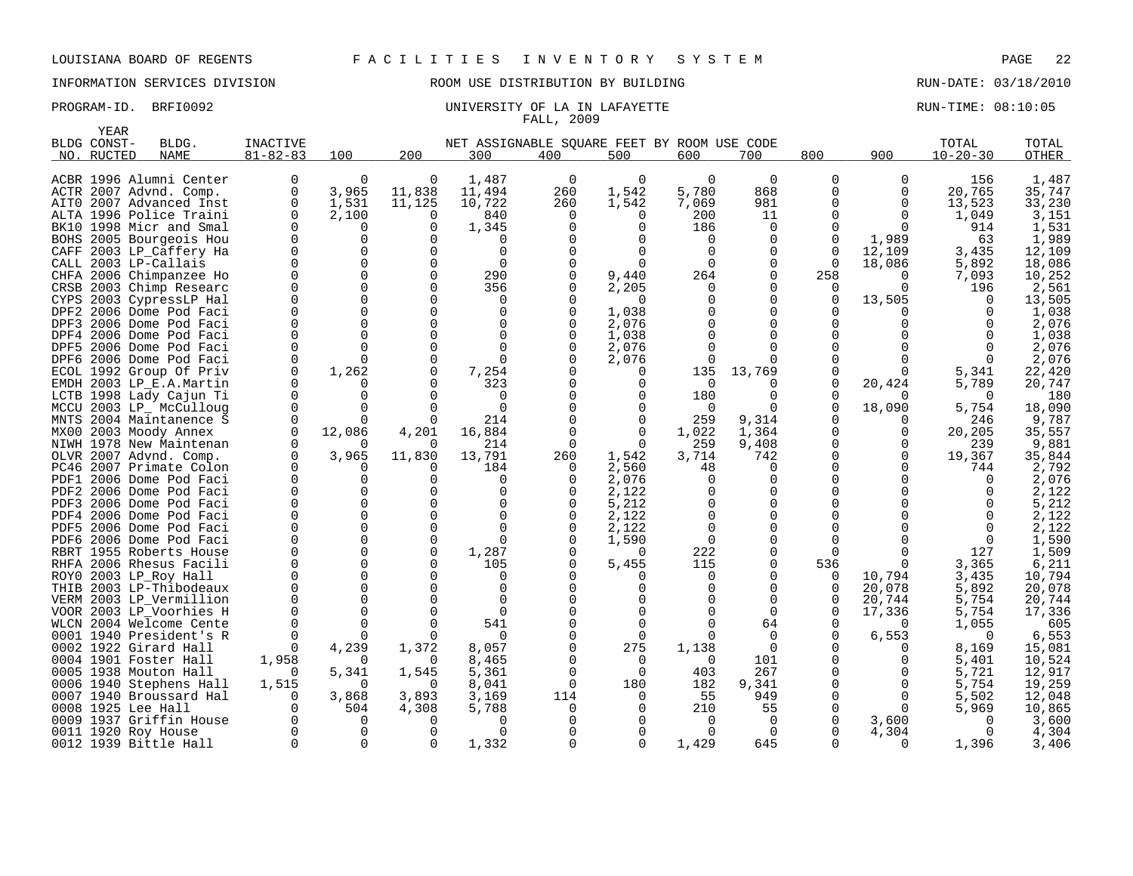INFORMATION SERVICES DIVISION ROOM USE DISTRIBUTION BY BUILDING RUN-DATE: 03/18/2010

|      | YEAR               |                                               |                |                      |               |                                             |              |              |                      |                      |                 |              |                |                 |
|------|--------------------|-----------------------------------------------|----------------|----------------------|---------------|---------------------------------------------|--------------|--------------|----------------------|----------------------|-----------------|--------------|----------------|-----------------|
|      | BLDG CONST-        | BLDG.                                         | INACTIVE       |                      |               | NET ASSIGNABLE SOUARE FEET BY ROOM USE CODE |              |              |                      |                      |                 |              | TOTAL          | TOTAL           |
|      | NO. RUCTED         | <b>NAME</b>                                   | $81 - 82 - 83$ | 100                  | 200           | 300                                         | 400          | 500          | 600                  | 700                  | 800             | 900          | $10 - 20 - 30$ | <b>OTHER</b>    |
|      |                    |                                               |                |                      |               |                                             |              |              |                      |                      |                 |              |                |                 |
|      |                    | ACBR 1996 Alumni Center                       | 0              | 0                    | $\Omega$      | 1,487                                       | 0            | 0            | 0                    | $\mathbf 0$          | 0               | 0            | 156            | 1,487           |
|      |                    | ACTR 2007 Advnd. Comp.                        | 0              | 3,965                | 11,838        | 11,494                                      | 260          | 1,542        | 5,780                | 868                  | 0               | 0            | 20,765         | 35,747          |
| AIT0 |                    | 2007 Advanced Inst                            | 0              | 1,531                | 11,125        | 10,722                                      | 260          | 1,542        | 7,069                | 981                  | 0               | 0            | 13,523         | 33,230          |
|      |                    | ALTA 1996 Police Traini                       | $\Omega$       | 2,100                | O             | 840                                         | 0            | $\Omega$     | 200                  | 11                   | 0               | $\Omega$     | 1,049          | 3,151           |
|      |                    | BK10 1998 Micr and Smal                       | $\Omega$       | 0                    | $\Omega$      | 1,345                                       |              | $\Omega$     | 186                  | $\Omega$             | <sup>0</sup>    | 0            | 914            | 1,531           |
|      |                    | BOHS 2005 Bourgeois Hou                       | $\Omega$       | $\Omega$             | ∩             | $\Omega$                                    |              | $\Omega$     | $\Omega$             | $\Omega$             | $\Omega$        | 1,989        | 63             | 1,989           |
|      |                    | CAFF 2003 LP_Caffery Ha                       | O<br>$\Omega$  | $\Omega$<br>$\Omega$ | ∩<br>$\Omega$ | $\Omega$<br>$\mathbf 0$                     |              | $\Omega$     | $\Omega$<br>$\Omega$ | $\Omega$<br>$\Omega$ | 0<br>$\Omega$   | 12,109       | 3,435          | 12,109          |
|      |                    | CALL 2003 LP-Callais                          | 0              | $\Omega$             | $\Omega$      | 290                                         |              | 9,440        | 264                  | $\Omega$             | 258             | 18,086<br>0  | 5,892<br>7,093 | 18,086          |
| CRSB |                    | CHFA 2006 Chimpanzee Ho<br>2003 Chimp Researc | 0              | 0                    | $\Omega$      | 356                                         |              | 2,205        | $\mathbf 0$          | 0                    | 0               | $\Omega$     | 196            | 10,252<br>2,561 |
| CYPS |                    | 2003 CypressLP Hal                            | U              | 0                    | ∩             | $\Omega$                                    |              | $\Omega$     | U                    | $\Omega$             | 0               | 13,505       | O.             | 13,505          |
| DPF2 |                    | 2006 Dome Pod Faci                            | $\Omega$       | $\Omega$             | $\Omega$      | 0                                           |              | 1,038        |                      | $\Omega$             | <sup>0</sup>    | <sup>0</sup> | $\Omega$       | 1,038           |
| DPF3 |                    | 2006 Dome Pod Faci                            | U              | $\Omega$             | ∩             | 0                                           |              | 2,076        |                      | ∩                    | <sup>0</sup>    |              | 0              | 2,076           |
| DPF4 |                    | 2006 Dome Pod Faci                            | U              | $\Omega$             | $\Omega$      | $\Omega$                                    |              | 1,038        |                      | ∩                    | U               |              |                | 1,038           |
| DPF5 |                    | 2006 Dome Pod Faci                            | $\Omega$       | 0                    | ∩             | $\Omega$                                    |              | 2,076        |                      | 0                    | <sup>0</sup>    |              | 0              | 2,076           |
|      |                    | DPF6 2006 Dome Pod Faci                       | 0              | 0                    | $\Omega$      | $\Omega$                                    |              | 2,076        | 0                    | 0                    | 0               | <sup>0</sup> | 0              | 2,076           |
| ECOL |                    | 1992 Group Of Priv                            | $\Omega$       | 1,262                | $\Omega$      | 7,254                                       |              | O            | 135                  | 13,769               | $\Omega$        | 0            | 5,341          | 22,420          |
|      |                    | EMDH 2003 LP_E.A.Martin                       | $\Omega$       | 0                    | O             | 323                                         |              | $\Omega$     | $\Omega$             | O                    | 0               | 20,424       | 5,789          | 20,747          |
| LCTB |                    | 1998 Lady Cajun Ti                            | $\Omega$       | 0                    | ∩             | $\Omega$                                    |              |              | 180                  | ∩                    | <sup>0</sup>    | 0            | $\Omega$       | 180             |
| MCCU |                    | 2003 LP_ McCulloug                            | $\Omega$       | 0                    | ∩             | $\mathbf 0$                                 |              | 0            | 0                    | 0                    | 0               | 18,090       | 5,754          | 18,090          |
| MNTS |                    | 2004 Maintanence S                            |                | U                    |               | 214                                         |              | $\Omega$     | 259                  | 9,314                | $\Omega$        | 0            | 246            | 9,787           |
| MX00 |                    | 2003 Moody Annex                              | $\Omega$       | 12,086               | 4,201         | 16,884                                      |              | 0            | 1,022                | 1,364                | 0               | 0            | 20,205         | 35,557          |
|      |                    | NIWH 1978 New Maintenan                       | $\Omega$       |                      |               | 214                                         | $\Omega$     | $\Omega$     | 259                  | 9,408                | 0               | 0            | 239            | 9,881           |
| OLVR |                    | 2007 Advnd. Comp.                             | $\Omega$       | 3,965                | 11,830        | 13,791                                      | 260          | 1,542        | 3,714                | 742                  | 0               | $\Omega$     | 19,367         | 35,844          |
|      |                    | PC46 2007 Primate Colon                       | O              | O                    |               | 184                                         | 0            | 2,560        | 48                   | $\Omega$             | 0               | <sup>0</sup> | 744            | 2,792           |
| PDF1 |                    | 2006 Dome Pod Faci                            | $\Omega$       | 0                    | ∩             | $\Omega$                                    | <sup>0</sup> | 2,076        | $\Omega$             | $\Omega$             | U               | ∩            | $\Omega$       | 2,076           |
| PDF2 |                    | 2006 Dome Pod Faci                            | $\Omega$       | $\Omega$             | ∩             | $\mathbf 0$                                 |              | 2,122        |                      | $\Omega$             | 0               |              | 0              | 2,122           |
| PDF3 |                    | 2006 Dome Pod Faci                            | U              | 0                    |               | $\Omega$                                    |              | 5,212        |                      | $\Omega$             | U               |              |                | 5,212           |
| PDF4 |                    | 2006 Dome Pod Faci                            | $\Omega$       | $\Omega$             | $\Omega$      | $\Omega$                                    |              | 2,122        |                      | $\Omega$             | $\Omega$        |              | $\Omega$       | 2,122           |
|      |                    | PDF5 2006 Dome Pod Faci                       | U<br>0         | 0<br>0               | ∩<br>$\Omega$ | $\Omega$<br>$\Omega$                        | <sup>0</sup> | 2,122        | <sup>0</sup>         | 0                    | $\Omega$        |              | $\Omega$       | 2,122           |
| PDF6 |                    | 2006 Dome Pod Faci                            | O              | $\Omega$             | $\Omega$      |                                             |              | 1,590<br>∩   | 0<br>222             | 0                    | 0               | U            | 0              | 1,590           |
| RHFA |                    | RBRT 1955 Roberts House<br>2006 Rhesus Facili | 0              | 0                    | $\Omega$      | 1,287<br>105                                |              | 5,455        | 115                  | 0<br>0               | $\Omega$<br>536 | $\Omega$     | 127<br>3,365   | 1,509<br>6,211  |
| ROY0 |                    | 2003 LP_Roy Hall                              | $\Omega$       | $\Omega$             |               | $\Omega$                                    |              | ∩            | $\Omega$             | $\Omega$             | 0               | 10,794       | 3,435          | 10,794          |
| THIB |                    | 2003 LP-Thibodeaux                            | U              | $\Omega$             |               | $\Omega$                                    |              | <sup>0</sup> | O                    | $\Omega$             | 0               | 20,078       | 5,892          | 20,078          |
|      |                    | VERM 2003 LP_Vermillion                       | $\Omega$       | $\Omega$             |               | $\Omega$                                    |              | $\Omega$     |                      | $\Omega$             | 0               | 20,744       | 5,754          | 20,744          |
|      |                    | VOOR 2003 LP Voorhies H                       |                | $\Omega$             |               | $\Omega$                                    |              |              |                      | $\Omega$             | $\Omega$        | 17,336       | 5,754          | 17,336          |
| WLCN |                    | 2004 Welcome Cente                            | $\Omega$       | 0                    | ∩             | 541                                         |              | $\Omega$     |                      | 64                   | 0               | $\Omega$     | 1,055          | 605             |
|      |                    | 0001 1940 President's R                       | $\Omega$       | 0                    |               | <sup>n</sup>                                |              | $\Omega$     | <sup>n</sup>         | $\Omega$             | 0               | 6,553        | $\Omega$       | 6,553           |
| 0002 |                    | 1922 Girard Hall                              | $\Omega$       | 4,239                | 1,372         | 8,057                                       |              | 275          | 1,138                | 0                    | <sup>0</sup>    | 0            | 8,169          | 15,081          |
|      |                    | 0004 1901 Foster Hall                         | 1,958          | 0                    | $\Omega$      | 8,465                                       |              | $\Omega$     | $\Omega$             | 101                  | 0               | <sup>0</sup> | 5,401          | 10,524          |
|      |                    | 0005 1938 Mouton Hall                         | $\Omega$       | 5,341                | 1,545         | 5,361                                       |              | $\Omega$     | 403                  | 267                  | 0               | 0            | 5,721          | 12,917          |
|      |                    | 0006 1940 Stephens Hall                       | 1,515          | 0                    | ∩             | 8,041                                       | 0            | 180          | 182                  | 9,341                | 0               | 0            | 5,754          | 19,259          |
|      |                    | 0007 1940 Broussard Hal                       | O              | 3,868                | 3,893         | 3,169                                       | 114          | $\Omega$     | 55                   | 949                  | $\Omega$        | $\Omega$     | 5,502          | 12,048          |
|      | 0008 1925 Lee Hall |                                               | $\Omega$       | 504                  | 4,308         | 5,788                                       | 0            | <sup>0</sup> | 210                  | 55                   | 0               | $\Omega$     | 5,969          | 10,865          |
|      |                    | 0009 1937 Griffin House                       | O              | 0                    |               | <sup>0</sup>                                |              | <sup>0</sup> | 0                    | 0                    | 0               | 3,600        | $\Omega$       | 3,600           |
|      |                    | 0011 1920 Roy House                           | O              | 0                    | ∩             | $\Omega$                                    |              |              | $\Omega$             | $\Omega$             | <sup>0</sup>    | 4,304        | $\Omega$       | 4,304           |
|      |                    | 0012 1939 Bittle Hall                         | $\Omega$       | $\Omega$             | ∩             | 1,332                                       | $\Omega$     | $\Omega$     | 1,429                | 645                  | U               | $\Omega$     | 1,396          | 3,406           |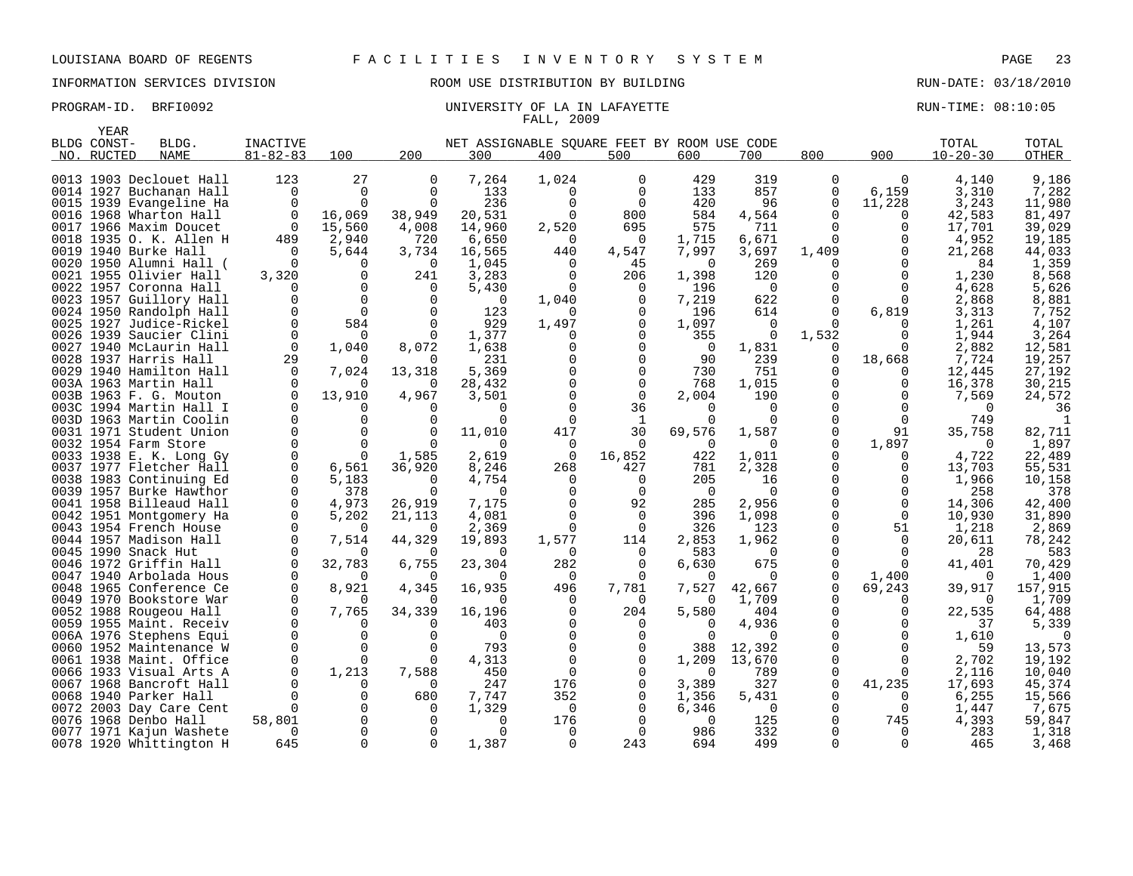| YEAR        |                                                    |                |              |          |                                             |                   |               |                 |                  |                      |          |                |                  |
|-------------|----------------------------------------------------|----------------|--------------|----------|---------------------------------------------|-------------------|---------------|-----------------|------------------|----------------------|----------|----------------|------------------|
| BLDG CONST- | BLDG.                                              | INACTIVE       |              |          | NET ASSIGNABLE SQUARE FEET BY ROOM USE CODE |                   |               |                 |                  |                      |          | TOTAL          | TOTAL            |
| NO. RUCTED  | <b>NAME</b>                                        | $81 - 82 - 83$ | 100          | 200      | 300                                         | 400               | 500           | 600             | 700              | 800                  | 900      | $10 - 20 - 30$ | OTHER            |
|             |                                                    |                |              |          |                                             |                   |               |                 |                  |                      |          |                |                  |
|             | 0013 1903 Declouet Hall                            | 123            | 27           | 0        | 7,264                                       | 1,024             | 0             | 429             | 319              | 0                    | $\Omega$ | 4,140          | 9,186            |
|             | 0014 1927 Buchanan Hall                            | $\Omega$       | $\Omega$     | 0        | 133                                         | $\Omega$          | $\Omega$      | 133             | 857              | 0                    | 6,159    | 3,310          | 7,282            |
|             | 0015 1939 Evangeline Ha                            | $\Omega$       |              | $\Omega$ | 236                                         | $\cap$            | $\Omega$      | 420             | 96               | $\Omega$             | 11,228   | 3,243          | 11,980           |
|             | 0016 1968 Wharton Hall                             | 0              | 16,069       | 38,949   | 20,531                                      | $\Omega$          | 800           | 584             | 4,564            | 0                    | 0        | 42,583         | 81,497           |
|             | 0017 1966 Maxim Doucet                             | $\Omega$       | 15,560       | 4,008    | 14,960                                      | 2,520             | 695           | 575             | 711              | $\Omega$             | U        | 17,701         | 39,029           |
|             | 0018 1935 O. K. Allen H                            | 489            | 2,940        | 720      | 6,650                                       | $\Omega$          | 0             | 1,715           | 6,671            | 0                    | $\Omega$ | 4,952          | 19,185           |
|             | 0019 1940 Burke Hall                               | $\Omega$       | 5,644        | 3,734    | 16,565                                      | 440               | 4,547         | 7,997           | 3,697            | 1,409                | $\Omega$ | 21,268         | 44,033           |
|             | 0020 1950 Alumni Hall (                            | $\Omega$       | n            | $\Omega$ | 1,045                                       | $\Omega$          | 45            | $\Omega$        | 269              | $\Omega$             | O        | 84             | 1,359            |
|             | 0021 1955 Olivier Hall                             | 3,320          |              | 241      | 3,283                                       | $\Omega$          | 206           | 1,398           | 120              | O                    |          | 1,230          | 8,568            |
|             | 0022 1957 Coronna Hall                             |                | $\Omega$     | 0        | 5,430                                       | $\Omega$          | $\Omega$      | 196             | $\Omega$         | U                    | U        | 4,628          | 5,626            |
|             | 0023 1957 Guillory Hall                            |                |              | 0        | 0                                           | 1,040             | 0             | 7,219           | 622              | 0                    | $\Omega$ | 2,868          | 8,881            |
|             | 0024 1950 Randolph Hall                            | $\Omega$       | 584          | $\Omega$ | 123<br>929                                  | $\Omega$<br>1,497 | 0<br>0        | 196             | 614<br>$\Omega$  | $\Omega$<br>$\Omega$ | 6,819    | 3,313<br>1,261 | 7,752            |
|             | 0025 1927 Judice-Rickel                            | $\Omega$       |              |          |                                             |                   | $\Omega$      | 1,097           | $\Omega$         |                      |          |                | 4,107            |
|             | 0026 1939 Saucier Clini<br>0027 1940 McLaurin Hall | $\Omega$       |              | 8,072    | 1,377<br>1,638                              | ∩                 | $\Omega$      | 355<br>$\Omega$ | 1,831            | 1,532<br>$\Omega$    | U        | 1,944<br>2,882 | 3,264<br>12,581  |
|             | 0028 1937 Harris Hall                              | 29             | 1,040        | 0        | 231                                         |                   |               | 90              | 239              | 0                    | 18,668   | 7,724          | 19,257           |
|             | 0029 1940 Hamilton Hall                            | $\Omega$       | 7,024        | 13,318   | 5,369                                       |                   | $\Omega$      | 730             | 751              | O                    | $\Omega$ | 12,445         | 27,192           |
|             | 003A 1963 Martin Hall                              |                | <sup>n</sup> | $\Omega$ | 28,432                                      |                   | $\Omega$      | 768             | 1,015            | $\Omega$             | O        | 16,378         | 30,215           |
|             | 003B 1963 F. G. Mouton                             |                | 13,910       | 4,967    | 3,501                                       |                   | $\Omega$      | 2,004           | 190              | U                    | O        | 7,569          | 24,572           |
|             | 003C 1994 Martin Hall I                            |                |              | 0        | ∩                                           |                   | 36            | $\Omega$        | $\Omega$         | U                    |          |                | 36               |
|             | 003D 1963 Martin Coolin                            |                |              |          |                                             |                   | 1             |                 | 0                |                      | $\Omega$ | 749            |                  |
|             | 0031 1971 Student Union                            |                |              |          | 11,010                                      | 417               | 30            | 69,576          | 1,587            | O                    | 91       | 35,758         | 82,711           |
|             | 0032 1954 Farm Store                               |                |              |          |                                             | $\Omega$          |               | $\Omega$        | $\Omega$         | $\Omega$             | 1,897    |                | 1,897            |
|             | 0033 1938 E. K. Long Gy                            |                |              | 1,585    | 2,619                                       | 0                 | 16,852        | 422             | 1,011            | 0                    | $\Omega$ | 4,722          | 22,489           |
|             | 0037 1977 Fletcher Hall                            |                | 6,561        | 36,920   | 8,246                                       | 268               | 427           | 781             | 2,328            | 0                    | U        | 13,703         | 55,531           |
|             | 0038 1983 Continuing Ed                            | $\Omega$       | 5,183        | $\Omega$ | 4,754                                       | $\Omega$          | 0             | 205             | 16               | O                    |          | 1,966          | 10,158           |
|             | 0039 1957 Burke Hawthor                            | $\Omega$       | 378          | $\Omega$ | ∩                                           |                   | $\Omega$      | $\Omega$        | $\Omega$         | O                    |          | 258            | 378              |
|             | 0041 1958 Billeaud Hall                            | 0              | 4,973        | 26,919   | 7,175                                       |                   | 92            | 285             | 2,956            | O                    | $\Omega$ | 14,306         | 42,400           |
|             | 0042 1951 Montgomery Ha                            | $\Omega$       | 5,202        | 21,113   | 4,081                                       |                   | $\mathbf 0$   | 396             | 1,098            | 0                    | $\Omega$ | 10,930         | 31,890           |
|             | 0043 1954 French House                             | 0              |              | $\Omega$ | 2,369                                       | $\Omega$          | $\Omega$      | 326             | 123              | $\Omega$             | 51       | 1,218          | 2,869            |
|             | 0044 1957 Madison Hall                             | $\Omega$       | 7,514        | 44,329   | 19,893                                      | 1,577             | 114           | 2,853           | 1,962            | 0                    | $\Omega$ | 20,611         | 78,242           |
|             | 0045 1990 Snack Hut                                |                |              |          | ∩                                           | $\Omega$          | $\Omega$      | 583             | $\Omega$         | O                    | O        | 28             | 583              |
|             | 0046 1972 Griffin Hall                             | $\Omega$       | 32,783       | 6,755    | 23,304                                      | 282               | 0             | 6,630           | 675              | O                    | $\Omega$ | 41,401         | 70,429           |
|             | 0047 1940 Arbolada Hous                            | ∩              |              | $\Omega$ | ∩                                           | $\Omega$          | $\Omega$      | $\Omega$        | $\Omega$         | 0                    | 1,400    |                | 1,400            |
|             | 0048 1965 Conference Ce                            |                | 8,921        | 4,345    | 16,935                                      | 496               | 7,781         | 7,527           | 42,667           | O                    | 69,243   | 39,917         | 157,915          |
|             | 0049 1970 Bookstore War                            | O              |              | $\Omega$ | ∩                                           | $\Omega$          | 0             | $\Omega$        | 1,709            | 0                    | O        | $\Omega$       | 1,709            |
|             | 0052 1988 Rougeou Hall                             |                | 7,765        | 34,339   | 16,196                                      |                   | 204           | 5,580           | 404              | U                    | U        | 22,535         | 64,488           |
|             | 0059 1955 Maint. Receiv                            |                | $\Omega$     | 0        | 403                                         |                   | 0             | O               | 4,936            | O                    | $\Omega$ | 37             | 5,339            |
|             | 006A 1976 Stephens Equi                            |                |              | ∩<br>∩   | $\Omega$<br>793                             |                   | $\Omega$      |                 |                  | O<br>O               |          | 1,610          |                  |
|             | 0060 1952 Maintenance W                            |                |              | 0        | 4,313                                       | $\cap$            | $\Omega$<br>0 | 388<br>1,209    | 12,392<br>13,670 | 0                    | $\Omega$ | 59             | 13,573<br>19,192 |
|             | 0061 1938 Maint. Office<br>0066 1933 Visual Arts A |                | 1,213        | 7,588    | 450                                         | $\cap$            |               | $\Omega$        | 789              | $\Omega$             | ∩        | 2,702<br>2,116 | 10,040           |
|             | 0067 1968 Bancroft Hall                            |                |              | $\Omega$ | 247                                         | 176               | 0             | 3,389           | 327              | 0                    | 41,235   | 17,693         | 45,374           |
|             | 0068 1940 Parker Hall                              |                |              | 680      | 7,747                                       | 352               | $\Omega$      | 1,356           | 5,431            | O                    |          | 6,255          | 15,566           |
|             | 0072 2003 Day Care Cent                            |                |              | $\Omega$ | 1,329                                       | $\Omega$          |               | 6,346           | $\Omega$         | $\Omega$             | $\Omega$ | 1,447          | 7,675            |
|             | 0076 1968 Denbo Hall                               | 58,801         |              |          | O                                           | 176               |               | $\Omega$        | 125              | O                    | 745      | 4,393          | 59,847           |
|             | 0077 1971 Kajun Washete                            | 0              |              | 0        | $\Omega$                                    | $\Omega$          | $\Omega$      | 986             | 332              | O                    | $\Omega$ | 283            | 1,318            |
|             | 0078 1920 Whittington H                            | 645            |              | $\Omega$ | 1,387                                       | $\Omega$          | 243           | 694             | 499              |                      | O        | 465            | 3,468            |
|             |                                                    |                |              |          |                                             |                   |               |                 |                  |                      |          |                |                  |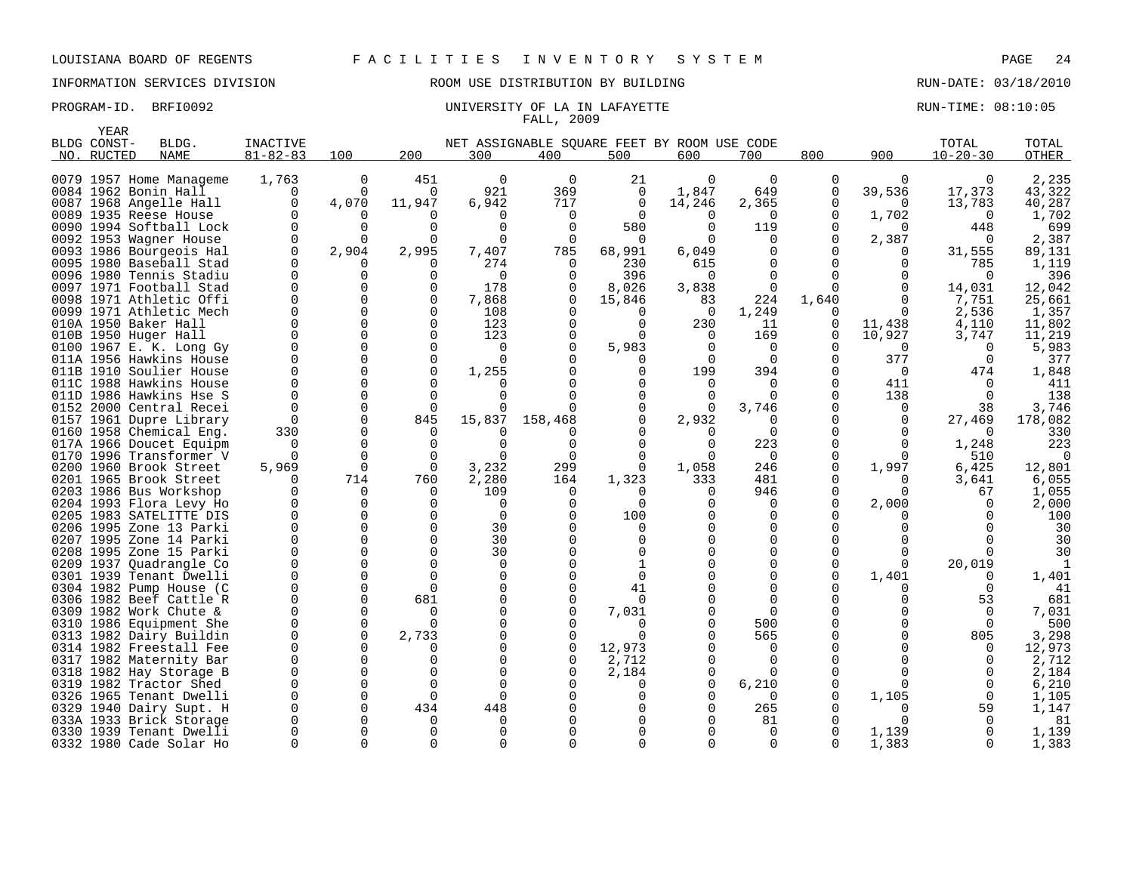INFORMATION SERVICES DIVISION ROOM USE DISTRIBUTION BY BUILDING RUN-DATE: 03/18/2010

|      | YEAR        |                                                    |                      |                      |                          |              |                                             |                      |                |                      |               |                    |                      |                 |
|------|-------------|----------------------------------------------------|----------------------|----------------------|--------------------------|--------------|---------------------------------------------|----------------------|----------------|----------------------|---------------|--------------------|----------------------|-----------------|
|      | BLDG CONST- | BLDG.                                              | <b>INACTIVE</b>      |                      |                          |              | NET ASSIGNABLE SOUARE FEET BY ROOM USE CODE |                      |                |                      |               |                    | TOTAL                | TOTAL           |
|      | NO. RUCTED  | <b>NAME</b>                                        | $81 - 82 - 83$       | 100                  | 200                      | 300          | 400                                         | 500                  | 600            | 700                  | 800           | 900                | $10 - 20 - 30$       | <b>OTHER</b>    |
|      |             |                                                    |                      |                      |                          |              |                                             |                      |                |                      |               |                    |                      |                 |
|      |             | 0079 1957 Home Manageme                            | 1,763                | 0                    | 451                      | $\mathbf 0$  | $\mathbf 0$                                 | 21                   | $\Omega$       | $\Omega$             | 0             | $\Omega$           | 0                    | 2,235           |
|      |             | 0084 1962 Bonin Hall                               | 0                    | 0                    | $\Omega$                 | 921          | 369                                         | 0                    | 1,847          | 649                  | 0             | 39,536             | 17,373               | 43,322          |
|      |             | 0087 1968 Angelle Hall                             | $\mathbf 0$          | 4,070                | 11,947                   | 6,942        | 717                                         | $\mathbf 0$          | 14,246         | 2,365                | 0             | $\Omega$           | 13,783               | 40,287          |
|      |             | 0089 1935 Reese House                              | $\Omega$             | 0                    |                          | $\Omega$     | $\Omega$                                    | $\Omega$             | $\Omega$       | $\Omega$             | 0             | 1,702              | $\Omega$             | 1,702           |
|      |             | 0090 1994 Softball Lock                            | $\Omega$             | 0                    | $\Omega$                 | $\Omega$     | $\Omega$                                    | 580                  | $\Omega$       | 119                  | $\Omega$      | 0                  | 448                  | 699             |
|      |             | 0092 1953 Wagner House                             | $\Omega$             | $\Omega$             | $\Omega$                 | $\Omega$     | $\Omega$                                    | $\Omega$             |                | $\Omega$             | $\Omega$      | 2,387              | $\Omega$             | 2,387           |
|      |             | 0093 1986 Bourgeois Hal                            | $\Omega$             | 2,904                | 2,995                    | 7,407        | 785                                         | 68,991               | 6,049          |                      |               | $\Omega$           | 31,555               | 89,131          |
|      |             | 0095 1980 Baseball Stad                            | $\Omega$             | <sup>0</sup>         | $\Omega$                 | 274          | $\Omega$                                    | 230                  | 615            | $\Omega$             | $\Omega$      | 0                  | 785                  | 1,119           |
|      |             | 0096 1980 Tennis Stadiu                            | $\Omega$<br>$\Omega$ | 0                    | <sup>0</sup><br>$\Omega$ | $\Omega$     | $\Omega$                                    | 396                  | $\Omega$       | $\Omega$             | $\Omega$      | <sup>0</sup>       | <sup>0</sup>         | 396             |
| 0097 |             | 1971 Football Stad                                 | $\Omega$             | 0<br>$\Omega$        | $\Omega$                 | 178          | $\Omega$                                    | 8,026                | 3,838          | $\Omega$<br>224      |               |                    | 14,031               | 12,042          |
|      |             | 0098 1971 Athletic Offi<br>0099 1971 Athletic Mech | $\Omega$             | $\Omega$             | $\Omega$                 | 7,868<br>108 | $\Omega$<br>$\Omega$                        | 15,846               | 83<br>$\Omega$ |                      | 1,640         | 0                  | 7,751                | 25,661          |
|      |             | 010A 1950 Baker Hall                               | $\Omega$             | $\Omega$             | $\Omega$                 | 123          | ∩                                           | $\Omega$<br>$\Omega$ | 230            | 1,249<br>11          | $\Omega$<br>0 | $\Omega$           | 2,536<br>4,110       | 1,357<br>11,802 |
|      |             | 010B 1950 Huger Hall                               | $\Omega$             | $\Omega$             | $\Omega$                 | 123          |                                             |                      |                | 169                  |               | 11,438             | 3,747                | 11,219          |
| 0100 |             |                                                    | $\Omega$             | $\Omega$             | $\Omega$                 | $\Omega$     |                                             | 5,983                | $\Omega$       | $\Omega$             | 0<br>0        | 10,927<br>$\Omega$ | $\Omega$             | 5,983           |
|      |             | 1967 E. K. Long Gy<br>011A 1956 Hawkins House      | $\Omega$             | $\Omega$             | $\Omega$                 | $\Omega$     |                                             |                      | $\Omega$       | $\Omega$             | 0             | 377                | $\Omega$             | 377             |
| 011B |             | 1910 Soulier House                                 | $\Omega$             | 0                    | $\Omega$                 | 1,255        |                                             | $\Omega$             | 199            | 394                  | $\Omega$      | 0                  | 474                  | 1,848           |
|      |             | 011C 1988 Hawkins House                            | $\Omega$             | 0                    | $\Omega$                 |              |                                             |                      | $\Omega$       | $\Omega$             | 0             | 411                | n                    | 411             |
|      |             | 011D 1986 Hawkins Hse S                            | $\Omega$             | $\Omega$             | $\Omega$                 | U            |                                             | $\Omega$             |                |                      | $\Omega$      | 138                | $\Omega$             | 138             |
|      |             | 0152 2000 Central Recei                            | $\Omega$             | 0                    | $\mathbf 0$              |              |                                             | 0                    | $\Omega$       | 3,746                |               | 0                  | 38                   | 3,746           |
|      |             | 0157 1961 Dupre Library                            |                      | $\Omega$             | 845                      | 15,837       | 158,468                                     |                      | 2,932          |                      |               | 0                  | 27,469               | 178,082         |
|      |             | 0160 1958 Chemical Eng.                            | 330                  | $\Omega$             | $\Omega$                 |              |                                             |                      |                | $\Omega$             | $\Omega$      | 0                  | $\Omega$             | 330             |
|      |             | 017A 1966 Doucet Equipm                            | ∩                    | $\Omega$             |                          |              | ∩                                           | $\Omega$             |                | 223                  | $\Omega$      | 0                  | 1,248                | 223             |
| 0170 |             | 1996 Transformer V                                 | $\Omega$             | $\Omega$             | $\Omega$                 | $\cap$       | ∩                                           | $\Omega$             |                | $\Omega$             | $\Omega$      | 0                  | 510                  | $\Omega$        |
|      |             | 0200 1960 Brook Street                             | 5,969                | $\mathbf 0$          | $\Omega$                 | 3,232        | 299                                         | $\Omega$             | 1,058          | 246                  | 0             | 1,997              | 6,425                | 12,801          |
|      |             | 0201 1965 Brook Street                             | n                    | 714                  | 760                      | 2,280        | 164                                         | 1,323                | 333            | 481                  | $\Omega$      | 0                  | 3,641                | 6,055           |
|      |             | 0203 1986 Bus Workshop                             | $\Omega$             | 0                    | $\Omega$                 | 109          | $\Omega$                                    | $\Omega$             | $\Omega$       | 946                  | 0             | 0                  | 67                   | 1,055           |
|      |             | 0204 1993 Flora Levy Ho                            | $\Omega$             | $\Omega$             | U                        | $\Omega$     | ∩                                           | $\Omega$             |                |                      | $\Omega$      | 2,000              | $\Omega$             | 2,000           |
|      |             | 0205 1983 SATELITTE DIS                            | $\Omega$             | $\mathbf 0$          | $\Omega$                 | $\Omega$     | ∩                                           | 100                  |                | ∩                    |               |                    |                      | 100             |
|      |             | 0206 1995 Zone 13 Parki                            | $\Omega$             | $\Omega$             | $\Omega$                 | 30           |                                             |                      |                |                      | ∩             |                    |                      | 30              |
| 0207 |             | 1995 Zone 14 Parki                                 | $\Omega$             | $\mathbf 0$          | $\Omega$                 | 30           |                                             | $\Omega$             |                |                      |               |                    |                      | 30              |
|      |             | 0208 1995 Zone 15 Parki                            | $\Omega$             | $\Omega$             | $\Omega$                 | 30           |                                             |                      |                |                      | O             |                    |                      | 30              |
| 0209 |             | 1937 Quadrangle Co                                 | $\Omega$             | 0                    | $\Omega$                 | $\Omega$     |                                             |                      |                |                      | $\Omega$      | 0                  | 20,019               |                 |
| 0301 |             | 1939 Tenant Dwelli                                 | $\Omega$             | $\mathbf 0$          | $\Omega$                 | $\Omega$     |                                             | $\Omega$             |                |                      | $\Omega$      | 1,401              | $\Omega$             | 1,401           |
|      |             | 0304 1982 Pump House (C                            | $\Omega$             | 0                    |                          |              |                                             | 41                   |                |                      |               |                    | $\Omega$             | 41              |
|      |             | 0306 1982 Beef Cattle R                            | $\Omega$             | $\mathbf 0$          | 681                      | $\Omega$     | ∩                                           | $\Omega$             |                |                      |               | U                  | 53                   | 681             |
|      |             | 0309 1982 Work Chute &                             | $\Omega$             | $\Omega$             |                          | $\Omega$     | O                                           | 7,031                |                | $\Omega$             | ∩             |                    | $\Omega$             | 7,031           |
| 0310 |             | 1986 Equipment She                                 | $\Omega$             | $\mathbf 0$          | $\Omega$                 | $\cap$       |                                             | $\Omega$             |                | 500                  |               |                    | $\Omega$             | 500             |
|      |             | 0313 1982 Dairy Buildin                            | $\Omega$             | $\Omega$             | 2,733                    | ∩            | $\Omega$                                    | $\Omega$             |                | 565                  | $\Omega$      |                    | 805                  | 3,298           |
| 0314 |             | 1982 Freestall Fee                                 | $\mathbf 0$          | 0                    |                          |              | $\mathbf 0$                                 | 12,973               |                | $\Omega$             |               |                    | $\Omega$             | 12,973          |
|      |             | 0317 1982 Maternity Bar                            | $\Omega$             | $\Omega$             | U                        | ∩            | ∩                                           | 2,712                |                |                      |               |                    | $\Omega$             | 2,712           |
|      |             | 0318 1982 Hay Storage B                            | $\Omega$             | 0                    |                          | U            |                                             | 2,184                |                |                      | $\Omega$      | <sup>0</sup>       | $\Omega$             | 2,184           |
| 0319 |             | 1982 Tractor Shed                                  | $\Omega$             | $\Omega$             | $\Omega$                 | $\Omega$     |                                             | $\Omega$             |                | 6,210                | 0             | 0                  | $\Omega$             | 6,210           |
|      |             | 0326 1965 Tenant Dwelli                            | $\Omega$             | $\Omega$             |                          |              |                                             |                      |                |                      | ∩             | 1,105              | $\Omega$             | 1,105           |
| 0329 |             | 1940 Dairy Supt. H                                 | $\Omega$             | $\Omega$             | 434                      | 448          |                                             |                      |                | 265                  |               | 0                  | 59                   | 1,147           |
|      |             | 033A 1933 Brick Storage                            | $\Omega$             | 0                    |                          | n<br>n       |                                             |                      |                | 81                   | 0             |                    |                      | 81              |
|      |             | 0330 1939 Tenant Dwelli                            | $\Omega$             | $\Omega$<br>$\Omega$ | $\Omega$                 | $\Omega$     |                                             |                      |                | $\Omega$<br>$\Omega$ |               | 1,139              | $\Omega$<br>$\Omega$ | 1,139           |
|      |             | 0332 1980 Cade Solar Ho                            |                      |                      |                          |              |                                             |                      |                |                      | $\Omega$      | 1,383              |                      | 1,383           |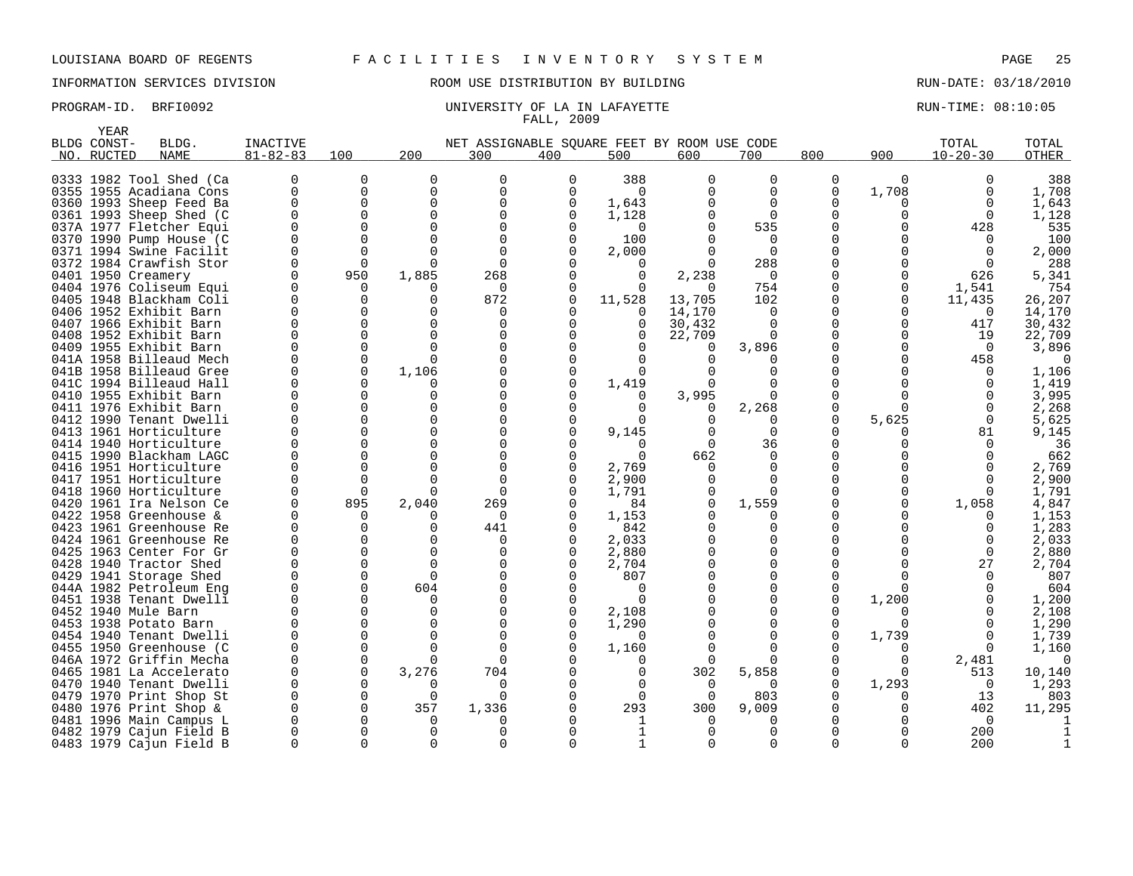YEAR

## INFORMATION SERVICES DIVISION ROOM USE DISTRIBUTION BY BUILDING RUN-DATE: 03/18/2010

| NET ASSIGNABLE SQUARE FEET BY ROOM USE CODE<br>800<br>$81 - 82 - 83$<br>100<br>200<br>300<br>400<br>500<br>600<br>700<br>NO. RUCTED<br><b>NAME</b><br>388<br>0333 1982 Tool Shed (Ca<br>0<br>0<br>0<br>0<br>0<br>0<br>0<br>0<br>$\Omega$<br>$\Omega$<br>$\mathbf 0$<br>0355 1955 Acadiana Cons<br>0<br>$\Omega$<br>0<br>$\Omega$<br>0<br>$\Omega$<br>$\Omega$<br>0360 1993 Sheep Feed Ba<br>0<br>$\Omega$<br>$\Omega$<br>1,643<br>$\Omega$<br>$\Omega$<br>0<br>0361 1993 Sheep Shed (C<br>$\Omega$<br>0<br>1,128<br>$\Omega$<br><sup>0</sup><br>037A 1977 Fletcher Equi<br>0<br>0<br>$\Omega$<br>535<br><sup>0</sup><br>$\Omega$<br>0<br>100<br>0370 1990 Pump House (C<br>∩<br>$\Omega$<br>0371 1994 Swine Facilit<br>$\Omega$<br>$\Omega$<br>2,000<br>$\Omega$<br>288<br>0372 1984 Crawfish Stor<br>0<br>U<br>$\Omega$<br>950<br>0401 1950 Creamery<br>1,885<br>268<br>$\Omega$<br>U<br>$\Omega$<br>2,238<br>O<br>0404 1976 Coliseum Equi<br>754<br>U<br>$\Omega$<br>102<br>0405 1948 Blackham Coli<br>872<br>11,528<br>13,705<br>U<br>0<br>$\Omega$<br><sup>0</sup><br>0406 1952 Exhibit Barn<br>14,170<br>O<br>$\Omega$<br><sup>0</sup><br>∩ | $10 - 20 - 30$<br>900<br>$\Omega$<br>1,708 | <b>OTHER</b><br>388<br>1,708<br>$\Omega$<br>1,643<br>$\Omega$<br>1,128<br>$\Omega$<br>535<br>428<br>100<br>0<br>2,000 |
|--------------------------------------------------------------------------------------------------------------------------------------------------------------------------------------------------------------------------------------------------------------------------------------------------------------------------------------------------------------------------------------------------------------------------------------------------------------------------------------------------------------------------------------------------------------------------------------------------------------------------------------------------------------------------------------------------------------------------------------------------------------------------------------------------------------------------------------------------------------------------------------------------------------------------------------------------------------------------------------------------------------------------------------------------------------------------------------------------------------------------------------------------|--------------------------------------------|-----------------------------------------------------------------------------------------------------------------------|
|                                                                                                                                                                                                                                                                                                                                                                                                                                                                                                                                                                                                                                                                                                                                                                                                                                                                                                                                                                                                                                                                                                                                                  |                                            |                                                                                                                       |
|                                                                                                                                                                                                                                                                                                                                                                                                                                                                                                                                                                                                                                                                                                                                                                                                                                                                                                                                                                                                                                                                                                                                                  |                                            |                                                                                                                       |
|                                                                                                                                                                                                                                                                                                                                                                                                                                                                                                                                                                                                                                                                                                                                                                                                                                                                                                                                                                                                                                                                                                                                                  |                                            |                                                                                                                       |
|                                                                                                                                                                                                                                                                                                                                                                                                                                                                                                                                                                                                                                                                                                                                                                                                                                                                                                                                                                                                                                                                                                                                                  |                                            |                                                                                                                       |
|                                                                                                                                                                                                                                                                                                                                                                                                                                                                                                                                                                                                                                                                                                                                                                                                                                                                                                                                                                                                                                                                                                                                                  |                                            |                                                                                                                       |
|                                                                                                                                                                                                                                                                                                                                                                                                                                                                                                                                                                                                                                                                                                                                                                                                                                                                                                                                                                                                                                                                                                                                                  |                                            |                                                                                                                       |
|                                                                                                                                                                                                                                                                                                                                                                                                                                                                                                                                                                                                                                                                                                                                                                                                                                                                                                                                                                                                                                                                                                                                                  |                                            |                                                                                                                       |
|                                                                                                                                                                                                                                                                                                                                                                                                                                                                                                                                                                                                                                                                                                                                                                                                                                                                                                                                                                                                                                                                                                                                                  |                                            |                                                                                                                       |
|                                                                                                                                                                                                                                                                                                                                                                                                                                                                                                                                                                                                                                                                                                                                                                                                                                                                                                                                                                                                                                                                                                                                                  |                                            | 288                                                                                                                   |
|                                                                                                                                                                                                                                                                                                                                                                                                                                                                                                                                                                                                                                                                                                                                                                                                                                                                                                                                                                                                                                                                                                                                                  |                                            | 626<br>5,341                                                                                                          |
|                                                                                                                                                                                                                                                                                                                                                                                                                                                                                                                                                                                                                                                                                                                                                                                                                                                                                                                                                                                                                                                                                                                                                  | U<br>1,541                                 | 754                                                                                                                   |
|                                                                                                                                                                                                                                                                                                                                                                                                                                                                                                                                                                                                                                                                                                                                                                                                                                                                                                                                                                                                                                                                                                                                                  | 11,435<br><sup>0</sup>                     | 26,207                                                                                                                |
|                                                                                                                                                                                                                                                                                                                                                                                                                                                                                                                                                                                                                                                                                                                                                                                                                                                                                                                                                                                                                                                                                                                                                  |                                            | 14,170<br>$\Omega$                                                                                                    |
| 0<br>$\Omega$<br>0407 1966 Exhibit Barn<br>$\Omega$<br>0<br>30,432<br>$\Omega$                                                                                                                                                                                                                                                                                                                                                                                                                                                                                                                                                                                                                                                                                                                                                                                                                                                                                                                                                                                                                                                                   | $\Omega$                                   | 417<br>30,432                                                                                                         |
| 0408 1952 Exhibit Barn<br>$\Omega$<br>$\Omega$<br>$\Omega$<br>22,709<br><sup>n</sup><br><sup>0</sup>                                                                                                                                                                                                                                                                                                                                                                                                                                                                                                                                                                                                                                                                                                                                                                                                                                                                                                                                                                                                                                             | U                                          | 22,709<br>19                                                                                                          |
| 1955 Exhibit Barn<br>$\Omega$<br>$\Omega$<br>3,896<br>0409<br>0                                                                                                                                                                                                                                                                                                                                                                                                                                                                                                                                                                                                                                                                                                                                                                                                                                                                                                                                                                                                                                                                                  | U                                          | 3,896<br>$\Omega$                                                                                                     |
| 041A 1958 Billeaud Mech<br>$\Omega$<br>$\Omega$<br>∩<br><sup>0</sup>                                                                                                                                                                                                                                                                                                                                                                                                                                                                                                                                                                                                                                                                                                                                                                                                                                                                                                                                                                                                                                                                             |                                            | 458                                                                                                                   |
| 041B 1958 Billeaud Gree<br>$\Omega$<br>1,106<br>U                                                                                                                                                                                                                                                                                                                                                                                                                                                                                                                                                                                                                                                                                                                                                                                                                                                                                                                                                                                                                                                                                                |                                            | 1,106                                                                                                                 |
| 041C 1994 Billeaud Hall<br>1,419<br>U<br>$\Omega$<br>U<br><sup>0</sup>                                                                                                                                                                                                                                                                                                                                                                                                                                                                                                                                                                                                                                                                                                                                                                                                                                                                                                                                                                                                                                                                           |                                            | 1,419                                                                                                                 |
| 0410 1955 Exhibit Barn<br>3,995<br>0<br>$\Omega$<br>U<br>$\Omega$                                                                                                                                                                                                                                                                                                                                                                                                                                                                                                                                                                                                                                                                                                                                                                                                                                                                                                                                                                                                                                                                                |                                            | 3,995                                                                                                                 |
| 0411 1976 Exhibit Barn<br>0<br>$\Omega$<br>$\Omega$<br>2,268<br>0<br>$\Omega$                                                                                                                                                                                                                                                                                                                                                                                                                                                                                                                                                                                                                                                                                                                                                                                                                                                                                                                                                                                                                                                                    | ∩                                          | 2,268                                                                                                                 |
| 0412 1990 Tenant Dwelli<br>U<br>U                                                                                                                                                                                                                                                                                                                                                                                                                                                                                                                                                                                                                                                                                                                                                                                                                                                                                                                                                                                                                                                                                                                | 5,625                                      | 5,625<br>$\Omega$                                                                                                     |
| 0413 1961 Horticulture<br>U<br>$\Omega$<br>9,145<br>∩<br><sup>0</sup>                                                                                                                                                                                                                                                                                                                                                                                                                                                                                                                                                                                                                                                                                                                                                                                                                                                                                                                                                                                                                                                                            |                                            | 9,145<br>81                                                                                                           |
| 0414 1940 Horticulture<br>36<br>∩<br>∩<br><sup>n</sup><br>U                                                                                                                                                                                                                                                                                                                                                                                                                                                                                                                                                                                                                                                                                                                                                                                                                                                                                                                                                                                                                                                                                      |                                            | 36                                                                                                                    |
| 0415 1990 Blackham LAGC<br>U<br>662<br>$\Omega$<br>$\Omega$<br>O                                                                                                                                                                                                                                                                                                                                                                                                                                                                                                                                                                                                                                                                                                                                                                                                                                                                                                                                                                                                                                                                                 |                                            | 662                                                                                                                   |
| 0416 1951 Horticulture<br>O<br>$\Omega$<br>2,769<br>U<br>∩                                                                                                                                                                                                                                                                                                                                                                                                                                                                                                                                                                                                                                                                                                                                                                                                                                                                                                                                                                                                                                                                                       |                                            | 2,769                                                                                                                 |
| 0417<br>1951 Horticulture<br>O<br>$\Omega$<br>2,900<br>∩                                                                                                                                                                                                                                                                                                                                                                                                                                                                                                                                                                                                                                                                                                                                                                                                                                                                                                                                                                                                                                                                                         |                                            | 2,900                                                                                                                 |
| 0418 1960 Horticulture<br>0<br>$\Omega$<br>1,791<br>∩                                                                                                                                                                                                                                                                                                                                                                                                                                                                                                                                                                                                                                                                                                                                                                                                                                                                                                                                                                                                                                                                                            |                                            | 1,791                                                                                                                 |
| 0420<br>1961 Ira Nelson Ce<br>O<br>895<br>2,040<br>269<br>$\Omega$<br>1,559<br>84                                                                                                                                                                                                                                                                                                                                                                                                                                                                                                                                                                                                                                                                                                                                                                                                                                                                                                                                                                                                                                                                | 1,058                                      | 4,847                                                                                                                 |
| 0422 1958 Greenhouse &<br>0<br>1,153<br><sup>0</sup><br>0<br>O                                                                                                                                                                                                                                                                                                                                                                                                                                                                                                                                                                                                                                                                                                                                                                                                                                                                                                                                                                                                                                                                                   |                                            | 1,153                                                                                                                 |
| 0423 1961 Greenhouse Re<br>O<br>441<br>842<br>0<br>∩<br>O                                                                                                                                                                                                                                                                                                                                                                                                                                                                                                                                                                                                                                                                                                                                                                                                                                                                                                                                                                                                                                                                                        |                                            | 1,283                                                                                                                 |
| 2,033<br>0424 1961 Greenhouse Re<br>0<br>U<br><sup>0</sup><br>$\Omega$                                                                                                                                                                                                                                                                                                                                                                                                                                                                                                                                                                                                                                                                                                                                                                                                                                                                                                                                                                                                                                                                           |                                            | 2,033                                                                                                                 |
| 0425 1963 Center For Gr<br>2,880<br>U<br>$\Omega$<br>∩<br>U<br>$\Omega$                                                                                                                                                                                                                                                                                                                                                                                                                                                                                                                                                                                                                                                                                                                                                                                                                                                                                                                                                                                                                                                                          |                                            | 2,880<br>$\Omega$                                                                                                     |
| 0428 1940 Tractor Shed<br>0<br>2,704<br><sup>0</sup><br>O<br>∩<br>$\Omega$<br><sup>0</sup>                                                                                                                                                                                                                                                                                                                                                                                                                                                                                                                                                                                                                                                                                                                                                                                                                                                                                                                                                                                                                                                       |                                            | 2,704<br>27                                                                                                           |
| 0429 1941 Storage Shed<br>807<br>0<br>604<br>U<br>$\Omega$<br>0<br>$\Omega$                                                                                                                                                                                                                                                                                                                                                                                                                                                                                                                                                                                                                                                                                                                                                                                                                                                                                                                                                                                                                                                                      | U                                          | 807<br>604                                                                                                            |
| 044A 1982 Petroleum Eng<br>0451 1938 Tenant Dwelli<br>∩<br><sup>0</sup><br>∩                                                                                                                                                                                                                                                                                                                                                                                                                                                                                                                                                                                                                                                                                                                                                                                                                                                                                                                                                                                                                                                                     | 1,200                                      | 1,200                                                                                                                 |
| 0452 1940 Mule Barn<br>U<br>2,108<br>O                                                                                                                                                                                                                                                                                                                                                                                                                                                                                                                                                                                                                                                                                                                                                                                                                                                                                                                                                                                                                                                                                                           |                                            | 2,108                                                                                                                 |
| 0453 1938 Potato Barn<br>1,290<br>U<br>$\Omega$<br>U<br>0                                                                                                                                                                                                                                                                                                                                                                                                                                                                                                                                                                                                                                                                                                                                                                                                                                                                                                                                                                                                                                                                                        |                                            | 1,290                                                                                                                 |
| 0454 1940 Tenant Dwelli<br>0<br>$\Omega$<br><sup>0</sup><br>n                                                                                                                                                                                                                                                                                                                                                                                                                                                                                                                                                                                                                                                                                                                                                                                                                                                                                                                                                                                                                                                                                    | 1,739                                      | 1,739                                                                                                                 |
| 0455 1950 Greenhouse (C<br>0<br>$\Omega$<br>1,160                                                                                                                                                                                                                                                                                                                                                                                                                                                                                                                                                                                                                                                                                                                                                                                                                                                                                                                                                                                                                                                                                                |                                            | 1,160                                                                                                                 |
| 0<br>046A 1972 Griffin Mecha<br>$\Omega$<br>$\Omega$<br>O<br>O                                                                                                                                                                                                                                                                                                                                                                                                                                                                                                                                                                                                                                                                                                                                                                                                                                                                                                                                                                                                                                                                                   | 0<br>2,481                                 | 0                                                                                                                     |
| 3,276<br>704<br>5,858<br>0465 1981 La Accelerato<br>0<br>302<br><sup>0</sup><br>0                                                                                                                                                                                                                                                                                                                                                                                                                                                                                                                                                                                                                                                                                                                                                                                                                                                                                                                                                                                                                                                                |                                            | 513<br>10,140                                                                                                         |
| 1940 Tenant Dwelli<br>0470<br>0<br>0<br><sup>0</sup><br>$\Omega$                                                                                                                                                                                                                                                                                                                                                                                                                                                                                                                                                                                                                                                                                                                                                                                                                                                                                                                                                                                                                                                                                 | 1,293                                      | 1,293<br>$\Omega$                                                                                                     |
| 0479 1970 Print Shop St<br>803<br>0<br>$\Omega$<br>$\Omega$<br>$\Omega$                                                                                                                                                                                                                                                                                                                                                                                                                                                                                                                                                                                                                                                                                                                                                                                                                                                                                                                                                                                                                                                                          |                                            | 13<br>803                                                                                                             |
| 357<br>293<br>0480 1976 Print Shop &<br>0<br>1,336<br>300<br>9,009<br><sup>0</sup>                                                                                                                                                                                                                                                                                                                                                                                                                                                                                                                                                                                                                                                                                                                                                                                                                                                                                                                                                                                                                                                               |                                            | 11,295<br>402                                                                                                         |
| 1996 Main Campus L<br>0481<br>U<br><sup>0</sup><br>O<br><sup>0</sup><br>0<br>U                                                                                                                                                                                                                                                                                                                                                                                                                                                                                                                                                                                                                                                                                                                                                                                                                                                                                                                                                                                                                                                                   |                                            | $\Omega$                                                                                                              |
| 0482 1979 Cajun Field B<br>$\Omega$<br>0                                                                                                                                                                                                                                                                                                                                                                                                                                                                                                                                                                                                                                                                                                                                                                                                                                                                                                                                                                                                                                                                                                         |                                            | 200                                                                                                                   |
| 0483 1979 Cajun Field B<br>0<br>$\Omega$<br>$\Omega$<br>$\Omega$<br>∩<br>$\Omega$<br>0                                                                                                                                                                                                                                                                                                                                                                                                                                                                                                                                                                                                                                                                                                                                                                                                                                                                                                                                                                                                                                                           | $\Omega$                                   | 200                                                                                                                   |

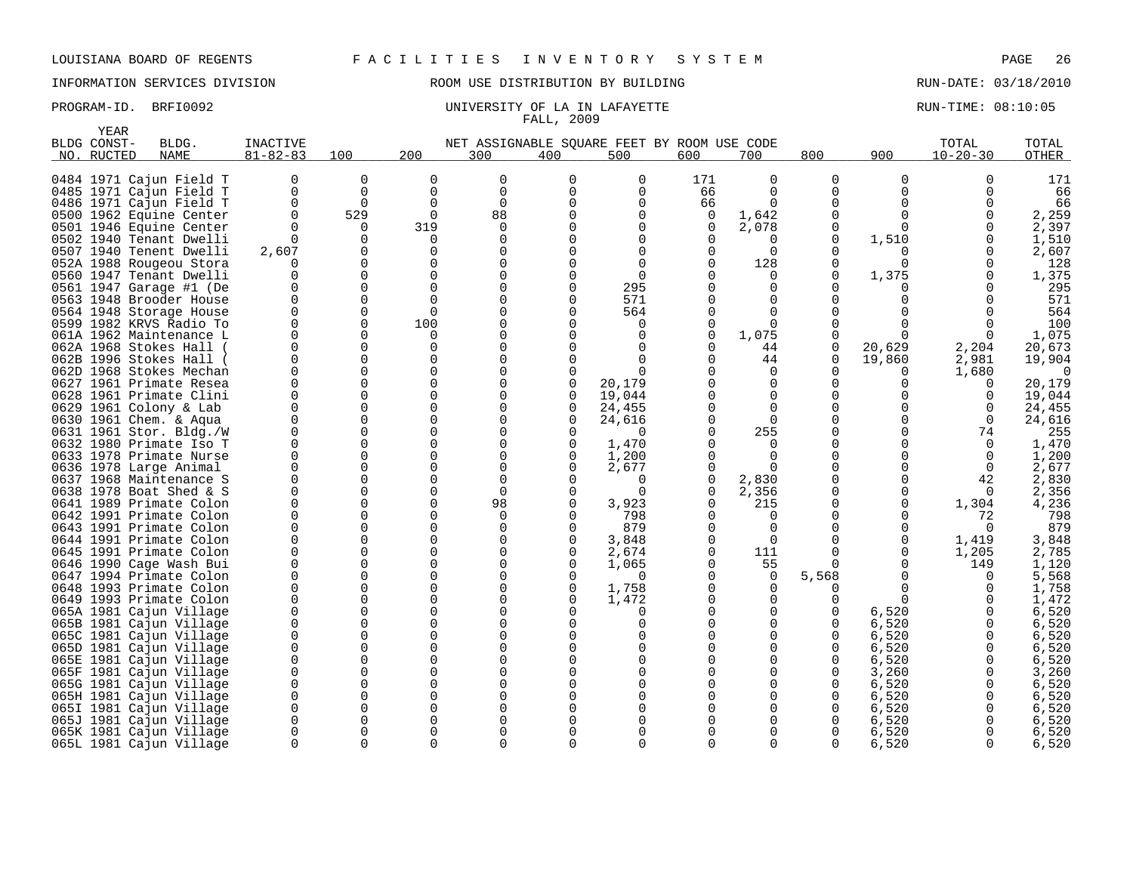INFORMATION SERVICES DIVISION ROOM USE DISTRIBUTION BY BUILDING RUN-DATE: 03/18/2010

|      | YEAR        |                                                    |                |               |                      |                                             |               |                   |              |               |               |                   |                      |                  |
|------|-------------|----------------------------------------------------|----------------|---------------|----------------------|---------------------------------------------|---------------|-------------------|--------------|---------------|---------------|-------------------|----------------------|------------------|
|      | BLDG CONST- | BLDG.                                              | INACTIVE       |               |                      | NET ASSIGNABLE SOUARE FEET BY ROOM USE CODE |               |                   |              |               |               |                   | TOTAL                | TOTAL            |
|      | NO. RUCTED  | <b>NAME</b>                                        | $81 - 82 - 83$ | 100           | 200                  | 300                                         | 400           | 500               | 600          | 700           | 800           | 900               | $10 - 20 - 30$       | OTHER            |
|      |             |                                                    |                |               |                      |                                             |               |                   |              |               |               |                   |                      |                  |
|      |             | 0484 1971 Cajun Field T                            | 0              | 0             | $\Omega$             | $\mathbf 0$                                 | 0             | 0                 | 171          | $\mathbf 0$   | 0             | $\mathbf 0$       | $\Omega$             | 171              |
|      |             | 0485 1971 Cajun Field T                            | 0              | 0             | 0                    | $\mathbf 0$                                 | $\Omega$      | 0                 | 66           | $\Omega$      | 0             | $\Omega$          | 0                    | 66               |
|      |             | 0486 1971 Cajun Field T                            | 0              | $\Omega$      | $\mathbf 0$          | $\mathbf 0$                                 | U             | 0                 | 66           | $\Omega$      | 0             | $\Omega$          | $\Omega$             | 66               |
|      |             | 0500 1962 Equine Center                            | $\Omega$       | 529           | $\Omega$             | 88                                          |               | $\Omega$          | 0            | 1,642         | 0             | U                 |                      | 2,259            |
|      |             | 0501 1946 Equine Center                            | $\Omega$       | 0             | 319                  | $\mathbf 0$                                 |               | 0                 | 0            | 2,078         | 0             | $\Omega$          |                      | 2,397            |
| 0502 |             | 1940 Tenant Dwelli                                 | $\Omega$       | $\Omega$      | ∩                    | $\Omega$                                    |               | $\Omega$          | $\Omega$     | O             | 0             | 1,510             | $\Omega$             | 1,510            |
|      |             | 0507 1940 Tenent Dwelli                            | 2,607          | 0             | $\Omega$             | $\Omega$                                    |               | $\Omega$          | 0            | $\Omega$      | O             |                   | 0                    | 2,607            |
|      |             | 052A 1988 Rougeou Stora                            | O              | 0             | $\Omega$             | $\Omega$                                    |               | $\Omega$          | $\Omega$     | 128           | 0             | $\Omega$          | ∩                    | 128              |
|      |             | 0560 1947 Tenant Dwelli                            | 0              | $\Omega$      | $\Omega$             | $\Omega$                                    |               | $\Omega$          | 0            | $\Omega$      | 0             | 1,375             |                      | 1,375            |
| 0561 |             | 1947 Garage #1 (De                                 | 0              | 0             | $\Omega$             | $\Omega$                                    |               | 295               |              | 0             | 0             |                   |                      | 295              |
|      |             | 0563 1948 Brooder House                            | 0              | 0             | $\Omega$             | 0                                           | ∩             | 571               |              | $\Omega$      | $\Omega$      | U                 |                      | 571              |
|      |             | 0564 1948 Storage House                            | 0              | 0             | $\Omega$             | $\Omega$                                    |               | 564               | $\Omega$     | $\Omega$      | <sup>0</sup>  |                   |                      | 564              |
|      |             | 0599 1982 KRVS Radio To                            | 0              | 0             | 100                  | $\mathbf 0$                                 |               | 0                 | 0            | $\Omega$      | <sup>0</sup>  | <sup>0</sup>      | 0                    | 100              |
|      |             | 061A 1962 Maintenance L                            | $\Omega$       | $\Omega$      | ∩                    | $\Omega$                                    |               | $\Omega$          | $\Omega$     | 1,075         | 0             | ∩                 | O                    | 1,075            |
|      |             | 062A 1968 Stokes Hall                              | O<br>$\Omega$  | $\Omega$      | $\Omega$<br>$\Omega$ | $\mathbf 0$                                 |               | $\Omega$          | <sup>0</sup> | 44            | 0             | 20,629            | 2,204                | 20,673           |
|      |             | 062B 1996 Stokes Hall                              |                | 0             | $\Omega$             | $\mathbf 0$                                 |               | $\Omega$          | 0            | 44            | 0             | 19,860            | 2,981                | 19,904           |
|      |             | 062D 1968 Stokes Mechan                            | 0<br>$\Omega$  | 0             | $\Omega$             | $\Omega$                                    | <sup>0</sup>  | ∩                 |              | 0             | <sup>0</sup>  | 0                 | 1,680                | $\Omega$         |
|      |             | 0627 1961 Primate Resea                            | $\Omega$       | 0<br>$\Omega$ | $\Omega$             | 0<br>$\Omega$                               | 0<br>$\Omega$ | 20,179            |              | 0<br>$\Omega$ | 0<br>$\Omega$ | <sup>0</sup><br>U | 0                    | 20,179           |
|      |             | 0628 1961 Primate Clini                            | 0              | 0             | $\Omega$             |                                             |               | 19,044            |              |               | 0             | <sup>0</sup>      | $\Omega$             | 19,044           |
|      |             | 0629 1961 Colony & Lab                             | $\Omega$       | $\Omega$      | $\Omega$             | 0<br>$\Omega$                               | 0<br>$\Omega$ | 24,455            |              | 0<br>$\Omega$ | $\Omega$      |                   | $\Omega$<br>$\Omega$ | 24,455<br>24,616 |
|      |             | 0630 1961 Chem. & Aqua                             | $\Omega$       | 0             | $\Omega$             |                                             | $\Omega$      | 24,616            |              | 255           |               |                   |                      | 255              |
|      |             | 0631 1961 Stor. Bldg./W<br>0632 1980 Primate Iso T | $\Omega$       | $\Omega$      | $\Omega$             | $\mathbf 0$<br>$\Omega$                     | $\Omega$      | $\Omega$<br>1,470 |              | $\Omega$      | 0<br>0        |                   | 74<br>$\Omega$       | 1,470            |
|      |             | 0633 1978 Primate Nurse                            | 0              | $\Omega$      | $\Omega$             | $\mathbf 0$                                 | $\Omega$      | 1,200             | $\Omega$     | $\Omega$      | <sup>0</sup>  | <sup>0</sup>      | $\Omega$             | 1,200            |
|      |             | 0636 1978 Large Animal                             | $\Omega$       | 0             | $\Omega$             | $\mathbf 0$                                 | $\Omega$      | 2,677             | 0            | $\Omega$      | 0             | <sup>0</sup>      | $\Omega$             | 2,677            |
|      |             | 0637 1968 Maintenance S                            | O              | 0             | $\Omega$             | $\Omega$                                    |               | $\Omega$          | 0            | 2,830         | <sup>0</sup>  | <sup>0</sup>      | 42                   | 2,830            |
|      |             | 0638 1978 Boat Shed & S                            | 0              | 0             | $\Omega$             | $\mathbf 0$                                 | 0             | $\Omega$          | 0            | 2,356         | 0             | 0                 | $\Omega$             | 2,356            |
|      |             | 0641 1989 Primate Colon                            | U              | $\Omega$      | $\Omega$             | 98                                          | <sup>0</sup>  | 3,923             | 0            | 215           | <sup>0</sup>  | $\Omega$          | 1,304                | 4,236            |
|      |             | 0642 1991 Primate Colon                            | $\Omega$       | 0             | $\Omega$             | $\mathbf 0$                                 | $\Omega$      | 798               | 0            | $\Omega$      | 0             | 0                 | 72                   | 798              |
|      |             | 0643 1991 Primate Colon                            | U              | $\Omega$      | ∩                    | $\Omega$                                    | $\Omega$      | 879               | 0            | $\Omega$      | <sup>0</sup>  | $\Omega$          | $\Omega$             | 879              |
|      |             | 0644 1991 Primate Colon                            | 0              | 0             | $\Omega$             | $\mathbf 0$                                 | 0             | 3,848             | 0            | 0             | 0             | 0                 | 1,419                | 3,848            |
|      |             | 0645 1991 Primate Colon                            | O              | $\Omega$      | $\Omega$             | 0                                           | 0             | 2,674             | 0            | 111           | 0             | 0                 | 1,205                | 2,785            |
|      |             | 0646 1990 Cage Wash Bui                            | 0              | 0             | $\Omega$             | $\mathbf 0$                                 | $\Omega$      | 1,065             | $\Omega$     | 55            | 0             | $\Omega$          | 149                  | 1,120            |
|      |             | 0647 1994 Primate Colon                            | $\Omega$       | $\Omega$      | $\Omega$             | $\Omega$                                    | $\Omega$      | $\Omega$          | 0            | 0             | 5,568         | <sup>0</sup>      | 0                    | 5,568            |
|      |             | 0648 1993 Primate Colon                            | 0              | $\Omega$      | $\Omega$             | $\Omega$                                    | $\Omega$      | 1,758             | O            | 0             | 0             | 0                 | 0                    | 1,758            |
|      |             | 0649 1993 Primate Colon                            | $\Omega$       | $\Omega$      | $\Omega$             | $\mathbf 0$                                 | $\Omega$      | 1,472             |              | $\Omega$      | 0             | $\Omega$          | $\Omega$             | 1,472            |
|      |             | 065A 1981 Cajun Village                            | $\Omega$       | $\Omega$      | $\Omega$             | $\Omega$                                    |               | 0                 |              | $\Omega$      | 0             | 6,520             |                      | 6,520            |
|      |             | 065B 1981 Cajun Village                            | 0              | 0             | $\Omega$             | $\Omega$                                    |               | $\Omega$          |              | 0             | 0             | 6,520             | $\Omega$             | 6,520            |
|      |             | 065C 1981 Cajun Village                            | 0              | $\Omega$      | $\Omega$             | $\Omega$                                    |               | $\Omega$          |              | $\Omega$      | 0             | 6,520             | 0                    | 6,520            |
|      |             | 065D 1981 Cajun Village                            | 0              | 0             | $\Omega$             | $\Omega$                                    |               | $\Omega$          |              | 0             | 0             | 6,520             |                      | 6,520            |
|      |             | 065E 1981 Cajun Village                            | 0              | $\Omega$      | $\Omega$             | $\Omega$                                    |               | $\Omega$          |              | $\Omega$      | 0             | 6,520             |                      | 6,520            |
|      |             | 065F 1981 Cajun Village                            | 0              | 0             | $\Omega$             | $\Omega$                                    |               | $\Omega$          |              | 0             | 0             | 3,260             | $\Omega$             | 3,260            |
|      |             | 065G 1981 Cajun Village                            | 0              | 0             | $\Omega$             | 0                                           |               | <sup>0</sup>      |              | $\Omega$      | 0             | 6,520             | 0                    | 6,520            |
|      |             | 065H 1981 Cajun Village                            | $\Omega$       | 0             | $\Omega$             | $\Omega$                                    |               |                   |              | $\Omega$      | $\Omega$      | 6,520             |                      | 6,520            |
| 065I |             | 1981 Cajun Village                                 | $\Omega$       | 0             | ∩                    | $\Omega$                                    |               |                   |              | $\Omega$      | 0             | 6,520             | 0                    | 6,520            |
|      |             | 065J 1981 Cajun Village                            | 0              | 0             | $\Omega$             | $\Omega$                                    |               | <sup>0</sup>      |              | O             | 0             | 6,520             | 0                    | 6,520            |
|      |             | 065K 1981 Cajun Village                            | 0              | 0             | ∩                    | $\Omega$                                    |               |                   |              | $\Omega$      | <sup>0</sup>  | 6,520             | $\Omega$             | 6,520            |
|      |             | 065L 1981 Cajun Village                            | $\Omega$       | $\Omega$      | $\Omega$             | $\Omega$                                    | 0             | $\Omega$          | $\Omega$     | 0             | 0             | 6,520             | $\Omega$             | 6,520            |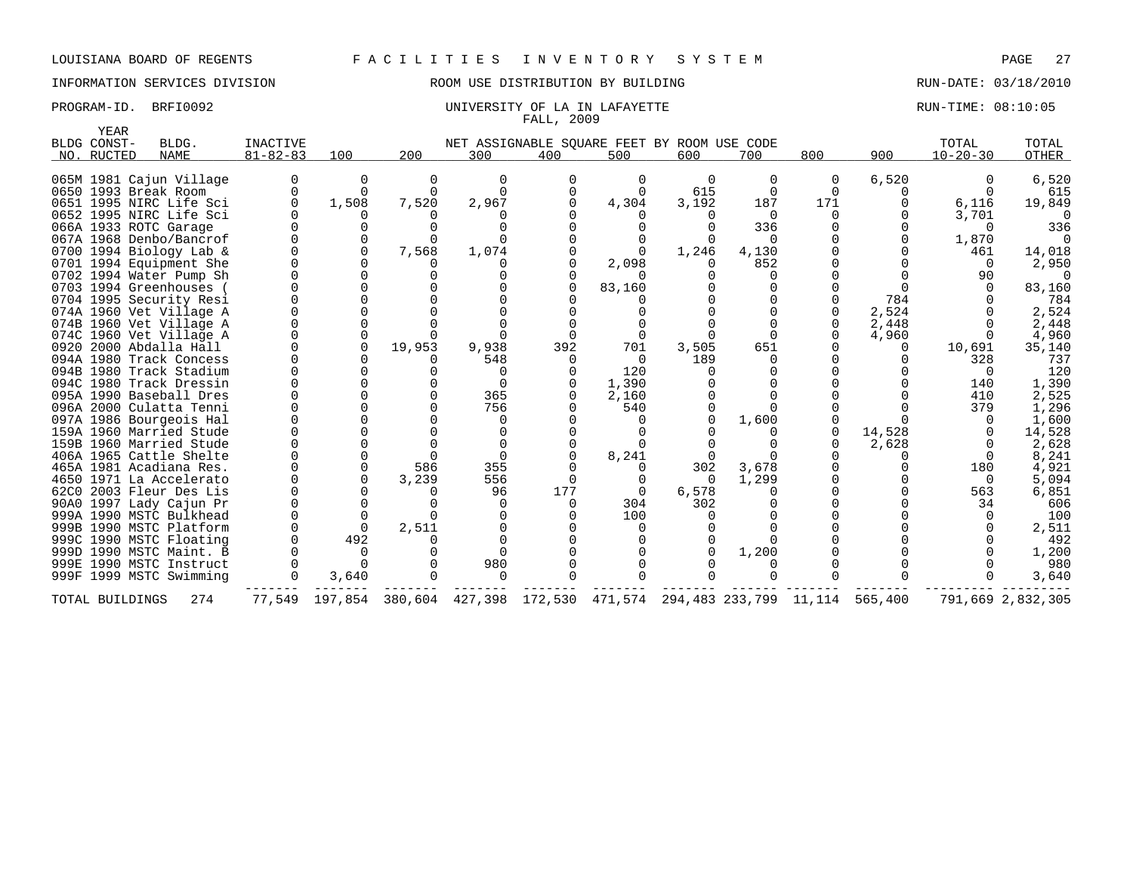# INFORMATION SERVICES DIVISION ROOM USE DISTRIBUTION BY BUILDING RUN-DATE: 03/18/2010

| YEAR            |                         |                 |          |          |          |                                             |                                        |          |              |              |         |                |                   |
|-----------------|-------------------------|-----------------|----------|----------|----------|---------------------------------------------|----------------------------------------|----------|--------------|--------------|---------|----------------|-------------------|
| BLDG CONST-     | BLDG.                   | <b>INACTIVE</b> |          |          |          | NET ASSIGNABLE SOUARE FEET BY ROOM USE CODE |                                        |          |              |              |         | TOTAL          | TOTAL             |
| NO. RUCTED      | <b>NAME</b>             | $81 - 82 - 83$  | 100      | 200      | 300      | 400                                         | 500                                    | 600      | 700          | 800          | 900     | $10 - 20 - 30$ | OTHER             |
|                 | 065M 1981 Cajun Village |                 | 0        | $\Omega$ | 0        | $\Omega$                                    | 0                                      | $\Omega$ | $\Omega$     | 0            | 6,520   |                | 6,520             |
|                 | 0650 1993 Break Room    |                 | $\Omega$ | $\Omega$ |          |                                             | $\Omega$                               | 615      | $\Omega$     | $\Omega$     |         |                | 615               |
|                 | 0651 1995 NIRC Life Sci |                 | 1,508    | 7,520    | 2,967    |                                             | 4,304                                  | 3,192    | 187          | 171          |         | 6,116          | 19,849            |
|                 | 0652 1995 NIRC Life Sci |                 |          |          |          |                                             |                                        |          | $\Omega$     |              |         | 3,701          |                   |
|                 | 066A 1933 ROTC Garage   |                 | 0        |          |          |                                             |                                        |          | 336          |              |         | $\cap$         | 336               |
|                 | 067A 1968 Denbo/Bancrof |                 | $\Omega$ |          |          |                                             |                                        |          | $\Omega$     |              |         | 1,870          | $\cap$            |
|                 | 0700 1994 Biology Lab & |                 | $\Omega$ | 7,568    | 1,074    |                                             |                                        | 1,246    | 4,130        |              |         | 461            | 14,018            |
|                 | 0701 1994 Equipment She |                 | 0        |          |          |                                             | 2,098                                  |          | 852          |              |         | $\Omega$       | 2,950             |
|                 | 0702 1994 Water Pump Sh |                 | $\Omega$ |          |          |                                             |                                        |          | $\Omega$     |              |         | 90             | $\Omega$          |
|                 | 0703 1994 Greenhouses   |                 |          |          |          |                                             | 83,160                                 |          |              |              |         |                | 83,160            |
|                 | 0704 1995 Security Resi |                 |          |          |          |                                             |                                        |          |              |              | 784     |                | 784               |
|                 | 074A 1960 Vet Village A |                 | $\cap$   |          |          |                                             |                                        |          |              |              | 2,524   |                | 2,524             |
|                 | 074B 1960 Vet Village A |                 | $\Omega$ |          |          |                                             |                                        |          | $\Omega$     | <sup>0</sup> | 2,448   |                | 2,448             |
|                 | 074C 1960 Vet Village A |                 | $\Omega$ |          |          |                                             | $\Omega$                               |          | $\Omega$     |              | 4,960   |                | 4,960             |
|                 | 0920 2000 Abdalla Hall  |                 | $\Omega$ | 19,953   | 9,938    | 392                                         | 701                                    | 3,505    | 651          |              | 0       | 10,691         | 35,140            |
|                 | 094A 1980 Track Concess |                 |          |          | 548      | $\Omega$                                    | 0                                      | 189      | <sup>n</sup> |              |         | 328            | 737               |
|                 | 094B 1980 Track Stadium |                 |          |          | $\Omega$ |                                             | 120                                    |          |              |              |         | $\Omega$       | 120               |
|                 | 094C 1980 Track Dressin |                 |          |          | $\Omega$ |                                             | 1,390                                  |          |              |              |         | 140            | 1,390             |
|                 | 095A 1990 Baseball Dres |                 |          |          | 365      |                                             | 2,160                                  |          |              |              |         | 410            | 2,525             |
|                 | 096A 2000 Culatta Tenni |                 | $\Omega$ |          | 756      |                                             | 540                                    |          |              |              |         | 379            | 1,296             |
|                 | 097A 1986 Bourgeois Hal |                 | $\Omega$ |          | $\Omega$ |                                             |                                        |          | 1,600        |              |         | $\Omega$       | 1,600             |
|                 | 159A 1960 Married Stude |                 |          |          |          |                                             |                                        |          |              | $\Omega$     | 14,528  |                | 14,528            |
|                 | 159B 1960 Married Stude |                 | $\Omega$ |          |          |                                             |                                        |          |              |              | 2,628   |                | 2,628             |
|                 | 406A 1965 Cattle Shelte |                 | $\Omega$ |          | $\Omega$ |                                             | 8,241                                  |          |              |              |         | $\Omega$       | 8,241             |
|                 | 465A 1981 Acadiana Res. |                 | $\Omega$ | 586      | 355      |                                             |                                        | 302      | 3,678        |              |         | 180            | 4,921             |
|                 | 4650 1971 La Accelerato |                 | $\cap$   | 3,239    | 556      | $\Omega$                                    | $\Omega$                               | $\cap$   | 1,299        |              |         | $\Omega$       | 5,094             |
|                 | 62C0 2003 Fleur Des Lis |                 | 0        |          | 96       | 177                                         | $\Omega$                               | 6,578    | $\Omega$     |              |         | 563            | 6,851             |
|                 | 90A0 1997 Lady Cajun Pr |                 | $\Omega$ |          | $\Omega$ |                                             | 304                                    | 302      | 0            |              |         | 34             | 606               |
|                 | 999A 1990 MSTC Bulkhead |                 | $\Omega$ |          | $\Omega$ |                                             | 100                                    |          |              |              |         | $\Omega$       | 100               |
|                 | 999B 1990 MSTC Platform |                 | $\Omega$ | 2,511    |          |                                             | $\Omega$                               |          |              |              |         |                | 2,511             |
|                 | 999C 1990 MSTC Floating |                 | 492      |          |          |                                             |                                        |          |              |              |         |                | 492               |
|                 | 999D 1990 MSTC Maint. B |                 | 0        |          |          |                                             |                                        |          | 1,200        |              |         |                | 1,200             |
|                 | 999E 1990 MSTC Instruct |                 |          |          | 980      |                                             |                                        |          |              |              |         |                | 980               |
|                 | 999F 1999 MSTC Swimming |                 | 3,640    |          | $\Omega$ |                                             |                                        |          | $\cap$       |              |         |                | 3,640             |
| TOTAL BUILDINGS | 274                     | 77,549          | 197,854  | 380,604  | 427,398  |                                             | 172,530 471,574 294,483 233,799 11,114 |          |              |              | 565,400 |                | 791,669 2,832,305 |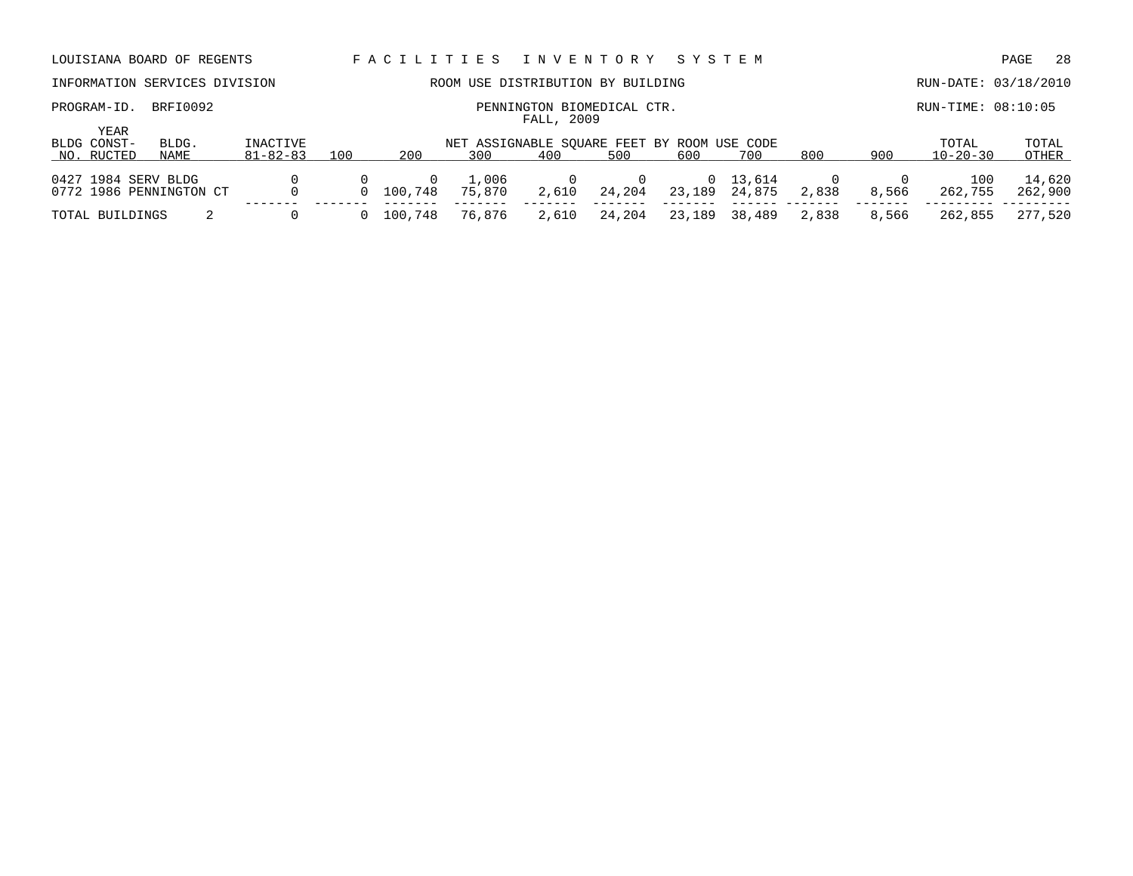| LOUISIANA BOARD OF REGENTS                                |                            |     | FACILITIES |                                                    | I N V E N T O R Y                        |        | SYSTEM |                    |       |       |                         | -28<br>PAGE       |
|-----------------------------------------------------------|----------------------------|-----|------------|----------------------------------------------------|------------------------------------------|--------|--------|--------------------|-------|-------|-------------------------|-------------------|
| INFORMATION SERVICES DIVISION                             |                            |     |            | ROOM USE DISTRIBUTION BY BUILDING                  |                                          |        |        |                    |       |       | RUN-DATE: 03/18/2010    |                   |
| BRFI0092<br>PROGRAM-ID.                                   |                            |     |            |                                                    | PENNINGTON BIOMEDICAL CTR.<br>FALL, 2009 |        |        |                    |       |       | RUN-TIME: 08:10:05      |                   |
| <b>YEAR</b><br>BLDG CONST-<br>BLDG.<br>NO. RUCTED<br>NAME | INACTIVE<br>$81 - 82 - 83$ | 100 | 200        | NET ASSIGNABLE SQUARE FEET BY ROOM USE CODE<br>300 | 400                                      | 500    | 600    | 700                | 800   | 900   | TOTAL<br>$10 - 20 - 30$ | TOTAL<br>OTHER    |
| 0427 1984 SERV BLDG<br>0772 1986 PENNINGTON CT            |                            |     | 100,748    | 1,006<br>75,870                                    | 2,610                                    | 24,204 | 23,189 | 0 13,614<br>24,875 | 2,838 | 8,566 | 100<br>262,755          | 14,620<br>262,900 |
| TOTAL BUILDINGS                                           |                            |     | 100,748    | 76,876                                             | 2,610                                    | 24,204 | 23,189 | 38,489             | 2,838 | 8,566 | 262,855                 | 277,520           |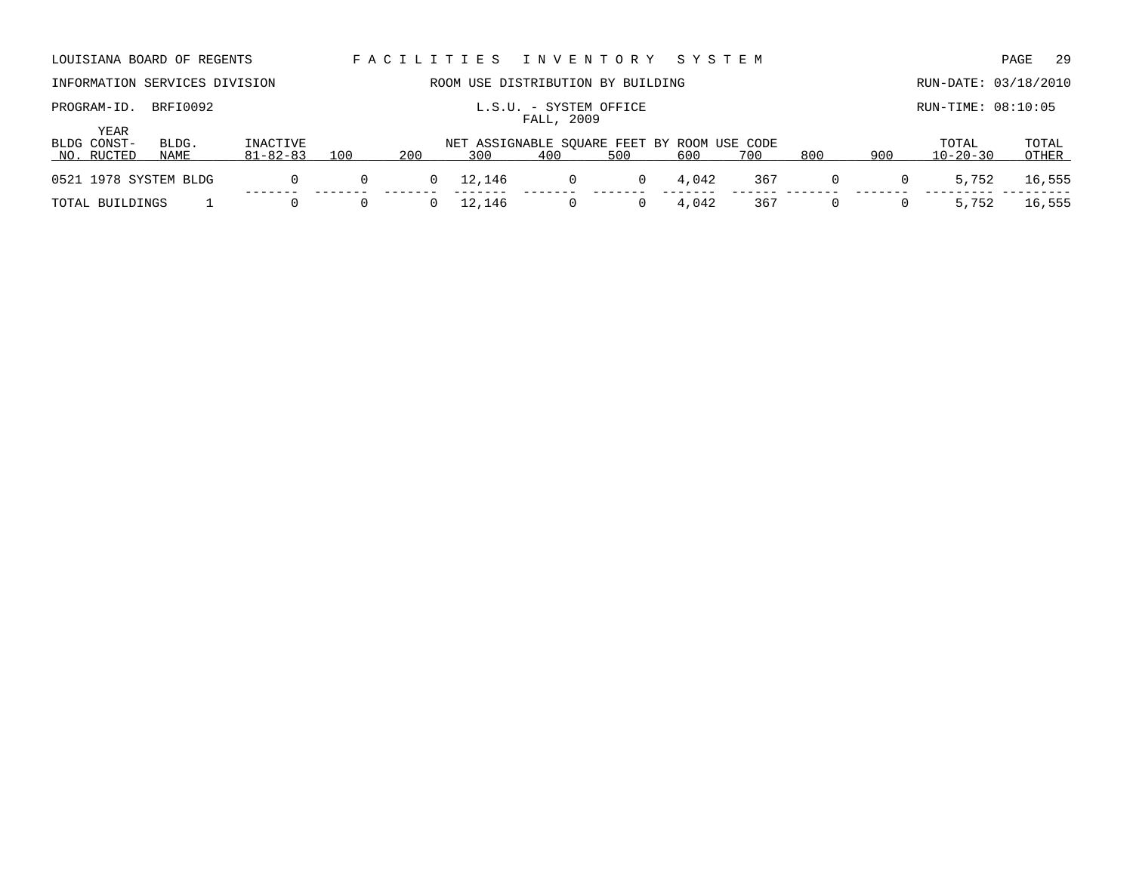| LOUISIANA BOARD OF REGENTS        |               |                            |          |                                                                                                     |        | FACILITIES INVENTORY SYSTEM          |                |       |     |          |              |                      | 29<br>PAGE     |
|-----------------------------------|---------------|----------------------------|----------|-----------------------------------------------------------------------------------------------------|--------|--------------------------------------|----------------|-------|-----|----------|--------------|----------------------|----------------|
| INFORMATION SERVICES DIVISION     |               |                            |          |                                                                                                     |        | ROOM USE DISTRIBUTION BY BUILDING    |                |       |     |          |              | RUN-DATE: 03/18/2010 |                |
| PROGRAM-ID.                       | BRFI0092      |                            |          |                                                                                                     |        | L.S.U. - SYSTEM OFFICE<br>FALL, 2009 |                |       |     |          |              | RUN-TIME: 08:10:05   |                |
| YEAR<br>BLDG CONST-<br>NO. RUCTED | BLDG.<br>NAME | INACTIVE<br>$81 - 82 - 83$ | 100      | NET ASSIGNABLE SQUARE FEET BY ROOM USE CODE<br>200<br>500<br>800<br>400<br>600<br>900<br>300<br>700 |        |                                      |                |       |     |          |              |                      | TOTAL<br>OTHER |
| 0521 1978 SYSTEM BLDG             |               | 0                          | $\Omega$ |                                                                                                     | 12,146 | 0                                    | $\overline{0}$ | 4,042 | 367 | $\Omega$ | 0            | 5,752                | 16,555         |
| TOTAL BUILDINGS                   |               | 0                          | 0        |                                                                                                     | 12,146 | 0                                    | 0              | 4,042 | 367 | $\Omega$ | $\mathbf{0}$ | 5,752                | 16,555         |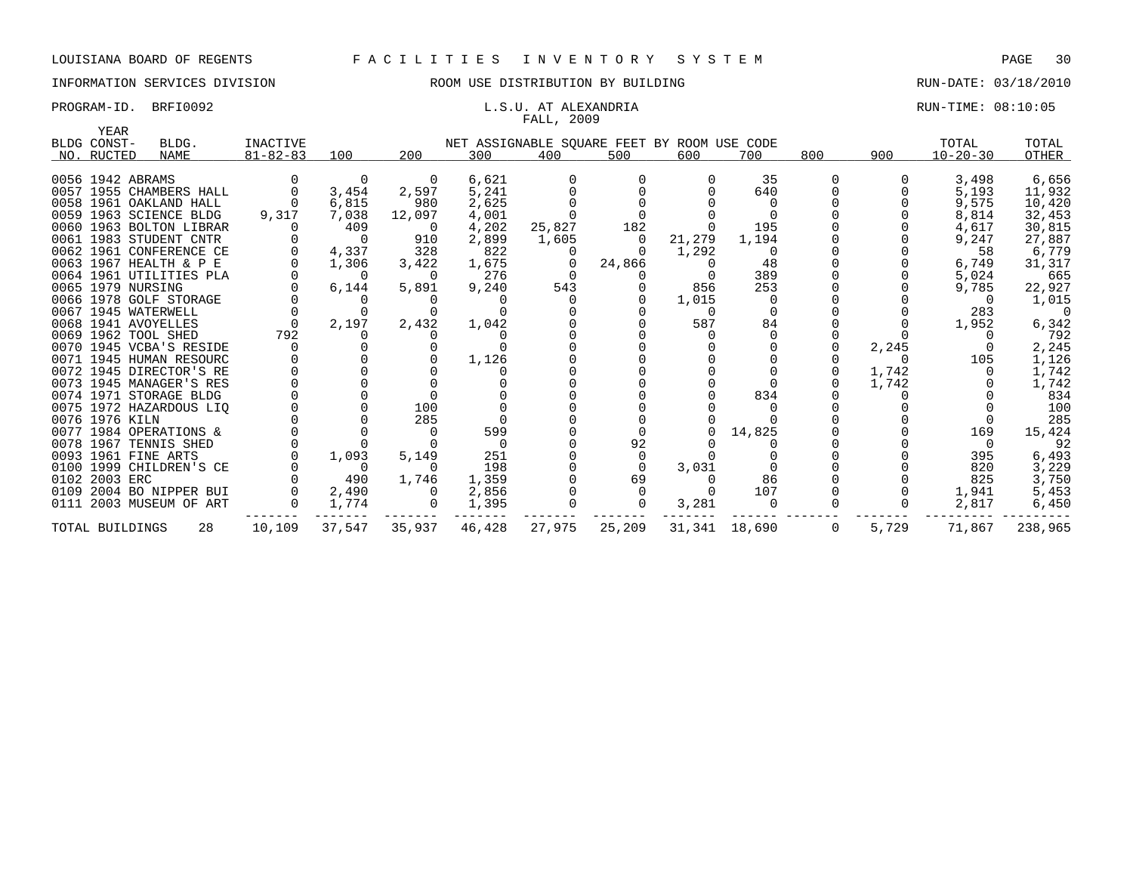# FALL, 2009

PROGRAM-ID. BRFI0092 CONSERVATION: L.S.U. AT ALEXANDRIA CONSERVATION: 08:10:05

| YEAR              |                         |                |                |          |                                             |        |                |          |               |             |          |                |          |
|-------------------|-------------------------|----------------|----------------|----------|---------------------------------------------|--------|----------------|----------|---------------|-------------|----------|----------------|----------|
| BLDG CONST-       | BLDG.                   | INACTIVE       |                |          | NET ASSIGNABLE SQUARE FEET BY ROOM USE CODE |        |                |          |               |             |          | TOTAL          | TOTAL    |
| NO. RUCTED        | <b>NAME</b>             | $81 - 82 - 83$ | 100            | 200      | 300                                         | 400    | 500            | 600      | 700           | 800         | 900      | $10 - 20 - 30$ | OTHER    |
|                   |                         |                |                |          |                                             |        |                |          |               |             |          |                |          |
| 0056 1942 ABRAMS  |                         |                | $\Omega$       | $\Omega$ | 6,621                                       |        |                |          | 35            |             |          | 3,498          | 6,656    |
|                   | 0057 1955 CHAMBERS HALL |                | 3,454          | 2,597    | 5,241                                       |        |                |          | 640           |             |          | 5,193          | 11,932   |
|                   | 0058 1961 OAKLAND HALL  |                | 6,815          | 980      | 2,625                                       |        |                |          |               |             |          | 9,575          | 10,420   |
|                   | 0059 1963 SCIENCE BLDG  | 9,317          | 7,038          | 12,097   | 4,001                                       |        |                |          |               |             |          | 8,814          | 32,453   |
|                   | 0060 1963 BOLTON LIBRAR |                | 409            | $\Omega$ | 4,202                                       | 25,827 | 182            |          | 195           |             |          | 4,617          | 30,815   |
|                   | 0061 1983 STUDENT CNTR  |                | $\overline{0}$ | 910      | 2,899                                       | 1,605  | $\overline{0}$ | 21,279   | 1,194         |             |          | 9,247          | 27,887   |
|                   | 0062 1961 CONFERENCE CE | $\Omega$       | 4,337          | 328      | 822                                         |        |                | 1,292    | $\Omega$      |             |          | 58             | 6,779    |
|                   | 0063 1967 HEALTH & P E  |                | 1,306          | 3,422    | 1,675                                       |        | 24,866         |          | 48            |             |          | 6,749          | 31,317   |
|                   | 0064 1961 UTILITIES PLA |                | $\overline{0}$ | $\Omega$ | 276                                         |        |                |          | 389           |             |          | 5,024          | 665      |
| 0065 1979 NURSING |                         |                | 6,144          | 5,891    | 9,240                                       | 543    |                | 856      | 253           |             |          | 9,785          | 22,927   |
|                   | 0066 1978 GOLF STORAGE  |                | 0              |          |                                             |        |                | 1,015    | $\Omega$      |             |          |                | 1,015    |
|                   | 0067 1945 WATERWELL     |                |                |          |                                             |        |                | $\Omega$ | $\Omega$      |             |          | 283            | $\Omega$ |
|                   | 0068 1941 AVOYELLES     | $\cap$         | 2,197          | 2,432    | 1,042                                       |        |                | 587      | 84            |             |          | 1,952          | 6,342    |
|                   | 0069 1962 TOOL SHED     | 792            |                |          |                                             |        |                |          |               |             |          |                | 792      |
|                   | 0070 1945 VCBA'S RESIDE |                |                |          |                                             |        |                |          |               |             | 2,245    |                | 2,245    |
|                   | 0071 1945 HUMAN RESOURC |                |                |          | 1,126                                       |        |                |          |               |             | $\Omega$ | 105            | 1,126    |
|                   | 0072 1945 DIRECTOR'S RE |                |                |          |                                             |        |                |          |               |             | 1,742    |                | 1,742    |
|                   | 0073 1945 MANAGER'S RES |                |                |          |                                             |        |                |          |               |             | 1,742    |                | 1,742    |
|                   | 0074 1971 STORAGE BLDG  |                |                |          |                                             |        |                |          | 834           |             |          |                | 834      |
|                   | 0075 1972 HAZARDOUS LIQ |                |                | 100      |                                             |        |                |          |               |             |          |                | 100      |
| 0076 1976 KILN    |                         |                |                | 285      |                                             |        |                |          |               |             |          |                | 285      |
|                   | 0077 1984 OPERATIONS &  |                |                |          | 599                                         |        |                |          | 14,825        |             |          | 169            | 15,424   |
|                   | 0078 1967 TENNIS SHED   |                |                |          | - 0                                         |        | 92             |          |               |             |          |                | 92       |
|                   | 0093 1961 FINE ARTS     |                | 1,093          | 5,149    | 251                                         |        |                |          |               |             |          | 395            | 6,493    |
|                   | 0100 1999 CHILDREN'S CE |                | $\overline{0}$ | $\Omega$ | 198                                         |        |                | 3,031    |               |             |          | 820            | 3,229    |
| 0102 2003 ERC     |                         |                | 490            | 1,746    | 1,359                                       |        | 69             |          | 86            |             |          | 825            | 3,750    |
|                   | 0109 2004 BO NIPPER BUI |                | 2,490          | 0        | 2,856                                       |        |                |          | 107           |             |          | 1,941          | 5,453    |
|                   | 0111 2003 MUSEUM OF ART |                | 1,774          |          | 1,395                                       |        |                | 3,281    | $\Omega$      |             |          | 2,817          | 6,450    |
| TOTAL BUILDINGS   | 28                      | 10,109         | 37,547         | 35,937   | 46,428                                      | 27,975 | 25,209         |          | 31,341 18,690 | $\mathbf 0$ | 5,729    | 71,867         | 238,965  |
|                   |                         |                |                |          |                                             |        |                |          |               |             |          |                |          |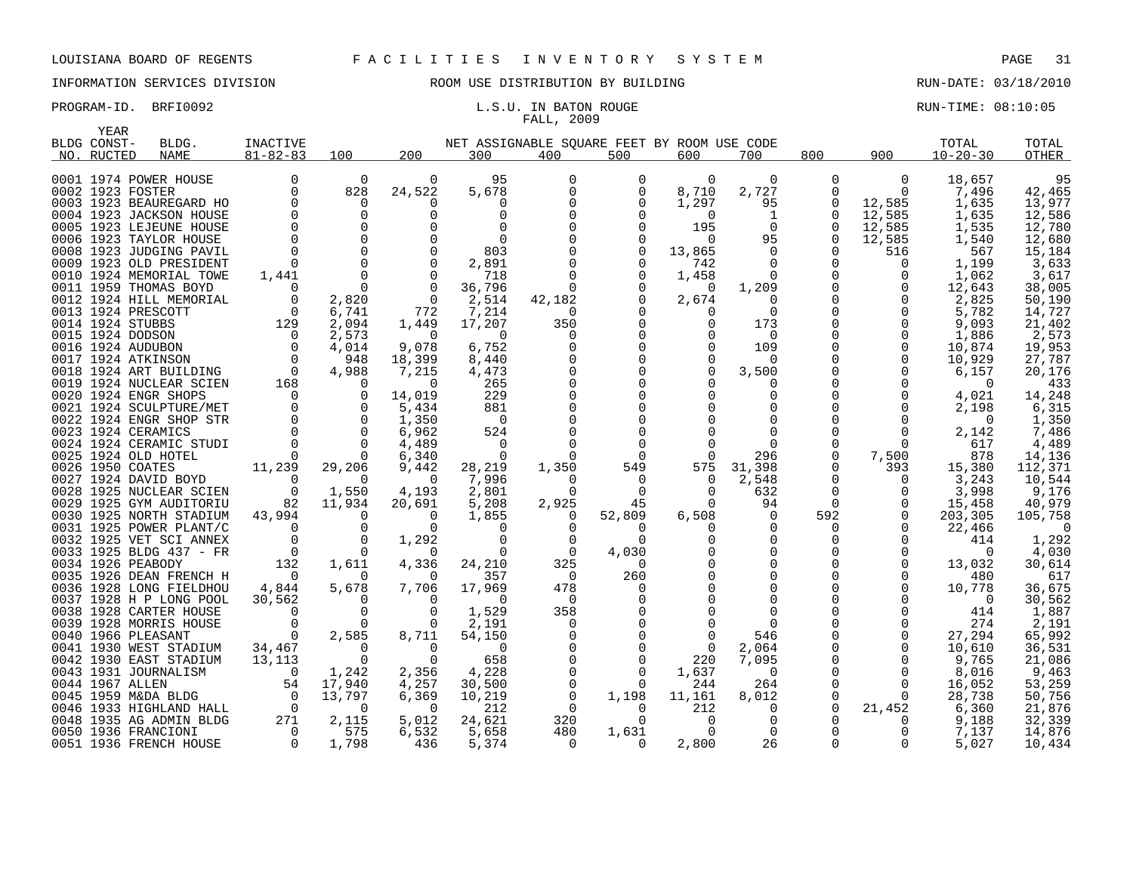YEAR

# INFORMATION SERVICES DIVISION ROOM USE DISTRIBUTION BY BUILDING RUN-DATE: 03/18/2010

# FALL, 2009

PROGRAM-ID. BRFI0092 **EXAM-ID.** BRFI0092 **RUN-TIME: 08:10:05** L.S.U. IN BATON ROUGE

| BLDG CONST-             | BLDG. | INACTIVE                                                                                                      |                                                |                | NET ASSIGNABLE SQUARE FEET BY ROOM USE CODE |             |                |                |                |                |                | TOTAL          | TOTAL                    |
|-------------------------|-------|---------------------------------------------------------------------------------------------------------------|------------------------------------------------|----------------|---------------------------------------------|-------------|----------------|----------------|----------------|----------------|----------------|----------------|--------------------------|
| NO. RUCTED              | NAME  | $81 - 82 - 83$                                                                                                | 100                                            | 200            | 300                                         | 400         | 500            | 600            | 700            | 800            | 900            | $10 - 20 - 30$ | OTHER                    |
|                         |       |                                                                                                               |                                                |                |                                             |             |                |                |                |                |                |                |                          |
| 0001 1974 POWER HOUSE   |       | $\mathbf 0$                                                                                                   | $\Omega$                                       | $\mathbf 0$    | 95                                          | $\mathbf 0$ | 0              | $\Omega$       | $\mathbf 0$    | $\mathbf 0$    | $\overline{0}$ | 18,657         | 95                       |
| 0002 1923 FOSTER        |       | $\Omega$                                                                                                      | 828                                            | 24,522         | 5,678                                       | $\Omega$    | $\mathbf 0$    | 8,710          | 2,727          | $\Omega$       | $\Omega$       | 7,496          | 42,465                   |
| 0003 1923 BEAUREGARD HO |       | $\mathbf 0$                                                                                                   | 0                                              | 0              | $\Omega$                                    |             | 0              | 1,297          | 95             | 0              | 12,585         | 1,635          | 13,977                   |
| 0004 1923 JACKSON HOUSE |       | $\overline{0}$                                                                                                | $\overline{0}$                                 | $\Omega$       | $\Omega$                                    |             |                | $\Omega$       | 1              | $\Omega$       | 12,585         | 1,635          | 12,586                   |
| 0005 1923 LEJEUNE HOUSE |       | $\overline{0}$                                                                                                | $\overline{0}$                                 |                | $\Omega$                                    |             | 0              | 195            | $\overline{0}$ | 0              | 12,585         | 1,535          | 12,780                   |
| 0006 1923 TAYLOR HOUSE  |       | $\Omega$                                                                                                      | $\overline{0}$                                 |                | $\Omega$                                    |             | $\Omega$       | $\Omega$       | 95             | $\Omega$       | 12,585         | 1,540          | 12,680                   |
| 0008 1923 JUDGING PAVIL |       | $\Omega$                                                                                                      | $\overline{0}$                                 |                | 803                                         |             | $\mathbf 0$    | 13,865         | $\Omega$       | $\Omega$       | 516            | 567            | 15,184                   |
| 0009 1923 OLD PRESIDENT |       | $\Omega$                                                                                                      | $\overline{0}$                                 | $\Omega$       | 2,891                                       |             | $\Omega$       | 742            | $\Omega$       | $\Omega$       | $\Omega$       | 1,199          | 3,633                    |
| 0010 1924 MEMORIAL TOWE |       | 1,441                                                                                                         | $\overline{0}$                                 | $\Omega$       | 718                                         |             | $\Omega$       | 1,458          | $\Omega$       | $\Omega$       | 0              | 1,062          | 3,617                    |
| 0011 1959 THOMAS BOYD   |       | $\overline{\phantom{a}}$                                                                                      | $\overline{0}$                                 | $\overline{0}$ | 36,796                                      | $\Omega$    | $\Omega$       | $\overline{0}$ | 1,209          | $\Omega$       | 0              | 12,643         | 38,005                   |
| 0012 1924 HILL MEMORIAL |       | $\overline{0}$                                                                                                | 2,820                                          | $\overline{0}$ | 2,514                                       | 42,182      | $\Omega$       | 2,674          | 0              | 0              | $\mathbf 0$    | 2,825          | 50,190                   |
| 0013 1924 PRESCOTT      |       | $\overline{0}$                                                                                                | 6,741                                          | 772            | 7,214                                       | $\Omega$    |                | 0              | $\Omega$       | $\mathbf 0$    | 0              | 5,782          | 14,727                   |
| 0014 1924 STUBBS        |       | 129                                                                                                           | 2,094                                          | 1,449          | 17,207                                      | 350         | $\mathbf 0$    | $\Omega$       | 173            |                | $\mathbf 0$    | 9,093          | 21,402                   |
| 0015 1924 DODSON        |       |                                                                                                               | 2,573                                          | $\Omega$       | $\Omega$                                    | $\Omega$    | $\mathbf 0$    | $\Omega$       | $\overline{0}$ |                | $\mathbf 0$    | 1,886          | 2,573                    |
| 0016 1924 AUDUBON       |       | $\begin{matrix}0\\0\\0\end{matrix}$                                                                           | 4,014                                          | 9,078          | 6,752                                       |             |                | $\Omega$       | 109            |                | $\Omega$       | 10,874         | 19,953                   |
| 0017 1924 ATKINSON      |       |                                                                                                               | 948                                            | 18,399         | 8,440                                       |             | 0              | $\Omega$       | $\Omega$       | $\Omega$       | $\mathbf 0$    | 10,929         | 27,787                   |
| 0018 1924 ART BUILDING  |       | $\sim$ 0                                                                                                      | 4,988                                          | 7,215          | 4,473                                       |             | $\mathbf 0$    | $\Omega$       | 3,500          |                | $\mathbf 0$    | 6,157          | 20,176                   |
| 0019 1924 NUCLEAR SCIEN |       | 168                                                                                                           | 0                                              | 0              | 265                                         |             | $\mathbf 0$    | $\Omega$       | 0              |                | 0              | $\overline{0}$ | 433                      |
| 0020 1924 ENGR SHOPS    |       |                                                                                                               |                                                | 14,019         | 229                                         |             | $\mathbf 0$    |                | $\Omega$       |                | 0              | 4,021          | 14,248                   |
| 0021 1924 SCULPTURE/MET |       |                                                                                                               |                                                | 5,434          | 881                                         |             |                |                | $\Omega$       |                | $\mathbf 0$    | 2,198          | 6,315                    |
| 0022 1924 ENGR SHOP STR |       |                                                                                                               |                                                | 1,350          | $\overline{0}$                              |             |                |                | $\Omega$       | $\Omega$       | $\Omega$       | $\Omega$       | 1,350                    |
| 0023 1924 CERAMICS      |       |                                                                                                               |                                                | 6,962          | 524                                         |             |                |                | $\Omega$       |                | $\mathbf 0$    | 2,142          | 7,486                    |
| 0024 1924 CERAMIC STUDI |       |                                                                                                               |                                                | 4,489          | $\overline{0}$                              |             | $\Omega$       |                | $\Omega$       | 0              | $\Omega$       | 617            | 4,489                    |
| 0025 1924 OLD HOTEL     |       |                                                                                                               | $\overline{\phantom{0}}$                       | 6,340          | $\overline{0}$                              |             | $\Omega$       | $\Omega$       | 296            | 0              | 7,500          | 878            | 14,136                   |
| 0026 1950 COATES        |       | 11,239                                                                                                        | 29,206                                         | 9,442          | 28,219                                      | 1,350       | 549            | 575            | 31,398         | 0              | 393            | 15,380         | 112,371                  |
| 0027 1924 DAVID BOYD    |       | $\overline{0}$                                                                                                | $\overline{0}$                                 | 0              | 7,996                                       | $\Omega$    | $\Omega$       | 0              | 2,548          | 0              | 0              | 3,243          | 10,544                   |
| 0028 1925 NUCLEAR SCIEN |       | $\begin{array}{c} 0 \\ 82 \end{array}$                                                                        | 1,550                                          | 4,193          | 2,801                                       | $\Omega$    | $\Omega$       | $\Omega$       | 632            | 0              | 0              | 3,998          | 9,176                    |
| 0029 1925 GYM AUDITORIU |       |                                                                                                               | 11,934                                         | 20,691         | 5,208                                       | 2,925       | 45             | $\Omega$       | 94             | $\overline{0}$ | 0              | 15,458         | 40,979                   |
| 0030 1925 NORTH STADIUM |       | 43,994                                                                                                        | 0                                              | $\Omega$       | 1,855                                       | 0           | 52,809         | 6,508          | $\overline{0}$ | 592            | 0              | 203,305        | 105,758                  |
| 0031 1925 POWER PLANT/C |       | $\overline{0}$                                                                                                | $\mathbf 0$                                    | $\Omega$       | $\Omega$                                    |             | $\Omega$       | 0              | $\Omega$       | 0              | $\Omega$       | 22,466         | $\overline{\phantom{0}}$ |
| 0032 1925 VET SCI ANNEX |       | $\Omega$                                                                                                      | $\overline{0}$                                 | 1,292          | $\Omega$                                    | 0           | $\Omega$       |                | $\Omega$       | 0              | $\Omega$       | 414            | 1,292                    |
| 0033 1925 BLDG 437 - FR |       | $\overline{0}$                                                                                                | $\bigcap$                                      | $\bigcap$      | $\Omega$                                    | $\Omega$    | 4,030          |                | $\Omega$       | $\Omega$       | $\Omega$       | $\Omega$       | 4,030                    |
| 0034 1926 PEABODY       |       | 132                                                                                                           | 1,611                                          | 4,336          | 24,210                                      | 325         | $\Omega$       |                | $\Omega$       | $\Omega$       | $\mathbf 0$    | 13,032         | 30,614                   |
| 0035 1926 DEAN FRENCH H |       | $\overline{0}$                                                                                                | $\Omega$                                       | $\Omega$       | 357                                         | $\Omega$    | 260            |                | $\Omega$       | $\Omega$       | $\Omega$       | 480            | 617                      |
| 0036 1928 LONG FIELDHOU |       | 4,844                                                                                                         | 5,678                                          | 7,706          | 17,969                                      | 478         | $\Omega$       |                | $\Omega$       | $\Omega$       | $\Omega$       | 10,778         | 36,675                   |
| 0037 1928 H P LONG POOL |       | 30,562                                                                                                        |                                                | $\Omega$       | $\Omega$                                    | - 0         | 0              |                |                |                | $\Omega$       | $\overline{0}$ | 30,562                   |
| 0038 1928 CARTER HOUSE  |       | $\overline{0}$                                                                                                | $\begin{matrix} 0 \\ 0 \\ 0 \\ 0 \end{matrix}$ | 0              | 1,529                                       | 358         |                |                | $\Omega$       |                | $\Omega$       | 414            | 1,887                    |
| 0039 1928 MORRIS HOUSE  |       | $\overline{0}$<br>$\begin{matrix} 0 \\ 0 \end{matrix}$                                                        |                                                | 0              | 2,191                                       | 0           | $\mathbf 0$    | $\Omega$       | $\Omega$       | 0              | 0              | 274            | 2,191                    |
| 0040 1966 PLEASANT      |       |                                                                                                               | 2,585                                          | 8,711          | 54,150                                      |             | $\mathbf 0$    |                | 546            |                | 0              | 27,294         | 65,992                   |
| 0041 1930 WEST STADIUM  |       | 34,467                                                                                                        | $\begin{matrix} 0 \\ 0 \end{matrix}$           | $\overline{0}$ | $\overline{0}$                              |             | $\mathbf 0$    | 0              | 2,064          | 0              | 0              | 10,610         | 36,531                   |
| 0042 1930 EAST STADIUM  |       | 13,113                                                                                                        |                                                | $\mathbf 0$    | 658                                         |             | $\mathbf 0$    | 220            | 7,095          | 0              | 0              | 9,765          | 21,086                   |
| 0043 1931 JOURNALISM    |       | $\overline{0}$                                                                                                | 1,242                                          | 2,356          | 4,228                                       |             | $\mathbf 0$    | 1,637          | $\overline{0}$ | 0              | 0              | 8,016          | 9,463                    |
| 0044 1967 ALLEN         |       |                                                                                                               |                                                | 4,257          | 30,500                                      |             | $\Omega$       | 244            | 264            | $\Omega$       | $\mathbf 0$    | 16,052         | 53,259                   |
| 0045 1959 M&DA BLDG     |       |                                                                                                               |                                                | 6,369          | 10,219                                      | 0           | 1,198          | 11,161         | 8,012          | 0              | $\mathbf 0$    | 28,738         | 50,756                   |
| 0046 1933 HIGHLAND HALL |       |                                                                                                               |                                                | $\Omega$       | 212                                         | $\Omega$    | $\Omega$       | 212            | $\Omega$       | $\Omega$       | 21,452         | 6,360          | 21,876                   |
| 0048 1935 AG ADMIN BLDG |       |                                                                                                               |                                                | 5,012          | 24,621                                      | 320         | $\overline{0}$ | $\Omega$       | $\Omega$       |                | $\Omega$       | 9,188          | 32,339                   |
| 0050 1936 FRANCIONI     |       | $\begin{bmatrix} 0 & 1 \\ 17,942 \\ 6 & 13,797 \\ 0 & 0 \\ 271 & 2,115 \\ 0 & 575 \\ 0 & 1,798 \end{bmatrix}$ |                                                | 6,532          | 5,658                                       | 480         | 1,631          | $\Omega$       | $\Omega$       | $\Omega$       | $\Omega$       | 7,137          | 14,876                   |
| 0051 1936 FRENCH HOUSE  |       |                                                                                                               |                                                | 436            | 5,374                                       | 0           | 0              | 2,800          | 26             | 0              | $\mathbf 0$    | 5,027          | 10,434                   |

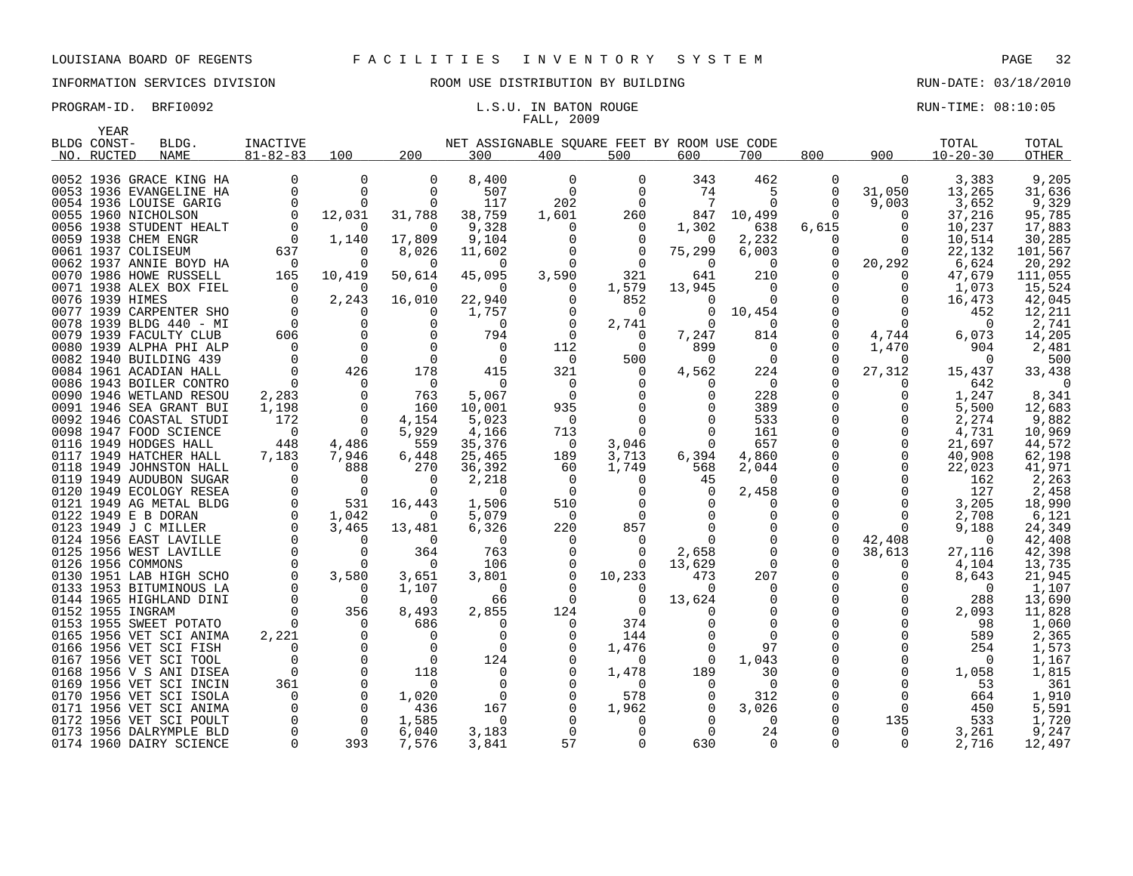# FALL, 2009

PROGRAM-ID. BRFI0092 **EXAM-ID.** BRFI0092 **RUN-TIME: 08:10:05** L.S.U. IN BATON ROUGE

| YEAR                    |                    |                |             |              |                                             |          |          |              |                |          |             |                |         |
|-------------------------|--------------------|----------------|-------------|--------------|---------------------------------------------|----------|----------|--------------|----------------|----------|-------------|----------------|---------|
| BLDG CONST-             | BLDG.              | INACTIVE       |             |              | NET ASSIGNABLE SQUARE FEET BY ROOM USE CODE |          |          |              |                |          |             | TOTAL          | TOTAL   |
| RUCTED<br>NO.           | <b>NAME</b>        | $81 - 82 - 83$ | 100         | 200          | 300                                         | 400      | 500      | 600          | 700            | 800      | 900         | $10 - 20 - 30$ | OTHER   |
|                         |                    |                |             |              |                                             |          |          |              |                |          |             |                |         |
| 0052 1936 GRACE KING HA |                    | 0              | $\mathbf 0$ | 0            | 8,400                                       | $\Omega$ | $\Omega$ | 343          | 462            | $\Omega$ | $\Omega$    | 3,383          | 9,205   |
| 0053 1936 EVANGELINE HA |                    | 0              | 0           | 0            | 507                                         | $\Omega$ | 0        | 74           | 5              | 0        | 31,050      | 13,265         | 31,636  |
| 0054 1936 LOUISE GARIG  |                    | $\Omega$       | $\Omega$    | $\Omega$     | 117                                         | 202      | $\Omega$ | 7            | $\Omega$       | $\Omega$ | 9,003       | 3,652          | 9,329   |
| 0055 1960 NICHOLSON     |                    | $\mathbf 0$    | 12,031      | 31,788       | 38,759                                      | 1,601    | 260      | 847          | 10,499         | 0        | 0           | 37,216         | 95,785  |
| 0056 1938 STUDENT HEALT |                    | $\Omega$       | $\Omega$    | $\Omega$     | 9,328                                       | 0        | $\Omega$ | 1,302        | 638            | 6,615    | $\Omega$    | 10,237         | 17,883  |
| 0059 1938 CHEM ENGR     |                    | 0              | 1,140       | 17,809       | 9,104                                       |          | 0        | 0            | 2,232          | 0        | 0           | 10,514         | 30,285  |
| 0061 1937 COLISEUM      |                    | 637            | $\Omega$    | 8,026        | 11,602                                      |          | 0        | 75,299       | 6,003          | 0        | $\Omega$    | 22,132         | 101,567 |
| 0062 1937 ANNIE BOYD HA |                    | - 0            | $\Omega$    | 0            | $\Omega$                                    |          | $\Omega$ | 0            | 0              | 0        | 20,292      | 6,624          | 20,292  |
| 0070 1986 HOWE RUSSELL  |                    | 165            | 10,419      | 50,614       | 45,095                                      | 3,590    | 321      | 641          | 210            | 0        | $\Omega$    | 47.679         | 111,055 |
| 0071 1938 ALEX BOX FIEL |                    | $\Omega$       | $\Omega$    | $\Omega$     | $\Omega$                                    | O        | 1,579    | 13,945       | 0              | 0        | 0           | 1,073          | 15,524  |
| 0076 1939 HIMES         |                    | $\Omega$       | 2,243       | 16,010       | 22,940                                      | 0        | 852      | 0            | $\Omega$       | O        | $\Omega$    | 16,473         | 42,045  |
| 0077 1939 CARPENTER SHO |                    | $\Omega$       | $\Omega$    | $\Omega$     | 1,757                                       |          | $\Omega$ | 0            | 10,454         |          | $\Omega$    | 452            | 12,211  |
| 0078                    | 1939 BLDG 440 - MI | $\overline{0}$ | $\Omega$    | $\Omega$     | $\Omega$                                    | $\Omega$ | 2,741    | $\Omega$     | $\Omega$       | O        | $\Omega$    | $\Omega$       | 2,741   |
| 0079 1939 FACULTY CLUB  |                    | 606            | $\mathbf 0$ |              | 794                                         | $\Omega$ | 0        | 7,247        | 814            | 0        | 4,744       | 6,073          | 14,205  |
| 0080                    | 1939 ALPHA PHI ALP | $\Omega$       | $\Omega$    | $\Omega$     | $\Omega$                                    | 112      | $\Omega$ | 899          | 0              | O        | 1,470       | 904            | 2,481   |
| 0082 1940 BUILDING 439  |                    | $\Omega$       | $\mathbf 0$ | $\Omega$     | $\Omega$                                    | 0        | 500      | 0            | $\overline{0}$ | 0        | 0           | $\Omega$       | 500     |
| 0084 1961 ACADIAN HALL  |                    | $\Omega$       | 426         | 178          | 415                                         | 321      | 0        | 4,562        | 224            | O        | 27,312      | 15,437         | 33,438  |
| 0086 1943 BOILER CONTRO |                    | 0              | 0           | 0            | 0                                           | 0        | 0        | 0            | $\overline{0}$ | 0        | 0           | 642            | ∩       |
| 0090 1946 WETLAND RESOU |                    | 2,283          | $\Omega$    | 763          | 5,067                                       | $\Omega$ | $\Omega$ | <sup>0</sup> | 228            | O        | U           | 1,247          | 8,341   |
| 0091 1946 SEA GRANT BUI |                    | 1,198          | $\mathbf 0$ | 160          | 10,001                                      | 935      | $\Omega$ | <sup>0</sup> | 389            | O        | 0           | 5,500          | 12,683  |
| 0092 1946 COASTAL STUDI |                    | 172            | $\mathbf 0$ | 4,154        | 5,023                                       | $\Omega$ | 0        | <sup>0</sup> | 533            | 0        | 0           | 2,274          | 9,882   |
| 0098 1947 FOOD SCIENCE  |                    | 0              | $\mathbf 0$ | 5,929        | 4,166                                       | 713      | 0        | 0            | 161            | 0        | $\mathbf 0$ | 4,731          | 10,969  |
| 0116 1949 HODGES HALL   |                    | 448            | 4,486       | 559          | 35,376                                      | $\Omega$ | 3,046    | $\Omega$     | 657            | 0        | 0           | 21,697         | 44,572  |
| 0117 1949 HATCHER HALL  |                    | 7,183          | 7,946       | 6,448        | 25,465                                      | 189      | 3,713    | 6,394        | 4,860          |          | 0           | 40,908         | 62,198  |
| 0118 1949 JOHNSTON HALL |                    | $\Omega$       | 888         | 270          | 36,392                                      | 60       | 1,749    | 568          | 2,044          | 0        | 0           | 22,023         | 41,971  |
| 0119 1949 AUDUBON SUGAR |                    | <sup>0</sup>   | $\Omega$    | <sup>0</sup> | 2,218                                       | $\Omega$ | $\Omega$ | 45           | 0              | O        | $\Omega$    | 162            | 2,263   |
| 0120 1949 ECOLOGY RESEA |                    | $\Omega$       | $\Omega$    | $\Omega$     | $\Omega$                                    | $\Omega$ | $\Omega$ | $\Omega$     | 2,458          |          | $\Omega$    | 127            | 2,458   |
| 0121 1949 AG METAL BLDG |                    | 0              | 531         | 16,443       | 1,506                                       | 510      | 0        | 0            | 0              | 0        | 0           | 3,205          | 18,990  |
| 0122 1949 E B DORAN     |                    | $\Omega$       | 1,042       | $\Omega$     | 5,079                                       | $\Omega$ | $\Omega$ | $\Omega$     | $\Omega$       | O        | $\Omega$    | 2,708          | 6,121   |
| 0123 1949 J C MILLER    |                    | $\Omega$       | 3,465       | 13,481       | 6,326                                       | 220      | 857      |              | 0              | 0        | $\Omega$    | 9,188          | 24,349  |
| 0124 1956 EAST LAVILLE  |                    | $\Omega$       | $\Omega$    | $\Omega$     | $\Omega$                                    | $\Omega$ | $\Omega$ | 0            | $\Omega$       | 0        | 42,408      | $\Omega$       | 42,408  |
| 0125                    | 1956 WEST LAVILLE  | 0              | 0           | 364          | 763                                         | 0        | 0        | 2,658        | 0              | 0        | 38,613      | 27,116         | 42,398  |
| 0126 1956 COMMONS       |                    | $\Omega$       | $\Omega$    | $\Omega$     | 106                                         | O        | $\Omega$ | 13,629       | $\Omega$       | U        | $\Omega$    | 4,104          | 13,735  |
| 0130 1951 LAB HIGH SCHO |                    | $\Omega$       | 3,580       | 3,651        | 3,801                                       | 0        | 10,233   | 473          | 207            | 0        | $\Omega$    | 8,643          | 21,945  |
| 0133 1953 BITUMINOUS LA |                    | $\Omega$       | $\Omega$    | 1,107        | $\Omega$                                    | $\Omega$ | $\Omega$ | $\Omega$     | $\Omega$       | O        | $\Omega$    | $\Omega$       | 1,107   |
| 0144 1965 HIGHLAND DINI |                    | $\mathbf 0$    | 0           | 0            | 66                                          | 0        | 0        | 13,624       | 0              | 0        | 0           | 288            | 13,690  |
| 0152 1955 INGRAM        |                    | $\Omega$       | 356         | 8,493        | 2,855                                       | 124      | $\Omega$ | $\Omega$     | 0              | 0        | $\Omega$    | 2,093          | 11,828  |
| 0153 1955 SWEET POTATO  |                    | $\Omega$       | $\Omega$    | 686          | $\Omega$                                    | 0        | 374      | <sup>0</sup> | 0              | U        | $\Omega$    | 98             | 1,060   |
| 0165                    | 1956 VET SCI ANIMA | 2,221          | 0           | $\Omega$     | $\Omega$                                    |          | 144      | <sup>0</sup> | $\Omega$       | 0        | 0           | 589            | 2,365   |
| 0166 1956 VET SCI FISH  |                    | <sup>0</sup>   | $\Omega$    | $\Omega$     | $\Omega$                                    |          | 1,476    | $\Omega$     | 97             | O        | 0           | 254            | 1,573   |
| 0167                    | 1956 VET SCI TOOL  | $\Omega$       | $\Omega$    | $\Omega$     | 124                                         |          | $\Omega$ | $\Omega$     | 1,043          | O        | $\Omega$    | $\Omega$       | 1,167   |
| 0168 1956 V S ANI DISEA |                    | $\Omega$       | $\mathbf 0$ | 118          | $\Omega$                                    |          | 1,478    | 189          | 30             | 0        | 0           | 1,058          | 1,815   |
| 0169                    | 1956 VET SCI INCIN | 361            | $\Omega$    | $\Omega$     | $\Omega$                                    |          | 0        | 0            | 0              | O        | $\Omega$    | 53             | 361     |
| 0170                    | 1956 VET SCI ISOLA | $\Omega$       | 0           | 1,020        | $\Omega$                                    |          | 578      | 0            | 312            | 0        | 0           | 664            | 1,910   |
| 0171                    | 1956 VET SCI ANIMA |                | $\Omega$    | 436          | 167                                         |          | 1,962    | <sup>0</sup> | 3,026          | O        | $\Omega$    | 450            | 5,591   |
| 0172                    | 1956 VET SCI POULT | $\Omega$       | 0           | 1,585        | 0                                           |          | 0        | 0            | 0              | 0        | 135         | 533            | 1,720   |
| 0173 1956 DALRYMPLE BLD |                    |                | $\Omega$    | 6,040        | 3,183                                       |          | $\Omega$ | $\Omega$     | 24             | O        | $\Omega$    | 3,261          | 9,247   |
| 0174 1960 DAIRY SCIENCE |                    | $\Omega$       | 393         | 7,576        | 3,841                                       | 57       | $\Omega$ | 630          | $\Omega$       | 0        | $\Omega$    | 2,716          | 12,497  |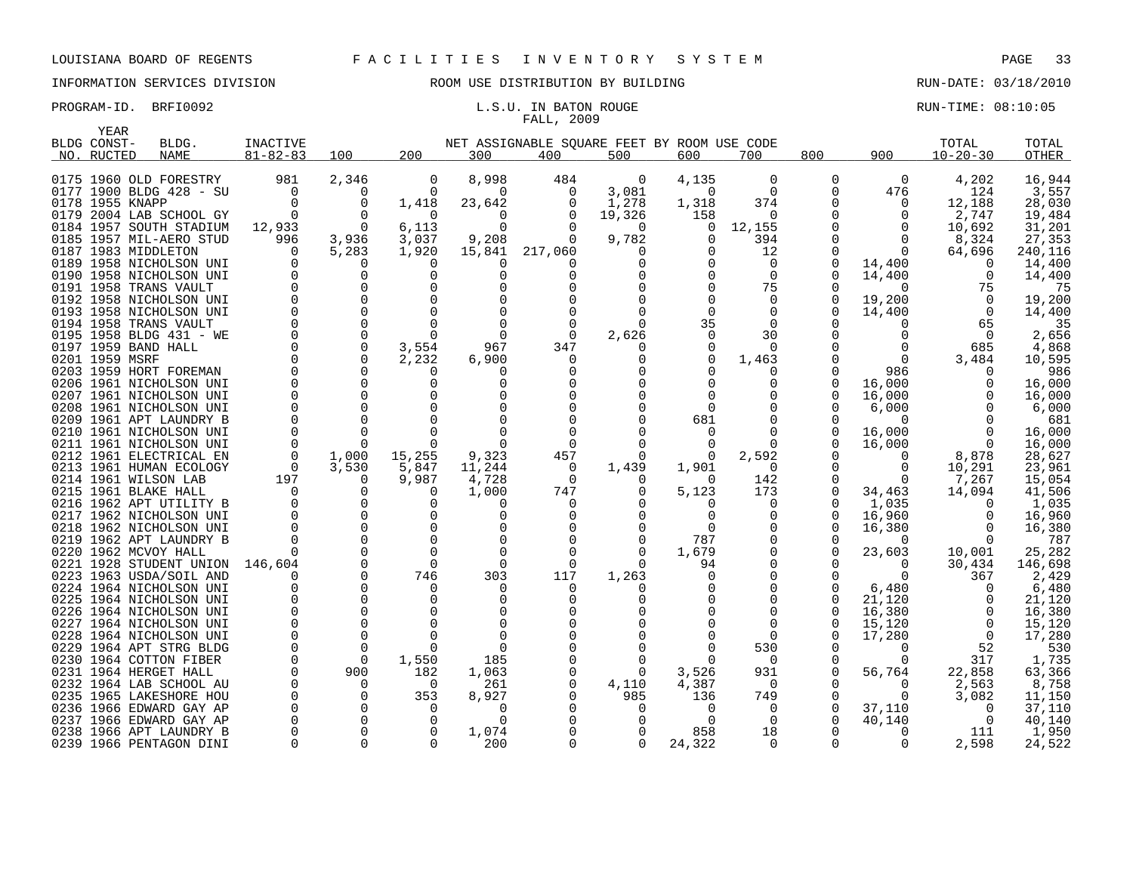# FALL, 2009

| YEAR           |                                                  |                |               |          |              |                                             |                   |                |                |               |                    |                 |                 |
|----------------|--------------------------------------------------|----------------|---------------|----------|--------------|---------------------------------------------|-------------------|----------------|----------------|---------------|--------------------|-----------------|-----------------|
| BLDG CONST-    | BLDG.                                            | INACTIVE       |               |          |              | NET ASSIGNABLE SQUARE FEET BY ROOM USE CODE |                   |                |                |               |                    | TOTAL           | TOTAL           |
| NO. RUCTED     | <b>NAME</b>                                      | $81 - 82 - 83$ | 100           | 200      | 300          | 400                                         | 500               | 600            | 700            | 800           | 900                | $10 - 20 - 30$  | OTHER           |
|                |                                                  |                |               |          |              |                                             |                   |                |                |               |                    |                 |                 |
|                | 0175 1960 OLD FORESTRY                           | 981            | 2,346         | 0        | 8,998        | 484                                         | 0                 | 4,135          | 0              | 0             | 0                  | 4,202           | 16,944          |
|                | 0177 1900 BLDG 428 - SU                          | $\Omega$       | $\Omega$      | $\Omega$ | $\Omega$     | $\Omega$                                    | 3,081             | $\Omega$       | $\Omega$       | 0             | 476                | 124             | 3,557           |
|                | 0178 1955 KNAPP                                  |                | $\Omega$      | 1,418    | 23,642       | $\Omega$                                    | 1,278             | 1,318          | 374            | $\Omega$      | 0                  | 12,188          | 28,030          |
|                | 0179 2004 LAB SCHOOL GY                          | $\Omega$       | $\Omega$      | 0        | $\Omega$     | $\Omega$                                    | 19,326            | 158            | 0              | $\Omega$      | 0                  | 2,747           | 19,484          |
|                | 0184 1957 SOUTH STADIUM                          | 12,933         | $\Omega$      | 6,113    | $\Omega$     |                                             | $\Omega$          | <sup>0</sup>   | 12,155         | ∩             | $\Omega$           | 10,692          | 31,201          |
|                | 0185 1957 MIL-AERO STUD                          | 996            | 3,936         | 3,037    | 9,208        | 0                                           | 9,782             | $\Omega$       | 394            | $\Omega$      | 0                  | 8,324           | 27,353          |
|                | 0187 1983 MIDDLETON                              |                | 5,283         | 1,920    | 15,841       | 217,060                                     |                   |                | 12             | 0             | 0                  | 64,696          | 240,116         |
|                | 0189 1958 NICHOLSON UNI                          |                | O             | $\Omega$ |              |                                             |                   |                | 0              | $\Omega$      | 14,400             | $\Omega$        | 14,400          |
|                | 0190 1958 NICHOLSON UNI                          |                | 0<br>$\Omega$ |          |              |                                             |                   |                | $\Omega$<br>75 | $\Omega$<br>O | 14,400<br>$\Omega$ | $\Omega$        | 14,400<br>75    |
|                | 0191 1958 TRANS VAULT<br>0192 1958 NICHOLSON UNI |                | $\Omega$      |          |              |                                             |                   |                | 0              | 0             |                    | 75<br>$\Omega$  | 19,200          |
|                | 0193 1958 NICHOLSON UNI                          |                | $\Omega$      |          |              |                                             |                   |                | $\Omega$       | ∩             | 19,200             | $\Omega$        | 14,400          |
|                | 0194 1958 TRANS VAULT                            |                | $\Omega$      |          |              |                                             |                   | 35             | $\Omega$       |               | 14,400<br>0        | 65              | 35              |
|                | 0195 1958 BLDG 431 - WE                          |                | $\Omega$      |          | $\Omega$     | $\cap$                                      | 2,626             |                | 30             |               | 0                  | $\Omega$        | 2,656           |
|                | 0197 1959 BAND HALL                              |                | $\mathbf 0$   | 3,554    | 967          | 347                                         |                   |                | 0              | N             | 0                  | 685             | 4,868           |
| 0201 1959 MSRF |                                                  |                | $\Omega$      | 2,232    | 6,900        | O                                           |                   |                | 1,463          |               | $\Omega$           | 3,484           | 10,595          |
|                | 0203 1959 HORT FOREMAN                           |                | $\Omega$      | n        |              |                                             |                   |                | $\Omega$       | ∩             | 986                | $\Omega$        | 986             |
|                | 0206 1961 NICHOLSON UNI                          |                | $\Omega$      | O        |              |                                             |                   |                | 0              | $\Omega$      | 16,000             | O               | 16,000          |
|                | 0207 1961 NICHOLSON UNI                          |                | 0             |          |              |                                             |                   |                | ∩              | U             | 16,000             |                 | 16,000          |
|                | 0208 1961 NICHOLSON UNI                          |                | $\Omega$      |          |              |                                             |                   |                |                |               | 6,000              | O               | 6,000           |
|                | 0209 1961 APT LAUNDRY B                          |                | $\Omega$      |          |              |                                             |                   | 681            |                | ∩             | ∩                  |                 | 681             |
|                | 0210 1961 NICHOLSON UNI                          |                | $\Omega$      |          |              |                                             |                   |                |                | $\Omega$      | 16,000             | $\Omega$        | 16,000          |
|                | 0211 1961 NICHOLSON UNI                          |                | $\Omega$      |          |              |                                             |                   |                |                | $\Omega$      | 16,000             | $\Omega$        | 16,000          |
|                | 0212 1961 ELECTRICAL EN                          |                | 1,000         | 15,255   | 9,323        | 457                                         | $\Omega$          |                | 2,592          |               | 0                  | 8,878           | 28,627          |
|                | 0213 1961 HUMAN ECOLOGY                          | $\Omega$       | 3,530         | 5,847    | 11,244       | 0                                           | 1,439             | 1,901          | $\Omega$       |               | 0                  | 10,291          | 23,961          |
|                | 0214 1961 WILSON LAB                             | 197            | $\Omega$      | 9,987    | 4,728        | $\Omega$                                    |                   | n              | 142            | ∩             | 0                  | 7,267           | 15,054          |
|                | 0215 1961 BLAKE HALL                             |                | $\Omega$      | $\Omega$ | 1,000        | 747                                         |                   | 5,123          | 173            | $\Omega$      | 34,463             | 14,094          | 41,506          |
|                | 0216 1962 APT UTILITY B                          |                | $\Omega$      | U        |              |                                             |                   |                | <sup>0</sup>   | ∩             | 1,035              | $\Omega$        | 1,035           |
|                | 0217 1962 NICHOLSON UNI                          |                | $\Omega$      | $\Omega$ | $\Omega$     |                                             |                   |                | 0              | $\Omega$      | 16,960             | $\Omega$        | 16,960          |
|                | 0218 1962 NICHOLSON UNI                          |                | $\Omega$      | $\Omega$ |              |                                             |                   |                | $\Omega$       | $\Omega$      | 16,380             | $\Omega$        | 16,380          |
|                | 0219 1962 APT LAUNDRY B                          |                | $\Omega$      | $\Omega$ |              |                                             |                   | 787            | 0              | 0             | $\Omega$           | $\Omega$        | 787             |
|                | 0220 1962 MCVOY HALL                             |                | $\Omega$      | $\Omega$ |              |                                             | $\Omega$          | 1,679          | 0              | 0             | 23,603             | 10,001          | 25,282          |
|                | 0221 1928 STUDENT UNION                          | 146,604        | $\Omega$      | $\Omega$ | $\Omega$     | n                                           |                   | 94             | 0              | U             | 0                  | 30,434          | 146,698         |
|                | 0223 1963 USDA/SOIL AND                          |                | $\Omega$      | 746      | 303          | 117                                         | 1,263             |                | $\Omega$       |               | 0                  | 367             | 2,429           |
|                | 0224 1964 NICHOLSON UNI                          |                | $\Omega$      | $\Omega$ | ∩            | ∩                                           |                   |                | $\Omega$       | ∩             | 6,480              | $\Omega$        | 6,480           |
|                | 0225 1964 NICHOLSON UNI                          |                | $\Omega$      | $\Omega$ | $\Omega$     |                                             |                   |                |                | O             | 21,120             | 0               | 21,120          |
|                | 0226 1964 NICHOLSON UNI                          |                | $\Omega$      |          |              |                                             |                   |                | ∩              | $\Omega$      | 16,380             |                 | 16,380          |
|                | 0227 1964 NICHOLSON UNI                          |                | $\Omega$      |          |              |                                             |                   |                | ∩              | $\Omega$      | 15,120             | $\Omega$        | 15,120          |
|                | 0228 1964 NICHOLSON UNI                          |                | $\Omega$      |          |              |                                             |                   |                | $\Omega$       | $\Omega$      | 17,280             | $\Omega$        | 17,280          |
|                | 0229 1964 APT STRG BLDG                          |                | $\Omega$      | n        |              |                                             |                   |                | 530            |               | O                  | 52              | 530             |
|                | 0230 1964 COTTON FIBER                           |                | $\Omega$      | 1,550    | 185          |                                             | 0                 |                | $\Omega$       | 0<br>$\Omega$ | O                  | 317             | 1,735           |
|                | 0231 1964 HERGET HALL<br>0232 1964 LAB SCHOOL AU |                | 900<br>0      | 182<br>0 | 1,063<br>261 | 0                                           | $\Omega$<br>4,110 | 3,526<br>4,387 | 931<br>0       |               | 56,764<br>0        | 22,858<br>2,563 | 63,366<br>8,758 |
|                | 0235 1965 LAKESHORE HOU                          |                | $\Omega$      | 353      | 8,927        |                                             | 985               | 136            | 749            | $\Omega$      | $\Omega$           | 3,082           | 11,150          |
|                | 0236 1966 EDWARD GAY AP                          |                | $\Omega$      | $\Omega$ | $\Omega$     |                                             | $\Omega$          | <sup>0</sup>   | $\Omega$       | $\Omega$      | 37,110             | $\Omega$        | 37,110          |
|                | 0237 1966 EDWARD GAY AP                          |                | $\Omega$      | $\Omega$ | $\Omega$     |                                             |                   | <sup>0</sup>   | 0              | $\Omega$      | 40,140             | $\Omega$        | 40,140          |
|                | 0238 1966 APT LAUNDRY B                          |                | $\Omega$      | $\Omega$ | 1,074        |                                             |                   | 858            | 18             |               | 0                  | 111             | 1,950           |
|                | 0239 1966 PENTAGON DINI                          |                | $\Omega$      | $\Omega$ | 200          | $\Omega$                                    | $\Omega$          | 24,322         | $\Omega$       | $\Omega$      | $\Omega$           | 2,598           | 24,522          |
|                |                                                  |                |               |          |              |                                             |                   |                |                |               |                    |                 |                 |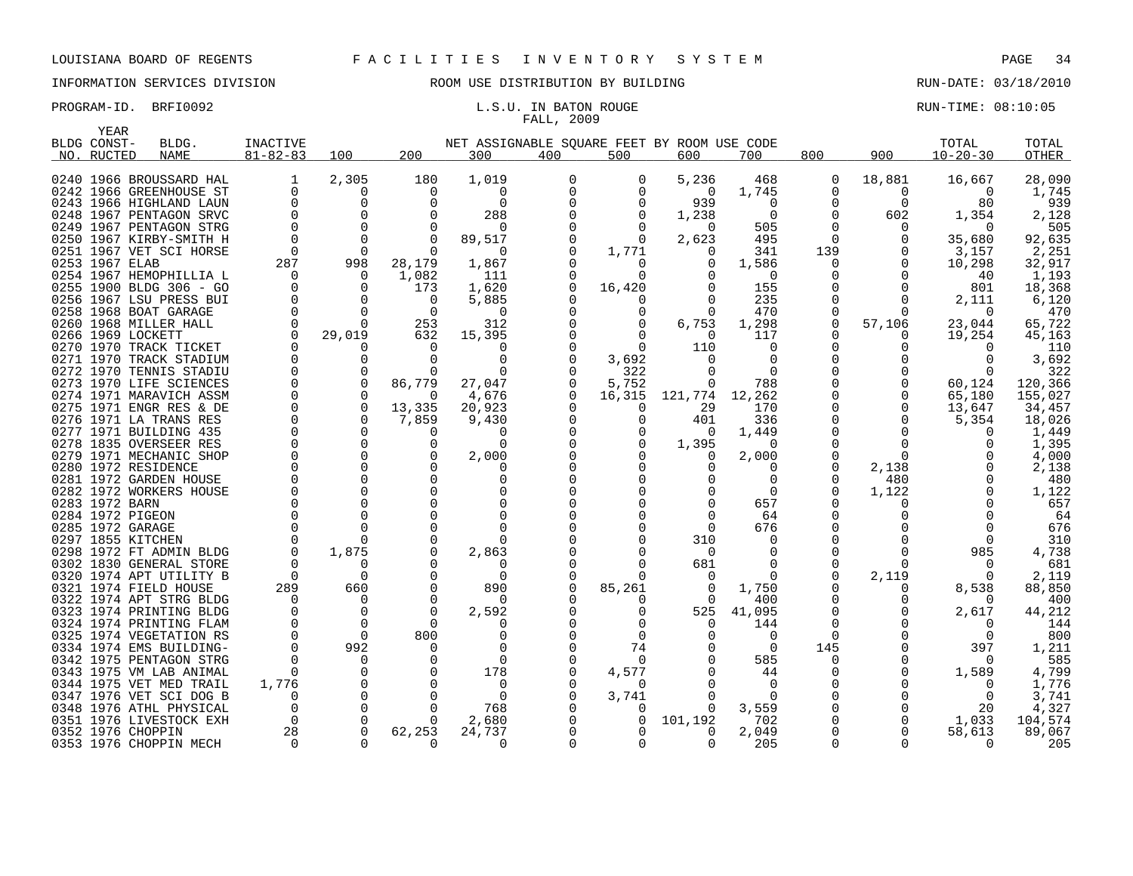# INFORMATION SERVICES DIVISION ROOM USE DISTRIBUTION BY BUILDING RUN-DATE: 03/18/2010

# FALL, 2009

|      | YEAR           |                         |                |              |          |                                             |     |          |          |          |              |              |                |              |
|------|----------------|-------------------------|----------------|--------------|----------|---------------------------------------------|-----|----------|----------|----------|--------------|--------------|----------------|--------------|
|      | BLDG CONST-    | BLDG.                   | INACTIVE       |              |          | NET ASSIGNABLE SQUARE FEET BY ROOM USE CODE |     |          |          |          |              |              | TOTAL          | TOTAL        |
|      | NO. RUCTED     | <b>NAME</b>             | $81 - 82 - 83$ | 100          | 200      | 300                                         | 400 | 500      | 600      | 700      | 800          | 900          | $10 - 20 - 30$ | <b>OTHER</b> |
|      |                |                         |                |              |          |                                             |     |          |          |          |              |              |                |              |
|      |                | 0240 1966 BROUSSARD HAL | 1              | 2,305        | 180      | 1,019                                       |     | 0        | 5,236    | 468      | 0            | 18,881       | 16,667         | 28,090       |
|      |                | 0242 1966 GREENHOUSE ST | 0              | 0            | 0        | 0                                           |     | O        | 0        | 1,745    | 0            | 0            | 0              | 1,745        |
|      |                | 0243 1966 HIGHLAND LAUN | <sup>0</sup>   | 0            | O        | 0                                           |     | $\Omega$ | 939      | $\Omega$ | <sup>0</sup> | $\Omega$     | 80             | 939          |
|      |                | 0248 1967 PENTAGON SRVC |                | $\Omega$     |          | 288                                         |     | $\Omega$ | 1,238    | $\Omega$ | $\Omega$     | 602          | 1,354          | 2,128        |
|      |                | 0249 1967 PENTAGON STRG |                | $\Omega$     |          | O                                           |     | $\cap$   | O        | 505      |              | 0            | $\Omega$       | 505          |
|      |                | 0250 1967 KIRBY-SMITH H | $\Omega$       | $\Omega$     | ∩        | 89,517                                      |     | $\Omega$ | 2,623    | 495      | $\Omega$     |              | 35,680         | 92,635       |
|      |                | 0251 1967 VET SCI HORSE | $\Omega$       | $\Omega$     |          | O                                           |     | 1,771    |          | 341      | 139          |              | 3,157          | 2,251        |
|      | 0253 1967 ELAB |                         | 287            | 998          | 28,179   | 1,867                                       |     | $\Omega$ | O        | 1,586    | O            |              | 10,298         | 32,917       |
|      |                | 0254 1967 HEMOPHILLIA L | $\Omega$       | 0            | 1,082    | 111                                         |     | $\cap$   |          | $\Omega$ |              |              | 40             | 1,193        |
|      |                | 0255 1900 BLDG 306 - GO |                | $\Omega$     | 173      | 1,620                                       |     | 16,420   |          | 155      |              |              | 801            | 18,368       |
|      |                | 0256 1967 LSU PRESS BUI | $\Omega$       | $\Omega$     | $\Omega$ | 5,885                                       |     | $\Omega$ |          | 235      | <sup>0</sup> |              | 2,111          | 6,120        |
|      |                | 0258 1968 BOAT GARAGE   |                | $\Omega$     | ∩        | O                                           |     | O        |          | 470      | <sup>0</sup> |              | $\Omega$       | 470          |
|      |                | 0260 1968 MILLER HALL   | $\Omega$       | 0            | 253      | 312                                         |     | $\Omega$ | 6,753    | 1,298    | $\Omega$     | 57,106       | 23,044         | 65,722       |
|      |                | 0266 1969 LOCKETT       |                | 29,019       | 632      | 15,395                                      |     | $\cap$   | $\Omega$ | 117      |              |              | 19,254         | 45,163       |
|      |                | 0270 1970 TRACK TICKET  | <sup>0</sup>   | O            | $\Omega$ | O                                           |     | $\Omega$ | 110      | $\Omega$ |              |              | 0              | 110          |
|      |                | 0271 1970 TRACK STADIUM |                | O            | ∩        | ∩                                           |     | 3,692    |          |          |              |              | $\Omega$       | 3,692        |
|      |                | 0272 1970 TENNIS STADIU |                | O            |          | O                                           |     | 322      |          | ∩        |              |              | $\Omega$       | 322          |
|      |                | 0273 1970 LIFE SCIENCES |                | $\Omega$     | 86,779   | 27,047                                      |     | 5,752    | 0        | 788      |              |              | 60,124         | 120,366      |
|      |                | 0274 1971 MARAVICH ASSM |                | <sup>0</sup> | ∩        | 4,676                                       |     | 16,315   | 121,774  | 12,262   |              |              | 65,180         | 155,027      |
| 0275 |                | 1971 ENGR RES & DE      | ∩              | $\Omega$     | 13,335   | 20,923                                      |     | O        | 29       | 170      |              |              | 13,647         | 34,457       |
|      |                | 0276 1971 LA TRANS RES  |                | 0            | 7,859    | 9,430                                       |     | $\Omega$ | 401      | 336      |              |              | 5,354          | 18,026       |
| 0277 |                | 1971 BUILDING 435       |                | $\Omega$     | 0        | O                                           |     | 0        | $\Omega$ | 1,449    |              |              | 0              | 1,449        |
| 0278 |                | 1835 OVERSEER RES       |                | $\Omega$     | U        | ∩                                           |     | $\Omega$ | 1,395    | $\Omega$ |              |              |                | 1,395        |
|      |                | 0279 1971 MECHANIC SHOP |                | $\Omega$     |          | 2,000                                       |     |          | O        | 2,000    |              |              |                | 4,000        |
|      |                | 0280 1972 RESIDENCE     |                | 0            |          | O                                           |     |          | O        | O        | O            | 2,138        | Ω              | 2,138        |
|      |                | 0281 1972 GARDEN HOUSE  |                | $\Omega$     |          | O                                           |     |          |          |          | U            | 480          |                | 480          |
|      |                | 0282 1972 WORKERS HOUSE |                | $\Omega$     |          | O                                           |     |          |          | $\Omega$ |              | 1,122        |                | 1,122        |
|      | 0283 1972 BARN |                         |                | 0            |          | $\Omega$                                    |     |          |          | 657      |              |              |                | 657          |
|      |                | 0284 1972 PIGEON        |                | $\Omega$     |          | $\Omega$                                    |     |          |          | 64       |              |              |                | 64           |
|      |                | 0285 1972 GARAGE        |                | $\Omega$     |          |                                             |     |          | U        | 676      |              |              | $\Omega$       | 676          |
|      |                | 0297 1855 KITCHEN       |                | U            |          |                                             |     |          | 310      | O        |              |              | $\Omega$       | 310          |
|      |                | 0298 1972 FT ADMIN BLDG |                | 1,875        |          | 2,863                                       |     |          | 0        | O        | <sup>0</sup> |              | 985            | 4,738        |
|      |                | 0302 1830 GENERAL STORE |                | U            |          |                                             |     |          | 681      |          | <sup>n</sup> |              | $\Omega$       | 681          |
|      |                | 0320 1974 APT UTILITY B | $\Omega$       | $\Omega$     |          | $\Omega$                                    |     | $\cap$   | $\Omega$ | 0        |              | 2,119        | $\Omega$       | 2,119        |
|      |                | 0321 1974 FIELD HOUSE   | 289            | 660          | O        | 890                                         |     | 85,261   | $\Omega$ | 1,750    |              | <sup>0</sup> | 8,538          | 88,850       |
|      |                | 0322 1974 APT STRG BLDG | $\Omega$       | 0            | O        | O                                           |     |          | $\Omega$ | 400      |              |              | $\Omega$       | 400          |
|      |                | 0323 1974 PRINTING BLDG |                | $\Omega$     | ∩        | 2,592                                       |     | O        | 525      | 41,095   |              |              | 2,617          | 44,212       |
|      |                | 0324 1974 PRINTING FLAM |                | $\Omega$     | ∩        | O                                           |     | O        | O        | 144      |              |              | $\Omega$       | 144          |
| 0325 |                | 1974 VEGETATION RS      |                | $\Omega$     | 800      | ∩                                           |     | $\Omega$ |          | $\Omega$ | $\Omega$     |              | $\Omega$       | 800          |
|      |                | 0334 1974 EMS BUILDING- |                | 992          |          | ∩                                           |     | 74       |          | $\Omega$ | 145          |              | 397            | 1,211        |
| 0342 |                | 1975 PENTAGON STRG      | <sup>0</sup>   | 0            | ∩        | $\Omega$                                    |     | $\Omega$ |          | 585      | <sup>0</sup> |              | $\Omega$       | 585          |
|      |                | 0343 1975 VM LAB ANIMAL | $\Omega$       | $\Omega$     |          | 178                                         |     | 4,577    |          | 44       |              |              | 1,589          | 4,799        |
| 0344 |                | 1975 VET MED TRAIL      | 1,776          | 0            |          | $\Omega$                                    |     | n        |          | $\Omega$ |              |              | $\Omega$       | 1,776        |
| 0347 |                | 1976 VET SCI DOG B      | <sup>0</sup>   | $\Omega$     |          | $\Omega$                                    |     | 3,741    |          | $\Omega$ |              |              | $\Omega$       | 3,741        |
| 0348 |                | 1976 ATHL PHYSICAL      | <sup>0</sup>   | $\Omega$     |          | 768                                         |     | $\left($ | O        | 3,559    |              |              | 20             | 4,327        |
| 0351 |                | 1976 LIVESTOCK EXH      | $\Omega$       | $\Omega$     | O        | 2,680                                       |     | $\Omega$ | 101,192  | 702      |              |              | 1,033          | 104,574      |
|      |                | 0352 1976 CHOPPIN       | 28             | $\Omega$     | 62,253   | 24,737                                      |     |          | U        | 2,049    |              |              | 58,613         | 89,067       |
|      |                | 0353 1976 CHOPPIN MECH  | $\Omega$       | $\Omega$     | 0        | 0                                           |     | O        | $\Omega$ | 205      | 0            |              | 0              | 205          |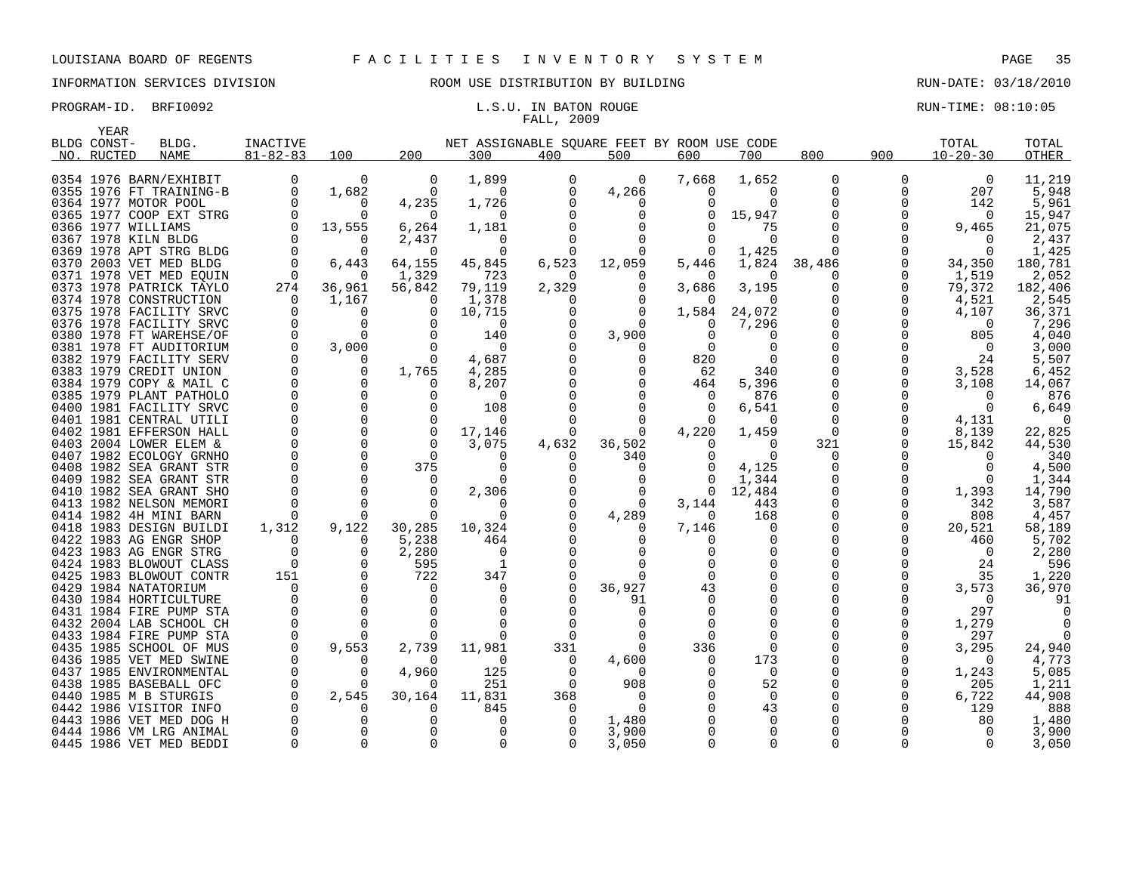# FALL, 2009

|      | YEAR        |                         |                |                |                          |                                             |          |                |          |          |          |              |                |              |
|------|-------------|-------------------------|----------------|----------------|--------------------------|---------------------------------------------|----------|----------------|----------|----------|----------|--------------|----------------|--------------|
|      | BLDG CONST- | BLDG.                   | INACTIVE       |                |                          | NET ASSIGNABLE SOUARE FEET BY ROOM USE CODE |          |                |          |          |          |              | TOTAL          | TOTAL        |
|      | NO. RUCTED  | <b>NAME</b>             | $81 - 82 - 83$ | 100            | 200                      | 300                                         | 400      | 500            | 600      | 700      | 800      | 900          | $10 - 20 - 30$ | <b>OTHER</b> |
|      |             |                         |                |                |                          |                                             |          |                |          |          |          |              |                |              |
|      |             | 0354 1976 BARN/EXHIBIT  | 0              | 0              | 0                        | 1,899                                       | $\Omega$ | $\overline{0}$ | 7,668    | 1,652    | 0        | 0            | $\overline{0}$ | 11,219       |
|      |             | 0355 1976 FT TRAINING-B | $\Omega$       | 1,682          | $\Omega$                 | $\Omega$                                    | $\Omega$ | 4,266          | $\Omega$ | $\Omega$ | 0        | $\Omega$     | 207            | 5,948        |
|      |             | 0364 1977 MOTOR POOL    |                | $\Omega$       | 4,235                    | 1,726                                       |          | $\Omega$       |          | $\Omega$ |          | $\Omega$     | 142            | 5,961        |
|      |             | 0365 1977 COOP EXT STRG | $\Omega$       | $\Omega$       | $\Omega$                 | $\Omega$                                    |          | $\Omega$       |          | 15,947   |          | 0            | 0              | 15,947       |
|      |             | 0366 1977 WILLIAMS      | $\Omega$       | 13,555         | 6,264                    | 1,181                                       |          |                |          | 75       |          | $\Omega$     | 9,465          | 21,075       |
| 0367 |             | 1978 KILN BLDG          | $\Omega$       | $\Omega$       | 2,437                    | $\Omega$                                    |          | $\Omega$       |          | $\Omega$ |          |              | $\Omega$       | 2,437        |
|      |             | 0369 1978 APT STRG BLDG | $\Omega$       | $\Omega$       | $\Omega$                 | $\Omega$                                    |          |                |          | 1,425    |          |              | $\Omega$       | 1,425        |
|      |             | 0370 2003 VET MED BLDG  | $\Omega$       | 6,443          | 64,155                   | 45,845                                      | 6,523    | 12,059         | 5,446    | 1,824    | 38,486   | $\Omega$     | 34,350         | 180,781      |
|      |             | 0371 1978 VET MED EOUIN | $\Omega$       | $\Omega$       | 1,329                    | 723                                         | $\Omega$ |                |          | $\Omega$ | $\Omega$ | 0            | 1,519          | 2,052        |
|      |             | 0373 1978 PATRICK TAYLO | 274            | 36,961         | 56,842                   | 79,119                                      | 2,329    | $\Omega$       | 3,686    | 3,195    |          | 0            | 79,372         | 182,406      |
|      |             | 0374 1978 CONSTRUCTION  | $\Omega$       | 1,167          | $\Omega$                 | 1,378                                       | $\Omega$ |                | $\Omega$ | $\Omega$ |          | 0            | 4,521          | 2,545        |
|      |             | 0375 1978 FACILITY SRVC | $\Omega$       | 0              | 0                        | 10,715                                      |          | $\Omega$       | 1,584    | 24,072   |          | 0            | 4,107          | 36,371       |
|      |             | 0376 1978 FACILITY SRVC | $\Omega$       | $\Omega$       | $\Omega$                 | $\Omega$                                    | $\Omega$ | $\Omega$       | $\Omega$ | 7,296    |          | $\Omega$     | $\Omega$       | 7,296        |
|      |             | 0380 1978 FT WAREHSE/OF |                | 0              | $\Omega$                 | 140                                         |          | 3,900          | $\Omega$ |          |          | $\Omega$     | 805            | 4,040        |
|      |             | 0381 1978 FT AUDITORIUM | $\Omega$       | 3,000          | $\Omega$                 | $\Omega$                                    |          | $\Omega$       | $\Omega$ | $\Omega$ |          | $\Omega$     | $\overline{0}$ | 3,000        |
|      |             | 0382 1979 FACILITY SERV | 0              | 0              | $\Omega$                 | 4,687                                       |          | 0              | 820      |          |          | 0            | 24             | 5,507        |
|      |             | 0383 1979 CREDIT UNION  | $\mathbf 0$    | $\mathbf 0$    | 1,765                    | 4,285                                       |          |                | 62       | 340      |          | 0            | 3,528          | 6,452        |
|      |             | 0384 1979 COPY & MAIL C | $\mathbf 0$    | 0              | $\Omega$                 | 8,207                                       |          | 0              | 464      | 5,396    |          | 0            | 3,108          | 14,067       |
|      |             | 0385 1979 PLANT PATHOLO | $\Omega$       | $\Omega$       | $\Omega$                 | $\Omega$                                    |          |                | $\Omega$ | 876      |          | $\Omega$     | $\Omega$       | 876          |
|      |             | 0400 1981 FACILITY SRVC | $\mathbf 0$    | $\mathbf 0$    | $\Omega$                 | 108                                         |          | $\Omega$       |          | 6,541    |          | 0            | - 0            | 6,649        |
|      |             | 0401 1981 CENTRAL UTILI | $\Omega$       | $\Omega$       | $\Omega$                 | $\Omega$                                    |          | $\Omega$       |          | ∩        |          | $\Omega$     | 4,131          | $\Omega$     |
|      |             | 0402 1981 EFFERSON HALL | $\Omega$       | $\overline{0}$ | $\overline{0}$           | 17,146                                      | 0        | 0              | 4,220    | 1,459    | 0        | 0            | 8,139          | 22,825       |
|      |             | 0403 2004 LOWER ELEM &  |                | $\mathbf 0$    | $\Omega$                 | 3,075                                       | 4,632    | 36,502         | $\Omega$ | $\Omega$ | 321      | 0            | 15,842         | 44,530       |
|      |             | 0407 1982 ECOLOGY GRNHO |                | $\mathbf 0$    | $\Omega$                 | $\Omega$                                    | $\Omega$ | 340            |          | $\Omega$ | 0        |              | $\Omega$       | 340          |
|      |             | 0408 1982 SEA GRANT STR |                | $\Omega$       | 375                      | $\Omega$                                    |          | $\Omega$       |          | 4,125    | $\Omega$ |              | $\Omega$       | 4,500        |
|      |             | 0409 1982 SEA GRANT STR |                | 0              | 0                        | $\Omega$                                    |          |                |          | 1,344    |          | 0            | 0              | 1,344        |
|      |             | 0410 1982 SEA GRANT SHO |                | $\Omega$       | $\Omega$                 | 2,306                                       |          | $\Omega$       | $\Omega$ | 12,484   |          | 0            | 1,393          | 14,790       |
|      |             | 0413 1982 NELSON MEMORI |                | $\Omega$       | $\Omega$                 |                                             |          | $\Omega$       | 3,144    | 443      |          | $\Omega$     | 342            | 3,587        |
|      |             | 0414 1982 4H MINI BARN  | $\Omega$       | $\Omega$       | $\Omega$                 | $\Omega$                                    |          | 4,289          | $\Omega$ | 168      |          | $\Omega$     | 808            | 4,457        |
|      |             | 0418 1983 DESIGN BUILDI | 1,312          | 9,122          | 30,285                   | 10,324                                      |          | 0              | 7,146    | 0        |          | 0            | 20,521         | 58,189       |
|      |             | 0422 1983 AG ENGR SHOP  | 0              | 0              | 5,238                    | 464                                         |          | $\Omega$       | $\Omega$ |          |          | 0            | 460            | 5,702        |
|      |             | 0423 1983 AG ENGR STRG  | $\Omega$       | 0              | 2,280                    | 0                                           |          |                |          |          |          |              | - 0            | 2,280        |
|      |             | 0424 1983 BLOWOUT CLASS | $\Omega$       | $\Omega$       | 595                      | 1                                           |          |                |          |          |          | 0            | 24             | 596          |
|      |             | 0425 1983 BLOWOUT CONTR | 151            | 0              | 722                      | 347                                         | 0        | $\Omega$       |          |          |          | 0            | 35             | 1,220        |
|      |             | 0429 1984 NATATORIUM    |                | $\Omega$       | $\Omega$                 | $\Omega$                                    | $\Omega$ | 36,927         | 43       |          |          | 0            | 3,573          | 36,970       |
|      |             | 0430 1984 HORTICULTURE  | $\Omega$       | $\mathbf 0$    | $\Omega$                 | $\Omega$                                    | $\Omega$ | 91             |          |          |          | <sup>0</sup> | $\Omega$       | 91           |
|      |             | 0431 1984 FIRE PUMP STA |                | $\Omega$       |                          |                                             |          | $\Omega$       |          |          |          | <sup>0</sup> | 297            |              |
| 0432 |             | 2004 LAB SCHOOL CH      |                | 0              | $\Omega$                 |                                             |          |                |          |          |          | 0            | 1,279          |              |
|      |             | 0433 1984 FIRE PUMP STA |                | $\Omega$       | $\Omega$                 |                                             | $\Omega$ |                |          |          |          | 0            | 297            |              |
|      |             | 0435 1985 SCHOOL OF MUS | 0              | 9,553          | 2,739                    | 11,981                                      | 331      | $\Omega$       | 336      | $\Omega$ |          | 0            | 3,295          | 24,940       |
|      |             | 0436 1985 VET MED SWINE | 0              | 0              | $\Omega$                 | 0                                           | 0        | 4,600          | $\Omega$ | 173      |          | 0            | $\Omega$       | 4,773        |
| 0437 |             | 1985 ENVIRONMENTAL      | 0              | 0              | 4,960                    | 125                                         | $\Omega$ | $\Omega$       |          | $\Omega$ |          | $\Omega$     | 1,243          | 5,085        |
| 0438 |             | 1985 BASEBALL OFC       | $\Omega$       | $\Omega$       | $\Omega$                 | 251                                         | $\Omega$ | 908            |          | 52       |          | $\Omega$     | 205            | 1,211        |
|      |             | 0440 1985 M B STURGIS   | $\mathbf 0$    | 2,545          | 30,164                   | 11,831                                      | 368      | $\Omega$       |          | $\Omega$ |          | 0            | 6,722          | 44,908       |
| 0442 |             | 1986 VISITOR INFO       |                | $\Omega$       | $\Omega$                 | 845                                         | 0        | $\Omega$       |          | 43       |          |              | 129            | 888          |
|      |             | 0443 1986 VET MED DOG H |                | 0<br>$\Omega$  | <sup>0</sup><br>$\Omega$ | $\Omega$                                    |          | 1,480          |          |          |          |              | 80             | 1,480        |
|      |             | 0444 1986 VM LRG ANIMAL |                |                |                          | $\Omega$                                    |          | 3,900          |          | $\Omega$ |          |              | $\Omega$       | 3,900        |
|      |             | 0445 1986 VET MED BEDDI | $\Omega$       | $\mathbf 0$    | $\Omega$                 | $\Omega$                                    | $\Omega$ | 3,050          |          |          | $\Omega$ | 0            | $\Omega$       | 3,050        |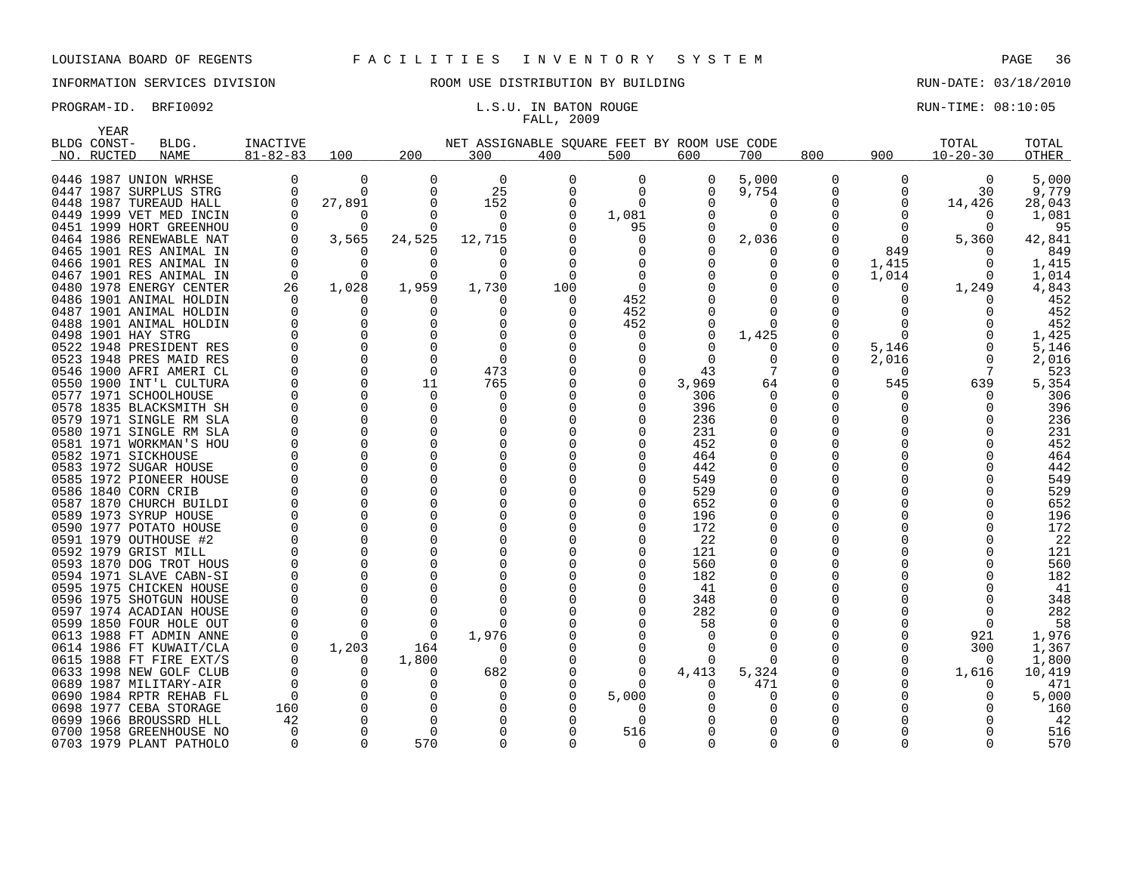## INFORMATION SERVICES DIVISION ROOM USE DISTRIBUTION BY BUILDING RUN-DATE: 03/18/2010

# FALL, 2009

|      | YEAR        |                                                  |                |                      |          |                                             |          |              |          |              |          |          |                |            |
|------|-------------|--------------------------------------------------|----------------|----------------------|----------|---------------------------------------------|----------|--------------|----------|--------------|----------|----------|----------------|------------|
|      | BLDG CONST- | BLDG.                                            | INACTIVE       |                      |          | NET ASSIGNABLE SQUARE FEET BY ROOM USE CODE |          |              |          |              |          |          | TOTAL          | TOTAL      |
|      | NO. RUCTED  | <b>NAME</b>                                      | $81 - 82 - 83$ | 100                  | 200      | 300                                         | 400      | 500          | 600      | 700          | 800      | 900      | $10 - 20 - 30$ | OTHER      |
|      |             |                                                  |                |                      |          |                                             |          |              |          |              |          |          |                |            |
|      |             | 0446 1987 UNION WRHSE                            | 0              | 0                    | $\Omega$ | 0                                           | $\Omega$ | 0            | 0        | 5,000        | 0        | 0        | 0              | 5,000      |
|      |             | 0447 1987 SURPLUS STRG                           | $\Omega$       | $\Omega$             | $\Omega$ | 25                                          | $\Omega$ | $\Omega$     | 0        | 9,754        | O        | $\Omega$ | 30             | 9,779      |
|      |             | 0448 1987 TUREAUD HALL                           | $\Omega$       | 27,891               | $\Omega$ | 152                                         | $\Omega$ | $\Omega$     |          | $\Omega$     |          | $\Omega$ | 14,426         | 28,043     |
|      |             | 0449 1999 VET MED INCIN                          | O              | 0                    | O        | 0                                           | 0        | 1,081        |          | 0            |          | $\Omega$ | $\Omega$       | 1,081      |
|      |             | 0451 1999 HORT GREENHOU                          | $\Omega$       | <sup>0</sup>         | $\Omega$ | $\Omega$                                    |          | 95           |          |              |          | $\Omega$ | n              | 95         |
|      |             | 0464 1986 RENEWABLE NAT                          | $\Omega$       | 3,565                | 24,525   | 12,715                                      |          | 0            | $\Omega$ | 2,036        |          | $\Omega$ | 5,360          | 42,841     |
|      |             | 0465 1901 RES ANIMAL IN                          | 0              | O                    |          | ∩                                           |          | 0            |          |              |          | 849      |                | 849        |
| 0466 |             | 1901 RES ANIMAL IN                               | $\Omega$       | $\Omega$             | $\Omega$ | $\Omega$                                    | $\Omega$ | <sup>0</sup> | 0        | n            | $\Omega$ | 1,415    | n              | 1,415      |
| 0467 |             | 1901 RES ANIMAL IN                               | $\Omega$       | $\Omega$             | $\Omega$ | $\Omega$                                    | $\Omega$ | $\Omega$     |          |              |          | 1,014    | $\Omega$       | 1,014      |
|      |             | 0480 1978 ENERGY CENTER                          | 26             | 1,028                | 1,959    | 1,730                                       | 100      | 0            |          |              |          | 0        | 1,249          | 4,843      |
|      |             | 0486 1901 ANIMAL HOLDIN                          | $\Omega$       | O                    | n        | $\left($                                    | $\Omega$ | 452          |          |              |          |          |                | 452        |
|      |             | 0487 1901 ANIMAL HOLDIN                          | $\Omega$       | $\Omega$             | ∩        | $\Omega$                                    | ∩        | 452          |          |              |          |          |                | 452        |
| 0488 |             | 1901 ANIMAL HOLDIN                               | 0              | 0                    | O        | 0                                           | O        | 452          |          | <sup>0</sup> |          | $\Omega$ |                | 452        |
|      |             | 0498 1901 HAY STRG                               | $\Omega$       | $\Omega$             |          | $\Omega$                                    |          | $\Omega$     | 0        | 1,425        |          | $\Omega$ |                | 1,425      |
|      |             | 0522 1948 PRESIDENT RES                          | $\Omega$       | $\Omega$             | ∩        | $\Omega$                                    |          | $\Omega$     |          |              | O        | 5,146    |                | 5,146      |
|      |             | 0523 1948 PRES MAID RES                          | 0              | 0                    | $\Omega$ | 0                                           |          |              | O        | <sup>0</sup> |          | 2,016    | $\Omega$       | 2,016      |
|      |             | 0546 1900 AFRI AMERI CL                          | $\Omega$       | $\Omega$             | $\Omega$ | 473                                         |          | $\Omega$     | 43       |              |          | $\Omega$ |                | 523        |
|      |             | 0550 1900 INT'L CULTURA                          | $\Omega$       | $\Omega$             | 11       | 765                                         |          | $\Omega$     | 3,969    | 64           |          | 545      | 639            | 5,354      |
|      |             | 0577 1971 SCHOOLHOUSE                            | $\Omega$       | $\Omega$             | $\Omega$ | $\Omega$                                    |          | $\Omega$     | 306      | <sup>0</sup> |          | 0        | O              | 306        |
| 0578 |             | 1835 BLACKSMITH SH                               | $\Omega$       | $\Omega$             | $\Omega$ | $\Omega$                                    |          |              | 396      | <sup>0</sup> |          | U        |                | 396        |
|      |             | 0579 1971 SINGLE RM SLA                          |                | $\Omega$             | $\Omega$ |                                             |          |              | 236      |              | 0        |          |                | 236        |
|      |             | 0580 1971 SINGLE RM SLA                          | $\Omega$       | $\Omega$             | $\Omega$ |                                             |          |              | 231      |              |          |          |                | 231        |
| 0581 |             | 1971 WORKMAN'S HOU                               | $\Omega$       | $\Omega$             | ∩        | $\Omega$                                    |          |              | 452      |              |          |          |                | 452        |
|      |             | 0582 1971 SICKHOUSE                              |                | $\Omega$             |          |                                             |          |              | 464      |              |          |          |                | 464        |
|      |             |                                                  | $\Omega$       | $\Omega$             | $\Omega$ | 0                                           |          |              | 442      |              |          |          |                |            |
|      |             | 0583 1972 SUGAR HOUSE<br>0585 1972 PIONEER HOUSE | $\Omega$       | $\Omega$             | $\Omega$ |                                             |          |              | 549      |              |          |          |                | 442<br>549 |
| 0586 |             |                                                  | $\Omega$       | 0                    | $\Omega$ |                                             |          |              | 529      |              |          |          |                | 529        |
|      |             | 1840 CORN CRIB                                   | $\Omega$       | 0                    | $\Omega$ |                                             |          |              | 652      |              |          |          |                | 652        |
|      |             | 0587 1870 CHURCH BUILDI                          | $\Omega$       | $\Omega$             | ∩        |                                             |          |              |          |              |          |          |                |            |
|      |             | 0589 1973 SYRUP HOUSE                            | $\Omega$       | $\Omega$             | ∩        |                                             |          |              | 196      |              |          |          |                | 196        |
| 0590 |             | 1977 POTATO HOUSE                                | $\Omega$       | $\Omega$             | $\Omega$ | O                                           |          |              | 172      |              |          |          |                | 172<br>22  |
|      |             | 0591 1979 OUTHOUSE #2                            | $\Omega$       | $\Omega$             | $\Omega$ |                                             |          |              | 22       |              |          |          |                |            |
|      |             | 0592 1979 GRIST MILL                             | $\Omega$       | $\Omega$             |          |                                             |          |              | 121      |              | O        |          |                | 121        |
|      |             | 0593 1870 DOG TROT HOUS                          | $\Omega$       | $\Omega$             | $\Omega$ |                                             |          |              | 560      |              |          |          |                | 560        |
| 0594 |             | 1971 SLAVE CABN-SI                               | $\Omega$       | $\Omega$             | $\Omega$ |                                             |          |              | 182      |              |          |          |                | 182        |
| 0595 |             | 1975 CHICKEN HOUSE                               | $\Omega$       | $\Omega$             | ∩        |                                             |          |              | 41       |              |          |          |                | 41         |
|      |             | 0596 1975 SHOTGUN HOUSE                          |                |                      |          |                                             |          |              | 348      |              |          |          |                | 348        |
| 0597 |             | 1974 ACADIAN HOUSE                               | $\Omega$       | $\Omega$<br>$\Omega$ | $\Omega$ | $\Omega$                                    |          |              | 282      |              |          |          | ∩              | 282        |
|      |             | 0599 1850 FOUR HOLE OUT                          | $\Omega$       |                      | $\Omega$ | $\Omega$                                    |          |              | 58       |              |          |          | $\Omega$       | 58         |
| 0613 |             | 1988 FT ADMIN ANNE                               | 0              | $\Omega$             | 0        | 1,976                                       |          |              | ∩        |              |          |          | 921            | 1,976      |
| 0614 |             | 1986 FT KUWAIT/CLA                               | O              | 1,203                | 164      | n                                           |          | $\Omega$     | O        |              |          | $\Omega$ | 300            | 1,367      |
|      |             | 0615 1988 FT FIRE EXT/S                          | $\Omega$       | $\Omega$             | 1,800    | $\Omega$                                    |          | $\Omega$     | 0        |              |          | $\Omega$ | $\Omega$       | 1,800      |
|      |             | 0633 1998 NEW GOLF CLUB                          | $\Omega$       | 0                    | 0        | 682                                         |          | 0            | 4,413    | 5,324        |          | 0        | 1,616          | 10,419     |
|      |             | 0689 1987 MILITARY-AIR                           | $\Omega$       | $\Omega$             | ∩        |                                             |          |              |          | 471          |          |          |                | 471        |
| 0690 |             | 1984 RPTR REHAB FL                               | $\Omega$       | $\Omega$             | $\Omega$ | $\Omega$                                    |          | 5,000        |          |              |          |          |                | 5,000      |
|      |             | 0698 1977 CEBA STORAGE                           | 160            | 0                    | $\Omega$ |                                             |          | $\Omega$     |          |              |          |          |                | 160        |
| 0699 |             | 1966 BROUSSRD HLL                                | 42             | $\Omega$             | $\Omega$ |                                             |          | $\Omega$     |          |              |          |          |                | 42         |
|      |             | 0700 1958 GREENHOUSE NO                          | $\Omega$       | $\Omega$             | $\Omega$ | $\Omega$                                    |          | 516          |          |              |          |          |                | 516        |
|      |             | 0703 1979 PLANT PATHOLO                          | $\Omega$       | $\Omega$             | 570      | $\Omega$                                    | 0        | 0            |          |              | $\Omega$ |          |                | 570        |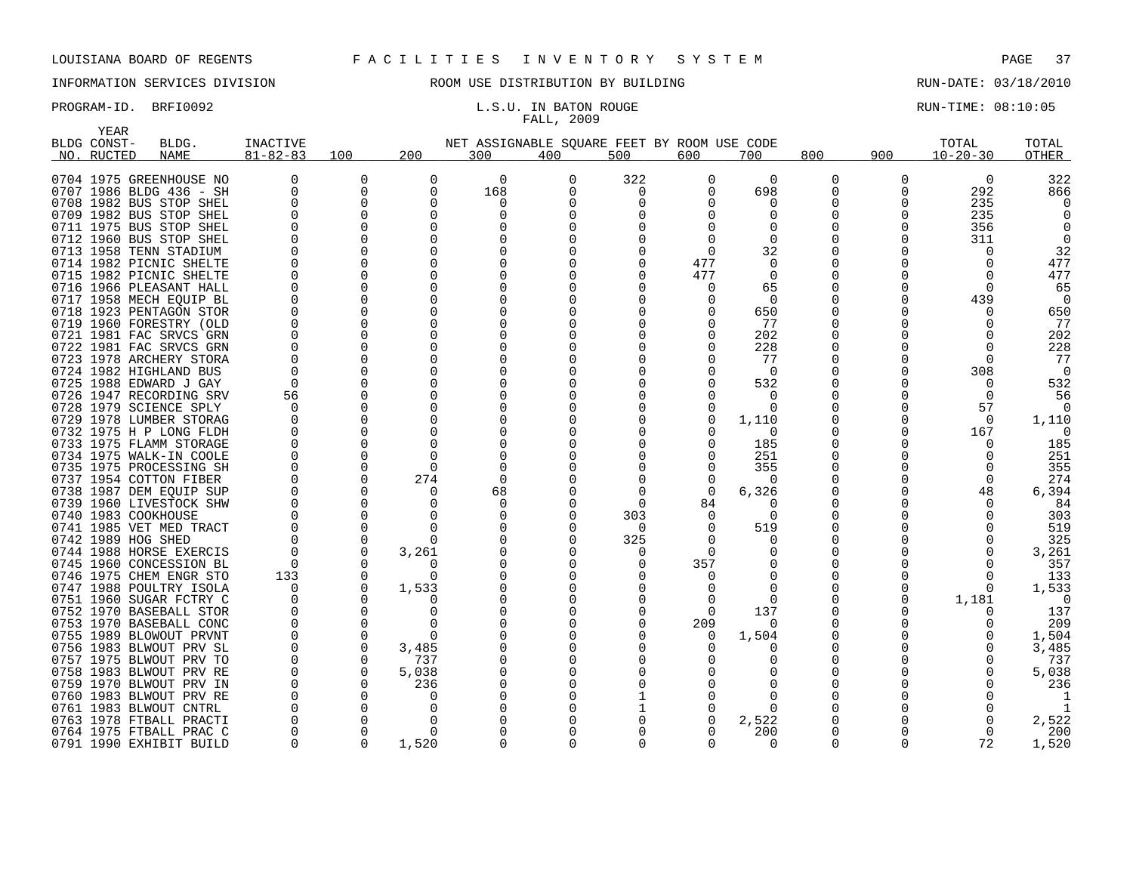YEAR

## INFORMATION SERVICES DIVISION **ROOM USE DISTRIBUTION BY BUILDING RUN-DATE: 03/18/2010**

## FALL, 2009

| BLDG CONST- | BLDG.                   | <b>INACTIVE</b> |          |              |              | NET ASSIGNABLE SQUARE FEET BY ROOM USE CODE |              |     |          |     |     | TOTAL          | TOTAL        |
|-------------|-------------------------|-----------------|----------|--------------|--------------|---------------------------------------------|--------------|-----|----------|-----|-----|----------------|--------------|
| NO. RUCTED  | <b>NAME</b>             | $81 - 82 - 83$  | 100      | 200          | 300          | 400                                         | 500          | 600 | 700      | 800 | 900 | $10 - 20 - 30$ | <b>OTHER</b> |
|             | 0704 1975 GREENHOUSE NO |                 |          | <sup>0</sup> | $\Omega$     |                                             | 322          | O   | $\Omega$ | 0   | O   | $\Omega$       | 322          |
|             | 0707 1986 BLDG 436 - SH |                 | ∩        | $\Omega$     | 168          | O                                           | 0            |     | 698      | O   | ∩   | 292            | 866          |
|             | 0708 1982 BUS STOP SHEL |                 |          | O            | 0            |                                             |              |     | $\Omega$ | O   |     | 235            |              |
|             | 0709 1982 BUS STOP SHEL |                 |          |              | O            |                                             |              |     |          |     |     | 235            |              |
|             | 0711 1975 BUS STOP SHEL |                 |          |              |              |                                             |              |     | O        |     |     | 356            |              |
|             | 0712 1960 BUS STOP SHEL |                 |          |              |              |                                             |              |     |          |     |     | 311            |              |
|             | 0713 1958 TENN STADIUM  |                 |          |              |              |                                             |              |     | 32       |     |     |                | 32           |
|             | 0714 1982 PICNIC SHELTE |                 |          |              |              |                                             |              | 477 |          |     |     |                | 477          |
|             | 0715 1982 PICNIC SHELTE |                 |          |              |              |                                             |              | 477 | $\Omega$ |     |     |                | 477          |
|             | 0716 1966 PLEASANT HALL |                 |          |              |              |                                             |              |     | 65       |     |     |                | 65           |
|             | 0717 1958 MECH EQUIP BL |                 |          |              | O            |                                             |              |     | $\Omega$ |     |     | 439            | $\Omega$     |
|             | 0718 1923 PENTAGON STOR |                 |          |              |              |                                             |              |     | 650      |     |     |                | 650          |
|             | 0719 1960 FORESTRY (OLD |                 |          | O            | O            |                                             |              |     | 77       |     |     |                | 77           |
|             | 0721 1981 FAC SRVCS GRN |                 |          |              |              |                                             |              |     | 202      |     |     |                | 202          |
|             | 0722 1981 FAC SRVCS GRN |                 |          |              | O            |                                             |              |     | 228      |     |     |                | 228          |
|             | 0723 1978 ARCHERY STORA |                 |          |              |              |                                             |              |     | 77       |     |     |                | 77           |
|             | 0724 1982 HIGHLAND BUS  |                 |          |              |              |                                             |              |     | $\Omega$ |     |     | 308            | $\Omega$     |
|             | 0725 1988 EDWARD J GAY  | $\Omega$        |          |              |              |                                             |              |     | 532      |     |     | $\Omega$       | 532          |
|             | 0726 1947 RECORDING SRV | 56              |          |              |              |                                             |              |     | $\Omega$ |     |     | $\Omega$       | 56           |
|             | 0728 1979 SCIENCE SPLY  | $\Omega$        |          |              |              |                                             |              |     | $\Omega$ |     |     | 57             |              |
|             | 0729 1978 LUMBER STORAG |                 |          |              |              |                                             |              |     | 1,110    |     |     |                | 1,110        |
|             | 0732 1975 H P LONG FLDH |                 |          |              |              |                                             |              |     | $\Omega$ |     |     | 167            |              |
|             | 0733 1975 FLAMM STORAGE |                 |          |              |              |                                             |              |     | 185      |     |     |                | 185          |
|             | 0734 1975 WALK-IN COOLE |                 |          |              |              |                                             |              |     | 251      |     |     |                | 251          |
|             | 0735 1975 PROCESSING SH |                 |          |              |              |                                             |              |     | 355      |     |     |                | 355          |
|             | 0737 1954 COTTON FIBER  |                 |          | 274          | <sup>0</sup> |                                             |              |     | $\Omega$ |     |     |                | 274          |
|             | 0738 1987 DEM EOUIP SUP |                 |          |              | 68           |                                             |              |     | 6,326    |     |     | 48             | 6,394        |
|             | 0739 1960 LIVESTOCK SHW |                 |          |              | 0            |                                             | O            | 84  | n        |     |     |                | 84           |
|             | 0740 1983 COOKHOUSE     |                 |          |              |              |                                             | 303          |     | $\Omega$ |     |     |                | 303          |
|             | 0741 1985 VET MED TRACT |                 |          | <sup>0</sup> | O            |                                             | $\Omega$     |     | 519      |     |     |                | 519          |
|             | 0742 1989 HOG SHED      |                 |          | $\Omega$     |              |                                             | 325          |     | $\Omega$ | 0   |     |                | 325          |
|             | 0744 1988 HORSE EXERCIS |                 |          | 3,261        |              |                                             | 0            |     |          |     |     |                | 3,261        |
|             | 0745 1960 CONCESSION BL |                 |          | n            |              |                                             |              | 357 |          |     |     |                | 357          |
|             | 0746 1975 CHEM ENGR STO | 133             |          | <sup>n</sup> |              |                                             |              |     |          |     |     |                | 133          |
|             | 0747 1988 POULTRY ISOLA |                 |          | 1,533        |              |                                             |              |     |          |     |     |                | 1,533        |
|             | 0751 1960 SUGAR FCTRY C |                 |          |              |              |                                             |              |     | n        |     |     | 1,181          |              |
|             | 0752 1970 BASEBALL STOR |                 |          |              |              |                                             |              |     | 137      |     |     |                | 137          |
|             | 0753 1970 BASEBALL CONC |                 |          |              |              |                                             |              | 209 | $\Omega$ |     |     |                | 209          |
|             | 0755 1989 BLOWOUT PRVNT |                 |          | $\cap$       |              |                                             |              |     | 1,504    | 0   |     |                | 1,504        |
|             | 0756 1983 BLWOUT PRV SL |                 | 0        | 3,485        |              |                                             |              |     |          |     |     |                | 3,485        |
|             | 0757 1975 BLWOUT PRV TO |                 | $\Omega$ | 737          |              |                                             |              |     |          |     |     |                | 737          |
|             | 0758 1983 BLWOUT PRV RE |                 | $\Omega$ | 5,038        |              |                                             |              |     |          |     |     |                | 5,038        |
|             | 0759 1970 BLWOUT PRV IN |                 |          | 236          |              |                                             |              |     |          |     |     |                | 236          |
|             | 0760 1983 BLWOUT PRV RE |                 |          |              |              |                                             |              |     |          |     |     |                |              |
|             | 0761 1983 BLWOUT CNTRL  |                 |          |              |              |                                             |              |     | $\Omega$ |     |     |                |              |
|             | 0763 1978 FTBALL PRACTI |                 |          |              |              |                                             |              |     | 2,522    |     |     |                | 2,522        |
|             | 0764 1975 FTBALL PRAC C | $\cap$          | $\cap$   | $\Omega$     |              |                                             | <sup>n</sup> |     | 200      |     | ∩   |                | 200          |
|             | 0791 1990 EXHIBIT BUILD |                 |          | 1,520        | <sup>0</sup> |                                             |              |     | $\Omega$ |     |     | 72             | 1,520        |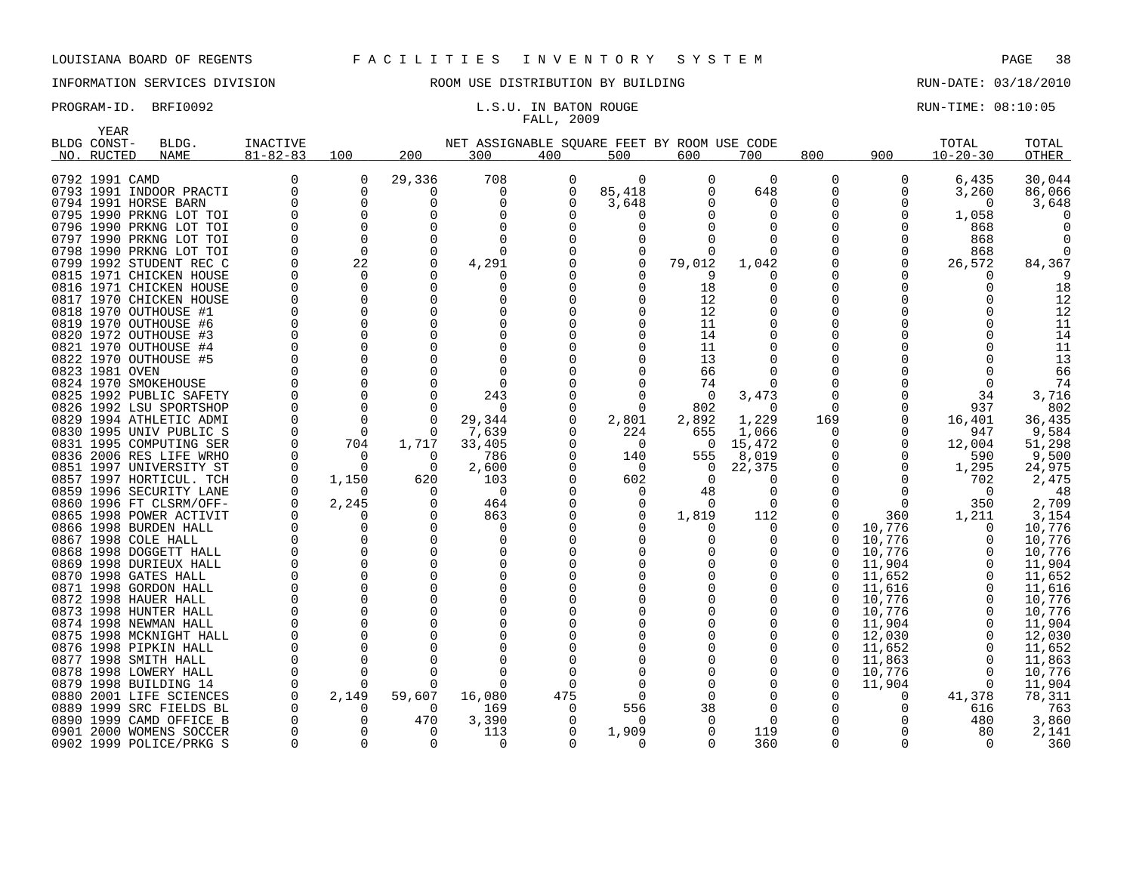## INFORMATION SERVICES DIVISION ROOM USE DISTRIBUTION BY BUILDING RUN-DATE: 03/18/2010

## FALL, 2009

|     | YEAR           |                                                    |                |          |          |                                             |          |              |              |                |              |              |                |                 |
|-----|----------------|----------------------------------------------------|----------------|----------|----------|---------------------------------------------|----------|--------------|--------------|----------------|--------------|--------------|----------------|-----------------|
|     | BLDG CONST-    | BLDG.                                              | INACTIVE       |          |          | NET ASSIGNABLE SQUARE FEET BY ROOM USE CODE |          |              |              |                |              |              | TOTAL          | TOTAL           |
| NO. | RUCTED         | <b>NAME</b>                                        | $81 - 82 - 83$ | 100      | 200      | 300                                         | 400      | 500          | 600          | 700            | 800          | 900          | $10 - 20 - 30$ | OTHER           |
|     |                |                                                    |                |          |          |                                             |          |              |              |                |              |              |                |                 |
|     | 0792 1991 CAMD |                                                    |                | $\Omega$ | 29,336   | 708                                         | 0        | $\Omega$     | 0            | $\Omega$       | 0            | $\Omega$     | 6,435          | 30,044          |
|     |                | 0793 1991 INDOOR PRACTI                            |                | O        | 0        | $\Omega$                                    | 0        | 85,418       | 0            | 648            | U            | <sup>0</sup> | 3,260          | 86,066          |
|     |                | 0794 1991 HORSE BARN                               |                |          | O        | $\Omega$                                    | ∩        | 3,648        |              | O              | U            | $\Omega$     | ∩              | 3,648           |
|     |                | 0795 1990 PRKNG LOT TOI                            |                |          | O        | O                                           |          |              |              | O              |              | O            | 1,058          |                 |
|     |                | 0796 1990 PRKNG LOT TOI                            |                |          | O        |                                             |          |              |              |                |              |              | 868            |                 |
|     |                | 0797 1990 PRKNG LOT TOI                            |                |          | $\Omega$ | ∩                                           |          |              |              | O              |              |              | 868            |                 |
|     |                | 0798 1990 PRKNG LOT TOI                            |                | $\Omega$ | $\Omega$ | O                                           |          |              |              | U              |              |              | 868            |                 |
|     |                | 0799 1992 STUDENT REC C                            |                | 22       | 0        | 4,291                                       |          | 0            | 79,012       | 1,042          |              | O            | 26,572         | 84,367          |
|     |                | 0815 1971 CHICKEN HOUSE                            |                | ∩        | O        |                                             |          |              |              |                |              |              |                |                 |
|     |                | 0816 1971 CHICKEN HOUSE                            |                |          | O        |                                             |          |              | 18           | O              |              |              |                | 18              |
|     |                | 0817 1970 CHICKEN HOUSE                            |                |          | O        | O                                           |          |              | 12           | O              |              |              |                | 12              |
|     |                | 0818 1970 OUTHOUSE #1                              |                |          | O        |                                             |          |              | 12           | U              |              |              |                | 12              |
|     |                | 0819 1970 OUTHOUSE #6                              |                |          | O        |                                             |          |              | 11           | O              |              |              |                | 11              |
|     |                | 0820 1972 OUTHOUSE #3                              |                |          |          |                                             |          |              | 14           |                |              |              |                | 14              |
|     |                | 0821 1970 OUTHOUSE #4                              |                |          | O        | $\Omega$                                    |          |              | 11           | O              |              |              |                | 11              |
|     |                | 0822 1970 OUTHOUSE #5                              |                |          |          | $\Omega$                                    |          |              | 13           | O              |              |              |                | 13              |
|     | 0823 1981 OVEN |                                                    |                |          |          | ∩                                           |          |              | 66           | O              |              |              |                | 66              |
|     |                | 0824 1970 SMOKEHOUSE                               |                |          |          | O                                           |          |              | 74           | 0              |              |              |                | 74              |
|     |                | 0825 1992 PUBLIC SAFETY                            |                |          | $\Omega$ | 243                                         |          | <sup>n</sup> | $\Omega$     | 3,473          | <sup>0</sup> |              | 34             | 3,716           |
|     |                | 0826 1992 LSU SPORTSHOP                            |                |          | O        | $\Omega$                                    |          |              | 802          | 0              |              | O            | 937            | 802             |
|     |                | 0829 1994 ATHLETIC ADMI<br>0830 1995 UNIV PUBLIC S |                | $\Omega$ | $\Omega$ | 29,344<br>7,639                             |          | 2,801<br>224 | 2,892<br>655 | 1,229<br>1,066 | 169<br>0     |              | 16,401<br>947  | 36,435<br>9,584 |
|     |                | 0831 1995 COMPUTING SER                            |                | 704      | 1,717    | 33,405                                      |          | $\Omega$     | $\Omega$     | 15,472         | <sup>0</sup> | O            | 12,004         | 51,298          |
|     |                | 0836 2006 RES LIFE WRHO                            |                | $\Omega$ | $\Omega$ | 786                                         |          | 140          | 555          | 8,019          |              | $\Omega$     | 590            | 9,500           |
|     |                | 0851 1997 UNIVERSITY ST                            |                | ∩        | $\Omega$ | 2,600                                       |          | $\Omega$     | 0            | 22,375         | U            | O            | 1,295          | 24,975          |
|     |                | 0857 1997 HORTICUL. TCH                            |                | 1,150    | 620      | 103                                         |          | 602          | $\Omega$     | O              |              |              | 702            | 2,475           |
|     |                | 0859 1996 SECURITY LANE                            |                |          | $\Omega$ | $\Omega$                                    |          |              | 48           | 0              |              |              | ∩              | 48              |
|     |                | 0860 1996 FT CLSRM/OFF-                            |                | 2,245    | $\Omega$ | 464                                         |          |              | $\Omega$     | 0              |              | O            | 350            | 2,709           |
|     |                | 0865 1998 POWER ACTIVIT                            |                |          | 0        | 863                                         |          |              | 1,819        | 112            | 0            | 360          | 1,211          | 3,154           |
|     |                | 0866 1998 BURDEN HALL                              |                |          | $\Omega$ | n                                           |          |              |              | U              | <sup>0</sup> | 10,776       |                | 10,776          |
|     |                | 0867 1998 COLE HALL                                |                |          | U        | O                                           |          |              |              | O              | <sup>0</sup> | 10,776       |                | 10,776          |
|     |                | 0868 1998 DOGGETT HALL                             |                |          | O        | O                                           |          |              |              | O              | <sup>0</sup> | 10,776       |                | 10,776          |
|     |                | 0869 1998 DURIEUX HALL                             |                |          | O        | $\Omega$                                    |          |              |              | O              | <sup>0</sup> | 11,904       |                | 11,904          |
|     |                | 0870 1998 GATES HALL                               |                |          | U        | ∩                                           |          |              |              | O              | Ω            | 11,652       |                | 11,652          |
|     |                | 0871 1998 GORDON HALL                              |                |          | O        |                                             |          |              |              |                |              | 11,616       |                | 11,616          |
|     |                | 0872 1998 HAUER HALL                               |                |          | O        | O                                           |          |              |              | O              |              | 10,776       |                | 10,776          |
|     |                | 0873 1998 HUNTER HALL                              |                |          | O        |                                             |          |              |              |                |              | 10,776       |                | 10,776          |
|     |                | 0874 1998 NEWMAN HALL                              |                |          |          |                                             |          |              |              |                |              | 11,904       |                | 11,904          |
|     |                | 0875 1998 MCKNIGHT HALL                            |                |          |          |                                             |          |              |              |                |              | 12,030       |                | 12,030          |
|     |                | 0876 1998 PIPKIN HALL                              |                |          | O        |                                             |          |              |              | O              | <sup>0</sup> | 11,652       |                | 11,652          |
|     |                | 0877 1998 SMITH HALL                               |                |          |          |                                             |          |              |              | O              | <sup>0</sup> | 11,863       |                | 11,863          |
|     |                | 0878 1998 LOWERY HALL                              |                |          |          | ∩                                           |          |              |              | O              | <sup>0</sup> | 10,776       | $\Omega$       | 10,776          |
|     |                | 0879 1998 BUILDING 14                              |                |          | O        | ∩                                           |          |              |              |                | U            | 11,904       |                | 11,904          |
|     |                | 0880 2001 LIFE SCIENCES                            |                | 2,149    | 59,607   | 16,080                                      | 475      |              |              |                |              | O            | 41,378         | 78,311          |
|     |                | 0889 1999 SRC FIELDS BL                            |                |          | $\Omega$ | 169                                         | $\Omega$ | 556          | 38           | O              |              |              | 616            | 763             |
|     |                | 0890 1999 CAMD OFFICE B                            |                |          | 470      | 3,390                                       |          |              |              | ∩              |              |              | 480            | 3,860           |
|     |                | 0901 2000 WOMENS SOCCER                            |                |          | $\Omega$ | 113                                         |          | 1,909        |              | 119            |              |              | 80             | 2,141           |
|     |                | 0902 1999 POLICE/PRKG S                            |                |          | O        | O                                           |          |              |              | 360            | U            | ∩            |                | 360             |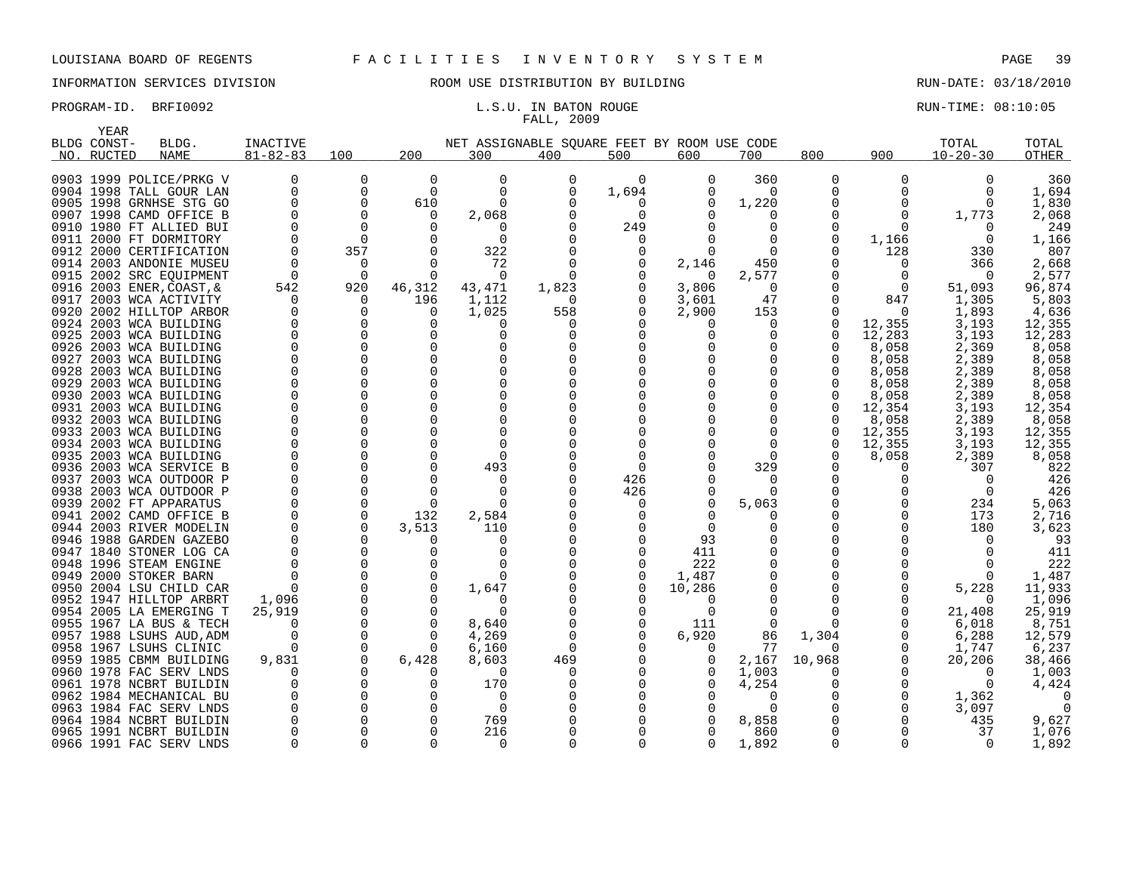# FALL, 2009

|              | YEAR        |                                          |                 |               |                          |                                             |          |                          |          |          |                  |              |                |              |
|--------------|-------------|------------------------------------------|-----------------|---------------|--------------------------|---------------------------------------------|----------|--------------------------|----------|----------|------------------|--------------|----------------|--------------|
|              | BLDG CONST- | BLDG.                                    | <b>INACTIVE</b> |               |                          | NET ASSIGNABLE SQUARE FEET BY ROOM USE CODE |          |                          |          |          |                  |              | TOTAL          | TOTAL        |
| NO.          | RUCTED      | <b>NAME</b>                              | $81 - 82 - 83$  | 100           | 200                      | 300                                         | 400      | 500                      | 600      | 700      | 800              | 900          | $10 - 20 - 30$ | OTHER        |
|              |             |                                          |                 |               |                          |                                             |          |                          |          |          |                  |              |                |              |
|              |             | 0903 1999 POLICE/PRKG V                  |                 | 0             | 0                        | 0                                           | 0        | $\Omega$                 | O        | 360      | 0                | 0            | 0              | 360          |
|              |             | 0904 1998 TALL GOUR LAN                  | $\Omega$        | 0             | $\Omega$                 | $\Omega$                                    | $\Omega$ | 1,694                    |          | $\Omega$ | $\Omega$         | $\Omega$     | $\Omega$       | 1,694        |
|              |             | 0905 1998 GRNHSE STG GO                  | $\Omega$        | 0             | 610                      | O                                           | O        | $\Omega$                 |          | 1,220    | 0                | 0            | $\Omega$       | 1,830        |
| 0907         |             | 1998 CAMD OFFICE B                       |                 | 0             | 0                        | 2,068                                       | O        | 0                        |          |          | 0                | 0            | 1,773          | 2,068        |
|              |             | 0910 1980 FT ALLIED BUI                  |                 | $\Omega$      |                          |                                             | O        | 249                      |          |          | O                | ∩            |                | 249          |
| 0911         |             | 2000 FT DORMITORY                        |                 | 0             | $\Omega$                 | $\Omega$                                    |          | 0                        |          |          | 0                | 1,166        | 0              | 1,166        |
|              |             | 0912 2000 CERTIFICATION                  |                 | 357           | ∩                        | 322                                         |          | $\Omega$                 |          |          | 0                | 128          | 330            | 807          |
| 0914         |             | 2003 ANDONIE MUSEU                       |                 | 0             | $\Omega$                 | 72                                          | O        | 0                        | 2,146    | 450      |                  | 0            | 366            | 2,668        |
|              |             | 0915 2002 SRC EOUIPMENT                  | $\Omega$        | $\Omega$      | $\Omega$                 | $\Omega$                                    |          |                          | $\Omega$ | 2,577    |                  | 0            | $\Omega$       | 2,577        |
| 0916         |             | 2003 ENER, COAST, &                      | 542             | 920           | 46,312                   | 43,471                                      | 1,823    | $\Omega$                 | 3,806    | $\Omega$ |                  | $\Omega$     | 51,093         | 96,874       |
| 0917         |             | 2003 WCA ACTIVITY                        | 0               | 0             | 196                      | 1,112                                       | 0        |                          | 3,601    | 47       |                  | 847          | 1,305          | 5,803        |
|              |             | 0920 2002 HILLTOP ARBOR                  |                 | 0             | $\Omega$                 | 1,025                                       | 558      |                          | 2,900    | 153      | O                | $\Omega$     | 1,893          | 4,636        |
| 0924         |             | 2003 WCA BUILDING                        | $\Omega$        | 0             | $\Omega$                 |                                             | O        |                          |          | $\Omega$ | $\Omega$         | 12,355       | 3,193          | 12,355       |
| 0925         |             | 2003 WCA BUILDING                        | ∩               | 0             | U                        |                                             |          |                          |          |          |                  | 12,283       | 3,193          | 12,283       |
| 0926         |             | 2003 WCA BUILDING                        | $\Omega$        | 0             | 0                        | O                                           |          |                          |          |          |                  | 8,058        | 2,369          | 8,058        |
| 0927         |             | 2003 WCA BUILDING                        |                 | 0             | <sup>n</sup>             |                                             |          |                          |          |          |                  | 8,058        | 2,389          | 8,058        |
| 0928         |             | 2003 WCA BUILDING                        |                 | $\Omega$      | <sup>n</sup>             |                                             |          |                          |          |          |                  | 8,058        | 2,389          | 8,058        |
| 0929         |             | 2003 WCA BUILDING                        |                 | 0             | $\Omega$                 |                                             |          |                          |          |          |                  | 8,058        | 2,389          | 8,058        |
| 0930         |             | 2003 WCA BUILDING                        | $\Omega$        | $\Omega$      | ∩                        |                                             |          |                          |          |          |                  | 8,058        | 2,389          | 8,058        |
| 0931         |             | 2003 WCA BUILDING                        |                 | 0             | <sup>n</sup>             |                                             |          |                          |          |          |                  | 12,354       | 3,193          | 12,354       |
|              |             | 0932 2003 WCA BUILDING                   |                 | $\Omega$      | U                        | n                                           |          |                          |          |          |                  | 8,058        | 2,389          | 8,058        |
| 0933         |             | 2003 WCA BUILDING                        | $\Omega$        | 0             | $\Omega$                 |                                             |          |                          |          |          | $\Omega$         | 12,355       | 3,193          | 12,355       |
|              |             | 0934 2003 WCA BUILDING                   |                 | $\Omega$      |                          |                                             |          | O                        |          |          | 0                | 12,355       | 3,193          | 12,355       |
| 0935         |             | 2003 WCA BUILDING                        |                 | $\Omega$<br>0 | <sup>0</sup><br>$\Omega$ | 493                                         |          | <sup>0</sup><br>$\Omega$ |          | 329      |                  | 8,058<br>0   | 2,389<br>307   | 8,058<br>822 |
| 0936<br>0937 |             | 2003 WCA SERVICE B<br>2003 WCA OUTDOOR P |                 | 0             | ∩                        | $\lceil$                                    |          | 426                      |          |          |                  | O            | $\Omega$       | 426          |
| 0938         |             | 2003 WCA OUTDOOR P                       |                 | 0             | $\Omega$                 | $\Omega$                                    |          | 426                      |          |          |                  |              | $\mathbf 0$    | 426          |
| 0939         |             | 2002 FT APPARATUS                        |                 | $\Omega$      | $\Omega$                 |                                             |          | $\Omega$                 | U        | 5,063    |                  | O            | 234            | 5,063        |
| 0941         |             | 2002 CAMD OFFICE B                       |                 | $\mathbf 0$   | 132                      | 2,584                                       |          | O                        |          |          |                  | O            | 173            | 2,716        |
|              |             | 0944 2003 RIVER MODELIN                  | $\Omega$        | $\Omega$      | 3,513                    | 110                                         |          |                          | $\Omega$ |          | O                | <sup>0</sup> | 180            | 3,623        |
| 0946         |             | 1988 GARDEN GAZEBO                       |                 | $\Omega$      | $\Omega$                 | $\Omega$                                    |          |                          | 93       |          |                  |              | $\Omega$       | 93           |
|              |             | 0947 1840 STONER LOG CA                  |                 | 0             |                          | n                                           |          |                          | 411      |          | 0                |              | ∩              | 411          |
| 0948         |             | 1996 STEAM ENGINE                        |                 | $\Omega$      | U                        |                                             |          | U                        | 222      |          |                  |              | n              | 222          |
| 0949         |             | 2000 STOKER BARN                         |                 | 0             | $\Omega$                 | $\Omega$                                    |          | 0                        | 1,487    |          |                  | 0            | 0              | 1,487        |
| 0950         |             | 2004 LSU CHILD CAR                       |                 | $\Omega$      |                          | 1,647                                       |          |                          | 10,286   |          |                  | <sup>0</sup> | 5,228          | 11,933       |
| 0952         |             | 1947 HILLTOP ARBRT                       | 1,096           | 0             | <sup>0</sup>             |                                             |          |                          |          |          |                  | 0            | $\Omega$       | 1,096        |
|              |             | 0954 2005 LA EMERGING T                  | 25,919          | $\Omega$      |                          | $\cap$                                      |          | $\Omega$                 |          |          |                  | <sup>0</sup> | 21,408         | 25,919       |
| 0955         |             | 1967 LA BUS & TECH                       | $\Omega$        | 0             | <sup>0</sup>             | 8,640                                       |          | $\Omega$                 | 111      | $\Omega$ | $\Omega$         | <sup>0</sup> | 6,018          | 8,751        |
|              |             | 0957 1988 LSUHS AUD, ADM                 | $\Omega$        | 0             | <sup>0</sup>             | 4,269                                       | O        | 0                        | 6,920    | 86       | 1,304            | 0            | 6,288          | 12,579       |
| 0958         |             | 1967 LSUHS CLINIC                        | $\Omega$        | 0             | $\Omega$                 | 6,160                                       | $\Omega$ |                          |          | 77       | $\left( \right)$ | 0            | 1,747          | 6,237        |
| 0959         |             | 1985 CBMM BUILDING                       | 9,831           | 0             | 6,428                    | 8,603                                       | 469      |                          |          | 2,167    | 10,968           | 0            | 20,206         | 38,466       |
|              |             | 0960 1978 FAC SERV LNDS                  | <sup>0</sup>    | $\Omega$      | $\Omega$                 | $\Omega$                                    | O        | O                        |          | 1,003    | O                | <sup>0</sup> | $\Omega$       | 1,003        |
| 0961         |             | 1978 NCBRT BUILDIN                       |                 | 0             | 0                        | 170                                         | O        | 0                        |          | 4,254    |                  | 0            | $\Omega$       | 4,424        |
|              |             | 0962 1984 MECHANICAL BU                  |                 | $\Omega$      |                          | $\cap$                                      |          |                          |          |          |                  | 0            | 1,362          |              |
| 0963         |             | 1984 FAC SERV LNDS                       |                 | $\Omega$      | ∩                        | $\Omega$                                    |          |                          |          |          |                  | O            | 3,097          |              |
|              |             | 0964 1984 NCBRT BUILDIN                  |                 | <sup>0</sup>  | O                        | 769                                         |          |                          |          | 8,858    |                  |              | 435            | 9,627        |
|              |             | 0965 1991 NCBRT BUILDIN                  |                 | <sup>0</sup>  | <sup>0</sup>             | 216                                         |          |                          |          | 860      |                  |              | 37             | 1,076        |
|              |             | 0966 1991 FAC SERV LNDS                  | $\Omega$        | $\Omega$      | $\Omega$                 | $\Omega$                                    |          | U                        |          | 1,892    | $\Omega$         | $\Omega$     | $\Omega$       | 1,892        |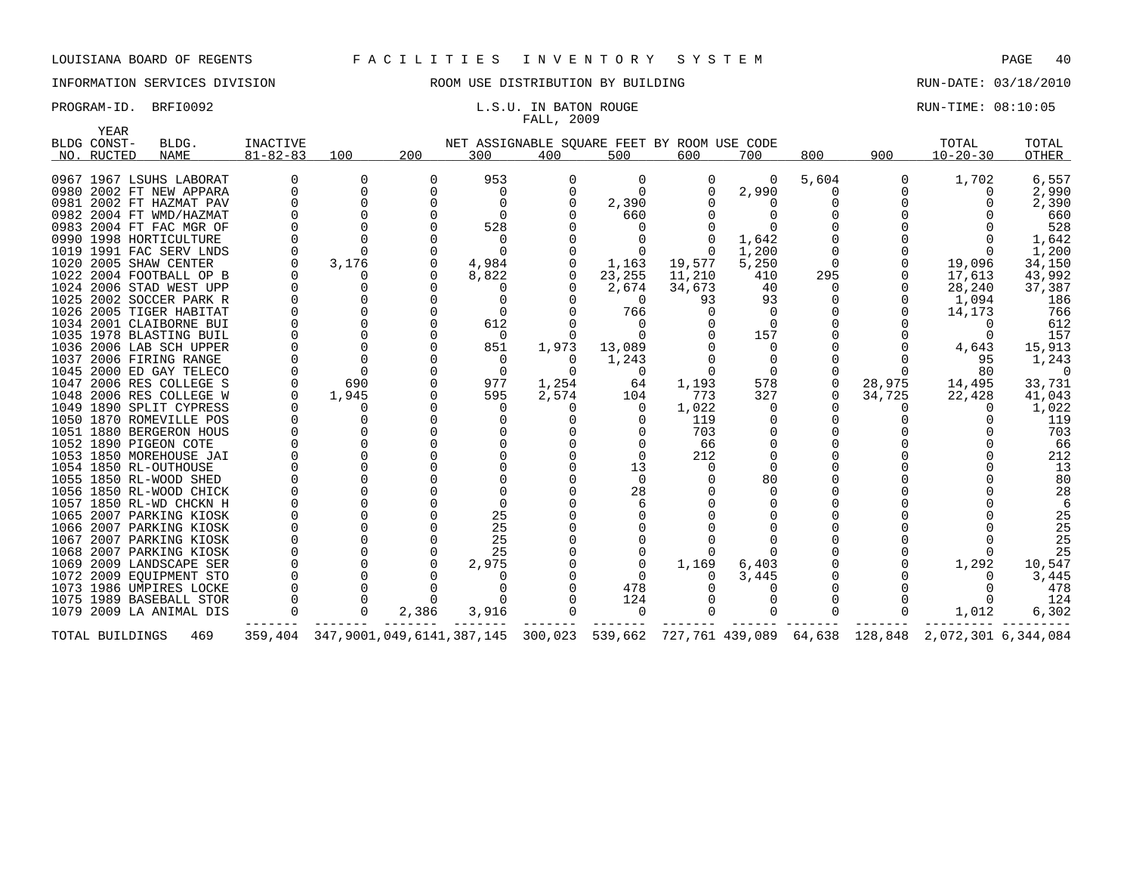# FALL, 2009

|             | YEAR            |                                                    |                |                                         |          |                 |          |                                             |        |                      |               |                                        |                     |            |
|-------------|-----------------|----------------------------------------------------|----------------|-----------------------------------------|----------|-----------------|----------|---------------------------------------------|--------|----------------------|---------------|----------------------------------------|---------------------|------------|
| BLDG CONST- |                 | BLDG.                                              | INACTIVE       |                                         |          |                 |          | NET ASSIGNABLE SOUARE FEET BY ROOM USE CODE |        |                      |               |                                        | TOTAL               | TOTAL      |
|             | NO. RUCTED      | NAME                                               | $81 - 82 - 83$ | 100                                     | 200      | 300             | 400      | 500                                         | 600    | 700                  | 800           | 900                                    | $10 - 20 - 30$      | OTHER      |
|             |                 |                                                    |                |                                         |          |                 |          |                                             |        |                      |               |                                        |                     |            |
|             |                 | 0967 1967 LSUHS LABORAT                            |                | 0                                       | 0        | 953             | 0        | 0                                           |        | $\Omega$             | 5,604         | 0                                      | 1,702               | 6,557      |
|             |                 | 0980 2002 FT NEW APPARA                            |                | $\Omega$                                | O        | $\Omega$        |          | $\Omega$                                    |        | 2,990                | 0             |                                        |                     | 2,990      |
|             |                 | 0981 2002 FT HAZMAT PAV                            |                |                                         |          |                 |          | 2,390                                       |        |                      |               |                                        |                     | 2,390      |
|             |                 | 0982 2004 FT WMD/HAZMAT                            |                |                                         |          | $\Omega$        |          | 660                                         |        |                      |               |                                        |                     | 660        |
|             |                 | 0983 2004 FT FAC MGR OF                            |                |                                         |          | 528             |          |                                             |        |                      |               |                                        |                     | 528        |
|             |                 | 0990 1998 HORTICULTURE                             |                |                                         |          |                 |          |                                             |        | 1,642                |               |                                        |                     | 1,642      |
|             |                 | 1019 1991 FAC SERV LNDS                            |                |                                         |          |                 |          |                                             |        | 1,200                |               |                                        |                     | 1,200      |
|             |                 | 1020 2005 SHAW CENTER                              |                | 3,176                                   |          | 4,984           |          | 1,163                                       | 19,577 | 5,250                | 0             |                                        | 19,096              | 34,150     |
|             |                 | 1022 2004 FOOTBALL OP B                            |                |                                         |          | 8,822           |          | 23,255                                      | 11,210 | 410                  | 295           |                                        | 17,613              | 43,992     |
|             |                 | 1024 2006 STAD WEST UPP                            |                | O                                       |          |                 |          | 2,674                                       | 34,673 | 40                   | $\Omega$<br>∩ |                                        | 28,240              | 37,387     |
|             |                 | 1025 2002 SOCCER PARK R                            |                |                                         |          |                 |          | $\Omega$                                    | 93     | 93                   |               |                                        | 1,094               | 186        |
|             |                 | 1026 2005 TIGER HABITAT<br>1034 2001 CLAIBORNE BUI |                | $\Omega$<br>$\Omega$                    |          | $\Omega$<br>612 |          | 766<br>$\Omega$                             |        | $\Omega$<br>$\Omega$ |               |                                        | 14,173              | 766<br>612 |
|             |                 | 1035 1978 BLASTING BUIL                            |                |                                         | $\Omega$ | $\Omega$        |          | $\Omega$                                    |        | 157                  |               |                                        | $\Omega$            | 157        |
|             |                 | 1036 2006 LAB SCH UPPER                            |                |                                         | O        | 851             | 1,973    | 13,089                                      |        | 0                    |               |                                        | 4,643               | 15,913     |
|             |                 | 1037 2006 FIRING RANGE                             |                | $\Omega$                                |          | $\Omega$        | $\Omega$ | 1,243                                       |        | $\Omega$             |               |                                        | 95                  | 1,243      |
|             |                 | 1045 2000 ED GAY TELECO                            |                |                                         |          | $\Omega$        | $\Omega$ | 0                                           |        | $\Omega$             |               |                                        | 80                  | $\Omega$   |
|             |                 | 1047 2006 RES COLLEGE S                            |                | 690                                     |          | 977             | 1,254    | 64                                          | 1,193  | 578                  | $\Omega$      | 28,975                                 | 14,495              | 33,731     |
|             |                 | 1048 2006 RES COLLEGE W                            |                | 1,945                                   |          | 595             | 2,574    | 104                                         | 773    | 327                  | 0             | 34,725                                 | 22,428              | 41,043     |
|             |                 | 1049 1890 SPLIT CYPRESS                            |                |                                         |          | $\Omega$        |          | 0                                           | 1,022  | 0                    |               |                                        |                     | 1,022      |
|             |                 | 1050 1870 ROMEVILLE POS                            |                | O                                       |          |                 |          |                                             | 119    | 0                    |               |                                        |                     | 119        |
|             |                 | 1051 1880 BERGERON HOUS                            |                |                                         |          |                 |          |                                             | 703    |                      |               |                                        |                     | 703        |
|             |                 | 1052 1890 PIGEON COTE                              |                | 0                                       |          |                 |          |                                             | 66     | 0                    |               |                                        |                     | 66         |
|             |                 | 1053 1850 MOREHOUSE JAI                            |                |                                         |          |                 |          | $\Omega$                                    | 212    | $\Omega$             |               |                                        |                     | 212        |
|             |                 | 1054 1850 RL-OUTHOUSE                              |                | $\Omega$                                |          |                 |          | 13                                          |        |                      |               |                                        |                     | 13         |
|             |                 | 1055 1850 RL-WOOD SHED                             |                |                                         |          |                 |          | $\Omega$                                    |        | 80                   |               |                                        |                     | 80         |
|             |                 | 1056 1850 RL-WOOD CHICK                            |                | 0                                       |          |                 |          | 28                                          |        | U                    |               |                                        |                     | 28         |
|             |                 | 1057 1850 RL-WD CHCKN H                            |                |                                         |          |                 |          |                                             |        |                      |               |                                        |                     |            |
|             |                 | 1065 2007 PARKING KIOSK                            |                |                                         |          | 25              |          |                                             |        |                      |               |                                        |                     | 25         |
|             |                 | 1066 2007 PARKING KIOSK                            |                |                                         |          | 25              |          |                                             |        |                      |               |                                        |                     | 25         |
|             |                 | 1067 2007 PARKING KIOSK                            |                |                                         |          | 25              |          |                                             |        |                      |               |                                        |                     | 25         |
|             |                 | 1068 2007 PARKING KIOSK                            |                |                                         |          | 25              |          |                                             |        |                      |               |                                        |                     | 25         |
|             |                 | 1069 2009 LANDSCAPE SER                            |                |                                         |          | 2,975           |          |                                             | 1,169  | 6,403                |               |                                        | 1,292               | 10,547     |
|             |                 | 1072 2009 EOUIPMENT STO                            |                |                                         |          |                 |          |                                             |        | 3,445                |               |                                        |                     | 3,445      |
|             |                 | 1073 1986 UMPIRES LOCKE                            |                | $\Omega$                                |          |                 |          | 478                                         |        |                      |               |                                        |                     | 478        |
|             |                 | 1075 1989 BASEBALL STOR                            |                |                                         |          |                 |          | 124                                         |        |                      |               |                                        |                     | 124        |
|             |                 | 1079 2009 LA ANIMAL DIS                            |                | $\Omega$                                | 2,386    | 3,916           |          | $\Omega$                                    |        |                      |               |                                        | 1,012               | 6,302      |
|             | TOTAL BUILDINGS | 469                                                |                | 359, 404 347, 9001, 049, 6141, 387, 145 |          |                 | 300,023  |                                             |        |                      |               | 539,662 727,761 439,089 64,638 128,848 | 2,072,301 6,344,084 |            |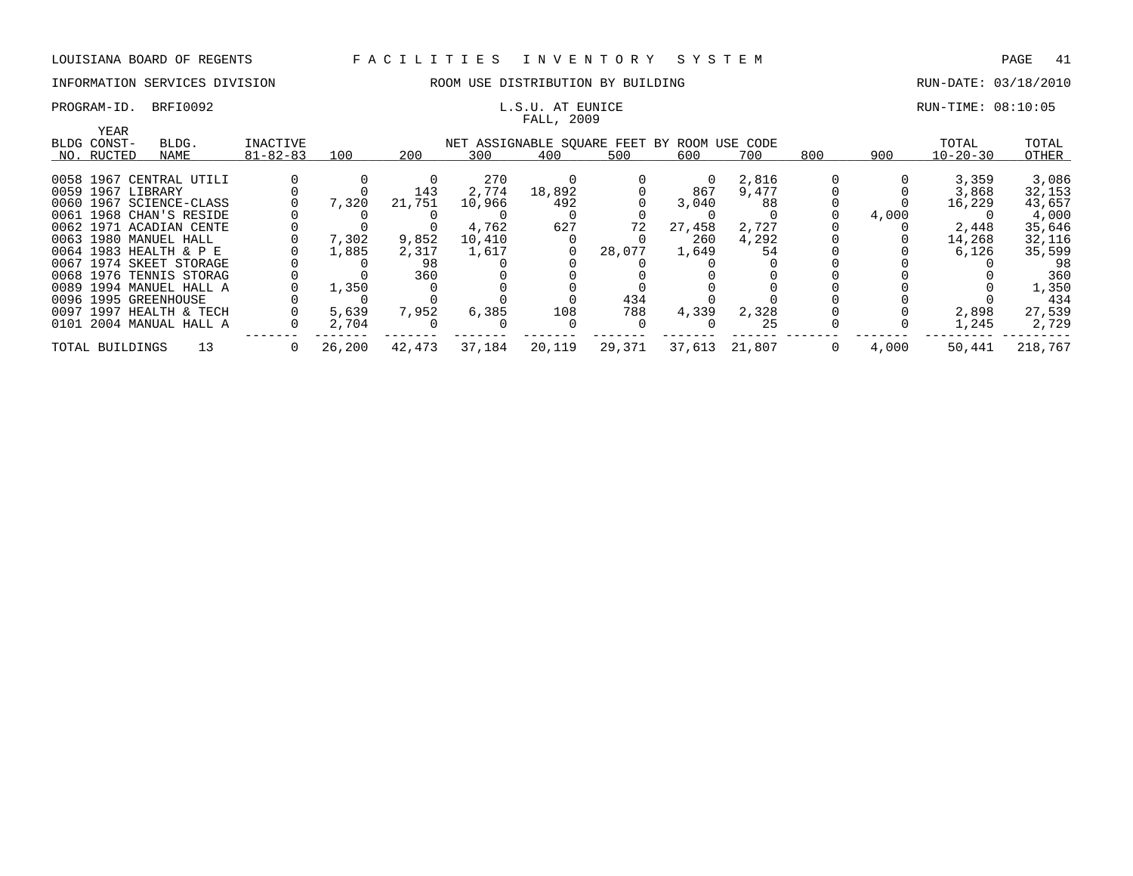# FALL, 2009

## PROGRAM-ID. BRFI0092 **EXAM-ID.** BRFI0092 **RUN-TIME: 08:10:05** L.S.U. AT EUNICE

| YEAR              |                         |                |        |        |        |                                             |        |        |               |     |       |                |         |
|-------------------|-------------------------|----------------|--------|--------|--------|---------------------------------------------|--------|--------|---------------|-----|-------|----------------|---------|
| BLDG CONST-       | BLDG.                   | INACTIVE       |        |        |        | NET ASSIGNABLE SOUARE FEET BY ROOM USE CODE |        |        |               |     |       | TOTAL          | TOTAL   |
| NO. RUCTED        | NAME                    | $81 - 82 - 83$ | 100    | 200    | 300    | 400                                         | 500    | 600    | 700           | 800 | 900   | $10 - 20 - 30$ | OTHER   |
|                   |                         |                |        |        |        |                                             |        |        |               |     |       |                |         |
|                   | 0058 1967 CENTRAL UTILI |                |        |        | 270    |                                             |        | 0      | 2,816         |     |       | 3,359          | 3,086   |
| 0059 1967 LIBRARY |                         |                |        | 143    | 2,774  | 18,892                                      |        | 867    | 9,477         |     |       | 3,868          | 32,153  |
|                   | 0060 1967 SCIENCE-CLASS |                | 7,320  | 21,751 | 10,966 | 492                                         |        | 3,040  | 88            |     |       | 16,229         | 43,657  |
|                   | 0061 1968 CHAN'S RESIDE |                |        |        |        |                                             |        |        |               |     | 4,000 |                | 4,000   |
|                   | 0062 1971 ACADIAN CENTE |                |        |        | 4,762  | 627                                         | 72     | 27,458 | 2,727         |     |       | 2,448          | 35,646  |
|                   | 0063 1980 MANUEL HALL   |                | 7,302  | 9,852  | 10,410 |                                             |        | 260    | 4,292         |     |       | 14,268         | 32,116  |
|                   | 0064 1983 HEALTH & P E  |                | 1,885  | 2,317  | 1,617  |                                             | 28,077 | 1,649  | 54            |     |       | 6,126          | 35,599  |
|                   | 0067 1974 SKEET STORAGE |                |        | 98     |        |                                             |        |        |               |     |       |                | 98      |
|                   | 0068 1976 TENNIS STORAG |                |        | 360    |        |                                             |        |        |               |     |       |                | 360     |
|                   | 0089 1994 MANUEL HALL A |                | 1,350  |        |        |                                             |        |        |               |     |       |                | 1,350   |
|                   | 0096 1995 GREENHOUSE    |                |        |        |        |                                             | 434    |        |               |     |       |                | 434     |
|                   | 0097 1997 HEALTH & TECH |                | 5,639  | 7,952  | 6,385  | 108                                         | 788    | 4,339  | 2,328         |     |       | 2,898          | 27,539  |
|                   | 0101 2004 MANUAL HALL A |                | 2,704  |        |        |                                             |        |        | 25            |     |       | 1,245          | 2,729   |
| TOTAL BUILDINGS   | 13                      | $\sigma$       | 26,200 | 42,473 | 37,184 | 20,119                                      | 29,371 |        | 37,613 21,807 | 0   | 4,000 | 50,441         | 218,767 |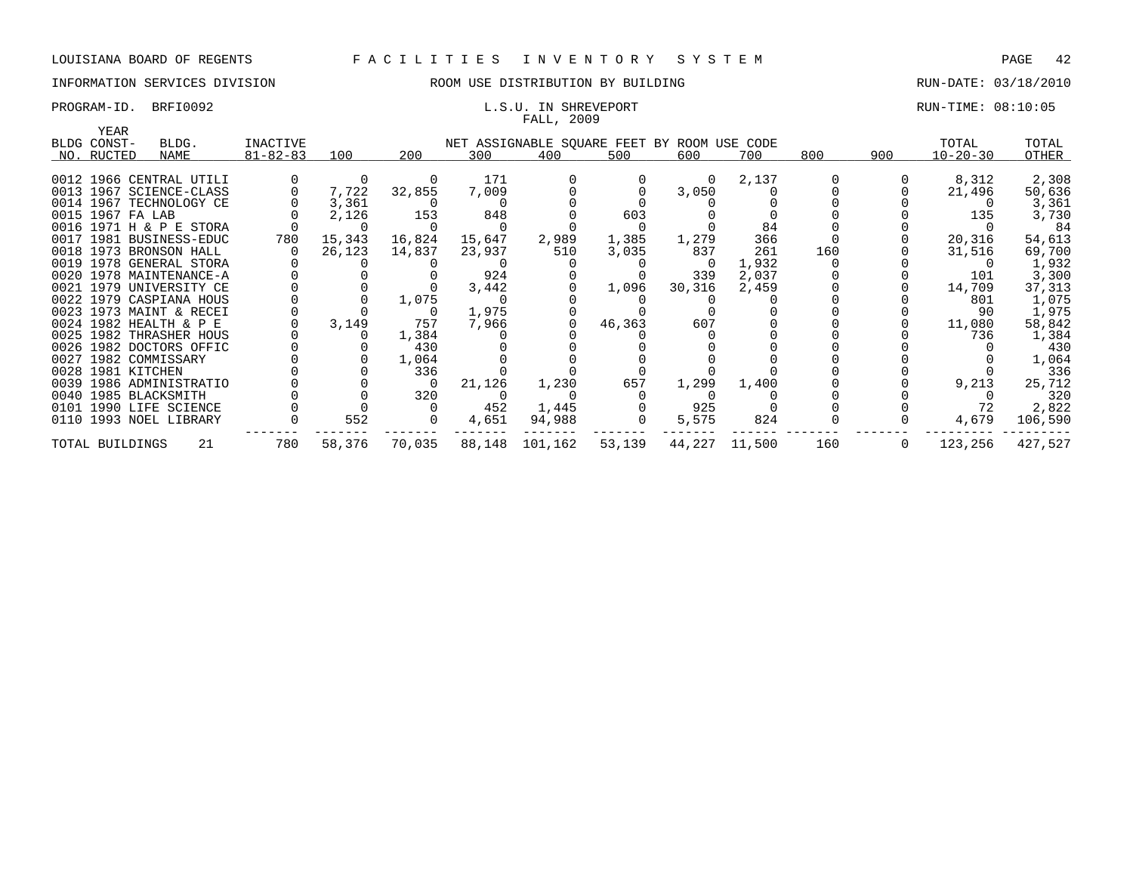## INFORMATION SERVICES DIVISION THE ROOM USE DISTRIBUTION BY BUILDING THE RUN-DATE: 03/18/2010

## PROGRAM-ID. BRFI0092 **EXAM-ID.** BRFI0092 **RUN-TIME: 08:10:05** FALL, 2009

| YEAR              |                         |                |          |        |        |                                             |        |          |        |     |          |                |         |
|-------------------|-------------------------|----------------|----------|--------|--------|---------------------------------------------|--------|----------|--------|-----|----------|----------------|---------|
| BLDG CONST-       | BLDG.                   | INACTIVE       |          |        |        | NET ASSIGNABLE SQUARE FEET BY ROOM USE CODE |        |          |        |     |          | TOTAL          | TOTAL   |
| NO. RUCTED        | NAME                    | $81 - 82 - 83$ | 100      | 200    | 300    | 400                                         | 500    | 600      | 700    | 800 | 900      | $10 - 20 - 30$ | OTHER   |
|                   |                         |                |          |        |        |                                             |        |          |        |     |          |                |         |
|                   | 0012 1966 CENTRAL UTILI |                | $\Omega$ |        | 171    |                                             |        | $\Omega$ | 2,137  |     |          | 8,312          | 2,308   |
|                   | 0013 1967 SCIENCE-CLASS |                | 7,722    | 32,855 | 7,009  |                                             |        | 3,050    |        |     |          | 21,496         | 50,636  |
|                   | 0014 1967 TECHNOLOGY CE |                | 3,361    |        |        |                                             |        |          |        |     |          |                | 3,361   |
| 0015 1967 FA LAB  |                         |                | 2,126    | 153    | 848    |                                             | 603    |          |        |     |          | 135            | 3,730   |
|                   | 0016 1971 H & P E STORA |                |          |        |        |                                             |        |          | 84     |     |          |                | 84      |
|                   | 0017 1981 BUSINESS-EDUC | 780            | 15,343   | 16,824 | 15,647 | 2,989                                       | 1,385  | 1,279    | 366    |     |          | 20,316         | 54,613  |
|                   | 0018 1973 BRONSON HALL  |                | 26,123   | 14,837 | 23,937 | 510                                         | 3,035  | 837      | 261    | 160 |          | 31,516         | 69,700  |
|                   | 0019 1978 GENERAL STORA |                |          |        |        |                                             |        |          | 1,932  |     |          |                | 1,932   |
|                   | 0020 1978 MAINTENANCE-A |                |          |        | 924    |                                             |        | 339      | 2,037  |     |          | 101            | 3,300   |
|                   | 0021 1979 UNIVERSITY CE |                |          |        | 3,442  |                                             | 1,096  | 30,316   | 2,459  |     |          | 14,709         | 37,313  |
|                   | 0022 1979 CASPIANA HOUS |                |          | 1,075  |        |                                             |        |          |        |     |          | 801            | 1,075   |
|                   | 0023 1973 MAINT & RECEI |                |          |        | 1,975  |                                             |        |          |        |     |          | 90             | 1,975   |
|                   | 0024 1982 HEALTH & P E  |                | 3,149    | 757    | 7,966  |                                             | 46,363 | 607      |        |     |          | 11,080         | 58,842  |
|                   | 0025 1982 THRASHER HOUS |                |          | 1,384  |        |                                             |        |          |        |     |          | 736            | 1,384   |
|                   | 0026 1982 DOCTORS OFFIC |                |          | 430    |        |                                             |        |          |        |     |          |                | 430     |
|                   | 0027 1982 COMMISSARY    |                |          | 1,064  |        |                                             |        |          |        |     |          |                | 1,064   |
| 0028 1981 KITCHEN |                         |                |          | 336    |        |                                             |        |          |        |     |          |                | 336     |
|                   | 0039 1986 ADMINISTRATIO |                |          |        | 21,126 | 1,230                                       | 657    | 1,299    | 1,400  |     |          | 9,213          | 25,712  |
|                   | 0040 1985 BLACKSMITH    |                |          | 320    |        |                                             |        |          |        |     |          |                | 320     |
|                   | 0101 1990 LIFE SCIENCE  |                |          |        | 452    | 1,445                                       |        | 925      |        |     |          | 72             | 2,822   |
|                   | 0110 1993 NOEL LIBRARY  |                | 552      |        | 4,651  | 94,988                                      |        | 5,575    | 824    |     |          | 4,679          | 106,590 |
| TOTAL BUILDINGS   | 21                      | 780            | 58,376   | 70,035 |        | 88,148 101,162                              | 53,139 | 44,227   | 11,500 | 160 | $\Omega$ | 123,256        | 427,527 |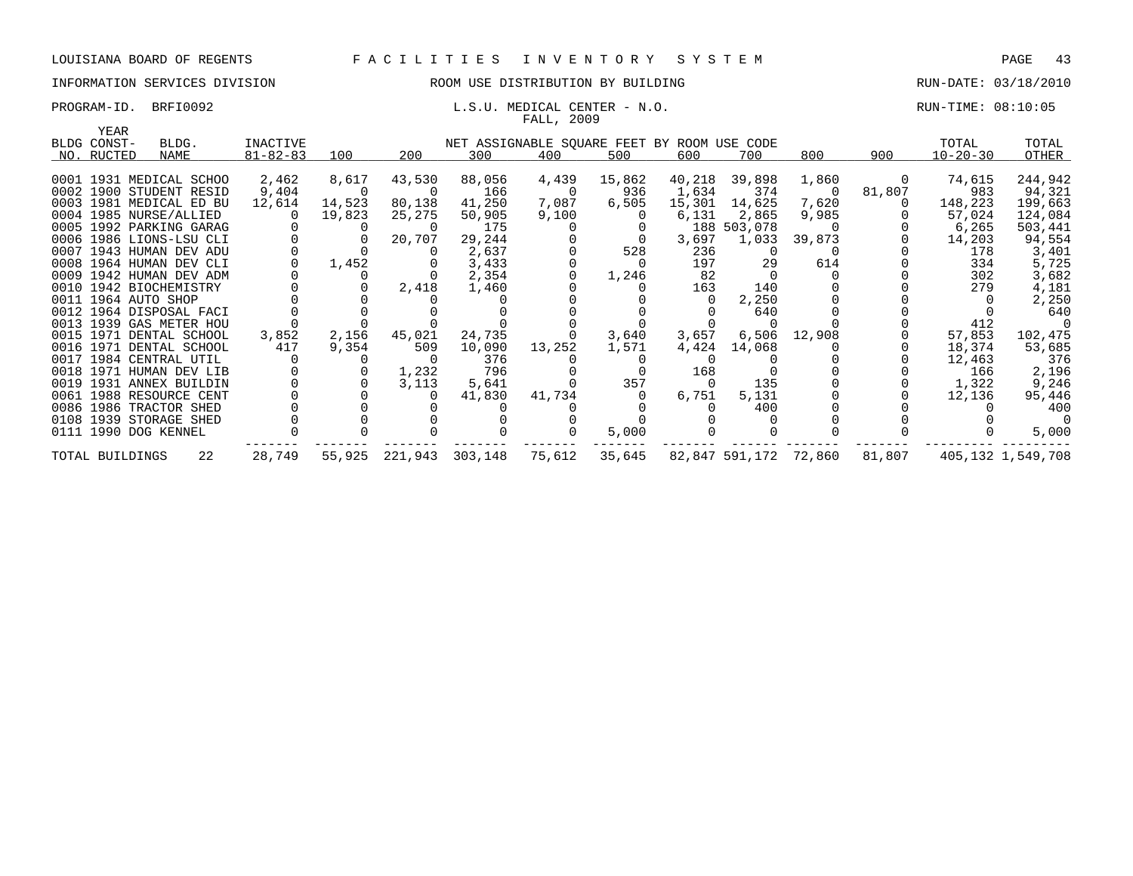## INFORMATION SERVICES DIVISION ROOM USE DISTRIBUTION BY BUILDING RUN-DATE: 03/18/2010

## PROGRAM-ID. BRFI0092 CHARGE SERVICES IN THE SALUATE SERVICE OF L.S.U. MEDICAL CENTER - N.O. CHARGE SERVICES IN TIME: 08:10:05

|             |                         |                |          |                |        | FALL, 2009              |                                             |        |             |        |        |                |         |
|-------------|-------------------------|----------------|----------|----------------|--------|-------------------------|---------------------------------------------|--------|-------------|--------|--------|----------------|---------|
| YEAR        |                         |                |          |                |        |                         |                                             |        |             |        |        |                |         |
| BLDG CONST- | BLDG.                   | INACTIVE       |          |                |        |                         | NET ASSIGNABLE SQUARE FEET BY ROOM USE CODE |        |             |        |        | TOTAL          | TOTAL   |
| NO. RUCTED  | NAME                    | $81 - 82 - 83$ | 100      | 200            | 300    | 400                     | 500                                         | 600    | 700         | 800    | 900    | $10 - 20 - 30$ | OTHER   |
|             |                         |                |          |                |        |                         |                                             |        |             |        |        |                |         |
|             | 0001 1931 MEDICAL SCHOO | 2,462          | 8,617    | 43,530         | 88,056 | 4,439                   | 15,862                                      | 40,218 | 39,898      | 1,860  | 0      | 74,615         | 244,942 |
|             | 0002 1900 STUDENT RESID | 9,404          | $\Omega$ | $\overline{0}$ | 166    | $\overline{\mathbf{0}}$ | 936                                         | 1,634  | 374         | - 0    | 81,807 | 983            | 94,321  |
|             | 0003 1981 MEDICAL ED BU | 12,614         | 14,523   | 80,138         | 41,250 | 7,087                   | 6,505                                       | 15,301 | 14,625      | 7,620  |        | 148,223        | 199,663 |
|             | 0004 1985 NURSE/ALLIED  |                | 19,823   | 25,275         | 50,905 | 9,100                   |                                             | 6,131  | 2,865       | 9,985  |        | 57,024         | 124,084 |
|             | 0005 1992 PARKING GARAG |                |          | $\Omega$       | 175    |                         |                                             |        | 188 503,078 |        |        | 6,265          | 503,441 |
|             | 0006 1986 LIONS-LSU CLI |                |          | 20,707         | 29,244 |                         |                                             | 3,697  | 1,033       | 39,873 |        | 14,203         | 94,554  |
|             | 0007 1943 HUMAN DEV ADU |                |          |                | 2,637  |                         | 528                                         | 236    | $\Omega$    |        |        | 178            | 3,401   |
|             | 0008 1964 HUMAN DEV CLI |                | 1,452    |                | 3,433  |                         |                                             | 197    | 29          | 614    |        | 334            | 5,725   |
|             | 0009 1942 HUMAN DEV ADM |                |          |                | 2,354  |                         | 1,246                                       | 82     |             |        |        | 302            | 3,682   |
|             | 0010 1942 BIOCHEMISTRY  |                |          | 2,418          | 1,460  |                         |                                             | 163    | 140         |        |        | 279            | 4,181   |
|             | 0011 1964 AUTO SHOP     |                |          |                |        |                         |                                             |        | 2,250       |        |        |                | 2,250   |
|             | 0012 1964 DISPOSAL FACI |                |          |                |        |                         |                                             |        | 640         |        |        |                | 640     |
|             | 0013 1939 GAS METER HOU |                |          |                |        |                         |                                             |        |             |        |        | 412            |         |
|             | 0015 1971 DENTAL SCHOOL | 3,852          | 2,156    | 45,021         | 24,735 |                         | 3,640                                       | 3,657  | 6,506       | 12,908 |        | 57,853         | 102,475 |
|             | 0016 1971 DENTAL SCHOOL | 417            | 9,354    | 509            | 10,090 | 13,252                  | 1,571                                       | 4,424  | 14,068      |        |        | 18,374         | 53,685  |
|             | 0017 1984 CENTRAL UTIL  |                |          |                | 376    |                         |                                             |        |             |        |        | 12,463         | 376     |
|             | 0018 1971 HUMAN DEV LIB |                |          | 1,232          | 796    |                         |                                             | 168    |             |        |        | 166            | 2,196   |
|             | 0019 1931 ANNEX BUILDIN |                |          | 3,113          | 5,641  |                         | 357                                         | - 0    | 135         |        |        | 1,322          | 9,246   |
|             | 0061 1988 RESOURCE CENT |                |          |                | 41,830 | 41,734                  |                                             | 6,751  | 5,131       |        |        | 12,136         | 95,446  |
|             | 0086 1986 TRACTOR SHED  |                |          |                |        |                         |                                             |        | 400         |        |        |                | 400     |
|             | 0108 1939 STORAGE SHED  |                |          |                |        |                         |                                             |        |             |        |        |                |         |
|             | 0111 1990 DOG KENNEL    |                |          |                |        |                         | 5,000                                       |        |             |        |        |                | 5,000   |
|             |                         |                |          |                |        |                         |                                             |        |             |        |        |                |         |

TOTAL BUILDINGS 22 28,749 55,925 221,943 303,148 75,612 35,645 82,847 591,172 72,860 81,807 405,132 1,549,708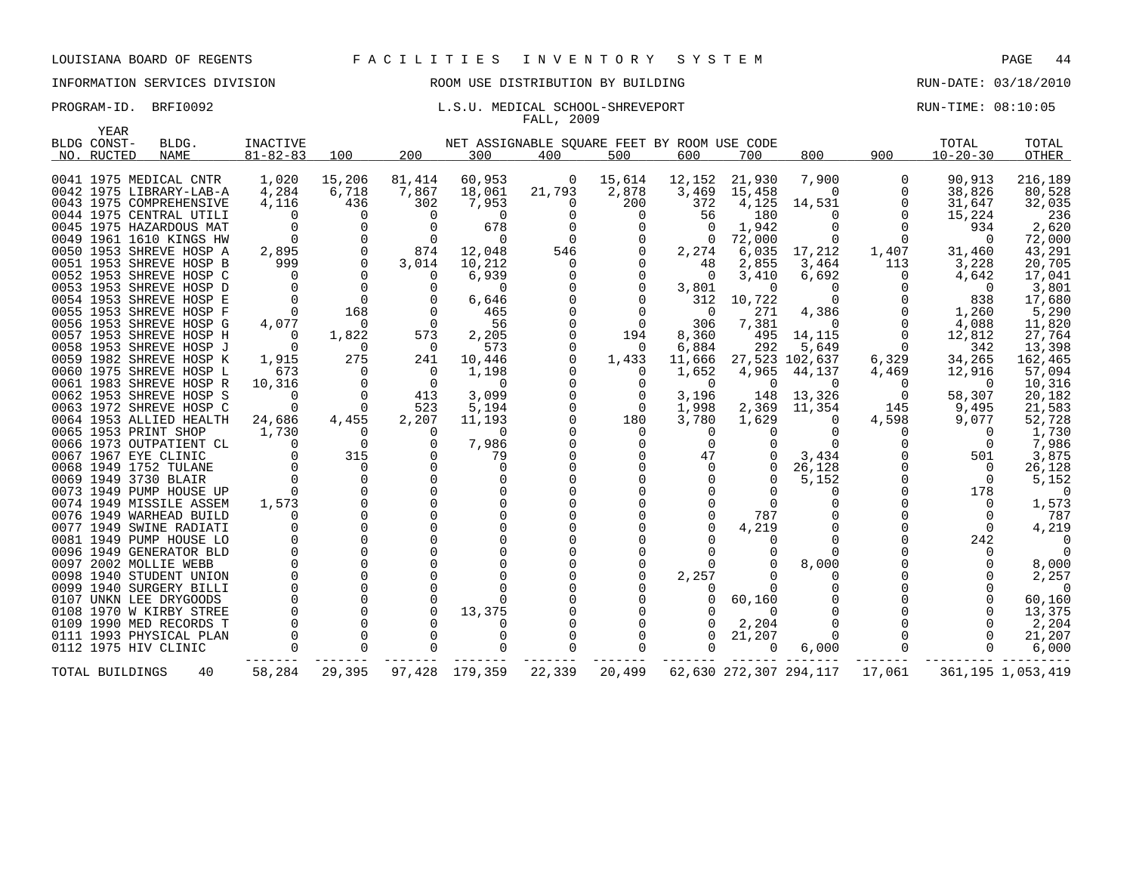## INFORMATION SERVICES DIVISION ROOM USE DISTRIBUTION BY BUILDING RUN-DATE: 03/18/2010

## PROGRAM-ID. BRFI0092 **EXAMILISE ENGINEER** L.S.U. MEDICAL SCHOOL-SHREVEPORT **RUN-TIME: 08:10:05** FALL, 2009

| YEAR            |                         |                |                |                |                                             |          |             |          |                |                        |          |                |                      |
|-----------------|-------------------------|----------------|----------------|----------------|---------------------------------------------|----------|-------------|----------|----------------|------------------------|----------|----------------|----------------------|
| BLDG CONST-     | BLDG.                   | INACTIVE       |                |                | NET ASSIGNABLE SQUARE FEET BY ROOM USE CODE |          |             |          |                |                        |          | TOTAL          | TOTAL                |
| NO. RUCTED      | <b>NAME</b>             | $81 - 82 - 83$ | 100            | 200            | 300                                         | 400      | 500         | 600      | 700            | 800                    | 900      | $10 - 20 - 30$ | OTHER                |
|                 |                         |                |                |                |                                             |          |             |          |                |                        |          |                |                      |
|                 | 0041 1975 MEDICAL CNTR  | 1,020          | 15,206         | 81,414         | 60,953                                      | 0        | 15,614      | 12,152   | 21,930         | 7,900                  | 0        | 90,913         | 216,189              |
|                 | 0042 1975 LIBRARY-LAB-A | 4,284          | 6,718          | 7,867          | 18,061                                      | 21,793   | 2,878       | 3,469    | 15,458         | 0                      | 0        | 38,826         | 80,528               |
|                 | 0043 1975 COMPREHENSIVE | 4,116          | 436            | 302            | 7,953                                       | $\Omega$ | 200         | 372      | 4,125          | 14,531                 | $\Omega$ | 31,647         | 32,035               |
|                 | 0044 1975 CENTRAL UTILI |                | O              | 0              | $\Omega$                                    |          | 0           | 56       | 180            | O                      | $\Omega$ | 15,224         | 236                  |
|                 | 0045 1975 HAZARDOUS MAT |                | $\Omega$       | $\Omega$       | 678                                         |          | $\Omega$    | $\Omega$ | 1,942          | $\Omega$               | $\Omega$ | 934            | 2,620                |
|                 | 0049 1961 1610 KINGS HW |                | 0              | $\Omega$       | $\Omega$                                    | $\Omega$ |             | $\Omega$ | 72,000         | 0                      | 0        | $\Omega$       | 72,000               |
|                 | 0050 1953 SHREVE HOSP A | 2,895          | $\Omega$       | 874            | 12,048                                      | 546      |             | 2,274    | 6,035          | 17,212                 | 1,407    | 31,460         | 43,291               |
|                 | 0051 1953 SHREVE HOSP B | 999            | $\Omega$       | 3,014          | 10,212                                      | $\Omega$ |             | 48       | 2,855          | 3,464                  | 113      | 3,228          | 20,705               |
|                 | 0052 1953 SHREVE HOSP C |                | $\Omega$       | $\Omega$       | 6,939                                       |          |             | $\Omega$ | 3,410          | 6,692                  | 0        | 4,642          | 17,041               |
|                 | 0053 1953 SHREVE HOSP D |                | $\Omega$       | $\Omega$       | $\Omega$                                    |          |             | 3,801    | $\Omega$       | $\Omega$               |          | $\Omega$       | 3,801                |
|                 | 0054 1953 SHREVE HOSP E |                | $\mathbf 0$    | $\Omega$       | 6,646                                       |          |             | 312      | 10,722         | $\Omega$               |          | 838            | 17,680               |
|                 | 0055 1953 SHREVE HOSP F |                | 168            | $\Omega$       | 465                                         |          |             | $\Omega$ | 271            | 4,386                  |          | 1,260          | 5,290                |
|                 | 0056 1953 SHREVE HOSP G | 4,077          | $\Omega$       | $\Omega$       | 56                                          |          | $\Omega$    | 306      | 7,381          | $\Omega$               | 0        | 4,088          | 11,820               |
|                 | 0057 1953 SHREVE HOSP H | $\Omega$       | 1,822          | 573            | 2,205                                       |          | 194         | 8,360    | 495            | 14,115                 | $\Omega$ | 12,812         | 27,764               |
|                 | 0058 1953 SHREVE HOSP J |                | $\Omega$       | $\Omega$       | 573                                         |          | $\Omega$    | 6,884    | 292            | 5,649                  | $\Omega$ | 342            | 13,398               |
|                 | 0059 1982 SHREVE HOSP K | 1,915          | 275            | 241            | 10,446                                      |          | 1,433       | 11,666   |                | 27,523 102,637         | 6,329    | 34,265         | 162,465              |
|                 | 0060 1975 SHREVE HOSP L | 673            | $\Omega$       | $\Omega$       | 1,198                                       |          | $\Omega$    | 1,652    | 4,965          | 44,137                 | 4,469    | 12,916         | 57,094               |
|                 | 0061 1983 SHREVE HOSP R | 10,316         | $\overline{0}$ | $\overline{0}$ | $\Omega$                                    |          |             | $\Omega$ | 0              | $\Omega$               | 0        | $\Omega$       | 10,316               |
|                 | 0062 1953 SHREVE HOSP S |                | $\Omega$       | 413            | 3,099                                       |          | $\mathbf 0$ | 3,196    | 148            | 13,326                 | 0        | 58,307         | 20,182               |
|                 | 0063 1972 SHREVE HOSP C |                | $\Omega$       | 523            | 5,194                                       |          | 0           | 1,998    | 2,369          | 11,354                 | 145      | 9,495          | 21,583               |
|                 | 0064 1953 ALLIED HEALTH | 24,686         | 4,455          | 2,207          | 11,193                                      |          | 180         | 3,780    | 1,629          | 0                      | 4,598    | 9,077          | 52,728               |
|                 | 0065 1953 PRINT SHOP    | 1,730          | $\Omega$       | $\Omega$       | $\Omega$                                    |          | 0           | $\Omega$ | $\Omega$       | $\Omega$               | 0        | $\Omega$       | 1,730                |
|                 | 0066 1973 OUTPATIENT CL |                | $\Omega$       | $\Omega$       | 7,986                                       |          | $\Omega$    | $\Omega$ | 0              | $\Omega$               |          | $\Omega$       | 7,986                |
|                 | 0067 1967 EYE CLINIC    |                | 315            | $\Omega$       | 79                                          |          |             | 47       | 0              | 3,434                  |          | 501            | 3,875                |
|                 | 0068 1949 1752 TULANE   |                | $\Omega$       |                | $\Omega$                                    |          |             |          | 0              | 26,128                 |          | $\Omega$       | 26,128               |
|                 | 0069 1949 3730 BLAIR    |                | $\mathbf 0$    | $\Omega$       | $\Omega$                                    |          |             |          | 0              | 5,152                  |          | $\Omega$       | 5,152                |
|                 | 0073 1949 PUMP HOUSE UP |                | $\Omega$       |                |                                             |          |             |          |                | ∩                      |          | 178            | $\Omega$             |
|                 | 0074 1949 MISSILE ASSEM | 1,573          |                |                |                                             |          |             |          | <sup>0</sup>   |                        |          | $\Omega$       | 1,573                |
|                 | 0076 1949 WARHEAD BUILD |                | $\Omega$       |                |                                             |          |             |          | 787            |                        |          | $\Omega$       | 787                  |
|                 | 0077 1949 SWINE RADIATI |                | $\Omega$       |                |                                             |          |             |          | 4,219          |                        |          | $\Omega$       | 4,219                |
|                 | 0081 1949 PUMP HOUSE LO |                | $\Omega$       |                |                                             |          |             |          | $\Omega$       |                        |          | 242            |                      |
|                 | 0096 1949 GENERATOR BLD |                |                |                |                                             |          |             |          |                |                        |          |                |                      |
|                 | 0097 2002 MOLLIE WEBB   |                |                |                |                                             |          |             |          | $\Omega$       | 8,000                  |          |                | 8,000                |
|                 | 0098 1940 STUDENT UNION |                | $\Omega$       |                |                                             |          |             | 2,257    | $\Omega$       | 0                      |          |                | 2,257                |
|                 | 0099 1940 SURGERY BILLI |                | $\Omega$       |                |                                             |          |             |          | $\Omega$       | O                      |          |                | $\Omega$             |
|                 | 0107 UNKN LEE DRYGOODS  |                |                |                |                                             |          |             |          | 60,160         |                        |          |                | 60,160               |
|                 | 0108 1970 W KIRBY STREE |                | 0              |                | 13,375                                      |          |             |          | $\Omega$       | 0                      |          |                | 13,375               |
|                 | 0109 1990 MED RECORDS T |                |                |                |                                             |          |             |          | 2,204          |                        |          |                | 2,204                |
|                 | 0111 1993 PHYSICAL PLAN |                | $\Omega$       |                | ∩                                           |          |             |          | 21,207         | 0                      |          |                | 21,207               |
|                 | 0112 1975 HIV CLINIC    |                | $\Omega$       |                |                                             |          |             |          | $\overline{0}$ | 6,000                  |          | $\Omega$       | 6,000                |
|                 |                         |                |                |                |                                             |          |             |          |                |                        |          |                |                      |
| TOTAL BUILDINGS | 40                      | 58,284         | 29,395         | 97,428         | 179,359                                     | 22,339   | 20,499      |          |                | 62,630 272,307 294,117 | 17,061   |                | 361, 195 1, 053, 419 |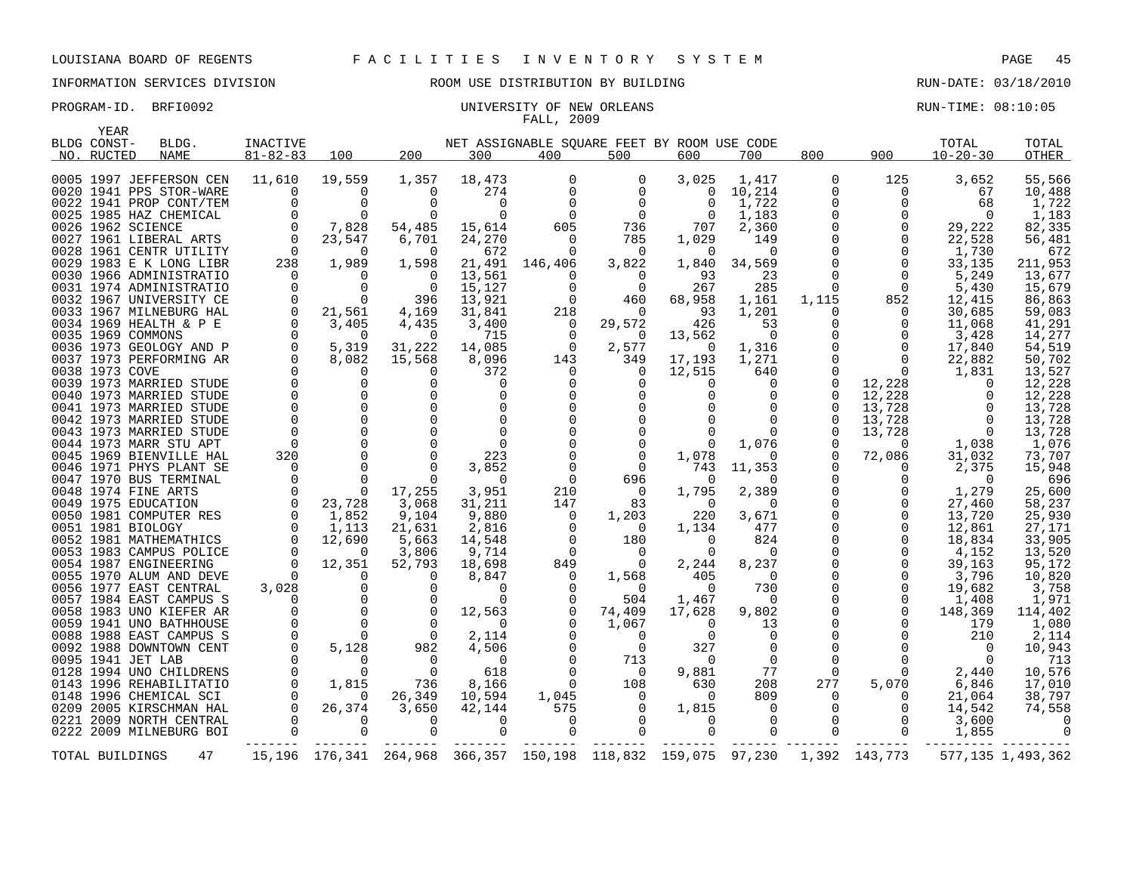## PROGRAM-ID. BRFI0092 CONSERVERSITY OF NEW ORLEANS AND CONSERVERS AND RUN-TIME: 08:10:05 FALL, 2009

|      | YEAR            |                         |                 |             |                        |             |                                             |                |          |                |             |               |                |                   |
|------|-----------------|-------------------------|-----------------|-------------|------------------------|-------------|---------------------------------------------|----------------|----------|----------------|-------------|---------------|----------------|-------------------|
|      | BLDG CONST-     | BLDG.                   | <b>INACTIVE</b> |             |                        |             | NET ASSIGNABLE SQUARE FEET BY ROOM USE CODE |                |          |                |             |               | TOTAL          | TOTAL             |
|      | NO. RUCTED      | <b>NAME</b>             | $81 - 82 - 83$  | 100         | 200                    | 300         | 400                                         | 500            | 600      | 700            | 800         | 900           | $10 - 20 - 30$ | <b>OTHER</b>      |
|      |                 |                         |                 |             |                        |             |                                             |                |          |                |             |               |                |                   |
|      |                 | 0005 1997 JEFFERSON CEN | 11,610          | 19,559      | 1,357                  | 18,473      | 0                                           | 0              | 3,025    | 1,417          | $\Omega$    | 125           | 3,652          | 55,566            |
|      |                 | 0020 1941 PPS STOR-WARE | 0               | 0           | $\Omega$               | 274         | $\mathbf 0$                                 | 0              | 0        | 10,214         | 0           | 0             | 67             | 10,488            |
|      |                 | 0022 1941 PROP CONT/TEM | $\Omega$        | $\mathbf 0$ | $\Omega$               | 0           | $\Omega$                                    | $\mathbf 0$    | 0        | 1,722          |             | 0             | 68             | 1,722             |
|      |                 | 0025 1985 HAZ CHEMICAL  |                 | $\Omega$    | $\Omega$               | $\mathbf 0$ | 0                                           | $\mathbf 0$    | 0        | 1,183          |             | 0             | $\Omega$       | 1,183             |
|      |                 | 0026 1962 SCIENCE       | $\Omega$        | 7,828       | 54,485                 | 15,614      | 605                                         | 736            | 707      | 2,360          |             | 0             | 29,222         | 82,335            |
|      |                 | 0027 1961 LIBERAL ARTS  | $\Omega$        | 23,547      | 6,701                  | 24,270      | $\Omega$                                    | 785            | 1,029    | 149            |             | $\Omega$      | 22,528         | 56,481            |
|      |                 | 0028 1961 CENTR UTILITY | $\Omega$        | $\Omega$    | $\Omega$               | 672         | $\Omega$                                    | $\Omega$       | $\Omega$ | $\Omega$       |             | $\Omega$      | 1,730          | 672               |
|      |                 | 0029 1983 E K LONG LIBR | 238             | 1,989       | 1,598                  | 21,491      | 146,406                                     | 3,822          | 1,840    | 34,569         |             | $\Omega$      | 33,135         | 211,953           |
|      |                 | 0030 1966 ADMINISTRATIO | $\Omega$        | $\Omega$    | $\Omega$               | 13,561      | 0                                           | 0              | 93       | 23             |             | $\Omega$      | 5,249          | 13,677            |
|      |                 | 0031 1974 ADMINISTRATIO | $\Omega$        | $\Omega$    | $\Omega$               | 15,127      | $\Omega$                                    | $\mathbf 0$    | 267      | 285            | $\Omega$    | $\Omega$      | 5,430          | 15,679            |
|      |                 | 0032 1967 UNIVERSITY CE | $\overline{0}$  | 0           | 396                    | 13,921      | 0                                           | 460            | 68,958   | 1,161          | 1,115       | 852           | 12,415         | 86,863            |
|      |                 | 0033 1967 MILNEBURG HAL | $\overline{0}$  | 21,561      | 4,169                  | 31,841      | 218                                         | $\Omega$       | 93       | 1,201          |             | 0             | 30,685         | 59,083            |
|      |                 | 0034 1969 HEALTH & P E  | 0               | 3,405       | 4,435                  | 3,400       | 0                                           | 29,572         | 426      | 53             |             | 0             | 11,068         | 41,291            |
|      |                 | 0035 1969 COMMONS       | $\Omega$        | $\Omega$    | $\Omega$               | 715         | 0                                           | $\Omega$       | 13,562   | $\Omega$       |             | 0             | 3,428          | 14,277            |
|      |                 | 0036 1973 GEOLOGY AND P | $\Omega$        | 5,319       | 31,222                 | 14,085      | $\Omega$                                    | 2,577          | - 0      | 1,316          |             | $\Omega$      | 17,840         | 54,519            |
|      |                 | 0037 1973 PERFORMING AR | $\Omega$        | 8,082       | 15,568                 | 8,096       | 143                                         | 349            | 17,193   | 1,271          |             | $\Omega$      | 22,882         | 50,702            |
|      | 0038 1973 COVE  |                         |                 | $\Omega$    | $\Omega$               | 372         | $\Omega$                                    | $\overline{0}$ | 12,515   | 640            |             | $\Omega$      | 1,831          | 13,527            |
|      |                 | 0039 1973 MARRIED STUDE |                 | $\Omega$    | $\Omega$               | 0           | $\Omega$                                    | $\Omega$       | 0        | $\Omega$       |             | 12,228        | 0              | 12,228            |
|      |                 | 0040 1973 MARRIED STUDE |                 | $\mathbf 0$ | $\Omega$               | $\mathbf 0$ |                                             | 0              |          | $\Omega$       |             | 12,228        | 0              | 12,228            |
|      |                 | 0041 1973 MARRIED STUDE |                 | $\Omega$    | $\Omega$               | $\mathbf 0$ |                                             | $\Omega$       |          |                |             | 13,728        | $\Omega$       | 13,728            |
|      |                 | 0042 1973 MARRIED STUDE | $\mathbf 0$     | $\mathbf 0$ | 0                      | $\mathbf 0$ |                                             |                |          | $\Omega$       |             | 13,728        | $\overline{0}$ | 13,728            |
|      |                 | 0043 1973 MARRIED STUDE |                 |             |                        | $\mathbf 0$ |                                             | 0              |          |                |             | 13,728        | $\Omega$       | 13,728            |
|      |                 | 0044 1973 MARR STU APT  | $\Omega$        | $\Omega$    |                        | $\Omega$    |                                             | $\Omega$       |          | 1,076          |             | $\Omega$      | 1,038          | 1,076             |
|      |                 | 0045 1969 BIENVILLE HAL | 320             | $\Omega$    | ∩                      | 223         |                                             | $\Omega$       | 1,078    | <sup>0</sup>   |             | 72,086        | 31,032         | 73,707            |
|      |                 | 0046 1971 PHYS PLANT SE | $\Omega$        | $\Omega$    | $\Omega$               | 3,852       | $\Omega$                                    | $\Omega$       | 743      | 11,353         |             | 0             | 2,375          | 15,948            |
|      |                 | 0047 1970 BUS TERMINAL  | $\Omega$        | $\Omega$    | $\Omega$               | $\Omega$    | $\Omega$                                    | 696            | $\Omega$ | 0              |             | $\Omega$      | $\Omega$       | 696               |
|      |                 | 0048 1974 FINE ARTS     |                 | $\Omega$    | 17,255                 | 3,951       | 210                                         | $\overline{0}$ | 1,795    | 2,389          |             | 0             | 1,279          | 25,600            |
|      |                 | 0049 1975 EDUCATION     | 0               | 23,728      | 3,068                  | 31,211      | 147                                         | 83             | $\Omega$ | $\Omega$       |             | 0             | 27,460         | 58,237            |
|      |                 | 0050 1981 COMPUTER RES  | 0               | 1,852       | 9,104                  | 9,880       | 0                                           | 1,203          | 220      | 3,671          |             | 0             | 13,720         | 25,930            |
|      |                 | 0051 1981 BIOLOGY       |                 | 1,113       | 21,631                 | 2,816       | $\Omega$                                    | $\Omega$       | 1,134    | 477            |             | $\Omega$      | 12,861         | 27,171            |
|      |                 | 0052 1981 MATHEMATHICS  | 0               | 12,690      | 5,663                  | 14,548      | 0                                           | 180            | 0        | 824            |             | 0             | 18,834         | 33,905            |
|      |                 | 0053 1983 CAMPUS POLICE | $\Omega$        | $\Omega$    | 3,806                  | 9,714       | $\Omega$                                    | $\Omega$       | $\Omega$ | $\Omega$       |             | 0             | 4.152          | 13,520            |
|      |                 | 0054 1987 ENGINEERING   | $\Omega$        | 12,351      | 52,793                 | 18,698      | 849                                         | $\Omega$       | 2,244    | 8,237          |             | $\Omega$      | 39,163         | 95,172            |
|      |                 | 0055 1970 ALUM AND DEVE |                 | $\Omega$    | $\Omega$               | 8,847       | $\Omega$                                    | 1,568          | 405      | $\Omega$       |             | $\Omega$      | 3,796          | 10,820            |
|      |                 | 0056 1977 EAST CENTRAL  | 3,028           | $\mathbf 0$ | $\Omega$               | $\Omega$    |                                             | $\Omega$       | $\Omega$ | 730            |             | $\Omega$      | 19,682         | 3,758             |
| 0057 |                 | 1984 EAST CAMPUS S      |                 | $\Omega$    | $\Omega$               | $\Omega$    | $\Omega$                                    | 504            | 1,467    | $\Omega$       |             | $\Omega$      | 1,408          | 1,971             |
|      |                 | 0058 1983 UNO KIEFER AR |                 | $\Omega$    | $\Omega$               | 12,563      |                                             | 74,409         | 17,628   | 9,802          |             | $\Omega$      | 148,369        | 114,402           |
|      |                 | 0059 1941 UNO BATHHOUSE |                 | $\mathbf 0$ | $\mathbf 0$            | $\Omega$    |                                             | 1,067          | 0        | 13             |             |               | 179            | 1,080             |
|      |                 | 0088 1988 EAST CAMPUS S | $\mathbf 0$     | $\Omega$    | $\Omega$               | 2,114       |                                             | $\Omega$       | 0        | $\Omega$       |             |               | 210            | 2,114             |
|      |                 | 0092 1988 DOWNTOWN CENT | $\mathbf 0$     | 5,128       | 982                    | 4,506       |                                             | 0              | 327      | 0              |             | O             | 0              | 10,943            |
|      |                 | 0095 1941 JET LAB       | $\Omega$        | $\Omega$    | $\Omega$               | $\Omega$    |                                             | 713            | $\Omega$ | $\Omega$       |             | 0             | $\Omega$       | 713               |
|      |                 | 0128 1994 UNO CHILDRENS | $\Omega$        | $\Omega$    | $\Omega$               | 618         | $\Omega$                                    | $\Omega$       | 9,881    | 77             | $\Omega$    | 0             | 2,440          | 10,576            |
|      |                 | 0143 1996 REHABILITATIO | $\Omega$        | 1,815       | 736                    | 8,166       | 0                                           | 108            | 630      | 208            | 277         | 5,070         | 6,846          | 17,010            |
|      |                 | 0148 1996 CHEMICAL SCI  |                 | $\Omega$    | 26,349                 | 10,594      | 1,045                                       | 0              | $\Omega$ | 809            |             | 0             | 21,064         | 38,797            |
|      |                 | 0209 2005 KIRSCHMAN HAL | $\Omega$        | 26,374      | 3,650                  | 42,144      | 575                                         | $\Omega$       | 1,815    | $\Omega$       |             | 0             | 14,542         | 74,558            |
|      |                 | 0221 2009 NORTH CENTRAL |                 | 0           | $\Omega$               | 0           | 0                                           | $\mathbf 0$    | 0        | $\overline{0}$ | $\Omega$    | 0             | 3,600          |                   |
|      |                 | 0222 2009 MILNEBURG BOI |                 |             | $\Omega$               | $\Omega$    |                                             | $\Omega$       | 0        | $\overline{0}$ | $\mathbf 0$ | $\mathbf 0$   | 1,855          |                   |
|      |                 |                         |                 |             |                        |             |                                             |                |          |                |             |               |                |                   |
|      | TOTAL BUILDINGS | 47                      |                 |             | 15,196 176,341 264,968 |             | 366,357 150,198 118,832 159,075 97,230      |                |          |                |             | 1,392 143,773 |                | 577,135 1,493,362 |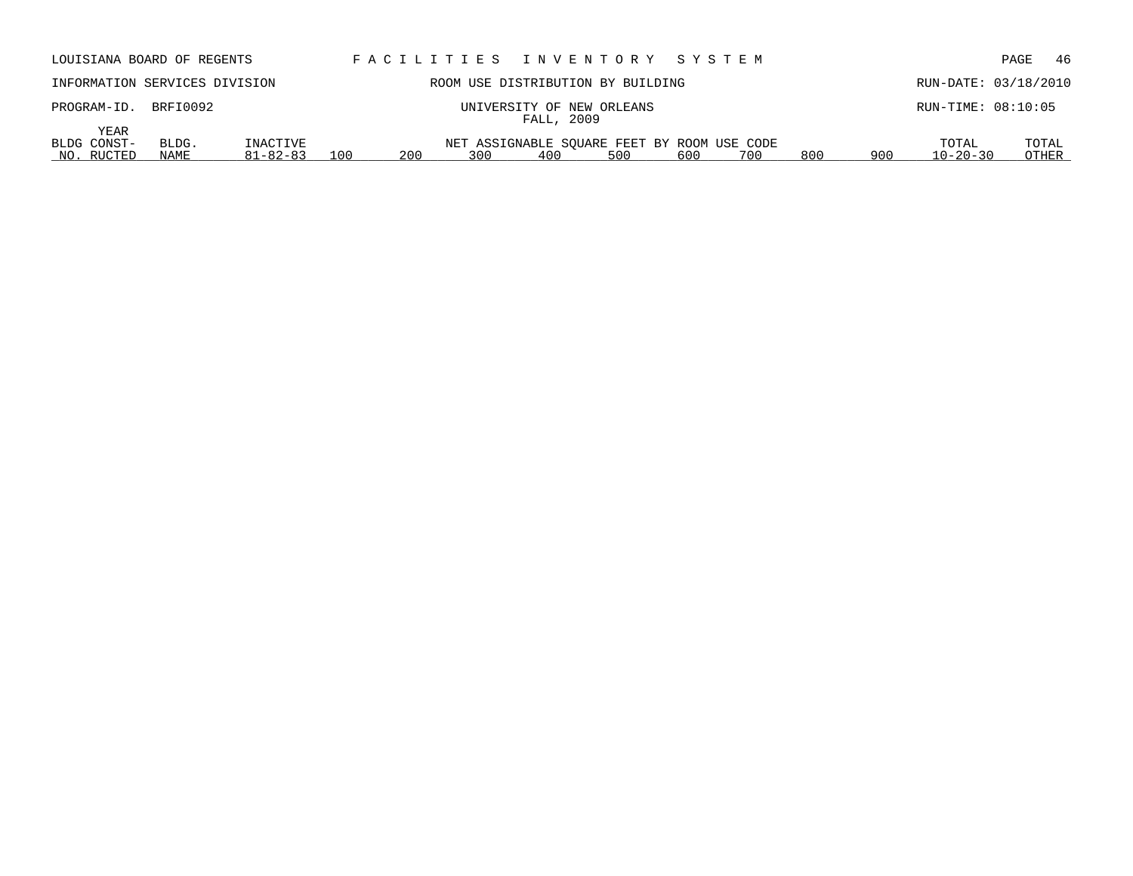| LOUISIANA BOARD OF REGENTS                         |                            |            | FACILITIES INVENTORY SYSTEM                               |     |     |     |     |                                | - 46<br>PAGE         |
|----------------------------------------------------|----------------------------|------------|-----------------------------------------------------------|-----|-----|-----|-----|--------------------------------|----------------------|
| INFORMATION SERVICES DIVISION                      |                            |            | ROOM USE DISTRIBUTION BY BUILDING                         |     |     |     |     |                                | RUN-DATE: 03/18/2010 |
| BRFI0092<br>PROGRAM-ID.                            |                            |            | UNIVERSITY OF NEW ORLEANS<br>FALL, 2009                   |     |     |     |     |                                | $RUN-TIME: 08:10:05$ |
| YEAR<br>BLDG CONST-<br>BLDG.<br>NO. RUCTED<br>NAME | INACTIVE<br>$81 - 82 - 83$ | 100<br>200 | NET ASSIGNABLE SOUARE FEET BY ROOM USE CODE<br>300<br>400 | 500 | 600 | 700 | 800 | TOTAL<br>$10 - 20 - 30$<br>900 | TOTAL<br>OTHER       |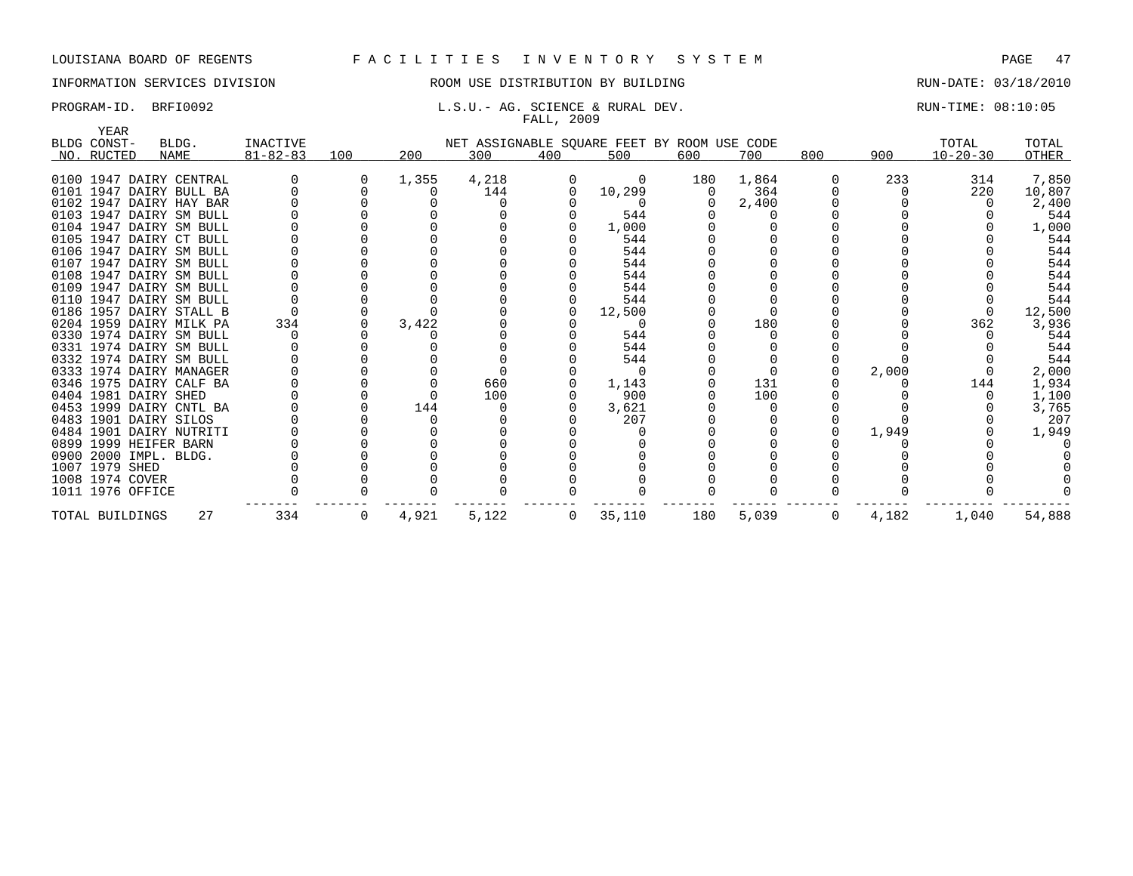## INFORMATION SERVICES DIVISION ROOM USE DISTRIBUTION BY BUILDING RUN-DATE: 03/18/2010

## PROGRAM-ID. BRFI0092 **E.S.U.- AG. SCIENCE & RURAL DEV.** RUN-TIME: 08:10:05 FALL, 2009

| YEAR                 |                                                    |                |     |       |       |                |                                             |     |       |     |       |                |              |
|----------------------|----------------------------------------------------|----------------|-----|-------|-------|----------------|---------------------------------------------|-----|-------|-----|-------|----------------|--------------|
| BLDG CONST-          | BLDG.                                              | INACTIVE       |     |       |       |                | NET ASSIGNABLE SQUARE FEET BY ROOM USE CODE |     |       |     |       | TOTAL          | TOTAL        |
| NO. RUCTED           | NAME                                               | $81 - 82 - 83$ | 100 | 200   | 300   | 400            | 500                                         | 600 | 700   | 800 | 900   | $10 - 20 - 30$ | OTHER        |
|                      |                                                    |                |     |       |       |                |                                             |     |       |     |       |                |              |
|                      | 0100 1947 DAIRY CENTRAL                            |                |     | 1,355 | 4,218 |                | $\Omega$                                    | 180 | 1,864 |     | 233   | 314            | 7,850        |
|                      | 0101 1947 DAIRY BULL BA                            |                |     |       | 144   |                | 10,299                                      | 0   | 364   |     |       | 220            | 10,807       |
|                      | 0102 1947 DAIRY HAY BAR                            |                |     |       |       |                |                                             |     | 2,400 |     |       |                | 2,400<br>544 |
|                      | 0103 1947 DAIRY SM BULL<br>0104 1947 DAIRY SM BULL |                |     |       |       |                | 544                                         |     |       |     |       |                |              |
|                      | 0105 1947 DAIRY CT BULL                            |                |     |       |       |                | 1,000<br>544                                |     |       |     |       |                | 1,000<br>544 |
|                      | 0106 1947 DAIRY SM BULL                            |                |     |       |       |                | 544                                         |     |       |     |       |                | 544          |
|                      | 0107 1947 DAIRY SM BULL                            |                |     |       |       |                | 544                                         |     |       |     |       |                | 544          |
|                      | 0108 1947 DAIRY SM BULL                            |                |     |       |       |                | 544                                         |     |       |     |       |                | 544          |
|                      | 0109 1947 DAIRY SM BULL                            |                |     |       |       |                | 544                                         |     |       |     |       |                | 544          |
|                      | 0110 1947 DAIRY SM BULL                            |                |     |       |       |                | 544                                         |     |       |     |       |                | 544          |
|                      | 0186 1957 DAIRY STALL B                            |                |     |       |       |                | 12,500                                      |     |       |     |       |                | 12,500       |
|                      | 0204 1959 DAIRY MILK PA                            | 334            |     | 3,422 |       |                |                                             |     | 180   |     |       | 362            | 3,936        |
|                      | 0330 1974 DAIRY SM BULL                            |                |     |       |       |                | 544                                         |     |       |     |       |                | 544          |
|                      | 0331 1974 DAIRY SM BULL                            |                |     |       |       |                | 544                                         |     |       |     |       |                | 544          |
|                      | 0332 1974 DAIRY SM BULL                            |                |     |       |       |                | 544                                         |     |       |     |       |                | 544          |
|                      | 0333 1974 DAIRY MANAGER                            |                |     |       |       |                | $\Omega$                                    |     |       |     | 2,000 |                | 2,000        |
|                      | 0346 1975 DAIRY CALF BA                            |                |     |       | 660   |                | 1,143                                       |     | 131   |     |       | 144            | 1,934        |
| 0404 1981 DAIRY SHED |                                                    |                |     |       | 100   |                | 900                                         |     | 100   |     |       |                | 1,100        |
|                      | 0453 1999 DAIRY CNTL BA                            |                |     | 144   |       |                | 3,621                                       |     |       |     |       |                | 3,765        |
|                      | 0483 1901 DAIRY SILOS                              |                |     |       |       |                | 207                                         |     |       |     |       |                | 207          |
|                      | 0484 1901 DAIRY NUTRITI                            |                |     |       |       |                |                                             |     |       |     | 1,949 |                | 1,949        |
|                      | 0899 1999 HEIFER BARN                              |                |     |       |       |                |                                             |     |       |     |       |                |              |
|                      | 0900 2000 IMPL. BLDG.                              |                |     |       |       |                |                                             |     |       |     |       |                |              |
| 1007 1979 SHED       |                                                    |                |     |       |       |                |                                             |     |       |     |       |                |              |
| 1008 1974 COVER      |                                                    |                |     |       |       |                |                                             |     |       |     |       |                |              |
| 1011 1976 OFFICE     |                                                    |                |     |       |       |                |                                             |     |       |     |       |                |              |
| TOTAL BUILDINGS      | 27                                                 | 334            | 0   | 4,921 | 5,122 | $\overline{0}$ | 35,110                                      | 180 | 5,039 | 0   | 4,182 | 1,040          | 54,888       |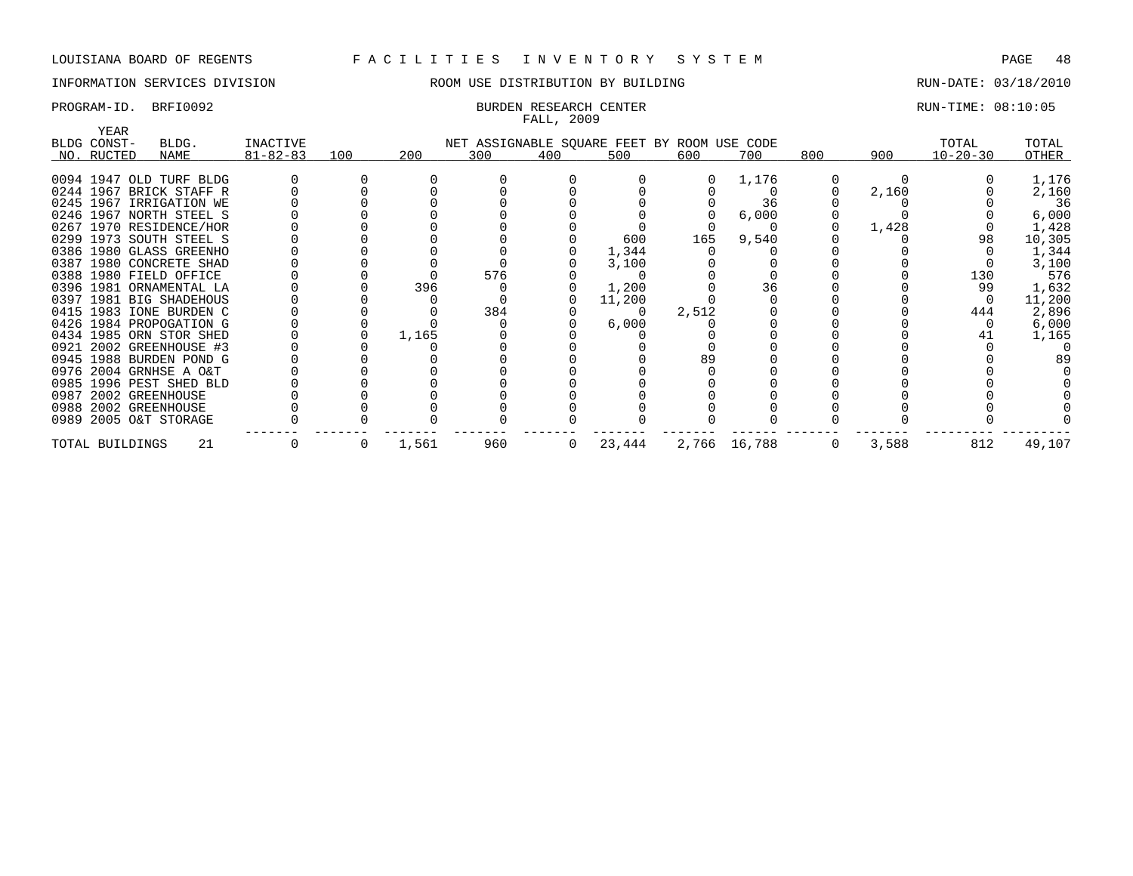## INFORMATION SERVICES DIVISION THE ROOM USE DISTRIBUTION BY BUILDING THE RUN-DATE: 03/18/2010

# FALL, 2009

## PROGRAM-ID. BRFI0092 **BURDEN RESEARCH CENTER** BURDEN RESEARCH CENTER RUN-TIME: 08:10:05

| YEAR            |                                                    |                |     |       |     |              |                                             |       |              |     |       |                |                 |
|-----------------|----------------------------------------------------|----------------|-----|-------|-----|--------------|---------------------------------------------|-------|--------------|-----|-------|----------------|-----------------|
| BLDG CONST-     | BLDG.                                              | INACTIVE       |     |       |     |              | NET ASSIGNABLE SQUARE FEET BY ROOM USE CODE |       |              |     |       | TOTAL          | TOTAL           |
| NO. RUCTED      | NAME                                               | $81 - 82 - 83$ | 100 | 200   | 300 | 400          | 500                                         | 600   | 700          | 800 | 900   | $10 - 20 - 30$ | <b>OTHER</b>    |
|                 |                                                    |                |     |       |     |              |                                             |       |              |     |       |                |                 |
|                 | 0094 1947 OLD TURF BLDG<br>0244 1967 BRICK STAFF R |                |     |       |     |              |                                             |       | 1,176        |     |       |                | 1,176           |
|                 | 0245 1967 IRRIGATION WE                            |                |     |       |     |              |                                             |       | 36           |     | 2,160 |                | 2,160<br>36     |
|                 | 0246 1967 NORTH STEEL S                            |                |     |       |     |              |                                             |       |              |     |       |                |                 |
|                 | 0267 1970 RESIDENCE/HOR                            |                |     |       |     |              |                                             |       | 6,000        |     | 1,428 |                | 6,000           |
|                 | 0299 1973 SOUTH STEEL S                            |                |     |       |     |              | 600                                         | 165   | 9,540        |     |       | 98             | 1,428<br>10,305 |
|                 | 0386 1980 GLASS GREENHO                            |                |     |       |     |              | 1,344                                       |       |              |     |       |                | 1,344           |
|                 | 0387 1980 CONCRETE SHAD                            |                |     |       |     |              | 3,100                                       |       |              |     |       |                | 3,100           |
|                 | 0388 1980 FIELD OFFICE                             |                |     |       | 576 |              |                                             |       |              |     |       | 130            | 576             |
|                 | 0396 1981 ORNAMENTAL LA                            |                |     | 396   |     |              |                                             |       | 36           |     |       | 99             |                 |
|                 | 0397 1981 BIG SHADEHOUS                            |                |     |       |     |              | 1,200                                       |       |              |     |       |                | 1,632           |
|                 |                                                    |                |     |       | 384 |              | 11,200                                      |       |              |     |       |                | 11,200          |
|                 | 0415 1983 IONE BURDEN C                            |                |     |       |     |              | $\Omega$                                    | 2,512 |              |     |       | 444            | 2,896           |
|                 | 0426 1984 PROPOGATION G                            |                |     |       |     |              | 6,000                                       |       |              |     |       |                | 6,000           |
|                 | 0434 1985 ORN STOR SHED                            |                |     | 1,165 |     |              |                                             |       |              |     |       |                | 1,165           |
|                 | 0921 2002 GREENHOUSE #3                            |                |     |       |     |              |                                             |       |              |     |       |                |                 |
|                 | 0945 1988 BURDEN POND G                            |                |     |       |     |              |                                             |       |              |     |       |                | -89             |
|                 | 0976 2004 GRNHSE A O&T                             |                |     |       |     |              |                                             |       |              |     |       |                |                 |
|                 | 0985 1996 PEST SHED BLD                            |                |     |       |     |              |                                             |       |              |     |       |                |                 |
|                 | 0987 2002 GREENHOUSE                               |                |     |       |     |              |                                             |       |              |     |       |                |                 |
|                 | 0988 2002 GREENHOUSE                               |                |     |       |     |              |                                             |       |              |     |       |                |                 |
|                 | 0989 2005 O&T STORAGE                              |                |     |       |     |              |                                             |       |              |     |       |                |                 |
| TOTAL BUILDINGS | 21                                                 |                |     | 1,561 | 960 | $\mathbf{0}$ | 23,444                                      |       | 2,766 16,788 | 0   | 3,588 | 812            | 49,107          |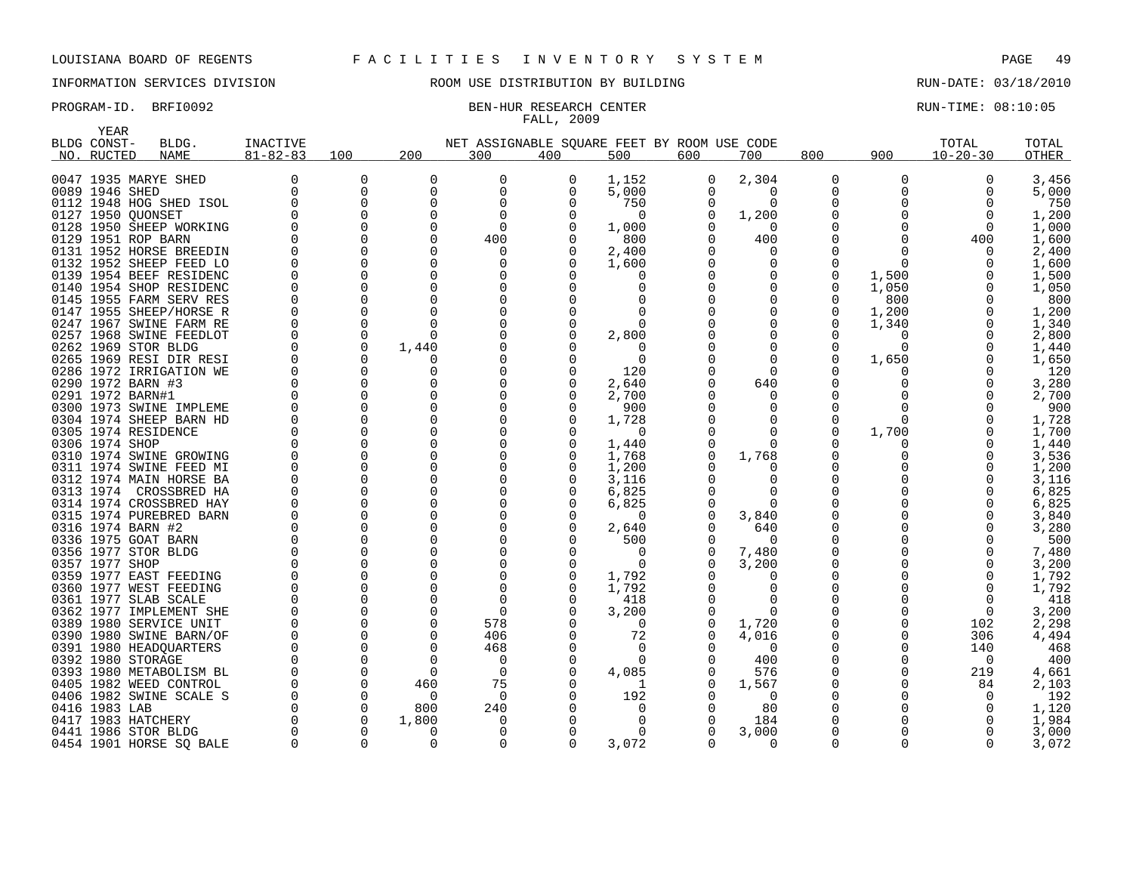YEAR

## INFORMATION SERVICES DIVISION ROOM USE DISTRIBUTION BY BUILDING RUN-DATE: 03/18/2010

# FALL, 2009

## PROGRAM-ID. BRFI0092 BEN-HUR RESEARCH CENTER RUN-TIME: 08:10:05

| ۱۳۳٬۲۰<br>BLDG CONST- | BLDG.                   | INACTIVE       |             |          | NET ASSIGNABLE SQUARE FEET BY ROOM USE CODE |              |          |          |          |          |          | TOTAL          | TOTAL |
|-----------------------|-------------------------|----------------|-------------|----------|---------------------------------------------|--------------|----------|----------|----------|----------|----------|----------------|-------|
| NO. RUCTED            | NAME                    | $81 - 82 - 83$ | 100         | 200      | 300                                         | 400          | 500      | 600      | 700      | 800      | 900      | $10 - 20 - 30$ | OTHER |
|                       |                         |                |             |          |                                             |              |          |          |          |          |          |                |       |
|                       | 0047 1935 MARYE SHED    |                | 0           | $\Omega$ | 0                                           | 0            | 1,152    | 0        | 2,304    | 0        | $\Omega$ | $\Omega$       | 3,456 |
| 0089 1946 SHED        |                         |                | 0           | $\Omega$ | $\mathbf 0$                                 | <sup>0</sup> | 5,000    | $\Omega$ | $\Omega$ | 0        |          | $\Omega$       | 5,000 |
|                       | 0112 1948 HOG SHED ISOL |                | $\Omega$    | $\Omega$ | $\mathbf 0$                                 |              | 750      | 0        | $\Omega$ | 0        |          |                | 750   |
| 0127 1950 OUONSET     |                         |                | $\Omega$    |          | $\Omega$                                    |              | $\Omega$ | $\Omega$ | 1,200    |          |          |                | 1,200 |
|                       | 0128 1950 SHEEP WORKING |                | $\Omega$    |          | $\Omega$                                    |              | 1,000    |          | $\Omega$ | O        |          |                | 1,000 |
|                       | 0129 1951 ROP BARN      |                | $\Omega$    | ∩        | 400                                         |              | 800      | O        | 400      | O        |          | 400            | 1,600 |
|                       | 0131 1952 HORSE BREEDIN |                | $\Omega$    |          | $\Omega$                                    |              | 2,400    |          | O        | 0        |          |                | 2,400 |
|                       | 0132 1952 SHEEP FEED LO |                | $\Omega$    | ∩        | $\Omega$                                    |              | 1,600    |          | O        | $\Omega$ |          |                | 1,600 |
|                       | 0139 1954 BEEF RESIDENC |                | $\Omega$    | $\Omega$ | $\Omega$                                    |              |          |          |          | 0        | 1,500    |                | 1,500 |
|                       | 0140 1954 SHOP RESIDENC |                | $\Omega$    |          |                                             |              |          |          |          | $\Omega$ | 1,050    |                | 1,050 |
|                       | 0145 1955 FARM SERV RES |                | $\Omega$    |          |                                             |              |          |          |          | 0        | 800      |                | 800   |
|                       | 0147 1955 SHEEP/HORSE R |                | $\Omega$    |          |                                             |              |          |          |          | 0        | 1,200    |                | 1,200 |
|                       | 0247 1967 SWINE FARM RE |                | 0           | ∩        |                                             |              |          |          |          | 0        | 1,340    |                | 1,340 |
|                       | 0257 1968 SWINE FEEDLOT |                | 0           | ∩        |                                             |              | 2,800    |          |          |          |          |                | 2,800 |
|                       | 0262 1969 STOR BLDG     |                | $\mathbf 0$ | 1,440    |                                             |              |          |          |          | 0        | $\Omega$ |                | 1,440 |
|                       | 0265 1969 RESI DIR RESI |                | $\Omega$    |          |                                             |              | $\Omega$ |          |          | O        | 1,650    |                | 1,650 |
|                       | 0286 1972 IRRIGATION WE |                | $\Omega$    |          |                                             |              | 120      |          |          |          |          |                | 120   |
| 0290 1972 BARN #3     |                         |                | $\Omega$    | O        |                                             |              | 2,640    |          | 640      | 0        |          |                | 3,280 |
| 0291 1972 BARN#1      |                         |                | $\Omega$    | $\Omega$ |                                             |              | 2,700    |          | O        | 0        |          |                | 2,700 |
|                       | 0300 1973 SWINE IMPLEME |                | $\Omega$    | $\Omega$ |                                             |              | 900      |          |          | O        |          |                | 900   |
|                       | 0304 1974 SHEEP BARN HD |                | $\Omega$    | ∩        |                                             |              | 1,728    |          | ∩        | 0        |          |                | 1,728 |
|                       | 0305 1974 RESIDENCE     |                | $\Omega$    | $\Omega$ |                                             |              | $\Omega$ |          | O        | $\Omega$ | 1,700    |                | 1,700 |
| 0306 1974 SHOP        |                         |                | $\Omega$    | ∩        |                                             |              | 1,440    |          | 0        |          |          |                | 1,440 |
|                       | 0310 1974 SWINE GROWING |                | $\Omega$    | $\Omega$ |                                             |              | 1,768    | 0        | 1,768    |          |          |                | 3,536 |
|                       | 0311 1974 SWINE FEED MI |                | 0           | $\Omega$ |                                             |              | 1,200    |          | O        | 0        |          |                | 1,200 |
|                       | 0312 1974 MAIN HORSE BA |                | 0           | $\Omega$ |                                             |              | 3,116    |          | O        | 0        |          |                | 3,116 |
|                       | 0313 1974 CROSSBRED HA  |                | $\Omega$    | $\Omega$ |                                             |              | 6,825    |          | ∩        | O        |          |                | 6,825 |
|                       | 0314 1974 CROSSBRED HAY |                | $\Omega$    | $\Omega$ |                                             |              | 6,825    |          | $\Omega$ |          |          |                | 6,825 |
|                       | 0315 1974 PUREBRED BARN |                | $\Omega$    | $\Omega$ |                                             |              | $\Omega$ |          | 3,840    |          |          |                | 3,840 |
| 0316 1974 BARN #2     |                         |                | $\Omega$    |          |                                             |              | 2,640    |          | 640      | 0        |          |                | 3,280 |
|                       | 0336 1975 GOAT BARN     |                | $\Omega$    |          |                                             |              | 500      | 0        | $\Omega$ | 0        |          |                | 500   |
|                       | 0356 1977 STOR BLDG     |                | $\Omega$    | $\Omega$ |                                             |              | 0        | 0        | 7,480    | 0        |          |                | 7,480 |
| 0357 1977 SHOP        |                         |                | $\Omega$    |          |                                             |              | $\Omega$ |          | 3,200    | 0        |          |                | 3,200 |
|                       | 0359 1977 EAST FEEDING  |                | $\Omega$    | ∩        |                                             |              | 1,792    |          | O        | O        |          |                | 1,792 |
|                       | 0360 1977 WEST FEEDING  |                | $\Omega$    | $\Omega$ | $\Omega$                                    |              | 1,792    |          | ∩        | $\Omega$ |          |                | 1,792 |
|                       | 0361 1977 SLAB SCALE    |                | $\Omega$    | $\Omega$ | $\Omega$                                    |              | 418      |          | O        | 0        |          |                | 418   |
|                       | 0362 1977 IMPLEMENT SHE |                | $\Omega$    |          | $\Omega$                                    |              | 3,200    |          | ∩        |          |          |                | 3,200 |
|                       | 0389 1980 SERVICE UNIT  |                | $\Omega$    | ∩        | 578                                         |              | 0        | 0        | 1,720    |          |          | 102            | 2,298 |
|                       | 0390 1980 SWINE BARN/OF |                | $\Omega$    | ∩        | 406                                         |              | 72       | U        | 4,016    | 0        |          | 306            | 4,494 |
|                       | 0391 1980 HEADQUARTERS  |                | $\Omega$    | ∩        | 468                                         |              | $\Omega$ |          | 0        | $\Omega$ |          | 140            | 468   |
| 0392 1980 STORAGE     |                         |                | $\Omega$    | ∩        | $\Omega$                                    |              | $\Omega$ |          | 400      |          |          | $\Omega$       | 400   |
|                       | 0393 1980 METABOLISM BL |                | $\Omega$    | $\Omega$ | 0                                           |              | 4,085    |          | 576      |          |          | 219            | 4,661 |
|                       | 0405 1982 WEED CONTROL  |                | $\Omega$    | 460      | 75                                          |              |          |          | 1,567    |          |          | 84             | 2,103 |
|                       | 0406 1982 SWINE SCALE S |                | $\Omega$    | O        | 0                                           |              | 192      |          | 0        |          |          |                | 192   |
| 0416 1983 LAB         |                         |                |             | 800      | 240                                         |              |          |          | 80       |          |          |                | 1,120 |
|                       | 0417 1983 HATCHERY      | $\Omega$       | $\Omega$    | 1,800    | 0                                           | $\Omega$     | $\Omega$ | $\Omega$ | 184      | $\Omega$ | $\Omega$ |                | 1,984 |

 1986 STOR BLDG 0 0 0 0 0 0 0 3,000 0 0 0 3,000 0454 1901 HORSE SQ BALE 0 0 0 0 3,072 0 0 0 0 3,072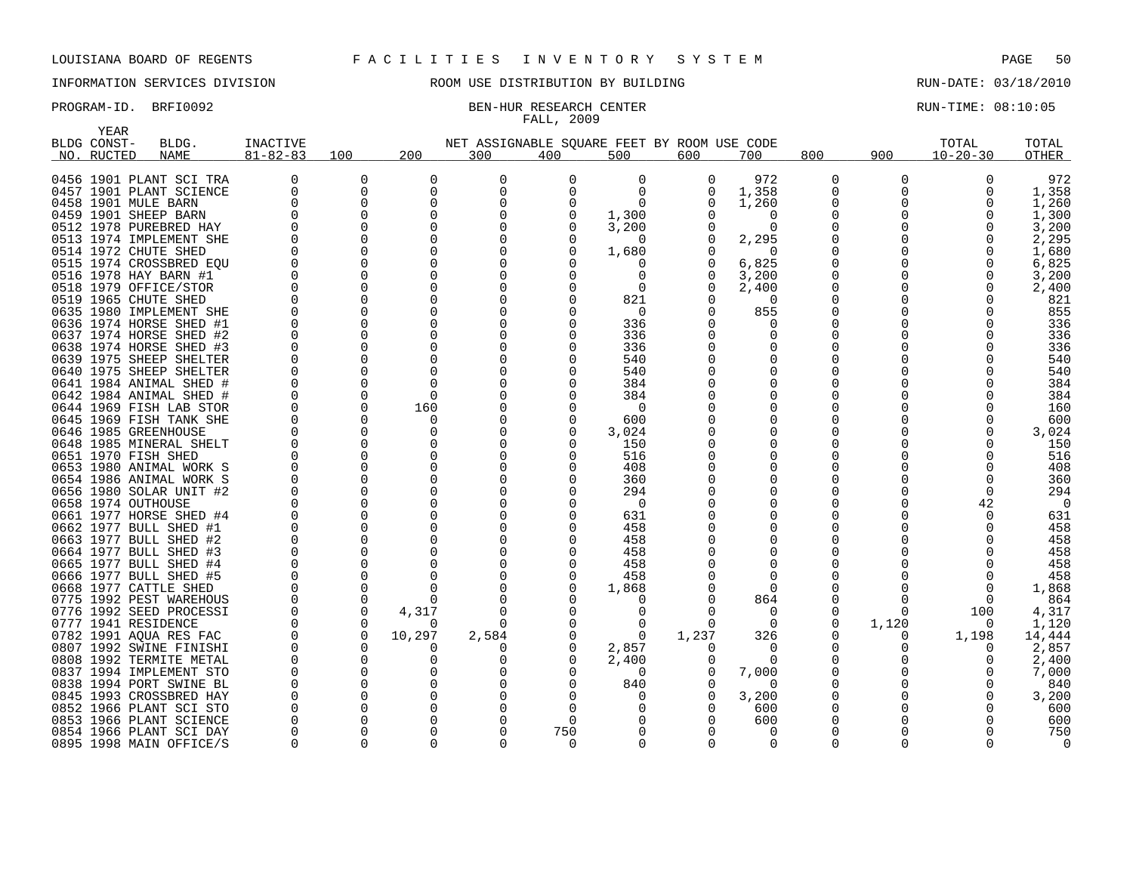## INFORMATION SERVICES DIVISION ROOM USE DISTRIBUTION BY BUILDING RUN-DATE: 03/18/2010

# FALL, 2009

PROGRAM-ID. BRFI0092 BEN-HUR RESEARCH CENTER CONTER RUN-TIME: 08:10:05

|      | YEAR        |                                                    |                      |               |                  |                                             |              |              |              |               |              |          |                |            |
|------|-------------|----------------------------------------------------|----------------------|---------------|------------------|---------------------------------------------|--------------|--------------|--------------|---------------|--------------|----------|----------------|------------|
|      | BLDG CONST- | BLDG.                                              | INACTIVE             |               |                  | NET ASSIGNABLE SQUARE FEET BY ROOM USE CODE |              |              |              |               |              |          | TOTAL          | TOTAL      |
|      | NO. RUCTED  | <b>NAME</b>                                        | $81 - 82 - 83$       | 100           | 200              | 300                                         | 400          | 500          | 600          | 700           | 800          | 900      | $10 - 20 - 30$ | OTHER      |
|      |             |                                                    |                      |               |                  |                                             |              |              |              |               |              |          |                |            |
|      |             | 0456 1901 PLANT SCI TRA                            | 0                    | 0             | $\Omega$         | 0                                           | 0            | 0            | 0            | 972           | 0            | 0        | 0              | 972        |
|      |             | 0457 1901 PLANT SCIENCE                            | 0                    | 0             | $\Omega$         | 0                                           | $\Omega$     | $\Omega$     | 0            | 1,358         | 0            | $\Omega$ | $\Omega$       | 1,358      |
|      |             | 0458 1901 MULE BARN                                | O                    | 0             | $\Omega$         | $\Omega$                                    |              | $\Omega$     | O            | 1,260         | 0            | 0        | O              | 1,260      |
|      |             | 0459 1901 SHEEP BARN                               | $\Omega$             | 0             | $\Omega$         | $\Omega$                                    | $\Omega$     | 1,300        |              | $\Omega$      | 0            | 0        |                | 1,300      |
|      |             | 0512 1978 PUREBRED HAY                             | $\Omega$             | U             | ∩                | <sup>0</sup>                                |              | 3,200        | 0            | $\Omega$      | O            |          |                | 3,200      |
|      |             | 0513 1974 IMPLEMENT SHE                            | $\Omega$             | $\Omega$      | $\Omega$         | 0                                           |              | 0            | $\Omega$     | 2,295         | 0            |          |                | 2,295      |
|      |             | 0514 1972 CHUTE SHED                               | U                    | $\Omega$      | O                | <sup>0</sup>                                |              | 1,680        |              | $\Omega$      | 0            |          |                | 1,680      |
|      |             | 0515 1974 CROSSBRED EQU                            | 0                    | 0             | $\Omega$         | 0                                           |              | 0            |              | 6,825         | 0            |          |                | 6,825      |
|      |             | 0516 1978 HAY BARN #1                              |                      | $\Omega$      | $\Omega$         |                                             |              | $\Omega$     | 0            | 3,200         | 0            |          |                | 3,200      |
|      |             | 0518 1979 OFFICE/STOR                              | $\Omega$             | $\Omega$      | O<br>$\Omega$    | <sup>0</sup>                                |              | $\Omega$     | <sup>0</sup> | 2,400         | <sup>0</sup> |          |                | 2,400      |
|      |             | 0519 1965 CHUTE SHED                               | 0                    | 0<br>$\Omega$ | ∩                | 0                                           | O            | 821          | 0            | $\Omega$      | 0            |          |                | 821        |
|      |             | 0635 1980 IMPLEMENT SHE                            | $\Omega$<br>$\Omega$ | $\Omega$      | $\Omega$         | <sup>0</sup>                                |              | $\Omega$     | 0            | 855           | O            |          |                | 855        |
|      |             | 0636 1974 HORSE SHED #1                            | $\Omega$             | $\Omega$      | ∩                | 0<br><sup>0</sup>                           |              | 336          |              | $\Omega$<br>O | 0<br>O       |          |                | 336        |
|      |             | 0637 1974 HORSE SHED #2<br>0638 1974 HORSE SHED #3 | 0                    | 0             | O                | $\Omega$                                    |              | 336<br>336   |              | 0             | 0            |          |                | 336<br>336 |
|      |             | 0639 1975 SHEEP SHELTER                            |                      | $\Omega$      | ∩                | $\Omega$                                    |              | 540          |              | $\Omega$      | 0            |          |                | 540        |
|      |             | 0640 1975 SHEEP SHELTER                            | $\Omega$             | $\Omega$      | ∩                | $\Omega$                                    |              | 540          |              | $\Omega$      | <sup>0</sup> |          |                | 540        |
|      |             | 0641 1984 ANIMAL SHED #                            | $\Omega$             | 0             | $\Omega$         | 0                                           |              | 384          |              | $\Omega$      | 0            |          |                | 384        |
|      |             | 0642 1984 ANIMAL SHED #                            | $\Omega$             | $\Omega$      | $\Omega$         | $\Omega$                                    |              | 384          |              | O             | O            |          |                | 384        |
|      |             | 0644 1969 FISH LAB STOR                            | 0                    | 0             | 160              | 0                                           |              | 0            |              | $\Omega$      | 0            |          |                | 160        |
|      |             | 0645 1969 FISH TANK SHE                            | $\Omega$             | 0             | ∩                | <sup>0</sup>                                | <sup>0</sup> | 600          |              | O             | O            |          |                | 600        |
|      |             | 0646 1985 GREENHOUSE                               | $\Omega$             | 0             | $\Omega$         | $\Omega$                                    | $\Omega$     | 3,024        |              | 0             | 0            |          |                | 3,024      |
|      |             | 0648 1985 MINERAL SHELT                            | $\Omega$             | 0             | $\Omega$         | $\Omega$                                    | <sup>0</sup> | 150          |              | O             | 0            |          |                | 150        |
|      |             | 0651 1970 FISH SHED                                | $\Omega$             | $\Omega$      | O                | $\Omega$                                    |              | 516          |              | O             | O            |          |                | 516        |
|      |             | 0653 1980 ANIMAL WORK S                            | $\Omega$             | $\Omega$      | $\Omega$         | $\Omega$                                    |              | 408          |              | O             | 0            |          |                | 408        |
|      |             | 0654 1986 ANIMAL WORK S                            | $\Omega$             | $\Omega$      | ∩                | $\Omega$                                    |              | 360          |              | ∩             | O            |          |                | 360        |
|      |             | 0656 1980 SOLAR UNIT #2                            | 0                    | $\Omega$      | O                | $\Omega$                                    |              | 294          |              | O             | 0            |          | $\Omega$       | 294        |
|      |             | 0658 1974 OUTHOUSE                                 | $\Omega$             | $\Omega$      | ∩                | <sup>0</sup>                                |              | 0            |              | ∩             | O            |          | 42             | $\Omega$   |
|      |             | 0661 1977 HORSE SHED #4                            | $\Omega$             | $\Omega$      | $\Omega$         | $\Omega$                                    |              | 631          |              | O             | 0            |          |                | 631        |
|      |             | 0662 1977 BULL SHED #1                             | $\Omega$             | $\Omega$      | $\Omega$         | $\Omega$                                    | <sup>0</sup> | 458          |              | O             | 0            |          |                | 458        |
|      |             | 0663 1977 BULL SHED #2                             | $\Omega$             | 0             | O                | $\Omega$                                    |              | 458          |              | O             | 0            |          |                | 458        |
|      |             | 0664 1977 BULL SHED #3                             | $\Omega$             | 0             | $\Omega$         | $\Omega$                                    |              | 458          |              | O             | 0            |          |                | 458        |
|      |             | 0665 1977 BULL SHED #4                             | $\Omega$             | 0             | ∩                | $\Omega$                                    |              | 458          |              | $\Omega$      | <sup>0</sup> |          |                | 458        |
|      |             | 0666 1977 BULL SHED #5                             | $\Omega$             | 0             |                  | $\Omega$                                    |              | 458          |              | $\Omega$      | 0            |          |                | 458        |
|      |             | 0668 1977 CATTLE SHED                              | $\Omega$             | $\Omega$      | n                | $\Omega$                                    |              | 1,868        |              | $\Omega$      | O            |          | ∩              | 1,868      |
|      |             | 0775 1992 PEST WAREHOUS                            | $\Omega$             | 0             | O                | 0                                           |              | 0            |              | 864           | 0            | O        | $\Omega$       | 864        |
|      |             | 0776 1992 SEED PROCESSI                            | $\Omega$             | $\Omega$      | 4,317            | $\Omega$                                    |              | <sup>0</sup> |              | $\Omega$      | O            | $\Omega$ | 100            | 4,317      |
| 0777 |             | 1941 RESIDENCE                                     | $\Omega$             | $\Omega$      | $\Omega$         | $\Omega$                                    |              | $\Omega$     | $\Omega$     | $\Omega$      | <sup>0</sup> | 1,120    | $\Omega$       | 1,120      |
|      |             | 0782 1991 AQUA RES FAC                             | 0                    | 0             | 10,297           | 2,584                                       |              | $\Omega$     | 1,237        | 326           | 0            | 0        | 1,198          | 14,444     |
| 0807 |             | 1992 SWINE FINISHI                                 | $\Omega$             | $\Omega$      | $\left( \right)$ | $\left( \right)$                            |              | 2,857        | 0            | $\Omega$      | 0            | 0        | n              | 2,857      |
|      |             | 0808 1992 TERMITE METAL                            | 0                    | 0             | 0                | 0                                           |              | 2,400        |              | $\Omega$      | 0            |          | O              | 2,400      |
|      |             | 0837 1994 IMPLEMENT STO                            | $\Omega$             | $\Omega$      | $\Omega$         | $\Omega$                                    |              | $\Omega$     | $\Omega$     | 7,000         | 0            |          |                | 7,000      |
| 0838 |             | 1994 PORT SWINE BL                                 | 0                    | 0             | O                | 0                                           | 0            | 840          | 0            | 0             | 0            |          |                | 840        |
|      |             | 0845 1993 CROSSBRED HAY                            | $\Omega$             | $\Omega$      | ∩                |                                             |              | O            | 0            | 3,200         | 0            |          |                | 3,200      |
| 0852 |             | 1966 PLANT SCI STO                                 | $\Omega$             | $\Omega$      | ∩                | <sup>0</sup>                                | ∩            |              |              | 600           | O            |          |                | 600        |
|      |             | 0853 1966 PLANT SCIENCE                            |                      | $\Omega$      | O                | <sup>0</sup>                                | 0            |              |              | 600           | 0            |          |                | 600        |
|      |             | 0854 1966 PLANT SCI DAY                            | $\Omega$             | 0             | O                | <sup>0</sup>                                | 750          |              |              | $\Omega$      | <sup>0</sup> |          |                | 750        |
|      |             | 0895 1998 MAIN OFFICE/S                            | $\Omega$             | 0             | $\Omega$         | $\Omega$                                    | $\Omega$     | $\Omega$     | $\Omega$     | $\Omega$      | <sup>0</sup> | $\Omega$ | $\Omega$       | $\Omega$   |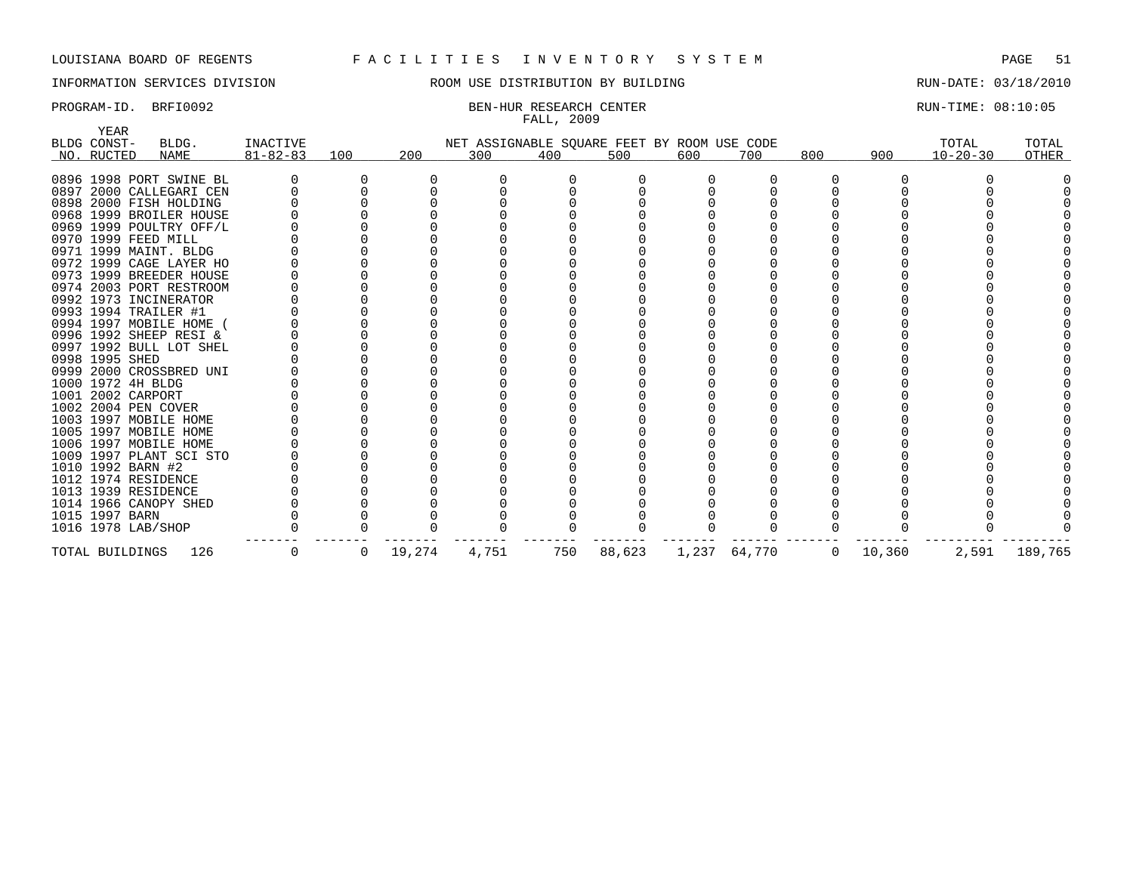YEAR

## INFORMATION SERVICES DIVISION ROOM USE DISTRIBUTION BY BUILDING RUN-DATE: 03/18/2010

## PROGRAM-ID. BRFI0092 BEN-HUR RESEARCH CENTER CONTER RUN-TIME: 08:10:05 FALL, 2009

| + + + + + + +<br>BLDG CONST-<br>NO. RUCTED | BLDG.<br>NAME           | INACTIVE<br>$81 - 82 - 83$ | 100          | 200    | 300   | 400 | NET ASSIGNABLE SQUARE FEET BY ROOM USE CODE<br>500 | 600 | 700          | 800            | 900    | TOTAL<br>$10 - 20 - 30$ | TOTAL<br>OTHER |
|--------------------------------------------|-------------------------|----------------------------|--------------|--------|-------|-----|----------------------------------------------------|-----|--------------|----------------|--------|-------------------------|----------------|
|                                            | 0896 1998 PORT SWINE BL |                            |              |        |       |     |                                                    |     |              |                |        |                         |                |
|                                            | 0897 2000 CALLEGARI CEN |                            |              |        |       |     |                                                    |     |              |                |        |                         |                |
|                                            | 0898 2000 FISH HOLDING  |                            |              |        |       |     |                                                    |     |              |                |        |                         |                |
|                                            | 0968 1999 BROILER HOUSE |                            |              |        |       |     |                                                    |     |              |                |        |                         |                |
|                                            | 0969 1999 POULTRY OFF/L |                            |              |        |       |     |                                                    |     |              |                |        |                         |                |
|                                            | 0970 1999 FEED MILL     |                            |              |        |       |     |                                                    |     |              |                |        |                         |                |
|                                            | 0971 1999 MAINT. BLDG   |                            |              |        |       |     |                                                    |     |              |                |        |                         |                |
|                                            | 0972 1999 CAGE LAYER HO |                            |              |        |       |     |                                                    |     |              |                |        |                         |                |
|                                            | 0973 1999 BREEDER HOUSE |                            |              |        |       |     |                                                    |     |              |                |        |                         |                |
|                                            | 0974 2003 PORT RESTROOM |                            |              |        |       |     |                                                    |     |              |                |        |                         |                |
|                                            | 0992 1973 INCINERATOR   |                            |              |        |       |     |                                                    |     |              |                |        |                         |                |
|                                            | 0993 1994 TRAILER #1    |                            |              |        |       |     |                                                    |     |              |                |        |                         |                |
|                                            | 0994 1997 MOBILE HOME ( |                            |              |        |       |     |                                                    |     |              |                |        |                         |                |
|                                            | 0996 1992 SHEEP RESI &  |                            |              |        |       |     |                                                    |     |              |                |        |                         |                |
|                                            | 0997 1992 BULL LOT SHEL |                            |              |        |       |     |                                                    |     |              |                |        |                         |                |
| 0998 1995 SHED                             |                         |                            |              |        |       |     |                                                    |     |              |                |        |                         |                |
|                                            | 0999 2000 CROSSBRED UNI |                            |              |        |       |     |                                                    |     |              |                |        |                         |                |
|                                            | 1000 1972 4H BLDG       |                            |              |        |       |     |                                                    |     |              |                |        |                         |                |
|                                            | 1001 2002 CARPORT       |                            |              |        |       |     |                                                    |     |              |                |        |                         |                |
|                                            | 1002 2004 PEN COVER     |                            |              |        |       |     |                                                    |     |              |                |        |                         |                |
|                                            | 1003 1997 MOBILE HOME   |                            |              |        |       |     |                                                    |     |              |                |        |                         |                |
|                                            | 1005 1997 MOBILE HOME   |                            |              |        |       |     |                                                    |     |              |                |        |                         |                |
|                                            | 1006 1997 MOBILE HOME   |                            |              |        |       |     |                                                    |     |              |                |        |                         |                |
|                                            | 1009 1997 PLANT SCI STO |                            |              |        |       |     |                                                    |     |              |                |        |                         |                |
|                                            | 1010 1992 BARN #2       |                            |              |        |       |     |                                                    |     |              |                |        |                         |                |
|                                            | 1012 1974 RESIDENCE     |                            |              |        |       |     |                                                    |     |              |                |        |                         |                |
|                                            | 1013 1939 RESIDENCE     |                            |              |        |       |     |                                                    |     |              |                |        |                         |                |
|                                            | 1014 1966 CANOPY SHED   |                            |              |        |       |     |                                                    |     |              |                |        |                         |                |
| 1015 1997 BARN                             |                         |                            |              |        |       |     |                                                    |     |              |                |        |                         |                |
|                                            | 1016 1978 LAB/SHOP      |                            |              |        |       |     |                                                    |     |              |                |        |                         |                |
| TOTAL BUILDINGS                            | 126                     | $\overline{0}$             | $\mathbf{0}$ | 19,274 | 4,751 | 750 | 88,623                                             |     | 1,237 64,770 | $\overline{0}$ | 10,360 | 2,591                   | 189,765        |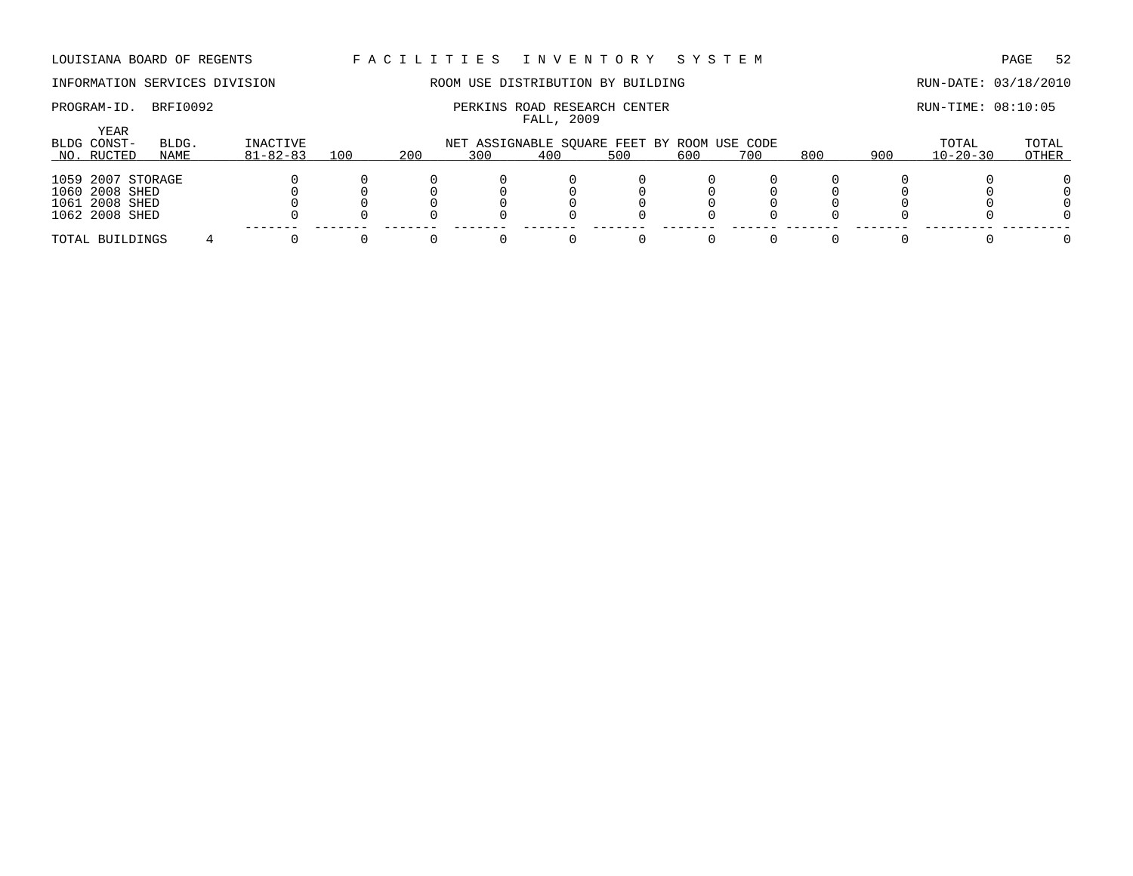## INFORMATION SERVICES DIVISION THE ROOM USE DISTRIBUTION BY BUILDING THE RUN-DATE: 03/18/2010

## PROGRAM-ID. BRFI0092 **PERKINS ROAD RESEARCH CENTER PERKINS ROAD RESEARCH CENTER** RUN-TIME: 08:10:05 FALL, 2009

| YEAR<br>BLDG CONST-<br>NO. RUCTED                                       | BLDG.<br>NAME | INACTIVE<br>$81 - 82 - 83$ | 100 | 200 | NET ASSIGNABLE SQUARE FEET BY ROOM USE CODE<br>300 | 400 | 500 | 600 | 700 | 800 | 900 | TOTAL<br>$10 - 20 - 30$ | TOTAL<br>OTHER |
|-------------------------------------------------------------------------|---------------|----------------------------|-----|-----|----------------------------------------------------|-----|-----|-----|-----|-----|-----|-------------------------|----------------|
|                                                                         |               |                            |     |     |                                                    |     |     |     |     |     |     |                         |                |
| 1059 2007 STORAGE<br>1060 2008 SHED<br>1061 2008 SHED<br>1062 2008 SHED |               |                            |     |     |                                                    |     |     |     |     |     |     |                         |                |
| TOTAL BUILDINGS                                                         |               |                            |     |     |                                                    |     |     |     |     |     |     |                         |                |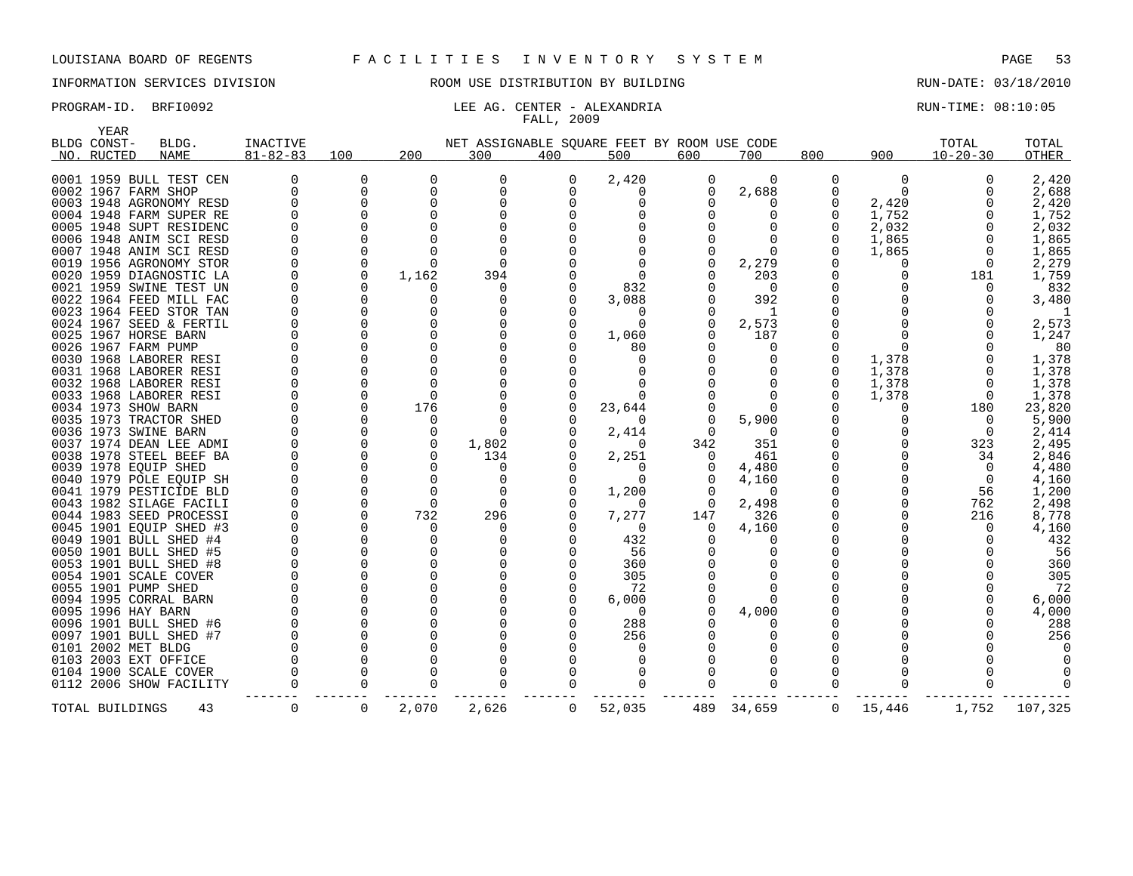YEAR

## INFORMATION SERVICES DIVISION ROOM USE DISTRIBUTION BY BUILDING RUN-DATE: 03/18/2010

## PROGRAM-ID. BRFI0092 **RUN-TIME:** 08:10:05 LEE AG. CENTER - ALEXANDRIA FALL, 2009

| BLDG CONST-           | BLDG.                   | <b>INACTIVE</b> |              |              | NET ASSIGNABLE SQUARE FEET BY ROOM USE CODE |              |          |          |              |             |          | TOTAL          | TOTAL   |
|-----------------------|-------------------------|-----------------|--------------|--------------|---------------------------------------------|--------------|----------|----------|--------------|-------------|----------|----------------|---------|
| NO. RUCTED            | NAME                    | $81 - 82 - 83$  | 100          | 200          | 300                                         | 400          | 500      | 600      | 700          | 800         | 900      | $10 - 20 - 30$ | OTHER   |
|                       | 0001 1959 BULL TEST CEN |                 | 0            | <sup>0</sup> | O                                           | O            | 2,420    | O        | $\Omega$     | 0           | 0        | $\Omega$       | 2,420   |
| 0002 1967 FARM SHOP   |                         | $\Omega$        | 0            | $\mathbf 0$  | $\Omega$                                    | O            | O        | $\Omega$ | 2,688        |             | $\Omega$ | $\Omega$       | 2,688   |
|                       | 0003 1948 AGRONOMY RESD |                 | $\Omega$     | <sup>n</sup> |                                             |              |          |          |              |             | 2,420    |                | 2,420   |
|                       | 0004 1948 FARM SUPER RE |                 |              |              |                                             |              |          |          |              |             | 1,752    |                | 1,752   |
|                       | 0005 1948 SUPT RESIDENC |                 |              |              |                                             |              |          |          |              |             | 2,032    |                | 2,032   |
|                       | 0006 1948 ANIM SCI RESD |                 |              |              |                                             |              |          |          |              |             | 1,865    | $\Omega$       | 1,865   |
|                       | 0007 1948 ANIM SCI RESD |                 | $\Omega$     |              |                                             |              |          |          |              |             | 1,865    | $\Omega$       | 1,865   |
|                       | 0019 1956 AGRONOMY STOR |                 | $\Omega$     |              |                                             |              |          |          | 2,279        |             | 0        | 0              | 2,279   |
|                       | 0020 1959 DIAGNOSTIC LA |                 | $\Omega$     | 1,162        | 394                                         |              |          |          | 203          |             |          | 181            | 1,759   |
|                       | 0021 1959 SWINE TEST UN |                 | 0            |              | O                                           |              | 832      |          | $\Omega$     |             |          | $\Omega$       | 832     |
|                       | 0022 1964 FEED MILL FAC |                 | 0            |              |                                             |              | 3,088    |          | 392          |             |          |                | 3,480   |
|                       | 0023 1964 FEED STOR TAN |                 | $\Omega$     |              |                                             |              |          |          | $\mathbf{1}$ |             |          |                |         |
|                       | 0024 1967 SEED & FERTIL |                 | $\Omega$     |              |                                             |              | $\Omega$ |          | 2,573        |             |          |                | 2,573   |
| 0025 1967 HORSE BARN  |                         |                 | <sup>0</sup> |              |                                             |              | 1,060    |          | 187          |             |          |                | 1,247   |
| 0026 1967 FARM PUMP   |                         |                 | <sup>0</sup> |              |                                             |              | 80       |          |              |             |          |                | 80      |
|                       | 0030 1968 LABORER RESI  |                 | $\Omega$     |              |                                             |              | $\Omega$ |          |              |             | 1,378    |                | 1,378   |
|                       | 0031 1968 LABORER RESI  |                 | $\Omega$     |              |                                             |              |          |          |              |             | 1,378    | 0              | 1,378   |
|                       | 0032 1968 LABORER RESI  |                 | $\Omega$     |              |                                             |              |          |          |              |             | 1,378    | $\Omega$       | 1,378   |
|                       | 0033 1968 LABORER RESI  |                 | $\Omega$     |              |                                             |              |          |          |              |             | 1,378    | $\mathbf 0$    | 1,378   |
| 0034 1973 SHOW BARN   |                         |                 | 0            | 176          |                                             |              | 23,644   |          |              |             |          | 180            | 23,820  |
|                       | 0035 1973 TRACTOR SHED  |                 | $\Omega$     | $\Omega$     |                                             |              | $\Omega$ |          | 5,900        |             |          | $\Omega$       | 5,900   |
| 0036 1973 SWINE BARN  |                         |                 |              |              |                                             |              | 2,414    |          |              |             |          | $\Omega$       | 2,414   |
|                       | 0037 1974 DEAN LEE ADMI |                 | 0            |              | 1,802                                       |              | 0        | 342      | 351          |             |          | 323            | 2,495   |
|                       | 0038 1978 STEEL BEEF BA |                 | 0            |              | 134                                         |              | 2,251    |          | 461          |             |          | 34             | 2,846   |
| 0039 1978 EQUIP SHED  |                         |                 | $\Omega$     |              | $\Omega$                                    |              | $\Omega$ |          | 4,480        |             |          | $\Omega$       | 4,480   |
|                       | 0040 1979 POLE EQUIP SH |                 | $\Omega$     |              | O                                           |              | $\Omega$ |          | 4,160        |             |          | 0              | 4,160   |
|                       | 0041 1979 PESTICIDE BLD |                 | $\Omega$     |              | $\Omega$                                    |              | 1,200    |          | $\Omega$     |             |          | 56             | 1,200   |
|                       | 0043 1982 SILAGE FACILI |                 | $\Omega$     | $\Omega$     | $\Omega$                                    |              | $\Omega$ |          | 2,498        |             |          | 762            | 2,498   |
|                       | 0044 1983 SEED PROCESSI |                 | $\Omega$     | 732          | 296                                         |              | 7,277    | 147      | 326          |             |          | 216            | 8,778   |
|                       | 0045 1901 EQUIP SHED #3 |                 | $\Omega$     | U            |                                             |              | $\Omega$ |          | 4,160        |             |          | $\cap$         | 4,160   |
|                       | 0049 1901 BULL SHED #4  |                 |              |              |                                             |              | 432      |          |              |             |          |                | 432     |
|                       | 0050 1901 BULL SHED #5  |                 | $\Omega$     |              |                                             |              | 56       |          |              |             |          |                | 56      |
|                       | 0053 1901 BULL SHED #8  |                 | 0            |              |                                             |              | 360      |          |              |             |          |                | 360     |
| 0054 1901 SCALE COVER |                         |                 | $\Omega$     |              |                                             |              | 305      |          |              |             |          |                | 305     |
| 0055 1901 PUMP SHED   |                         |                 | $\Omega$     |              |                                             |              | 72       |          |              |             |          |                | 72      |
| 0094 1995 CORRAL BARN |                         |                 | $\Omega$     |              |                                             |              | 6,000    |          |              |             |          |                | 6,000   |
| 0095 1996 HAY BARN    |                         |                 | $\Omega$     |              |                                             |              | $\Omega$ |          | 4,000        |             |          |                | 4,000   |
|                       | 0096 1901 BULL SHED #6  |                 | 0            |              |                                             |              | 288      |          |              |             |          |                | 288     |
|                       | 0097 1901 BULL SHED #7  |                 | $\Omega$     |              |                                             |              | 256      |          |              |             |          |                | 256     |
| 0101 2002 MET BLDG    |                         |                 |              |              |                                             |              |          |          |              |             |          |                |         |
| 0103 2003 EXT OFFICE  |                         |                 | $\Omega$     |              |                                             |              |          |          |              |             |          |                |         |
| 0104 1900 SCALE COVER |                         |                 | $\Omega$     |              |                                             |              | O        |          |              |             |          |                |         |
|                       |                         |                 | 0            |              |                                             |              |          |          |              |             |          |                |         |
|                       | 0112 2006 SHOW FACILITY |                 |              |              |                                             |              |          |          |              |             |          |                |         |
| TOTAL BUILDINGS       | 43                      | 0               | 0            | 2,070        | 2,626                                       | $\mathbf{0}$ | 52,035   | 489      | 34,659       | $\mathbf 0$ | 15,446   | 1,752          | 107,325 |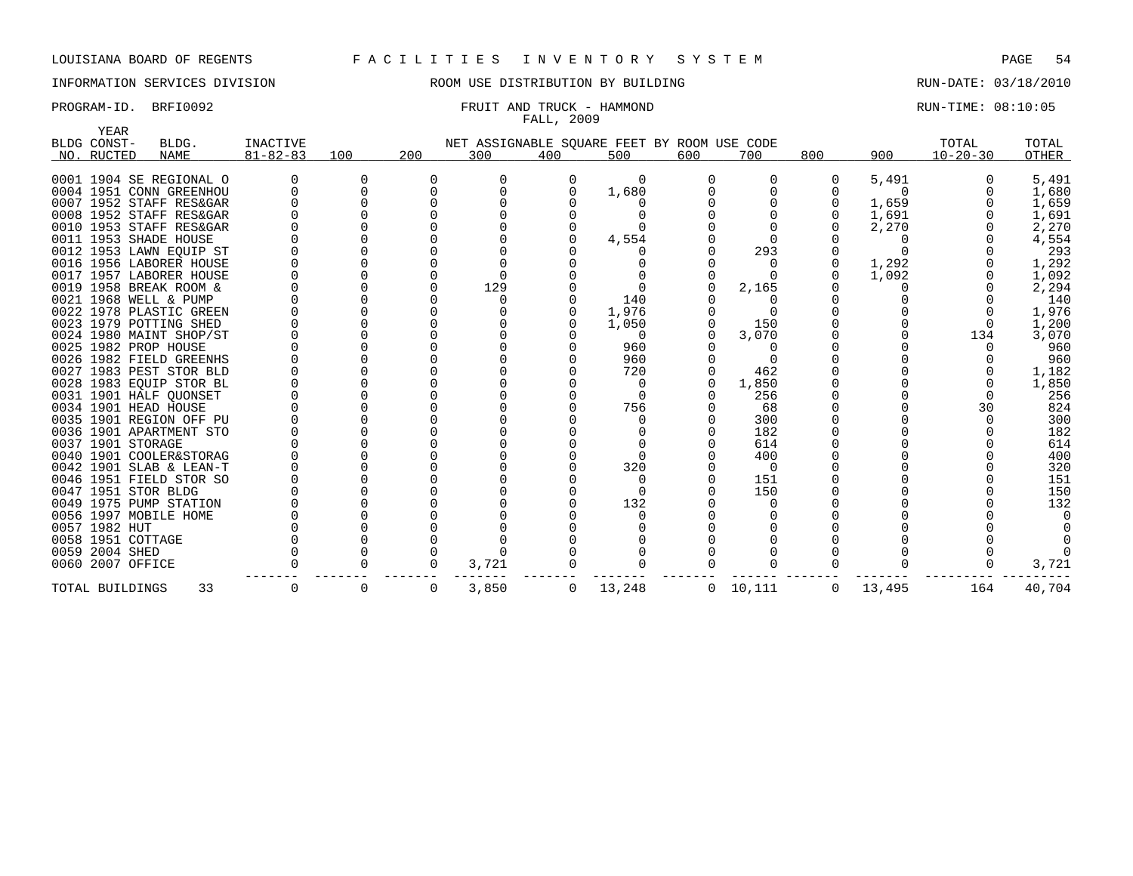YEAR

## INFORMATION SERVICES DIVISION ROOM USE DISTRIBUTION BY BUILDING RUN-DATE: 03/18/2010

## PROGRAM-ID. BRFI0092 **FRUIT AND TRUCK - HAMMOND** RUN-TIME: 08:10:05 FALL, 2009

| $81 - 82 - 83$<br>200<br>300<br>400<br>600<br>800<br>900<br>$10 - 20 - 30$<br>NAME<br>100<br>500<br>700<br>OTHER<br>NO. RUCTED<br>0<br>5,491<br>5,491<br>0001 1904 SE REGIONAL O<br>0004 1951 CONN GREENHOU<br>1,680<br>1,680<br>∩<br>0007 1952 STAFF RES&GAR<br>1,659<br>1,659<br>0008 1952 STAFF RES&GAR<br>1,691<br>1,691<br>0010 1953 STAFF RES&GAR<br>2,270<br>2,270<br>0011 1953 SHADE HOUSE<br>4,554<br>4,554<br>293<br>0012 1953 LAWN EQUIP ST<br>293<br>1,292<br>0016 1956 LABORER HOUSE<br>1,292<br>0017 1957 LABORER HOUSE<br>1,092<br>1,092<br>0019 1958 BREAK ROOM &<br>129<br>2,165<br>2,294<br>0021 1968 WELL & PUMP<br>140<br>140<br>0022 1978 PLASTIC GREEN<br>1,976<br>1,976<br>0023 1979 POTTING SHED<br>150<br>1,200<br>1,050<br>0024 1980 MAINT SHOP/ST<br>3,070<br>3,070<br>134<br>0<br>0025 1982 PROP HOUSE<br>960<br>960<br>960<br>0026 1982 FIELD GREENHS<br>960<br>0027 1983 PEST STOR BLD<br>720<br>462<br>1,182<br>1,850<br>0028 1983 EQUIP STOR BL<br>1,850<br>0031 1901 HALF OUONSET<br>256<br>256<br>756<br>824<br>0034 1901 HEAD HOUSE<br>68<br>30<br>300<br>300<br>0035 1901 REGION OFF PU<br>182<br>182<br>0036 1901 APARTMENT STO<br>614<br>0037 1901 STORAGE<br>614<br>400<br>400<br>0040 1901 COOLER&STORAG<br>320<br>320<br>0042 1901 SLAB & LEAN-T<br>151<br>0046 1951 FIELD STOR SO<br>151<br>150<br>0047 1951 STOR BLDG<br>150<br>132<br>132<br>0049 1975 PUMP STATION<br>0056 1997 MOBILE HOME<br>0057 1982 HUT<br>0058 1951 COTTAGE<br>0059 2004 SHED<br>0060 2007 OFFICE<br>3,721<br>3,721 | BLDG CONST- | BLDG. | <b>INACTIVE</b> |  | NET ASSIGNABLE SQUARE FEET BY ROOM USE CODE |  |  |  | TOTAL | TOTAL |
|----------------------------------------------------------------------------------------------------------------------------------------------------------------------------------------------------------------------------------------------------------------------------------------------------------------------------------------------------------------------------------------------------------------------------------------------------------------------------------------------------------------------------------------------------------------------------------------------------------------------------------------------------------------------------------------------------------------------------------------------------------------------------------------------------------------------------------------------------------------------------------------------------------------------------------------------------------------------------------------------------------------------------------------------------------------------------------------------------------------------------------------------------------------------------------------------------------------------------------------------------------------------------------------------------------------------------------------------------------------------------------------------------------------------------------------------------------------------------------------------------------------------------------------|-------------|-------|-----------------|--|---------------------------------------------|--|--|--|-------|-------|
|                                                                                                                                                                                                                                                                                                                                                                                                                                                                                                                                                                                                                                                                                                                                                                                                                                                                                                                                                                                                                                                                                                                                                                                                                                                                                                                                                                                                                                                                                                                                        |             |       |                 |  |                                             |  |  |  |       |       |
|                                                                                                                                                                                                                                                                                                                                                                                                                                                                                                                                                                                                                                                                                                                                                                                                                                                                                                                                                                                                                                                                                                                                                                                                                                                                                                                                                                                                                                                                                                                                        |             |       |                 |  |                                             |  |  |  |       |       |
|                                                                                                                                                                                                                                                                                                                                                                                                                                                                                                                                                                                                                                                                                                                                                                                                                                                                                                                                                                                                                                                                                                                                                                                                                                                                                                                                                                                                                                                                                                                                        |             |       |                 |  |                                             |  |  |  |       |       |
|                                                                                                                                                                                                                                                                                                                                                                                                                                                                                                                                                                                                                                                                                                                                                                                                                                                                                                                                                                                                                                                                                                                                                                                                                                                                                                                                                                                                                                                                                                                                        |             |       |                 |  |                                             |  |  |  |       |       |
|                                                                                                                                                                                                                                                                                                                                                                                                                                                                                                                                                                                                                                                                                                                                                                                                                                                                                                                                                                                                                                                                                                                                                                                                                                                                                                                                                                                                                                                                                                                                        |             |       |                 |  |                                             |  |  |  |       |       |
|                                                                                                                                                                                                                                                                                                                                                                                                                                                                                                                                                                                                                                                                                                                                                                                                                                                                                                                                                                                                                                                                                                                                                                                                                                                                                                                                                                                                                                                                                                                                        |             |       |                 |  |                                             |  |  |  |       |       |
|                                                                                                                                                                                                                                                                                                                                                                                                                                                                                                                                                                                                                                                                                                                                                                                                                                                                                                                                                                                                                                                                                                                                                                                                                                                                                                                                                                                                                                                                                                                                        |             |       |                 |  |                                             |  |  |  |       |       |
|                                                                                                                                                                                                                                                                                                                                                                                                                                                                                                                                                                                                                                                                                                                                                                                                                                                                                                                                                                                                                                                                                                                                                                                                                                                                                                                                                                                                                                                                                                                                        |             |       |                 |  |                                             |  |  |  |       |       |
|                                                                                                                                                                                                                                                                                                                                                                                                                                                                                                                                                                                                                                                                                                                                                                                                                                                                                                                                                                                                                                                                                                                                                                                                                                                                                                                                                                                                                                                                                                                                        |             |       |                 |  |                                             |  |  |  |       |       |
|                                                                                                                                                                                                                                                                                                                                                                                                                                                                                                                                                                                                                                                                                                                                                                                                                                                                                                                                                                                                                                                                                                                                                                                                                                                                                                                                                                                                                                                                                                                                        |             |       |                 |  |                                             |  |  |  |       |       |
|                                                                                                                                                                                                                                                                                                                                                                                                                                                                                                                                                                                                                                                                                                                                                                                                                                                                                                                                                                                                                                                                                                                                                                                                                                                                                                                                                                                                                                                                                                                                        |             |       |                 |  |                                             |  |  |  |       |       |
|                                                                                                                                                                                                                                                                                                                                                                                                                                                                                                                                                                                                                                                                                                                                                                                                                                                                                                                                                                                                                                                                                                                                                                                                                                                                                                                                                                                                                                                                                                                                        |             |       |                 |  |                                             |  |  |  |       |       |
|                                                                                                                                                                                                                                                                                                                                                                                                                                                                                                                                                                                                                                                                                                                                                                                                                                                                                                                                                                                                                                                                                                                                                                                                                                                                                                                                                                                                                                                                                                                                        |             |       |                 |  |                                             |  |  |  |       |       |
|                                                                                                                                                                                                                                                                                                                                                                                                                                                                                                                                                                                                                                                                                                                                                                                                                                                                                                                                                                                                                                                                                                                                                                                                                                                                                                                                                                                                                                                                                                                                        |             |       |                 |  |                                             |  |  |  |       |       |
|                                                                                                                                                                                                                                                                                                                                                                                                                                                                                                                                                                                                                                                                                                                                                                                                                                                                                                                                                                                                                                                                                                                                                                                                                                                                                                                                                                                                                                                                                                                                        |             |       |                 |  |                                             |  |  |  |       |       |
|                                                                                                                                                                                                                                                                                                                                                                                                                                                                                                                                                                                                                                                                                                                                                                                                                                                                                                                                                                                                                                                                                                                                                                                                                                                                                                                                                                                                                                                                                                                                        |             |       |                 |  |                                             |  |  |  |       |       |
|                                                                                                                                                                                                                                                                                                                                                                                                                                                                                                                                                                                                                                                                                                                                                                                                                                                                                                                                                                                                                                                                                                                                                                                                                                                                                                                                                                                                                                                                                                                                        |             |       |                 |  |                                             |  |  |  |       |       |
|                                                                                                                                                                                                                                                                                                                                                                                                                                                                                                                                                                                                                                                                                                                                                                                                                                                                                                                                                                                                                                                                                                                                                                                                                                                                                                                                                                                                                                                                                                                                        |             |       |                 |  |                                             |  |  |  |       |       |
|                                                                                                                                                                                                                                                                                                                                                                                                                                                                                                                                                                                                                                                                                                                                                                                                                                                                                                                                                                                                                                                                                                                                                                                                                                                                                                                                                                                                                                                                                                                                        |             |       |                 |  |                                             |  |  |  |       |       |
|                                                                                                                                                                                                                                                                                                                                                                                                                                                                                                                                                                                                                                                                                                                                                                                                                                                                                                                                                                                                                                                                                                                                                                                                                                                                                                                                                                                                                                                                                                                                        |             |       |                 |  |                                             |  |  |  |       |       |
|                                                                                                                                                                                                                                                                                                                                                                                                                                                                                                                                                                                                                                                                                                                                                                                                                                                                                                                                                                                                                                                                                                                                                                                                                                                                                                                                                                                                                                                                                                                                        |             |       |                 |  |                                             |  |  |  |       |       |
|                                                                                                                                                                                                                                                                                                                                                                                                                                                                                                                                                                                                                                                                                                                                                                                                                                                                                                                                                                                                                                                                                                                                                                                                                                                                                                                                                                                                                                                                                                                                        |             |       |                 |  |                                             |  |  |  |       |       |
|                                                                                                                                                                                                                                                                                                                                                                                                                                                                                                                                                                                                                                                                                                                                                                                                                                                                                                                                                                                                                                                                                                                                                                                                                                                                                                                                                                                                                                                                                                                                        |             |       |                 |  |                                             |  |  |  |       |       |
|                                                                                                                                                                                                                                                                                                                                                                                                                                                                                                                                                                                                                                                                                                                                                                                                                                                                                                                                                                                                                                                                                                                                                                                                                                                                                                                                                                                                                                                                                                                                        |             |       |                 |  |                                             |  |  |  |       |       |
|                                                                                                                                                                                                                                                                                                                                                                                                                                                                                                                                                                                                                                                                                                                                                                                                                                                                                                                                                                                                                                                                                                                                                                                                                                                                                                                                                                                                                                                                                                                                        |             |       |                 |  |                                             |  |  |  |       |       |
|                                                                                                                                                                                                                                                                                                                                                                                                                                                                                                                                                                                                                                                                                                                                                                                                                                                                                                                                                                                                                                                                                                                                                                                                                                                                                                                                                                                                                                                                                                                                        |             |       |                 |  |                                             |  |  |  |       |       |
|                                                                                                                                                                                                                                                                                                                                                                                                                                                                                                                                                                                                                                                                                                                                                                                                                                                                                                                                                                                                                                                                                                                                                                                                                                                                                                                                                                                                                                                                                                                                        |             |       |                 |  |                                             |  |  |  |       |       |
|                                                                                                                                                                                                                                                                                                                                                                                                                                                                                                                                                                                                                                                                                                                                                                                                                                                                                                                                                                                                                                                                                                                                                                                                                                                                                                                                                                                                                                                                                                                                        |             |       |                 |  |                                             |  |  |  |       |       |
|                                                                                                                                                                                                                                                                                                                                                                                                                                                                                                                                                                                                                                                                                                                                                                                                                                                                                                                                                                                                                                                                                                                                                                                                                                                                                                                                                                                                                                                                                                                                        |             |       |                 |  |                                             |  |  |  |       |       |
|                                                                                                                                                                                                                                                                                                                                                                                                                                                                                                                                                                                                                                                                                                                                                                                                                                                                                                                                                                                                                                                                                                                                                                                                                                                                                                                                                                                                                                                                                                                                        |             |       |                 |  |                                             |  |  |  |       |       |
|                                                                                                                                                                                                                                                                                                                                                                                                                                                                                                                                                                                                                                                                                                                                                                                                                                                                                                                                                                                                                                                                                                                                                                                                                                                                                                                                                                                                                                                                                                                                        |             |       |                 |  |                                             |  |  |  |       |       |
|                                                                                                                                                                                                                                                                                                                                                                                                                                                                                                                                                                                                                                                                                                                                                                                                                                                                                                                                                                                                                                                                                                                                                                                                                                                                                                                                                                                                                                                                                                                                        |             |       |                 |  |                                             |  |  |  |       |       |
|                                                                                                                                                                                                                                                                                                                                                                                                                                                                                                                                                                                                                                                                                                                                                                                                                                                                                                                                                                                                                                                                                                                                                                                                                                                                                                                                                                                                                                                                                                                                        |             |       |                 |  |                                             |  |  |  |       |       |
|                                                                                                                                                                                                                                                                                                                                                                                                                                                                                                                                                                                                                                                                                                                                                                                                                                                                                                                                                                                                                                                                                                                                                                                                                                                                                                                                                                                                                                                                                                                                        |             |       |                 |  |                                             |  |  |  |       |       |
|                                                                                                                                                                                                                                                                                                                                                                                                                                                                                                                                                                                                                                                                                                                                                                                                                                                                                                                                                                                                                                                                                                                                                                                                                                                                                                                                                                                                                                                                                                                                        |             |       |                 |  |                                             |  |  |  |       |       |
| 33<br>3,850<br>13,248<br>13,495<br>40,704<br>0 10, 111<br>0<br>164<br>TOTAL BUILDINGS<br>0<br>0                                                                                                                                                                                                                                                                                                                                                                                                                                                                                                                                                                                                                                                                                                                                                                                                                                                                                                                                                                                                                                                                                                                                                                                                                                                                                                                                                                                                                                        |             |       |                 |  |                                             |  |  |  |       |       |

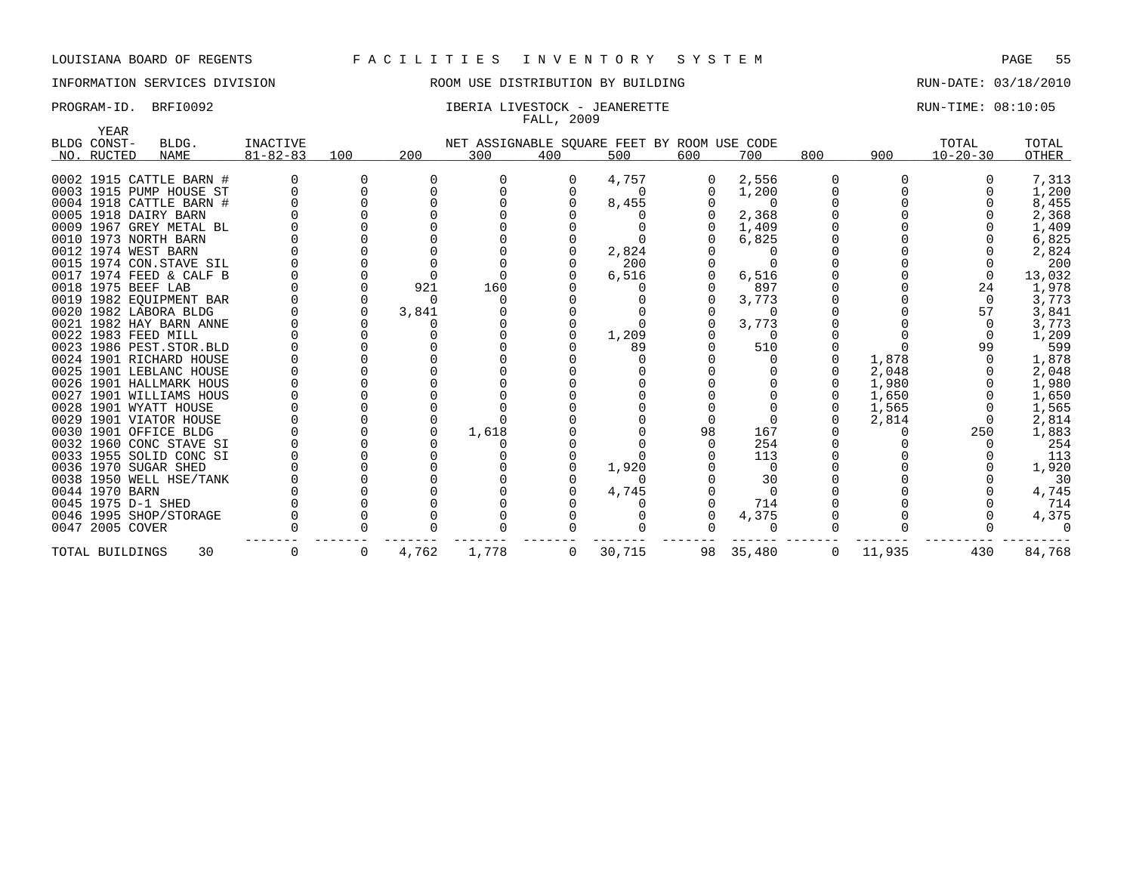## INFORMATION SERVICES DIVISION ROOM USE DISTRIBUTION BY BUILDING RUN-DATE: 03/18/2010

## PROGRAM-ID. BRFI0092 **IBERIA LIVESTOCK - JEANERETTE** RUN-TIME: 08:10:05 FALL, 2009

| <b>YEAR</b>         |                           |                 |     |       |       |                |                                             |              |          |     |        |                |        |
|---------------------|---------------------------|-----------------|-----|-------|-------|----------------|---------------------------------------------|--------------|----------|-----|--------|----------------|--------|
| BLDG CONST-         | BLDG.                     | <b>INACTIVE</b> |     |       |       |                | NET ASSIGNABLE SQUARE FEET BY ROOM USE CODE |              |          |     |        | TOTAL          | TOTAL  |
| NO. RUCTED          | <b>NAME</b>               | $81 - 82 - 83$  | 100 | 200   | 300   | 400            | 500                                         | 600          | 700      | 800 | 900    | $10 - 20 - 30$ | OTHER  |
|                     |                           |                 |     |       |       |                |                                             |              |          |     |        |                |        |
|                     | 0002 1915 CATTLE BARN #   |                 |     |       |       | 0              | 4,757                                       | 0            | 2,556    |     |        |                | 7,313  |
|                     | 0003 1915 PUMP HOUSE ST   |                 |     |       |       |                |                                             |              | 1,200    |     |        |                | 1,200  |
|                     | 0004 1918 CATTLE BARN #   |                 |     |       |       |                | 8,455                                       |              | 0        |     |        |                | 8,455  |
|                     | 0005 1918 DAIRY BARN      |                 |     |       |       |                |                                             |              | 2,368    |     |        |                | 2,368  |
|                     | 0009 1967 GREY METAL BL   |                 |     |       |       |                |                                             |              | 1,409    |     |        |                | 1,409  |
|                     | 0010 1973 NORTH BARN      |                 |     |       |       |                |                                             |              | 6,825    |     |        |                | 6,825  |
| 0012 1974 WEST BARN |                           |                 |     |       |       |                | 2,824                                       |              |          |     |        |                | 2,824  |
|                     | 0015 1974 CON.STAVE SIL   |                 |     |       |       |                | 200                                         |              |          |     |        |                | 200    |
|                     | 0017 1974 FEED & CALF B   |                 |     |       |       |                | 6,516                                       | $\Omega$     | 6,516    |     |        |                | 13,032 |
| 0018 1975 BEEF LAB  |                           |                 |     | 921   | 160   |                |                                             |              | 897      |     |        | 24             | 1,978  |
|                     | 0019 1982 EOUIPMENT BAR   |                 |     |       |       |                |                                             |              | 3,773    |     |        | $\Omega$       | 3,773  |
|                     | 0020 1982 LABORA BLDG     |                 |     | 3,841 |       |                |                                             |              | O        |     |        | 57             | 3,841  |
|                     | 0021 1982 HAY BARN ANNE   |                 |     |       |       |                |                                             |              | 3,773    |     |        |                | 3,773  |
| 0022 1983 FEED MILL |                           |                 |     |       |       |                | 1,209                                       |              | $\Omega$ |     |        | $\Omega$       | 1,209  |
|                     | 0023 1986 PEST. STOR. BLD |                 |     |       |       |                | 89                                          |              | 510      |     |        | 99             | 599    |
|                     | 0024 1901 RICHARD HOUSE   |                 |     |       |       |                |                                             |              |          |     | 1,878  |                | 1,878  |
|                     | 0025 1901 LEBLANC HOUSE   |                 |     |       |       |                |                                             |              |          |     | 2,048  |                | 2,048  |
|                     | 0026 1901 HALLMARK HOUS   |                 |     |       |       |                |                                             |              |          |     | 1,980  |                | 1,980  |
|                     | 0027 1901 WILLIAMS HOUS   |                 |     |       |       |                |                                             |              |          |     | 1,650  |                | 1,650  |
|                     | 0028 1901 WYATT HOUSE     |                 |     |       |       |                |                                             |              |          |     | 1,565  |                | 1,565  |
|                     | 0029 1901 VIATOR HOUSE    |                 |     |       |       |                |                                             |              |          |     | 2,814  |                | 2,814  |
|                     | 0030 1901 OFFICE BLDG     |                 |     |       | 1,618 |                |                                             | 98           | 167      |     |        | 250            | 1,883  |
|                     | 0032 1960 CONC STAVE SI   |                 |     |       |       |                |                                             | <sup>n</sup> | 254      |     |        |                | 254    |
|                     | 0033 1955 SOLID CONC SI   |                 |     |       |       |                |                                             |              | 113      |     |        |                | 113    |
|                     | 0036 1970 SUGAR SHED      |                 |     |       |       |                | 1,920                                       |              | $\Omega$ |     |        |                | 1,920  |
|                     | 0038 1950 WELL HSE/TANK   |                 |     |       |       |                |                                             |              | 30       |     |        |                | 30     |
| 0044 1970 BARN      |                           |                 |     |       |       |                | 4,745                                       |              | $\Omega$ |     |        |                | 4,745  |
| 0045 1975 D-1 SHED  |                           |                 |     |       |       |                |                                             |              | 714      |     |        |                | 714    |
|                     | 0046 1995 SHOP/STORAGE    |                 |     |       |       |                |                                             |              | 4,375    |     |        |                | 4,375  |
| 0047 2005 COVER     |                           |                 |     |       |       |                |                                             |              | O        |     |        |                |        |
| TOTAL BUILDINGS     | 30                        | 0               | 0   | 4,762 | 1,778 | $\overline{0}$ | 30,715                                      | 98           | 35,480   | 0   | 11,935 | 430            | 84,768 |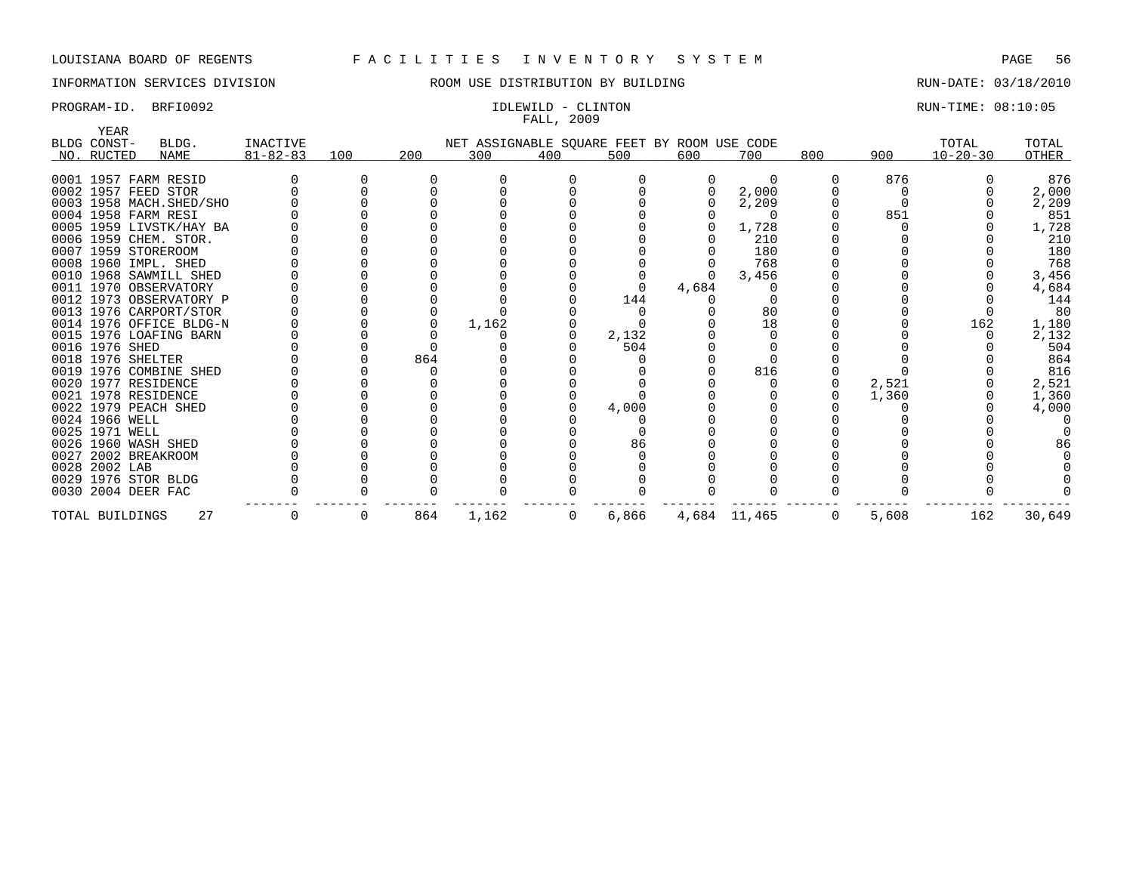## INFORMATION SERVICES DIVISION ROOM USE DISTRIBUTION BY BUILDING RUN-DATE: 03/18/2010

# FALL, 2009

## PROGRAM-ID. BRFI0092 **IDLEWILD - CLINTON IDLEWILD - CLINTON RUN-TIME: 08:10:05**

| <b>YEAR</b>              |                 |     |     |                                             |     |       |       |              |     |       |                |        |
|--------------------------|-----------------|-----|-----|---------------------------------------------|-----|-------|-------|--------------|-----|-------|----------------|--------|
| BLDG CONST-<br>BLDG.     | <b>INACTIVE</b> |     |     | NET ASSIGNABLE SQUARE FEET BY ROOM USE CODE |     |       |       |              |     |       | TOTAL          | TOTAL  |
| NO. RUCTED<br>NAME       | $81 - 82 - 83$  | 100 | 200 | 300                                         | 400 | 500   | 600   | 700          | 800 | 900   | $10 - 20 - 30$ | OTHER  |
|                          |                 |     |     |                                             |     |       |       |              |     |       |                |        |
| 0001 1957 FARM RESID     |                 |     |     |                                             |     |       |       | $\Omega$     |     | 876   |                | 876    |
| 0002 1957 FEED STOR      |                 |     |     |                                             |     |       |       | 2,000        |     |       |                | 2,000  |
| 0003 1958 MACH. SHED/SHO |                 |     |     |                                             |     |       |       | 2,209        |     |       |                | 2,209  |
| 0004 1958 FARM RESI      |                 |     |     |                                             |     |       |       |              |     | 851   |                | 851    |
| 0005 1959 LIVSTK/HAY BA  |                 |     |     |                                             |     |       |       | 1,728        |     |       |                | 1,728  |
| 0006 1959 CHEM. STOR.    |                 |     |     |                                             |     |       |       | 210          |     |       |                | 210    |
| 0007 1959 STOREROOM      |                 |     |     |                                             |     |       |       | 180          |     |       |                | 180    |
| 0008 1960 IMPL. SHED     |                 |     |     |                                             |     |       |       | 768          |     |       |                | 768    |
| 0010 1968 SAWMILL SHED   |                 |     |     |                                             |     |       |       | 3,456        |     |       |                | 3,456  |
| 0011 1970 OBSERVATORY    |                 |     |     |                                             |     |       | 4,684 |              |     |       |                | 4,684  |
| 0012 1973 OBSERVATORY P  |                 |     |     |                                             |     | 144   |       |              |     |       |                | 144    |
| 0013 1976 CARPORT/STOR   |                 |     |     |                                             |     |       |       | 80           |     |       |                | 80     |
| 0014 1976 OFFICE BLDG-N  |                 |     |     | 1,162                                       |     |       |       | 18           |     |       | 162            | 1,180  |
| 0015 1976 LOAFING BARN   |                 |     |     |                                             |     | 2,132 |       |              |     |       |                | 2,132  |
| 0016 1976 SHED           |                 |     |     |                                             |     | 504   |       |              |     |       |                | 504    |
| 0018 1976 SHELTER        |                 |     | 864 |                                             |     |       |       |              |     |       |                | 864    |
| 0019 1976 COMBINE SHED   |                 |     |     |                                             |     |       |       | 816          |     |       |                | 816    |
| 0020 1977 RESIDENCE      |                 |     |     |                                             |     |       |       |              |     | 2,521 |                | 2,521  |
| 0021 1978 RESIDENCE      |                 |     |     |                                             |     |       |       |              |     | 1,360 |                | 1,360  |
| 0022 1979 PEACH SHED     |                 |     |     |                                             |     | 4,000 |       |              |     |       |                | 4,000  |
| 0024 1966 WELL           |                 |     |     |                                             |     |       |       |              |     |       |                |        |
| 0025 1971 WELL           |                 |     |     |                                             |     |       |       |              |     |       |                |        |
| 0026 1960 WASH SHED      |                 |     |     |                                             |     | 86    |       |              |     |       |                |        |
| 0027 2002 BREAKROOM      |                 |     |     |                                             |     |       |       |              |     |       |                |        |
| 0028 2002 LAB            |                 |     |     |                                             |     |       |       |              |     |       |                |        |
| 0029 1976 STOR BLDG      |                 |     |     |                                             |     |       |       |              |     |       |                |        |
| 0030 2004 DEER FAC       |                 |     |     |                                             |     |       |       |              |     |       |                |        |
| TOTAL BUILDINGS          | 27              |     | 864 | 1,162                                       | 0   | 6,866 |       | 4,684 11,465 | 0   | 5,608 | 162            | 30,649 |
|                          |                 |     |     |                                             |     |       |       |              |     |       |                |        |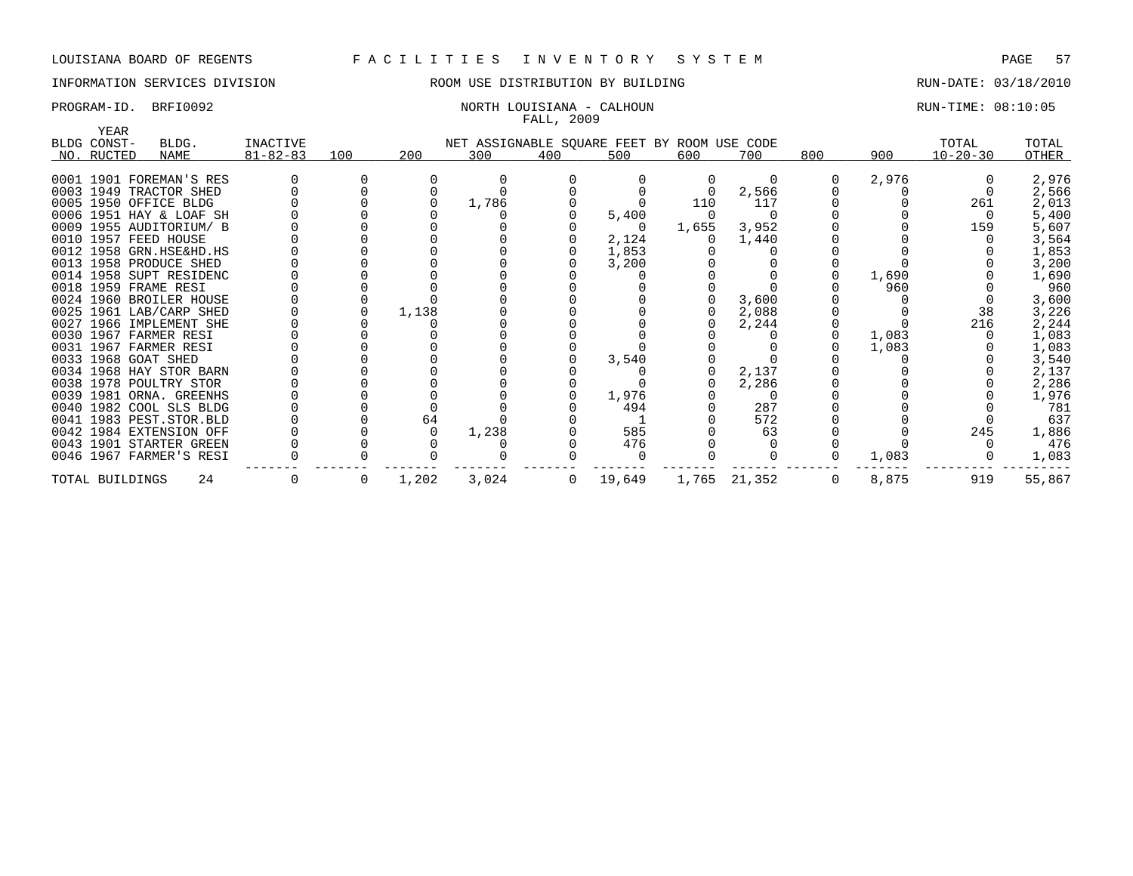## INFORMATION SERVICES DIVISION ROOM USE DISTRIBUTION BY BUILDING RUN-DATE: 03/18/2010

## PROGRAM-ID. BRFI0092 NORTH LOUISIANA - CALHOUN RUN-TIME: 08:10:05 FALL, 2009

| BLDG. |                                                                                                                                                                                                                                                                                                                                                                                                                                                                                                                                                                                                                                                                                                   |          |       |       |              |        |                                       |              |                                                                                                                                      |       |                                         | TOTAL                            |
|-------|---------------------------------------------------------------------------------------------------------------------------------------------------------------------------------------------------------------------------------------------------------------------------------------------------------------------------------------------------------------------------------------------------------------------------------------------------------------------------------------------------------------------------------------------------------------------------------------------------------------------------------------------------------------------------------------------------|----------|-------|-------|--------------|--------|---------------------------------------|--------------|--------------------------------------------------------------------------------------------------------------------------------------|-------|-----------------------------------------|----------------------------------|
| NAME  | $81 - 82 - 83$                                                                                                                                                                                                                                                                                                                                                                                                                                                                                                                                                                                                                                                                                    | 100      | 200   | 300   | 400          | 500    | 600                                   | 700          | 800                                                                                                                                  | 900   | $10 - 20 - 30$                          | OTHER                            |
|       |                                                                                                                                                                                                                                                                                                                                                                                                                                                                                                                                                                                                                                                                                                   |          |       |       |              |        |                                       |              |                                                                                                                                      |       |                                         |                                  |
|       |                                                                                                                                                                                                                                                                                                                                                                                                                                                                                                                                                                                                                                                                                                   |          |       |       |              |        |                                       |              |                                                                                                                                      |       |                                         | 2,976                            |
|       |                                                                                                                                                                                                                                                                                                                                                                                                                                                                                                                                                                                                                                                                                                   |          |       |       |              |        |                                       |              |                                                                                                                                      |       |                                         | 2,566                            |
|       |                                                                                                                                                                                                                                                                                                                                                                                                                                                                                                                                                                                                                                                                                                   |          |       |       |              |        |                                       |              |                                                                                                                                      |       |                                         | 2,013                            |
|       |                                                                                                                                                                                                                                                                                                                                                                                                                                                                                                                                                                                                                                                                                                   |          |       |       |              |        |                                       |              |                                                                                                                                      |       |                                         | 5,400                            |
|       |                                                                                                                                                                                                                                                                                                                                                                                                                                                                                                                                                                                                                                                                                                   |          |       |       |              |        |                                       |              |                                                                                                                                      |       |                                         | 5,607                            |
|       |                                                                                                                                                                                                                                                                                                                                                                                                                                                                                                                                                                                                                                                                                                   |          |       |       |              |        |                                       |              |                                                                                                                                      |       |                                         | 3,564                            |
|       |                                                                                                                                                                                                                                                                                                                                                                                                                                                                                                                                                                                                                                                                                                   |          |       |       |              |        |                                       |              |                                                                                                                                      |       |                                         | 1,853                            |
|       |                                                                                                                                                                                                                                                                                                                                                                                                                                                                                                                                                                                                                                                                                                   |          |       |       |              |        |                                       |              |                                                                                                                                      |       |                                         | 3,200                            |
|       |                                                                                                                                                                                                                                                                                                                                                                                                                                                                                                                                                                                                                                                                                                   |          |       |       |              |        |                                       |              |                                                                                                                                      |       |                                         | 1,690                            |
|       |                                                                                                                                                                                                                                                                                                                                                                                                                                                                                                                                                                                                                                                                                                   |          |       |       |              |        |                                       |              |                                                                                                                                      |       |                                         | 960                              |
|       |                                                                                                                                                                                                                                                                                                                                                                                                                                                                                                                                                                                                                                                                                                   |          |       |       |              |        |                                       |              |                                                                                                                                      |       |                                         | 3,600                            |
|       |                                                                                                                                                                                                                                                                                                                                                                                                                                                                                                                                                                                                                                                                                                   |          |       |       |              |        |                                       |              |                                                                                                                                      |       |                                         | 3,226                            |
|       |                                                                                                                                                                                                                                                                                                                                                                                                                                                                                                                                                                                                                                                                                                   |          |       |       |              |        |                                       |              |                                                                                                                                      |       |                                         | 2,244                            |
|       |                                                                                                                                                                                                                                                                                                                                                                                                                                                                                                                                                                                                                                                                                                   |          |       |       |              |        |                                       |              |                                                                                                                                      |       |                                         | 1,083                            |
|       |                                                                                                                                                                                                                                                                                                                                                                                                                                                                                                                                                                                                                                                                                                   |          |       |       |              |        |                                       |              |                                                                                                                                      |       |                                         | 1,083                            |
|       |                                                                                                                                                                                                                                                                                                                                                                                                                                                                                                                                                                                                                                                                                                   |          |       |       |              | 3,540  |                                       |              |                                                                                                                                      |       |                                         | 3,540                            |
|       |                                                                                                                                                                                                                                                                                                                                                                                                                                                                                                                                                                                                                                                                                                   |          |       |       |              |        |                                       | 2,137        |                                                                                                                                      |       |                                         | 2,137                            |
|       |                                                                                                                                                                                                                                                                                                                                                                                                                                                                                                                                                                                                                                                                                                   |          |       |       |              |        |                                       | 2,286        |                                                                                                                                      |       |                                         | 2,286                            |
|       |                                                                                                                                                                                                                                                                                                                                                                                                                                                                                                                                                                                                                                                                                                   |          |       |       |              | 1,976  |                                       |              |                                                                                                                                      |       |                                         | 1,976                            |
|       |                                                                                                                                                                                                                                                                                                                                                                                                                                                                                                                                                                                                                                                                                                   |          |       |       |              | 494    |                                       | 287          |                                                                                                                                      |       |                                         | 781                              |
|       |                                                                                                                                                                                                                                                                                                                                                                                                                                                                                                                                                                                                                                                                                                   |          | 64    |       |              |        |                                       | 572          |                                                                                                                                      |       |                                         | 637                              |
|       |                                                                                                                                                                                                                                                                                                                                                                                                                                                                                                                                                                                                                                                                                                   |          |       | 1,238 |              | 585    |                                       | 63           |                                                                                                                                      |       | 245                                     | 1,886                            |
|       |                                                                                                                                                                                                                                                                                                                                                                                                                                                                                                                                                                                                                                                                                                   |          |       |       |              | 476    |                                       |              |                                                                                                                                      |       |                                         | 476                              |
|       |                                                                                                                                                                                                                                                                                                                                                                                                                                                                                                                                                                                                                                                                                                   |          |       |       |              |        |                                       |              |                                                                                                                                      | 1,083 |                                         | 1,083                            |
| 24    |                                                                                                                                                                                                                                                                                                                                                                                                                                                                                                                                                                                                                                                                                                   | $\Omega$ | 1,202 | 3,024 | $\mathbf{0}$ | 19,649 |                                       |              | 0                                                                                                                                    | 8,875 | 919                                     | 55,867                           |
| YEAR  | BLDG CONST-<br>NO. RUCTED<br>0001 1901 FOREMAN'S RES<br>0003 1949 TRACTOR SHED<br>0005 1950 OFFICE BLDG<br>0006 1951 HAY & LOAF SH<br>0009 1955 AUDITORIUM/ B<br>0010 1957 FEED HOUSE<br>0012 1958 GRN.HSE&HD.HS<br>0013 1958 PRODUCE SHED<br>0014 1958 SUPT RESIDENC<br>0018 1959 FRAME RESI<br>0024 1960 BROILER HOUSE<br>0025 1961 LAB/CARP SHED<br>0027 1966 IMPLEMENT SHE<br>0030 1967 FARMER RESI<br>0031 1967 FARMER RESI<br>0033 1968 GOAT SHED<br>0034 1968 HAY STOR BARN<br>0038 1978 POULTRY STOR<br>0039 1981 ORNA. GREENHS<br>0040 1982 COOL SLS BLDG<br>0041 1983 PEST.STOR.BLD<br>0042 1984 EXTENSION OFF<br>0043 1901 STARTER GREEN<br>0046 1967 FARMER'S RESI<br>TOTAL BUILDINGS | INACTIVE |       | 1,138 | 1,786        |        | 5,400<br>0<br>2,124<br>1,853<br>3,200 | 110<br>1,655 | NET ASSIGNABLE SQUARE FEET BY ROOM USE CODE<br>$\Omega$<br>2,566<br>117<br>3,952<br>1,440<br>3,600<br>2,088<br>2,244<br>1,765 21,352 |       | 2,976<br>1,690<br>960<br>1,083<br>1,083 | TOTAL<br>261<br>159<br>38<br>216 |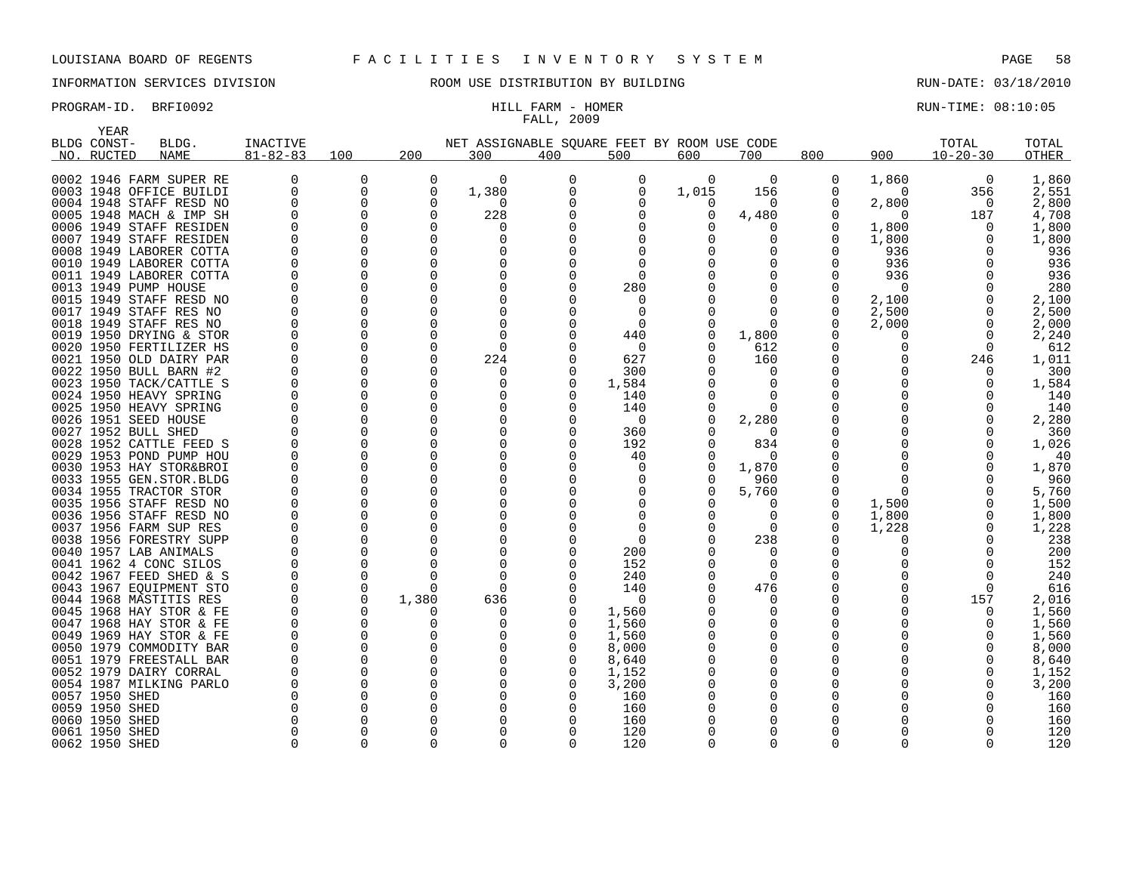# FALL, 2009

PROGRAM-ID. BRFI0092 **EXAM-SUN-TIME: 08:10:05** HILL FARM - HOMER

| YEAR           |                         |                |               |              |                                             |             |              |             |          |          |            |                |              |
|----------------|-------------------------|----------------|---------------|--------------|---------------------------------------------|-------------|--------------|-------------|----------|----------|------------|----------------|--------------|
| BLDG CONST-    | BLDG.                   | INACTIVE       |               |              | NET ASSIGNABLE SQUARE FEET BY ROOM USE CODE |             |              |             |          |          |            | TOTAL          | TOTAL        |
| NO. RUCTED     | <b>NAME</b>             | $81 - 82 - 83$ | 100           | 200          | 300                                         | 400         | 500          | 600         | 700      | 800      | 900        | $10 - 20 - 30$ | <b>OTHER</b> |
|                |                         |                |               |              |                                             |             |              |             |          |          |            |                |              |
|                | 0002 1946 FARM SUPER RE | 0              | 0             | $\Omega$     | $\Omega$                                    | $\mathbf 0$ | 0            | $\mathbf 0$ | 0        | 0        | 1,860      | 0              | 1,860        |
|                | 0003 1948 OFFICE BUILDI | 0              | 0             | $\Omega$     | 1,380                                       | 0           | 0            | 1,015       | 156      | 0        | $\Omega$   | 356            | 2,551        |
|                | 0004 1948 STAFF RESD NO | $\Omega$       | $\Omega$      | $\Omega$     | $\Omega$                                    | $\Omega$    | O            | $\Omega$    | O        | ∩        | 2,800      | $\Omega$       | 2,800        |
|                | 0005 1948 MACH & IMP SH | 0              | $\Omega$      | $\Omega$     | 228                                         | $\Omega$    | $\Omega$     | 0           | 4,480    |          | $\Omega$   | 187            | 4,708        |
|                | 0006 1949 STAFF RESIDEN | $\Omega$       | $\Omega$      | U            | $\left( \right)$                            | ∩           | $\Omega$     |             | O        | O        | 1,800      | 0              | 1,800        |
|                | 0007 1949 STAFF RESIDEN | $\Omega$       | $\Omega$      | $\Omega$     | $\Omega$                                    | $\Omega$    | <sup>0</sup> |             | O        | $\Omega$ | 1,800      | 0              | 1,800        |
|                | 0008 1949 LABORER COTTA | ∩              | $\Omega$      | <sup>n</sup> |                                             | ∩           | ∩            |             |          | 0        | 936        | U              | 936          |
| 0010           | 1949 LABORER COTTA      | 0              | 0             | $\Omega$     | $\Omega$                                    | $\Omega$    | $\Omega$     |             | O        | O        | 936        | O              | 936          |
|                | 0011 1949 LABORER COTTA | 0              | 0             | $\Omega$     | O                                           | $\Omega$    | $\Omega$     |             | O        | 0        | 936        | 0              | 936          |
|                | 0013 1949 PUMP HOUSE    | O              | $\Omega$      | <sup>n</sup> |                                             | $\Omega$    | 280          |             | ∩        |          | $\Omega$   | O              | 280          |
|                | 0015 1949 STAFF RESD NO | 0              | 0             | $\Omega$     | $\Omega$                                    | $\Omega$    | 0            |             | 0        | 0        | 2,100      | 0              | 2,100        |
|                | 0017 1949 STAFF RES NO  | U              | $\Omega$      | <sup>n</sup> |                                             | $\Omega$    | $\Omega$     |             | ∩        | $\Omega$ | 2,500      | 0              | 2,500        |
|                |                         | O              | $\Omega$      | $\Omega$     | $\Omega$                                    | $\Omega$    | 0            |             | $\Omega$ | $\Omega$ |            | 0              |              |
|                | 0018 1949 STAFF RES NO  | ∩              | $\Omega$      | U            | $\Omega$                                    | ∩           |              |             |          | ∩        | 2,000<br>∩ |                | 2,000        |
|                | 0019 1950 DRYING & STOR | 0              |               | $\Omega$     | $\Omega$                                    |             | 440          | 0           | 1,800    | O        | O          | $\Omega$       | 2,240        |
|                | 0020 1950 FERTILIZER HS | O              | 0<br>$\Omega$ | <sup>0</sup> |                                             | $\Omega$    | 0<br>627     |             | 612      |          |            | 0              | 612          |
|                | 0021 1950 OLD DAIRY PAR |                | $\Omega$      | $\Omega$     | 224                                         |             |              |             | 160      |          |            | 246            | 1,011        |
|                | 0022 1950 BULL BARN #2  | O              |               | $\Omega$     | $\Omega$                                    | 0           | 300          |             | $\Omega$ |          |            | $\Omega$       | 300          |
|                | 0023 1950 TACK/CATTLE S | O              | $\Omega$      |              | $\Omega$                                    | $\Omega$    | 1,584        |             | $\Omega$ |          |            | 0              | 1,584        |
|                | 0024 1950 HEAVY SPRING  | O              | $\Omega$      | $\Omega$     |                                             | $\Omega$    | 140          |             | $\Omega$ |          |            | O              | 140          |
| 0025           | 1950 HEAVY SPRING       | O              | $\Omega$      | $\Omega$     | $\Omega$                                    | $\Omega$    | 140          | 0           | $\Omega$ |          |            | O              | 140          |
|                | 0026 1951 SEED HOUSE    | $\Omega$       | $\Omega$      | $\Omega$     | $\Omega$                                    | $\Omega$    | $\Omega$     | $\Omega$    | 2,280    | O        |            | 0              | 2,280        |
|                | 0027 1952 BULL SHED     | $\Omega$       | 0             | $\Omega$     | $\Omega$                                    | 0           | 360          |             | O        | 0        |            | 0              | 360          |
| 0028           | 1952 CATTLE FEED S      | $\Omega$       | $\Omega$      | $\Omega$     | O                                           | $\Omega$    | 192          | ∩           | 834      | N        |            | 0              | 1,026        |
| 0029           | 1953 POND PUMP HOU      | 0              | $\Omega$      | $\Omega$     | 0                                           | $\Omega$    | 40           | $\Omega$    | ∩        |          |            | O              | 40           |
|                | 0030 1953 HAY STOR&BROI | $\Omega$       | $\Omega$      | $\Omega$     |                                             | $\Omega$    | 0            | $\Omega$    | 1,870    |          |            | O              | 1,870        |
|                | 0033 1955 GEN.STOR.BLDG | $\Omega$       | $\Omega$      | $\Omega$     |                                             | $\Omega$    | 0            | 0           | 960      | O        |            | O              | 960          |
|                | 0034 1955 TRACTOR STOR  | O              | $\Omega$      | <sup>n</sup> |                                             | $\Omega$    | 0            |             | 5,760    | O        | $\Omega$   | O              | 5,760        |
|                | 0035 1956 STAFF RESD NO | <sup>0</sup>   | $\Omega$      | $\Omega$     | $\Omega$                                    | $\Omega$    | $\Omega$     |             | O        | 0        | 1,500      | 0              | 1,500        |
|                | 0036 1956 STAFF RESD NO | $\Omega$       | $\Omega$      | $\Omega$     |                                             | ∩           | $\Omega$     |             | $\Omega$ | 0        | 1,800      | 0              | 1,800        |
|                | 0037 1956 FARM SUP RES  | O              | $\Omega$      | <sup>n</sup> |                                             |             | $\Omega$     |             | 0        | 0        | 1,228      | 0              | 1,228        |
| 0038           | 1956 FORESTRY SUPP      | $\Omega$       | 0             | $\Omega$     |                                             | $\Omega$    | $\Omega$     |             | 238      |          | O          | 0              | 238          |
|                | 0040 1957 LAB ANIMALS   | O              | 0             | <sup>n</sup> |                                             | $\Omega$    | 200          |             | O        |          |            | O              | 200          |
|                | 0041 1962 4 CONC SILOS  | O              | $\Omega$      | U            | $\Omega$                                    | $\Omega$    | 152          |             | 0        |          |            | O              | 152          |
|                | 0042 1967 FEED SHED & S | $\Omega$       | $\Omega$      | <sup>n</sup> | $\Omega$                                    |             | 240          |             | $\Omega$ |          |            | $\Omega$       | 240          |
|                | 0043 1967 EQUIPMENT STO | $\Omega$       | $\Omega$      | <sup>n</sup> | $\Omega$                                    | $\Omega$    | 140          |             | 476      | N        |            | $\Omega$       | 616          |
|                | 0044 1968 MASTITIS RES  | 0              | 0             | 1,380        | 636                                         | $\Omega$    | $\Omega$     |             | O        |          |            | 157            | 2,016        |
|                | 0045 1968 HAY STOR & FE | 0              | 0             | U            | $\Omega$                                    | 0           | 1,560        |             | O        | N        |            | 0              | 1,560        |
|                | 0047 1968 HAY STOR & FE | $\Omega$       | $\Omega$      | <sup>0</sup> | $\Omega$                                    | $\Omega$    | 1,560        |             |          |          |            | 0              | 1,560        |
|                | 0049 1969 HAY STOR & FE | 0              | $\Omega$      | $\Omega$     |                                             |             | 1,560        |             | $\Omega$ | O        |            | 0              | 1,560        |
|                | 0050 1979 COMMODITY BAR | $\Omega$       | $\Omega$      | U            | ∩                                           |             | 8,000        |             | O        | O        |            | 0              | 8,000        |
|                | 0051 1979 FREESTALL BAR | $\Omega$       | $\Omega$      | $\Omega$     |                                             |             | 8,640        |             | $\Omega$ | $\Omega$ |            | O              | 8,640        |
|                | 0052 1979 DAIRY CORRAL  | ∩              | $\Omega$      | <sup>n</sup> |                                             |             | 1,152        |             | ∩        | ∩        |            | U              | 1,152        |
|                | 0054 1987 MILKING PARLO | 0              | 0             | $\Omega$     | $\Omega$                                    | $\Omega$    | 3,200        |             | $\Omega$ | O        |            | 0              | 3,200        |
| 0057 1950 SHED |                         | $\Omega$       | 0             | $\Omega$     |                                             | $\Omega$    | 160          |             | O        | 0        |            | U              | 160          |
| 0059 1950 SHED |                         | $\Omega$       | 0             | <sup>n</sup> |                                             |             | 160          |             |          |          |            |                | 160          |
| 0060 1950 SHED |                         | O              | 0             | <sup>0</sup> |                                             |             | 160          |             |          |          |            |                | 160          |
| 0061 1950 SHED |                         | U              | 0             |              |                                             |             | 120          |             |          | U        |            |                | 120          |
| 0062 1950 SHED |                         | $\Omega$       | $\Omega$      | $\Omega$     | $\Omega$                                    | $\Omega$    | 120          | $\Omega$    | $\Omega$ | $\Omega$ | U          | 0              | 120          |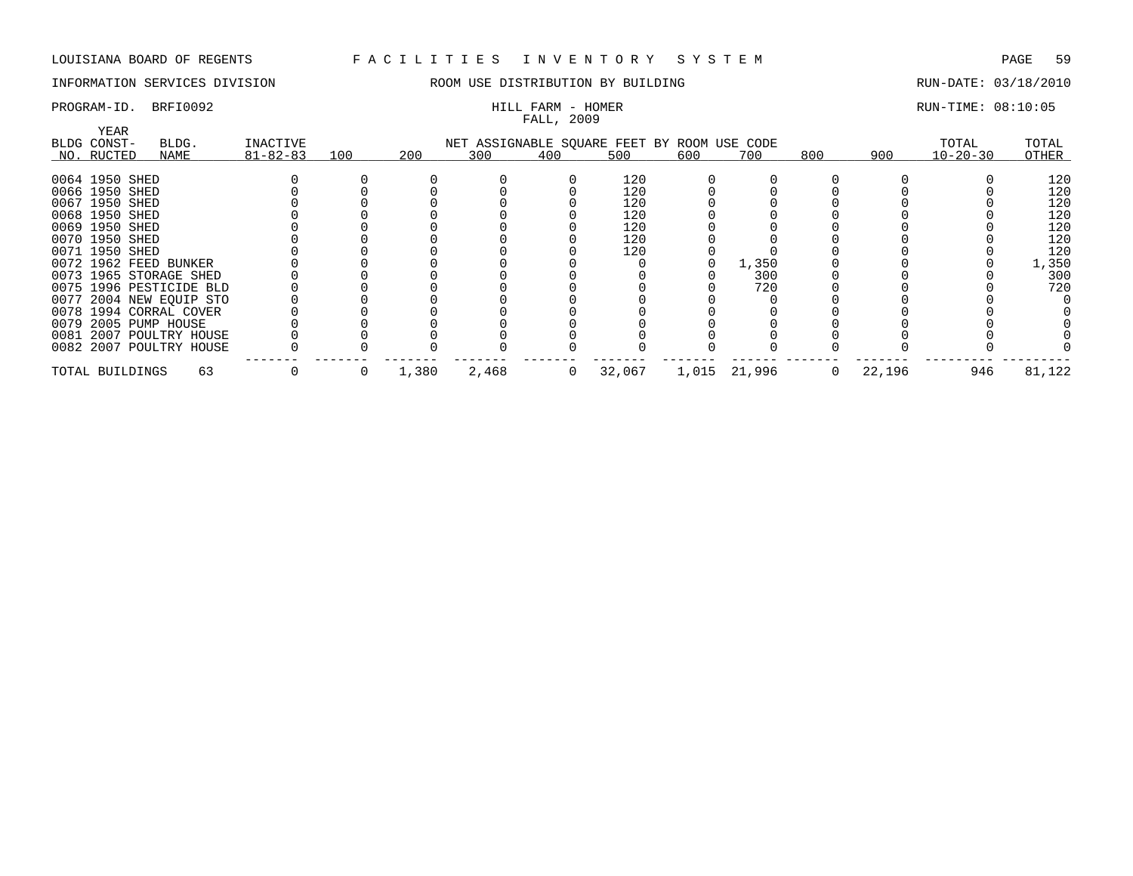## INFORMATION SERVICES DIVISION THE ROOM USE DISTRIBUTION BY BUILDING THE RUN-DATE: 03/18/2010

## FALL, 2009

## PROGRAM-ID. BRFI0092 **EXAM** - HILL FARM - HOMER RUN-TIME: 08:10:05

| YEAR            |                         |                |     |       |                                             |     |        |     |              |     |        |                |        |
|-----------------|-------------------------|----------------|-----|-------|---------------------------------------------|-----|--------|-----|--------------|-----|--------|----------------|--------|
| BLDG CONST-     | BLDG.                   | INACTIVE       |     |       | NET ASSIGNABLE SQUARE FEET BY ROOM USE CODE |     |        |     |              |     |        | TOTAL          | TOTAL  |
| NO. RUCTED      | NAME                    | $81 - 82 - 83$ | 100 | 200   | 300                                         | 400 | 500    | 600 | 700          | 800 | 900    | $10 - 20 - 30$ | OTHER  |
|                 |                         |                |     |       |                                             |     |        |     |              |     |        |                |        |
| 0064 1950 SHED  |                         |                |     |       |                                             |     | 120    |     |              |     |        |                | 120    |
| 0066 1950 SHED  |                         |                |     |       |                                             |     | 120    |     |              |     |        |                | 120    |
| 0067 1950 SHED  |                         |                |     |       |                                             |     | 120    |     |              |     |        |                | 120    |
| 0068 1950 SHED  |                         |                |     |       |                                             |     | 120    |     |              |     |        |                | 120    |
| 0069 1950 SHED  |                         |                |     |       |                                             |     | 120    |     |              |     |        |                | 120    |
| 0070 1950 SHED  |                         |                |     |       |                                             |     | 120    |     |              |     |        |                | 120    |
| 0071 1950 SHED  |                         |                |     |       |                                             |     | 120    |     |              |     |        |                | 120    |
|                 | 0072 1962 FEED BUNKER   |                |     |       |                                             |     |        |     | 1,350        |     |        |                | 1,350  |
|                 | 0073 1965 STORAGE SHED  |                |     |       |                                             |     |        |     | 300          |     |        |                | 300    |
|                 | 0075 1996 PESTICIDE BLD |                |     |       |                                             |     |        |     | 720          |     |        |                | 720    |
|                 | 0077 2004 NEW EQUIP STO |                |     |       |                                             |     |        |     |              |     |        |                |        |
|                 | 0078 1994 CORRAL COVER  |                |     |       |                                             |     |        |     |              |     |        |                |        |
|                 | 0079 2005 PUMP HOUSE    |                |     |       |                                             |     |        |     |              |     |        |                |        |
|                 | 0081 2007 POULTRY HOUSE |                |     |       |                                             |     |        |     |              |     |        |                |        |
|                 | 0082 2007 POULTRY HOUSE |                |     |       |                                             |     |        |     |              |     |        |                |        |
| TOTAL BUILDINGS | 63                      |                |     | 1,380 | 2,468                                       |     | 32,067 |     | 1,015 21,996 |     | 22,196 | 946            | 81,122 |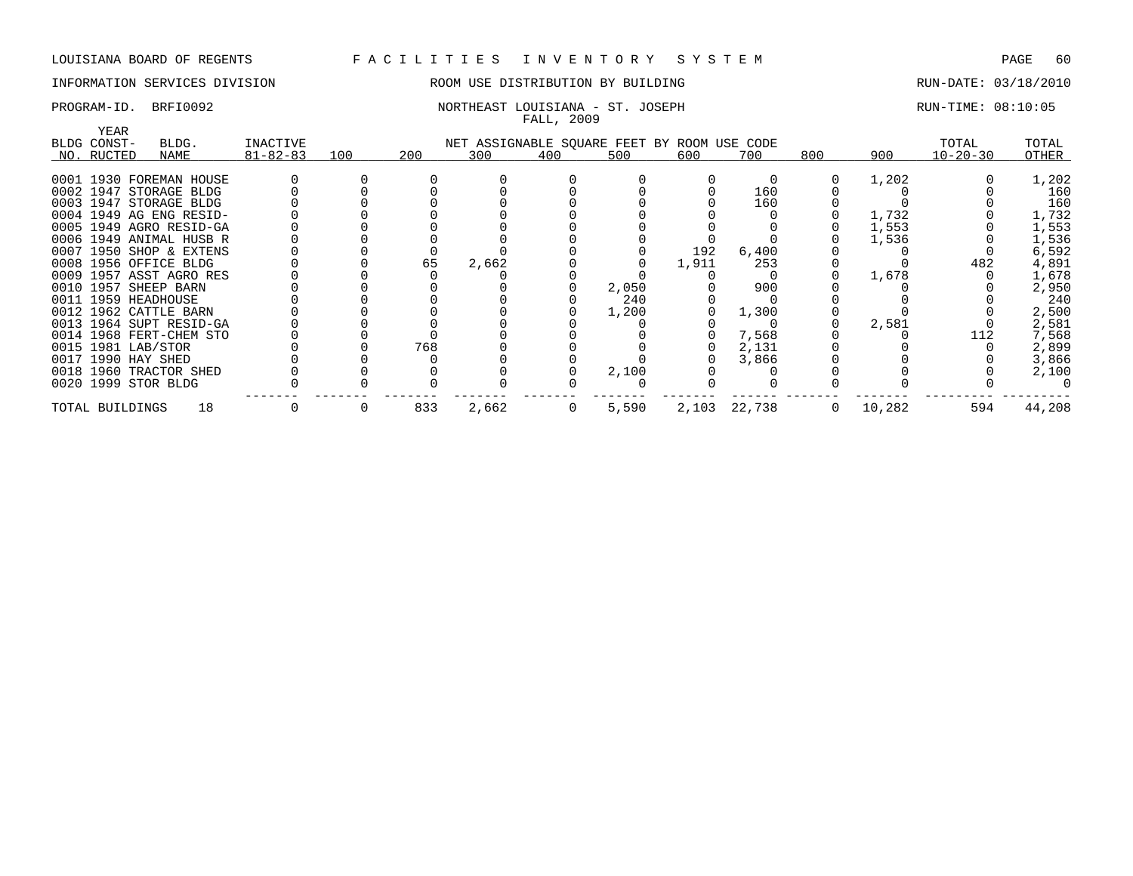## INFORMATION SERVICES DIVISION ROOM USE DISTRIBUTION BY BUILDING RUN-DATE: 03/18/2010

## PROGRAM-ID. BRFI0092 NORTHEAST LOUISIANA - ST. JOSEPH RUN-TIME: 08:10:05 FALL, 2009

|                     |                         |                |     |     |                                             | there , avvi |       |       |              |         |        |                |        |
|---------------------|-------------------------|----------------|-----|-----|---------------------------------------------|--------------|-------|-------|--------------|---------|--------|----------------|--------|
| YEAR<br>BLDG CONST- | BLDG.                   | INACTIVE       |     |     | NET ASSIGNABLE SQUARE FEET BY ROOM USE CODE |              |       |       |              |         |        | TOTAL          | TOTAL  |
| NO. RUCTED          | NAME                    | $81 - 82 - 83$ | 100 | 200 | 300                                         | 400          | 500   | 600   | 700          | 800     | 900    | $10 - 20 - 30$ | OTHER  |
|                     |                         |                |     |     |                                             |              |       |       |              |         |        |                |        |
|                     | 0001 1930 FOREMAN HOUSE |                |     |     |                                             |              |       |       |              |         | 1,202  |                | 1,202  |
|                     | 0002 1947 STORAGE BLDG  |                |     |     |                                             |              |       |       | 160          |         |        |                | 160    |
|                     | 0003 1947 STORAGE BLDG  |                |     |     |                                             |              |       |       | 160          |         |        |                | 160    |
|                     | 0004 1949 AG ENG RESID- |                |     |     |                                             |              |       |       |              |         | 1,732  |                | 1,732  |
|                     | 0005 1949 AGRO RESID-GA |                |     |     |                                             |              |       |       |              |         | 1,553  |                | 1,553  |
|                     | 0006 1949 ANIMAL HUSB R |                |     |     |                                             |              |       |       |              |         | 1,536  |                | 1,536  |
|                     | 0007 1950 SHOP & EXTENS |                |     |     |                                             |              |       | 192   | 6,400        |         |        |                | 6,592  |
|                     | 0008 1956 OFFICE BLDG   |                |     | 65  | 2,662                                       |              |       | 1,911 | 253          |         |        | 482            | 4,891  |
|                     | 0009 1957 ASST AGRO RES |                |     |     |                                             |              |       |       |              |         | 1,678  |                | 1,678  |
|                     | 0010 1957 SHEEP BARN    |                |     |     |                                             |              | 2,050 |       | 900          |         |        |                | 2,950  |
|                     | 0011 1959 HEADHOUSE     |                |     |     |                                             |              | 240   |       |              |         |        |                | 240    |
|                     | 0012 1962 CATTLE BARN   |                |     |     |                                             |              | 1,200 |       | 1,300        |         |        |                | 2,500  |
|                     | 0013 1964 SUPT RESID-GA |                |     |     |                                             |              |       |       |              |         | 2,581  |                | 2,581  |
|                     | 0014 1968 FERT-CHEM STO |                |     |     |                                             |              |       |       | 7,568        |         |        | 112            | 7,568  |
| 0015 1981 LAB/STOR  |                         |                |     | 768 |                                             |              |       |       | 2,131        |         |        |                | 2,899  |
| 0017 1990 HAY SHED  |                         |                |     |     |                                             |              |       |       | 3,866        |         |        |                | 3,866  |
|                     | 0018 1960 TRACTOR SHED  |                |     |     |                                             |              | 2,100 |       |              |         |        |                | 2,100  |
|                     | 0020 1999 STOR BLDG     |                |     |     |                                             |              |       |       |              |         |        |                |        |
| TOTAL BUILDINGS     | 18                      |                |     | 833 | 2,662                                       | 0            | 5,590 |       | 2,103 22,738 | $\circ$ | 10,282 | 594            | 44,208 |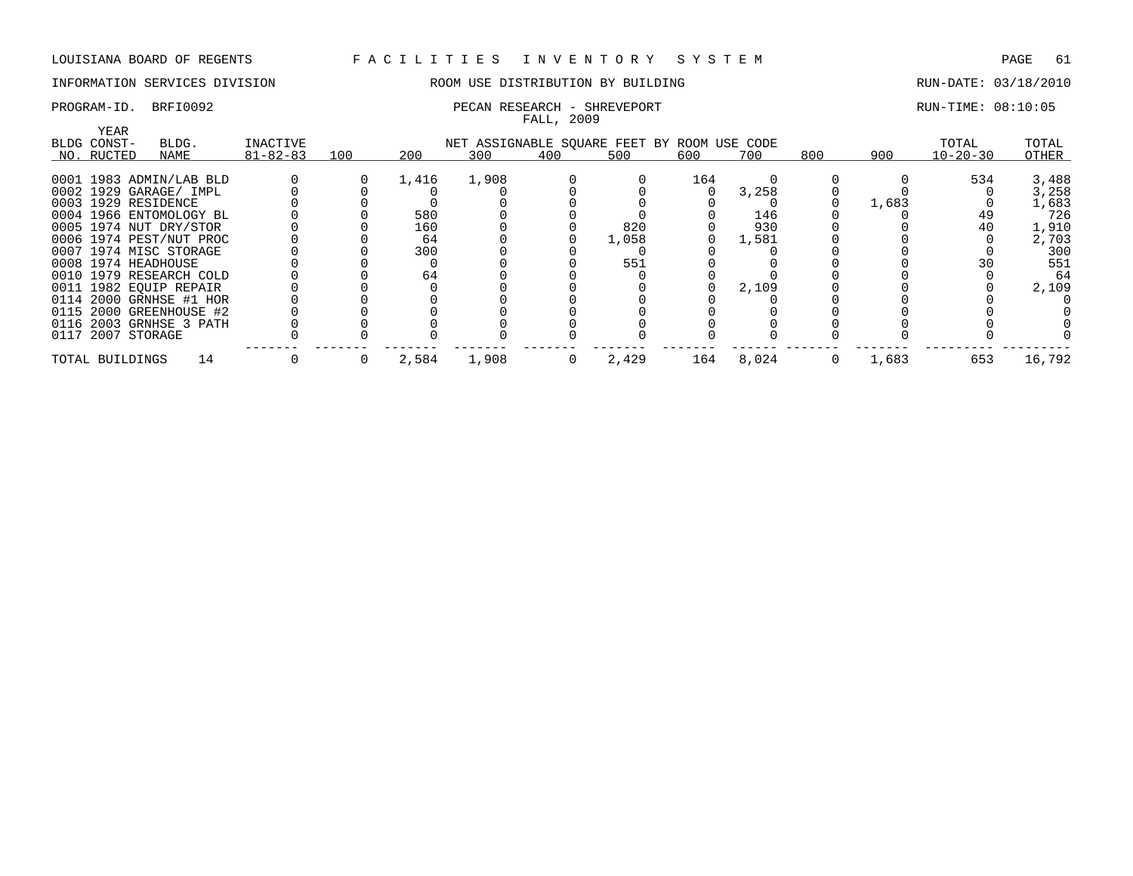## INFORMATION SERVICES DIVISION **ROOM USE DISTRIBUTION BY BUILDING** RUN-DATE: 03/18/2010

## PROGRAM-ID. BRFI0092 **PECAN RESEARCH - SHREVEPORT** PROGRAM-ID. BRUN-TIME: 08:10:05 FALL, 2009 YEAR BLDG CONST- BLDG. INACTIVE NET ASSIGNABLE SQUARE FEET BY ROOM USE CODE TOTAL TOTAL NO. \_\_\_\_\_RUCTED \_\_\_\_\_\_\_\_\_\_\_\_\_\_\_\_\_\_\_\_ NAME 81-82-83 \_\_\_\_\_\_\_\_\_\_\_\_\_\_\_\_\_\_\_\_ 100 200 \_\_\_\_\_\_\_\_\_300 \_\_\_\_\_\_\_\_\_400 \_\_\_\_\_\_\_\_\_500 \_\_\_\_\_\_\_\_\_600 \_\_\_\_\_\_\_\_700 \_\_\_\_\_\_\_\_800 \_\_\_\_\_\_\_\_\_\_\_\_\_\_\_\_\_ 900 10-20-30 \_\_\_\_\_\_\_\_\_\_\_ OTHER \_\_\_\_\_\_\_ 0001 1983 ADMIN/LAB BLD 0 0 1,416 1,908 0 0 164 0 0 0 534 3,488 0002 1929 GARAGE/ IMPL 0 0 0 0 0 0 3 ,258 0 0 0 3 ,258 0003 1929 RESIDENCE 0 0 0 0 0 0 0 0 0 1,683 0 1,683 0004 1966 ENTOMOLOGY BL 0 0 580 0 0 0 0 146 0 0 49 726 0005 1974 NUT DRY/STOR 0 0 160 0 0 820 0 930 0 0 40 1,910 0006 1974 PEST/NUT PROC 0 0 64 0 0 1,058 0 1,581 0 0 0 2,703 0007 1974 MISC STORAGE 0 0 300 0 0 0 0 0 0 0 0 300 0008 1974 HEADHOUSE 0 0 0 0 0 551 0 0 0 0 30 551 0010 1979 RESEARCH COLD 0 0 64 0 0 0 0 0 0 0 0 64 0011 1982 EQUIP REPAIR 0 0 0 0 0 0 0 2,109 0 0 0 2,109 0114 2000 GRNHSE #1 HOR 0 0 0 0 0 0 0 0 0 0 0 0 0115 2000 GREENHOUSE #2 0 0 0 0 0 0 0 0 0 0 0 0 0 0 0<br>0116 2003 GRNHSE 3 PATH 0 0 0 0 0 0 0 0 0 0 0 0 0 0 0 0117 2007 STORAGE 0 0 0 0 0 0 0 0 0 0 0 0 ------- ------- ------- ------- ------- ------- ------- ------ ------- ------- --------- ---------

TOTAL BUILDINGS 14 0 0 2,584 1,908 0 2,429 164 8,024 0 1,683 653 16,792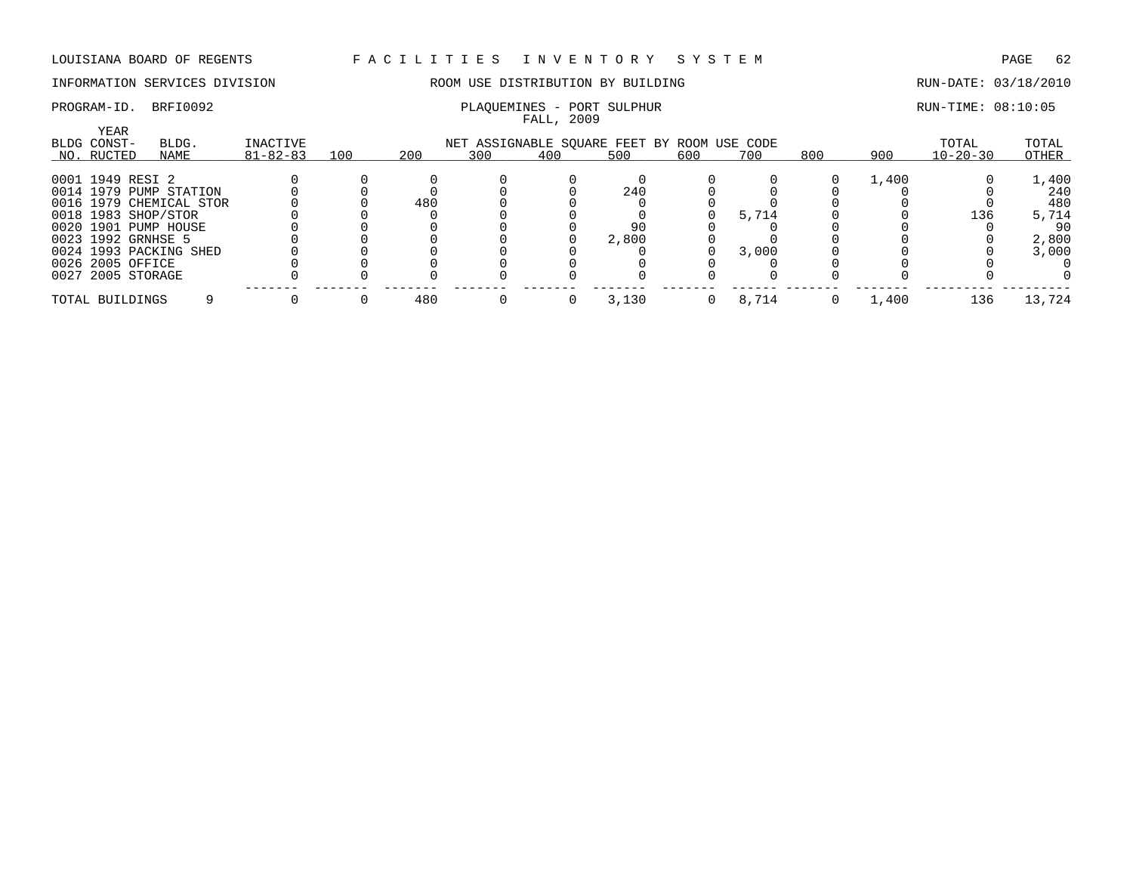## INFORMATION SERVICES DIVISION ROOM USE DISTRIBUTION BY BUILDING RUN-DATE: 03/18/2010

## PROGRAM-ID. BRFI0092 PLAQUEMINES - PORT SULPHUR PLAQUEMINES - PORT SULPHUR RUN-TIME: 08:10:05

## FALL, 2009 YEAR BLDG CONST- BLDG. INACTIVE NET ASSIGNABLE SQUARE FEET BY ROOM USE CODE TOTAL TOTAL NO. \_\_\_\_\_RUCTED \_\_\_\_\_\_\_\_\_\_\_\_\_\_\_\_\_\_\_\_ NAME 81-82-83 \_\_\_\_\_\_\_\_\_\_\_\_\_\_\_\_\_\_\_\_ 100 200 \_\_\_\_\_\_\_\_\_300 \_\_\_\_\_\_\_\_\_400 \_\_\_\_\_\_\_\_\_500 \_\_\_\_\_\_\_\_\_600 \_\_\_\_\_\_\_\_700 \_\_\_\_\_\_\_\_800 \_\_\_\_\_\_\_\_\_\_\_\_\_\_\_\_\_ 900 10-20-30 \_\_\_\_\_\_\_\_\_\_\_ OTHER \_\_\_\_\_\_\_ 0001 1949 RESI 2 0 0 0 0 0 0 0 0 0 1,400 0 1,400 0014 1979 PUMP STATION 0 0 0 0 0 240 0 0 0 0 0 240 0016 1979 CHEMICAL STOR 0 0 480 0 0 0 0 0 0 0 0 480 0018 1983 SHOP/STOR 0 0 0 0 0 0 0 5,714 0 0 136 5,714 0020 1901 PUMP HOUSE 0 0 0 0 0 90 0 0 0 0 0 90 0023 1992 GRNHSE 5 0 0 0 0 0 2,800 0 0 0 0 0 2,800 0024 1993 PACKING SHED 0 0 0 0 0 0 0 3,000 0 0 0 3,000 0026 2005 OFFICE 0 0 0 0 0 0 0 0 0 0 0 0 0027 2005 STORAGE 0 0 0 0 0 0 0 0 0 0 0 0 ------- ------- ------- ------- ------- ------- ------- ------ ------- ------- --------- ---------

TOTAL BUILDINGS 9 0 0 480 0 0 3,130 0 8,714 0 1,400 136 13,724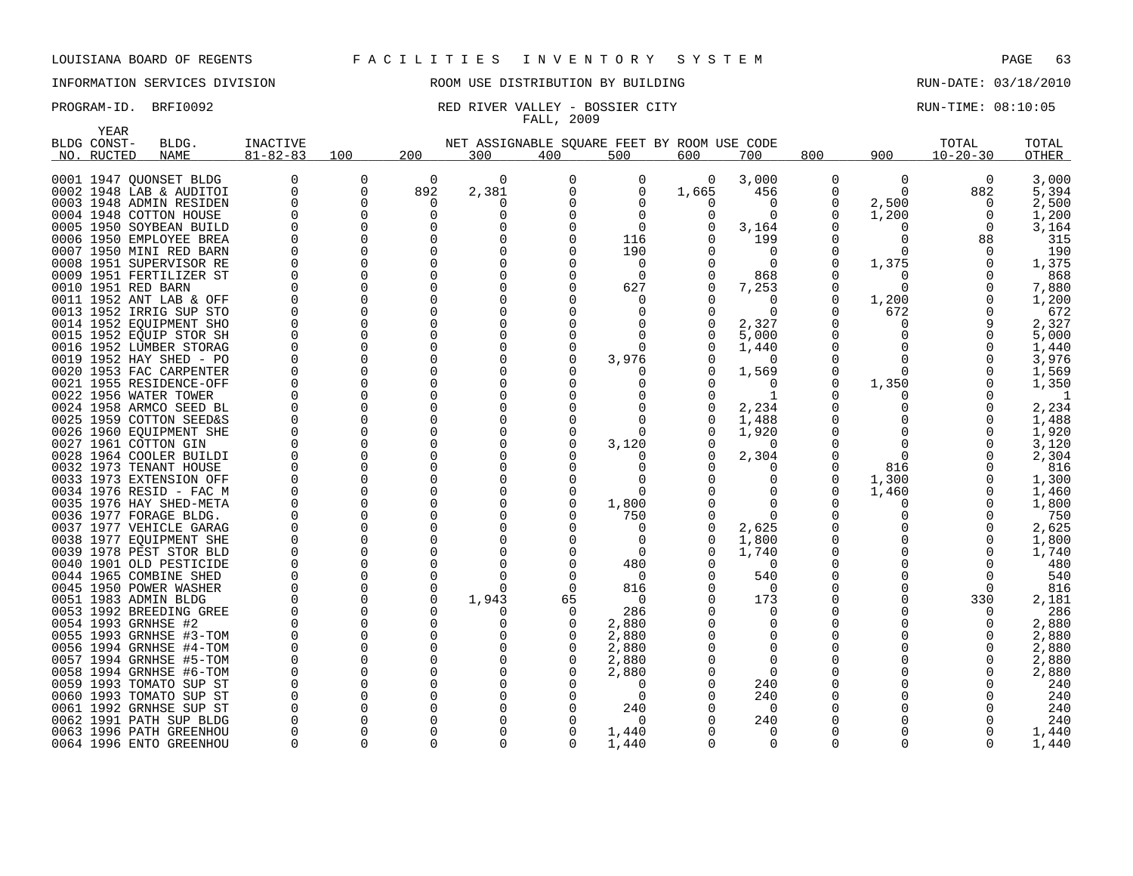## INFORMATION SERVICES DIVISION ROOM USE DISTRIBUTION BY BUILDING RUN-DATE: 03/18/2010

## PROGRAM-ID. BRFI0092 RED RIVER VALLEY - BOSSIER CITY RUN-TIME: 08:10:05 FALL, 2009

| YEAR                    |                    |                |             |          |                                             |          |              |       |          |              |          |                |       |
|-------------------------|--------------------|----------------|-------------|----------|---------------------------------------------|----------|--------------|-------|----------|--------------|----------|----------------|-------|
| BLDG CONST-             | BLDG.              | INACTIVE       |             |          | NET ASSIGNABLE SQUARE FEET BY ROOM USE CODE |          |              |       |          |              |          | TOTAL          | TOTAL |
| RUCTED<br>NO.           | <b>NAME</b>        | $81 - 82 - 83$ | 100         | 200      | 300                                         | 400      | 500          | 600   | 700      | 800          | 900      | $10 - 20 - 30$ | OTHER |
|                         |                    |                |             |          |                                             |          |              |       |          |              |          |                |       |
| 0001 1947 OUONSET BLDG  |                    | 0              | 0           | 0        | $\Omega$                                    | $\Omega$ | 0            | 0     | 3,000    | 0            | 0        | 0              | 3,000 |
|                         |                    | 0              | $\mathbf 0$ |          |                                             | $\Omega$ |              |       |          |              | $\Omega$ |                |       |
| 0002 1948 LAB & AUDITOI |                    |                |             | 892      | 2,381                                       |          | 0            | 1,665 | 456      | $\Omega$     |          | 882            | 5,394 |
| 0003 1948 ADMIN RESIDEN |                    | 0              | 0           | 0        | 0                                           | $\Omega$ | 0            | O     | 0        | 0            | 2,500    | 0              | 2,500 |
| 0004 1948 COTTON HOUSE  |                    | O              | 0           | $\Omega$ | $\Omega$                                    | $\Omega$ | 0            | O     | $\Omega$ | 0            | 1,200    | 0              | 1,200 |
| 0005 1950 SOYBEAN BUILD |                    | $\Omega$       | $\Omega$    | $\Omega$ | O                                           | $\Omega$ | $\Omega$     |       | 3,164    | <sup>0</sup> | O        | $\Omega$       | 3,164 |
| 0006 1950 EMPLOYEE BREA |                    | $\Omega$       | $\Omega$    | $\Omega$ | O                                           | $\Omega$ | 116          |       | 199      | $\Omega$     | O        | 88             | 315   |
| 0007 1950 MINI RED BARN |                    | $\Omega$       | $\Omega$    | $\Omega$ | $\Omega$                                    | $\Omega$ | 190          |       | $\Omega$ | $\Omega$     | $\Omega$ | $\Omega$       | 190   |
| 0008                    | 1951 SUPERVISOR RE | $\Omega$       | 0           | $\Omega$ | O                                           | $\Omega$ | 0            |       | $\Omega$ | $\Omega$     | 1,375    | 0              | 1,375 |
| 0009 1951 FERTILIZER ST |                    | $\Omega$       | 0           | $\Omega$ | $\Omega$                                    | 0        | $\Omega$     |       | 868      | $\Omega$     | O        | $\Omega$       | 868   |
| 0010 1951 RED BARN      |                    | O              | 0           | $\Omega$ |                                             | 0        | 627          |       | 7,253    | 0            | O        | 0              | 7,880 |
| 0011 1952 ANT LAB & OFF |                    | $\Omega$       | 0           | $\Omega$ | $\Omega$                                    | $\Omega$ | 0            |       | 0        | 0            | 1,200    | 0              | 1,200 |
| 0013 1952 IRRIG SUP STO |                    | $\Omega$       | $\Omega$    | $\Omega$ |                                             | $\Omega$ | 0            |       | $\Omega$ | 0            | 672      | 0              | 672   |
| 0014 1952 EQUIPMENT SHO |                    | $\Omega$       | $\Omega$    | $\Omega$ | $\Omega$                                    | $\Omega$ | <sup>0</sup> | U     | 2,327    | $\Omega$     | U        | 9              | 2,327 |
| 0015 1952 EQUIP STOR SH |                    | $\Omega$       | $\Omega$    | $\Omega$ | $\Omega$                                    | $\Omega$ | $\Omega$     |       | 5,000    | $\Omega$     |          | 0              | 5,000 |
| 0016                    | 1952 LUMBER STORAG | $\Omega$       | 0           | $\Omega$ | O                                           | 0        | 0            |       | 1,440    | $\Omega$     | O        | 0              | 1,440 |
| 0019 1952 HAY SHED - PO |                    | O              | $\Omega$    | $\Omega$ |                                             | $\Omega$ | 3,976        |       | $\Omega$ | <sup>0</sup> | O        | 0              | 3,976 |
| 0020                    |                    | O              | 0           | $\Omega$ |                                             | $\Omega$ |              |       |          | 0            | O        | 0              |       |
|                         | 1953 FAC CARPENTER | O              |             |          |                                             |          | 0            |       | 1,569    |              |          |                | 1,569 |
| 0021 1955 RESIDENCE-OFF |                    |                | 0           | O        | O                                           | $\Omega$ | $\Omega$     | O     | $\Omega$ | 0            | 1,350    | 0              | 1,350 |
| 0022 1956 WATER TOWER   |                    | O              | $\Omega$    | $\Omega$ |                                             | $\Omega$ | 0            |       | -1       | <sup>0</sup> |          | O              | -1    |
| 0024 1958 ARMCO SEED BL |                    | $\Omega$       | $\Omega$    | $\Omega$ | $\Omega$                                    | $\Omega$ | $\Omega$     | U     | 2,234    | $\Omega$     |          | $\Omega$       | 2,234 |
| 0025 1959 COTTON SEED&S |                    | $\Omega$       | 0           | $\Omega$ | $\Omega$                                    | 0        | 0            |       | 1,488    | $\Omega$     | O        | 0              | 1,488 |
| 0026                    | 1960 EQUIPMENT SHE | $\Omega$       | 0           | $\Omega$ |                                             | 0        | 0            |       | 1,920    | $\Omega$     | O        | 0              | 1,920 |
| 0027 1961 COTTON GIN    |                    | 0              | $\Omega$    | $\Omega$ |                                             | $\Omega$ | 3,120        |       | $\Omega$ | <sup>0</sup> | $\Omega$ | 0              | 3,120 |
| 0028 1964 COOLER BUILDI |                    | O              | 0           | $\Omega$ |                                             | $\Omega$ | 0            |       | 2,304    | 0            | $\Omega$ | $\Omega$       | 2,304 |
| 0032 1973 TENANT HOUSE  |                    | $\Omega$       | 0           | $\Omega$ | O                                           | $\Omega$ | 0            |       | $\Omega$ | 0            | 816      | 0              | 816   |
| 0033 1973 EXTENSION OFF |                    | $\Omega$       | $\Omega$    | $\Omega$ |                                             | $\Omega$ | n            |       | 0        | 0            | 1,300    | 0              | 1,300 |
| 0034 1976 RESID - FAC M |                    | $\Omega$       | $\Omega$    | $\Omega$ | 0                                           | $\Omega$ | $\Omega$     |       | $\Omega$ | $\Omega$     | 1,460    | $\Omega$       | 1,460 |
| 0035 1976 HAY SHED-META |                    | $\Omega$       | 0           | $\Omega$ | $\Omega$                                    | 0        | 1,800        |       | 0        | <sup>0</sup> | O        | 0              | 1,800 |
| 0036                    | 1977 FORAGE BLDG.  | $\Omega$       | 0           | $\Omega$ |                                             | $\Omega$ | 750          |       | 0        | $\Omega$     | O        | 0              | 750   |
| 0037 1977 VEHICLE GARAG |                    | O              | $\Omega$    | ∩        |                                             |          | 0            |       | 2,625    | $\Omega$     |          | 0              | 2,625 |
| 0038                    | 1977 EQUIPMENT SHE | O              | 0           | O        |                                             | $\Omega$ | 0            |       | 1,800    | $\Omega$     |          | 0              | 1,800 |
| 0039                    | 1978 PEST STOR BLD | O              | $\Omega$    | O        | ∩                                           | $\Omega$ | 0            |       | 1,740    | $\Omega$     |          | $\Omega$       | 1,740 |
| 0040 1901 OLD PESTICIDE |                    | $\Omega$       | $\Omega$    | $\Omega$ | O                                           | $\Omega$ | 480          |       | $\Omega$ | <sup>0</sup> |          | $\Omega$       | 480   |
| 0044 1965 COMBINE SHED  |                    | O              | 0           | $\Omega$ | $\Omega$                                    | $\Omega$ | 0            |       | 540      | 0            |          | 0              | 540   |
|                         |                    | $\Omega$       | 0           | $\Omega$ | ∩                                           | $\Omega$ | 816          |       | 0        | <sup>0</sup> | U        | $\Omega$       |       |
| 0045 1950 POWER WASHER  |                    | O              | 0           | $\Omega$ |                                             |          |              |       |          |              |          |                | 816   |
| 0051 1983 ADMIN BLDG    |                    |                |             |          | 1,943                                       | 65       | 0            |       | 173      | $\Omega$     |          | 330            | 2,181 |
| 0053 1992 BREEDING GREE |                    | O              | $\Omega$    | ∩        |                                             | $\Omega$ | 286          |       | $\Omega$ | n            |          | $\Omega$       | 286   |
| 0054 1993 GRNHSE #2     |                    | O              | 0           | $\Omega$ | 0                                           | 0        | 2,880        |       | 0        | $\Omega$     |          | 0              | 2,880 |
| 0055 1993 GRNHSE #3-TOM |                    | O              | $\Omega$    | ∩        | ∩                                           | $\Omega$ | 2,880        |       | $\Omega$ | <sup>0</sup> |          | $\Omega$       | 2,880 |
| 0056 1994 GRNHSE #4-TOM |                    | $\Omega$       | $\Omega$    | $\Omega$ | $\Omega$                                    | $\Omega$ | 2,880        |       | $\Omega$ | $\Omega$     |          | $\Omega$       | 2,880 |
| 0057 1994 GRNHSE #5-TOM |                    | 0              | 0           | $\Omega$ | $\Omega$                                    | 0        | 2,880        |       | 0        | $\Omega$     |          | 0              | 2,880 |
| 0058 1994 GRNHSE #6-TOM |                    | 0              | 0           | $\Omega$ | $\Omega$                                    | $\Omega$ | 2,880        |       | $\Omega$ | $\Omega$     |          | 0              | 2,880 |
| 0059                    | 1993 TOMATO SUP ST | $\Omega$       | 0           | $\Omega$ |                                             |          | 0            |       | 240      | 0            |          | U              | 240   |
| 0060 1993 TOMATO SUP ST |                    | $\Omega$       | $\Omega$    | $\Omega$ |                                             | $\Omega$ | $\Omega$     |       | 240      | 0            |          |                | 240   |
| 0061 1992 GRNHSE SUP ST |                    | O              | 0           | $\Omega$ |                                             | $\Omega$ | 240          |       | $\Omega$ | $\Omega$     |          | O              | 240   |
| 0062 1991 PATH SUP BLDG |                    | $\Omega$       | $\Omega$    | O        |                                             | $\Omega$ | 0            |       | 240      | 0            |          |                | 240   |
| 0063 1996 PATH GREENHOU |                    | U              | $\Omega$    | ∩        | O                                           |          | 1,440        |       | $\Omega$ | $\Omega$     |          |                | 1,440 |
| 0064 1996 ENTO GREENHOU |                    | 0              | 0           | $\Omega$ | $\Omega$                                    | $\Omega$ | 1,440        | 0     | 0        | $\Omega$     | O        | $\Omega$       | 1,440 |
|                         |                    |                |             |          |                                             |          |              |       |          |              |          |                |       |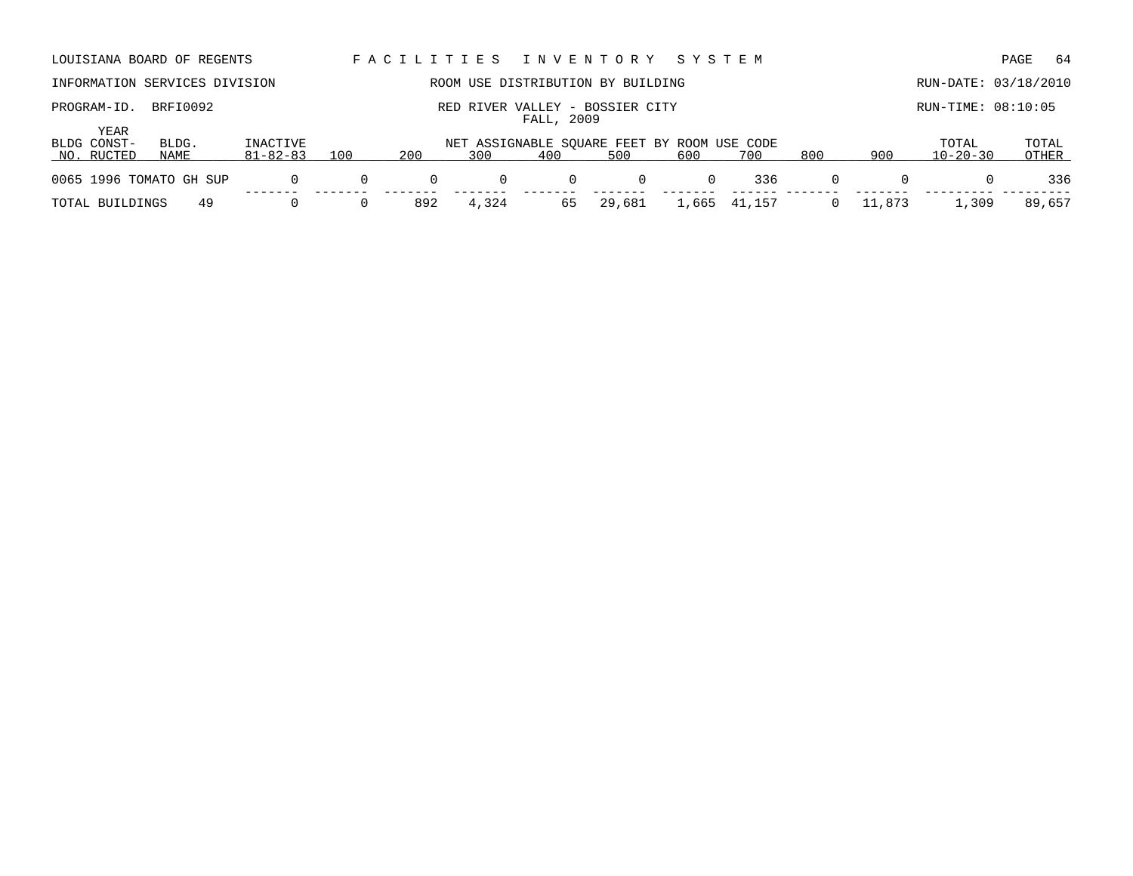|                                                                             | LOUISIANA BOARD OF REGENTS    |                            |          | I N V E N T O R Y<br>FACILITIES<br>S Y S T E M |             |              |                                                    |     |     |                    |     |                         | -64<br>PAGE    |
|-----------------------------------------------------------------------------|-------------------------------|----------------------------|----------|------------------------------------------------|-------------|--------------|----------------------------------------------------|-----|-----|--------------------|-----|-------------------------|----------------|
|                                                                             | INFORMATION SERVICES DIVISION |                            |          |                                                |             |              | ROOM USE DISTRIBUTION BY BUILDING                  |     |     |                    |     | RUN-DATE: 03/18/2010    |                |
| BRFI0092<br>PROGRAM-ID.<br>RIVER VALLEY - BOSSIER CITY<br>RED<br>FALL, 2009 |                               |                            |          |                                                |             |              |                                                    |     |     | RUN-TIME: 08:10:05 |     |                         |                |
| YEAR<br>BLDG CONST-<br>NO. RUCTED                                           | BLDG.<br>NAME                 | INACTIVE<br>$81 - 82 - 83$ | 100      | 200                                            | 300         | 400          | NET ASSIGNABLE SOUARE FEET BY ROOM USE CODE<br>500 | 600 | 700 | 800                | 900 | TOTAL<br>$10 - 20 - 30$ | TOTAL<br>OTHER |
| 0065 1996 TOMATO GH SUP                                                     |                               | 0                          | $\Omega$ | $\Omega$                                       | $\mathbf 0$ | $\mathbf{0}$ | $\Omega$                                           | 0   | 336 | $\Omega$           |     |                         | 336            |
|                                                                             |                               |                            |          |                                                |             |              |                                                    |     |     |                    |     |                         |                |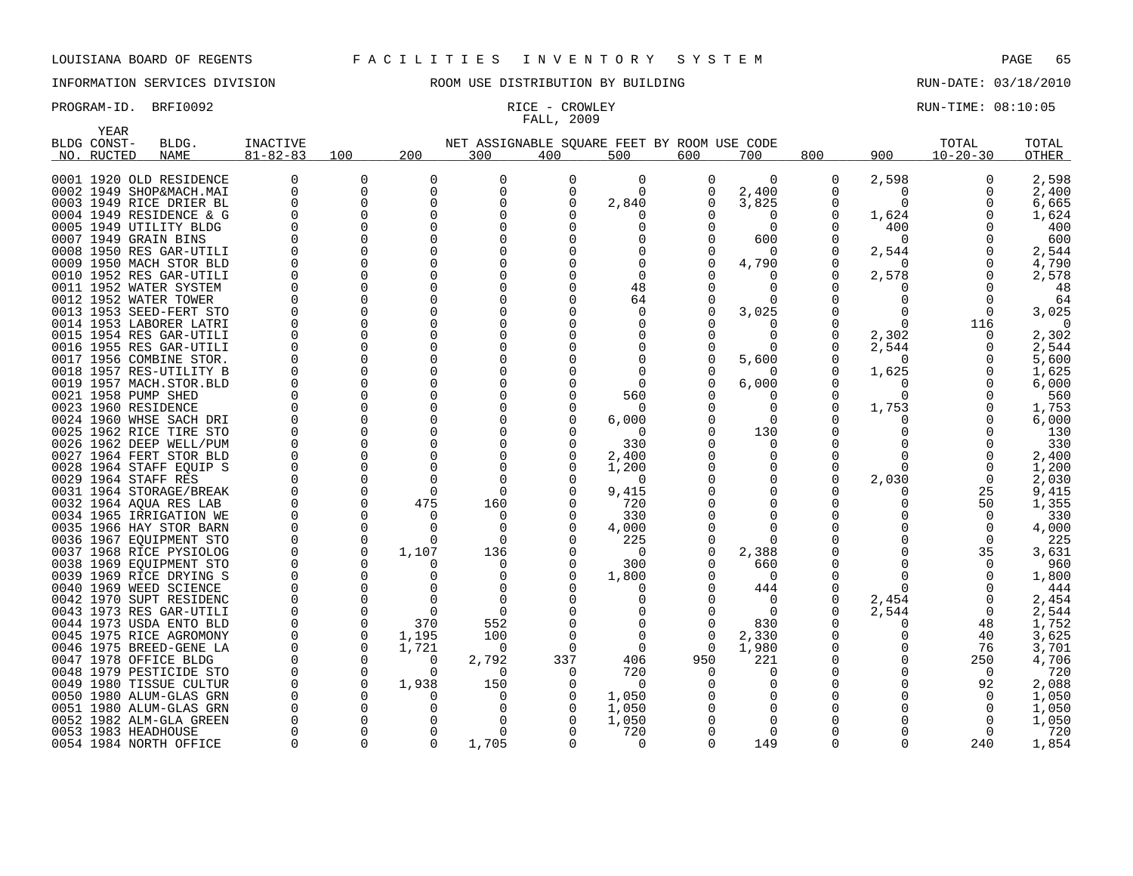# FALL, 2009

PROGRAM-ID. BRFI0092 **RICE - CROWLEY RUN-TIME: 08:10:05** RICE - CROWLEY RUN-TIME: 08:10:05

|     | YEAR        |                                                    |                |          |          |                                             |          |                 |          |          |     |              |                |            |
|-----|-------------|----------------------------------------------------|----------------|----------|----------|---------------------------------------------|----------|-----------------|----------|----------|-----|--------------|----------------|------------|
|     | BLDG CONST- | BLDG.                                              | INACTIVE       |          |          | NET ASSIGNABLE SQUARE FEET BY ROOM USE CODE |          |                 |          |          |     |              | TOTAL          | TOTAL      |
| NO. | RUCTED      | <b>NAME</b>                                        | $81 - 82 - 83$ | 100      | 200      | 300                                         | 400      | 500             | 600      | 700      | 800 | 900          | $10 - 20 - 30$ | OTHER      |
|     |             |                                                    |                |          |          |                                             |          |                 |          |          |     |              |                |            |
|     |             | 0001 1920 OLD RESIDENCE                            | 0              | O        | 0        | O                                           | 0        | $\Omega$        | 0        | 0        | 0   | 2,598        | $\Omega$       | 2,598      |
|     |             | 0002 1949 SHOP&MACH.MAI                            |                | $\Omega$ | 0        | $\Omega$                                    | $\Omega$ | $\Omega$        | 0        | 2,400    | U   | <sup>0</sup> | $\Omega$       | 2,400      |
|     |             | 0003 1949 RICE DRIER BL                            |                |          | O        | O                                           | U        | 2,840           | 0        | 3,825    | U   | O            |                | 6,665      |
|     |             | 0004 1949 RESIDENCE & G                            |                |          | 0        | $\Omega$                                    |          |                 |          | O        | 0   | 1,624        |                | 1,624      |
|     |             | 0005 1949 UTILITY BLDG                             |                |          | O        |                                             |          |                 |          | $\Omega$ | U   | 400          |                | 400        |
|     |             | 0007 1949 GRAIN BINS                               |                |          | U        |                                             |          |                 |          | 600      | O   | $\Omega$     |                | 600        |
|     |             | 0008 1950 RES GAR-UTILI                            |                |          | O        |                                             |          |                 |          | O        |     | 2,544        |                | 2,544      |
|     |             | 0009 1950 MACH STOR BLD                            |                |          | O        | O                                           |          |                 |          | 4,790    | U   | O            |                | 4,790      |
|     |             | 0010 1952 RES GAR-UTILI                            |                |          | O        | O                                           |          | O               |          |          | Ω   | 2,578        |                | 2,578      |
|     |             | 0011 1952 WATER SYSTEM                             |                |          | O        |                                             |          | 48              |          | O        |     |              |                | 48         |
|     |             | 0012 1952 WATER TOWER                              |                |          | O        | O                                           |          | 64              |          | 0        |     |              |                | 64         |
|     |             | 0013 1953 SEED-FERT STO                            |                |          | O        |                                             |          |                 |          | 3,025    |     |              |                | 3,025      |
|     |             | 0014 1953 LABORER LATRI                            |                |          | O        |                                             |          |                 |          | U        |     | O            | 116            | 0          |
|     |             | 0015 1954 RES GAR-UTILI                            |                |          |          |                                             |          |                 |          | U        | U   | 2,302        |                | 2,302      |
|     |             | 0016 1955 RES GAR-UTILI                            |                |          | O        | $\Omega$                                    |          |                 |          | $\Omega$ | U   | 2,544        |                | 2,544      |
|     |             | 0017 1956 COMBINE STOR.                            |                |          | O        | O                                           |          |                 |          | 5,600    | Ω   | $\Omega$     |                | 5,600      |
|     |             | 0018 1957 RES-UTILITY B                            |                |          | 0        | O                                           |          |                 |          |          |     | 1,625        |                | 1,625      |
|     |             | 0019 1957 MACH.STOR.BLD                            |                |          | O        |                                             |          | $\Omega$        |          | 6,000    |     |              |                | 6,000      |
|     |             | 0021 1958 PUMP SHED                                |                |          | U        |                                             |          | 560             |          |          |     | ∩            |                | 560        |
|     |             | 0023 1960 RESIDENCE                                |                |          | O        |                                             |          | $\Omega$        |          | O<br>O   | U   | 1,753        |                | 1,753      |
|     |             | 0024 1960 WHSE SACH DRI                            |                |          | O        | O                                           |          | 6,000           |          |          |     |              |                | 6,000      |
|     |             | 0025 1962 RICE TIRE STO<br>0026 1962 DEEP WELL/PUM |                |          | O        | O                                           |          | $\Omega$<br>330 |          | 130<br>O |     |              |                | 130<br>330 |
|     |             | 0027 1964 FERT STOR BLD                            |                |          | O        | O                                           |          |                 |          | 0        |     |              |                | 2,400      |
|     |             | 0028 1964 STAFF EQUIP S                            |                |          |          | O                                           |          | 2,400<br>1,200  |          | O        |     | ∩            |                | 1,200      |
|     |             | 0029 1964 STAFF RES                                |                |          |          | $\Omega$                                    |          | $\Omega$        |          | O        |     | 2,030        |                | 2,030      |
|     |             | 0031 1964 STORAGE/BREAK                            |                |          | $\Omega$ | $\Omega$                                    |          | 9,415           |          | O        |     | O            | 25             | 9,415      |
|     |             | 0032 1964 AQUA RES LAB                             |                |          | 475      | 160                                         |          | 720             |          | U        |     |              | 50             | 1,355      |
|     |             | 0034 1965 IRRIGATION WE                            |                |          | $\Omega$ | $\Omega$                                    |          | 330             |          | U        |     |              |                | 330        |
|     |             | 0035 1966 HAY STOR BARN                            |                |          |          | O                                           |          | 4,000           |          | U        |     |              |                | 4,000      |
|     |             | 0036 1967 EQUIPMENT STO                            |                |          | $\Omega$ | $\Omega$                                    |          | 225             |          | 0        |     |              | $\Omega$       | 225        |
|     |             | 0037 1968 RICE PYSIOLOG                            |                |          | 1,107    | 136                                         |          | $\Omega$        |          | 2,388    |     |              | 35             | 3,631      |
|     |             | 0038 1969 EQUIPMENT STO                            |                |          |          | $\Omega$                                    |          | 300             |          | 660      |     |              |                | 960        |
|     |             | 0039 1969 RICE DRYING S                            |                |          |          | O                                           |          | 1,800           |          | $\Omega$ |     |              |                | 1,800      |
|     |             | 0040 1969 WEED SCIENCE                             |                |          |          | O                                           |          |                 |          | 444      |     | O            |                | 444        |
|     |             | 0042 1970 SUPT RESIDENC                            |                |          |          | $\Omega$                                    |          |                 |          | $\Omega$ | 0   | 2,454        |                | 2,454      |
|     |             | 0043 1973 RES GAR-UTILI                            |                |          |          |                                             |          |                 |          | $\Omega$ | U   | 2,544        |                | 2,544      |
|     |             | 0044 1973 USDA ENTO BLD                            |                |          | 370      | 552                                         |          |                 |          | 830      |     |              | 48             | 1,752      |
|     |             | 0045 1975 RICE AGROMONY                            |                |          | 1,195    | 100                                         |          |                 | $\Omega$ | 2,330    |     |              | 40             | 3,625      |
|     |             | 0046 1975 BREED-GENE LA                            |                | $\Omega$ | 1,721    | O                                           | O        | $\Omega$        | $\Omega$ | 1,980    | U   |              | 76             | 3,701      |
|     |             | 0047 1978 OFFICE BLDG                              |                |          | 0        | 2,792                                       | 337      | 406             | 950      | 221      |     |              | 250            | 4,706      |
|     |             | 0048 1979 PESTICIDE STO                            |                |          | $\Omega$ | $\Omega$                                    | $\Omega$ | 720             |          | O        |     |              | $\Omega$       | 720        |
|     |             | 0049 1980 TISSUE CULTUR                            |                |          | 1,938    | 150                                         |          | $\Omega$        |          | 0        |     |              | 92             | 2,088      |
|     |             | 0050 1980 ALUM-GLAS GRN                            |                |          | O        | O                                           | O        | 1,050           |          | O        |     |              |                | 1,050      |
|     |             | 0051 1980 ALUM-GLAS GRN                            |                |          |          | n                                           |          | 1,050           |          | O        |     |              |                | 1,050      |
|     |             | 0052 1982 ALM-GLA GREEN                            |                |          |          |                                             |          | 1,050           |          | ∩        |     |              |                | 1,050      |
|     |             | 0053 1983 HEADHOUSE                                |                |          | O        | O                                           |          | 720             |          | $\Omega$ |     |              |                | 720        |
|     |             | 0054 1984 NORTH OFFICE                             |                |          | U        | 1,705                                       |          | <sup>n</sup>    |          | 149      | U   |              | 240            | 1,854      |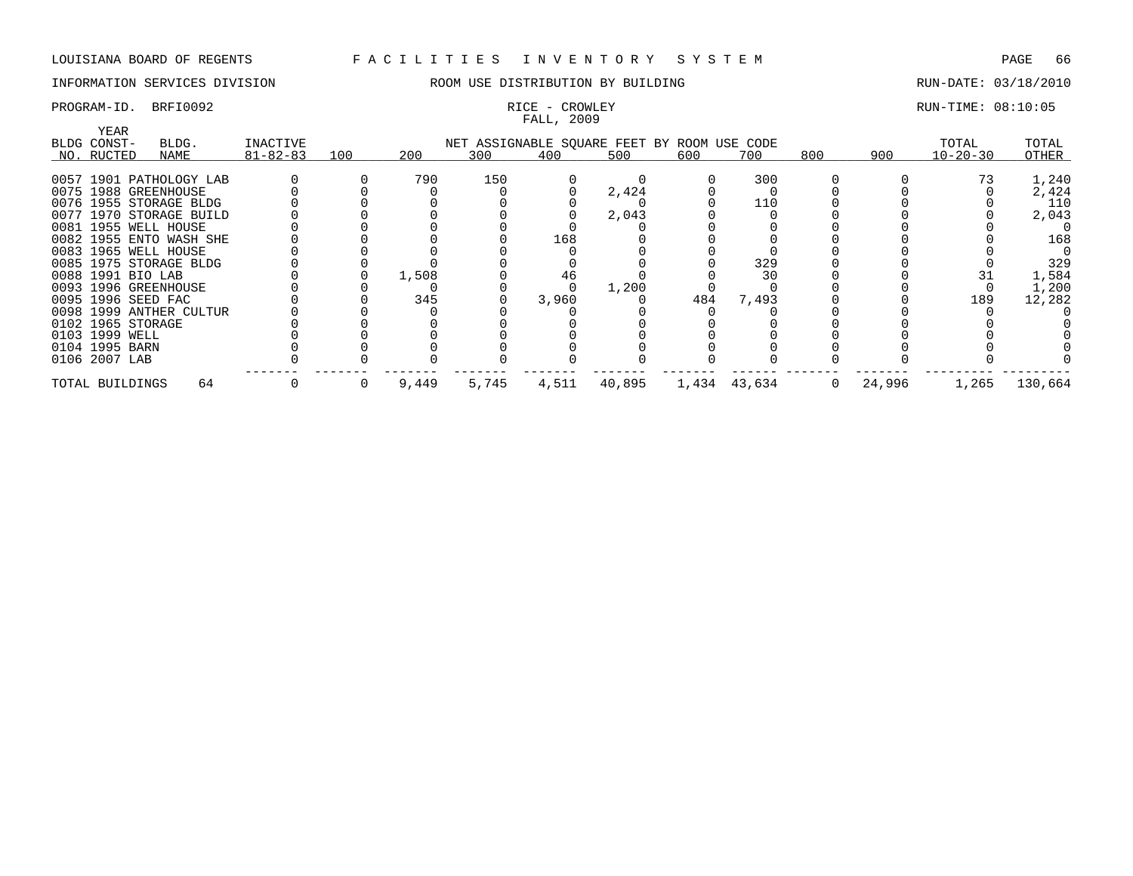## PROGRAM-ID. BRFI0092 **RICE - CROWLEY RUN-TIME: 08:10:05** RICE - CROWLEY RUN-TIME: 08:10:05

## INFORMATION SERVICES DIVISION ROOM USE DISTRIBUTION BY BUILDING RUN-DATE: 03/18/2010

# FALL, 2009

| YEAR<br>BLDG CONST- | BLDG.                   | INACTIVE       |     |       |       |       | NET ASSIGNABLE SQUARE FEET BY ROOM USE CODE |     |              |     |        | TOTAL          | TOTAL   |
|---------------------|-------------------------|----------------|-----|-------|-------|-------|---------------------------------------------|-----|--------------|-----|--------|----------------|---------|
| NO. RUCTED          | NAME                    | $81 - 82 - 83$ | 100 | 200   | 300   | 400   | 500                                         | 600 | 700          | 800 | 900    | $10 - 20 - 30$ | OTHER   |
|                     |                         |                |     |       |       |       |                                             |     |              |     |        |                |         |
|                     | 0057 1901 PATHOLOGY LAB |                |     | 790   | 150   |       |                                             |     | 300          |     |        |                | 1,240   |
|                     | 0075 1988 GREENHOUSE    |                |     |       |       |       | 2,424                                       |     |              |     |        |                | 2,424   |
|                     | 0076 1955 STORAGE BLDG  |                |     |       |       |       |                                             |     | 110          |     |        |                | 110     |
|                     | 0077 1970 STORAGE BUILD |                |     |       |       |       | 2,043                                       |     |              |     |        |                | 2,043   |
|                     | 0081 1955 WELL HOUSE    |                |     |       |       |       |                                             |     |              |     |        |                |         |
|                     | 0082 1955 ENTO WASH SHE |                |     |       |       | 168   |                                             |     |              |     |        |                | 168     |
|                     | 0083 1965 WELL HOUSE    |                |     |       |       |       |                                             |     |              |     |        |                |         |
|                     | 0085 1975 STORAGE BLDG  |                |     |       |       |       |                                             |     | 329          |     |        |                | 329     |
| 0088 1991 BIO LAB   |                         |                |     | 1,508 |       | 46    |                                             |     | 30           |     |        |                | 1,584   |
|                     | 0093 1996 GREENHOUSE    |                |     |       |       |       | 1,200                                       |     |              |     |        |                | 1,200   |
| 0095 1996 SEED FAC  |                         |                |     | 345   |       | 3,960 |                                             | 484 | 7,493        |     |        | 189            | 12,282  |
|                     | 0098 1999 ANTHER CULTUR |                |     |       |       |       |                                             |     |              |     |        |                |         |
| 0102 1965 STORAGE   |                         |                |     |       |       |       |                                             |     |              |     |        |                |         |
| 0103 1999 WELL      |                         |                |     |       |       |       |                                             |     |              |     |        |                |         |
| 0104 1995 BARN      |                         |                |     |       |       |       |                                             |     |              |     |        |                |         |
| 0106 2007 LAB       |                         |                |     |       |       |       |                                             |     |              |     |        |                |         |
| TOTAL BUILDINGS     | 64                      |                | 0   | 9,449 | 5,745 | 4,511 | 40,895                                      |     | 1,434 43,634 | 0   | 24,996 | 1,265          | 130,664 |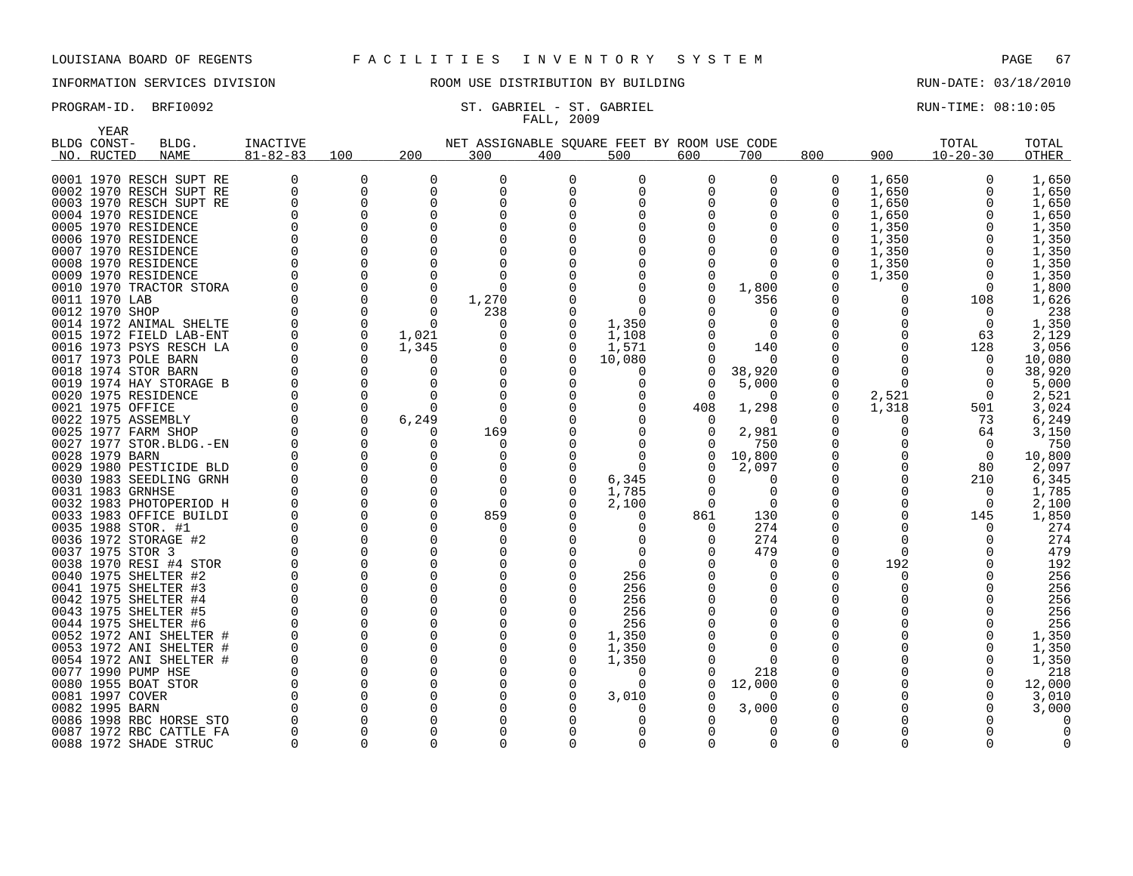YEAR

## INFORMATION SERVICES DIVISION ROOM USE DISTRIBUTION BY BUILDING RUN-DATE: 03/18/2010

## PROGRAM-ID. BRFI0092 ST. GABRIEL - ST. GABRIEL - ST. GABRIEL SERIEL RUN-TIME: 08:10:05 FALL, 2009

| BLDG CONST-                            | BLDG.                   | <b>INACTIVE</b> |                      |                      | NET ASSIGNABLE SQUARE FEET BY ROOM USE CODE |          |          |          |          |          |              | TOTAL          | TOTAL  |
|----------------------------------------|-------------------------|-----------------|----------------------|----------------------|---------------------------------------------|----------|----------|----------|----------|----------|--------------|----------------|--------|
| NO. RUCTED                             | NAME                    | $81 - 82 - 83$  | 100                  | 200                  | 300                                         | 400      | 500      | 600      | 700      | 800      | 900          | $10 - 20 - 30$ | OTHER  |
|                                        | 0001 1970 RESCH SUPT RE |                 | 0                    | 0                    | 0                                           | 0        | 0        | 0        | 0        | 0        | 1,650        | 0              | 1,650  |
|                                        | 0002 1970 RESCH SUPT RE | 0               | 0                    | $\mathbf 0$          | $\Omega$                                    | $\Omega$ | 0        |          |          | 0        | 1,650        | 0              | 1,650  |
|                                        | 0003 1970 RESCH SUPT RE | $\Omega$        | $\Omega$             | $\Omega$             | O                                           | U        |          |          |          | 0        | 1,650        | $\Omega$       | 1,650  |
| 0004 1970 RESIDENCE                    |                         |                 | $\Omega$             | $\Omega$             |                                             |          |          |          |          |          | 1,650        | $\Omega$       | 1,650  |
| 0005 1970 RESIDENCE                    |                         |                 | $\Omega$             | $\Omega$             |                                             |          |          |          |          | $\Omega$ | 1,350        | <sup>0</sup>   | 1,350  |
| 0006 1970 RESIDENCE                    |                         |                 | 0                    |                      |                                             |          |          |          |          |          | 1,350        | $\Omega$       | 1,350  |
| 0007 1970 RESIDENCE                    |                         |                 | $\Omega$             |                      |                                             |          |          |          |          | 0        | 1,350        | 0              | 1,350  |
| 0008 1970 RESIDENCE                    |                         |                 | 0                    |                      |                                             |          |          |          |          | 0        | 1,350        | $\mathbf 0$    | 1,350  |
| 0009 1970 RESIDENCE                    |                         |                 | 0                    | $\Omega$             |                                             |          |          |          |          | 0        | 1,350        | $\mathbf 0$    | 1,350  |
|                                        | 0010 1970 TRACTOR STORA |                 | 0                    | $\Omega$             |                                             |          |          |          | 1,800    |          | 0            | $\mathbf 0$    | 1,800  |
| 0011 1970 LAB                          |                         |                 | $\mathbf 0$          | $\mathbf 0$          | 1,270                                       |          | $\Omega$ |          | 356      |          | 0            | 108            | 1,626  |
| 0012 1970 SHOP                         |                         |                 | $\mathbf 0$          | $\Omega$             | 238                                         |          | $\Omega$ |          |          |          | O            | $\Omega$       | 238    |
|                                        | 0014 1972 ANIMAL SHELTE |                 | $\mathbf 0$          | $\Omega$             | 0                                           | 0        | 1,350    |          | $\Omega$ |          | 0            | $\mathbf 0$    | 1,350  |
|                                        | 0015 1972 FIELD LAB-ENT |                 | $\mathbf 0$          | 1,021                |                                             | O        | 1,108    |          |          |          | <sup>0</sup> | 63             | 2,129  |
|                                        | 0016 1973 PSYS RESCH LA |                 | $\Omega$             | 1,345                |                                             | 0        | 1,571    |          | 140      |          | <sup>0</sup> | 128            | 3,056  |
| 0017 1973 POLE BARN                    |                         |                 | $\Omega$             | U                    |                                             | $\Omega$ | 10,080   |          |          |          | <sup>0</sup> | $\Omega$       | 10,080 |
| 0018 1974 STOR BARN                    |                         |                 | $\Omega$             | ∩                    |                                             |          | $\Omega$ |          | 38,920   |          | O            | $\Omega$       | 38,920 |
|                                        | 0019 1974 HAY STORAGE B |                 | $\Omega$             |                      |                                             |          | O        |          | 5,000    | 0        | $\Omega$     | $\Omega$       | 5,000  |
| 0020 1975 RESIDENCE                    |                         |                 | $\Omega$             | ∩                    |                                             |          | $\Omega$ |          | $\Omega$ | 0        | 2,521        | $\overline{0}$ | 2,521  |
| 0021 1975 OFFICE                       |                         |                 | $\Omega$             | $\Omega$             | $\cap$                                      |          | O        | 408      | 1,298    | 0        | 1,318        | 501            | 3,024  |
| 0022 1975 ASSEMBLY                     |                         |                 | 0                    | 6,249                | $\Omega$                                    |          |          |          | $\Omega$ |          | 0            | 73             | 6,249  |
| 0025 1977 FARM SHOP                    |                         |                 | $\Omega$             | $\Omega$             | 169                                         |          |          |          | 2,981    |          | 0            | 64             | 3,150  |
|                                        | 0027 1977 STOR.BLDG.-EN |                 | $\Omega$             | U                    | $\Omega$                                    |          |          |          | 750      |          |              | 0              | 750    |
| 0028 1979 BARN                         |                         |                 | $\Omega$             |                      |                                             |          | $\Omega$ |          | 10,800   |          | <sup>0</sup> | $\Omega$       | 10,800 |
|                                        | 0029 1980 PESTICIDE BLD |                 | $\Omega$             |                      |                                             |          | $\Omega$ |          | 2,097    |          | <sup>0</sup> | 80             | 2,097  |
|                                        | 0030 1983 SEEDLING GRNH |                 | $\Omega$             |                      |                                             |          | 6,345    |          |          |          | <sup>0</sup> | 210            | 6,345  |
| 0031 1983 GRNHSE                       |                         |                 | $\Omega$             | <sup>n</sup>         | $\cap$                                      |          | 1,785    |          |          |          | 0            | $\Omega$       | 1,785  |
|                                        | 0032 1983 PHOTOPERIOD H |                 | $\Omega$             | $\Omega$             | $\Omega$                                    |          | 2,100    | $\Omega$ | $\Omega$ |          | 0            | $\Omega$       | 2,100  |
|                                        | 0033 1983 OFFICE BUILDI |                 | $\Omega$             | $\Omega$             | 859                                         |          | $\Omega$ | 861      | 130      |          | 0            | 145            | 1,850  |
| 0035 1988 STOR. #1                     |                         |                 | $\Omega$             | $\Omega$             |                                             |          | $\Omega$ |          | 274      |          | ∩            | $\cap$         | 274    |
| 0036 1972 STORAGE #2                   |                         |                 | $\Omega$             | $\Omega$             |                                             |          | $\Omega$ |          | 274      | O        | 0            |                | 274    |
| 0037 1975 STOR 3                       |                         |                 | $\Omega$             | $\Omega$             |                                             |          | $\Omega$ |          | 479      |          | 0            |                | 479    |
|                                        | 0038 1970 RESI #4 STOR  |                 | $\Omega$             | $\Omega$             |                                             |          | $\Omega$ |          | O        | O        | 192          |                | 192    |
| 0040 1975 SHELTER #2                   |                         |                 | $\Omega$             | $\Omega$             |                                             |          | 256      |          |          |          | <sup>0</sup> |                | 256    |
| 0041 1975 SHELTER #3                   |                         |                 | $\Omega$             | <sup>n</sup>         |                                             |          | 256      |          |          |          |              |                | 256    |
| 0042 1975 SHELTER #4                   |                         |                 | $\Omega$             | $\Omega$             |                                             |          | 256      |          |          |          |              |                | 256    |
| 0043 1975 SHELTER #5                   |                         |                 | $\Omega$             | $\Omega$             |                                             |          | 256      |          |          |          |              |                | 256    |
| 0044 1975 SHELTER #6                   |                         |                 | $\Omega$             | $\Omega$             |                                             | O        | 256      |          |          |          |              | $\Omega$       | 256    |
|                                        | 0052 1972 ANI SHELTER # |                 | $\Omega$             | $\Omega$             |                                             | $\Omega$ | 1,350    |          |          |          |              | $\Omega$       | 1,350  |
|                                        | 0053 1972 ANI SHELTER # |                 | $\Omega$             | $\Omega$<br>$\Omega$ |                                             |          | 1,350    |          |          |          |              | $\Omega$       | 1,350  |
|                                        | 0054 1972 ANI SHELTER # |                 | $\Omega$             |                      |                                             |          | 1,350    |          |          |          |              | <sup>0</sup>   | 1,350  |
| 0077 1990 PUMP HSE                     |                         |                 | $\Omega$             | $\Omega$             |                                             |          | $\Omega$ |          | 218      |          |              |                | 218    |
| 0080 1955 BOAT STOR<br>0081 1997 COVER |                         |                 | $\Omega$<br>$\Omega$ | $\Omega$<br>$\Omega$ |                                             |          | $\Omega$ |          | 12,000   |          |              | $\Omega$       | 12,000 |
| 0082 1995 BARN                         |                         |                 | 0                    | $\Omega$             |                                             |          | 3,010    |          |          |          |              |                | 3,010  |
|                                        | 0086 1998 RBC HORSE STO |                 | $\Omega$             |                      |                                             |          | 0        |          | 3,000    |          |              |                | 3,000  |
|                                        | 0087 1972 RBC CATTLE FA |                 | $\Omega$             |                      |                                             |          |          |          |          |          |              |                |        |
|                                        | 0088 1972 SHADE STRUC   | $\Omega$        | $\Omega$             | $\Omega$             | $\Omega$                                    | ∩        | $\Omega$ |          | ∩        | $\Omega$ | U            | $\Omega$       |        |

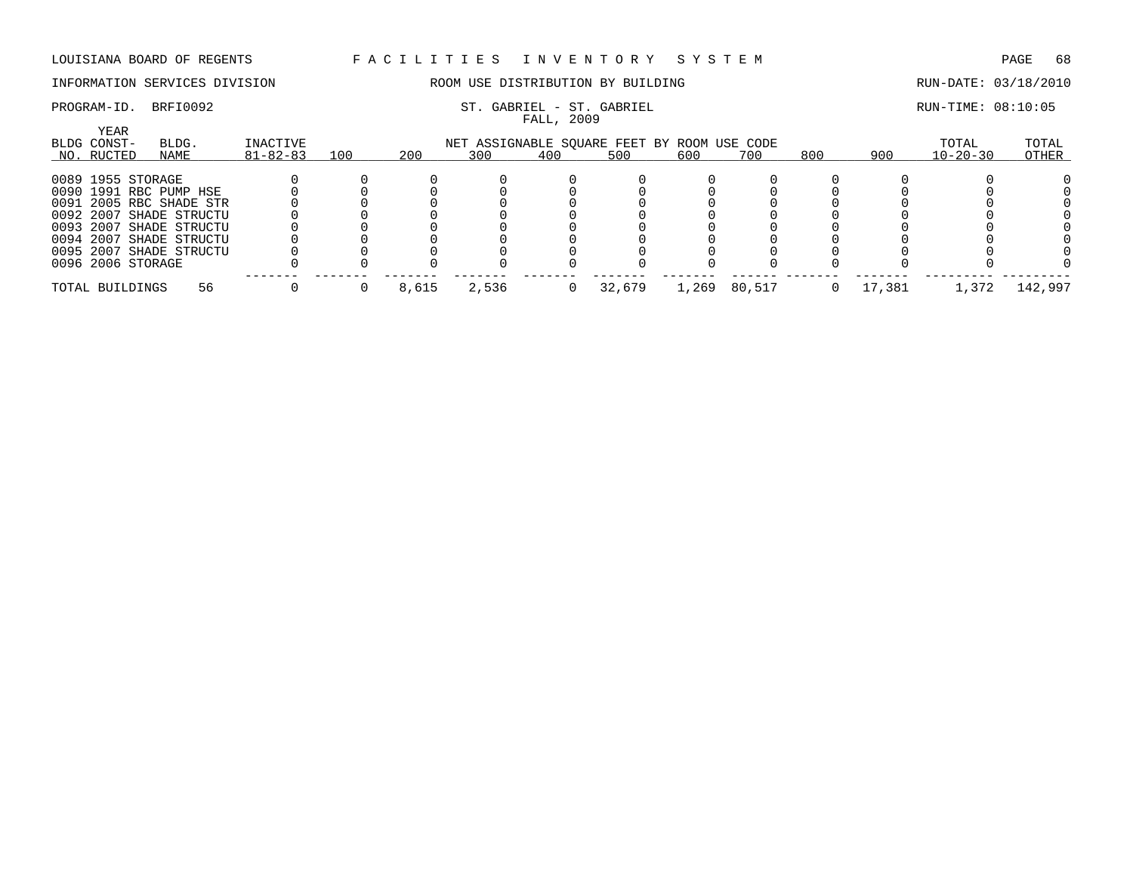## INFORMATION SERVICES DIVISION ROOM USE DISTRIBUTION BY BUILDING RUN-DATE: 03/18/2010

## PROGRAM-ID. BRFI0092 ST. GABRIEL - ST. GABRIEL - ST. GABRIEL SERIEL RUN-TIME: 08:10:05

FALL, 2009

| <b>YEAR</b><br>BLDG.<br>INACTIVE<br>BLDG CONST-<br>NET ASSIGNABLE SQUARE FEET BY ROOM USE CODE |                        |                         |                |     |       |       |     |        |       |        |     | TOTAL  | TOTAL          |         |
|------------------------------------------------------------------------------------------------|------------------------|-------------------------|----------------|-----|-------|-------|-----|--------|-------|--------|-----|--------|----------------|---------|
|                                                                                                | NO. RUCTED             | NAME                    | $81 - 82 - 83$ | 100 | 200   | 300   | 400 | 500    | 600   | 700    | 800 | 900    | $10 - 20 - 30$ | OTHER   |
|                                                                                                | 0089 1955 STORAGE      |                         |                |     |       |       |     |        |       |        |     |        |                |         |
|                                                                                                | 0090 1991 RBC PUMP HSE |                         |                |     |       |       |     |        |       |        |     |        |                |         |
|                                                                                                |                        | 0091 2005 RBC SHADE STR |                |     |       |       |     |        |       |        |     |        |                |         |
|                                                                                                |                        | 0092 2007 SHADE STRUCTU |                |     |       |       |     |        |       |        |     |        |                |         |
|                                                                                                |                        | 0093 2007 SHADE STRUCTU |                |     |       |       |     |        |       |        |     |        |                |         |
|                                                                                                |                        | 0094 2007 SHADE STRUCTU |                |     |       |       |     |        |       |        |     |        |                |         |
|                                                                                                |                        | 0095 2007 SHADE STRUCTU |                |     |       |       |     |        |       |        |     |        |                |         |
|                                                                                                | 0096 2006 STORAGE      |                         |                |     |       |       |     |        |       |        |     |        |                |         |
|                                                                                                | TOTAL BUILDINGS        | 56                      |                |     | 8,615 | 2,536 |     | 32,679 | 1,269 | 80,517 |     | 17,381 | 1,372          | 142,997 |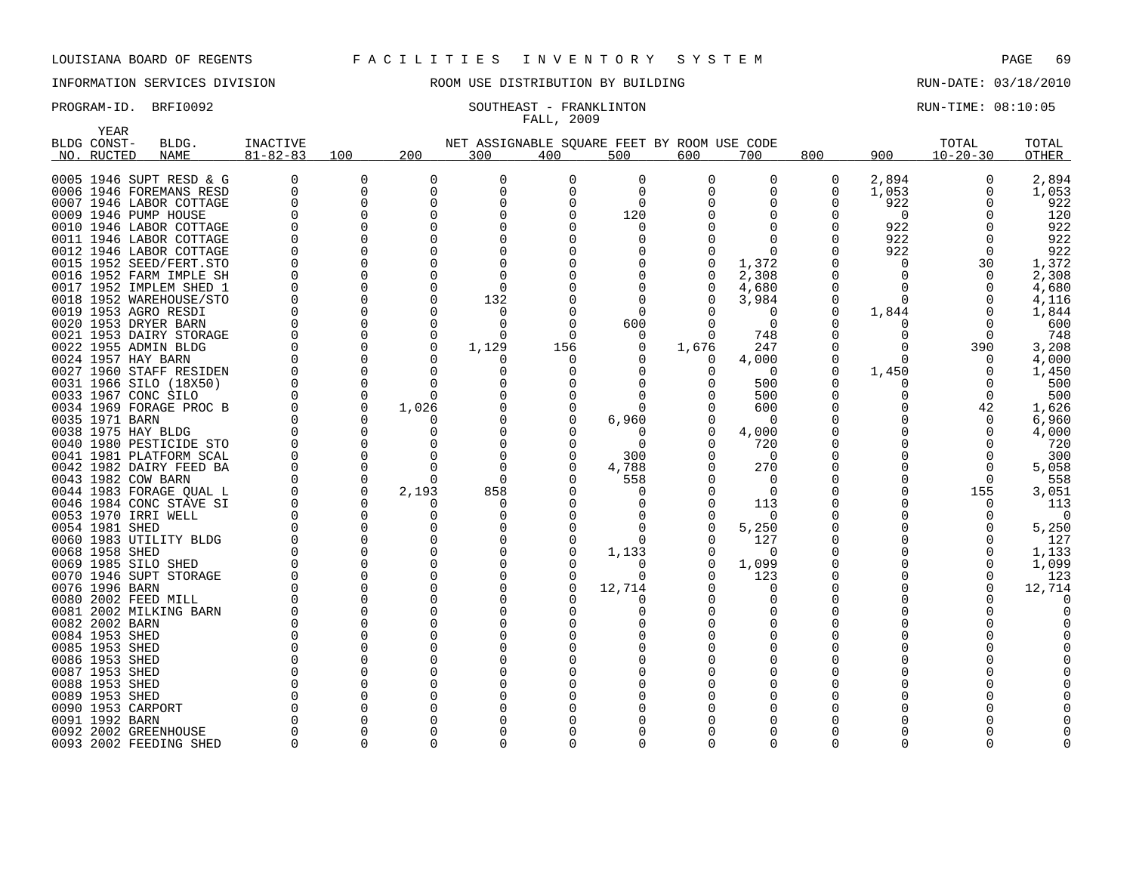## INFORMATION SERVICES DIVISION ROOM USE DISTRIBUTION BY BUILDING RUN-DATE: 03/18/2010

## PROGRAM-ID. BRFI0092 SOUTHEAST - FRANKLINTON RUN-TIME: 08:10:05 FALL, 2009

| YEAR           |                         |                |          |              |                                             |          |             |       |          |              |          |                |              |
|----------------|-------------------------|----------------|----------|--------------|---------------------------------------------|----------|-------------|-------|----------|--------------|----------|----------------|--------------|
| BLDG CONST-    | BLDG.                   | INACTIVE       |          |              | NET ASSIGNABLE SOUARE FEET BY ROOM USE CODE |          |             |       |          |              |          | TOTAL          | TOTAL        |
| NO. RUCTED     | <b>NAME</b>             | $81 - 82 - 83$ | 100      | 200          | 300                                         | 400      | 500         | 600   | 700      | 800          | 900      | $10 - 20 - 30$ | <b>OTHER</b> |
|                |                         |                |          |              |                                             |          |             |       |          |              |          |                |              |
|                | 0005 1946 SUPT RESD & G | $\Omega$       | 0        | 0            | 0                                           | $\Omega$ | $\Omega$    | 0     | 0        | 0            | 2,894    | 0              | 2,894        |
|                | 0006 1946 FOREMANS RESD | $\Omega$       | O        | 0            | 0                                           | $\Omega$ | $\Omega$    |       |          | 0            | 1,053    | O              | 1,053        |
|                | 0007 1946 LABOR COTTAGE |                |          | $\Omega$     | 0                                           | O        | $\Omega$    |       |          |              | 922      |                | 922          |
|                | 0009 1946 PUMP HOUSE    |                |          | $\Omega$     | 0                                           |          | 120         |       |          |              | $\Omega$ |                | 120          |
|                | 0010 1946 LABOR COTTAGE |                |          | <sup>0</sup> |                                             |          | O           |       |          |              | 922      |                | 922          |
|                | 0011 1946 LABOR COTTAGE |                |          |              | 0                                           |          | O           |       |          |              | 922      |                | 922          |
|                | 0012 1946 LABOR COTTAGE |                |          |              |                                             |          |             |       |          |              | 922      | $\Omega$       | 922          |
|                | 0015 1952 SEED/FERT.STO |                |          |              | $\Omega$                                    | O        |             |       | 1,372    |              | $\Omega$ | 30             | 1,372        |
|                | 0016 1952 FARM IMPLE SH |                |          |              | O                                           |          | 0           |       | 2,308    |              | O        | $\Omega$       | 2,308        |
|                | 0017 1952 IMPLEM SHED 1 |                |          |              | $\Omega$                                    |          | $\Omega$    |       | 4,680    | <sup>0</sup> | U        | $\Omega$       | 4,680        |
|                | 0018 1952 WAREHOUSE/STO |                |          |              | 132                                         |          | $\Omega$    |       | 3,984    | $\Omega$     | $\Omega$ |                | 4,116        |
|                | 0019 1953 AGRO RESDI    |                |          |              | O                                           |          | $\Omega$    |       | $\Omega$ | <sup>0</sup> | 1,844    | $\Omega$       | 1,844        |
|                | 0020 1953 DRYER BARN    |                |          | <sup>0</sup> | O                                           | $\Omega$ | 600         |       | $\Omega$ |              | O        | $\Omega$       | 600          |
|                | 0021 1953 DAIRY STORAGE |                |          |              | U                                           | $\Omega$ | 0           |       | 748      |              |          | $\Omega$       | 748          |
|                | 0022 1955 ADMIN BLDG    |                | $\Omega$ | $\Omega$     | 1,129                                       | 156      | $\Omega$    | 1,676 | 247      |              |          | 390            | 3,208        |
|                | 0024 1957 HAY BARN      |                |          | <sup>0</sup> | U                                           | O        |             | 0     | 4,000    |              | $\Omega$ | 0              | 4,000        |
|                | 0027 1960 STAFF RESIDEN |                |          | O            | 0                                           |          |             |       | $\Omega$ |              | 1,450    | $\Omega$       | 1,450        |
|                | 0031 1966 SILO (18X50)  |                |          |              | O                                           |          |             |       | 500      |              |          |                | 500          |
|                | 0033 1967 CONC SILO     |                | $\Omega$ | $\Omega$     |                                             |          |             |       | 500      |              |          | $\Omega$       | 500          |
|                | 0034 1969 FORAGE PROC B |                | 0        | 1,026        |                                             |          | $\Omega$    |       | 600      |              |          | 42             | 1,626        |
| 0035 1971 BARN |                         |                |          |              |                                             |          | 6,960       |       | $\Omega$ |              |          | $\Omega$       | 6,960        |
|                | 0038 1975 HAY BLDG      |                |          |              | O                                           |          | $\Omega$    |       | 4,000    |              |          |                | 4,000        |
|                | 0040 1980 PESTICIDE STO | <sup>0</sup>   |          |              | O                                           |          | $\Omega$    |       | 720      |              |          |                | 720          |
|                | 0041 1981 PLATFORM SCAL |                |          |              | O                                           | O        | 300         |       | $\Omega$ |              |          | ∩              | 300          |
|                | 0042 1982 DAIRY FEED BA |                |          |              | $\Omega$                                    | 0        | 4,788       |       | 270      | 0            |          | $\Omega$       | 5,058        |
|                | 0043 1982 COW BARN      |                | $\Omega$ | $\Omega$     | ∩                                           |          | 558         |       | $\Omega$ |              |          | $\Omega$       | 558          |
|                | 0044 1983 FORAGE QUAL L |                | 0        | 2,193        | 858                                         |          | $\Omega$    |       | $\Omega$ |              |          | 155            | 3,051        |
|                | 0046 1984 CONC STAVE SI |                | $\Omega$ |              | O                                           |          | O           |       | 113      |              |          | O              | 113          |
|                | 0053 1970 IRRI WELL     |                |          |              | 0                                           |          | O           |       | $\Omega$ |              |          |                | $\Omega$     |
| 0054 1981 SHED |                         |                |          |              | U                                           |          | n           |       | 5,250    |              |          |                | 5,250        |
|                | 0060 1983 UTILITY BLDG  |                |          | <sup>0</sup> | 0                                           | 0        | $\Omega$    |       | 127      |              |          |                | 127          |
| 0068 1958 SHED |                         |                |          |              | O                                           | O        | 1,133       |       | $\Omega$ |              |          |                | 1,133        |
|                | 0069 1985 SILO SHED     |                |          |              |                                             |          | 0           |       | 1,099    |              |          |                | 1,099        |
|                | 0070 1946 SUPT STORAGE  |                |          |              |                                             |          | $\Omega$    |       | 123      |              |          |                | 123          |
| 0076 1996 BARN |                         |                |          |              |                                             |          | 12,714<br>O |       | O        |              |          |                | 12,714       |
|                | 0080 2002 FEED MILL     |                |          |              |                                             |          |             |       |          |              |          |                |              |
|                | 0081 2002 MILKING BARN  |                |          |              | O                                           |          | Ω           |       |          |              |          |                |              |
| 0082 2002 BARN |                         |                |          |              |                                             |          |             |       |          |              |          |                |              |
| 0084 1953 SHED |                         |                |          |              |                                             |          |             |       |          |              |          |                |              |
| 0085 1953 SHED |                         |                |          |              |                                             |          |             |       |          |              |          |                |              |
| 0086 1953 SHED |                         |                |          |              |                                             |          |             |       |          |              |          |                |              |
| 0087 1953 SHED |                         |                |          |              |                                             |          |             |       |          |              |          |                |              |
| 0088 1953 SHED |                         |                |          |              |                                             |          |             |       |          |              |          |                |              |
| 0089 1953 SHED | 0090 1953 CARPORT       |                |          |              |                                             |          |             |       |          |              |          |                |              |
| 0091 1992 BARN |                         |                |          |              | O                                           |          |             |       |          |              |          |                |              |
|                | 0092 2002 GREENHOUSE    |                |          |              | 0                                           |          |             |       |          |              |          |                |              |
|                |                         |                | ∩        |              | 0                                           | ∩        | $\Omega$    |       | ∩        | $\Omega$     |          |                |              |
|                | 0093 2002 FEEDING SHED  |                |          |              |                                             |          |             |       |          |              |          |                |              |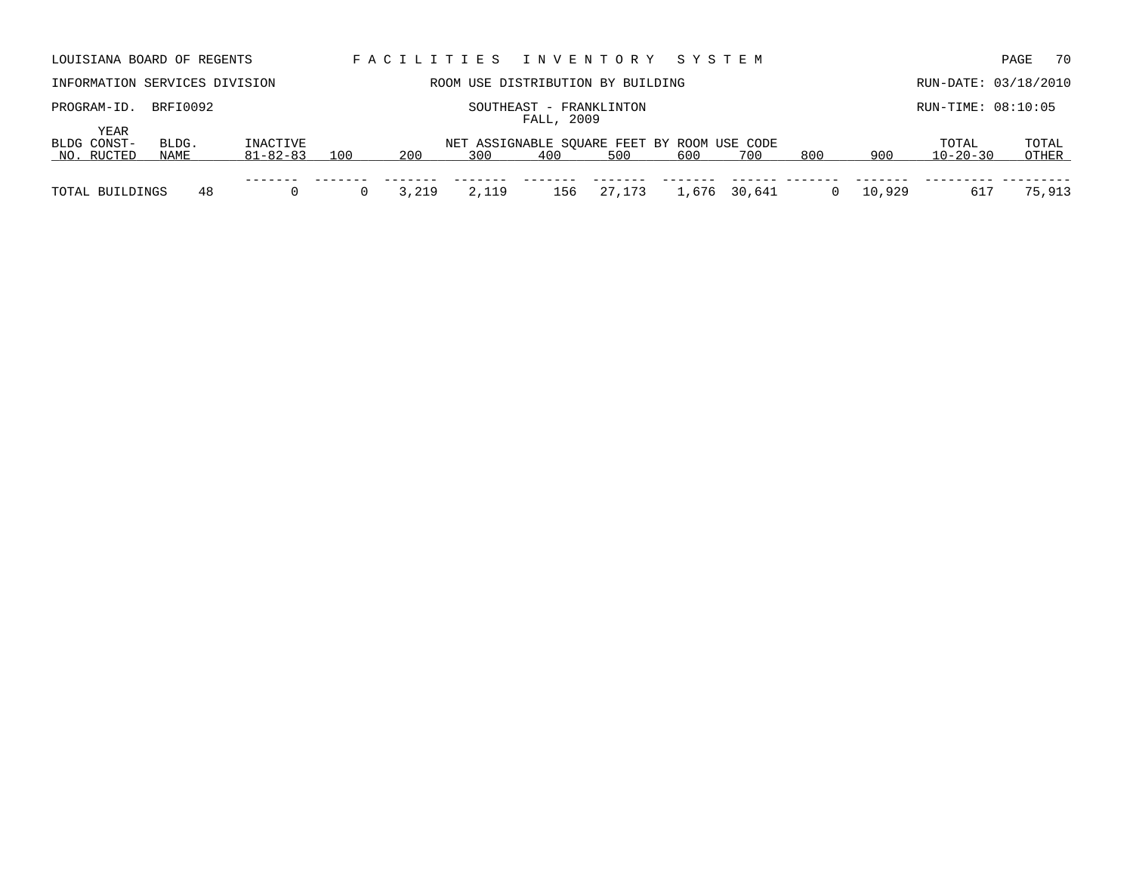| LOUISIANA BOARD OF REGENTS        |                                                   |                            |     | FACILITIES |       |     | INVENTORY SYSTEM                                   |       |        |     |        |                         | 70<br>PAGE           |
|-----------------------------------|---------------------------------------------------|----------------------------|-----|------------|-------|-----|----------------------------------------------------|-------|--------|-----|--------|-------------------------|----------------------|
| INFORMATION SERVICES DIVISION     |                                                   |                            |     |            |       |     | ROOM USE DISTRIBUTION BY BUILDING                  |       |        |     |        |                         | RUN-DATE: 03/18/2010 |
| PROGRAM-ID.                       | BRFI0092<br>SOUTHEAST - FRANKLINTON<br>FALL, 2009 |                            |     |            |       |     |                                                    |       |        |     |        | RUN-TIME: 08:10:05      |                      |
| YEAR<br>BLDG CONST-<br>NO. RUCTED | BLDG.<br>NAME                                     | INACTIVE<br>$81 - 82 - 83$ | 100 | 200        | 300   | 400 | NET ASSIGNABLE SQUARE FEET BY ROOM USE CODE<br>500 | 600   | 700    | 800 | 900    | TOTAL<br>$10 - 20 - 30$ | TOTAL<br>OTHER       |
| TOTAL BUILDINGS                   | 48                                                |                            |     | 3,219      | 2,119 | 156 | 27,173                                             | 1,676 | 30,641 |     | 10,929 | 617                     | 75,913               |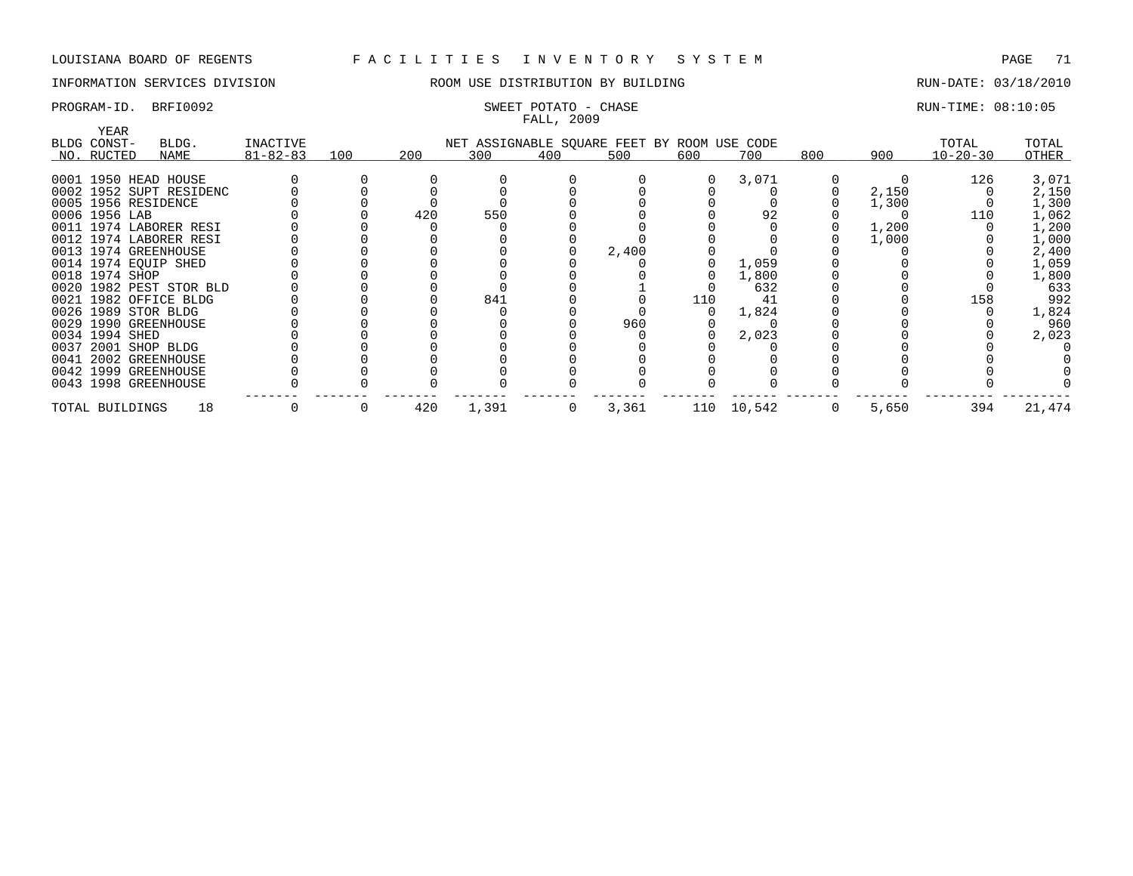## INFORMATION SERVICES DIVISION ROOM USE DISTRIBUTION BY BUILDING RUN-DATE: 03/18/2010

# FALL, 2009

## PROGRAM-ID. BRFI0092 SWEET POTATO - CHASE SERVICES SOMET POTATO - CHASE RUN-TIME: 08:10:05

| YEAR<br>BLDG CONST-  | BLDG.                   | INACTIVE       |     |     |       |             | NET ASSIGNABLE SQUARE FEET BY ROOM USE CODE |     |            |             |       | TOTAL          | TOTAL  |
|----------------------|-------------------------|----------------|-----|-----|-------|-------------|---------------------------------------------|-----|------------|-------------|-------|----------------|--------|
| NO. RUCTED           | NAME                    | $81 - 82 - 83$ | 100 | 200 | 300   | 400         | 500                                         | 600 | 700        | 800         | 900   | $10 - 20 - 30$ | OTHER  |
| 0001 1950 HEAD HOUSE |                         |                |     |     |       |             |                                             |     | 3,071      |             |       | 126            | 3,071  |
|                      | 0002 1952 SUPT RESIDENC |                |     |     |       |             |                                             |     |            |             | 2,150 |                | 2,150  |
| 0005 1956 RESIDENCE  |                         |                |     |     |       |             |                                             |     |            |             | 1,300 |                | 1,300  |
| 0006 1956 LAB        |                         |                |     | 420 | 550   |             |                                             |     | 92         |             |       | 110            | 1,062  |
|                      | 0011 1974 LABORER RESI  |                |     |     |       |             |                                             |     |            |             | 1,200 |                | 1,200  |
|                      | 0012 1974 LABORER RESI  |                |     |     |       |             |                                             |     |            |             | 1,000 |                | 1,000  |
| 0013 1974 GREENHOUSE |                         |                |     |     |       |             | 2,400                                       |     |            |             |       |                | 2,400  |
| 0014 1974 EOUIP SHED |                         |                |     |     |       |             |                                             |     | 1,059      |             |       |                | 1,059  |
| 0018 1974 SHOP       |                         |                |     |     |       |             |                                             |     | 1,800      |             |       |                | 1,800  |
|                      | 0020 1982 PEST STOR BLD |                |     |     |       |             |                                             |     | 632        |             |       |                | 633    |
|                      | 0021 1982 OFFICE BLDG   |                |     |     | 841   |             |                                             | 110 | 41         |             |       | 158            | 992    |
| 0026 1989 STOR BLDG  |                         |                |     |     |       |             |                                             |     | 1,824      |             |       |                | 1,824  |
| 0029 1990 GREENHOUSE |                         |                |     |     |       |             | 960                                         |     |            |             |       |                | 960    |
| 0034 1994 SHED       |                         |                |     |     |       |             |                                             |     | 2,023      |             |       |                | 2,023  |
| 0037 2001 SHOP BLDG  |                         |                |     |     |       |             |                                             |     |            |             |       |                |        |
| 0041 2002 GREENHOUSE |                         |                |     |     |       |             |                                             |     |            |             |       |                |        |
| 0042 1999 GREENHOUSE |                         |                |     |     |       |             |                                             |     |            |             |       |                |        |
| 0043 1998 GREENHOUSE |                         |                |     |     |       |             |                                             |     |            |             |       |                |        |
| TOTAL BUILDINGS      | 18                      |                | 0   | 420 | 1,391 | $\mathbf 0$ | 3,361                                       |     | 110 10,542 | $\mathbf 0$ | 5,650 | 394            | 21,474 |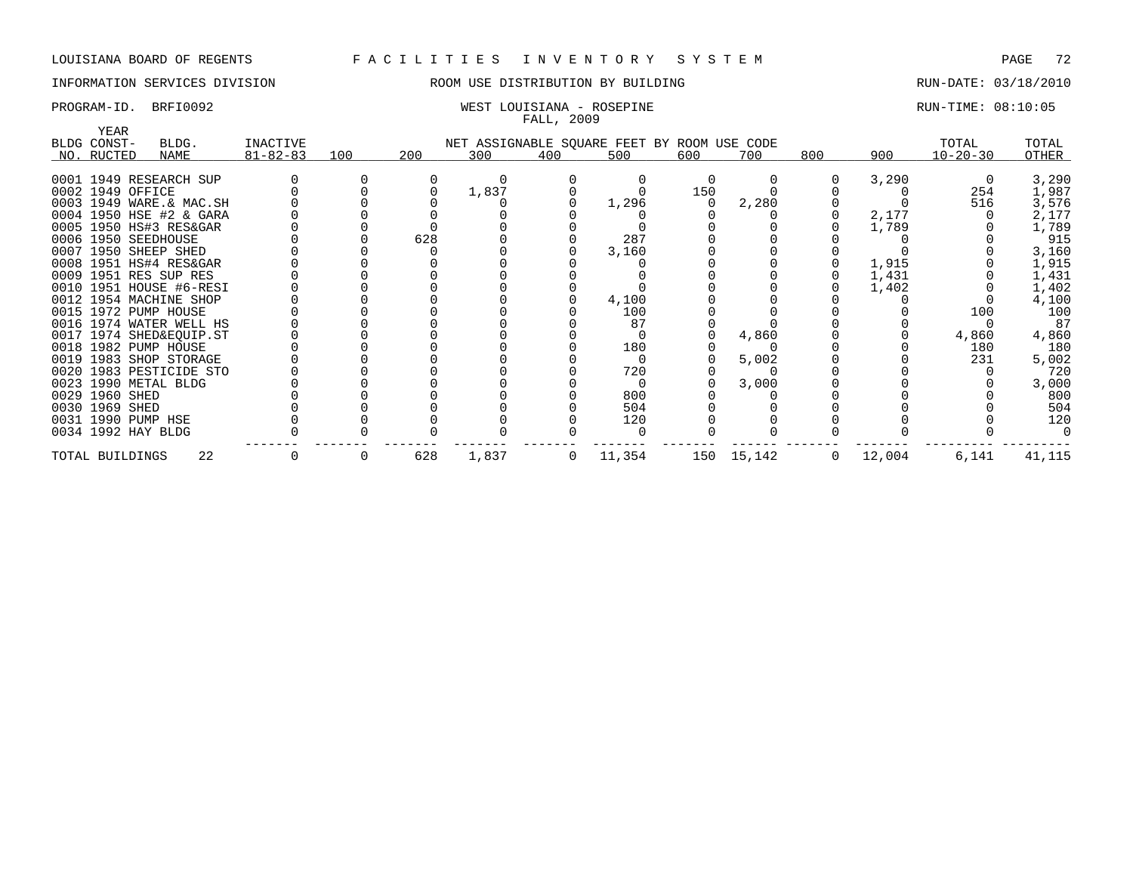## INFORMATION SERVICES DIVISION ROOM USE DISTRIBUTION BY BUILDING RUN-DATE: 03/18/2010

## PROGRAM-ID. BRFI0092 WEST LOUISIANA - ROSEPINE RUN-TIME: 08:10:05 FALL, 2009

| YEAR                    |       |                |     |     |       |     |                                             |     |            |     |        |                |        |
|-------------------------|-------|----------------|-----|-----|-------|-----|---------------------------------------------|-----|------------|-----|--------|----------------|--------|
| BLDG CONST-             | BLDG. | INACTIVE       |     |     |       |     | NET ASSIGNABLE SQUARE FEET BY ROOM USE CODE |     |            |     |        | TOTAL          | TOTAL  |
| NO. RUCTED              | NAME  | $81 - 82 - 83$ | 100 | 200 | 300   | 400 | 500                                         | 600 | 700        | 800 | 900    | $10 - 20 - 30$ | OTHER  |
|                         |       |                |     |     |       |     |                                             |     |            |     |        |                |        |
| 0001 1949 RESEARCH SUP  |       |                |     |     |       |     |                                             |     |            |     | 3,290  |                | 3,290  |
| 0002 1949 OFFICE        |       |                |     |     | 1,837 |     |                                             | 150 |            |     |        | 254            | 1,987  |
| 0003 1949 WARE.& MAC.SH |       |                |     |     |       |     | 1,296                                       |     | 2,280      |     |        | 516            | 3,576  |
| 0004 1950 HSE #2 & GARA |       |                |     |     |       |     |                                             |     |            |     | 2,177  |                | 2,177  |
| 0005 1950 HS#3 RES&GAR  |       |                |     |     |       |     |                                             |     |            |     | 1,789  |                | 1,789  |
| 0006 1950 SEEDHOUSE     |       |                |     | 628 |       |     | 287                                         |     |            |     |        |                | 915    |
| 0007 1950 SHEEP SHED    |       |                |     |     |       |     | 3,160                                       |     |            |     |        |                | 3,160  |
| 0008 1951 HS#4 RES&GAR  |       |                |     |     |       |     |                                             |     |            |     | 1,915  |                | 1,915  |
| 0009 1951 RES SUP RES   |       |                |     |     |       |     |                                             |     |            |     | 1,431  |                | 1,431  |
| 0010 1951 HOUSE #6-RESI |       |                |     |     |       |     |                                             |     |            |     | 1,402  |                | 1,402  |
| 0012 1954 MACHINE SHOP  |       |                |     |     |       |     | 4,100                                       |     |            |     |        |                | 4,100  |
| 0015 1972 PUMP HOUSE    |       |                |     |     |       |     | 100                                         |     |            |     |        | 100            | 100    |
| 0016 1974 WATER WELL HS |       |                |     |     |       |     | 87                                          |     |            |     |        |                | 87     |
| 0017 1974 SHED&EQUIP.ST |       |                |     |     |       |     |                                             |     | 4,860      |     |        | 4,860          | 4,860  |
| 0018 1982 PUMP HOUSE    |       |                |     |     |       |     | 180                                         |     |            |     |        | 180            | 180    |
| 0019 1983 SHOP STORAGE  |       |                |     |     |       |     |                                             |     | 5,002      |     |        | 231            | 5,002  |
| 0020 1983 PESTICIDE STO |       |                |     |     |       |     | 720                                         |     |            |     |        |                | 720    |
| 0023 1990 METAL BLDG    |       |                |     |     |       |     |                                             |     | 3,000      |     |        |                | 3,000  |
| 0029 1960 SHED          |       |                |     |     |       |     | 800                                         |     |            |     |        |                | 800    |
| 0030 1969 SHED          |       |                |     |     |       |     | 504                                         |     |            |     |        |                | 504    |
| 0031 1990 PUMP HSE      |       |                |     |     |       |     | 120                                         |     |            |     |        |                | 120    |
| 0034 1992 HAY BLDG      |       |                |     |     |       |     |                                             |     |            |     |        |                |        |
| TOTAL BUILDINGS         | 22    |                | 0   | 628 | 1,837 | 0   | 11,354                                      |     | 150 15,142 | 0   | 12,004 | 6,141          | 41,115 |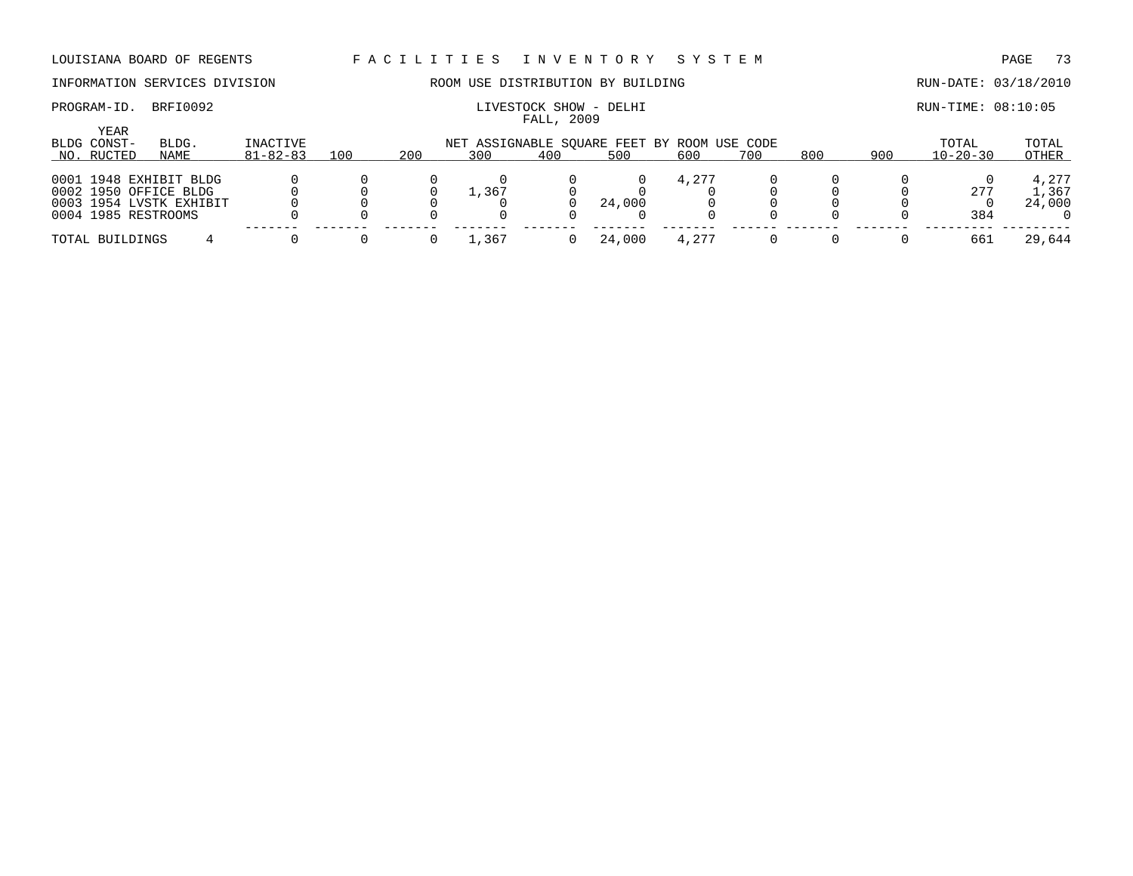### PROGRAM-ID. BRFI0092 **EXAM-ID.** BRFI0092 **LIVESTOCK SHOW** - DELHI **RUN-TIME: 08:10:05**

# INFORMATION SERVICES DIVISION ROOM USE DISTRIBUTION BY BUILDING RUN-DATE: 03/18/2010

| YEAR<br>BLDG CONST- | BLDG.                   | INACTIVE       |     |     |                     |     | NET ASSIGNABLE SQUARE FEET BY ROOM USE CODE |       |     |     |     | TOTAL          | TOTAL  |
|---------------------|-------------------------|----------------|-----|-----|---------------------|-----|---------------------------------------------|-------|-----|-----|-----|----------------|--------|
| NO. RUCTED          | NAME                    | $81 - 82 - 83$ | 100 | 200 | 300                 | 400 | 500                                         | 600   | 700 | 800 | 900 | $10 - 20 - 30$ | OTHER  |
|                     |                         |                |     |     |                     |     |                                             |       |     |     |     |                |        |
|                     | 0001 1948 EXHIBIT BLDG  |                |     |     |                     |     |                                             | 4.277 |     |     |     |                | 4,277  |
|                     | 0002 1950 OFFICE BLDG   |                |     |     | $\perp$ , 367       |     |                                             |       |     |     |     | 277            | 1,367  |
|                     | 0003 1954 LVSTK EXHIBIT |                |     |     |                     |     | 24,000                                      |       |     |     |     |                | 24,000 |
|                     | 0004 1985 RESTROOMS     |                |     |     |                     |     |                                             |       |     |     |     | 384            |        |
| TOTAL BUILDINGS     |                         |                |     |     | $\overline{1, 367}$ |     | 24,000                                      | 4,277 |     |     |     | 661            | 29,644 |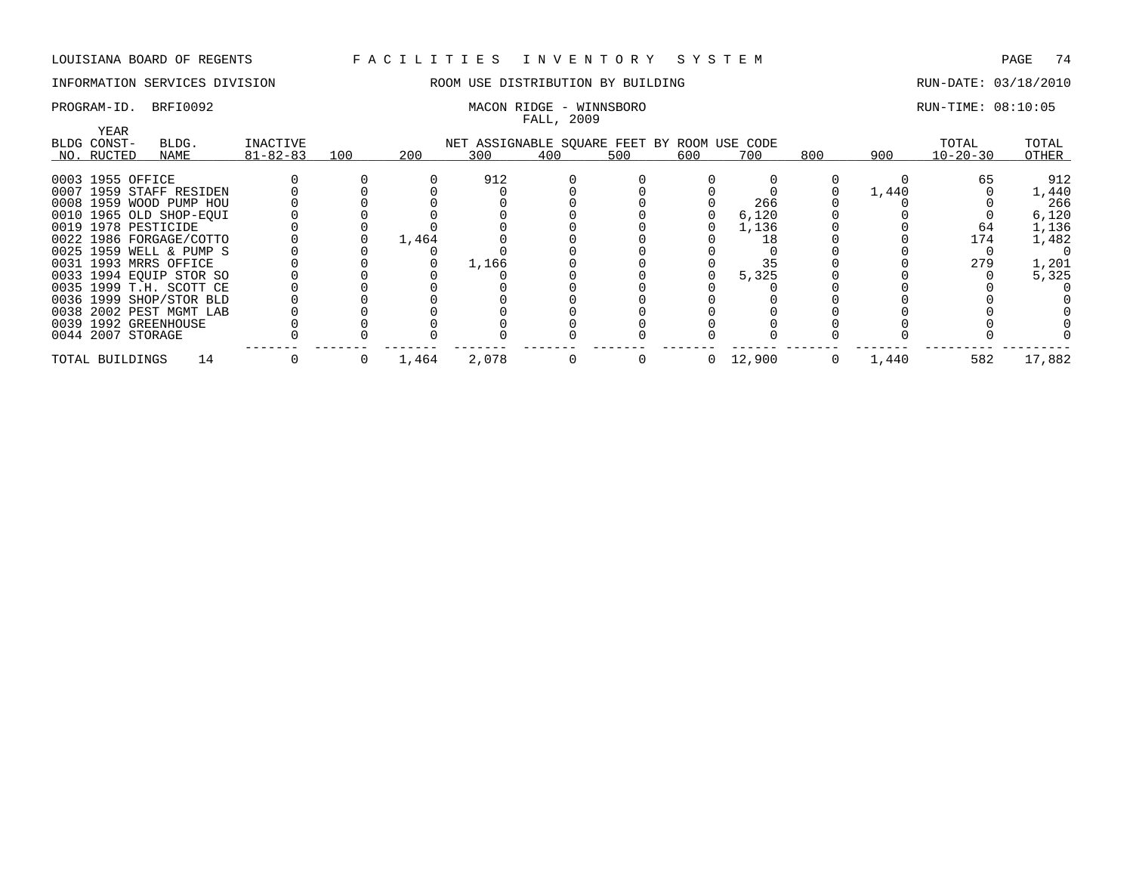### INFORMATION SERVICES DIVISION ROOM USE DISTRIBUTION BY BUILDING RUN-DATE: 03/18/2010

### PROGRAM-ID. BRFI0092 MACON RIDGE - WINNSBORO RUN-TIME: 08:10:05

|                              |                |     |       |                                             | FALL, 2009 |     |     |        |     |       |                |        |
|------------------------------|----------------|-----|-------|---------------------------------------------|------------|-----|-----|--------|-----|-------|----------------|--------|
| YEAR<br>BLDG CONST-<br>BLDG. | INACTIVE       |     |       | NET ASSIGNABLE SQUARE FEET BY ROOM USE CODE |            |     |     |        |     |       | TOTAL          | TOTAL  |
| NO. RUCTED<br>NAME           | $81 - 82 - 83$ | 100 | 200   | 300                                         | 400        | 500 | 600 | 700    | 800 | 900   | $10 - 20 - 30$ | OTHER  |
| 0003 1955 OFFICE             |                |     |       | 912                                         |            |     |     |        |     |       | 65             | 912    |
| 0007 1959 STAFF RESIDEN      |                |     |       |                                             |            |     |     |        |     | 1,440 |                | 1,440  |
| 0008 1959 WOOD PUMP HOU      |                |     |       |                                             |            |     |     | 266    |     |       |                | 266    |
| 0010 1965 OLD SHOP-EOUI      |                |     |       |                                             |            |     |     | 6,120  |     |       |                |        |
|                              |                |     |       |                                             |            |     |     |        |     |       |                | 6,120  |
| 0019 1978 PESTICIDE          |                |     |       |                                             |            |     |     | 1,136  |     |       | 64             | 1,136  |
| 0022 1986 FORGAGE/COTTO      |                |     | 1,464 |                                             |            |     |     | 18     |     |       | 174            | 1,482  |
| 0025 1959 WELL & PUMP S      |                |     |       |                                             |            |     |     |        |     |       |                |        |
| 0031 1993 MRRS OFFICE        |                |     |       | 1,166                                       |            |     |     | 35     |     |       | 279            | 1,201  |
| 0033 1994 EOUIP STOR SO      |                |     |       |                                             |            |     |     | 5,325  |     |       |                | 5,325  |
| 0035 1999 T.H. SCOTT CE      |                |     |       |                                             |            |     |     |        |     |       |                |        |
| 0036 1999 SHOP/STOR BLD      |                |     |       |                                             |            |     |     |        |     |       |                |        |
| 0038 2002 PEST MGMT LAB      |                |     |       |                                             |            |     |     |        |     |       |                |        |
| 0039 1992 GREENHOUSE         |                |     |       |                                             |            |     |     |        |     |       |                |        |
| 0044 2007 STORAGE            |                |     |       |                                             |            |     |     |        |     |       |                |        |
| 14<br>TOTAL BUILDINGS        |                |     | 1,464 | 2,078                                       |            |     | 0   | 12,900 |     | 1,440 | 582            | 17,882 |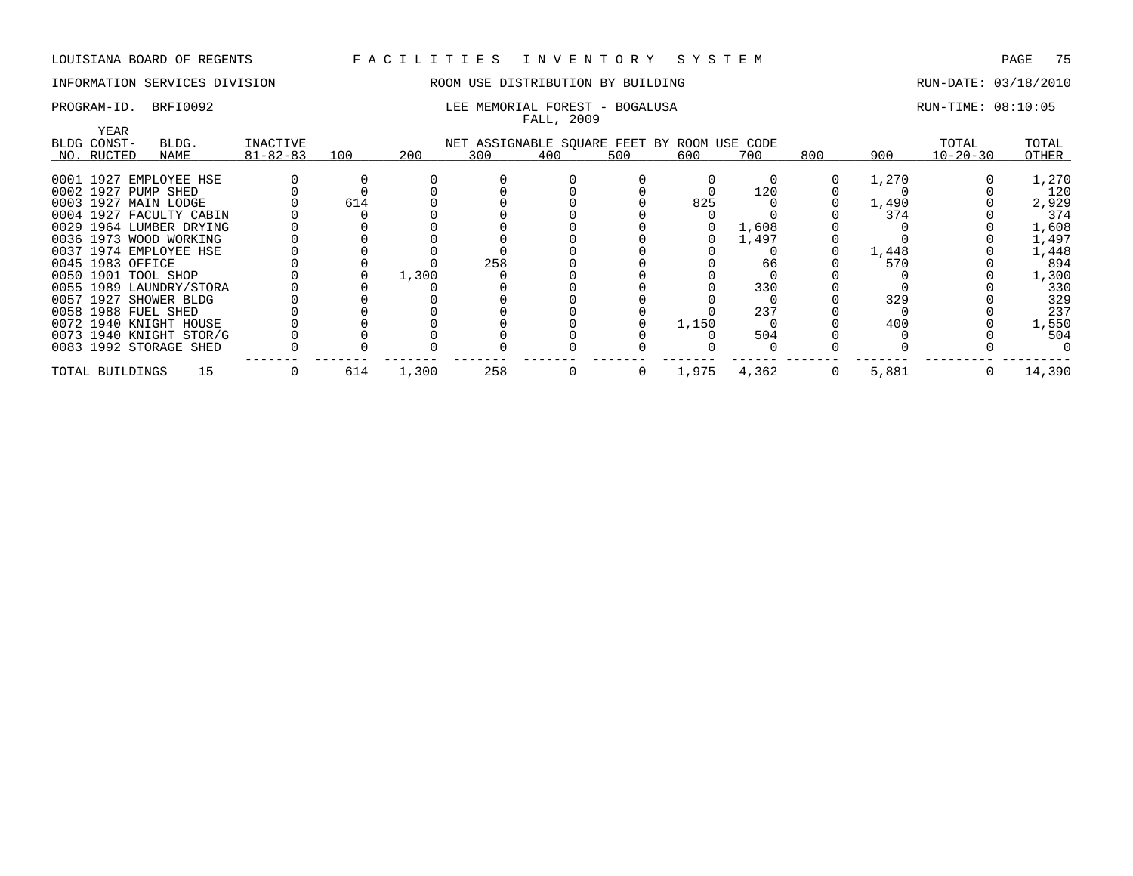### INFORMATION SERVICES DIVISION ROOM USE DISTRIBUTION BY BUILDING RUN-DATE: 03/18/2010

### PROGRAM-ID. BRFI0092 **RUN-TIME:** 08:10:05 LEE MEMORIAL FOREST - BOGALUSA FALL, 2009

| <b>YEAR</b>           |                         |                |     |       |     |                                             |     |       |       |     |       |                |        |
|-----------------------|-------------------------|----------------|-----|-------|-----|---------------------------------------------|-----|-------|-------|-----|-------|----------------|--------|
| BLDG CONST-           | BLDG.                   | INACTIVE       |     |       |     | NET ASSIGNABLE SQUARE FEET BY ROOM USE CODE |     |       |       |     |       | TOTAL          | TOTAL  |
| NO. RUCTED            | NAME                    | $81 - 82 - 83$ | 100 | 200   | 300 | 400                                         | 500 | 600   | 700   | 800 | 900   | $10 - 20 - 30$ | OTHER  |
|                       |                         |                |     |       |     |                                             |     |       |       |     |       |                |        |
|                       | 0001 1927 EMPLOYEE HSE  |                |     |       |     |                                             |     |       |       |     | 1,270 |                | 1,270  |
| 0002 1927 PUMP SHED   |                         |                |     |       |     |                                             |     |       | 120   |     |       |                | 120    |
| 0003 1927 MAIN LODGE  |                         |                | 614 |       |     |                                             |     | 825   |       |     | 1,490 |                | 2,929  |
|                       | 0004 1927 FACULTY CABIN |                |     |       |     |                                             |     |       |       |     | 374   |                | 374    |
|                       | 0029 1964 LUMBER DRYING |                |     |       |     |                                             |     |       | 1,608 |     |       |                | 1,608  |
|                       | 0036 1973 WOOD WORKING  |                |     |       |     |                                             |     |       | 1,497 |     |       |                | 1,497  |
|                       | 0037 1974 EMPLOYEE HSE  |                |     |       |     |                                             |     |       |       |     | 1,448 |                | 1,448  |
| 0045 1983 OFFICE      |                         |                |     |       | 258 |                                             |     |       | 66    |     | 570   |                | 894    |
| 0050 1901 TOOL SHOP   |                         |                |     | 1,300 |     |                                             |     |       |       |     |       |                | 1,300  |
|                       | 0055 1989 LAUNDRY/STORA |                |     |       |     |                                             |     |       | 330   |     |       |                | 330    |
| 0057 1927 SHOWER BLDG |                         |                |     |       |     |                                             |     |       |       |     | 329   |                | 329    |
| 0058 1988 FUEL SHED   |                         |                |     |       |     |                                             |     |       | 237   |     |       |                | 237    |
|                       | 0072 1940 KNIGHT HOUSE  |                |     |       |     |                                             |     | 1,150 |       |     | 400   |                | 1,550  |
|                       | 0073 1940 KNIGHT STOR/G |                |     |       |     |                                             |     |       | 504   |     |       |                | 504    |
|                       | 0083 1992 STORAGE SHED  |                |     |       |     |                                             |     |       |       |     |       |                |        |
| TOTAL BUILDINGS       | 15                      |                | 614 | 1,300 | 258 |                                             | 0   | 1,975 | 4,362 |     | 5,881 |                | 14,390 |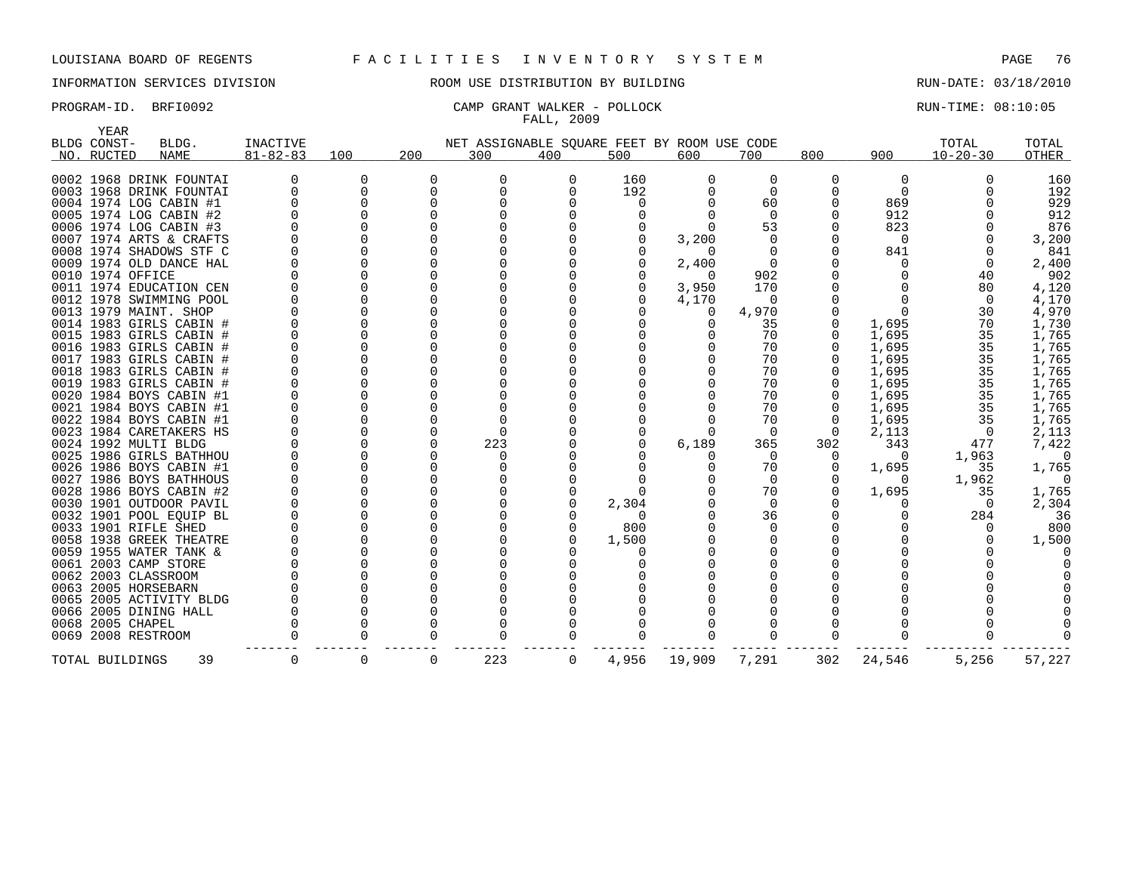## INFORMATION SERVICES DIVISION ROOM USE DISTRIBUTION BY BUILDING RUN-DATE: 03/18/2010

### PROGRAM-ID. BRFI0092 CAMP GRANT WALKER - POLLOCK RUN-TIME: 08:10:05 FALL, 2009

| YEAR                    |                 |          |     |                                             |     |          |          |          |              |          |                |        |
|-------------------------|-----------------|----------|-----|---------------------------------------------|-----|----------|----------|----------|--------------|----------|----------------|--------|
| BLDG CONST-<br>BLDG.    | <b>INACTIVE</b> |          |     | NET ASSIGNABLE SQUARE FEET BY ROOM USE CODE |     |          |          |          |              |          | TOTAL          | TOTAL  |
| NO. RUCTED<br>NAME      | $81 - 82 - 83$  | 100      | 200 | 300                                         | 400 | 500      | 600      | 700      | 800          | 900      | $10 - 20 - 30$ | OTHER  |
| 0002 1968 DRINK FOUNTAI |                 | $\Omega$ | 0   |                                             | 0   | 160      | $\Omega$ | 0        | <sup>0</sup> | $\Omega$ |                | 160    |
| 0003 1968 DRINK FOUNTAI | $\Omega$        | 0        | 0   |                                             |     | 192      | 0        | $\Omega$ |              | $\Omega$ |                | 192    |
| 0004 1974 LOG CABIN #1  |                 | $\Omega$ | O   |                                             |     | $\Omega$ |          | 60       |              | 869      |                | 929    |
| 0005 1974 LOG CABIN #2  |                 |          |     |                                             |     |          |          | $\Omega$ |              | 912      |                | 912    |
| 0006 1974 LOG CABIN #3  |                 |          |     |                                             |     |          |          | 53       |              | 823      |                | 876    |
| 0007 1974 ARTS & CRAFTS |                 |          |     |                                             |     |          | 3,200    | 0        |              | 0        |                | 3,200  |
| 0008 1974 SHADOWS STF C |                 |          |     |                                             |     |          |          | O        |              | 841      |                | 841    |
| 0009 1974 OLD DANCE HAL |                 |          |     |                                             |     |          | 2,400    | $\Omega$ |              |          |                | 2,400  |
| 0010 1974 OFFICE        |                 |          |     |                                             |     |          | $\Omega$ | 902      |              |          | 40             | 902    |
| 0011 1974 EDUCATION CEN |                 |          |     |                                             |     |          | 3,950    | 170      |              |          | 80             | 4,120  |
| 0012 1978 SWIMMING POOL |                 |          |     |                                             |     |          | 4,170    | 0        |              |          | $\Omega$       | 4,170  |
| 0013 1979 MAINT. SHOP   |                 |          |     |                                             |     |          | 0        | 4,970    |              |          | 30             | 4,970  |
| 0014 1983 GIRLS CABIN # |                 |          |     |                                             |     |          |          | 35       |              | 1,695    | 70             | 1,730  |
| 0015 1983 GIRLS CABIN # |                 |          |     |                                             |     |          |          | 70       |              | 1,695    | 35             | 1,765  |
| 0016 1983 GIRLS CABIN # |                 |          |     |                                             |     |          |          | 70       |              | 1,695    | 35             | 1,765  |
| 0017 1983 GIRLS CABIN # |                 |          |     |                                             |     |          |          | 70       |              | 1,695    | 35             | 1,765  |
| 0018 1983 GIRLS CABIN # |                 |          |     |                                             |     |          |          | 70       |              | 1,695    | 35             | 1,765  |
| 0019 1983 GIRLS CABIN # |                 |          |     |                                             |     |          |          | 70       |              | 1,695    | 35             | 1,765  |
| 0020 1984 BOYS CABIN #1 |                 |          |     |                                             |     |          |          | 70       |              | 1,695    | 35             | 1,765  |
| 0021 1984 BOYS CABIN #1 |                 |          |     |                                             |     |          |          | 70       |              | 1,695    | 35             | 1,765  |
| 0022 1984 BOYS CABIN #1 |                 |          |     |                                             |     |          |          | 70       | O            | 1,695    | 35             | 1,765  |
| 0023 1984 CARETAKERS HS |                 |          |     |                                             |     |          |          | $\Omega$ | $\Omega$     | 2,113    | $\Omega$       | 2,113  |
| 0024 1992 MULTI BLDG    |                 |          |     | 223                                         |     |          | 6,189    | 365      | 302          | 343      | 477            | 7,422  |
| 0025 1986 GIRLS BATHHOU |                 |          |     |                                             |     |          |          | $\Omega$ | O            |          | 1,963          | O      |
| 0026 1986 BOYS CABIN #1 |                 |          |     |                                             |     |          |          | 70       |              | 1,695    | 35             | 1,765  |
| 0027 1986 BOYS BATHHOUS |                 |          |     |                                             |     |          |          | 0        |              |          | 1,962          |        |
| 0028 1986 BOYS CABIN #2 |                 |          |     |                                             |     |          |          | 70       |              | 1,695    | 35             | 1,765  |
| 0030 1901 OUTDOOR PAVIL |                 |          |     |                                             |     | 2,304    |          | 0        |              |          |                | 2,304  |
| 0032 1901 POOL EOUIP BL |                 |          |     |                                             |     | 0        |          | 36       |              |          | 284            | 36     |
| 0033 1901 RIFLE SHED    |                 |          |     |                                             |     | 800      |          | $\Omega$ |              |          |                | 800    |
| 0058 1938 GREEK THEATRE |                 |          |     |                                             |     | 1,500    |          | O        |              |          |                | 1,500  |
| 0059 1955 WATER TANK &  |                 |          |     |                                             |     |          |          |          |              |          |                |        |
| 0061 2003 CAMP STORE    |                 |          |     |                                             |     |          |          |          |              |          |                |        |
| 0062 2003 CLASSROOM     |                 |          |     |                                             |     |          |          |          |              |          |                |        |
| 0063 2005 HORSEBARN     |                 |          |     |                                             |     |          |          |          |              |          |                |        |
| 0065 2005 ACTIVITY BLDG |                 |          |     |                                             |     |          |          |          |              |          |                |        |
| 0066 2005 DINING HALL   |                 |          |     |                                             |     |          |          |          |              |          |                |        |
| 0068 2005 CHAPEL        |                 |          |     |                                             |     |          |          |          |              |          |                |        |
| 0069 2008 RESTROOM      |                 |          |     |                                             |     |          |          |          |              |          |                |        |
| 39<br>TOTAL BUILDINGS   | 0               | 0        | 0   | 223                                         | 0   | 4,956    | 19,909   | 7,291    | 302          | 24,546   | 5,256          | 57,227 |
|                         |                 |          |     |                                             |     |          |          |          |              |          |                |        |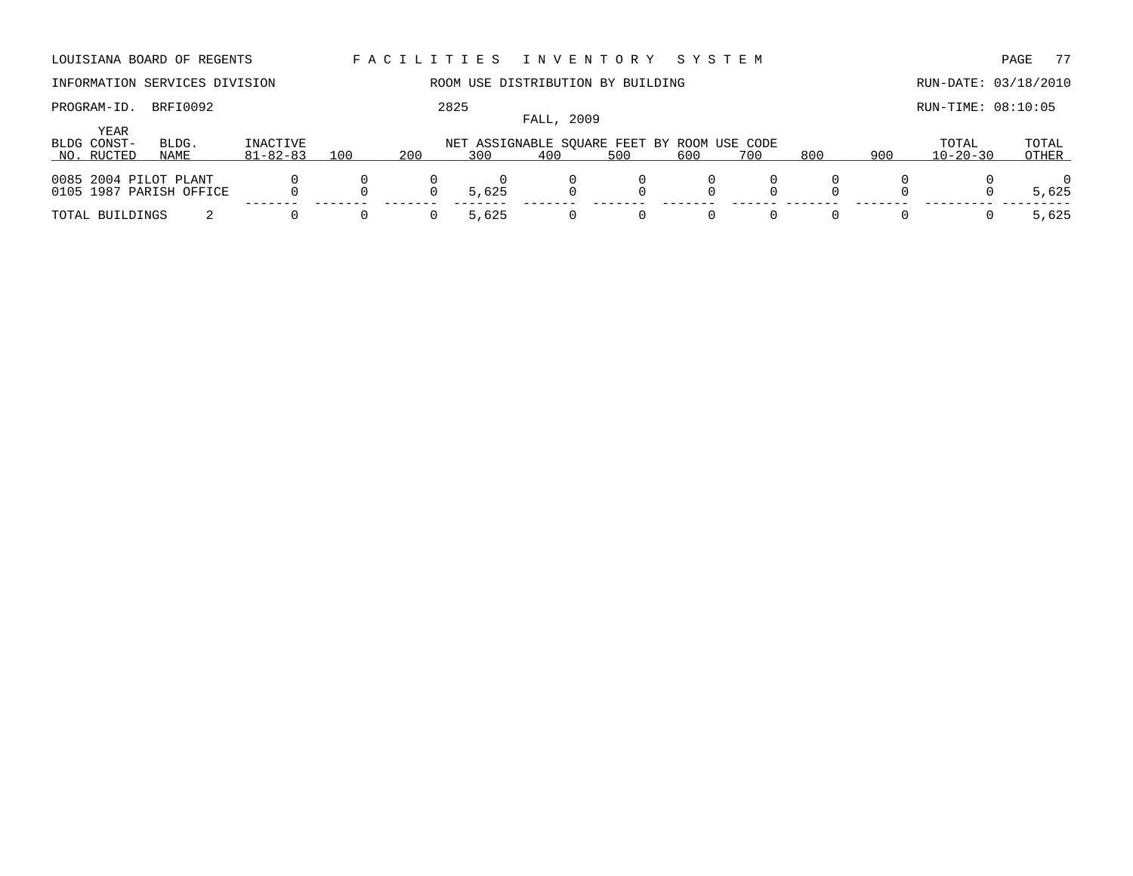LOUISIANA BOARD OF REGENTS F A C I L I T I E S I N V E N T O R Y S Y S T E M PAGE 77 INFORMATION SERVICES DIVISION ROOM USE DISTRIBUTION BY BUILDING RUN-DATE: 03/18/2010 PROGRAM-ID. BRFI0092 2825 RUN-TIME: 08:10:05 FALL, 2009 YEAR BLDG CONST- BLDG. INACTIVE NET ASSIGNABLE SQUARE FEET BY ROOM USE CODE TOTAL TOTAL NO. \_\_\_\_\_RUCTED \_\_\_\_\_\_\_\_\_\_\_\_\_\_\_\_\_\_\_\_ NAME 81-82-83 \_\_\_\_\_\_\_\_\_\_\_\_\_\_\_\_\_\_\_\_ 100 200 \_\_\_\_\_\_\_\_\_300 \_\_\_\_\_\_\_\_\_400 \_\_\_\_\_\_\_\_\_500 \_\_\_\_\_\_\_\_\_600 \_\_\_\_\_\_\_\_700 \_\_\_\_\_\_\_\_800 \_\_\_\_\_\_\_\_\_\_\_\_\_\_\_\_\_ 900 10-20-30 \_\_\_\_\_\_\_\_\_\_\_ OTHER \_\_\_\_\_\_\_ 0085 2004 PILOT PLANT 0 0 0 0 0 0 0 0 0 0 0105 1987 PARISH OFFICE 0 0 0 5,625 0 0 0 0 0 0 0 5,625 ------- ------- ------- ------- ------- ------- ------- ------ ------- ------- --------- --------- TOTAL BUILDINGS 2 0 0 0 5,625 0 0 0 0 0 0 0 5,625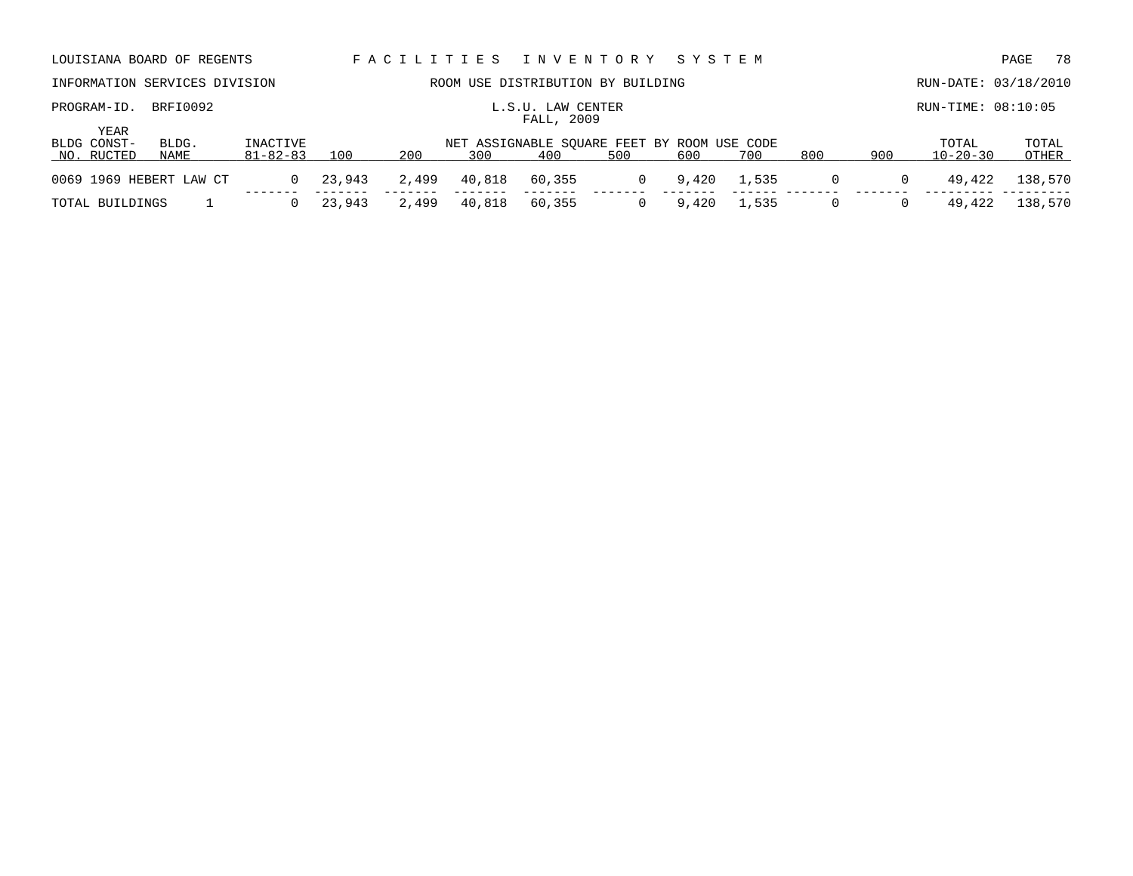|                                   | LOUISIANA BOARD OF REGENTS    |                                                                                                                                          |        | FACILITIES |        | INVENTORY SYSTEM                  |          |       |       |          |          |                      | PAGE<br>-78    |
|-----------------------------------|-------------------------------|------------------------------------------------------------------------------------------------------------------------------------------|--------|------------|--------|-----------------------------------|----------|-------|-------|----------|----------|----------------------|----------------|
|                                   | INFORMATION SERVICES DIVISION |                                                                                                                                          |        |            |        | ROOM USE DISTRIBUTION BY BUILDING |          |       |       |          |          | RUN-DATE: 03/18/2010 |                |
| PROGRAM-ID.                       | BRFI0092                      |                                                                                                                                          |        |            |        | L.S.U. LAW CENTER<br>FALL, 2009   |          |       |       |          |          | $RUN-TIME: 08:10:05$ |                |
| YEAR<br>BLDG CONST-<br>NO. RUCTED | BLDG.<br>NAME                 | INACTIVE<br>NET ASSIGNABLE SOUARE FEET BY ROOM USE CODE<br>200<br>800<br>900<br>$81 - 82 - 83$<br>100<br>300<br>400<br>600<br>500<br>700 |        |            |        |                                   |          |       |       |          |          |                      | TOTAL<br>OTHER |
| 0069 1969 HEBERT LAW CT           |                               |                                                                                                                                          | 23,943 | 2,499      | 40,818 | 60,355                            | $\Omega$ | 9,420 | 1,535 | $\Omega$ | 0        | 49,422               | 138,570        |
| TOTAL BUILDINGS                   |                               |                                                                                                                                          | 23,943 | 2,499      | 40,818 | 60,355                            |          | 9,420 | 1,535 |          | $\Omega$ | 49,422               | 138,570        |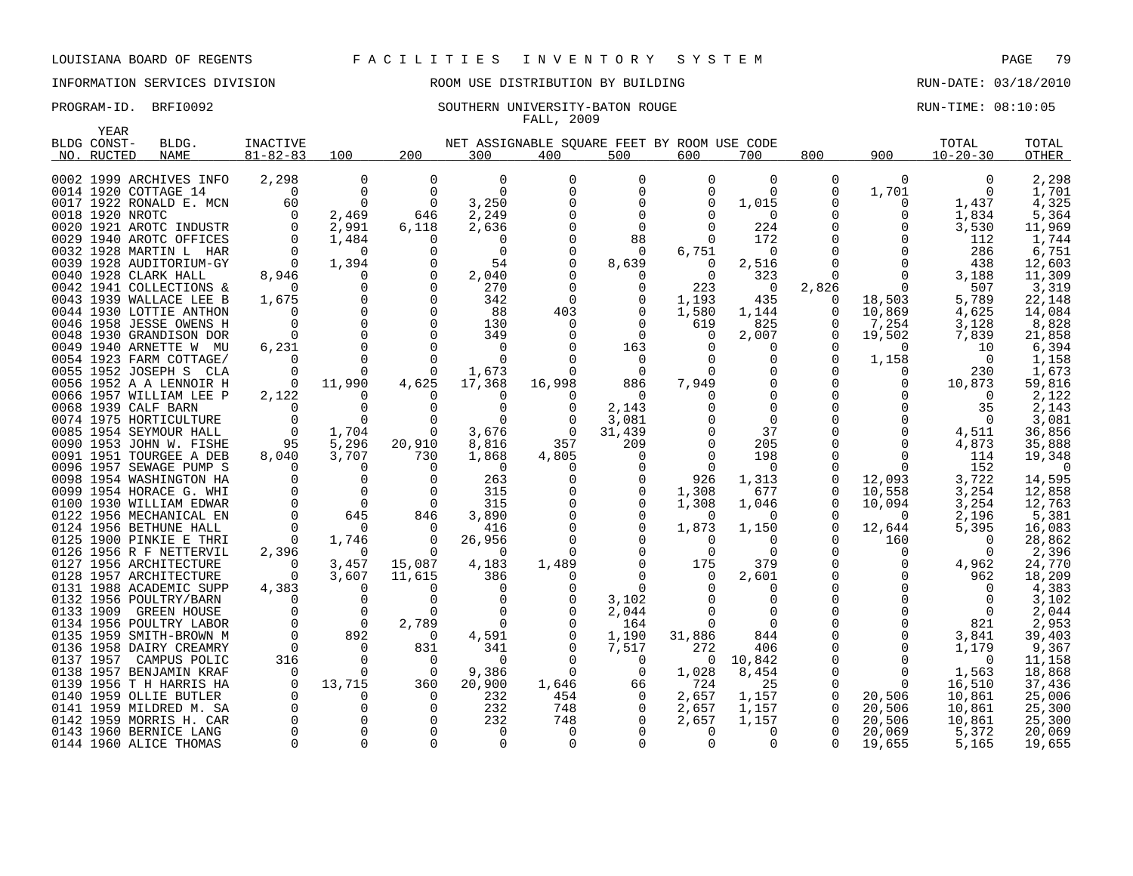# INFORMATION SERVICES DIVISION ROOM USE DISTRIBUTION BY BUILDING RUN-DATE: 03/18/2010

### PROGRAM-ID. BRFI0092 SOUTHERN UNIVERSITY-BATON ROUGE RUN-TIME: 08:10:05 FALL, 2009

| YEAR            |                         |                |                |          |             |                                             |             |             |          |              |              |                |        |
|-----------------|-------------------------|----------------|----------------|----------|-------------|---------------------------------------------|-------------|-------------|----------|--------------|--------------|----------------|--------|
| BLDG CONST-     | BLDG.                   | INACTIVE       |                |          |             | NET ASSIGNABLE SQUARE FEET BY ROOM USE CODE |             |             |          |              |              | TOTAL          | TOTAL  |
| NO. RUCTED      | <b>NAME</b>             | $81 - 82 - 83$ | 100            | 200      | 300         | 400                                         | 500         | 600         | 700      | 800          | 900          | $10 - 20 - 30$ | OTHER  |
|                 |                         |                |                |          |             |                                             |             |             |          |              |              |                |        |
|                 | 0002 1999 ARCHIVES INFO | 2,298          | 0              | $\Omega$ | $\Omega$    |                                             | 0           | $\Omega$    | $\Omega$ | 0            | $\Omega$     | 0              | 2,298  |
|                 | 0014 1920 COTTAGE 14    | $\Omega$       | $\Omega$       | $\Omega$ | $\Omega$    |                                             | 0           | $\Omega$    | $\Omega$ | 0            | 1,701        |                | 1,701  |
|                 | 0017 1922 RONALD E. MCN | 60             | $\mathbf 0$    | 0        | 3,250       |                                             | 0           | $\Omega$    | 1,015    | $\Omega$     | 0            | 1,437          | 4,325  |
| 0018 1920 NROTC |                         | $\Omega$       | 2,469          | 646      | 2,249       |                                             | 0           |             | $\Omega$ | 0            | O            | 1,834          | 5,364  |
|                 | 0020 1921 AROTC INDUSTR | 0              | 2,991          | 6,118    | 2,636       |                                             | $\Omega$    | U           | 224      | 0            |              | 3,530          | 11,969 |
|                 | 0029 1940 AROTC OFFICES | $\Omega$       | 1,484          |          | 0           |                                             | 88          | $\Omega$    | 172      | $\Omega$     |              | 112            | 1,744  |
|                 | 0032 1928 MARTIN L HAR  | $\Omega$       | $\Omega$       |          | 0           |                                             | $\Omega$    | 6,751       | 0        | $\Omega$     |              | 286            | 6,751  |
|                 | 0039 1928 AUDITORIUM-GY | $\overline{0}$ | 1,394          |          | 54          |                                             | 8,639       | $\Omega$    | 2,516    | $\Omega$     |              | 438            | 12,603 |
|                 | 0040 1928 CLARK HALL    | 8,946          | $\Omega$       |          | 2,040       |                                             | $\Omega$    | $\Omega$    | 323      | $\Omega$     |              | 3,188          | 11,309 |
|                 | 0042 1941 COLLECTIONS & | $\Omega$       | 0              |          | 270         |                                             | 0           | 223         | 0        | 2,826        | $\Omega$     | 507            | 3,319  |
|                 | 0043 1939 WALLACE LEE B | 1,675          | $\mathbf 0$    |          | 342         | $\Omega$                                    | 0           | 1,193       | 435      | 0            | 18,503       | 5,789          | 22,148 |
|                 | 0044 1930 LOTTIE ANTHON | $\Omega$       | $\mathbf 0$    |          | 88          | 403                                         | $\Omega$    | 1,580       | 1,144    | 0            | 10,869       | 4,625          | 14,084 |
|                 | 0046 1958 JESSE OWENS H | $\Omega$       | $\Omega$       |          | 130         |                                             | $\Omega$    | 619         | 825      | $\Omega$     | 7,254        | 3,128          | 8,828  |
|                 | 0048 1930 GRANDISON DOR | $\Omega$       | $\Omega$       |          | 349         |                                             | $\Omega$    | $\Omega$    | 2,007    | 0            | 19,502       | 7,839          | 21,858 |
|                 | 0049 1940 ARNETTE W MU  | 6,231          | $\mathbf 0$    |          | 0           |                                             | 163         |             | 0        | 0            | $\Omega$     | 10             | 6,394  |
|                 | 0054 1923 FARM COTTAGE/ | $\Omega$       | $\Omega$       |          | $\Omega$    |                                             | 0           |             | $\Omega$ | $\mathbf 0$  | 1,158        | - 0            | 1,158  |
|                 | 0055 1952 JOSEPH S CLA  | $\Omega$       | $\Omega$       |          | 1,673       |                                             | $\Omega$    | 0           | $\Omega$ | $\Omega$     | $\Omega$     | 230            | 1,673  |
|                 | 0056 1952 A A LENNOIR H | 0              | 11,990         | 4,625    | 17,368      | 16,998                                      | 886         | 7,949       | $\Omega$ | 0            | O            | 10,873         | 59,816 |
|                 | 0066 1957 WILLIAM LEE P | 2,122          |                |          | $\Omega$    |                                             | $\Omega$    |             | $\Omega$ |              |              | $\Omega$       | 2,122  |
|                 | 0068 1939 CALF BARN     | $\Omega$       | $\Omega$       |          | $\Omega$    |                                             | 2,143       |             | $\Omega$ | <sup>n</sup> |              | 35             | 2,143  |
|                 | 0074 1975 HORTICULTURE  | $\mathbf 0$    | $\Omega$       |          | $\Omega$    |                                             | 3,081       |             | 0        | $\Omega$     |              | $\Omega$       | 3,081  |
|                 | 0085 1954 SEYMOUR HALL  | $\overline{0}$ | 1,704          | $\Omega$ | 3,676       | $\Omega$                                    | 31,439      |             | 37       |              |              | 4,511          | 36,856 |
|                 | 0090 1953 JOHN W. FISHE | 95             | 5,296          | 20,910   | 8,816       | 357                                         | 209         |             | 205      |              |              | 4,873          | 35,888 |
|                 | 0091 1951 TOURGEE A DEB | 8,040          | 3,707          | 730      | 1,868       | 4,805                                       | 0           | 0           | 198      | $\Omega$     |              | 114            | 19,348 |
|                 | 0096 1957 SEWAGE PUMP S | $\Omega$       | 0              | ∩        | 0           |                                             | 0           | $\Omega$    | 0        | <sup>0</sup> | <sup>0</sup> | 152            | O      |
|                 | 0098 1954 WASHINGTON HA | $\Omega$       | $\Omega$       |          | 263         |                                             | 0           | 926         | 1,313    | 0            | 12,093       | 3,722          | 14,595 |
|                 | 0099 1954 HORACE G. WHI | $\Omega$       | $\Omega$       | $\Omega$ | 315         |                                             | $\Omega$    | 1,308       | 677      | $\Omega$     | 10,558       | 3,254          | 12,858 |
|                 | 0100 1930 WILLIAM EDWAR | $\mathbf 0$    | $\overline{0}$ | $\Omega$ | 315         |                                             | 0           | 1,308       | 1,046    | 0            | 10,094       | 3,254          | 12,763 |
|                 | 0122 1956 MECHANICAL EN | $\mathbf 0$    | 645            | 846      | 3,890       |                                             | 0           | $\Omega$    | $\Omega$ | $\Omega$     | $\Omega$     | 2,196          | 5,381  |
|                 | 0124 1956 BETHUNE HALL  | $\Omega$       | $\Omega$       | $\Omega$ | 416         |                                             | 0           | 1,873       | 1,150    | 0            | 12,644       | 5,395          | 16,083 |
|                 | 0125 1900 PINKIE E THRI | 0              | 1,746          | $\Omega$ | 26,956      |                                             | $\Omega$    | 0           | $\Omega$ | $\Omega$     | 160          | $\Omega$       | 28,862 |
|                 | 0126 1956 R F NETTERVIL | 2,396          | 0              | $\Omega$ | $\Omega$    |                                             | $\Omega$    | $\Omega$    | $\Omega$ | $\Omega$     | $\Omega$     | $\cap$         | 2,396  |
|                 | 0127 1956 ARCHITECTURE  | $\Omega$       | 3,457          | 15,087   | 4,183       | 1,489                                       | $\Omega$    | 175         | 379      | $\Omega$     |              | 4,962          | 24,770 |
|                 | 0128 1957 ARCHITECTURE  | 0              | 3,607          | 11,615   | 386         |                                             | $\Omega$    | 0           | 2,601    | $\Omega$     |              | 962            | 18,209 |
|                 | 0131 1988 ACADEMIC SUPP | 4,383          | $\Omega$       | ∩        | $\Omega$    |                                             | $\Omega$    |             | $\Omega$ | $\Omega$     |              | $\Omega$       | 4,383  |
|                 | 0132 1956 POULTRY/BARN  | $\Omega$       | 0              | $\Omega$ | 0           |                                             | 3,102       |             | 0        | $\Omega$     |              |                | 3,102  |
| 0133 1909       | GREEN HOUSE             | $\Omega$       | $\Omega$       |          | $\Omega$    |                                             | 2,044       |             | $\Omega$ |              |              | $\Omega$       | 2,044  |
|                 | 0134 1956 POULTRY LABOR | $\Omega$       | $\overline{0}$ | 2,789    | $\Omega$    |                                             | 164         | 0           | $\Omega$ |              |              | 821            | 2,953  |
|                 | 0135 1959 SMITH-BROWN M | $\Omega$       | 892            | $\Omega$ | 4,591       |                                             | 1,190       | 31,886      | 844      | 0            | $\Omega$     | 3,841          | 39,403 |
|                 | 0136 1958 DAIRY CREAMRY | $\Omega$       | $\Omega$       | 831      | 341         |                                             | 7,517       | 272         | 406      | $\Omega$     | $\Omega$     | 1,179          | 9,367  |
| 0137 1957       | CAMPUS POLIC            | 316            | $\overline{0}$ | $\Omega$ | 0           |                                             | 0           | 0           | 10,842   | 0            | $\Omega$     | 0              | 11,158 |
|                 | 0138 1957 BENJAMIN KRAF | $\Omega$       | $\Omega$       | $\Omega$ | 9,386       |                                             | 0           | 1,028       | 8,454    | 0            | $\Omega$     | 1,563          | 18,868 |
|                 | 0139 1956 T H HARRIS HA | $\mathbf 0$    | 13,715         | 360      | 20,900      | 1,646                                       | 66          | 724         | 25       | 0            | $\Omega$     | 16,510         | 37,436 |
|                 | 0140 1959 OLLIE BUTLER  | $\Omega$       | $\Omega$       | n        | 232         | 454                                         | 0           | 2,657       | 1,157    | 0            | 20,506       | 10,861         | 25,006 |
|                 | 0141 1959 MILDRED M. SA | $\mathbf 0$    | $\mathbf 0$    |          | 232         | 748                                         | 0           | 2,657       | 1,157    | 0            | 20,506       | 10,861         | 25,300 |
|                 | 0142 1959 MORRIS H. CAR | $\mathbf 0$    | $\mathbf 0$    |          | 232         | 748                                         | 0           | 2,657       | 1,157    | 0            | 20,506       | 10,861         | 25,300 |
|                 | 0143 1960 BERNICE LANG  | $\Omega$       | $\Omega$       |          | $\Omega$    |                                             |             | $\Omega$    | $\Omega$ | $\Omega$     | 20,069       | 5,372          | 20,069 |
|                 | 0144 1960 ALICE THOMAS  | $\mathbf 0$    | $\mathbf 0$    | $\Omega$ | $\mathbf 0$ | 0                                           | $\mathbf 0$ | $\mathbf 0$ | 0        | $\Omega$     | 19,655       | 5,165          | 19,655 |

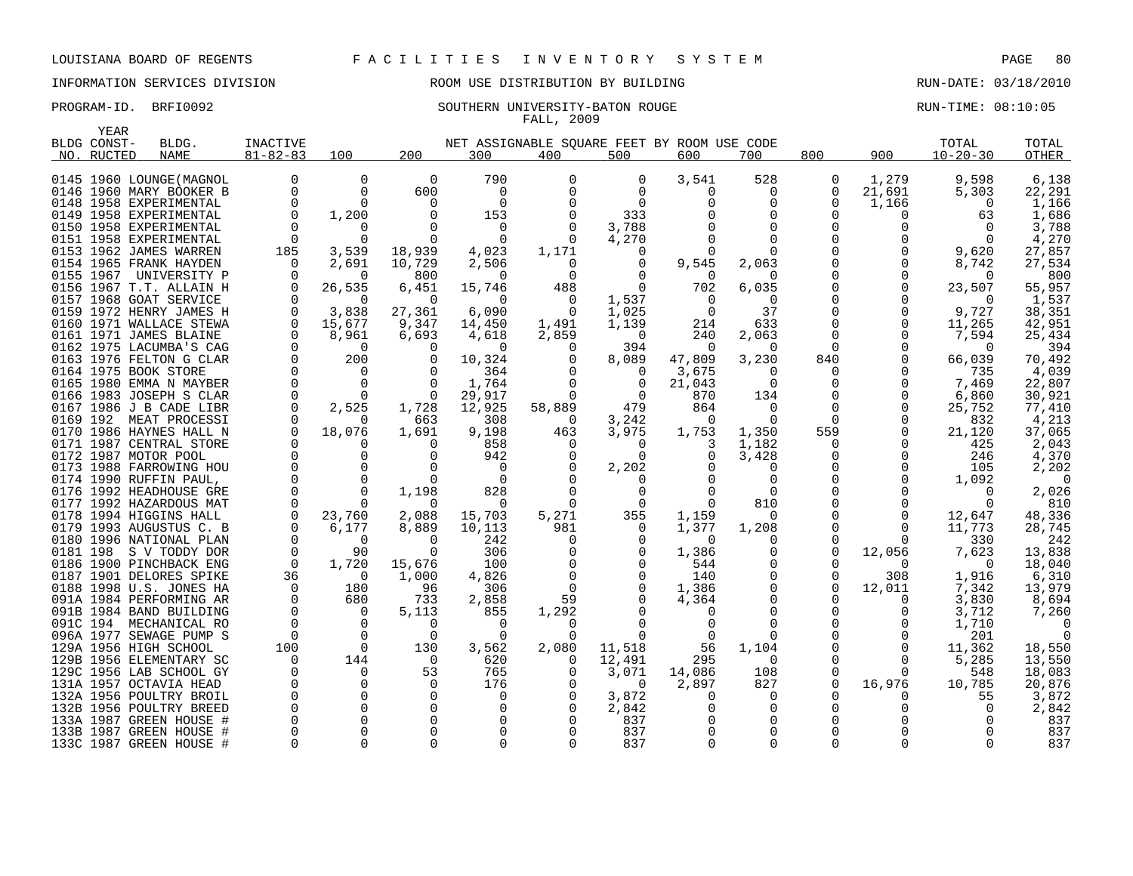### INFORMATION SERVICES DIVISION ROOM USE DISTRIBUTION BY BUILDING RUN-DATE: 03/18/2010

### PROGRAM-ID. BRFI0092 SOUTHERN UNIVERSITY-BATON ROUGE RUN-TIME: 08:10:05 FALL, 2009

| YEAR        |                                                   |                 |                |                   |                                             |                 |                   |                 |                   |               |          |                    |                 |
|-------------|---------------------------------------------------|-----------------|----------------|-------------------|---------------------------------------------|-----------------|-------------------|-----------------|-------------------|---------------|----------|--------------------|-----------------|
| BLDG CONST- | BLDG.                                             | <b>INACTIVE</b> |                |                   | NET ASSIGNABLE SOUARE FEET BY ROOM USE CODE |                 |                   |                 |                   |               |          | TOTAL              | TOTAL           |
| NO. RUCTED  | <b>NAME</b>                                       | $81 - 82 - 83$  | 100            | 200               | 300                                         | 400             | 500               | 600             | 700               | 800           | 900      | $10 - 20 - 30$     | OTHER           |
|             |                                                   |                 | 0              | $\overline{0}$    | 790                                         | 0               | 0                 | 3,541           | 528               | 0             | 1,279    | 9,598              |                 |
|             | 0145 1960 LOUNGE (MAGNOL                          | $\Omega$        | $\Omega$       |                   |                                             | 0               |                   |                 |                   |               |          |                    | 6,138           |
|             | 0146 1960 MARY BOOKER B                           |                 |                | 600               | 0                                           |                 | $\Omega$          | $\Omega$        | 0                 | 0<br>$\Omega$ | 21,691   | 5,303              | 22,291          |
|             | 0148 1958 EXPERIMENTAL                            |                 | 0              | $\Omega$          | $\mathbf 0$                                 |                 | $\Omega$          |                 | 0                 |               | 1,166    | $\Omega$           | 1,166           |
|             | 0149 1958 EXPERIMENTAL                            |                 | 1,200          |                   | 153                                         |                 | 333               |                 | 0                 | O             |          | 63                 | 1,686           |
|             | 0150 1958 EXPERIMENTAL                            |                 | O              |                   | 0                                           |                 | 3,788             |                 | $\Omega$          | O<br>U        |          |                    | 3,788           |
|             | 0151 1958 EXPERIMENTAL                            | $\Omega$        | $\Omega$       | $\Omega$          | $\Omega$                                    | $\Omega$        | 4,270             |                 | $\Omega$          |               |          |                    | 4,270           |
|             | 0153 1962 JAMES WARREN                            | 185             | 3,539          | 18,939            | 4,023                                       | 1,171           | $\Omega$          |                 | U                 |               |          | 9,620              | 27,857          |
|             | 0154 1965 FRANK HAYDEN                            | $\Omega$        | 2,691          | 10,729            | 2,506                                       | $\Omega$        | 0                 | 9,545           | 2,063             |               |          | 8,742              | 27,534          |
|             | 0155 1967 UNIVERSITY P                            |                 | $\Omega$       | 800               | $\Omega$                                    | $\Omega$        | $\Omega$          |                 | O                 |               |          | $\Omega$           | 800             |
|             | 0156 1967 T.T. ALLAIN H<br>0157 1968 GOAT SERVICE |                 | 26,535<br>0    | 6,451<br>$\Omega$ | 15,746<br>$\Omega$                          | 488<br>$\Omega$ | 1,537             | 702<br>$\Omega$ | 6,035<br>$\Omega$ | O             |          | 23,507<br>$\Omega$ | 55,957<br>1,537 |
|             | 0159 1972 HENRY JAMES H                           |                 | 3,838          | 27,361            |                                             | $\Omega$        |                   | $\Omega$        | 37                | $\Omega$      | $\Omega$ |                    | 38,351          |
|             | 0160 1971 WALLACE STEWA                           | $\Omega$        | 15,677         |                   | 6,090                                       |                 | 1,025             |                 | 633               | 0             | $\Omega$ | 9,727              | 42,951          |
|             | 0161 1971 JAMES BLAINE                            |                 | 8,961          | 9,347             | 14,450                                      | 1,491<br>2,859  | 1,139<br>$\Omega$ | 214             |                   | $\Omega$      |          | 11,265             |                 |
|             | 0162 1975 LACUMBA'S CAG                           |                 | $\Omega$       | 6,693<br>$\Omega$ | 4,618<br>$\Omega$                           | $\Omega$        | 394               | 240<br>$\Omega$ | 2,063<br>$\Omega$ | $\Omega$      |          | 7,594<br>$\Omega$  | 25,434<br>394   |
|             | 0163 1976 FELTON G CLAR                           | $\Omega$        | 200            |                   | 10,324                                      |                 | 8,089             | 47,809          | 3,230             | 840           | $\Omega$ | 66,039             | 70,492          |
|             | 0164 1975 BOOK STORE                              |                 | $\Omega$       | $\Omega$          |                                             |                 | $\Omega$          |                 | 0                 | 0             |          |                    | 4,039           |
|             | 0165 1980 EMMA N MAYBER                           |                 | $\Omega$       | $\Omega$          | 364<br>1,764                                |                 | 0                 | 3,675<br>21,043 | 0                 | 0             |          | 735<br>7,469       | 22,807          |
|             | 0166 1983 JOSEPH S CLAR                           |                 | $\Omega$       | $\Omega$          | 29,917                                      |                 | $\Omega$          | 870             | 134               | O             | $\Omega$ | 6,860              | 30,921          |
|             | 0167 1986 J B CADE LIBR                           |                 | 2,525          | 1,728             | 12,925                                      | 58,889          | 479               | 864             | 0                 | $\Omega$      | $\Omega$ | 25,752             | 77,410          |
|             | 0169 192 MEAT PROCESSI                            |                 | U              | 663               | 308                                         | 0               | 3,242             | <sup>0</sup>    | $\Omega$          | $\Omega$      |          | 832                | 4,213           |
|             | 0170 1986 HAYNES HALL N                           |                 | 18,076         | 1,691             | 9,198                                       | 463             | 3,975             | 1,753           | 1,350             | 559           | $\Omega$ | 21,120             | 37,065          |
|             | 0171 1987 CENTRAL STORE                           | $\Omega$        | 0              | $\Omega$          | 858                                         | <sup>0</sup>    | $\Omega$          | 3               | 1,182             | $\Omega$      | $\Omega$ | 425                | 2,043           |
|             | 0172 1987 MOTOR POOL                              |                 | $\Omega$       | $\Omega$          | 942                                         |                 | $\Omega$          | 0               | 3,428             | $\Omega$      | $\Omega$ | 246                | 4,370           |
|             | 0173 1988 FARROWING HOU                           |                 | 0              |                   | $\Omega$                                    |                 | 2,202             |                 | 0                 | 0             |          | 105                | 2,202           |
|             | 0174 1990 RUFFIN PAUL,                            |                 | $\Omega$       | $\Omega$          | $\Omega$                                    |                 |                   |                 | 0                 |               |          | 1,092              | $\Omega$        |
|             | 0176 1992 HEADHOUSE GRE                           |                 | $\Omega$       | 1,198             | 828                                         |                 | 0                 |                 | $\Omega$          |               |          | $\Omega$           | 2,026           |
|             | 0177 1992 HAZARDOUS MAT                           |                 | <sup>0</sup>   |                   | $\Omega$                                    | 0               | $\Omega$          | 0               | 810               |               |          |                    | 810             |
|             | 0178 1994 HIGGINS HALL                            |                 | 23,760         | 2,088             | 15,703                                      | 5,271           | 355               | 1,159           | 0                 |               |          | 12,647             | 48,336          |
|             | 0179 1993 AUGUSTUS C. B                           |                 | 6,177          | 8,889             | 10,113                                      | 981             | $\Omega$          | 1,377           | 1,208             | O             | $\Omega$ | 11,773             | 28,745          |
|             | 0180 1996 NATIONAL PLAN                           |                 | 0              | $\Omega$          | 242                                         | 0               | 0                 | 0               | 0                 | 0             | $\Omega$ | 330                | 242             |
|             | 0181 198 S V TODDY DOR                            |                 | 90             | $\Omega$          | 306                                         |                 |                   | 1,386           | 0                 | 0             | 12,056   | 7,623              | 13,838          |
|             | 0186 1900 PINCHBACK ENG                           | $\Omega$        | 1,720          | 15,676            | 100                                         |                 |                   | 544             | 0                 | O             |          | $\Omega$           | 18,040          |
|             | 0187 1901 DELORES SPIKE                           | 36              | $\Omega$       | 1,000             | 4,826                                       |                 |                   | 140             | $\Omega$          | $\Omega$      | 308      | 1,916              | 6,310           |
|             | 0188 1998 U.S. JONES HA                           | $\Omega$        | 180            | 96                | 306                                         | $\Omega$        |                   | 1,386           | 0                 | $\Omega$      | 12,011   | 7,342              | 13,979          |
|             | 091A 1984 PERFORMING AR                           | $\Omega$        | 680            | 733               | 2,858                                       | 59              |                   | 4,364           | $\Omega$          |               |          | 3,830              | 8,694           |
|             | 091B 1984 BAND BUILDING                           | $\Omega$        | $\Omega$       | 5,113             | 855                                         | 1,292           |                   |                 | O                 |               |          | 3,712              | 7,260           |
|             | 091C 194 MECHANICAL RO                            | $\Omega$        | $\overline{0}$ | $\Omega$          | $\Omega$                                    | $\Omega$        |                   |                 | $\Omega$          |               |          | 1,710              |                 |
|             | 096A 1977 SEWAGE PUMP S                           | $\Omega$        | $\Omega$       | $\Omega$          | $\Omega$                                    |                 |                   |                 | U                 |               |          | 201                |                 |
|             | 129A 1956 HIGH SCHOOL                             | 100             | $\mathbf 0$    | 130               | 3,562                                       | 2,080           | 11,518            | 56              | 1,104             |               |          | 11,362             | 18,550          |
|             | 129B 1956 ELEMENTARY SC                           | $\Omega$        | 144            | $\Omega$          | 620                                         | $\Omega$        | 12,491            | 295             | $\Omega$          | O             |          | 5,285              | 13,550          |
|             | 129C 1956 LAB SCHOOL GY                           |                 | $\Omega$       | 53                | 765                                         |                 | 3,071             | 14,086          | 108               |               |          | 548                | 18,083          |
|             | 131A 1957 OCTAVIA HEAD                            |                 | 0              | $\Omega$          | 176                                         |                 | $\Omega$          | 2,897           | 827               | 0             | 16,976   | 10,785             | 20,876          |
|             | 132A 1956 POULTRY BROIL                           |                 | $\Omega$       | $\Omega$          | 0                                           |                 | 3,872             | <sup>0</sup>    | O                 |               |          | 55                 | 3,872           |
|             | 132B 1956 POULTRY BREED                           |                 | $\Omega$       | $\Omega$          | $\Omega$                                    |                 | 2,842             |                 | 0                 | ∩             |          |                    | 2,842           |
|             | 133A 1987 GREEN HOUSE #                           |                 | $\Omega$       |                   | 0                                           |                 | 837               |                 | 0                 |               |          |                    | 837             |
|             | 133B 1987 GREEN HOUSE #                           |                 | $\Omega$       |                   | $\Omega$                                    |                 | 837               |                 | $\Omega$          |               |          |                    | 837             |
|             | 133C 1987 GREEN HOUSE #                           |                 | $\Omega$       |                   | $\Omega$                                    |                 | 837               |                 | 0                 | U             |          |                    | 837             |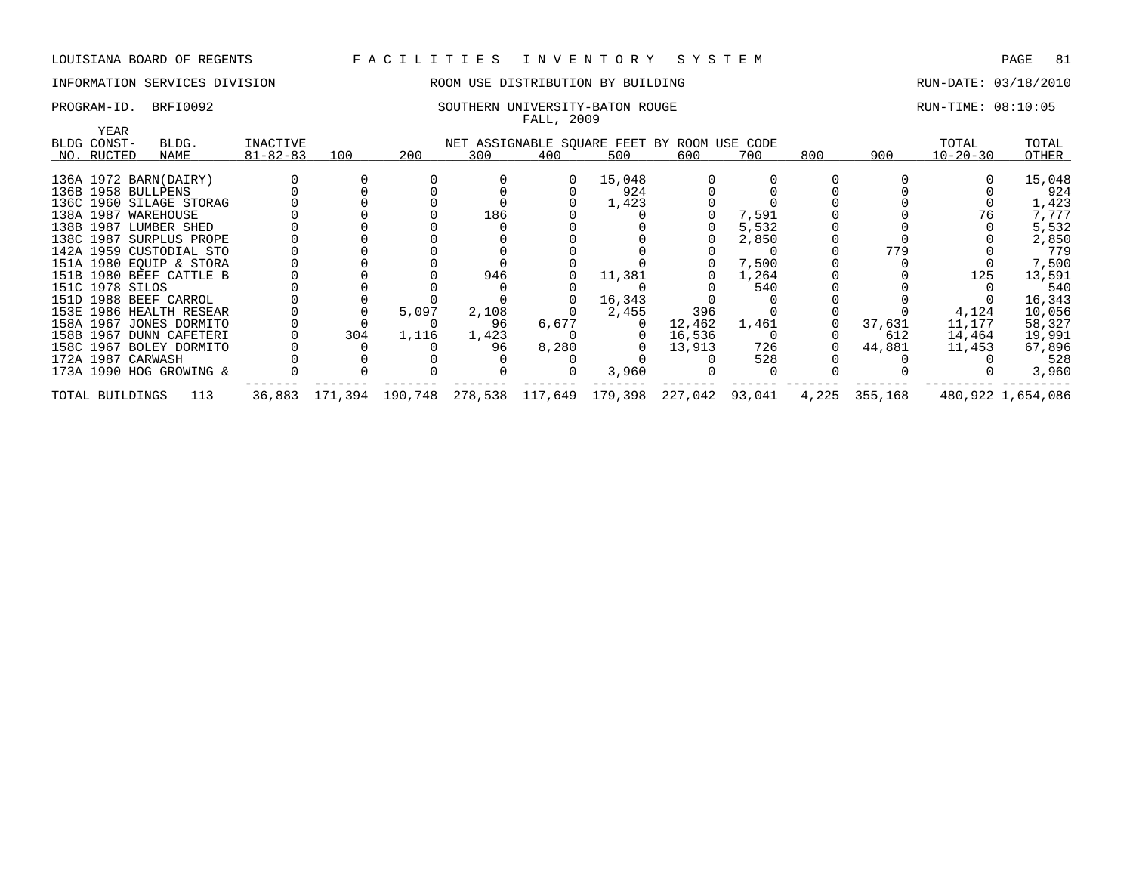### INFORMATION SERVICES DIVISION ROOM USE DISTRIBUTION BY BUILDING RUN-DATE: 03/18/2010

| PROGRAM-ID. | BRFI0092 | SOUTHERN UNIVERSITY-BATON ROUGE | RUN-TIME: 08:10:05 |
|-------------|----------|---------------------------------|--------------------|
|             |          |                                 |                    |

| YEAR<br>BLDG CONST- | BLDG.                   | INACTIVE       |     |       |       | NET ASSIGNABLE SQUARE FEET BY ROOM USE CODE                   |                |        |       |     |               | TOTAL          | TOTAL             |
|---------------------|-------------------------|----------------|-----|-------|-------|---------------------------------------------------------------|----------------|--------|-------|-----|---------------|----------------|-------------------|
| NO. RUCTED          | NAME                    | $81 - 82 - 83$ | 100 | 200   | 300   | 400                                                           | 500            | 600    | 700   | 800 | 900           | $10 - 20 - 30$ | OTHER             |
|                     |                         |                |     |       |       |                                                               |                |        |       |     |               |                |                   |
|                     | 136A 1972 BARN(DAIRY)   |                |     |       |       |                                                               | 15,048         |        |       |     |               |                | 15,048            |
|                     | 136B 1958 BULLPENS      |                |     |       |       |                                                               | 924            |        |       |     |               |                | 924               |
|                     | 136C 1960 SILAGE STORAG |                |     |       |       |                                                               | 1,423          |        |       |     |               |                | 1,423             |
|                     | 138A 1987 WAREHOUSE     |                |     |       | 186   |                                                               |                |        | 7,591 |     |               | 76             | 7,777             |
|                     | 138B 1987 LUMBER SHED   |                |     |       |       |                                                               |                |        | 5,532 |     |               |                | 5,532             |
|                     | 138C 1987 SURPLUS PROPE |                |     |       |       |                                                               |                |        | 2,850 |     |               |                | 2,850             |
|                     | 142A 1959 CUSTODIAL STO |                |     |       |       |                                                               |                |        |       |     | 779           |                | 779               |
|                     | 151A 1980 EQUIP & STORA |                |     |       |       |                                                               |                |        | 7,500 |     |               |                | 7,500             |
|                     | 151B 1980 BEEF CATTLE B |                |     |       | 946   |                                                               | 11,381         |        | 1,264 |     |               | 125            | 13,591            |
| 151C 1978 SILOS     |                         |                |     |       |       |                                                               |                |        | 540   |     |               |                | 540               |
|                     | 151D 1988 BEEF CARROL   |                |     |       |       |                                                               | 16,343         |        |       |     |               |                | 16,343            |
|                     | 153E 1986 HEALTH RESEAR |                |     | 5,097 | 2,108 |                                                               | 2,455          | 396    |       |     |               | 4,124          | 10,056            |
|                     | 158A 1967 JONES DORMITO |                |     |       | 96    | 6,677                                                         | $\overline{0}$ | 12,462 | 1,461 |     | 37,631        | 11,177         | 58,327            |
|                     | 158B 1967 DUNN CAFETERI |                | 304 | 1,116 | 1,423 |                                                               | $\overline{0}$ | 16,536 |       |     | 612           | 14,464         | 19,991            |
|                     | 158C 1967 BOLEY DORMITO |                |     |       | 96    | 8,280                                                         | $\Omega$       | 13,913 | 726   |     | 44,881        | 11,453         | 67,896            |
|                     | 172A 1987 CARWASH       |                |     |       |       |                                                               |                |        | 528   |     |               |                | 528               |
|                     | 173A 1990 HOG GROWING & |                |     |       |       |                                                               | 3,960          |        |       |     |               |                | 3,960             |
| TOTAL BUILDINGS     | 113                     |                |     |       |       | 36,883 171,394 190,748 278,538 117,649 179,398 227,042 93,041 |                |        |       |     | 4,225 355,168 |                | 480,922 1,654,086 |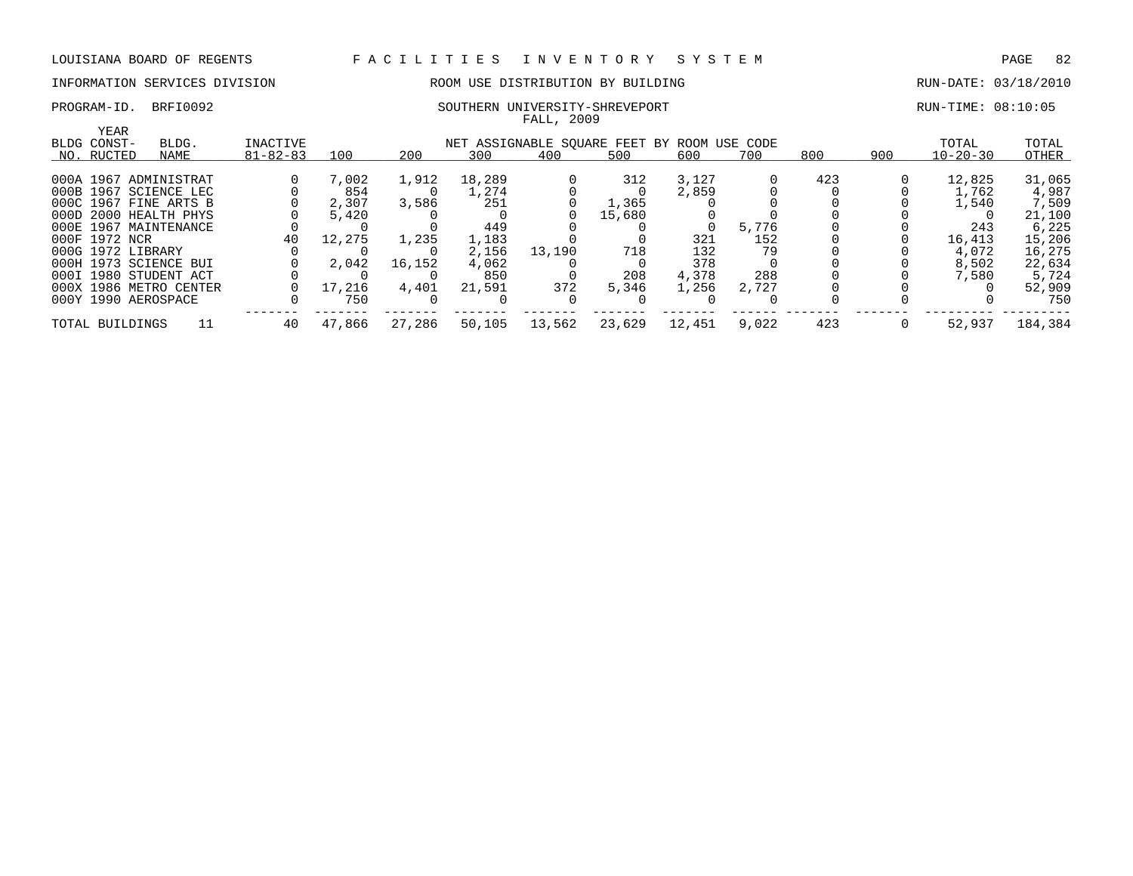### PROGRAM-ID. BRFI0092 SOUTHERN UNIVERSITY-SHREVEPORT RUN-TIME: 08:10:05

### INFORMATION SERVICES DIVISION ROOM USE DISTRIBUTION BY BUILDING RUN-DATE: 03/18/2010

|                        |       |                |        |        |        | FALL, 2009                                  |        |        |       |     |     |                |         |
|------------------------|-------|----------------|--------|--------|--------|---------------------------------------------|--------|--------|-------|-----|-----|----------------|---------|
| YEAR<br>BLDG CONST-    | BLDG. | INACTIVE       |        |        |        | NET ASSIGNABLE SOUARE FEET BY ROOM USE CODE |        |        |       |     |     | TOTAL          | TOTAL   |
| NO. RUCTED             | NAME  | $81 - 82 - 83$ | 100    | 200    | 300    | 400                                         | 500    | 600    | 700   | 800 | 900 | $10 - 20 - 30$ | OTHER   |
| 000A 1967 ADMINISTRAT  |       |                | 7,002  | 1,912  | 18,289 |                                             | 312    | 3,127  |       | 423 |     | 12,825         | 31,065  |
| 000B 1967 SCIENCE LEC  |       |                | 854    |        | 1,274  |                                             |        | 2,859  |       |     |     | 1,762          | 4,987   |
| 000C 1967 FINE ARTS B  |       |                | 2,307  | 3,586  | 251    |                                             | 1,365  |        |       |     |     | 1,540          | 7,509   |
| 000D 2000 HEALTH PHYS  |       |                | 5,420  |        |        |                                             | 15,680 |        |       |     |     |                | 21,100  |
| 000E 1967 MAINTENANCE  |       |                |        |        | 449    |                                             |        |        | 5,776 |     |     | 243            | 6,225   |
| 000F 1972 NCR          |       | 40             | 12,275 | 1,235  | 1,183  |                                             |        | 321    | 152   |     |     | 16,413         | 15,206  |
| 000G 1972 LIBRARY      |       |                |        |        | 2,156  | 13,190                                      | 718    | 132    | 79    |     |     | 4,072          | 16,275  |
| 000H 1973 SCIENCE BUI  |       |                | 2,042  | 16,152 | 4,062  |                                             |        | 378    |       |     |     | 8,502          | 22,634  |
| 000I 1980 STUDENT ACT  |       |                |        |        | 850    |                                             | 208    | 4,378  | 288   |     |     | 7,580          | 5,724   |
| 000X 1986 METRO CENTER |       |                | 17,216 | 4,401  | 21,591 | 372                                         | 5,346  | 1,256  | 2,727 |     |     |                | 52,909  |
| 000Y 1990 AEROSPACE    |       |                | 750    |        |        |                                             |        |        |       |     |     |                | 750     |
| TOTAL BUILDINGS        | 11    | 40             | 47,866 | 27,286 | 50,105 | 13,562                                      | 23,629 | 12,451 | 9,022 | 423 |     | 52,937         | 184,384 |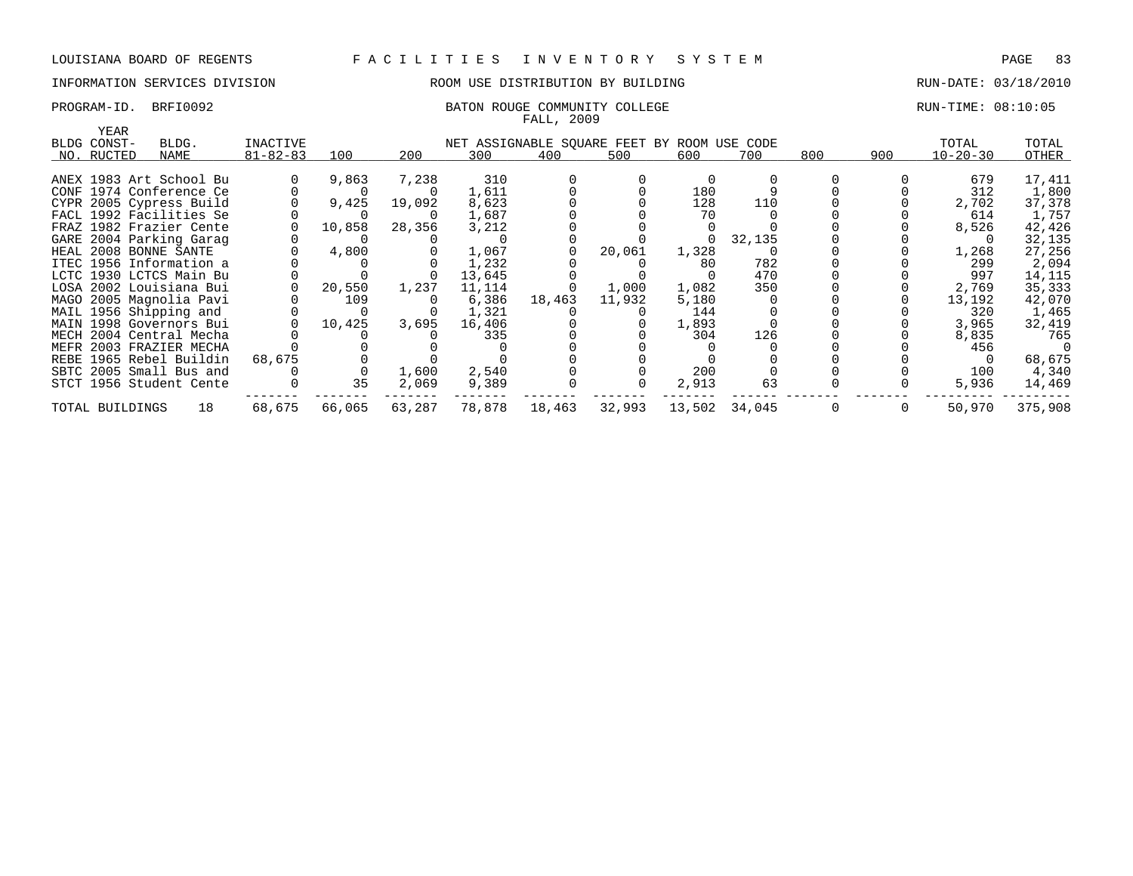### INFORMATION SERVICES DIVISION ROOM USE DISTRIBUTION BY BUILDING RUN-DATE: 03/18/2010

### PROGRAM-ID. BRFI0092 BATON ROUGE COMMUNITY COLLEGE RUN-TIME: 08:10:05 FALL, 2009

| YEAR<br>BLDG CONST- | BLDG.                   | INACTIVE       |                |        |        | NET ASSIGNABLE SQUARE FEET BY ROOM USE CODE |        |          |               |              |              | TOTAL          | TOTAL    |
|---------------------|-------------------------|----------------|----------------|--------|--------|---------------------------------------------|--------|----------|---------------|--------------|--------------|----------------|----------|
| NO. RUCTED          | NAME                    | $81 - 82 - 83$ | 100            | 200    | 300    | 400                                         | 500    | 600      | 700           | 800          | 900          | $10 - 20 - 30$ | OTHER    |
|                     |                         |                |                |        |        |                                             |        |          |               |              |              |                |          |
|                     | ANEX 1983 Art School Bu |                | 9,863          | 7,238  | 310    |                                             |        |          |               |              |              | 679            | 17,411   |
|                     | CONF 1974 Conference Ce |                | $\overline{0}$ |        | 1,611  |                                             |        | 180      |               |              |              | 312            | 1,800    |
|                     | CYPR 2005 Cypress Build |                | 9,425          | 19,092 | 8,623  |                                             |        | 128      | 110           |              |              | 2,702          | 37,378   |
|                     | FACL 1992 Facilities Se |                | $\Omega$       |        | 1,687  |                                             |        | 70       |               |              |              | 614            | 1,757    |
|                     | FRAZ 1982 Frazier Cente |                | 10,858         | 28,356 | 3,212  |                                             |        |          |               |              |              | 8,526          | 42,426   |
|                     | GARE 2004 Parking Garag |                |                |        |        |                                             |        | $\Omega$ | 32,135        |              |              |                | 32,135   |
|                     | HEAL 2008 BONNE SANTE   |                | 4,800          |        | 1,067  |                                             | 20,061 | 1,328    |               |              |              | 1,268          | 27,256   |
|                     | ITEC 1956 Information a |                |                |        | 1,232  |                                             |        | 80       | 782           |              |              | 299            | 2,094    |
|                     | LCTC 1930 LCTCS Main Bu |                |                |        | 13,645 |                                             |        |          | 470           |              |              | 997            | 14,115   |
|                     | LOSA 2002 Louisiana Bui |                | 20,550         | 1,237  | 11,114 |                                             | 1,000  | 1,082    | 350           |              |              | 2,769          | 35,333   |
|                     | MAGO 2005 Magnolia Pavi |                | 109            |        | 6,386  | 18,463                                      | 11,932 | 5,180    |               |              |              | 13,192         | 42,070   |
|                     | MAIL 1956 Shipping and  |                |                |        | 1,321  |                                             |        | 144      |               |              |              | 320            | 1,465    |
|                     | MAIN 1998 Governors Bui |                | 10,425         | 3,695  | 16,406 |                                             |        | 1,893    |               |              |              | 3,965          | 32,419   |
|                     | MECH 2004 Central Mecha |                |                |        | 335    |                                             |        | 304      | 126           |              |              | 8,835          | 765      |
|                     | MEFR 2003 FRAZIER MECHA |                |                |        |        |                                             |        |          |               |              |              | 456            | $\Omega$ |
|                     | REBE 1965 Rebel Buildin | 68,675         |                |        |        |                                             |        |          |               |              |              |                | 68,675   |
|                     | SBTC 2005 Small Bus and |                | $\mathbf 0$    | 1,600  | 2,540  |                                             |        | 200      |               |              |              | 100            | 4,340    |
|                     | STCT 1956 Student Cente |                | 35             | 2,069  | 9,389  |                                             |        | 2,913    | 63            |              |              | 5,936          | 14,469   |
| TOTAL BUILDINGS     | 18                      | 68,675         | 66,065         | 63,287 | 78,878 | 18,463                                      | 32,993 |          | 13,502 34,045 | $\mathbf{0}$ | $\mathbf{0}$ | 50,970         | 375,908  |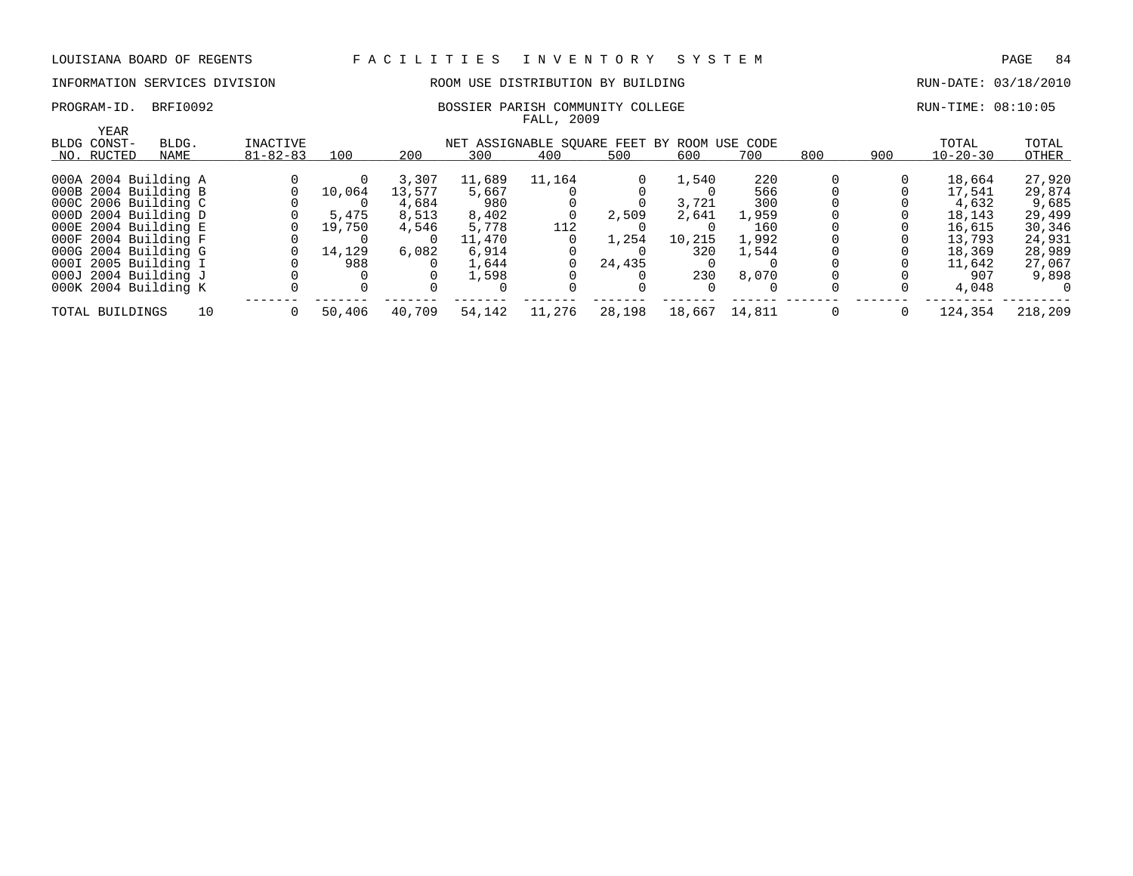# INFORMATION SERVICES DIVISION ROOM USE DISTRIBUTION BY BUILDING RUN-DATE: 03/18/2010

### PROGRAM-ID. BRFI0092 BOSSIER PARISH COMMUNITY COLLEGE REDUCED BOSSIER PARISH COMMUNITY COLLEGE FALL, 2009

| YEAR<br>BLDG CONST-  | BLDG. | <b>INACTIVE</b> |        |        |        | NET ASSIGNABLE SOUARE FEET BY ROOM USE CODE |        |        |        |     |     | TOTAL          | TOTAL   |
|----------------------|-------|-----------------|--------|--------|--------|---------------------------------------------|--------|--------|--------|-----|-----|----------------|---------|
| NO. RUCTED           | NAME  | $81 - 82 - 83$  | 100    | 200    | 300    | 400                                         | 500    | 600    | 700    | 800 | 900 | $10 - 20 - 30$ | OTHER   |
| 000A 2004 Building A |       |                 |        | 3,307  | 11,689 | 11,164                                      |        | 1,540  | 220    |     |     | 18,664         | 27,920  |
| 000B 2004 Building B |       |                 | 10,064 | 13,577 | 5,667  |                                             |        |        | 566    |     |     | 17,541         | 29,874  |
| 000C 2006 Building C |       |                 |        | 4,684  | 980    |                                             |        | 3,721  | 300    |     |     | 4,632          | 9,685   |
| 000D 2004 Building D |       |                 | 5,475  | 8,513  | 8.402  |                                             | 2,509  | 2,641  | 1,959  |     |     | 18,143         | 29,499  |
| 000E 2004 Building E |       |                 | 19,750 | 4,546  | 5,778  | 112                                         |        |        | 160    |     |     | 16,615         | 30,346  |
| 000F 2004 Building F |       |                 |        |        | 11,470 |                                             | 1,254  | 10,215 | 1,992  |     |     | 13,793         | 24,931  |
| 000G 2004 Building G |       |                 | 14,129 | 6,082  | 6,914  |                                             |        | 320    | 1,544  |     |     | 18,369         | 28,989  |
| 000I 2005 Building I |       |                 | 988    |        | 1,644  |                                             | 24,435 |        |        |     |     | 11,642         | 27,067  |
| 000J 2004 Building J |       |                 |        |        | 1,598  |                                             |        | 230    | 8,070  |     |     | 907            | 9,898   |
| 000K 2004 Building K |       |                 |        |        |        |                                             |        | 0      |        |     |     | 4,048          | - 0     |
| TOTAL BUILDINGS      | 10    |                 | 50,406 | 40,709 | 54,142 | 11,276                                      | 28,198 | 18,667 | 14,811 |     |     | 124,354        | 218,209 |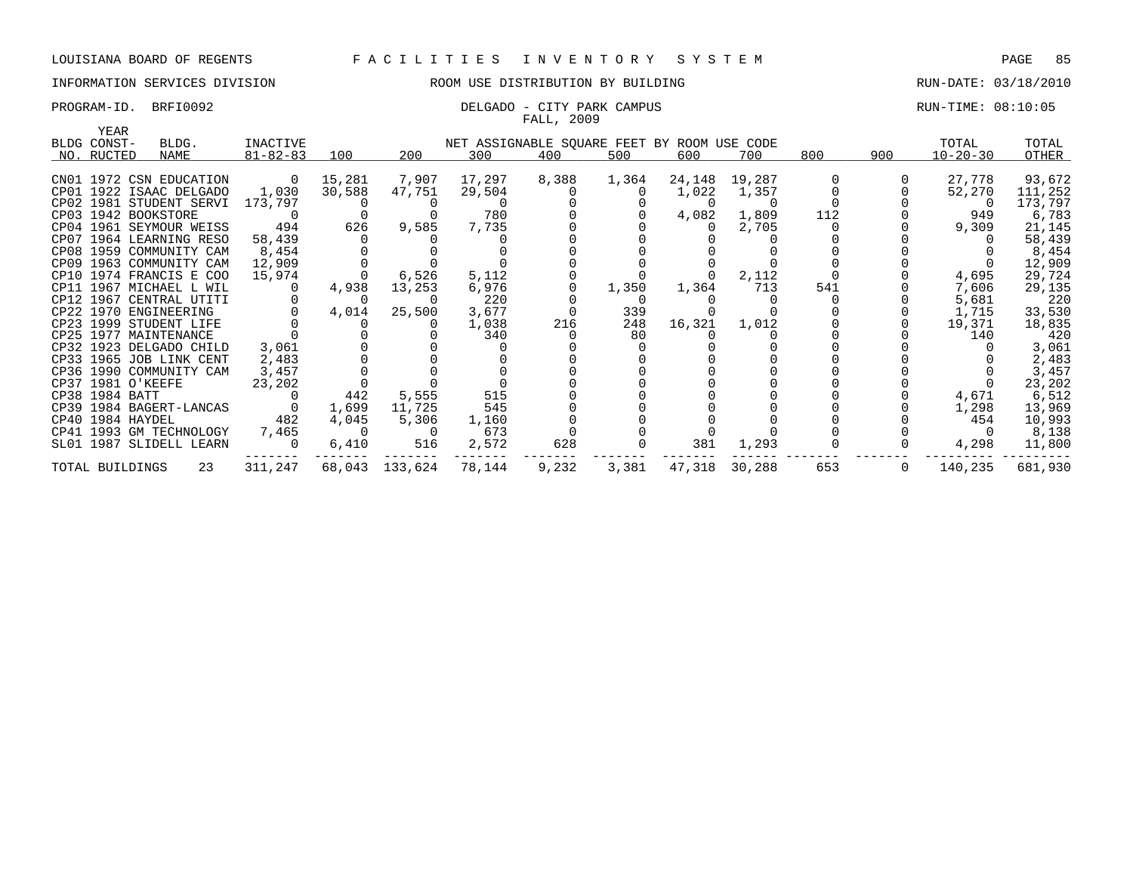# INFORMATION SERVICES DIVISION **ROOM USE DISTRIBUTION BY BUILDING RUN-DATE: 03/18/2010**

### PROGRAM-ID. BRFI0092 **DELGADO - CITY PARK CAMPUS DELGADO - CONTRAMENTAL RUN-TIME: 08:10:05** FALL, 2009

| YEAR              |                         |                |                |                          |                                             | they avvi      |       |                |                 |             |                |                |         |
|-------------------|-------------------------|----------------|----------------|--------------------------|---------------------------------------------|----------------|-------|----------------|-----------------|-------------|----------------|----------------|---------|
| BLDG CONST-       | BLDG.                   | INACTIVE       |                |                          | NET ASSIGNABLE SQUARE FEET BY ROOM USE CODE |                |       |                |                 |             |                | TOTAL          | TOTAL   |
| NO. RUCTED        | NAME                    | $81 - 82 - 83$ | 100            | 200                      | 300                                         | 400            | 500   | 600            | 700             | 800         | 900            | $10 - 20 - 30$ | OTHER   |
|                   |                         |                |                |                          |                                             |                |       |                |                 |             |                |                |         |
|                   | CN01 1972 CSN EDUCATION | $\overline{0}$ | 15,281         | 7,907                    | 17,297                                      | 8,388          | 1,364 |                | 24, 148 19, 287 | $\mathbf 0$ |                | 27,778         | 93,672  |
|                   | CP01 1922 ISAAC DELGADO | 1,030          | 30,588         | 47,751                   | 29,504                                      | $\overline{0}$ |       | 1,022          | 1,357           |             |                | 52,270         | 111,252 |
|                   | CP02 1981 STUDENT SERVI | 173,797        |                |                          |                                             |                |       | $\overline{0}$ | $\overline{0}$  |             |                |                | 173,797 |
|                   | CP03 1942 BOOKSTORE     |                |                |                          | 780                                         |                |       | 4,082          | 1,809           | 112         |                | 949            | 6,783   |
|                   | CP04 1961 SEYMOUR WEISS | 494            | 626            | 9,585                    | 7,735                                       |                |       |                | 2,705           |             |                | 9,309          | 21,145  |
|                   | CP07 1964 LEARNING RESO | 58,439         |                |                          |                                             |                |       |                |                 |             |                |                | 58,439  |
|                   | CP08 1959 COMMUNITY CAM | 8,454          |                |                          |                                             |                |       |                |                 |             |                |                | 8,454   |
|                   | CP09 1963 COMMUNITY CAM | 12,909         |                |                          |                                             |                |       |                |                 |             |                |                | 12,909  |
|                   | CP10 1974 FRANCIS E COO | 15,974         | $\Omega$       | 6,526                    | 5,112                                       |                |       | $\Omega$       | 2,112           |             |                | 4,695          | 29,724  |
|                   | CP11 1967 MICHAEL L WIL |                | 4,938          | 13,253                   | 6,976                                       | $\Omega$       | 1,350 | 1,364          | 713             | 541         |                | 7,606          | 29,135  |
|                   | CP12 1967 CENTRAL UTITI |                | $\overline{0}$ | $\Omega$                 | 220                                         |                |       |                |                 |             |                | 5,681          | 220     |
|                   | CP22 1970 ENGINEERING   |                | 4,014          | 25,500                   | 3,677                                       |                | 339   |                |                 |             |                | 1,715          | 33,530  |
|                   | CP23 1999 STUDENT LIFE  |                | $\overline{0}$ |                          | 1,038                                       | 216            | 248   | 16,321         | 1,012           |             |                | 19,371         | 18,835  |
|                   | CP25 1977 MAINTENANCE   |                |                |                          | 340                                         |                | 80    |                |                 |             |                | 140            | 420     |
|                   | CP32 1923 DELGADO CHILD | 3,061          |                |                          |                                             |                |       |                |                 |             |                |                | 3,061   |
|                   | CP33 1965 JOB LINK CENT | 2,483          |                |                          |                                             |                |       |                |                 |             |                |                | 2,483   |
|                   | CP36 1990 COMMUNITY CAM | 3,457          |                |                          |                                             |                |       |                |                 |             |                |                | 3,457   |
| CP37 1981 O'KEEFE |                         | 23,202         |                |                          |                                             |                |       |                |                 |             |                |                | 23,202  |
| CP38 1984 BATT    |                         |                | 442            | 5,555                    | 515                                         |                |       |                |                 |             |                | 4,671          | 6,512   |
|                   | CP39 1984 BAGERT-LANCAS |                | 1,699          | 11,725                   | 545                                         |                |       |                |                 |             |                | 1,298          | 13,969  |
| CP40 1984 HAYDEL  |                         | 482            | 4,045          | 5,306                    | 1,160                                       |                |       |                |                 |             |                | 454            | 10,993  |
|                   | CP41 1993 GM TECHNOLOGY | 7,465          | $\sim$ 0       | $\overline{\phantom{0}}$ | 673                                         |                |       |                |                 |             |                |                | 8,138   |
|                   | SL01 1987 SLIDELL LEARN |                | 6,410          | 516                      | 2,572                                       | 628            |       | 381            | 1,293           |             |                | 4,298          | 11,800  |
| TOTAL BUILDINGS   | 23                      | 311,247        |                | 68,043 133,624           | 78,144                                      | 9,232          | 3,381 |                | 47,318 30,288   | 653         | $\overline{0}$ | 140,235        | 681,930 |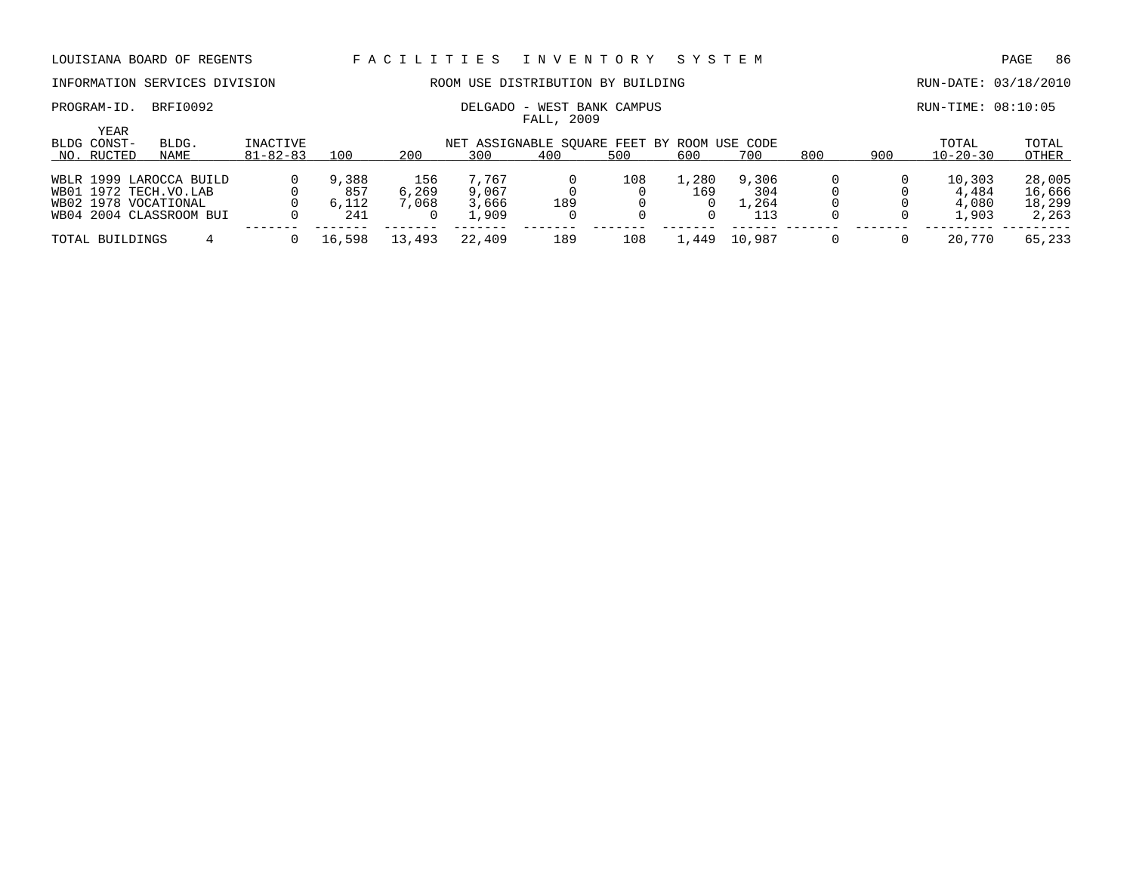PROGRAM-ID. BRFI0092 CONSERVATION: DELGADO - WEST BANK CAMPUS RUN-TIME: 08:10:05

### INFORMATION SERVICES DIVISION ROOM USE DISTRIBUTION BY BUILDING RUN-DATE: 03/18/2010

| YEAR<br>BLDG CONST- | BLDG.                   | INACTIVE       |        |        |        | NET ASSIGNABLE SOUARE FEET BY ROOM USE CODE |     |       |        |     |     | TOTAL          | TOTAL  |
|---------------------|-------------------------|----------------|--------|--------|--------|---------------------------------------------|-----|-------|--------|-----|-----|----------------|--------|
| NO. RUCTED          | NAME                    | $81 - 82 - 83$ | 100    | 200    | 300    | 400                                         | 500 | 600   | 700    | 800 | 900 | $10 - 20 - 30$ | OTHER  |
|                     |                         |                |        |        |        |                                             |     |       |        |     |     |                |        |
|                     | WBLR 1999 LAROCCA BUILD |                | 9,388  | 156    | 7.767  |                                             | 108 | 1,280 | 9,306  |     |     | 10,303         | 28,005 |
|                     | WB01 1972 TECH.VO.LAB   |                | 857    | 6,269  | 9,067  |                                             |     | 169   | 304    |     |     | 4,484          | 16,666 |
|                     | WB02 1978 VOCATIONAL    |                | 6,112  | 7,068  | 3,666  | 189                                         |     |       | ⊥,264  |     |     | 4,080          | 18,299 |
|                     | WB04 2004 CLASSROOM BUI |                | 241    |        | 1,909  |                                             |     |       | 113    |     |     | 1,903          | 2,263  |
|                     |                         |                |        |        |        |                                             |     |       |        |     |     |                |        |
| TOTAL BUILDINGS     |                         |                | 16,598 | 13,493 | 22,409 | 189                                         | 108 | .449  | 10,987 |     |     | 20,770         | 65,233 |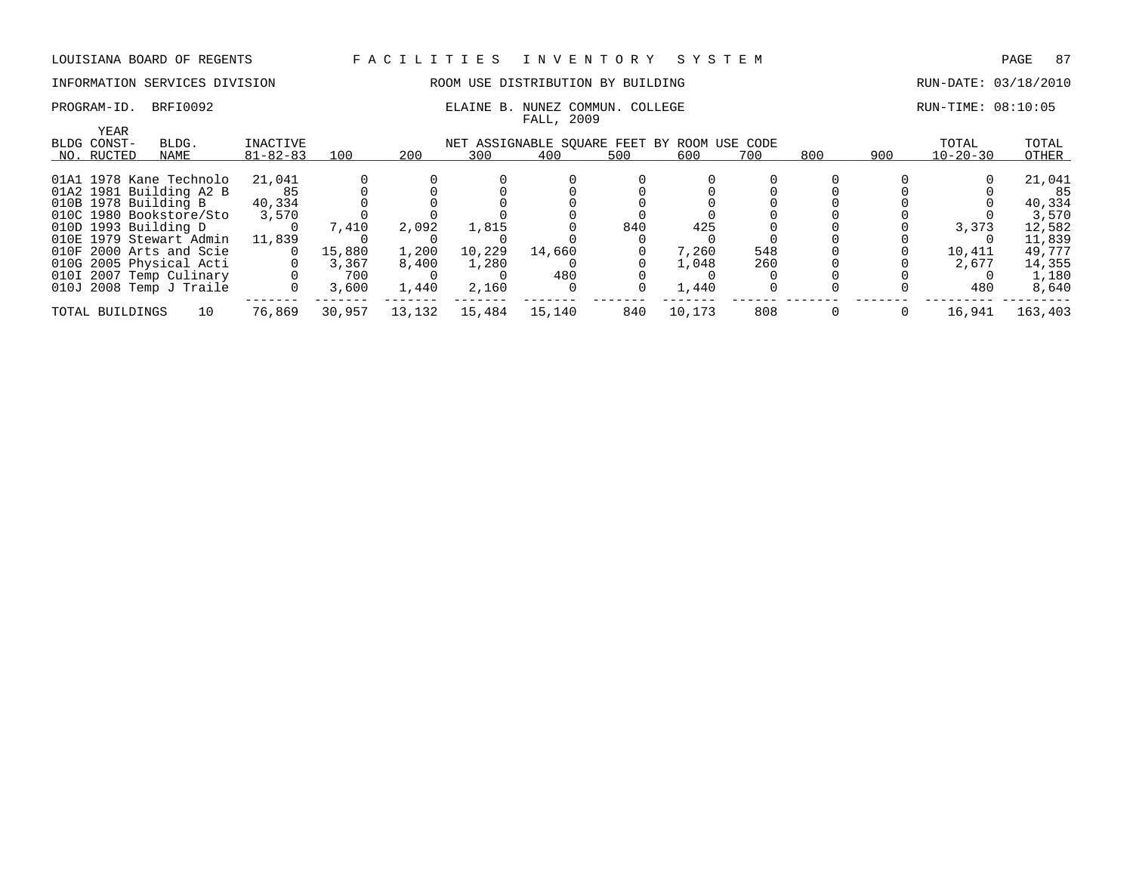# INFORMATION SERVICES DIVISION **ROOM USE DISTRIBUTION BY BUILDING RUN-DATE: 03/18/2010**

### PROGRAM-ID. BRFI0092 **ELAINE B. NUNEZ COMMUN. COLLEGE** RUN-TIME: 08:10:05 FALL, 2009

| YEAR            |                         |                |        |        |        |                                             |     |        |     |     |     |                |         |
|-----------------|-------------------------|----------------|--------|--------|--------|---------------------------------------------|-----|--------|-----|-----|-----|----------------|---------|
| BLDG CONST-     | BLDG.                   | INACTIVE       |        |        |        | NET ASSIGNABLE SOUARE FEET BY ROOM USE CODE |     |        |     |     |     | TOTAL          | TOTAL   |
| NO. RUCTED      | NAME                    | $81 - 82 - 83$ | 100    | 200    | 300    | 400                                         | 500 | 600    | 700 | 800 | 900 | $10 - 20 - 30$ | OTHER   |
|                 |                         |                |        |        |        |                                             |     |        |     |     |     |                |         |
|                 | 01A1 1978 Kane Technolo | 21,041         |        |        |        |                                             |     |        |     |     |     |                | 21,041  |
|                 | 01A2 1981 Building A2 B |                |        |        |        |                                             |     |        |     |     |     |                | 85      |
|                 | 010B 1978 Building B    | 40,334         |        |        |        |                                             |     |        |     |     |     |                | 40,334  |
|                 | 010C 1980 Bookstore/Sto | 3,570          |        |        |        |                                             |     |        |     |     |     |                | 3,570   |
|                 | 010D 1993 Building D    |                | 7,410  | 2,092  | 1,815  |                                             | 840 | 425    |     |     |     | 3,373          | 12,582  |
|                 | 010E 1979 Stewart Admin | 11,839         |        |        |        |                                             |     |        |     |     |     |                | 11,839  |
|                 | 010F 2000 Arts and Scie |                | 15,880 | 1,200  | 10,229 | 14,660                                      |     | 7,260  | 548 |     |     | 10,411         | 49,777  |
|                 | 010G 2005 Physical Acti |                | 3,367  | 8,400  | 1,280  |                                             |     | 1,048  | 260 |     |     | 2,677          | 14,355  |
|                 | 010I 2007 Temp Culinary |                | 700    |        |        | 480                                         |     |        |     |     |     |                | 1,180   |
|                 | 010J 2008 Temp J Traile |                | 3,600  | 1,440  | 2,160  |                                             |     | 1,440  |     |     |     | 480            | 8,640   |
|                 | 10                      |                |        |        |        | 15,140                                      |     | 10,173 | 808 |     |     |                |         |
| TOTAL BUILDINGS |                         | 76,869         | 30,957 | 13,132 | 15,484 |                                             | 840 |        |     |     |     | 16,941         | 163,403 |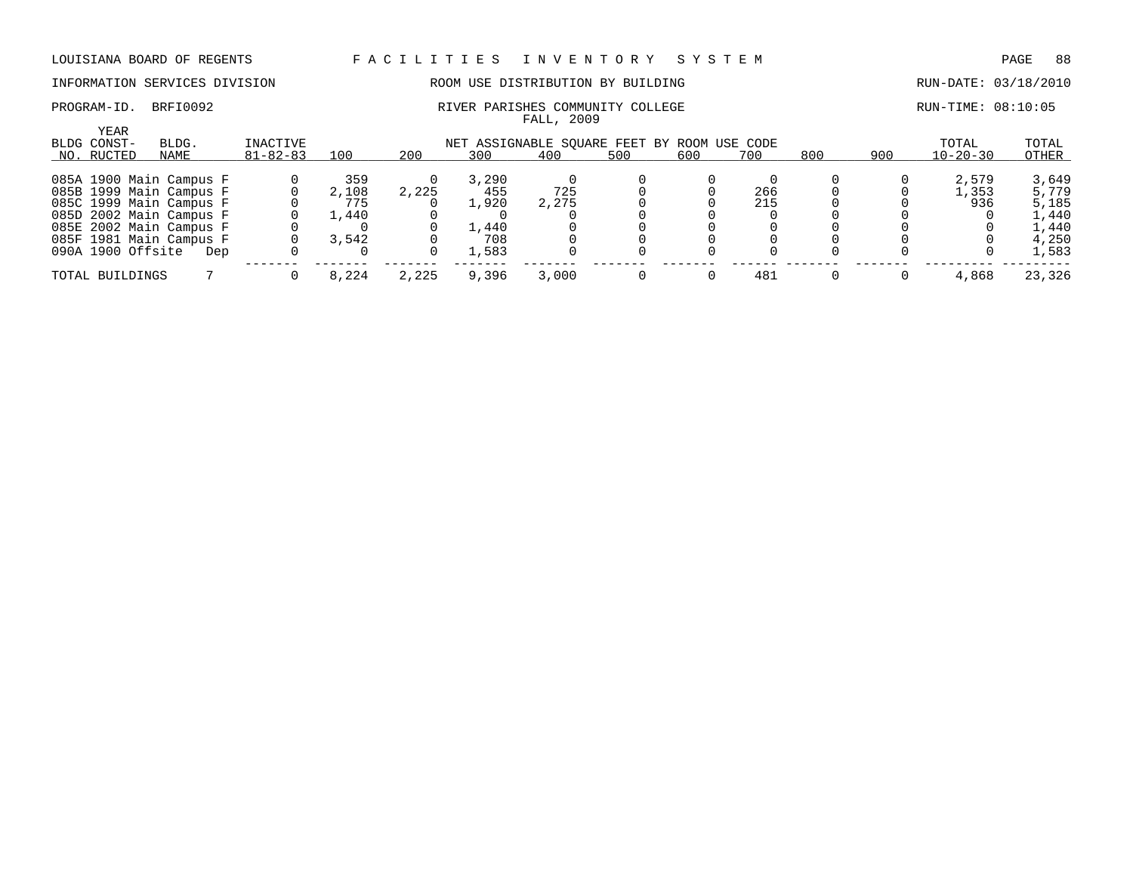### INFORMATION SERVICES DIVISION 88 ROOM USE DISTRIBUTION BY BUILDING RUN-DATE: 03/18/2010

YEAR

| PROGRAM-ID | BRFI0092 | RIVER PARISHES COMMUNITY COLLEGE | RUN-TIME: 08:10:05 |
|------------|----------|----------------------------------|--------------------|
|            |          | 2009<br>FALL                     |                    |

| ILAR                    |       |                |       |       |       |                                             |     |     |     |     |     |          |        |
|-------------------------|-------|----------------|-------|-------|-------|---------------------------------------------|-----|-----|-----|-----|-----|----------|--------|
| BLDG CONST-             | BLDG. | INACTIVE       |       |       |       | NET ASSIGNABLE SOUARE FEET BY ROOM USE CODE |     |     |     |     |     | TOTAL    | TOTAL  |
| NO. RUCTED              | NAME  | $81 - 82 - 83$ | 100   | 200   | 300   | 400                                         | 500 | 600 | 700 | 800 | 900 | 10-20-30 | OTHER  |
| 085A 1900 Main Campus F |       |                | 359   |       | 3,290 |                                             |     |     |     |     |     | 2,579    | 3,649  |
| 085B 1999 Main Campus F |       |                | 2,108 | 2,225 | 455   | 725                                         |     |     | 266 |     |     | 1,353    | 5,779  |
| 085C 1999 Main Campus F |       |                | 775   |       | 1,920 | 2,275                                       |     |     | 215 |     |     | 936      | 5,185  |
| 085D 2002 Main Campus F |       |                | .,440 |       |       |                                             |     |     |     |     |     |          | 1,440  |
| 085E 2002 Main Campus F |       |                |       |       | 1,440 |                                             |     |     |     |     |     |          | 1,440  |
| 085F 1981 Main Campus F |       |                | 3,542 |       | 708   |                                             |     |     |     |     |     |          | 4,250  |
| 090A 1900 Offsite       | Dep   |                |       |       | 1,583 |                                             |     |     |     |     |     |          | 1,583  |
| TOTAL BUILDINGS         |       |                | 8,224 | 2,225 | 9,396 | 3,000                                       |     |     | 481 |     |     | 4,868    | 23,326 |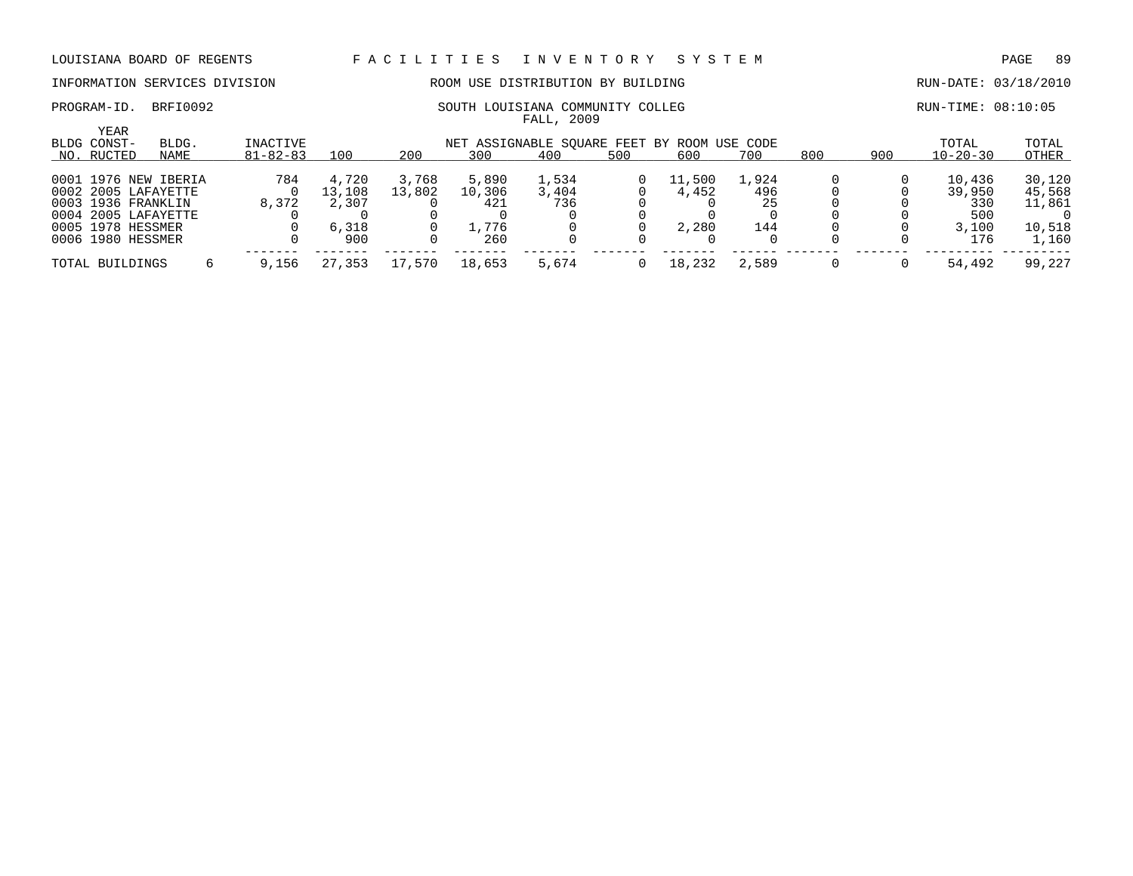# INFORMATION SERVICES DIVISION ROOM USE DISTRIBUTION BY BUILDING RUN-DATE: 03/18/2010

YEAR

| PROGRAM-ID | BRFI0092 | SOUTH LOUISIANA COMMUNITY COLLEG | RUN-TIME: 08:10:05 |
|------------|----------|----------------------------------|--------------------|
|            |          | 2009<br>: ALL                    |                    |

| ILAR<br>BLDG CONST-  | INACTIVE<br>BLDG.<br>NET ASSIGNABLE SOUARE FEET BY ROOM USE CODE |  |                |        |        |         |       |     |        |       |     |     | TOTAL          | TOTAL  |
|----------------------|------------------------------------------------------------------|--|----------------|--------|--------|---------|-------|-----|--------|-------|-----|-----|----------------|--------|
| NO. RUCTED           | NAME                                                             |  | $81 - 82 - 83$ | 100    | 200    | 300     | 400   | 500 | 600    | 700   | 800 | 900 | $10 - 20 - 30$ | OTHER  |
| 0001 1976 NEW IBERIA |                                                                  |  | 784            | 4,720  | 3,768  | 5,890   | 1,534 |     | 11,500 | 1,924 |     |     | 10,436         | 30,120 |
| 0002 2005 LAFAYETTE  |                                                                  |  |                | 13,108 | 13,802 | 10,306  | 3,404 |     | 4,452  | 496   |     |     | 39,950         | 45,568 |
| 0003 1936 FRANKLIN   |                                                                  |  | 8,372          | 2,307  |        | 421     | 736   |     |        | 25    |     |     | 330            | 11,861 |
| 0004 2005 LAFAYETTE  |                                                                  |  |                |        |        |         |       |     |        |       |     |     | 500            |        |
| 0005 1978 HESSMER    |                                                                  |  |                | 6,318  |        | . . 776 |       |     | 2,280  | 144   |     |     | 3,100          | 10,518 |
| 0006 1980 HESSMER    |                                                                  |  |                | 900    |        | 260     |       |     |        |       |     |     | 176            | 1,160  |
| TOTAL BUILDINGS      |                                                                  |  | 9.156          | 27,353 | 17,570 | 18,653  | 5,674 |     | 18,232 | 2,589 |     |     | 54,492         | 99,227 |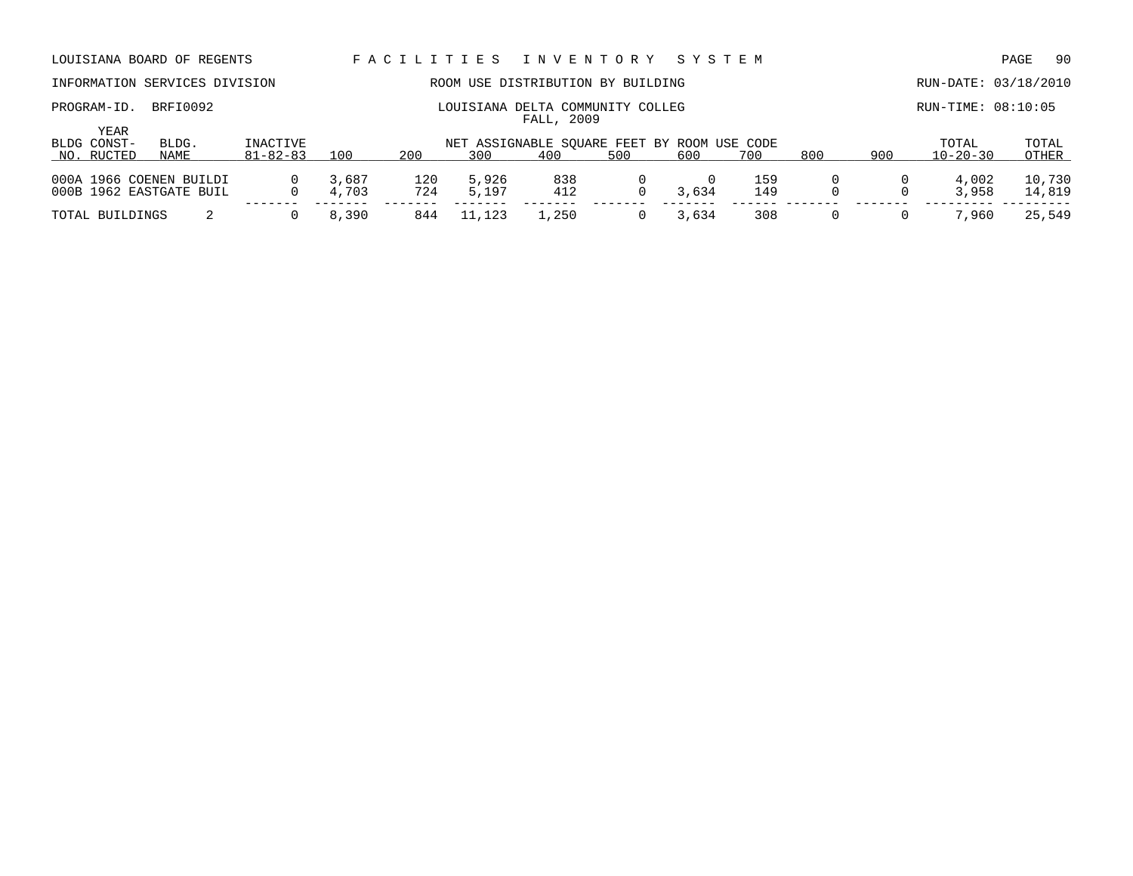PROGRAM-ID. BRFI0092 COMMUNITY COLLEG RUN-TIME: 08:10:05

# INFORMATION SERVICES DIVISION **ROOM USE DISTRIBUTION BY BUILDING RUN-DATE:** 03/18/2010

| ROUISIANA DELIA COMMUNIII COLL |            |  |
|--------------------------------|------------|--|
|                                | FALL, 2009 |  |

| YEAR<br>BLDG CONST- | BLDG.                   | INACTIVE       |       |     | NET ASSIGNABLE SOUARE FEET BY ROOM USE CODE |       |     |       |     |     |     | TOTAL          | TOTAL  |
|---------------------|-------------------------|----------------|-------|-----|---------------------------------------------|-------|-----|-------|-----|-----|-----|----------------|--------|
| NO. RUCTED          | <b>NAME</b>             | $81 - 82 - 83$ | 100   | 200 | 300                                         | 400   | 500 | 600   | 700 | 800 | 900 | $10 - 20 - 30$ | OTHER  |
|                     |                         |                |       |     |                                             |       |     |       |     |     |     |                |        |
|                     | 000A 1966 COENEN BUILDI | $\Omega$       | 3,687 | 120 | 5,926                                       | 838   |     |       | 159 |     |     | 4,002          | 10,730 |
|                     | 000B 1962 EASTGATE BUIL |                | 4,703 | 724 | 5,197                                       | 412   |     | 3,634 | 149 |     |     | 3,958          | 14,819 |
| TOTAL BUILDINGS     |                         |                | 8,390 | 844 | 11,123                                      | ⊥,250 |     | 3,634 | 308 |     |     | 7,960          | 25,549 |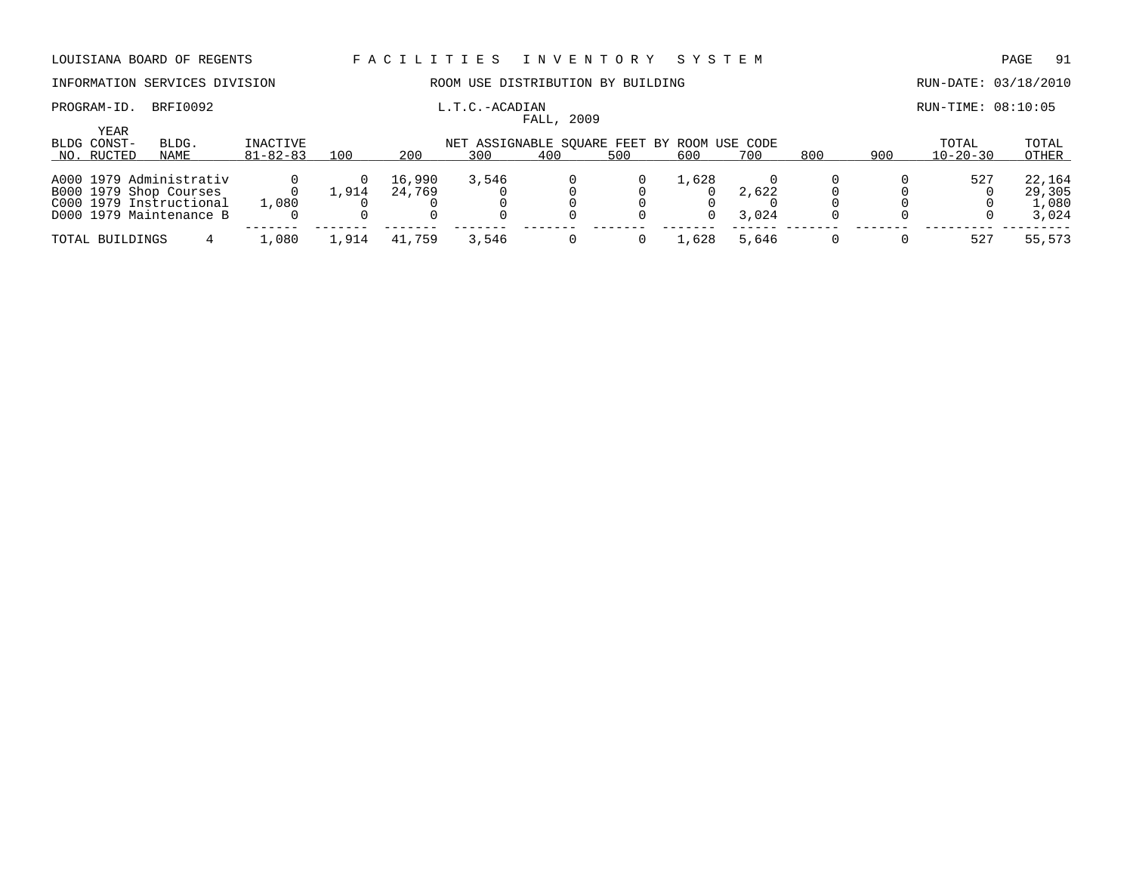# INFORMATION SERVICES DIVISION **ROOM USE DISTRIBUTION BY BUILDING RUN-DATE: 03/18/2010**

### PROGRAM-ID. BRFI0092 **EXAMIC L.T.C.-ACADIAN L.T.C.-ACADIAN EXAMIC LEADER RUN-TIME: 08:10:05** FALL, 2009

| YEAR<br>BLDG CONST-<br>NO. RUCTED | BLDG.<br>NAME           | INACTIVE<br>$81 - 82 - 83$ | 100   | 200    | NET ASSIGNABLE SOUARE FEET BY ROOM USE CODE<br>300 | 400 | 500 | 600   | 700   | 800 | 900 | TOTAL<br>$10 - 20 - 30$ | TOTAL<br>OTHER |
|-----------------------------------|-------------------------|----------------------------|-------|--------|----------------------------------------------------|-----|-----|-------|-------|-----|-----|-------------------------|----------------|
|                                   |                         |                            |       |        |                                                    |     |     |       |       |     |     |                         |                |
|                                   | A000 1979 Administrativ |                            |       | 16,990 | 3,546                                              |     |     | 1,628 |       |     |     | 527                     | 22,164         |
|                                   | B000 1979 Shop Courses  |                            | 1,914 | 24,769 |                                                    |     |     |       | 2,622 |     |     |                         | 29,305         |
|                                   | C000 1979 Instructional | 1,080                      |       |        |                                                    |     |     |       |       |     |     |                         | 1,080          |
|                                   | D000 1979 Maintenance B |                            |       |        |                                                    |     |     | 0     | 3,024 |     |     |                         | 3,024          |
| TOTAL BUILDINGS                   |                         | 1,080                      | ⊥,914 | 41,759 | 3,546                                              |     |     | ⊥,628 | 5,646 |     |     | 527                     | 55,573         |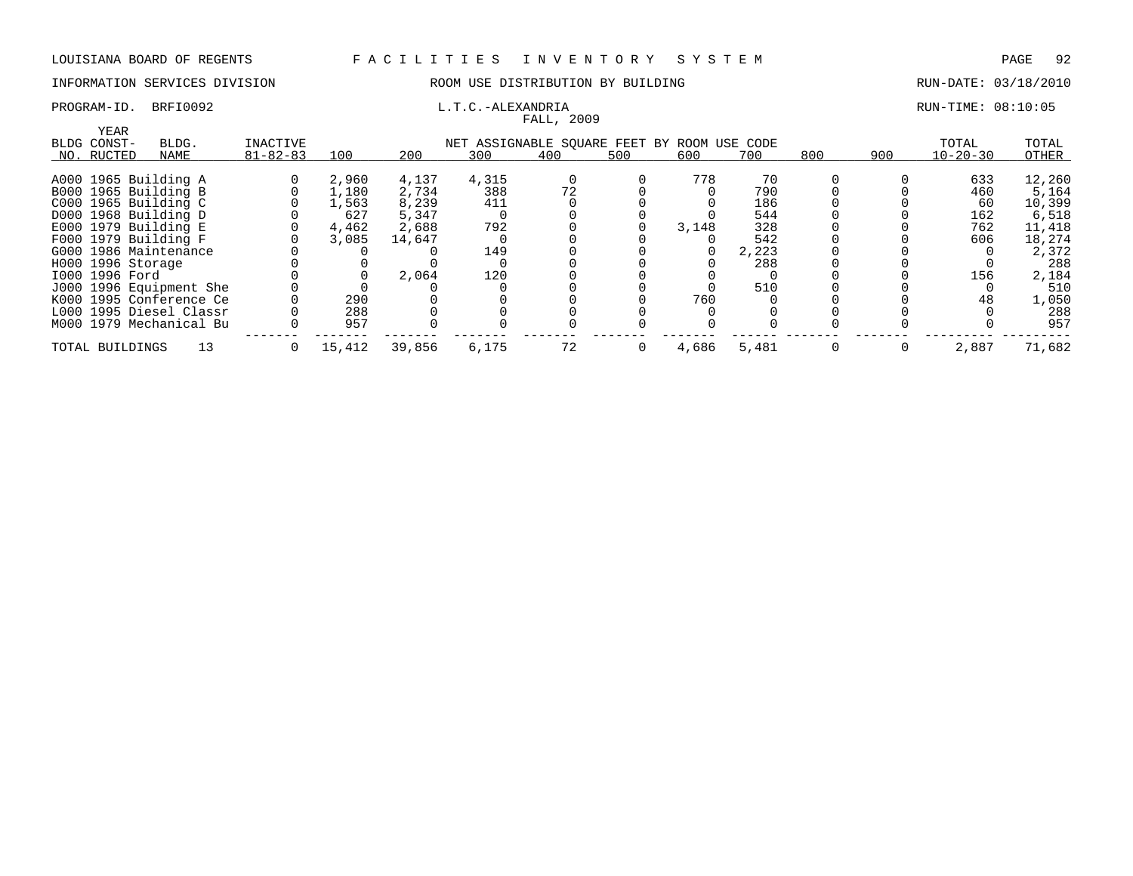### INFORMATION SERVICES DIVISION ROOM USE DISTRIBUTION BY BUILDING RUN-DATE: 03/18/2010

# FALL, 2009

### PROGRAM-ID. BRFI0092 L.T.C.-ALEXANDRIA L.T.C.-ALEXANDRIA RUN-TIME: 08:10:05

|                   |                         |                |        |        |                                             | rann, zuur |     |       |       |     |     |                |        |
|-------------------|-------------------------|----------------|--------|--------|---------------------------------------------|------------|-----|-------|-------|-----|-----|----------------|--------|
| YEAR              |                         |                |        |        |                                             |            |     |       |       |     |     |                |        |
| BLDG CONST-       | BLDG.                   | INACTIVE       |        |        | NET ASSIGNABLE SQUARE FEET BY ROOM USE CODE |            |     |       |       |     |     | TOTAL          | TOTAL  |
| NO. RUCTED        | NAME                    | $81 - 82 - 83$ | 100    | 200    | 300                                         | 400        | 500 | 600   | 700   | 800 | 900 | $10 - 20 - 30$ | OTHER  |
|                   |                         |                |        |        |                                             |            |     |       |       |     |     |                |        |
|                   | A000 1965 Building A    |                | 2,960  | 4,137  | 4,315                                       |            |     | 778   | 70    |     |     | 633            | 12,260 |
|                   | B000 1965 Building B    |                | 1,180  | 2,734  | 388                                         |            |     |       | 790   |     |     | 460            | 5,164  |
|                   | C000 1965 Building C    |                | 1,563  | 8,239  | 411                                         |            |     |       | 186   |     |     | 60             | 10,399 |
|                   | D000 1968 Building D    |                | 627    | 5,347  |                                             |            |     |       | 544   |     |     | 162            | 6,518  |
|                   | $E000$ 1979 Building E  |                | 4,462  | 2,688  | 792                                         |            |     | 3,148 | 328   |     |     | 762            | 11,418 |
|                   | F000 1979 Building F    |                | 3,085  | 14,647 |                                             |            |     |       | 542   |     |     | 606            | 18,274 |
|                   | G000 1986 Maintenance   |                |        |        | 149                                         |            |     |       | 2,223 |     |     |                | 2,372  |
| H000 1996 Storage |                         |                |        |        |                                             |            |     |       | 288   |     |     |                | 288    |
| I000 1996 Ford    |                         |                |        | 2,064  | 120                                         |            |     |       |       |     |     | 156            | 2,184  |
|                   | J000 1996 Equipment She |                |        |        |                                             |            |     |       | 510   |     |     |                | 510    |
|                   | K000 1995 Conference Ce |                | 290    |        |                                             |            |     | 760   |       |     |     | 48             | 1,050  |
|                   | L000 1995 Diesel Classr |                | 288    |        |                                             |            |     |       |       |     |     |                | 288    |
|                   | M000 1979 Mechanical Bu |                | 957    |        |                                             |            |     |       |       |     |     |                | 957    |
|                   |                         |                |        |        |                                             |            |     |       |       |     |     |                |        |
| TOTAL BUILDINGS   | 13                      | $\Omega$       | 15,412 | 39,856 | 6,175                                       | 72         | 0   | 4,686 | 5,481 |     |     | 2,887          | 71,682 |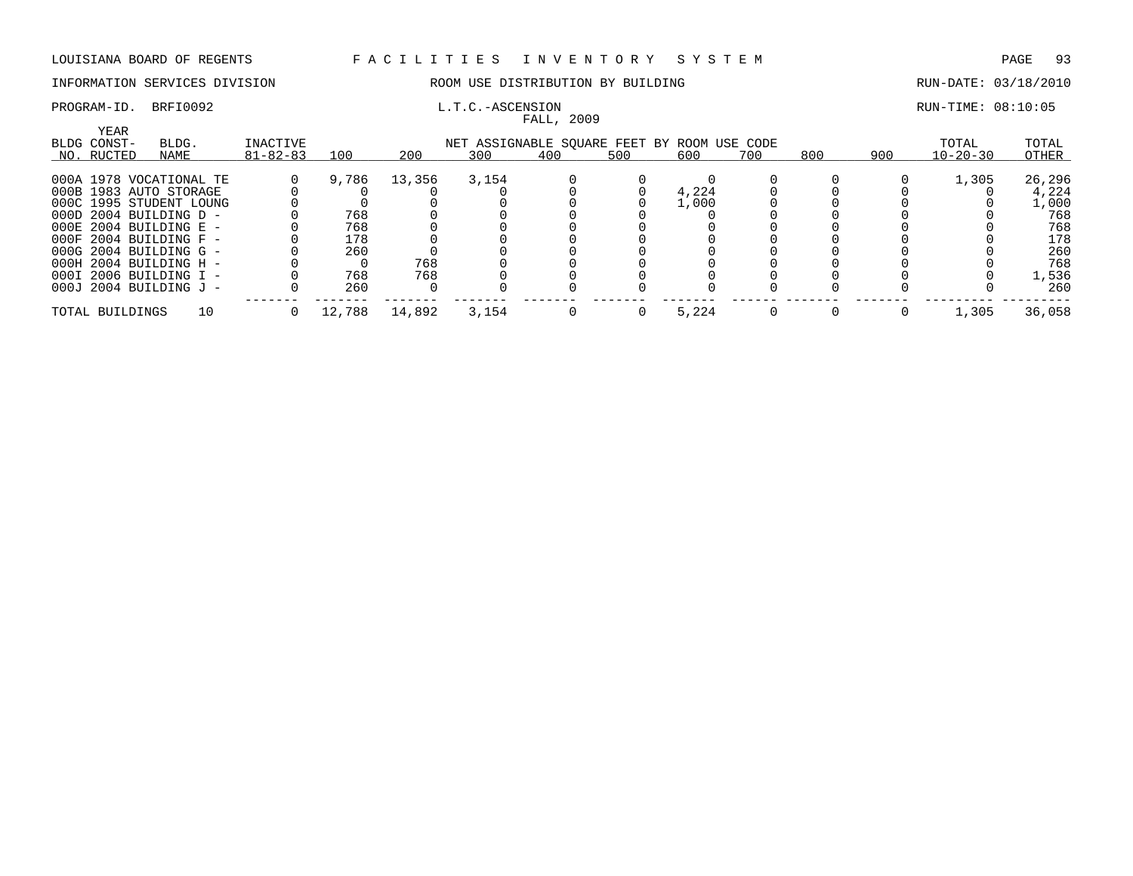# INFORMATION SERVICES DIVISION ROOM USE DISTRIBUTION BY BUILDING RUN-DATE: 03/18/2010

# FALL, 2009

### PROGRAM-ID. BRFI0092 **EXAM-ID.** BRFI0092 **L.T.C.-ASCENSION L.T.C.-ASCENSION**

| YEAR            |                            |                |        |        |                                             |     |     |       |     |     |     |                |        |
|-----------------|----------------------------|----------------|--------|--------|---------------------------------------------|-----|-----|-------|-----|-----|-----|----------------|--------|
| BLDG CONST-     | BLDG.                      | INACTIVE       |        |        | NET ASSIGNABLE SOUARE FEET BY ROOM USE CODE |     |     |       |     |     |     | TOTAL          | TOTAL  |
| NO. RUCTED      | NAME                       | $81 - 82 - 83$ | 100    | 200    | 300                                         | 400 | 500 | 600   | 700 | 800 | 900 | $10 - 20 - 30$ | OTHER  |
|                 | 000A 1978 VOCATIONAL TE    |                | 9,786  | 13,356 | 3,154                                       |     |     |       |     |     |     | 1,305          | 26,296 |
|                 | 000B 1983 AUTO STORAGE     |                |        |        |                                             |     |     | 4,224 |     |     |     |                | 4,224  |
|                 | 000C 1995 STUDENT LOUNG    |                |        |        |                                             |     |     | 1,000 |     |     |     |                | 1,000  |
|                 | $000D$ 2004 BUILDING D -   |                | 768    |        |                                             |     |     |       |     |     |     |                | 768    |
|                 | $000E$ 2004 BUILDING E -   |                | 768    |        |                                             |     |     |       |     |     |     |                | 768    |
|                 | $000F$ 2004 BUILDING F -   |                | 178    |        |                                             |     |     |       |     |     |     |                | 178    |
|                 | $000G$ 2004 BUILDING G -   |                | 260    |        |                                             |     |     |       |     |     |     |                | 260    |
|                 | $000H$ 2004 BUILDING H -   |                |        | 768    |                                             |     |     |       |     |     |     |                | 768    |
|                 | 000I 2006 BUILDING I -     |                | 768    | 768    |                                             |     |     |       |     |     |     |                | 1,536  |
|                 | $000J$ 2004 BUILDING $J$ - |                | 260    |        |                                             |     |     |       |     |     |     |                | 260    |
| TOTAL BUILDINGS | 10                         |                | 12,788 | 14,892 | 3,154                                       |     |     | 5,224 |     |     |     | 1,305          | 36,058 |
|                 |                            |                |        |        |                                             |     |     |       |     |     |     |                |        |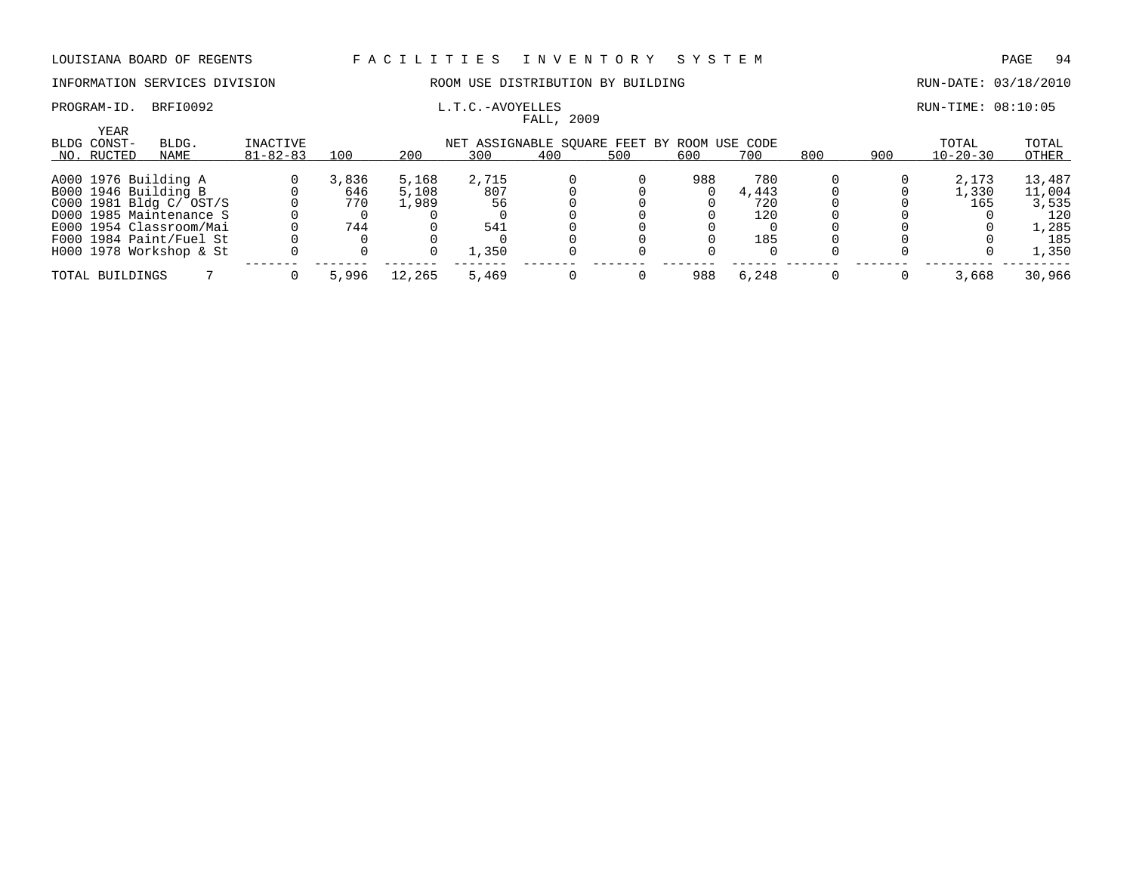### PROGRAM-ID. BRFI0092 **EXAM-ID.** BRFI0092 **L.T.C.-AVOYELLES EXAMILIEE RUN-TIME: 08:10:05**

### INFORMATION SERVICES DIVISION ROOM USE DISTRIBUTION BY BUILDING RUN-DATE: 03/18/2010

| <b>YEAR</b><br>BLDG CONST- | BLDG. | INACTIVE       |       |        | NET ASSIGNABLE SQUARE FEET BY ROOM USE CODE |     |     |     |       |     |     | TOTAL          | TOTAL  |
|----------------------------|-------|----------------|-------|--------|---------------------------------------------|-----|-----|-----|-------|-----|-----|----------------|--------|
| NO. RUCTED                 | NAME  | $81 - 82 - 83$ | 100   | 200    | 300                                         | 400 | 500 | 600 | 700   | 800 | 900 | $10 - 20 - 30$ | OTHER  |
| A000 1976 Building A       |       |                | 3,836 | 5,168  | 2,715                                       |     |     | 988 | 780   |     |     | 2,173          | 13,487 |
| B000 1946 Building B       |       |                | 646   | 5,108  | 807                                         |     |     |     | 4,443 |     |     | 1,330          | 11,004 |
| C000 1981 Bldg C/ OST/S    |       |                | 770   | 1,989  | 56                                          |     |     |     | 720   |     |     | 165            | 3,535  |
| D000 1985 Maintenance S    |       |                |       |        |                                             |     |     |     | 120   |     |     |                | 120    |
| E000 1954 Classroom/Mai    |       |                | 744   |        | 541                                         |     |     |     |       |     |     |                | 1,285  |
| F000 1984 Paint/Fuel St    |       |                |       |        |                                             |     |     |     | 185   |     |     |                | 185    |
| $H000$ 1978 Workshop & St  |       |                |       |        | 1,350                                       |     |     |     |       |     |     |                | 1,350  |
| TOTAL BUILDINGS            |       |                | 5,996 | 12,265 | 5,469                                       |     |     | 988 | 6,248 |     |     | 3,668          | 30,966 |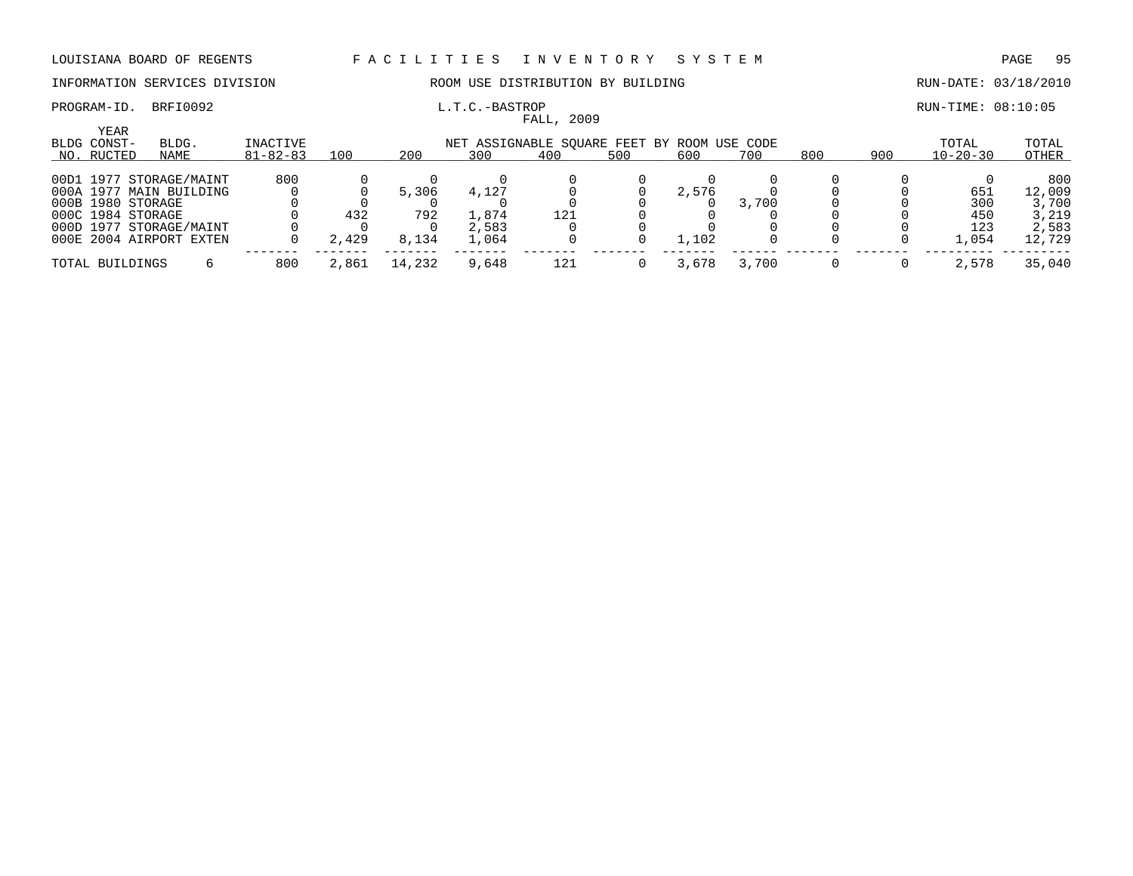### INFORMATION SERVICES DIVISION ROOM USE DISTRIBUTION BY BUILDING RUN-DATE: 03/18/2010

### PROGRAM-ID. BRFI0092 **EXAM-ID.** BRFI0092 **L.T.C.-BASTROP EXAMILIATION EXAMILIATION RUN-TIME: 08:10:05**

|                                   |                         |                            |       |        |                                                    | FALL, 2009 |     |       |       |     |     |                         |                |
|-----------------------------------|-------------------------|----------------------------|-------|--------|----------------------------------------------------|------------|-----|-------|-------|-----|-----|-------------------------|----------------|
| YEAR<br>BLDG CONST-<br>NO. RUCTED | BLDG.<br>NAME           | INACTIVE<br>$81 - 82 - 83$ | 100   | 200    | NET ASSIGNABLE SQUARE FEET BY ROOM USE CODE<br>300 | 400        | 500 | 600   | 700   | 800 | 900 | TOTAL<br>$10 - 20 - 30$ | TOTAL<br>OTHER |
|                                   |                         |                            |       |        |                                                    |            |     |       |       |     |     |                         |                |
|                                   | 00D1 1977 STORAGE/MAINT | 800                        |       |        |                                                    |            |     |       |       |     |     |                         | 800            |
|                                   | 000A 1977 MAIN BUILDING |                            |       | 5,306  | 4,127                                              |            |     | 2,576 |       |     |     | 651                     | 12,009         |
| 000B 1980 STORAGE                 |                         |                            |       |        |                                                    |            |     |       | 3,700 |     |     | 300                     | 3,700          |
| 000C 1984 STORAGE                 |                         |                            | 432   | 792    | 1,874                                              | 121        |     |       |       |     |     | 450                     | 3,219          |
|                                   | 000D 1977 STORAGE/MAINT |                            |       |        | 2,583                                              |            |     |       |       |     |     | 123                     | 2,583          |
|                                   | 000E 2004 AIRPORT EXTEN |                            | 2,429 | 8,134  | 1,064                                              |            |     | 1,102 |       |     |     | 1,054                   | 12,729         |
| TOTAL BUILDINGS                   |                         | 800                        | 2,861 | 14,232 | 9,648                                              | 121        |     | 3,678 | 3,700 |     |     | 2,578                   | 35,040         |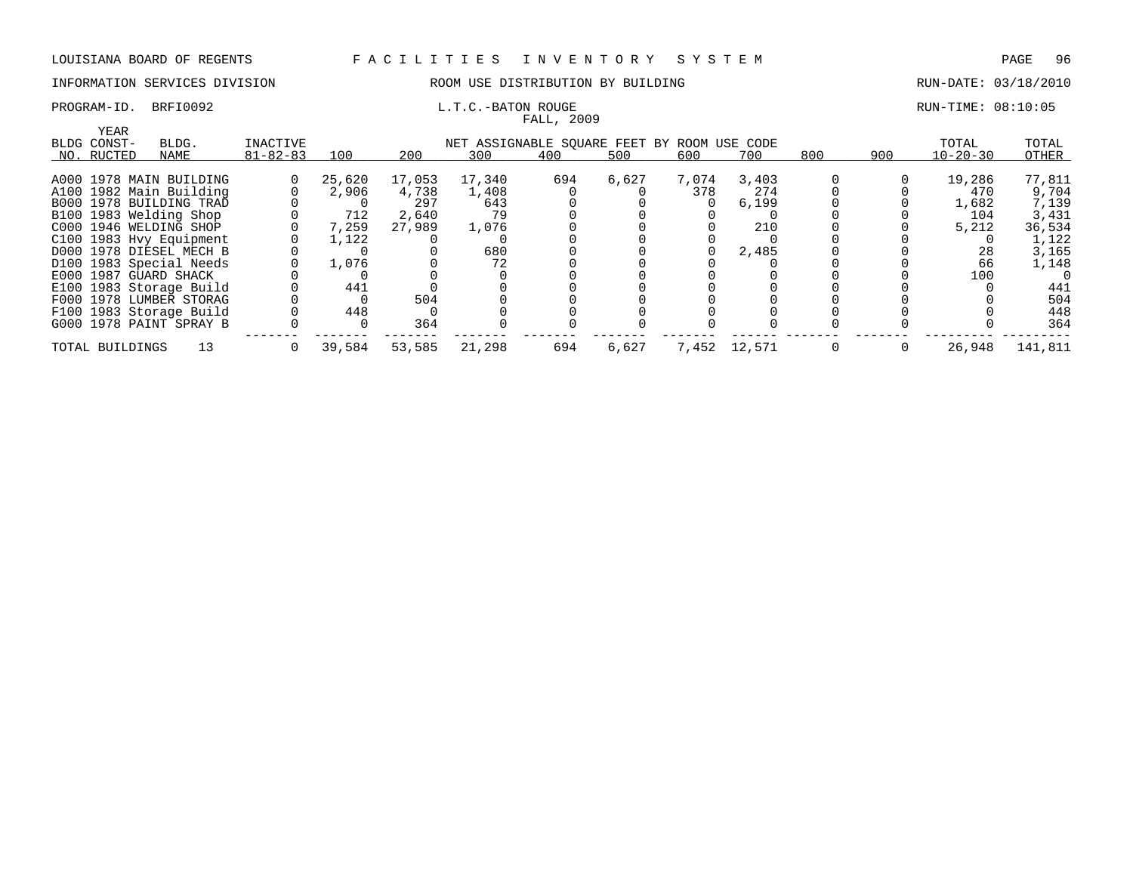PROGRAM-ID. BRFI0092 **EXAM-** L.T.C.-BATON ROUGE RUN-TIME: 08:10:05

### INFORMATION SERVICES DIVISION 88 ROOM USE DISTRIBUTION BY BUILDING RUN-DATE: 03/18/2010

|                                   |                                                                                                                                                                                                                                                                                                                                                                                     |                            |        |        | rauu, zuur |       |       |       |                                                       |     |                |         |
|-----------------------------------|-------------------------------------------------------------------------------------------------------------------------------------------------------------------------------------------------------------------------------------------------------------------------------------------------------------------------------------------------------------------------------------|----------------------------|--------|--------|------------|-------|-------|-------|-------------------------------------------------------|-----|----------------|---------|
|                                   |                                                                                                                                                                                                                                                                                                                                                                                     |                            |        |        |            |       |       |       |                                                       |     |                |         |
|                                   |                                                                                                                                                                                                                                                                                                                                                                                     |                            |        |        |            |       |       |       |                                                       |     |                | TOTAL   |
| NAME                              |                                                                                                                                                                                                                                                                                                                                                                                     | 100                        | 200    | 300    | 400        | 500   | 600   | 700   |                                                       | 900 | $10 - 20 - 30$ | OTHER   |
|                                   |                                                                                                                                                                                                                                                                                                                                                                                     |                            |        |        |            |       |       |       |                                                       |     |                |         |
|                                   |                                                                                                                                                                                                                                                                                                                                                                                     | 25,620                     | 17,053 | 17,340 | 694        | 6,627 | 7,074 | 3,403 |                                                       |     | 19,286         | 77,811  |
|                                   |                                                                                                                                                                                                                                                                                                                                                                                     | 2,906                      | 4,738  | 1,408  |            |       | 378   | 274   |                                                       |     | 470            | 9,704   |
|                                   |                                                                                                                                                                                                                                                                                                                                                                                     |                            | 297    | 643    |            |       |       | 6,199 |                                                       |     | 1,682          | 7,139   |
|                                   |                                                                                                                                                                                                                                                                                                                                                                                     | 712                        | 2,640  | 79     |            |       |       |       |                                                       |     | 104            | 3,431   |
|                                   |                                                                                                                                                                                                                                                                                                                                                                                     | 7,259                      | 27,989 | 1,076  |            |       |       | 210   |                                                       |     | 5,212          | 36,534  |
|                                   |                                                                                                                                                                                                                                                                                                                                                                                     | 1,122                      |        |        |            |       |       |       |                                                       |     |                | 1,122   |
|                                   |                                                                                                                                                                                                                                                                                                                                                                                     |                            |        | 680    |            |       |       | 2,485 |                                                       |     | 28             | 3,165   |
|                                   |                                                                                                                                                                                                                                                                                                                                                                                     | 1,076                      |        | 72     |            |       |       |       |                                                       |     | 66             | 1,148   |
|                                   |                                                                                                                                                                                                                                                                                                                                                                                     |                            |        |        |            |       |       |       |                                                       |     | 100            |         |
|                                   |                                                                                                                                                                                                                                                                                                                                                                                     | 441                        |        |        |            |       |       |       |                                                       |     |                | 441     |
|                                   |                                                                                                                                                                                                                                                                                                                                                                                     |                            | 504    |        |            |       |       |       |                                                       |     |                | 504     |
|                                   |                                                                                                                                                                                                                                                                                                                                                                                     | 448                        |        |        |            |       |       |       |                                                       |     |                | 448     |
|                                   |                                                                                                                                                                                                                                                                                                                                                                                     |                            | 364    |        |            |       |       |       |                                                       |     |                | 364     |
| 13                                | 0                                                                                                                                                                                                                                                                                                                                                                                   | 39,584                     | 53,585 | 21,298 | 694        | 6,627 | 7,452 |       |                                                       | 0   | 26,948         | 141,811 |
| YEAR<br>BLDG CONST-<br>NO. RUCTED | BLDG.<br>A000 1978 MAIN BUILDING<br>A100 1982 Main Building<br>B000 1978 BUILDING TRAD<br>B100 1983 Welding Shop<br>C000 1946 WELDING SHOP<br>C100 1983 Hvy Equipment<br>D000 1978 DIESEL MECH B<br>D100 1983 Special Needs<br>E000 1987 GUARD SHACK<br>E100 1983 Storage Build<br>F000 1978 LUMBER STORAG<br>F100 1983 Storage Build<br>G000 1978 PAINT SPRAY B<br>TOTAL BUILDINGS | INACTIVE<br>$81 - 82 - 83$ |        |        |            |       |       |       | NET ASSIGNABLE SOUARE FEET BY ROOM USE CODE<br>12,571 | 800 |                | TOTAL   |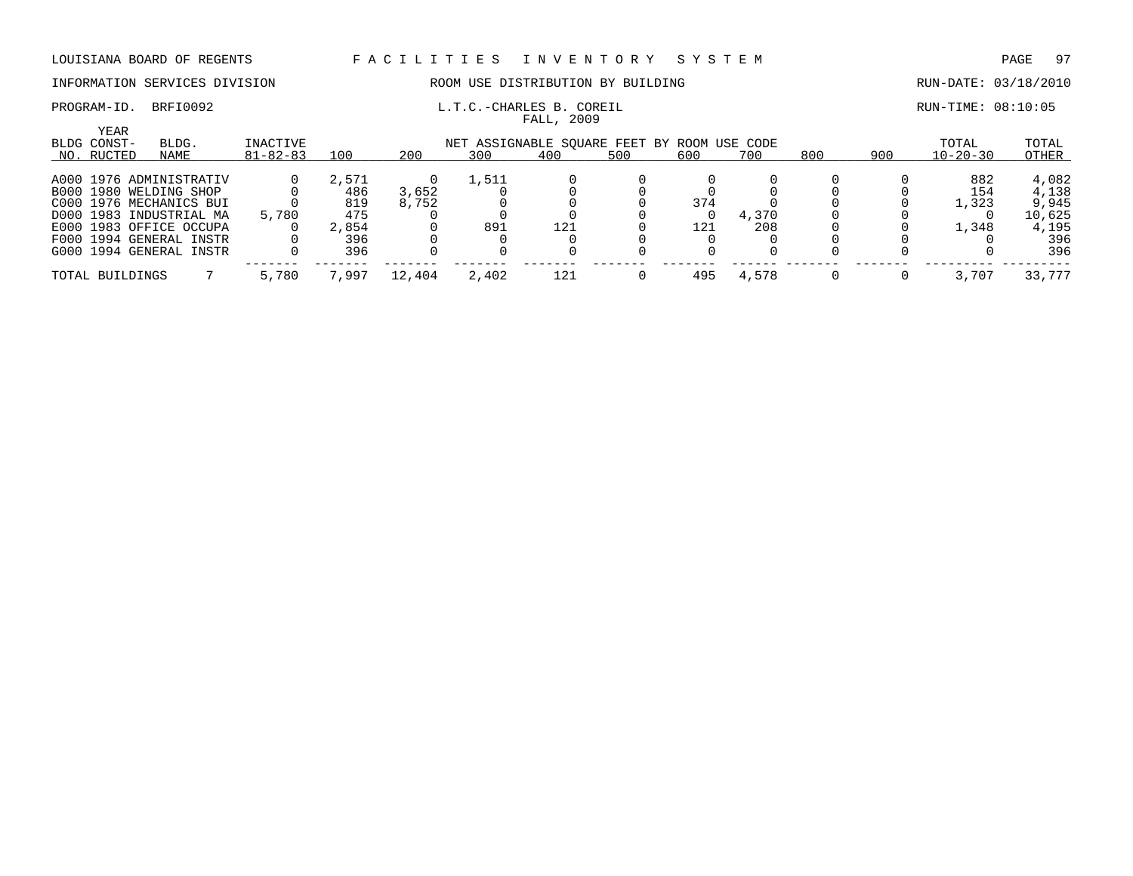FALL, 2009

### INFORMATION SERVICES DIVISION ROOM USE DISTRIBUTION BY BUILDING RUN-DATE: 03/18/2010

## PROGRAM-ID. BRFI0092 **EXAM-ID.** BRFI0092 **L.T.C.-CHARLES B. COREIL** RUN-TIME: 08:10:05

| YEAR<br>BLDG CONST- | BLDG.                   | INACTIVE       |       |        | NET ASSIGNABLE SQUARE FEET BY ROOM USE CODE |     |     |     |       |     |     | TOTAL          | TOTAL  |
|---------------------|-------------------------|----------------|-------|--------|---------------------------------------------|-----|-----|-----|-------|-----|-----|----------------|--------|
| NO. RUCTED          | NAME                    | $81 - 82 - 83$ | 100   | 200    | 300                                         | 400 | 500 | 600 | 700   | 800 | 900 | $10 - 20 - 30$ | OTHER  |
|                     | A000 1976 ADMINISTRATIV |                | 2,571 |        | 1,511                                       |     |     |     |       |     |     | 882            | 4,082  |
|                     | B000 1980 WELDING SHOP  |                | 486   | 3,652  |                                             |     |     |     |       |     |     | 154            | 4,138  |
|                     | C000 1976 MECHANICS BUI |                | 819   | 8,752  |                                             |     |     | 374 |       |     |     | 1,323          | 9,945  |
|                     | D000 1983 INDUSTRIAL MA | 5,780          | 475   |        |                                             |     |     |     | 4,370 |     |     |                | 10,625 |
|                     | E000 1983 OFFICE OCCUPA |                | 2,854 |        | 891                                         | 121 |     | 121 | 208   |     |     | 1,348          | 4,195  |
|                     | F000 1994 GENERAL INSTR |                | 396   |        |                                             |     |     |     |       |     |     |                | 396    |
|                     | G000 1994 GENERAL INSTR |                | 396   |        |                                             |     |     |     |       |     |     |                | 396    |
| TOTAL BUILDINGS     |                         | 5,780          | 7,997 | 12,404 | 2,402                                       | 121 |     | 495 | 4,578 |     |     | 3,707          | 33,777 |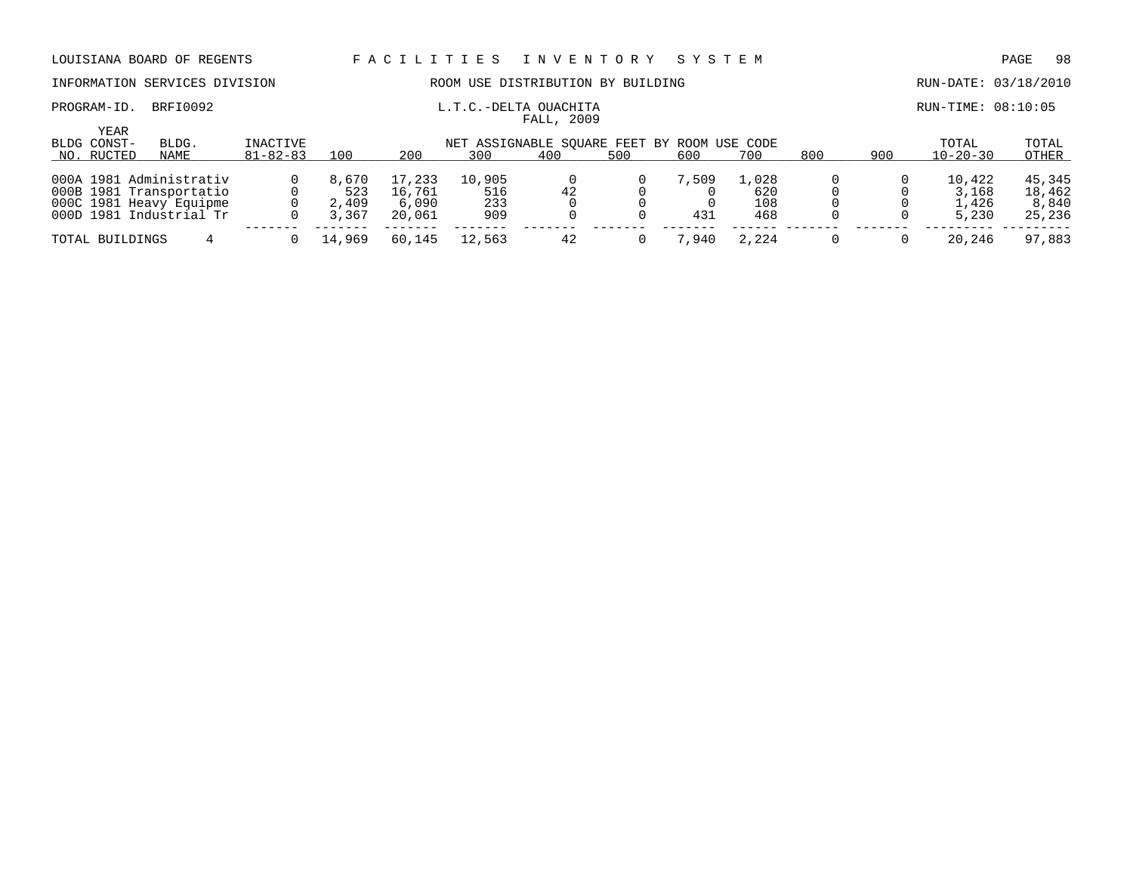### INFORMATION SERVICES DIVISION ROOM USE DISTRIBUTION BY BUILDING RUN-DATE: 03/18/2010

### PROGRAM-ID. BRFI0092 L.T.C.-DELTA OUACHITA RUN-TIME: 08:10:05

### YEAR BLDG CONST- BLDG. INACTIVE NET ASSIGNABLE SQUARE FEET BY ROOM USE CODE TOTAL TOTAL TOTAL NO. RUCTED NAME 81-82-83 100 200 300 400 500 600 700 800 900 10-20-30 OTHER 000A 1981 Administrativ 0 8,670 17,233 10,905 0 0 7,509 1,028 0 0 10,422 45,345 000B 1981 Transportatio 0 523 16,761 516 42 0 0 620 0 0 3,168 18,462 000C 1981 Heavy Equipme 0 2,409 6,090 233 0 0 0 108 0 0 1,426 8,840 000D 1981 Industrial Tr 0 3,367 20,061 909 0 0 431 468 0 0 5,230 25,236 ------- ------- ------- ------- ------- ------- ------- ------ ------- ------- --------- --------- TOTAL BUILDINGS 4 0 14,969 60,145 12,563 42 0 7,940 2,224 0 0 20,246 97,883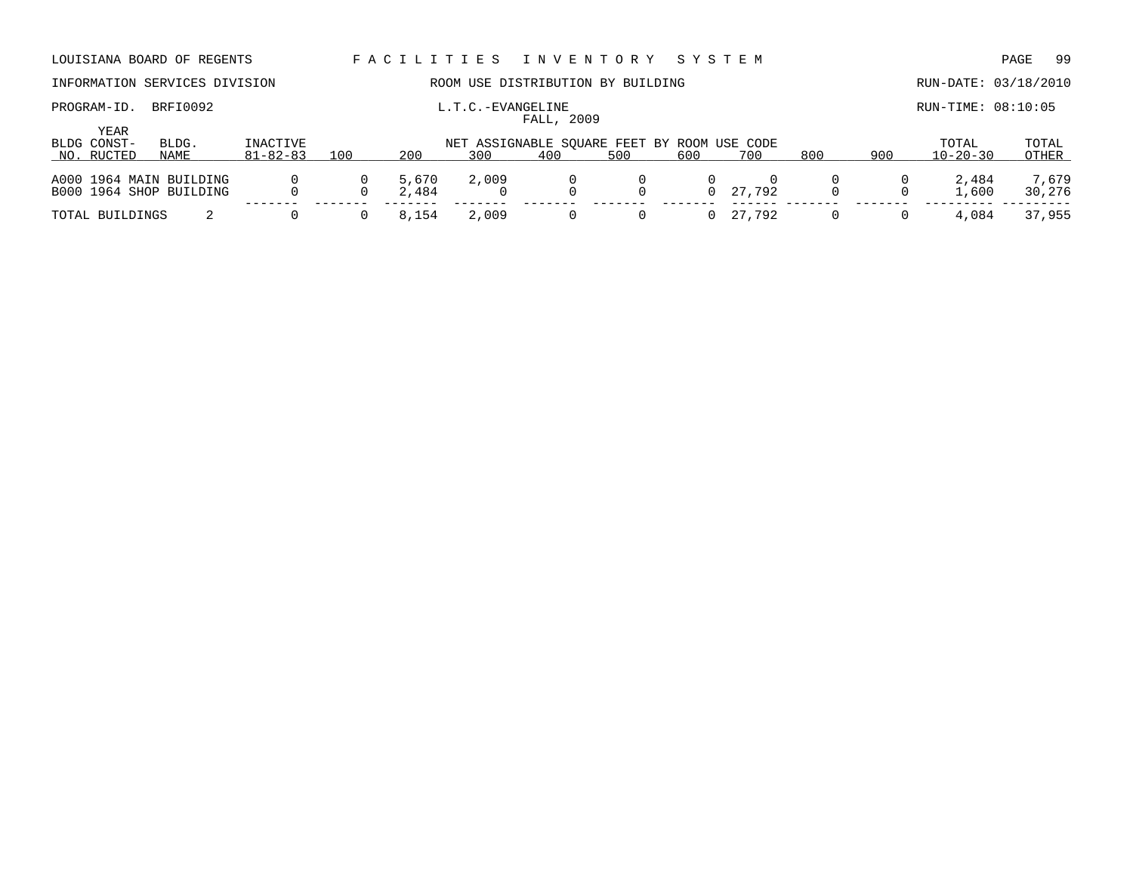### PROGRAM-ID. BRFI0092 **EXAMGELINE** L.T.C.-EVANGELINE **EXAMGELINE** RUN-TIME: 08:10:05

# INFORMATION SERVICES DIVISION ROOM USE DISTRIBUTION BY BUILDING RUN-DATE: 03/18/2010

|                     |                         |                |          |       |       | FALL, 2009 |                                             |     |          |     |     |                |        |
|---------------------|-------------------------|----------------|----------|-------|-------|------------|---------------------------------------------|-----|----------|-----|-----|----------------|--------|
| YEAR<br>BLDG CONST- | BLDG.                   | INACTIVE       |          |       |       |            | NET ASSIGNABLE SOUARE FEET BY ROOM USE CODE |     |          |     |     | TOTAL          | TOTAL  |
| NO. RUCTED          | NAME                    | $81 - 82 - 83$ | 100      | 200   | 300   | 400        | 500                                         | 600 | 700      | 800 | 900 | $10 - 20 - 30$ | OTHER  |
|                     | A000 1964 MAIN BUILDING |                | $\Omega$ | 5,670 | 2,009 |            |                                             |     |          |     |     | 2,484          | 7,679  |
|                     | B000 1964 SHOP BUILDING |                |          | 2,484 |       |            | $\Omega$                                    |     | 0 27.792 |     |     | 1,600          | 30,276 |
| TOTAL BUILDINGS     |                         |                |          | 8,154 | 2,009 |            | $\Omega$                                    |     | 0 27,792 |     |     | 4,084          | 37,955 |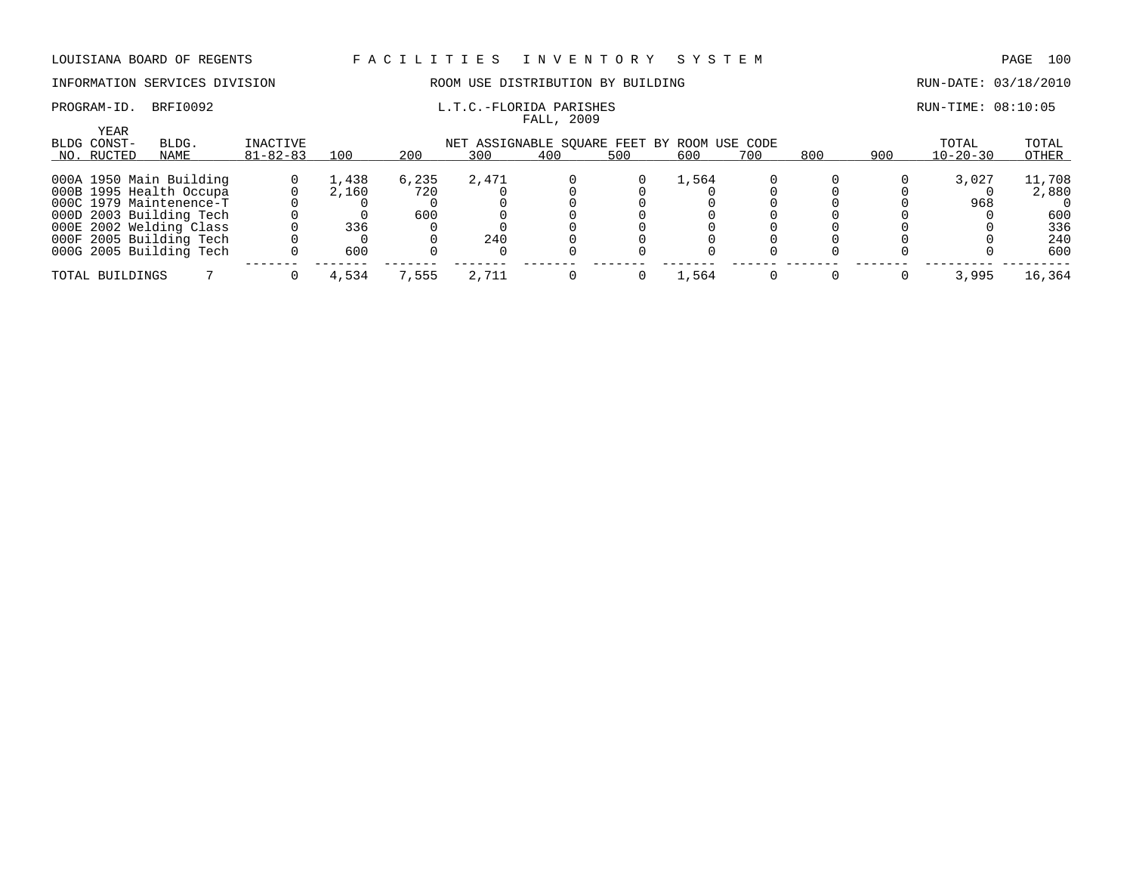# INFORMATION SERVICES DIVISION ROOM USE DISTRIBUTION BY BUILDING RUN-DATE: 03/18/2010

# FALL, 2009

PROGRAM-ID. BRFI0092 **EXAM-ID.** BRFI0092 **L.T.C.-FLORIDA PARISHES EXAMIGLE 20:10:05** 

| YEAR<br>BLDG CONST- | BLDG.                   | INACTIVE       |       |       | NET ASSIGNABLE SOUARE FEET BY ROOM USE CODE |     |     |       |     |     |     | TOTAL          | TOTAL  |
|---------------------|-------------------------|----------------|-------|-------|---------------------------------------------|-----|-----|-------|-----|-----|-----|----------------|--------|
| NO. RUCTED          | NAME                    | $81 - 82 - 83$ | 100   | 200   | 300                                         | 400 | 500 | 600   | 700 | 800 | 900 | $10 - 20 - 30$ | OTHER  |
|                     | 000A 1950 Main Building |                | 1,438 | 6,235 | 2,471                                       |     |     | 1,564 |     |     |     | 3,027          | 11,708 |
|                     | 000B 1995 Health Occupa |                | 2,160 | 720   |                                             |     |     |       |     |     |     |                | 2,880  |
|                     | 000C 1979 Maintenence-T |                |       |       |                                             |     |     |       |     |     |     | 968            |        |
|                     | 000D 2003 Building Tech |                |       | 600   |                                             |     |     |       |     |     |     |                | 600    |
|                     | 000E 2002 Welding Class |                | 336   |       |                                             |     |     |       |     |     |     |                | 336    |
|                     | 000F 2005 Building Tech |                |       |       | 240                                         |     |     |       |     |     |     |                | 240    |
|                     | 000G 2005 Building Tech |                | 600   |       |                                             |     |     |       |     |     |     |                | 600    |
| TOTAL BUILDINGS     |                         |                | 4,534 | 7,555 | 2,711                                       |     |     | 1,564 |     |     |     | 3,995          | 16,364 |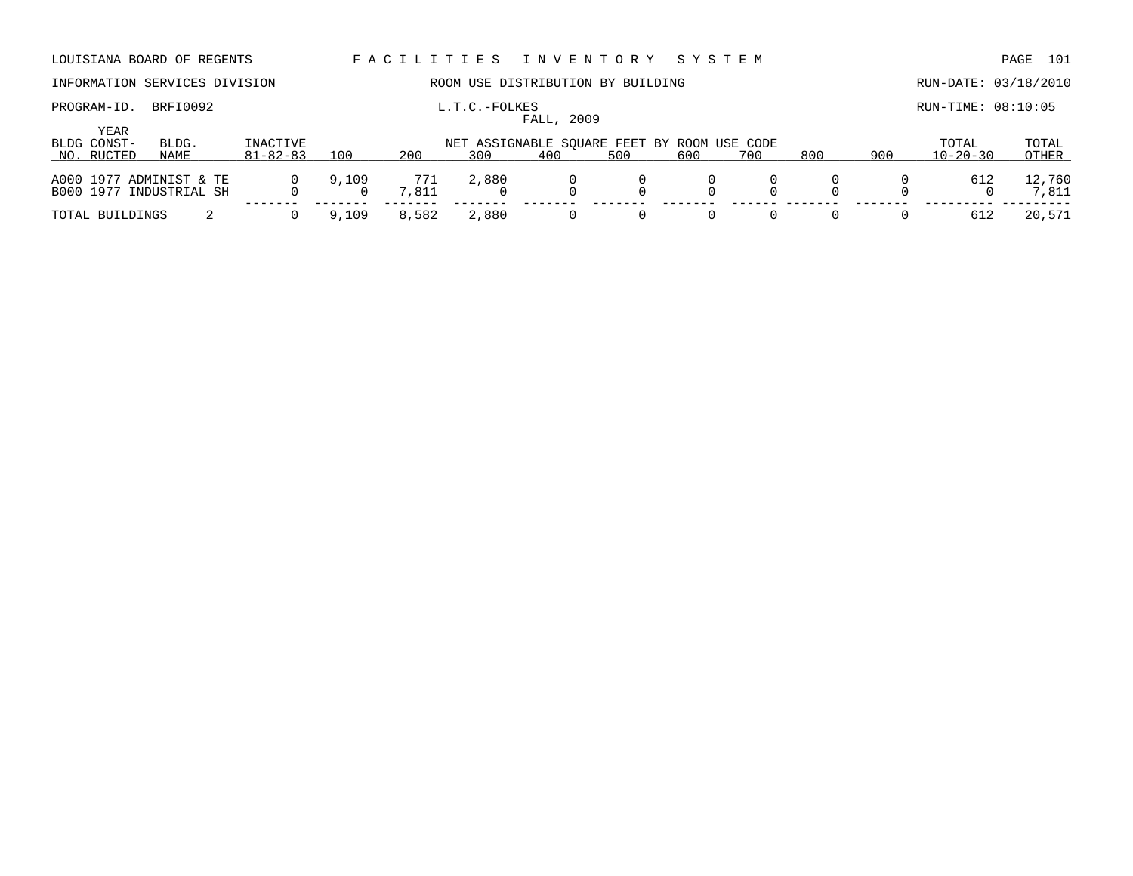|                            | LOUISIANA BOARD OF REGENTS                         |                            |       | FACILITIES   |               | I N V E N T O R Y                                  |     | SYSTEM |     |     |     |                         | 101<br>PAGE     |
|----------------------------|----------------------------------------------------|----------------------------|-------|--------------|---------------|----------------------------------------------------|-----|--------|-----|-----|-----|-------------------------|-----------------|
|                            | INFORMATION SERVICES DIVISION                      |                            |       |              |               | ROOM USE DISTRIBUTION BY BUILDING                  |     |        |     |     |     | RUN-DATE: 03/18/2010    |                 |
| PROGRAM-ID.<br><b>YEAR</b> | BRFI0092                                           |                            |       |              | L.T.C.-FOLKES | FALL, 2009                                         |     |        |     |     |     | RUN-TIME: 08:10:05      |                 |
| BLDG CONST-<br>NO. RUCTED  | BLDG.<br>NAME                                      | INACTIVE<br>$81 - 82 - 83$ | 100   | 200          | 300           | NET ASSIGNABLE SOUARE FEET BY ROOM USE CODE<br>400 | 500 | 600    | 700 | 800 | 900 | TOTAL<br>$10 - 20 - 30$ | TOTAL<br>OTHER  |
|                            | A000 1977 ADMINIST & TE<br>B000 1977 INDUSTRIAL SH |                            | 9,109 | 771<br>7,811 | 2,880         |                                                    |     |        |     |     |     | 612                     | 12,760<br>7,811 |
| TOTAL BUILDINGS            |                                                    |                            | 9,109 | 8,582        | 2,880         |                                                    |     |        |     |     |     | 612                     | 20,571          |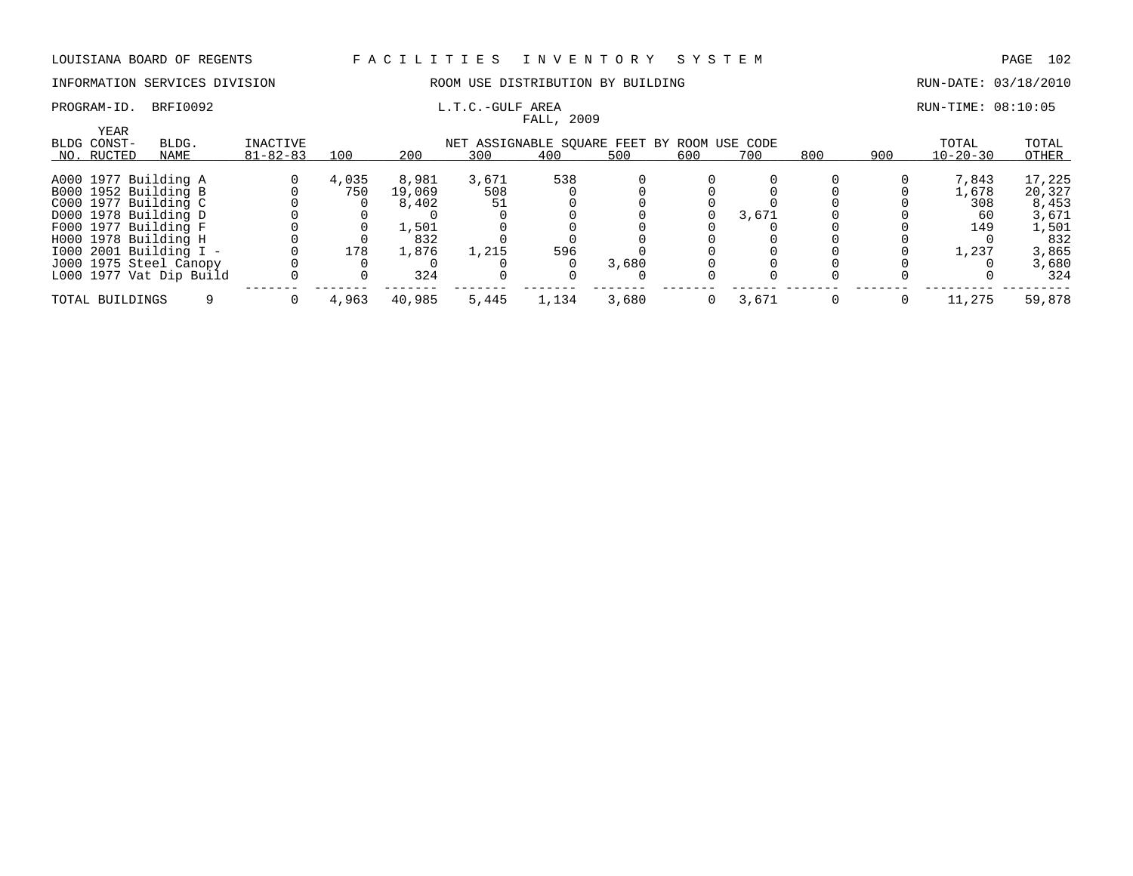FALL, 2009

### INFORMATION SERVICES DIVISION ROOM USE DISTRIBUTION BY BUILDING RUN-DATE: 03/18/2010

## PROGRAM-ID. BRFI0092 L.T.C.-GULF AREA RUN-TIME: 08:10:05

| <b>YEAR</b><br>BLDG CONST- | BLDG.                   | INACTIVE       |       |        |       | NET ASSIGNABLE SQUARE FEET BY ROOM USE CODE |       |     |       |     |     | TOTAL          | TOTAL  |
|----------------------------|-------------------------|----------------|-------|--------|-------|---------------------------------------------|-------|-----|-------|-----|-----|----------------|--------|
| NO. RUCTED                 | NAME                    | $81 - 82 - 83$ | 100   | 200    | 300   | 400                                         | 500   | 600 | 700   | 800 | 900 | $10 - 20 - 30$ | OTHER  |
|                            | A000 1977 Building A    |                | 4,035 | 8,981  | 3,671 | 538                                         |       |     |       |     |     | 7.843          | 17,225 |
|                            | B000 1952 Building B    |                | 750   | 19,069 | 508   |                                             |       |     |       |     |     | 1,678          | 20,327 |
|                            | C000 1977 Building C    |                |       | 8,402  |       |                                             |       |     |       |     |     | 308            | 8,453  |
|                            | D000 1978 Building D    |                |       |        |       |                                             |       |     | 3,671 |     |     | 60             | 3,671  |
|                            | F000 1977 Building F    |                |       | 1,501  |       |                                             |       |     |       |     |     | 149            | 1,501  |
|                            | H000 1978 Building H    |                |       | 832    |       |                                             |       |     |       |     |     |                | 832    |
|                            | 1000 2001 Building I -  |                | 178   | 1,876  | 1,215 | 596                                         |       |     |       |     |     | 1,237          | 3,865  |
|                            | J000 1975 Steel Canopy  |                |       |        |       |                                             | 3,680 |     |       |     |     |                | 3,680  |
|                            | L000 1977 Vat Dip Build |                |       | 324    |       |                                             |       |     |       |     |     |                | 324    |
| TOTAL BUILDINGS            |                         |                | 4,963 | 40,985 | 5,445 | 1,134                                       | 3,680 |     | 3,671 |     |     | 11,275         | 59,878 |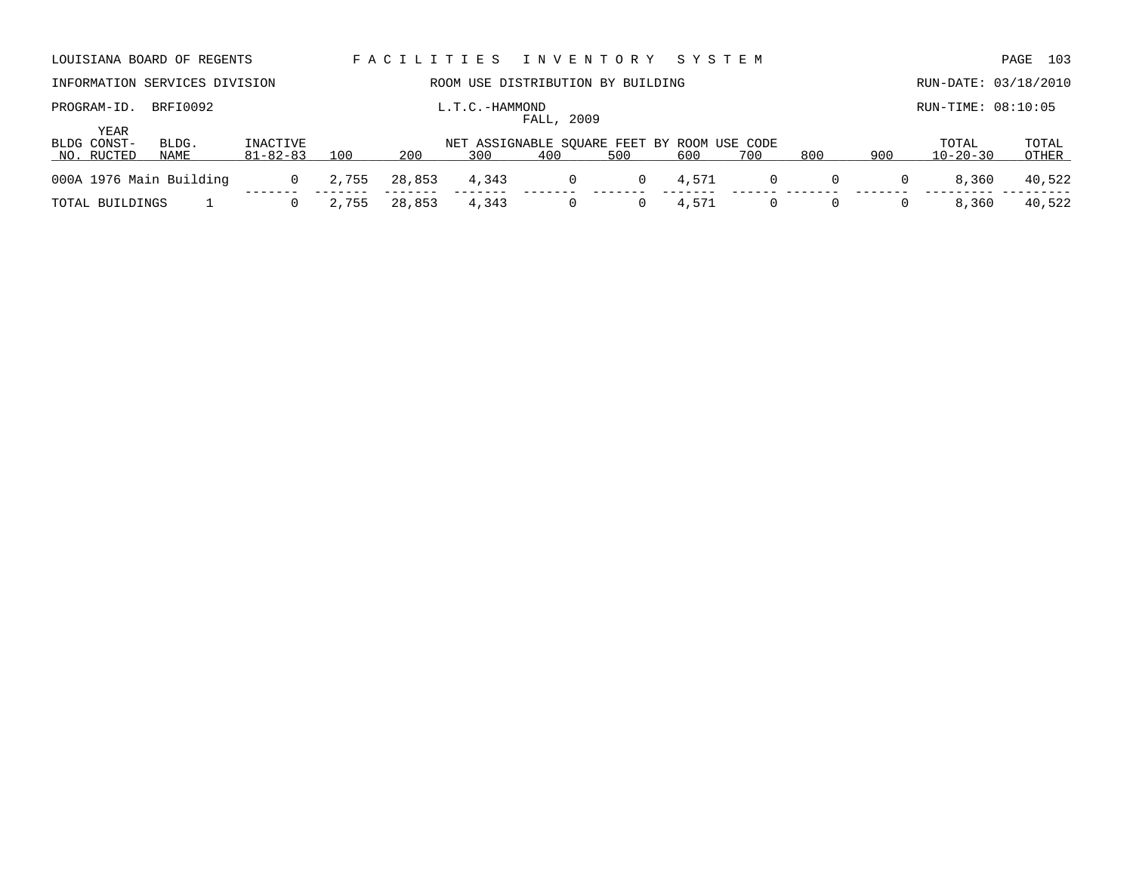| LOUISIANA BOARD OF REGENTS        |                                                                                |                                |              | FACILITIES    |                | I N V E N T O R Y                 |          | SYSTEM       |                     |                     |          |                         | 103<br>PAGE     |
|-----------------------------------|--------------------------------------------------------------------------------|--------------------------------|--------------|---------------|----------------|-----------------------------------|----------|--------------|---------------------|---------------------|----------|-------------------------|-----------------|
| INFORMATION SERVICES DIVISION     |                                                                                |                                |              |               |                | ROOM USE DISTRIBUTION BY BUILDING |          |              |                     |                     |          | RUN-DATE: 03/18/2010    |                 |
| PROGRAM-ID.                       | BRFI0092                                                                       |                                |              |               | L.T.C.-HAMMOND |                                   |          |              |                     |                     |          | $RUN-TIME: 08:10:05$    |                 |
| YEAR<br>BLDG CONST-<br>NO. RUCTED | FALL, 2009<br>INACTIVE<br>BLDG.<br>NET ASSIGNABLE SOUARE FEET BY ROOM USE CODE |                                |              |               |                |                                   |          |              |                     |                     |          | TOTAL                   | TOTAL           |
|                                   |                                                                                |                                |              |               |                |                                   |          |              |                     |                     |          |                         |                 |
| 000A 1976 Main Building           | NAME                                                                           | $81 - 82 - 83$<br>$\mathbf{0}$ | 100<br>2,755 | 200<br>28,853 | 300<br>4,343   | 400<br>0                          | 500<br>0 | 600<br>4,571 | 700<br>$\mathbf{0}$ | 800<br>$\mathbf{0}$ | 900<br>0 | $10 - 20 - 30$<br>8,360 | OTHER<br>40,522 |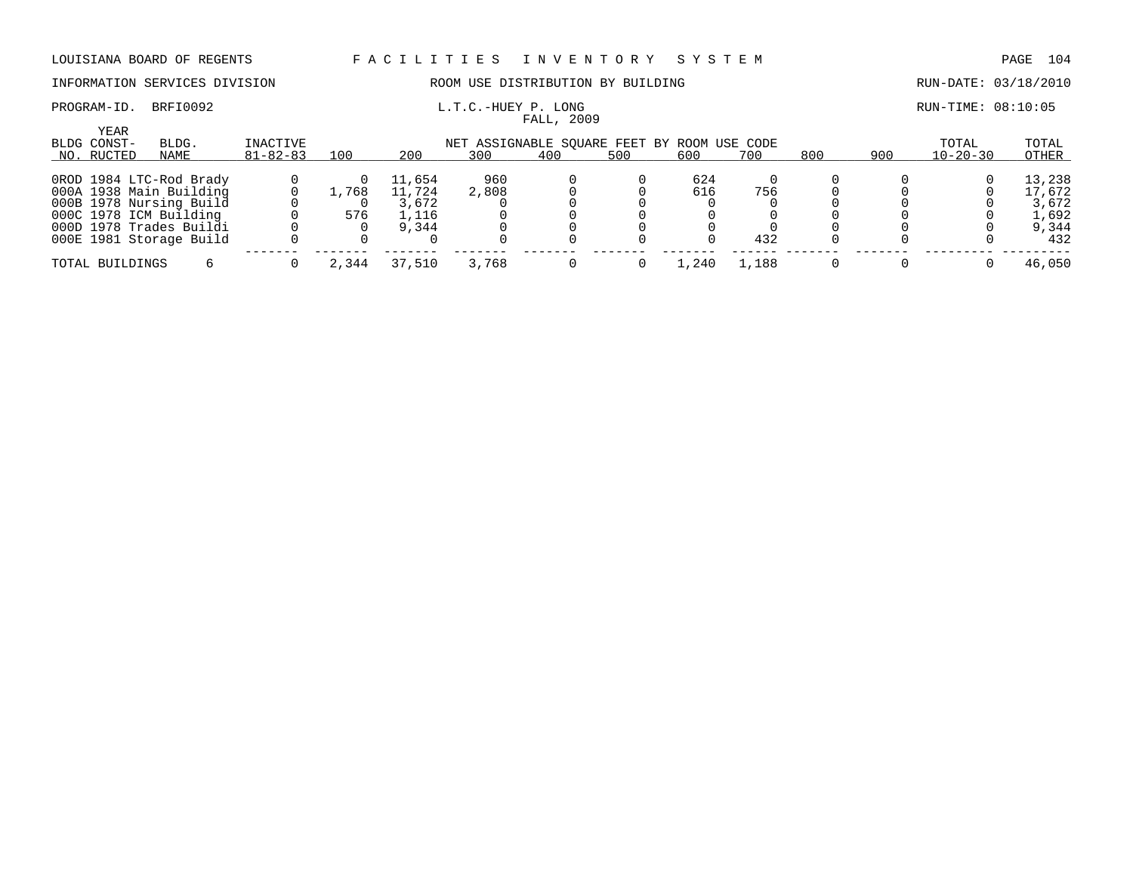### INFORMATION SERVICES DIVISION ROOM USE DISTRIBUTION BY BUILDING RUN-DATE: 03/18/2010

# PROGRAM-ID. BRFI0092 **L.T.C.-HUEY P. LONG L.T.C.-HUEY P. LONG** RUN-TIME: 08:10:05

|                                   |                         |                            |       |        |       | FALL, 2009                                         |     |         |       |     |     |                         |                |
|-----------------------------------|-------------------------|----------------------------|-------|--------|-------|----------------------------------------------------|-----|---------|-------|-----|-----|-------------------------|----------------|
| YEAR<br>BLDG CONST-<br>NO. RUCTED | BLDG.<br>NAME           | INACTIVE<br>$81 - 82 - 83$ | 100   | 200    | 300   | NET ASSIGNABLE SOUARE FEET BY ROOM USE CODE<br>400 | 500 | 600     | 700   | 800 | 900 | TOTAL<br>$10 - 20 - 30$ | TOTAL<br>OTHER |
|                                   |                         |                            |       |        |       |                                                    |     |         |       |     |     |                         |                |
|                                   | OROD 1984 LTC-Rod Brady |                            |       | 11,654 | 960   |                                                    |     | 624     |       |     |     |                         | 13,238         |
|                                   | 000A 1938 Main Building |                            | 1,768 | 11,724 | 2,808 |                                                    |     | 616     | 756   |     |     |                         | 17,672         |
|                                   | 000B 1978 Nursing Build |                            |       | 3,672  |       |                                                    |     |         |       |     |     |                         | 3,672          |
|                                   | 000C 1978 ICM Building  |                            | 576   | 1,116  |       |                                                    |     |         |       |     |     |                         | 1,692          |
|                                   | 000D 1978 Trades Buildi |                            |       | 9,344  |       |                                                    |     |         |       |     |     |                         | 9,344          |
|                                   | 000E 1981 Storage Build |                            |       |        |       |                                                    |     |         | 432   |     |     |                         | 432            |
| TOTAL BUILDINGS                   |                         |                            | 2,344 | 37,510 | 3,768 |                                                    |     | . . 240 | L.188 |     |     |                         | 46,050         |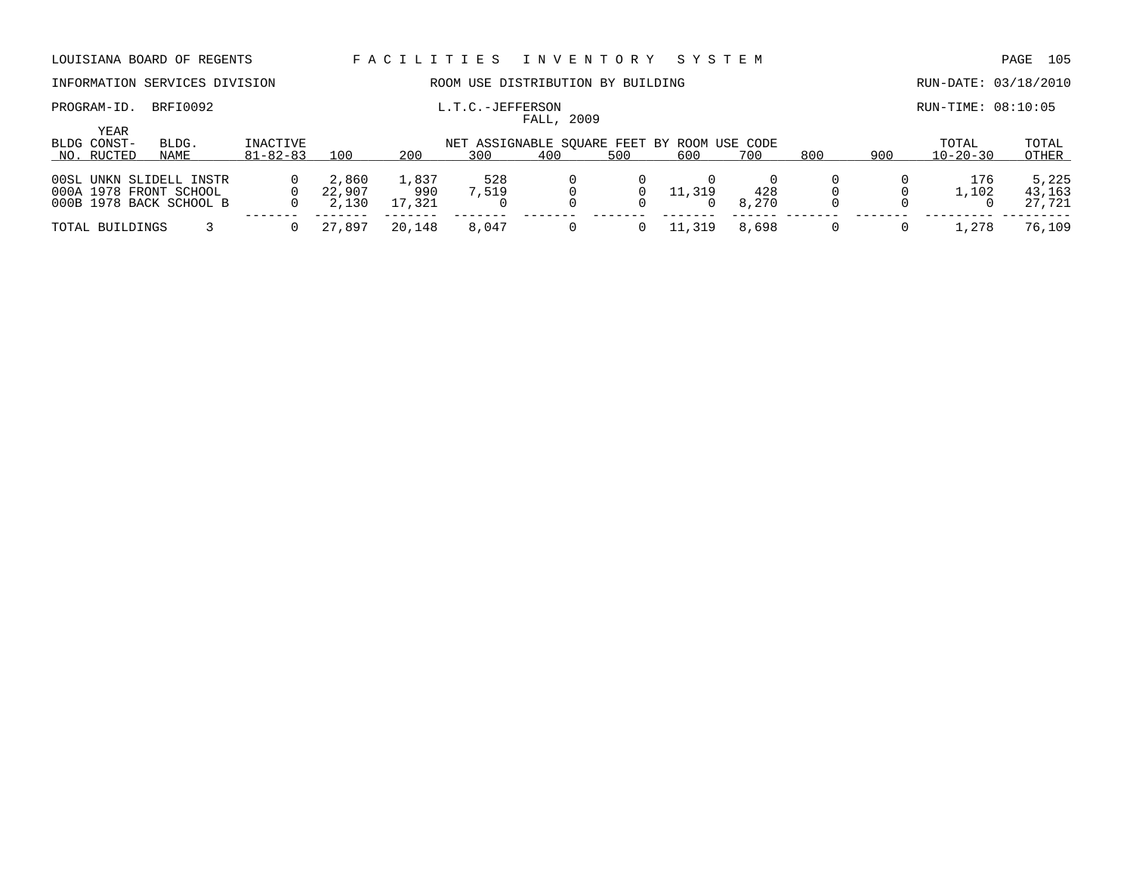### PROGRAM-ID. BRFI0092 **EXAM-ID.** BRFI0092 **L.T.C.-JEFFERSON L.T.C.-JEFFERSON**

# INFORMATION SERVICES DIVISION ROOM USE DISTRIBUTION BY BUILDING RUN-DATE: 03/18/2010

| YEAR            |                         |          |        |        |                                             |     |     |        |       |     |     |                    |        |
|-----------------|-------------------------|----------|--------|--------|---------------------------------------------|-----|-----|--------|-------|-----|-----|--------------------|--------|
| BLDG CONST-     | BLDG.                   | INACTIVE |        |        | NET ASSIGNABLE SOUARE FEET BY ROOM USE CODE |     |     |        |       |     |     | TOTAL              | TOTAL  |
| NO. RUCTED      | NAME                    | 81-82-83 | 100    | 200    | 300                                         | 400 | 500 | 600    | 700   | 800 | 900 | $10 - 20 - 30$     | OTHER  |
|                 |                         |          |        |        |                                             |     |     |        |       |     |     |                    |        |
|                 | 00SL UNKN SLIDELL INSTR |          | 2,860  | 1,837  | 528                                         |     |     |        |       |     |     | 176                | 5,225  |
|                 | 000A 1978 FRONT SCHOOL  |          | 22,907 | 990    | 7,519                                       |     | 0   | 11,319 | 428   |     |     | $\overline{1,102}$ | 43,163 |
|                 | 000B 1978 BACK SCHOOL B |          | 2,130  | 17,321 |                                             |     |     |        | 8,270 |     |     |                    | 27,721 |
|                 |                         |          |        |        |                                             |     |     |        |       |     |     |                    |        |
| TOTAL BUILDINGS |                         |          | 27,897 | 20,148 | 8.047                                       |     |     | .319   | 8,698 |     |     | .278               | 76,109 |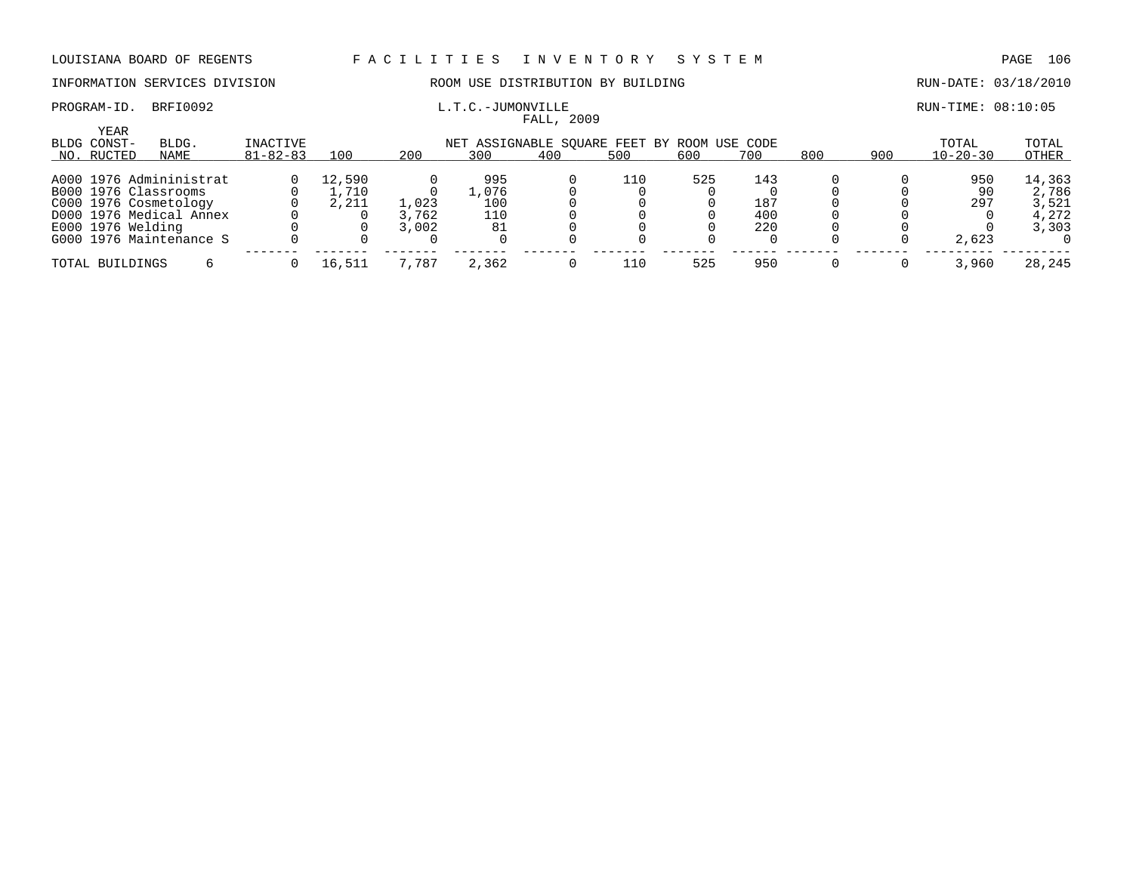# INFORMATION SERVICES DIVISION ROOM USE DISTRIBUTION BY BUILDING RUN-DATE: 03/18/2010

### PROGRAM-ID. BRFI0092 **EXAM-ID.** BRFI0092 **L.T.C.-JUMONVILLE EXAMINEMELY ASSESS** FALL, 2009

| <b>YEAR</b><br>BLDG CONST- | BLDG.                   | INACTIVE       |        |       |       |     | NET ASSIGNABLE SOUARE FEET BY ROOM USE CODE |     |     |     |     | TOTAL          | TOTAL  |
|----------------------------|-------------------------|----------------|--------|-------|-------|-----|---------------------------------------------|-----|-----|-----|-----|----------------|--------|
| NO. RUCTED                 | NAME                    | $81 - 82 - 83$ | 100    | 200   | 300   | 400 | 500                                         | 600 | 700 | 800 | 900 | $10 - 20 - 30$ | OTHER  |
|                            | A000 1976 Admininistrat |                | 12,590 |       | 995   |     | 110                                         | 525 | 143 |     |     | 950            | 14,363 |
|                            |                         |                |        |       |       |     |                                             |     |     |     |     |                |        |
|                            | B000 1976 Classrooms    |                | .710   |       | L.076 |     |                                             |     |     |     |     | 90             | 2,786  |
|                            | C000 1976 Cosmetology   |                | 2,211  | 1,023 | 100   |     |                                             |     | 187 |     |     | 297            | 3,521  |
|                            | D000 1976 Medical Annex |                |        | 3,762 | 110   |     |                                             |     | 400 |     |     |                | 4,272  |
| E000 1976 Welding          |                         |                |        | 3,002 | 81    |     |                                             |     | 220 |     |     |                | 3,303  |
|                            | G000 1976 Maintenance S |                |        |       |       |     |                                             |     |     |     |     | 2,623          |        |
| TOTAL BUILDINGS            |                         |                | 16,511 | 7,787 | 2,362 |     | 110                                         | 525 | 950 |     |     | 3,960          | 28,245 |
|                            |                         |                |        |       |       |     |                                             |     |     |     |     |                |        |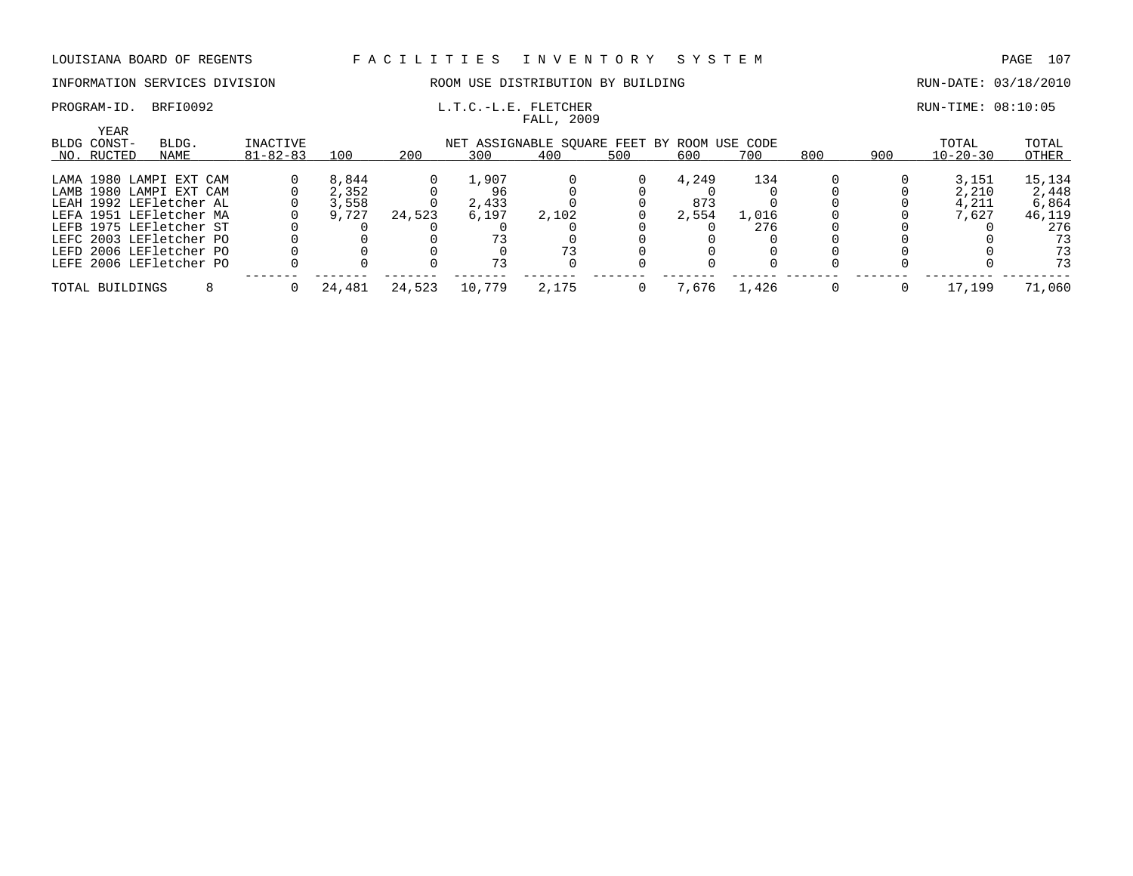# INFORMATION SERVICES DIVISION ROOM USE DISTRIBUTION BY BUILDING RUN-DATE: 03/18/2010

### PROGRAM-ID. BRFI0092 **L.T.C.-L.E. FLETCHER EXECUTED** RUN-TIME: 08:10:05 FALL, 2009

| YEAR<br>BLDG CONST- | BLDG.                   | INACTIVE<br>NET ASSIGNABLE SOUARE FEET BY ROOM USE CODE |        |        |        |       |     |       |       |     | TOTAL | TOTAL          |        |
|---------------------|-------------------------|---------------------------------------------------------|--------|--------|--------|-------|-----|-------|-------|-----|-------|----------------|--------|
| NO. RUCTED          | NAME                    | $81 - 82 - 83$                                          | 100    | 200    | 300    | 400   | 500 | 600   | 700   | 800 | 900   | $10 - 20 - 30$ | OTHER  |
|                     | LAMA 1980 LAMPI EXT CAM |                                                         | 8,844  |        | 1,907  |       |     | 4,249 | 134   |     |       | 3,151          | 15,134 |
|                     | LAMB 1980 LAMPI EXT CAM |                                                         | 2,352  |        |        |       |     |       |       |     |       | 2,210          | 2,448  |
|                     | LEAH 1992 LEFletcher AL |                                                         | 3,558  |        | 2,433  |       |     | 873   |       |     |       | 4,211          | 6,864  |
|                     | LEFA 1951 LEFletcher MA |                                                         | 9,727  | 24,523 | 6,197  | 2,102 |     | 2,554 | 1,016 |     |       | 7.627          | 46,119 |
|                     | LEFB 1975 LEFletcher ST |                                                         |        |        |        |       |     |       | 276   |     |       |                | 276    |
|                     | LEFC 2003 LEFletcher PO |                                                         |        |        |        |       |     |       |       |     |       |                | 73     |
|                     | LEFD 2006 LEFletcher PO |                                                         |        |        |        |       |     |       |       |     |       |                | 73     |
|                     | LEFE 2006 LEFletcher PO |                                                         |        |        |        |       |     |       |       |     |       |                | 73     |
| TOTAL BUILDINGS     |                         |                                                         | 24,481 | 24,523 | 10,779 | 2,175 |     | .676  | 1,426 |     |       | 17,199         | 71,060 |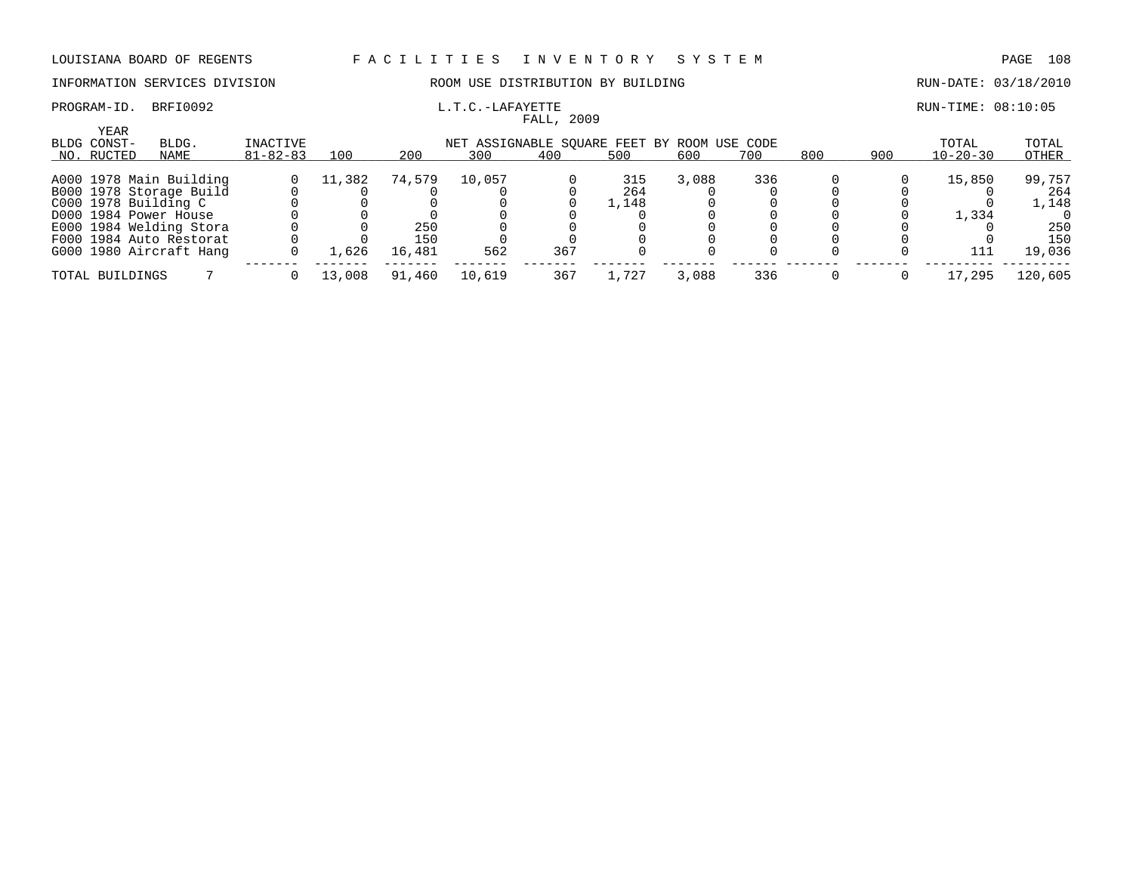## INFORMATION SERVICES DIVISION ROOM USE DISTRIBUTION BY BUILDING RUN-DATE: 03/18/2010

# PROGRAM-ID. BRFI0092 **EXAM-ID.** BRFI0092 **L.T.C.-LAFAYETTE EXAMINE: 08:10:05**

YEAR

| $\ldots$ - DAP A FB FFB |            |  |
|-------------------------|------------|--|
|                         | FALL, 2009 |  |

| ILAR                                                                            |                         |                |        |        |        |     |       |       |       |       |     |                |         |
|---------------------------------------------------------------------------------|-------------------------|----------------|--------|--------|--------|-----|-------|-------|-------|-------|-----|----------------|---------|
| INACTIVE<br>BLDG CONST-<br>BLDG.<br>NET ASSIGNABLE SOUARE FEET BY ROOM USE CODE |                         |                |        |        |        |     |       |       | TOTAL | TOTAL |     |                |         |
| NO. RUCTED                                                                      | NAME                    | $81 - 82 - 83$ | 100    | 200    | 300    | 400 | 500   | 600   | 700   | 800   | 900 | $10 - 20 - 30$ | OTHER   |
|                                                                                 |                         |                |        |        |        |     |       |       |       |       |     |                |         |
|                                                                                 | A000 1978 Main Building |                | 11,382 | 74,579 | 10,057 |     | 315   | 3,088 | 336   |       |     | 15,850         | 99,757  |
|                                                                                 | B000 1978 Storage Build |                |        |        |        |     | 264   |       |       |       |     |                | 264     |
| C000 1978 Building C                                                            |                         |                |        |        |        |     | 1,148 |       |       |       |     |                | 1,148   |
|                                                                                 | D000 1984 Power House   |                |        |        |        |     |       |       |       |       |     | 1,334          |         |
|                                                                                 | E000 1984 Welding Stora |                |        | 250    |        |     |       |       |       |       |     |                | 250     |
|                                                                                 | F000 1984 Auto Restorat |                |        | 150    |        |     |       |       |       |       |     |                | 150     |
|                                                                                 | G000 1980 Aircraft Hang |                | 1,626  | 16,481 | 562    | 367 |       |       |       |       |     | 111            | 19,036  |
|                                                                                 |                         |                |        |        |        |     |       |       |       |       |     |                |         |
| TOTAL BUILDINGS                                                                 |                         |                | 13,008 | 91,460 | 10,619 | 367 | 1,727 | 3,088 | 336   |       |     | 17,295         | 120,605 |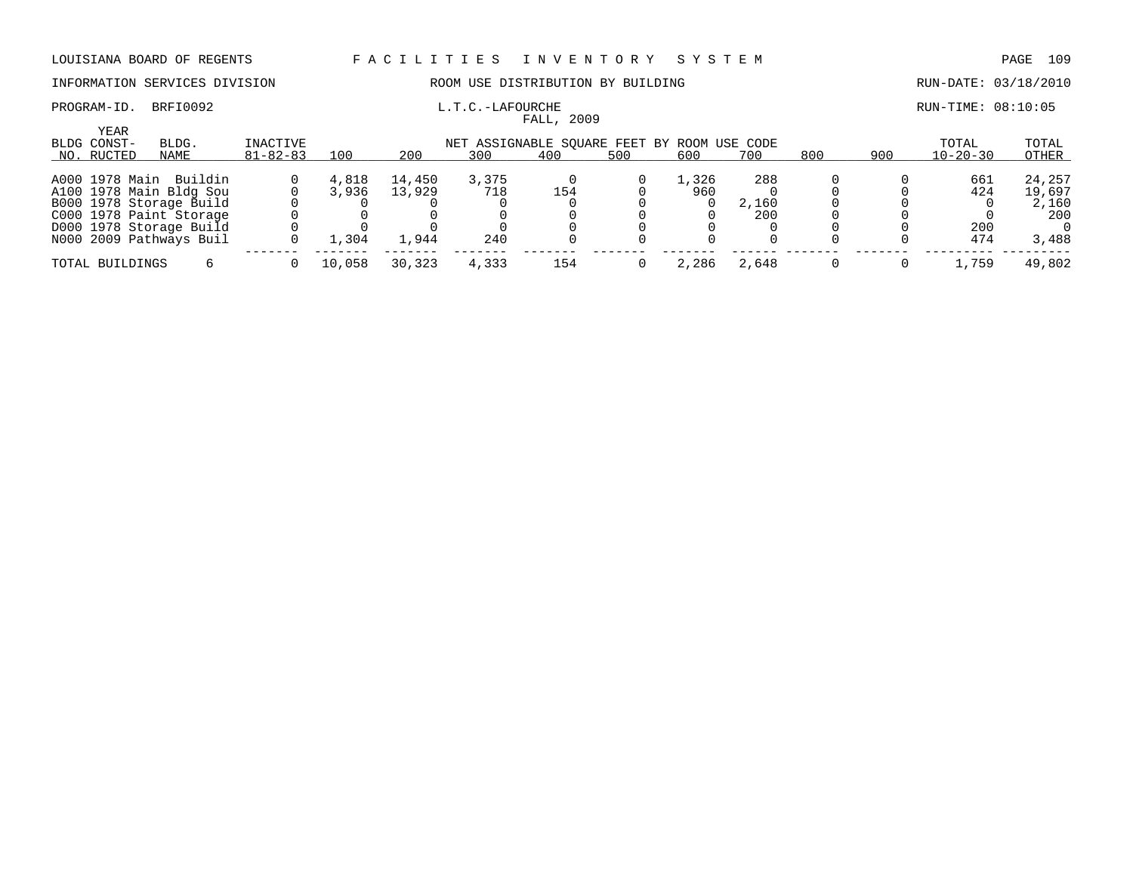## PROGRAM-ID. BRFI0092 **EXAM-ID.** BRFI0092 **L.T.C.-LAFOURCHE EXAMINE:** 08:10:05

## INFORMATION SERVICES DIVISION ROOM USE DISTRIBUTION BY BUILDING RUN-DATE: 03/18/2010

|                                   |                         |                            |        |        |       | FALL, 2009                                         |     |       |       |     |     |                         |                |
|-----------------------------------|-------------------------|----------------------------|--------|--------|-------|----------------------------------------------------|-----|-------|-------|-----|-----|-------------------------|----------------|
| YEAR<br>BLDG CONST-<br>NO. RUCTED | BLDG.<br>NAME           | INACTIVE<br>$81 - 82 - 83$ | 100    | 200    | 300   | NET ASSIGNABLE SOUARE FEET BY ROOM USE CODE<br>400 | 500 | 600   | 700   | 800 | 900 | TOTAL<br>$10 - 20 - 30$ | TOTAL<br>OTHER |
|                                   | A000 1978 Main Buildin  |                            | 4,818  | 14,450 | 3,375 |                                                    |     | 1,326 | 288   |     |     | 661                     | 24,257         |
|                                   | A100 1978 Main Bldg Sou |                            | 3,936  | 13,929 | 718   | 154                                                |     | 960   |       |     |     | 424                     | 19,697         |
|                                   | B000 1978 Storage Build |                            |        |        |       |                                                    |     |       | 2,160 |     |     |                         | 2,160          |
|                                   | C000 1978 Paint Storage |                            |        |        |       |                                                    |     |       | 200   |     |     |                         | 200            |
|                                   | D000 1978 Storage Build |                            |        |        |       |                                                    |     |       |       |     |     | 200                     |                |
|                                   | N000 2009 Pathways Buil |                            | 1,304  | 1,944  | 240   |                                                    |     |       |       |     |     | 474                     | 3,488          |
| TOTAL BUILDINGS                   |                         |                            | 10,058 | 30,323 | 4,333 | 154                                                |     | 2,286 | 2,648 |     |     | 1,759                   | 49,802         |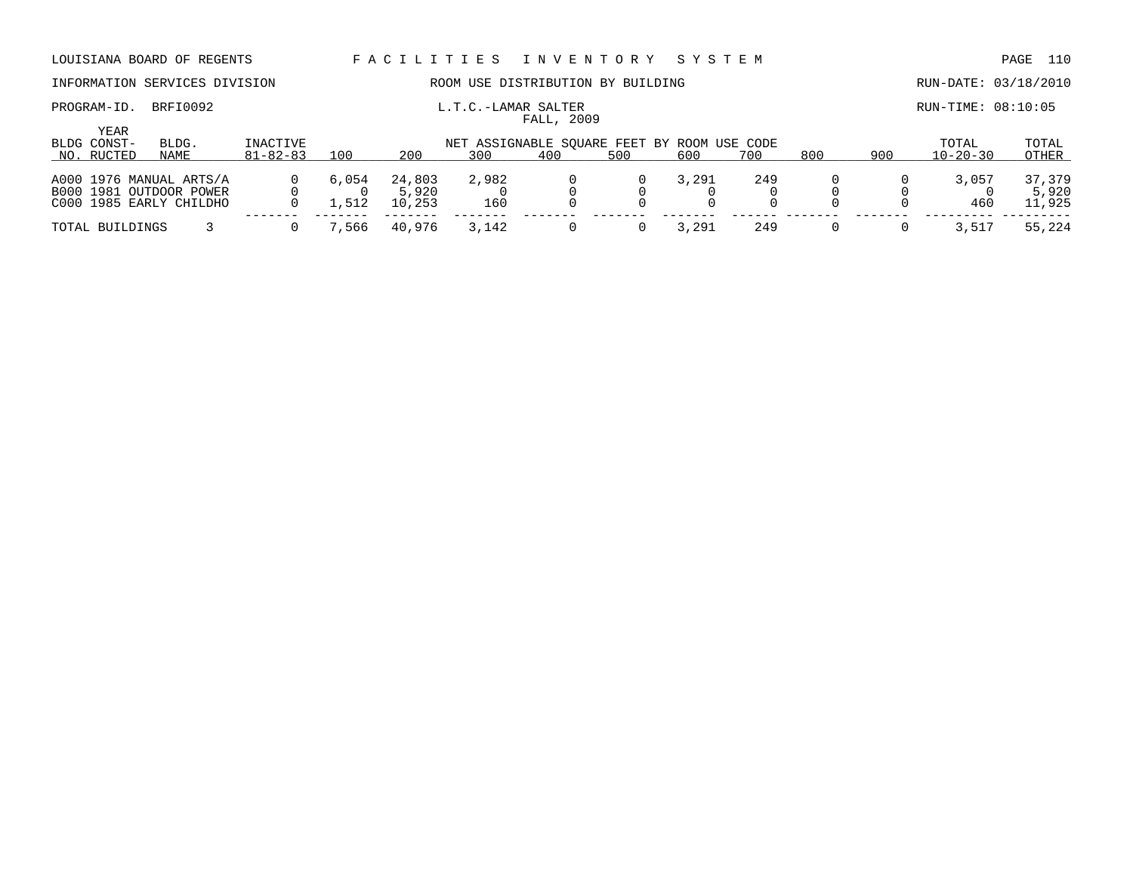PROGRAM-ID. BRFI0092 **EXAMILY L.T.C.-LAMAR SALTER** FOR RUN-TIME: 08:10:05

## INFORMATION SERVICES DIVISION **ROOM USE DISTRIBUTION BY BUILDING RUN-DATE: 03/18/2010**

| YEAR<br>BLDG CONST- | BLDG.                   | INACTIVE       |       |        | NET ASSIGNABLE SQUARE FEET BY ROOM USE CODE |     |     |       |     |     |     | TOTAL          | TOTAL  |
|---------------------|-------------------------|----------------|-------|--------|---------------------------------------------|-----|-----|-------|-----|-----|-----|----------------|--------|
| NO. RUCTED          | NAME                    | $81 - 82 - 83$ | 100   | 200    | 300                                         | 400 | 500 | 600   | 700 | 800 | 900 | $10 - 20 - 30$ | OTHER  |
|                     | A000 1976 MANUAL ARTS/A |                | 6,054 | 24,803 | 2,982                                       |     |     | 3,291 | 249 |     |     | 3,057          | 37,379 |
|                     | B000 1981 OUTDOOR POWER |                |       | 5,920  |                                             |     |     |       |     |     |     |                | 5,920  |
|                     | C000 1985 EARLY CHILDHO |                | .512  | 10,253 | 160                                         |     |     |       |     |     |     | 460            | 11,925 |
| TOTAL BUILDINGS     |                         |                | ,566  | 40.976 | 3,142                                       |     |     | . 291 | 249 |     |     | 3,517          | 55,224 |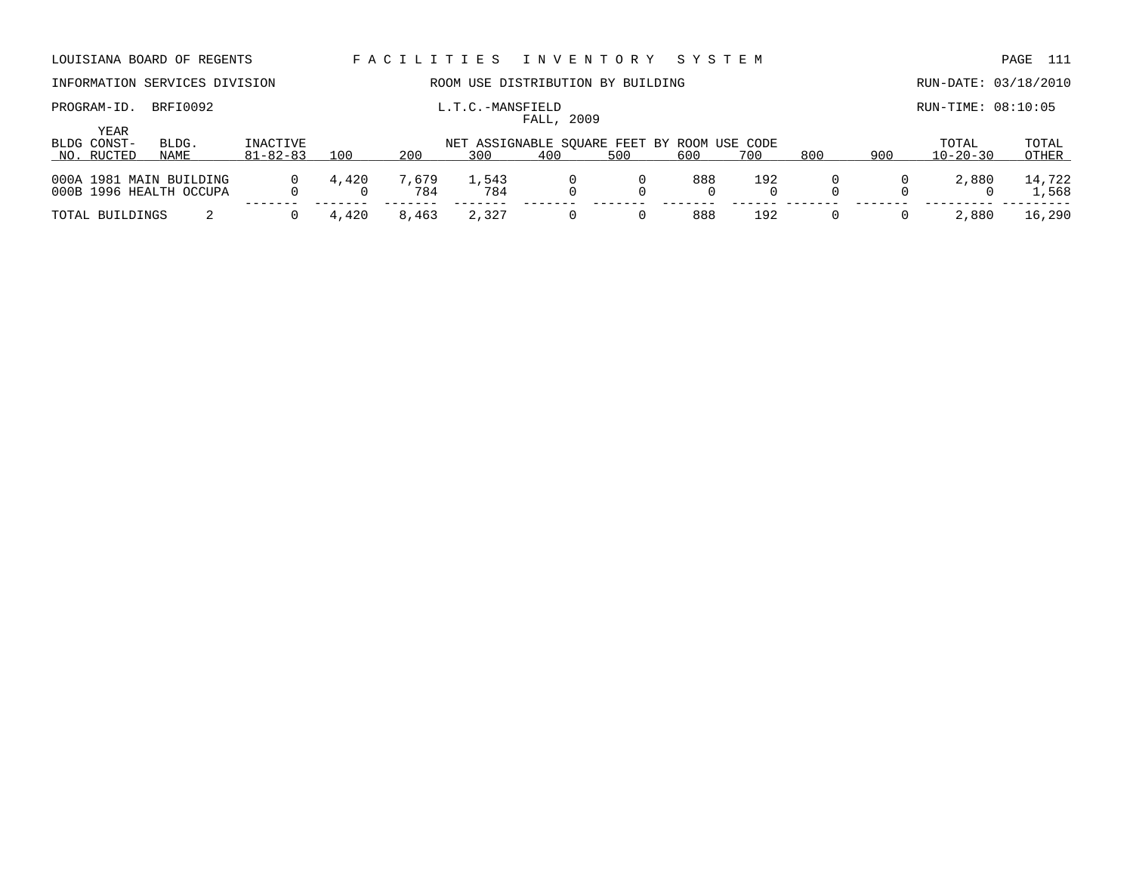## INFORMATION SERVICES DIVISION **ROOM USE DISTRIBUTION BY BUILDING RUN-DATE: 03/18/2010**

FALL, 2009

PROGRAM-ID. BRFI0092 **EXAMIC L.T.C.-MANSFIELD EXAMIC RUN-TIME: 08:10:05** 

| YEAR<br>BLDG CONST- | BLDG.                                              | INACTIVE       |       |              | NET ASSIGNABLE SOUARE FEET BY ROOM USE CODE |     |     |     |     |     |     | TOTAL          | TOTAL           |
|---------------------|----------------------------------------------------|----------------|-------|--------------|---------------------------------------------|-----|-----|-----|-----|-----|-----|----------------|-----------------|
| NO. RUCTED          | NAME                                               | $81 - 82 - 83$ | 100   | 200          | 300                                         | 400 | 500 | 600 | 700 | 800 | 900 | $10 - 20 - 30$ | OTHER           |
|                     | 000A 1981 MAIN BUILDING<br>000B 1996 HEALTH OCCUPA | $\Omega$       | 4,420 | 7,679<br>784 | 1,543<br>784                                |     |     | 888 | 192 |     |     | 2,880          | 14,722<br>1,568 |
| TOTAL BUILDINGS     |                                                    |                | 4,420 | 8,463        | 2,327                                       |     |     | 888 | 192 |     |     | 2,880          | 16,290          |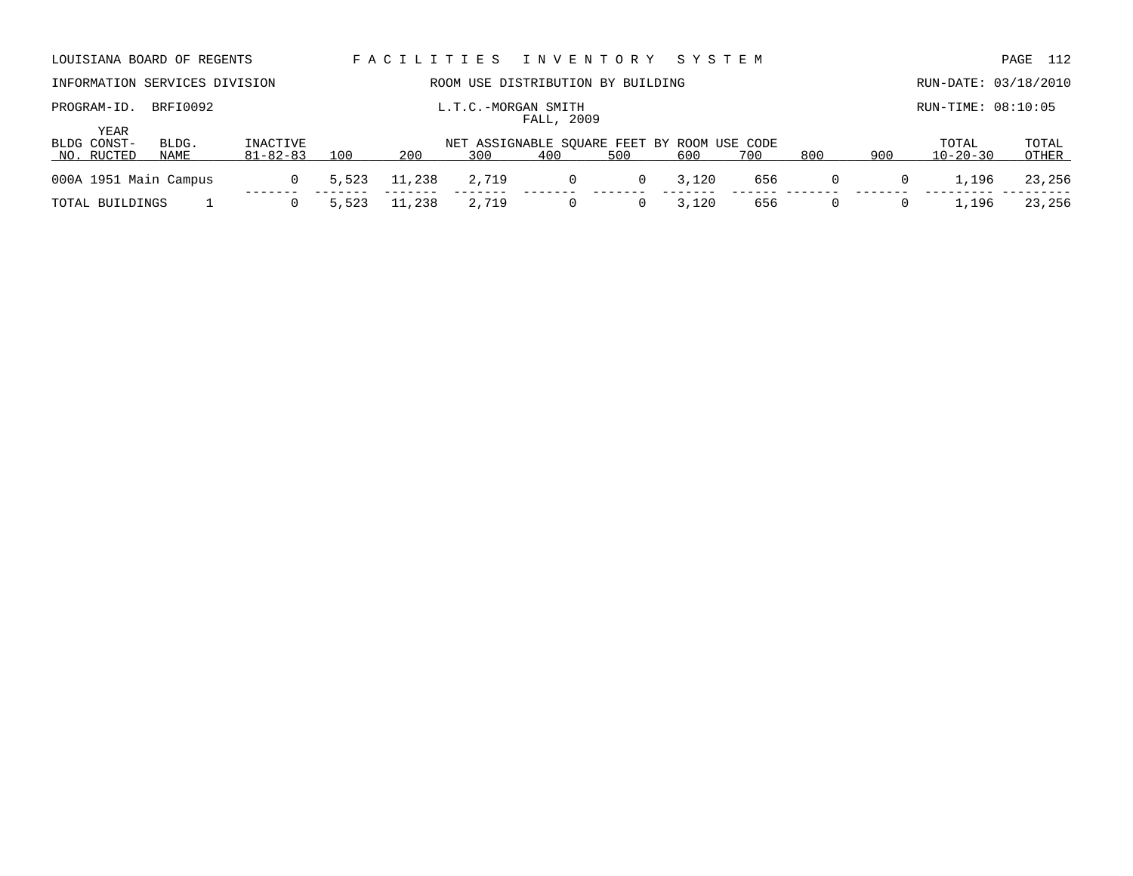| LOUISIANA BOARD OF REGENTS    |               |                                   |       | FACILITIES |       | I N V E N T O R Y                                  |     | SYSTEM |     |                |     |                         | 112<br>PAGE    |
|-------------------------------|---------------|-----------------------------------|-------|------------|-------|----------------------------------------------------|-----|--------|-----|----------------|-----|-------------------------|----------------|
| INFORMATION SERVICES DIVISION |               |                                   |       |            |       | ROOM USE DISTRIBUTION BY BUILDING                  |     |        |     |                |     | RUN-DATE: 03/18/2010    |                |
| PROGRAM-ID.                   | BRFI0092      |                                   |       |            |       | L.T.C.-MORGAN SMITH<br>FALL, 2009                  |     |        |     |                |     | RUN-TIME: 08:10:05      |                |
| YEAR                          |               |                                   |       |            |       |                                                    |     |        |     |                |     |                         |                |
| BLDG CONST-<br>NO. RUCTED     | BLDG.<br>NAME | <b>INACTIVE</b><br>$81 - 82 - 83$ | 100   | 200        | 300   | NET ASSIGNABLE SOUARE FEET BY ROOM USE CODE<br>400 | 500 | 600    | 700 | 800            | 900 | TOTAL<br>$10 - 20 - 30$ | TOTAL<br>OTHER |
| 000A 1951 Main Campus         |               | 0                                 | 5,523 | 11,238     | 2,719 | 0                                                  | 0   | 3,120  | 656 | $\overline{0}$ | 0   | 1,196                   | 23,256         |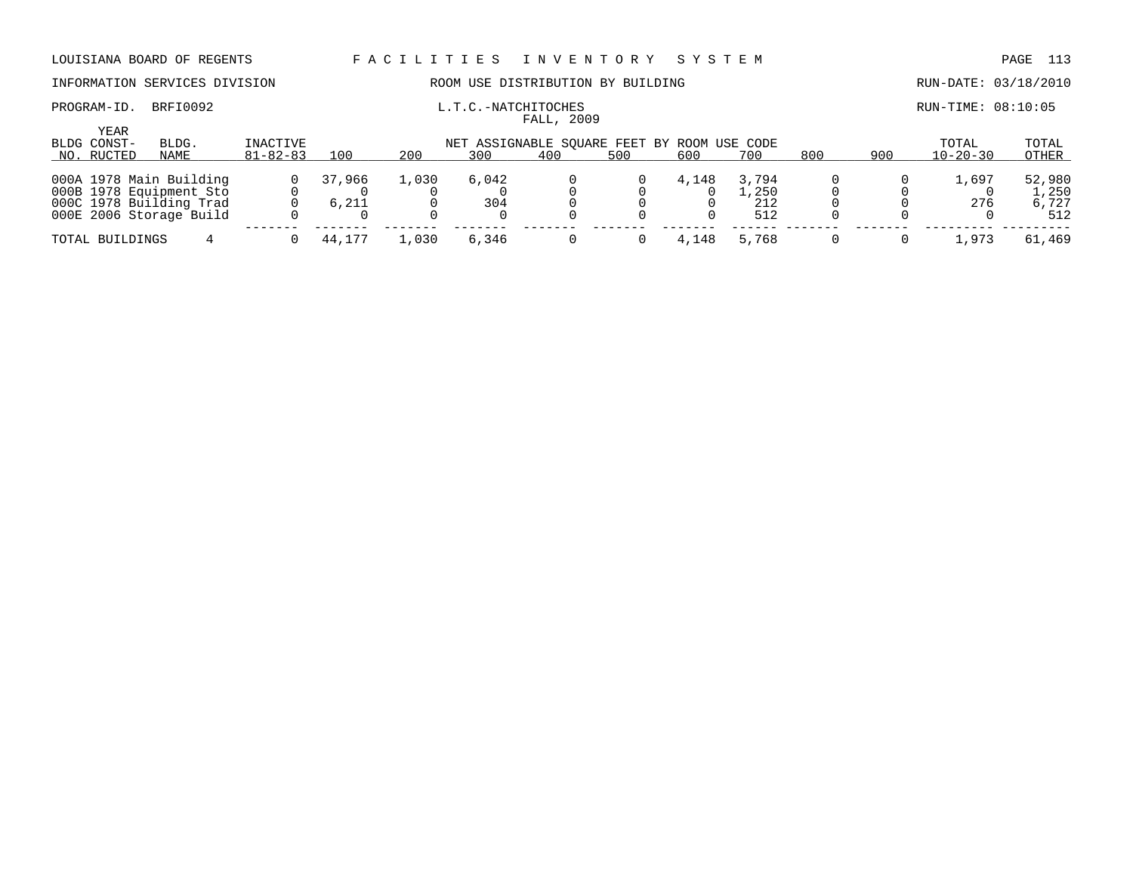## INFORMATION SERVICES DIVISION ROOM USE DISTRIBUTION BY BUILDING RUN-DATE: 03/18/2010

FALL, 2009

PROGRAM-ID. BRFI0092 **EXAM-** L.T.C.-NATCHITOCHES **EXAMICHITOCHES** RUN-TIME: 08:10:05

| <b>YEAR</b><br>BLDG CONST-<br>NO. RUCTED | BLDG.<br>NAME | INACTIVE<br>$81 - 82 - 83$ | 100    | 200   | NET ASSIGNABLE SOUARE FEET BY ROOM USE CODE<br>300 | 400 | 500 | 600   | 700         | 800 | 900 | TOTAL<br>$10 - 20 - 30$ | TOTAL<br>OTHER |
|------------------------------------------|---------------|----------------------------|--------|-------|----------------------------------------------------|-----|-----|-------|-------------|-----|-----|-------------------------|----------------|
|                                          |               |                            |        |       |                                                    |     |     |       |             |     |     |                         |                |
| 000A 1978 Main Building                  |               |                            | 37,966 | 1,030 | 6,042                                              |     |     | 4,148 | 3,794       |     |     | .,697                   | 52,980         |
| 000B 1978 Equipment Sto                  |               |                            |        |       |                                                    |     |     |       | $\pm$ , 250 |     |     |                         | 1,250          |
| 000C 1978 Building Trad                  |               |                            | 6,211  |       | 304                                                |     |     |       | 212         |     |     | 276                     | 6,727          |
| 000E 2006 Storage Build                  |               |                            |        |       |                                                    |     |     |       | 512         |     |     |                         | 512            |
| TOTAL BUILDINGS                          |               |                            | 44,177 | .,030 | 6,346                                              |     |     | 4,148 | 5,768       |     |     | .,973                   | 61,469         |
|                                          |               |                            |        |       |                                                    |     |     |       |             |     |     |                         |                |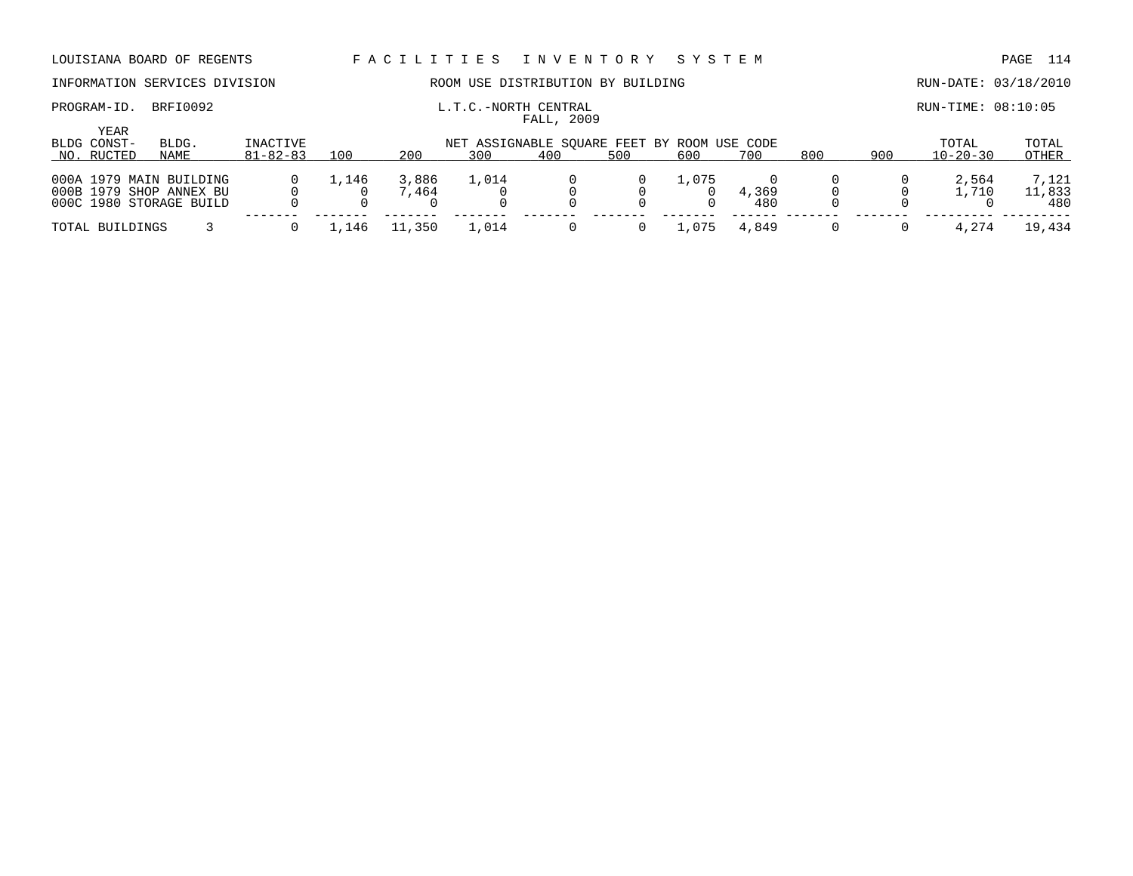## INFORMATION SERVICES DIVISION ROOM USE DISTRIBUTION BY BUILDING RUN-DATE: 03/18/2010

### PROGRAM-ID. BRFI0092 **EXAM-ID.** BRFI0092 **L.T.C.-NORTH CENTRAL EXAMICAL RUN-TIME:** 08:10:05 FALL, 2009

| YEAR<br>BLDG CONST-<br>NO. RUCTED | BLDG.<br>NAME | INACTIVE<br>$81 - 82 - 83$ | 100   | 200   | NET ASSIGNABLE SOUARE FEET BY ROOM USE CODE<br>300 | 400 | 500 | 600   | 700   | 800 | 900 | TOTAL<br>$10 - 20 - 30$ | TOTAL<br>OTHER |
|-----------------------------------|---------------|----------------------------|-------|-------|----------------------------------------------------|-----|-----|-------|-------|-----|-----|-------------------------|----------------|
|                                   |               |                            |       |       |                                                    |     |     |       |       |     |     |                         |                |
| 000A 1979 MAIN BUILDING           |               |                            | 1,146 | 3,886 | 1,014                                              |     |     | 1,075 |       |     |     | 2,564                   | 7,121          |
| 000B 1979 SHOP ANNEX BU           |               |                            |       | 7,464 |                                                    |     |     |       | 4,369 |     |     | 1,710                   | 11,833         |
| 000C 1980 STORAGE BUILD           |               |                            |       |       |                                                    |     |     |       | 480   |     |     |                         | 480            |
| TOTAL BUILDINGS                   |               |                            | 1,146 | , 350 | 1,014                                              |     |     | 1,075 | 4,849 |     |     | 4,274                   | 19,434         |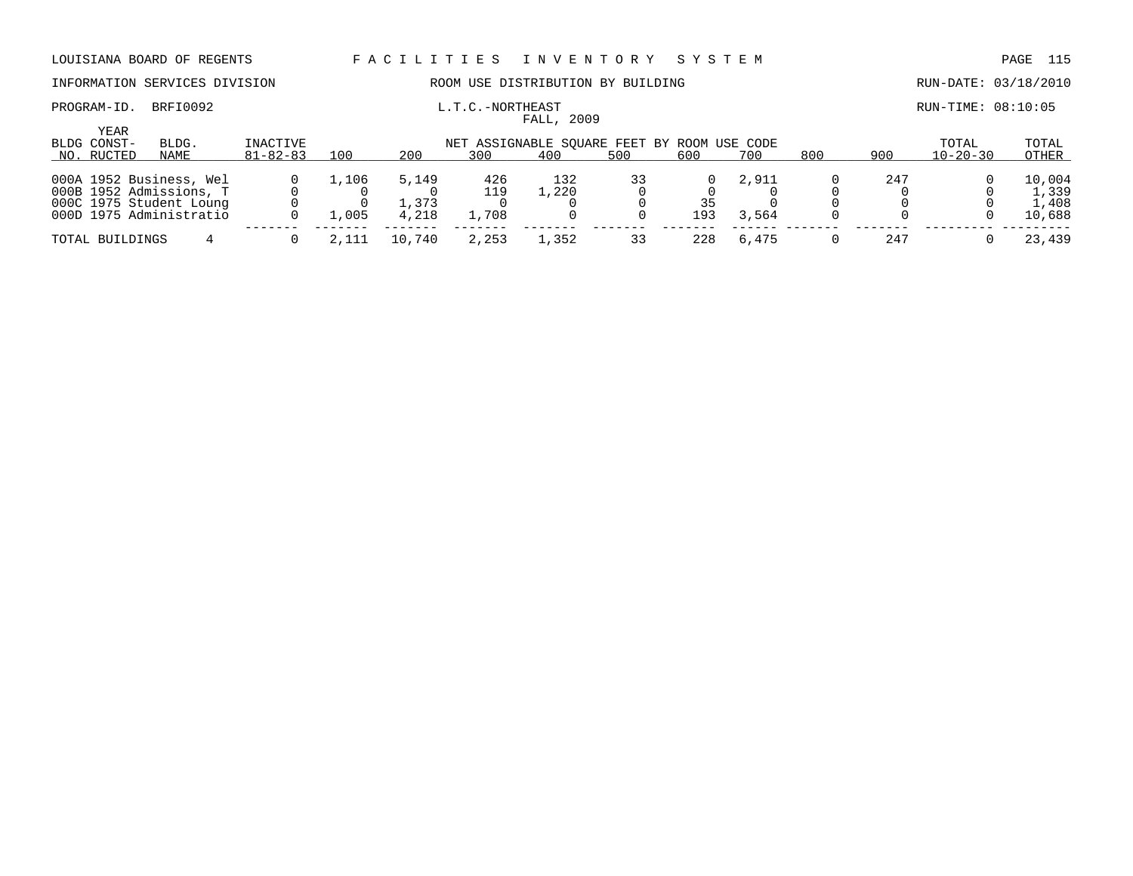## PROGRAM-ID. BRFI0092 **EXAM-ID.** BRFI0092 **L.T.C.-NORTHEAST EXAMINEMELY ASSAULT ASSAULT ASSAULT ASSAULT ASSAULT ASSAULT ASSAULT ASSAULT ASSAULT ASSAULT ASSAULT ASSAULT ASSAULT ASSAULT ASSAULT ASSAULT ASSAULT ASSAULT ASSAU**

## INFORMATION SERVICES DIVISION COOM OSE DISTRIBUTION BY BUILDING CONTROLLER RUN-DATE: 03/18/2010

| YEAR<br>BLDG CONST-                                                           | BLDG. | INACTIVE       |       |                |              |              | NET ASSIGNABLE SOUARE FEET BY ROOM USE CODE |           |       |     |     | TOTAL          | TOTAL                    |
|-------------------------------------------------------------------------------|-------|----------------|-------|----------------|--------------|--------------|---------------------------------------------|-----------|-------|-----|-----|----------------|--------------------------|
| NO. RUCTED                                                                    | NAME  | $81 - 82 - 83$ | 100   | 200            | 300          | 400          | 500                                         | 600       | 700   | 800 | 900 | $10 - 20 - 30$ | OTHER                    |
| 000A 1952 Business, Wel                                                       |       |                | 1,106 | 5,149          | 426          | 132<br>.,220 | 33                                          |           | 2,911 |     | 247 |                | 10,004                   |
| 000B 1952 Admissions, T<br>000C 1975 Student Loung<br>000D 1975 Administratio |       |                | 1,005 | 1,373<br>4,218 | 119<br>1,708 |              |                                             | 35<br>193 | 3,564 |     |     |                | 1,339<br>1,408<br>10,688 |
|                                                                               |       |                |       |                |              |              |                                             |           |       |     |     |                |                          |
| TOTAL BUILDINGS                                                               |       |                | 2.111 | 10.740         | 2,253        | ., 352       |                                             | 228       | 6,475 |     | 247 |                | 23,439                   |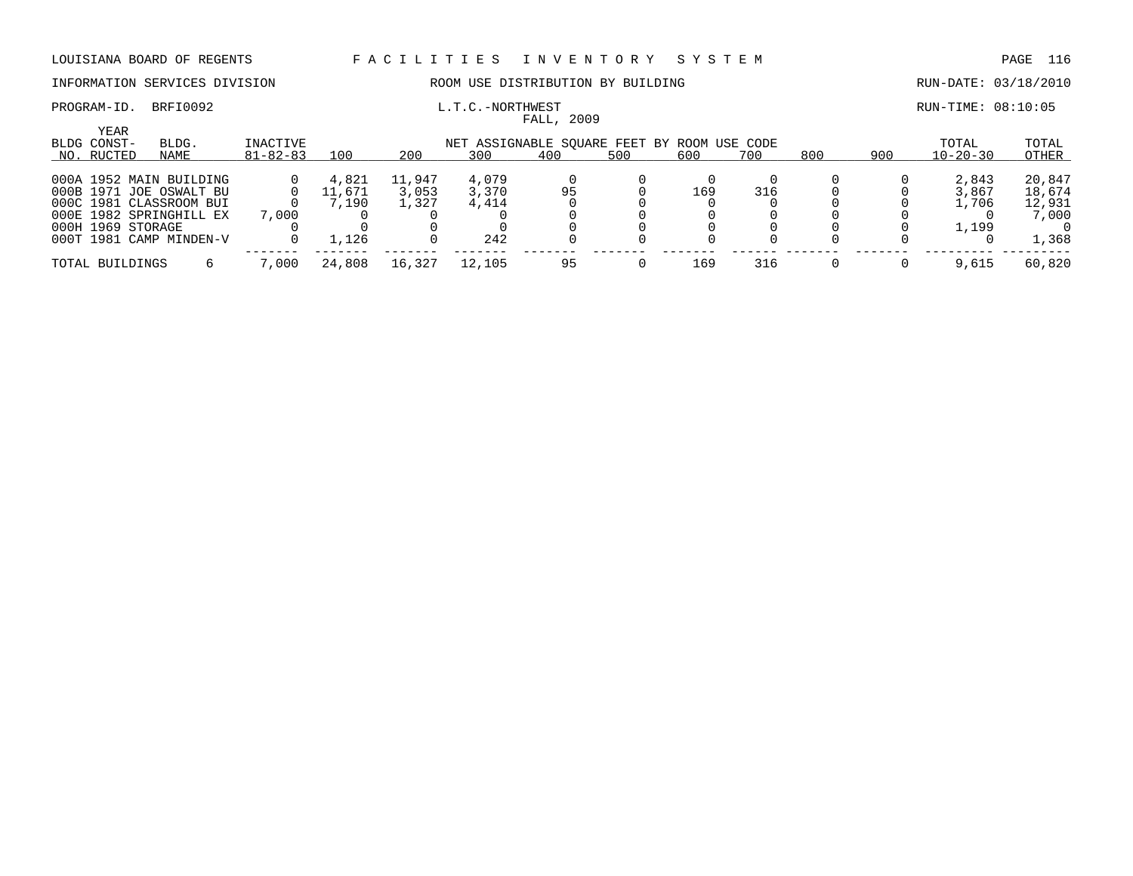## INFORMATION SERVICES DIVISION ROOM USE DISTRIBUTION BY BUILDING RUN-DATE: 03/18/2010

### PROGRAM-ID. BRFI0092 **EXAM-ID.** BRFI0092 **L.T.C.-NORTHWEST EXAMINES AREA** FALL, 2009

| <b>YEAR</b><br>BLDG CONST- | BLDG.                   | INACTIVE       |                    |        | NET ASSIGNABLE SOUARE FEET BY ROOM USE CODE |     |     |     |     |     |     | TOTAL          | TOTAL  |
|----------------------------|-------------------------|----------------|--------------------|--------|---------------------------------------------|-----|-----|-----|-----|-----|-----|----------------|--------|
| NO. RUCTED                 | NAME                    | $81 - 82 - 83$ | 100                | 200    | 300                                         | 400 | 500 | 600 | 700 | 800 | 900 | $10 - 20 - 30$ | OTHER  |
|                            | 000A 1952 MAIN BUILDING |                | 4,821              | 11,947 | 4,079                                       |     |     |     |     |     |     | 2,843          | 20,847 |
|                            | 000B 1971 JOE OSWALT BU |                | 11,671             | 3,053  | 3,370                                       | 95  |     | 169 | 316 |     |     | 3,867          | 18,674 |
|                            | 000C 1981 CLASSROOM BUI |                | 7.190              | 1,327  | 4,414                                       |     |     |     |     |     |     | 1,706          | 12,931 |
|                            | 000E 1982 SPRINGHILL EX | 7,000          |                    |        |                                             |     |     |     |     |     |     |                | 7,000  |
| 000H 1969 STORAGE          |                         |                |                    |        |                                             |     |     |     |     |     |     | 1,199          |        |
|                            | 000T 1981 CAMP MINDEN-V |                | $\overline{1,126}$ |        | 242                                         |     |     |     |     |     |     |                | 1,368  |
| TOTAL BUILDINGS            |                         | 7,000          | 24,808             | 16,327 | 12,105                                      | 95  |     | 169 | 316 |     |     | 9,615          | 60,820 |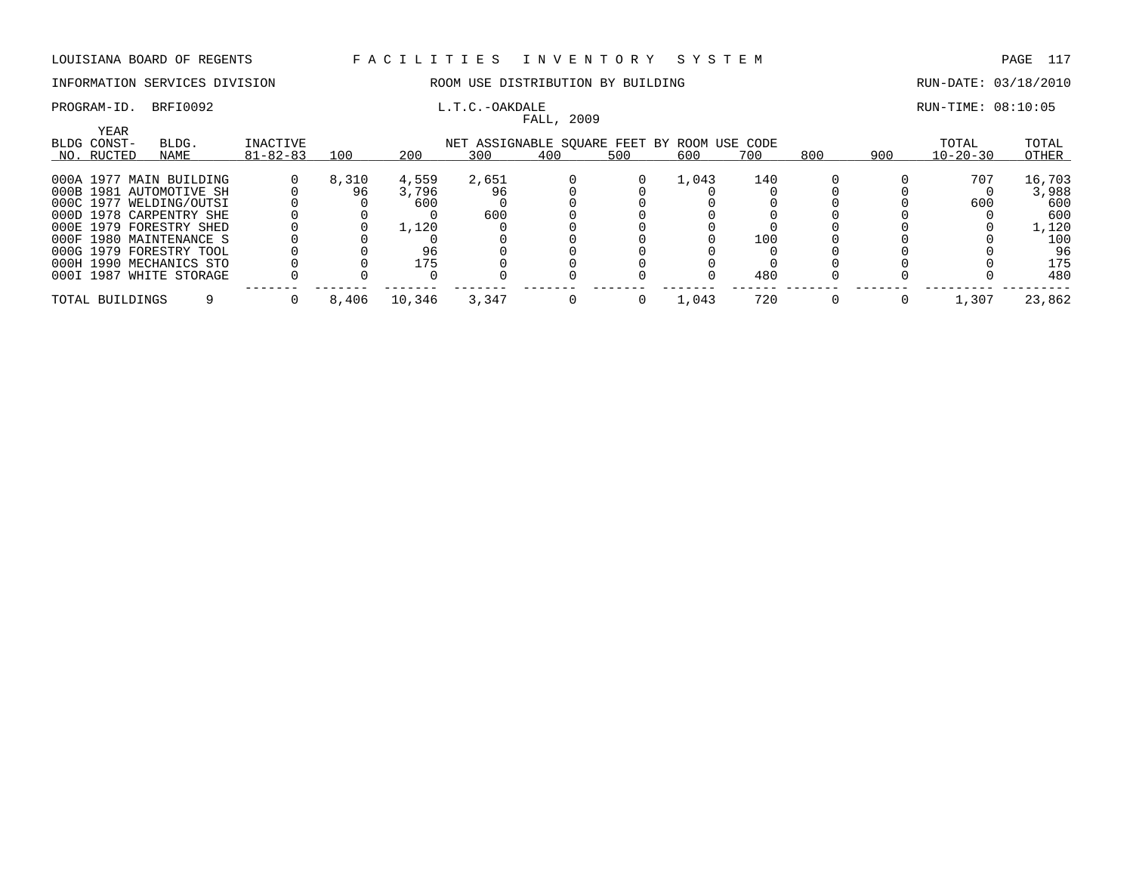## INFORMATION SERVICES DIVISION ROOM USE DISTRIBUTION BY BUILDING RUN-DATE: 03/18/2010

# FALL, 2009

## PROGRAM-ID. BRFI0092 L.T.C.-OAKDALE RUN-TIME: 08:10:05

| YEAR<br>BLDG CONST-<br>NO. RUCTED | BLDG.<br>NAME           | INACTIVE<br>$81 - 82 - 83$ | 100   | 200    | NET ASSIGNABLE SQUARE FEET BY ROOM USE CODE<br>300 | 400 | 500 | 600   | 700 | 800 | 900 | TOTAL<br>$10 - 20 - 30$ | TOTAL<br>OTHER |
|-----------------------------------|-------------------------|----------------------------|-------|--------|----------------------------------------------------|-----|-----|-------|-----|-----|-----|-------------------------|----------------|
|                                   | 000A 1977 MAIN BUILDING |                            | 8,310 | 4,559  | 2,651                                              |     |     | 1,043 | 140 |     |     | 707                     | 16,703         |
|                                   | 000B 1981 AUTOMOTIVE SH |                            | 96    | 3,796  | 96                                                 |     |     |       |     |     |     |                         | 3,988          |
|                                   | 000C 1977 WELDING/OUTSI |                            |       | 600    |                                                    |     |     |       |     |     |     | 600                     | 600            |
|                                   | 000D 1978 CARPENTRY SHE |                            |       |        | 600                                                |     |     |       |     |     |     |                         | 600            |
|                                   | 000E 1979 FORESTRY SHED |                            |       | 1,120  |                                                    |     |     |       |     |     |     |                         | 1,120          |
|                                   | 000F 1980 MAINTENANCE S |                            |       |        |                                                    |     |     |       | 100 |     |     |                         | 100            |
|                                   | 000G 1979 FORESTRY TOOL |                            |       |        |                                                    |     |     |       |     |     |     |                         | 96             |
|                                   | 000H 1990 MECHANICS STO |                            |       | 175    |                                                    |     |     |       |     |     |     |                         | 175            |
|                                   | 000I 1987 WHITE STORAGE |                            |       |        |                                                    |     |     |       | 480 |     |     |                         | 480            |
| TOTAL BUILDINGS                   |                         |                            | 8,406 | 10,346 | 3,347                                              |     |     | 1,043 | 720 |     |     | 1,307                   | 23,862         |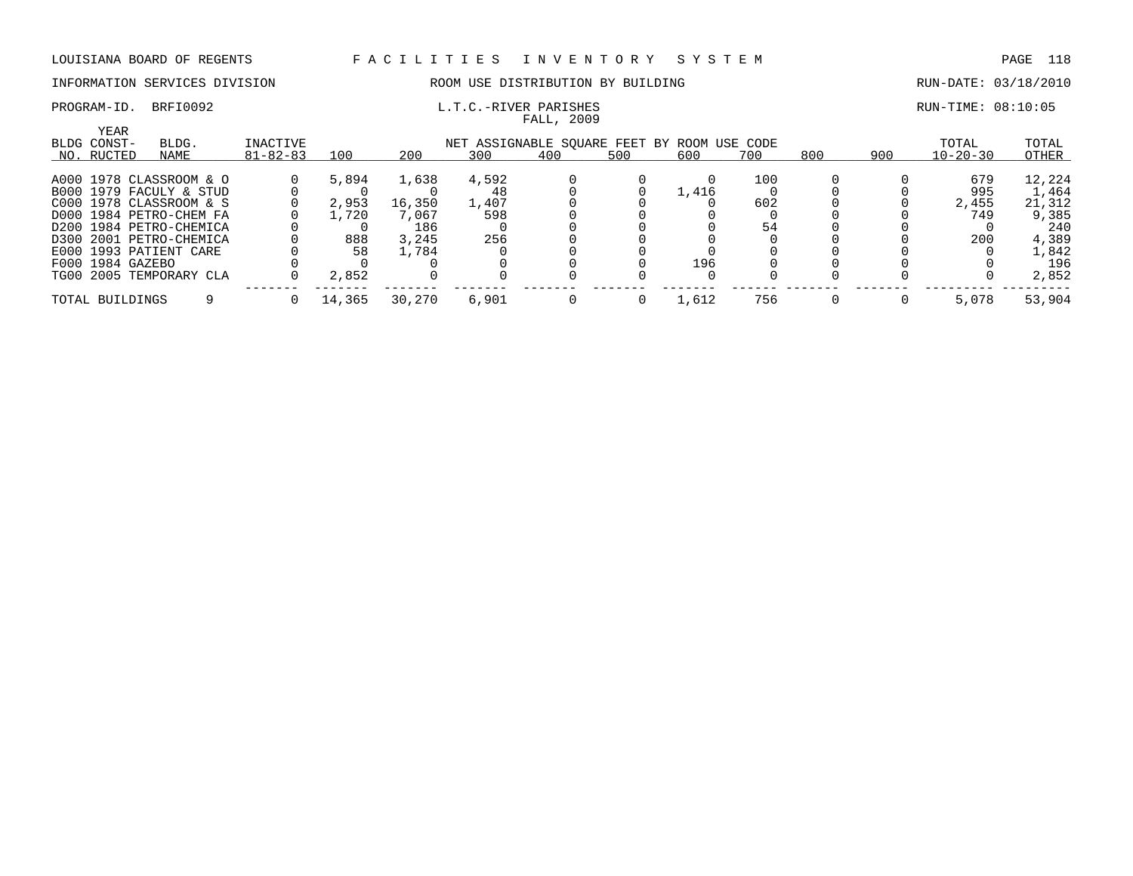### INFORMATION SERVICES DIVISION ROOM USE DISTRIBUTION BY BUILDING RUN-DATE: 03/18/2010

### PROGRAM-ID. BRFI0092 **EXAM-ID.** BRFI0092 **L.T.C.-RIVER PARISHES EXAMIGLE 2001** RUN-TIME: 08:10:05 FALL, 2009

| YEAR             |                         |                 |        |        |                                             |     |     |       |     |     |     |                |        |
|------------------|-------------------------|-----------------|--------|--------|---------------------------------------------|-----|-----|-------|-----|-----|-----|----------------|--------|
| BLDG CONST-      | BLDG.                   | <b>INACTIVE</b> |        |        | NET ASSIGNABLE SOUARE FEET BY ROOM USE CODE |     |     |       |     |     |     | TOTAL          | TOTAL  |
| NO. RUCTED       | NAME                    | $81 - 82 - 83$  | 100    | 200    | 300                                         | 400 | 500 | 600   | 700 | 800 | 900 | $10 - 20 - 30$ | OTHER  |
|                  |                         |                 |        |        |                                             |     |     |       |     |     |     |                |        |
|                  | A000 1978 CLASSROOM & O |                 | 5,894  | 1,638  | 4,592                                       |     |     |       | 100 |     |     | 679            | 12,224 |
|                  | B000 1979 FACULY & STUD |                 |        |        |                                             |     |     | 1,416 |     |     |     | 995            | 1,464  |
|                  | C000 1978 CLASSROOM & S |                 | 2,953  | 16,350 | 1,407                                       |     |     |       | 602 |     |     | 2,455          | 21,312 |
|                  | D000 1984 PETRO-CHEM FA |                 | 1,720  | 7,067  | 598                                         |     |     |       |     |     |     | 749            | 9,385  |
|                  | D200 1984 PETRO-CHEMICA |                 |        | 186    |                                             |     |     |       | 54  |     |     |                | 240    |
|                  | D300 2001 PETRO-CHEMICA |                 | 888    | 3,245  | 256                                         |     |     |       |     |     |     | 200            | 4,389  |
|                  | E000 1993 PATIENT CARE  |                 | 58     | 1,784  |                                             |     |     |       |     |     |     |                | 1,842  |
| F000 1984 GAZEBO |                         |                 |        |        |                                             |     |     | 196   |     |     |     |                | 196    |
|                  | TG00 2005 TEMPORARY CLA |                 | 2,852  |        |                                             |     |     |       |     |     |     |                | 2,852  |
|                  |                         |                 |        |        |                                             |     |     |       |     |     |     |                |        |
| TOTAL BUILDINGS  |                         |                 | 14,365 | 30,270 | 6.901                                       |     |     | 1,612 | 756 |     |     | 5,078          | 53,904 |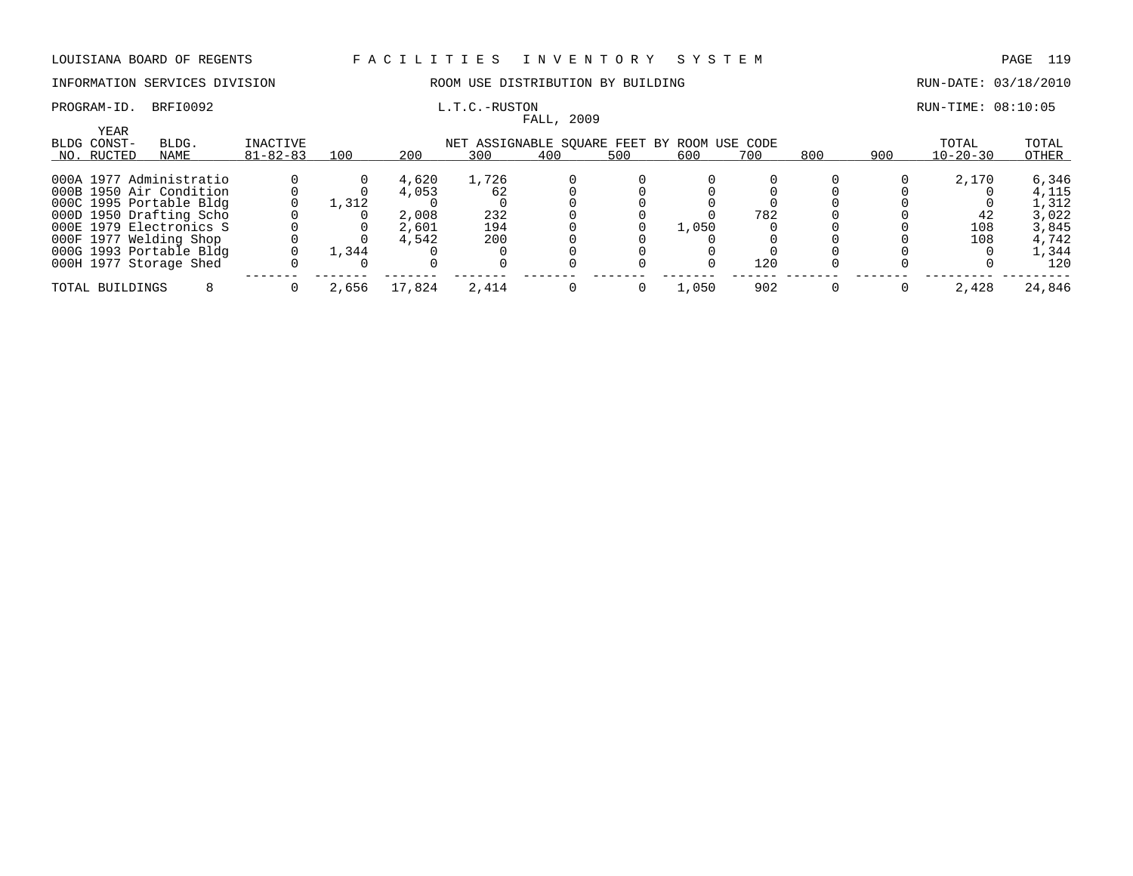INFORMATION SERVICES DIVISION ROOM USE DISTRIBUTION BY BUILDING RUN-DATE: 03/18/2010

|                     |                         |                |       |        |                                             | FALL, 2009 |          |       |     |     |     |                |        |
|---------------------|-------------------------|----------------|-------|--------|---------------------------------------------|------------|----------|-------|-----|-----|-----|----------------|--------|
| YEAR<br>BLDG CONST- | BLDG.                   | INACTIVE       |       |        | NET ASSIGNABLE SOUARE FEET BY ROOM USE CODE |            |          |       |     |     |     | TOTAL          | TOTAL  |
| NO. RUCTED          | NAME                    | $81 - 82 - 83$ | 100   | 200    | 300                                         | 400        | 500      | 600   | 700 | 800 | 900 | $10 - 20 - 30$ | OTHER  |
|                     | 000A 1977 Administratio |                |       | 4,620  | 1,726                                       |            |          |       |     |     |     | 2,170          | 6,346  |
|                     | 000B 1950 Air Condition |                |       | 4,053  | 62                                          |            |          |       |     |     |     |                | 4,115  |
|                     | 000C 1995 Portable Bldg |                | 1,312 |        |                                             |            |          |       |     |     |     |                | 1,312  |
|                     | 000D 1950 Drafting Scho |                |       | 2,008  | 232                                         |            |          |       | 782 |     |     | 42             | 3,022  |
|                     | 000E 1979 Electronics S |                |       | 2,601  | 194                                         |            |          | 1,050 |     |     |     | 108            | 3,845  |
|                     | 000F 1977 Welding Shop  |                |       | 4,542  | 200                                         |            |          |       |     |     |     | 108            | 4,742  |
|                     | 000G 1993 Portable Bldg |                | 1,344 |        |                                             |            |          |       |     |     |     |                | 1,344  |
|                     | 000H 1977 Storage Shed  |                |       |        |                                             |            |          |       | 120 |     |     |                | 120    |
| TOTAL BUILDINGS     |                         |                | 2,656 | 17,824 | 2,414                                       |            | $\Omega$ | 1,050 | 902 |     |     | 2,428          | 24,846 |

## PROGRAM-ID. BRFI0092 L.T.C.-RUSTON RUN-TIME: 08:10:05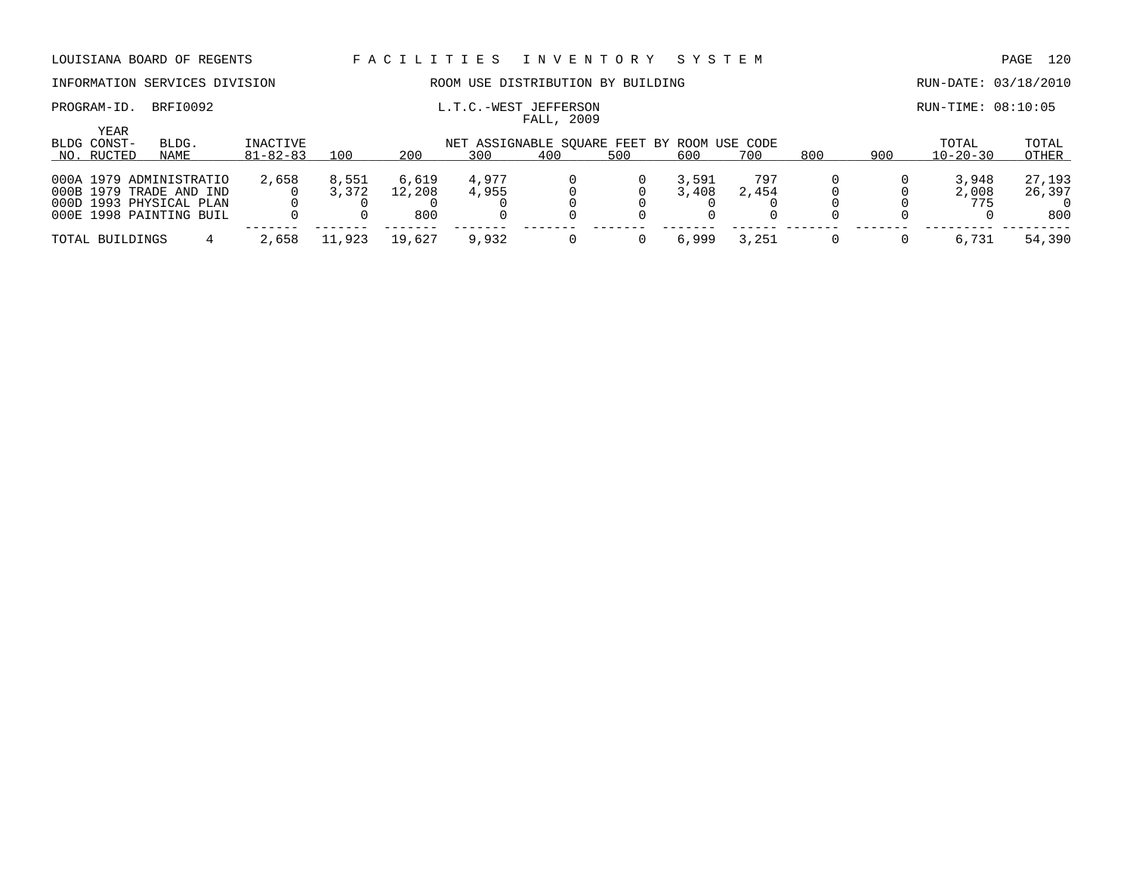## INFORMATION SERVICES DIVISION ROOM USE DISTRIBUTION BY BUILDING RUN-DATE: 03/18/2010

| YEAR<br>BLDG CONST- | BLDG.                                                                                                    | INACTIVE       |                |                        | NET ASSIGNABLE SOUARE FEET BY ROOM USE CODE |     |     |                |              |     |     | TOTAL                 | TOTAL                   |
|---------------------|----------------------------------------------------------------------------------------------------------|----------------|----------------|------------------------|---------------------------------------------|-----|-----|----------------|--------------|-----|-----|-----------------------|-------------------------|
| NO. RUCTED          | NAME                                                                                                     | $81 - 82 - 83$ | 100            | 200                    | 300                                         | 400 | 500 | 600            | 700          | 800 | 900 | $10 - 20 - 30$        | OTHER                   |
|                     | 000A 1979 ADMINISTRATIO<br>000B 1979 TRADE AND IND<br>000D 1993 PHYSICAL PLAN<br>000E 1998 PAINTING BUIL | 2,658          | 8,551<br>3,372 | 6,619<br>12,208<br>800 | 4,977<br>4,955                              |     |     | 3,591<br>3,408 | 797<br>2,454 |     |     | 3,948<br>2,008<br>775 | 27,193<br>26,397<br>800 |
| TOTAL BUILDINGS     |                                                                                                          | 2,658          | .923           | 19,627                 | 9,932                                       |     |     | 6,999          | 3,251        |     |     | 6,731                 | 54,390                  |

PROGRAM-ID. BRFI0092 **EXAM-ID.** BRFI0092 **L.T.C.-WEST JEFFERSON EXAMILIATION** RUN-TIME: 08:10:05 FALL, 2009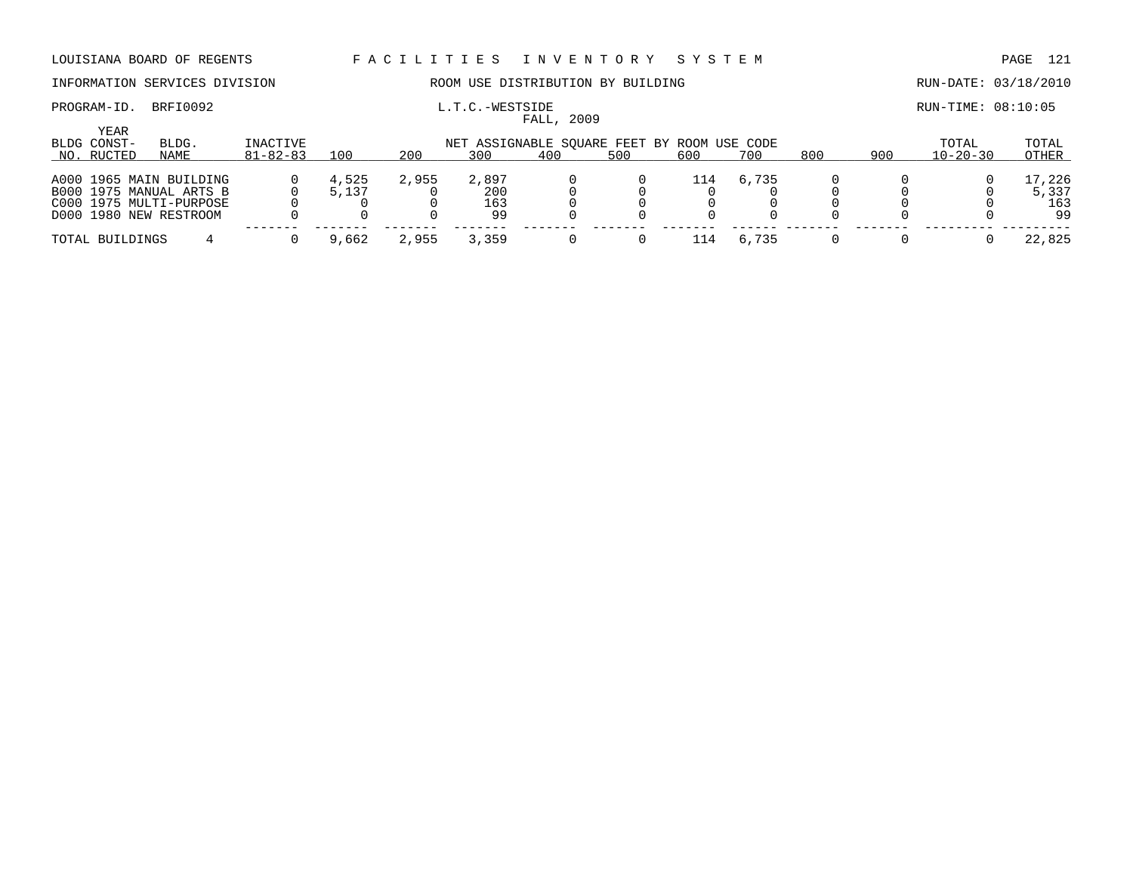## INFORMATION SERVICES DIVISION **ROOM USE DISTRIBUTION BY BUILDING RUN-DATE: 03/18/2010**

### PROGRAM-ID. BRFI0092 **EXAM-ID.** BRFI0092 **L.T.C.-WESTSIDE EXAMICLE ASSESS AND** RUN-TIME: 08:10:05 FALL, 2009

| <b>YEAR</b><br>BLDG CONST-<br>NO. RUCTED | BLDG.<br>NAME           | INACTIVE<br>$81 - 82 - 83$ | 100   | 200   | 300   | 400 | NET ASSIGNABLE SOUARE FEET BY ROOM USE CODE<br>500 | 600 | 700   | 800 | 900 | TOTAL<br>$10 - 20 - 30$ | TOTAL<br>OTHER |
|------------------------------------------|-------------------------|----------------------------|-------|-------|-------|-----|----------------------------------------------------|-----|-------|-----|-----|-------------------------|----------------|
|                                          |                         |                            |       |       |       |     |                                                    |     |       |     |     |                         |                |
|                                          | A000 1965 MAIN BUILDING |                            | 4,525 | 2,955 | 2,897 |     |                                                    | 114 | 6,735 |     |     |                         | 17,226         |
|                                          | B000 1975 MANUAL ARTS B |                            | 5,137 |       | 200   |     |                                                    |     |       |     |     |                         | 5,337          |
|                                          | C000 1975 MULTI-PURPOSE |                            |       |       | 163   |     |                                                    |     |       |     |     |                         | 163            |
|                                          | D000 1980 NEW RESTROOM  |                            |       |       | 99    |     |                                                    |     |       |     |     |                         | 99             |
| TOTAL BUILDINGS                          |                         |                            | 9,662 | 2,955 | 3,359 |     |                                                    | 114 | 6,735 |     |     |                         | 22,825         |
|                                          |                         |                            |       |       |       |     |                                                    |     |       |     |     |                         |                |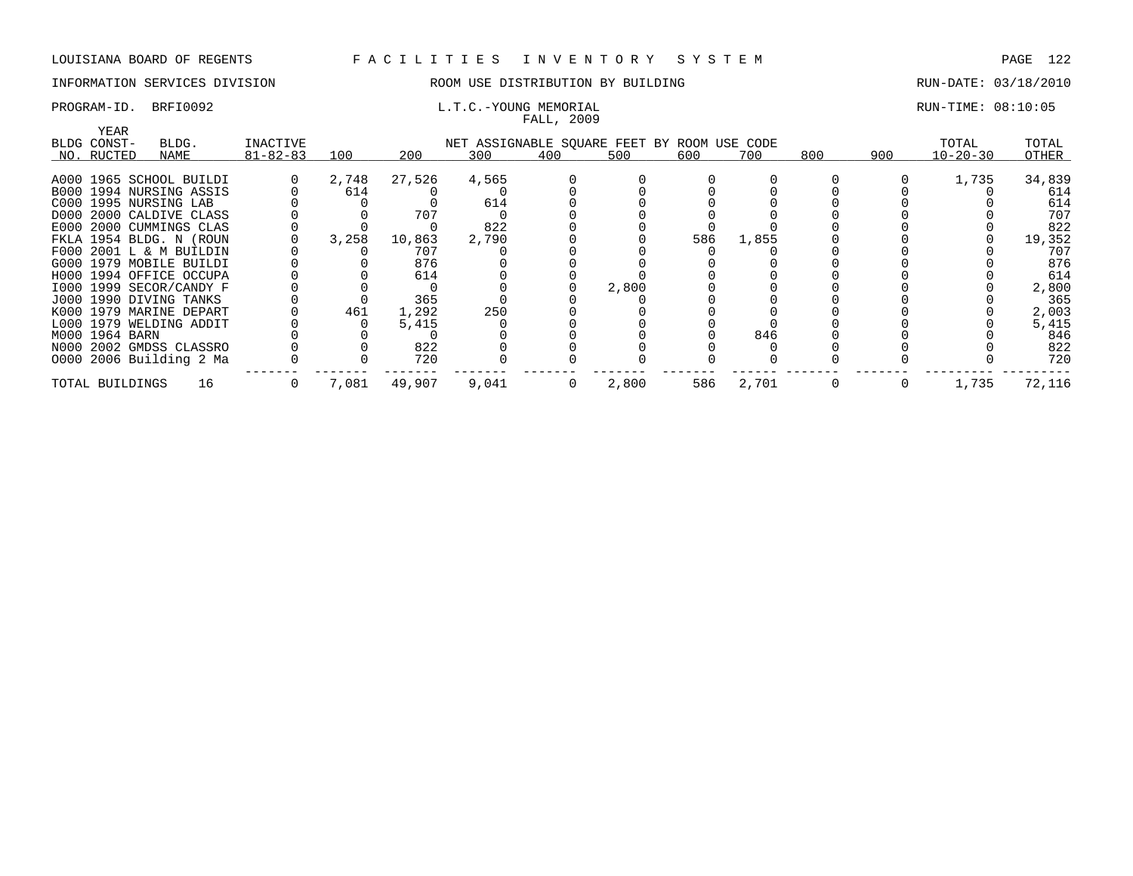## INFORMATION SERVICES DIVISION THE ROOM USE DISTRIBUTION BY BUILDING THE RUN-DATE: 03/18/2010

# FALL, 2009

### PROGRAM-ID. BRFI0092 **EXAM-ID.** BRFI0092 **L.T.C.-YOUNG MEMORIAL EXAMIC RUN-TIME: 08:10:05**

| YEAR            |                         |                |       |        |                                             | there , avvi   |       |     |       |     |     |                |        |
|-----------------|-------------------------|----------------|-------|--------|---------------------------------------------|----------------|-------|-----|-------|-----|-----|----------------|--------|
| BLDG CONST-     | BLDG.                   | INACTIVE       |       |        | NET ASSIGNABLE SQUARE FEET BY ROOM USE CODE |                |       |     |       |     |     | TOTAL          | TOTAL  |
| NO. RUCTED      | NAME                    | $81 - 82 - 83$ | 100   | 200    | 300                                         | 400            | 500   | 600 | 700   | 800 | 900 | $10 - 20 - 30$ | OTHER  |
|                 |                         |                |       |        |                                             |                |       |     |       |     |     |                |        |
|                 | A000 1965 SCHOOL BUILDI |                | 2,748 | 27,526 | 4,565                                       |                |       |     |       |     |     | 1,735          | 34,839 |
|                 | B000 1994 NURSING ASSIS |                | 614   |        |                                             |                |       |     |       |     |     |                | 614    |
|                 | C000 1995 NURSING LAB   |                |       |        | 614                                         |                |       |     |       |     |     |                | 614    |
|                 | D000 2000 CALDIVE CLASS |                |       | 707    |                                             |                |       |     |       |     |     |                | 707    |
|                 | E000 2000 CUMMINGS CLAS |                |       |        | 822                                         |                |       |     |       |     |     |                | 822    |
|                 | FKLA 1954 BLDG. N (ROUN |                | 3,258 | 10,863 | 2,790                                       |                |       | 586 | 1,855 |     |     |                | 19,352 |
|                 | F000 2001 L & M BUILDIN |                |       | 707    |                                             |                |       |     |       |     |     |                | 707    |
|                 | G000 1979 MOBILE BUILDI |                |       | 876    |                                             |                |       |     |       |     |     |                | 876    |
|                 | H000 1994 OFFICE OCCUPA |                |       | 614    |                                             |                |       |     |       |     |     |                | 614    |
|                 | I000 1999 SECOR/CANDY F |                |       |        |                                             |                | 2,800 |     |       |     |     |                | 2,800  |
|                 | J000 1990 DIVING TANKS  |                |       | 365    |                                             |                |       |     |       |     |     |                | 365    |
|                 | K000 1979 MARINE DEPART |                | 461   | 1,292  | 250                                         |                |       |     |       |     |     |                | 2,003  |
|                 | L000 1979 WELDING ADDIT |                |       | 5,415  |                                             |                |       |     |       |     |     |                | 5,415  |
| M000 1964 BARN  |                         |                |       |        |                                             |                |       |     | 846   |     |     |                | 846    |
|                 | N000 2002 GMDSS CLASSRO |                |       | 822    |                                             |                |       |     |       |     |     |                | 822    |
|                 | 0000 2006 Building 2 Ma |                |       | 720    |                                             |                |       |     |       |     |     |                | 720    |
| TOTAL BUILDINGS | 16                      | 0              | 7,081 | 49,907 | 9,041                                       | $\overline{0}$ | 2,800 | 586 | 2,701 |     | 0   | 1,735          | 72,116 |

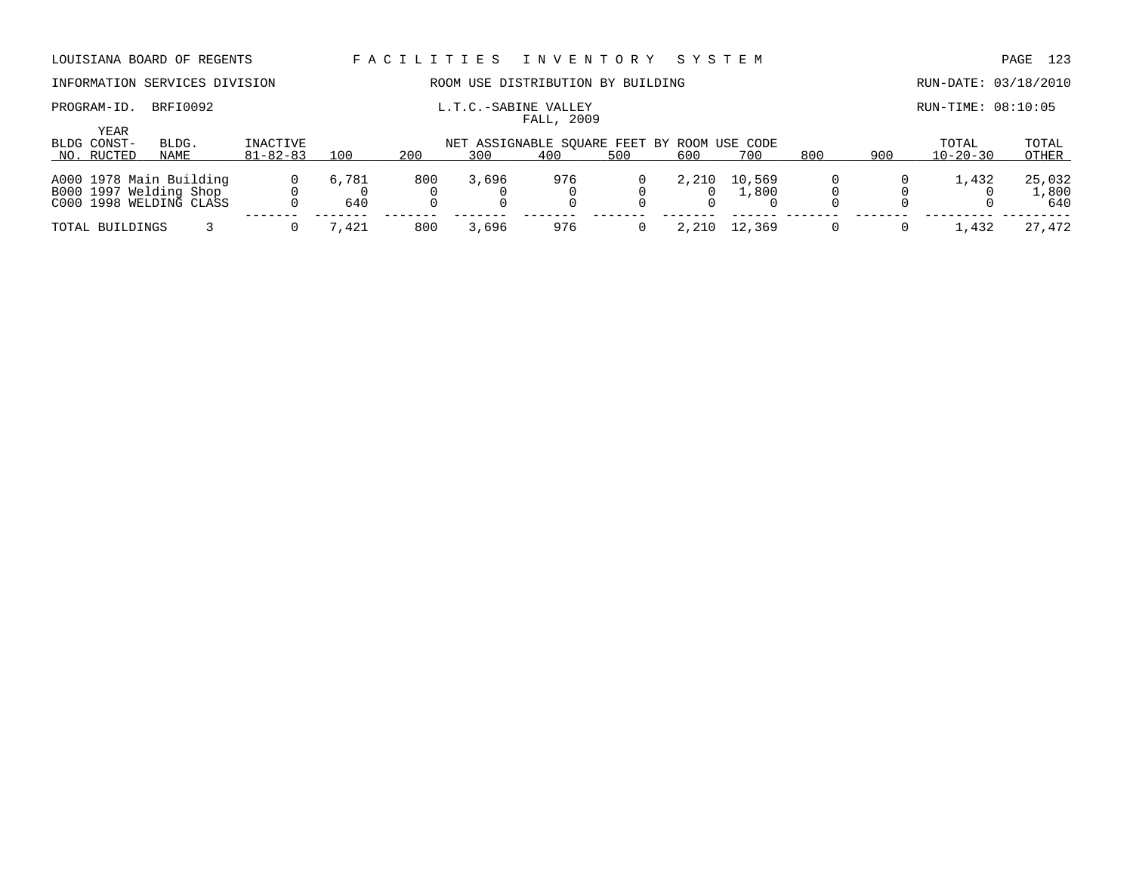PROGRAM-ID. BRFI0092 **EXABINE VALLEY** EXABINE VALLEY RUN-TIME: 08:10:05

## INFORMATION SERVICES DIVISION ROOM USE DISTRIBUTION BY BUILDING RUN-DATE: 03/18/2010

| <b>YEAR</b><br>BLDG CONST- | BLDG.                   | INACTIVE       |       |     |       | NET ASSIGNABLE SQUARE FEET BY ROOM USE CODE |     |       |        |     |     | TOTAL          | TOTAL  |
|----------------------------|-------------------------|----------------|-------|-----|-------|---------------------------------------------|-----|-------|--------|-----|-----|----------------|--------|
| NO. RUCTED                 | NAME                    | $81 - 82 - 83$ | 100   | 200 | 300   | 400                                         | 500 | 600   | 700    | 800 | 900 | $10 - 20 - 30$ | OTHER  |
|                            |                         |                |       |     |       |                                             |     |       |        |     |     |                |        |
|                            | A000 1978 Main Building |                | 6,781 | 800 | 3,696 | 976                                         |     | 2,210 | 10,569 |     |     | 1,432          | 25,032 |
|                            | B000 1997 Welding Shop  |                |       |     |       |                                             |     |       | 1,800  |     |     |                | l,800  |
|                            | C000 1998 WELDING CLASS |                | 640   |     |       |                                             |     |       |        |     |     |                | 640    |
|                            |                         |                |       |     |       |                                             |     |       |        |     |     |                |        |
| TOTAL BUILDINGS            |                         |                | 7,421 | 800 | 3,696 | 976                                         |     | 2,210 | 12,369 |     |     | .432           | 27,472 |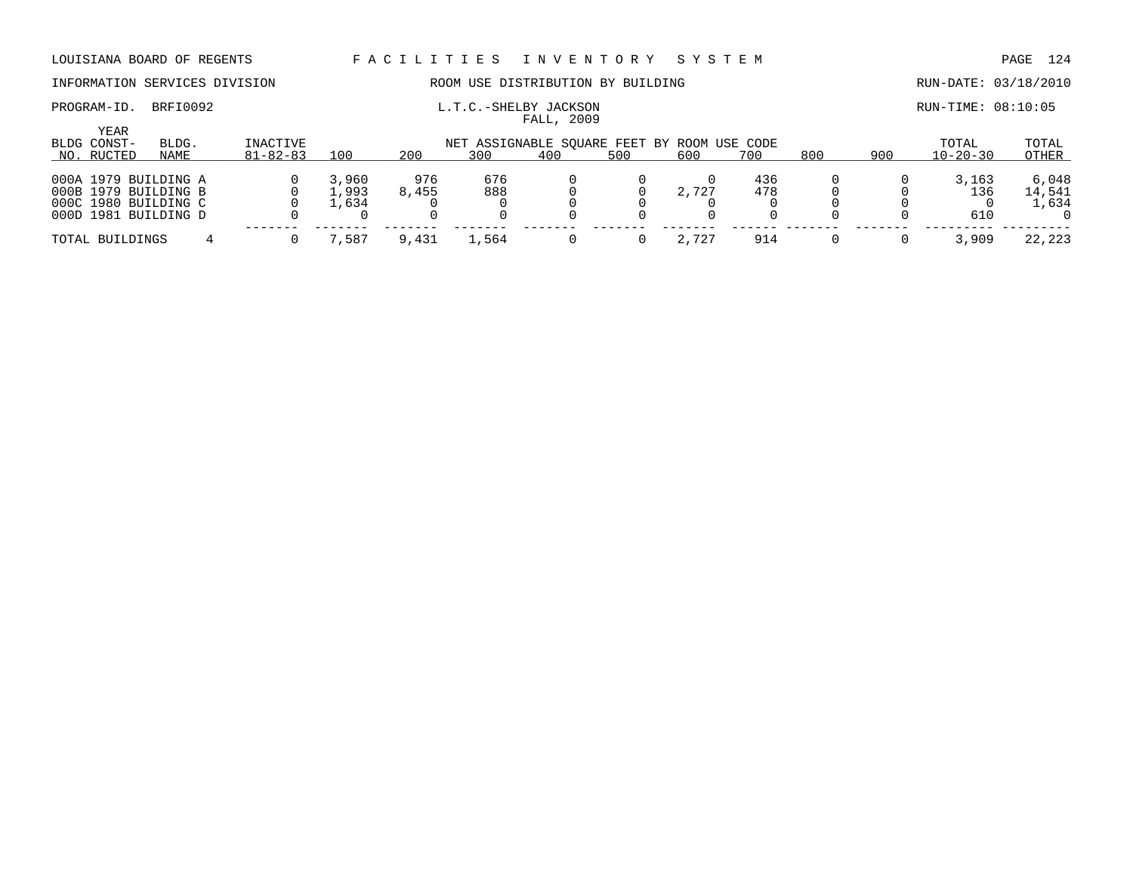## INFORMATION SERVICES DIVISION ROOM USE DISTRIBUTION BY BUILDING RUN-DATE: 03/18/2010

## PROGRAM-ID. BRFI0092 **EXAM-ID.** BRFI0092 **L.T.C.-SHELBY JACKSON EXAM-TIME: 08:10:05**

| YEAR<br>BLDG CONST-                                                  | BLDG.                | INACTIVE       |                         |              | NET ASSIGNABLE SOUARE FEET BY ROOM USE CODE |     |     |       |            |     |     | TOTAL               | TOTAL                    |
|----------------------------------------------------------------------|----------------------|----------------|-------------------------|--------------|---------------------------------------------|-----|-----|-------|------------|-----|-----|---------------------|--------------------------|
| NO. RUCTED                                                           | NAME                 | $81 - 82 - 83$ | 100                     | 200          | 300                                         | 400 | 500 | 600   | 700        | 800 | 900 | $10 - 20 - 30$      | OTHER                    |
| 000A 1979 BUILDING A<br>000B 1979 BUILDING B<br>000D 1981 BUILDING D | 000C 1980 BUILDING C |                | 3,960<br>1,993<br>L.634 | 976<br>8,455 | 676<br>888                                  |     |     | 2,727 | 436<br>478 |     |     | 3,163<br>136<br>610 | 6,048<br>14,541<br>1,634 |
| TOTAL BUILDINGS                                                      |                      |                | ,587                    | 9,431        | ⊥,564                                       |     |     | 2,727 | 914        |     |     | 3,909               | 22,223                   |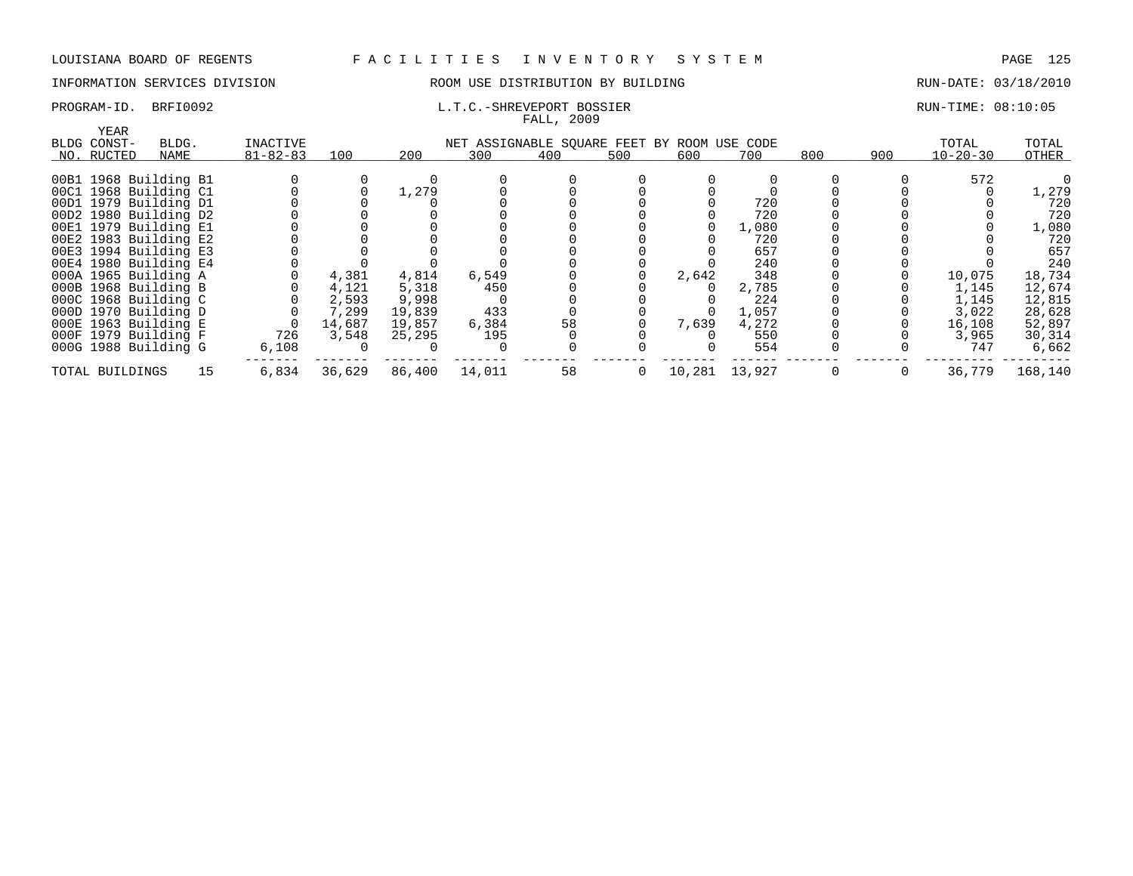## INFORMATION SERVICES DIVISION THE ROOM USE DISTRIBUTION BY BUILDING THE RUN-DATE: 03/18/2010

## PROGRAM-ID. BRFI0092 **EXAM-ID.** BRFI0092 **L.T.C.-SHREVEPORT BOSSIER** RUN-TIME: 08:10:05

| YEAR                  |       |                |        |        |                                             |     |     |       |               |     |     |                |         |
|-----------------------|-------|----------------|--------|--------|---------------------------------------------|-----|-----|-------|---------------|-----|-----|----------------|---------|
| BLDG CONST-           | BLDG. | INACTIVE       |        |        | NET ASSIGNABLE SQUARE FEET BY ROOM USE CODE |     |     |       |               |     |     | TOTAL          | TOTAL   |
| NO. RUCTED            | NAME  | $81 - 82 - 83$ | 100    | 200    | 300                                         | 400 | 500 | 600   | 700           | 800 | 900 | $10 - 20 - 30$ | OTHER   |
| 00B1 1968 Building B1 |       |                |        |        |                                             |     |     |       |               |     |     | 572            |         |
| 00C1 1968 Building C1 |       |                |        | 1,279  |                                             |     |     |       |               |     |     |                | 1,279   |
| 00D1 1979 Building D1 |       |                |        |        |                                             |     |     |       | 720           |     |     |                | 720     |
| 00D2 1980 Building D2 |       |                |        |        |                                             |     |     |       | 720           |     |     |                | 720     |
| 00E1 1979 Building E1 |       |                |        |        |                                             |     |     |       | 1,080         |     |     |                | 1,080   |
| 00E2 1983 Building E2 |       |                |        |        |                                             |     |     |       | 720           |     |     |                | 720     |
| 00E3 1994 Building E3 |       |                |        |        |                                             |     |     |       | 657           |     |     |                | 657     |
| 00E4 1980 Building E4 |       |                |        |        |                                             |     |     |       | 240           |     |     |                | 240     |
| 000A 1965 Building A  |       |                | 4,381  | 4,814  | 6,549                                       |     |     | 2,642 | 348           |     |     | 10,075         | 18,734  |
| 000B 1968 Building B  |       |                | 4,121  | 5,318  | 450                                         |     |     |       | 2,785         |     |     | 1,145          | 12,674  |
| 000C 1968 Building C  |       |                | 2,593  | 9,998  |                                             |     |     |       | 224           |     |     | 1,145          | 12,815  |
| 000D 1970 Building D  |       |                | 7,299  | 19,839 | 433                                         |     |     |       | 1,057         |     |     | 3,022          | 28,628  |
| 000E 1963 Building E  |       | 0              | 14,687 | 19,857 | 6,384                                       | 58  |     | 7,639 | 4,272         |     |     | 16,108         | 52,897  |
| 000F 1979 Building F  |       | 726            | 3,548  | 25,295 | 195                                         |     |     |       | 550           |     |     | 3,965          | 30,314  |
| 000G 1988 Building G  |       | 6,108          |        |        |                                             |     |     |       | 554           |     |     | 747            | 6,662   |
| TOTAL BUILDINGS       | 15    | 6,834          | 36,629 | 86,400 | 14,011                                      | 58  | 0   |       | 10,281 13,927 | 0   | 0   | 36,779         | 168,140 |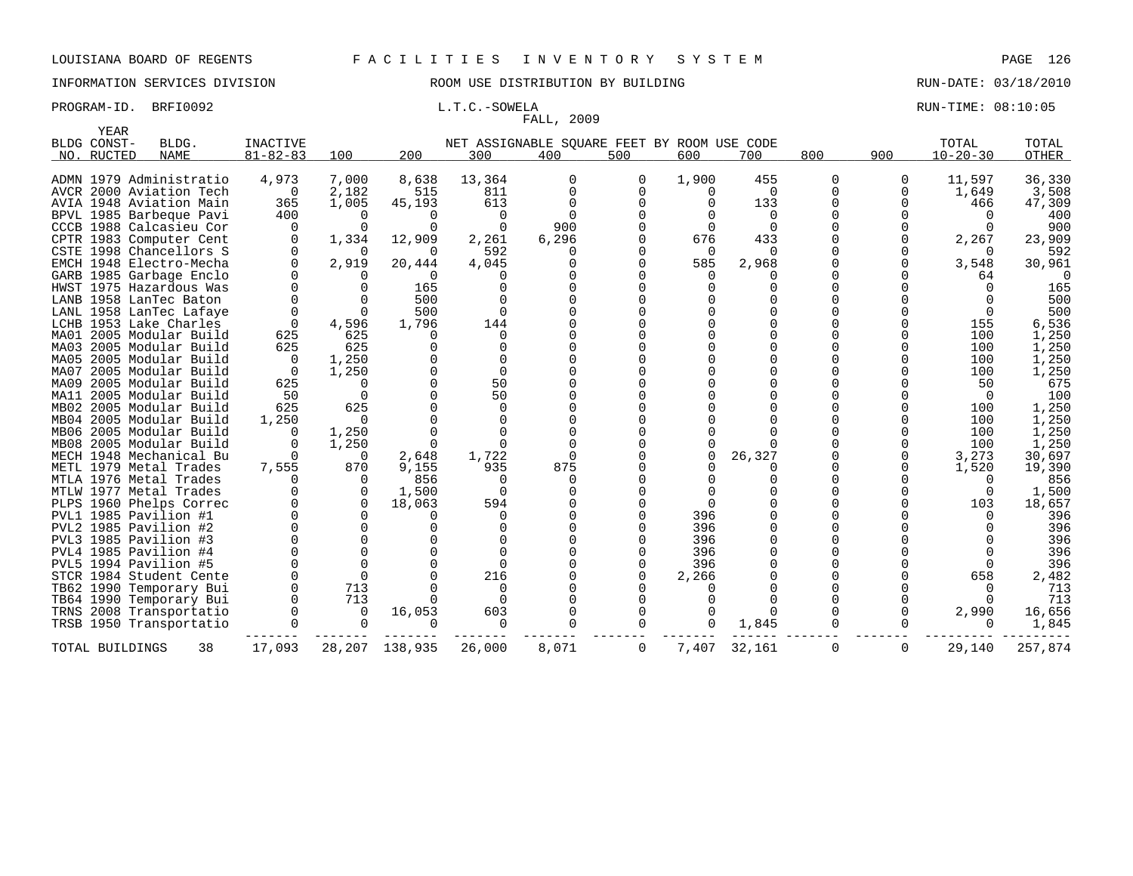## INFORMATION SERVICES DIVISION ROOM USE DISTRIBUTION BY BUILDING RUN-DATE: 03/18/2010

## PROGRAM-ID. BRFI0092 **EXAM-ID.** BRFI0092 **L.T.C.-SOWELA** BOOK CONSULTER RUN-TIME: 08:10:05

|      | YEAR            |                         |                 |          |                  |          |                                             |                |          |          |          |          |                |              |
|------|-----------------|-------------------------|-----------------|----------|------------------|----------|---------------------------------------------|----------------|----------|----------|----------|----------|----------------|--------------|
|      | BLDG CONST-     | BLDG.                   | <b>INACTIVE</b> |          |                  |          | NET ASSIGNABLE SQUARE FEET BY ROOM USE CODE |                |          |          |          |          | TOTAL          | TOTAL        |
|      | NO. RUCTED      | <b>NAME</b>             | $81 - 82 - 83$  | 100      | 200              | 300      | 400                                         | 500            | 600      | 700      | 800      | 900      | $10 - 20 - 30$ | <b>OTHER</b> |
|      |                 |                         |                 |          |                  |          |                                             |                |          |          |          |          |                |              |
|      |                 | ADMN 1979 Administratio | 4,973           | 7,000    | 8,638            | 13,364   | 0                                           | 0              | 1,900    | 455      | 0        | 0        | 11,597         | 36,330       |
|      |                 | AVCR 2000 Aviation Tech | $\overline{0}$  | 2,182    | 515              | 811      | $\Omega$                                    | $\Omega$       | 0        | $\Omega$ | $\Omega$ | $\Omega$ | 1,649          | 3,508        |
|      |                 | AVIA 1948 Aviation Main | 365             | 1,005    | 45,193           | 613      | $\Omega$                                    | $\Omega$       |          | 133      | $\Omega$ | $\Omega$ | 466            | 47,309       |
|      |                 | BPVL 1985 Barbeque Pavi | 400             | 0        | O                | $\Omega$ | $\Omega$                                    | $\Omega$       |          | $\Omega$ |          |          | $\Omega$       | 400          |
|      |                 | CCCB 1988 Calcasieu Cor | $\Omega$        | $\Omega$ | $\Omega$         | $\Omega$ | 900                                         |                |          | $\Omega$ |          |          |                | 900          |
|      |                 | CPTR 1983 Computer Cent | $\Omega$        | 1,334    | 12,909           | 2,261    | 6,296                                       |                | 676      | 433      |          |          | 2,267          | 23,909       |
|      |                 | CSTE 1998 Chancellors S | $\Omega$        | 0        | $\Omega$         | 592      | O                                           | $\Omega$       | $\Omega$ | $\Omega$ |          |          | $\Omega$       | 592          |
|      |                 | EMCH 1948 Electro-Mecha | $\Omega$        | 2,919    | 20,444           | 4,045    |                                             |                | 585      | 2,968    |          | 0        | 3,548          | 30,961       |
|      |                 | GARB 1985 Garbage Enclo | $\Omega$        | U        | ∩                |          |                                             |                |          |          |          |          | 64             | $\Omega$     |
|      |                 | HWST 1975 Hazardous Was | $\Omega$        | $\Omega$ | 165              | $\Omega$ |                                             | $\Omega$       | $\Omega$ | $\Omega$ |          |          |                | 165          |
|      |                 | LANB 1958 LanTec Baton  | 0               | $\Omega$ | 500              | $\Omega$ |                                             |                |          |          |          |          |                | 500          |
|      |                 | LANL 1958 LanTec Lafaye | $\Omega$        | 0        | 500              | $\Omega$ |                                             |                |          |          |          |          |                | 500          |
|      |                 | LCHB 1953 Lake Charles  | $\mathbf 0$     | 4,596    | 1,796            | 144      |                                             | $\Omega$       |          | $\Omega$ |          |          | 155            | 6,536        |
|      |                 | MA01 2005 Modular Build | 625             | 625      | ∩                | 0        |                                             |                |          | $\Omega$ |          |          | 100            | 1,250        |
|      |                 | MA03 2005 Modular Build | 625             | 625      | $\Omega$         | $\Omega$ |                                             |                |          |          |          |          | 100            | 1,250        |
|      |                 | MA05 2005 Modular Build | $\Omega$        | 1,250    |                  | $\Omega$ |                                             | $\Omega$       |          |          |          |          | 100            | 1,250        |
| MA07 |                 | 2005 Modular Build      | $\Omega$        | 1,250    |                  | $\Omega$ |                                             |                |          |          |          |          | 100            | 1,250        |
|      |                 | MA09 2005 Modular Build | 625             | 0        | $\Omega$         | 50       |                                             | $\Omega$       |          |          |          |          | 50             | 675          |
|      |                 | MA11 2005 Modular Build | 50              | $\Omega$ |                  | 50       |                                             | $\Omega$       |          |          |          |          | $\Omega$       | 100          |
|      |                 | MB02 2005 Modular Build | 625             | 625      |                  | $\Omega$ |                                             |                |          |          |          |          | 100            | 1,250        |
|      |                 | MB04 2005 Modular Build | 1,250           | $\Omega$ |                  | $\Omega$ |                                             | $\Omega$       |          |          |          |          | 100            | 1,250        |
|      |                 | MB06 2005 Modular Build | O               | 1,250    |                  | $\cap$   |                                             | $\Omega$       |          |          |          |          | 100            | 1,250        |
|      |                 | MB08 2005 Modular Build | O               | 1,250    | $\Omega$         | $\cap$   |                                             |                |          |          |          | 0        | 100            | 1,250        |
|      |                 | MECH 1948 Mechanical Bu | $\Omega$        | $\Omega$ | 2,648            | 1,722    | $\Omega$                                    |                |          | 26,327   |          | $\Omega$ | 3,273          | 30,697       |
|      |                 | METL 1979 Metal Trades  | 7,555           | 870      | 9,155            | 935      | 875                                         | $\Omega$       |          |          |          |          | 1,520          | 19,390       |
|      |                 | MTLA 1976 Metal Trades  | $\Omega$        | $\Omega$ | 856              | $\Omega$ | 0                                           |                |          |          |          |          | <sup>0</sup>   | 856          |
|      |                 | MTLW 1977 Metal Trades  | $\Omega$        | $\Omega$ | 1,500            | $\Omega$ |                                             | $\Omega$       |          |          |          |          | $\Omega$       | 1,500        |
|      |                 | PLPS 1960 Phelps Correc | $\Omega$        | $\Omega$ | 18,063           | 594      |                                             | $\Omega$       |          |          |          |          | 103            | 18,657       |
|      |                 | PVL1 1985 Pavilion #1   |                 |          | ∩                | $\Omega$ |                                             | $\Omega$       | 396      |          |          |          |                | 396          |
|      |                 | PVL2 1985 Pavilion #2   | $\Omega$        | $\Omega$ | $\cap$           | $\Omega$ |                                             |                | 396      | $\Omega$ |          |          |                | 396          |
|      |                 | PVL3 1985 Pavilion #3   | $\Omega$        | $\Omega$ |                  | $\Omega$ |                                             |                | 396      | $\Omega$ |          |          |                | 396          |
|      |                 | PVL4 1985 Pavilion #4   |                 | $\Omega$ |                  |          |                                             |                | 396      | $\Omega$ |          |          |                | 396          |
|      |                 | PVL5 1994 Pavilion #5   | $\Omega$        | $\Omega$ |                  | $\Omega$ |                                             | $\Omega$       | 396      | $\Omega$ |          |          |                | 396          |
|      |                 | STCR 1984 Student Cente | $\Omega$        | $\Omega$ |                  | 216      |                                             | $\Omega$       | 2,266    |          |          |          | 658            | 2,482        |
|      |                 | TB62 1990 Temporary Bui | $\Omega$        | 713      |                  | $\Omega$ |                                             |                |          |          |          |          |                | 713          |
|      |                 | TB64 1990 Temporary Bui | $\Omega$        | 713      | ∩                | $\Omega$ |                                             |                |          |          |          |          |                | 713          |
|      |                 | TRNS 2008 Transportatio | $\Omega$        | 0        | 16,053           | 603      |                                             | $\mathbf 0$    |          | $\Omega$ |          | 0        | 2,990          | 16,656       |
|      |                 | TRSB 1950 Transportatio |                 | 0        | $\Omega$         | 0        |                                             | $\Omega$       | $\Omega$ | 1,845    |          |          | $\Omega$       | 1,845        |
|      |                 |                         |                 |          |                  |          |                                             |                |          |          |          |          |                |              |
|      | TOTAL BUILDINGS | 38                      | 17,093          |          | 28, 207 138, 935 | 26,000   | 8,071                                       | $\overline{0}$ | 7,407    | 32,161   | 0        | 0        | 29,140         | 257,874      |
|      |                 |                         |                 |          |                  |          |                                             |                |          |          |          |          |                |              |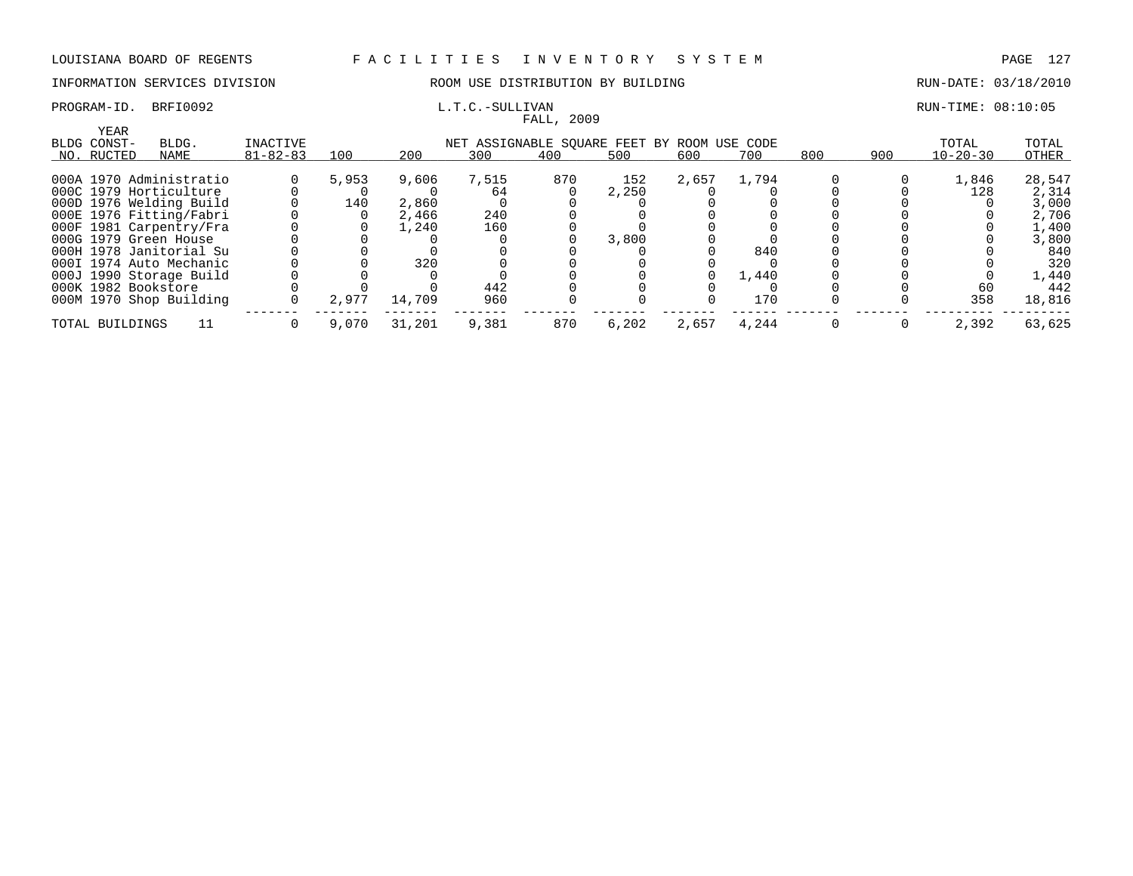## INFORMATION SERVICES DIVISION COOM OSE DISTRIBUTION BY BUILDING CONTROLLER RUN-DATE: 03/18/2010

# FALL, 2009

## PROGRAM-ID. BRFI0092 L.T.C.-SULLIVAN L.T.C.-SULLIVAN RUN-TIME: 08:10:05

| <b>YEAR</b>             |       |                |       |        |                                             |     |       |       |       |     |     |                |        |
|-------------------------|-------|----------------|-------|--------|---------------------------------------------|-----|-------|-------|-------|-----|-----|----------------|--------|
| BLDG CONST-             | BLDG. | INACTIVE       |       |        | NET ASSIGNABLE SOUARE FEET BY ROOM USE CODE |     |       |       |       |     |     | TOTAL          | TOTAL  |
| NO. RUCTED              | NAME  | $81 - 82 - 83$ | 100   | 200    | 300                                         | 400 | 500   | 600   | 700   | 800 | 900 | $10 - 20 - 30$ | OTHER  |
|                         |       |                |       |        |                                             |     |       |       |       |     |     |                |        |
| 000A 1970 Administratio |       |                | 5,953 | 9,606  | 7,515                                       | 870 | 152   | 2,657 | 1,794 |     |     | 1,846          | 28,547 |
| 000C 1979 Horticulture  |       |                |       |        | 64                                          |     | 2,250 |       |       |     |     | 128            | 2,314  |
| 000D 1976 Welding Build |       |                | 140   | 2,860  |                                             |     |       |       |       |     |     |                | 3,000  |
| 000E 1976 Fitting/Fabri |       |                |       | 2,466  | 240                                         |     |       |       |       |     |     |                | 2,706  |
| 000F 1981 Carpentry/Fra |       |                |       | 1,240  | 160                                         |     |       |       |       |     |     |                | 1,400  |
| 000G 1979 Green House   |       |                |       |        |                                             |     | 3,800 |       |       |     |     |                | 3,800  |
| 000H 1978 Janitorial Su |       |                |       |        |                                             |     |       |       | 840   |     |     |                | 840    |
| 000I 1974 Auto Mechanic |       |                |       | 320    |                                             |     |       |       |       |     |     |                | 320    |
| 000J 1990 Storage Build |       |                |       |        |                                             |     |       |       | 1,440 |     |     |                | 1,440  |
| 000K 1982 Bookstore     |       |                |       |        | 442                                         |     |       |       |       |     |     | 60             | 442    |
| 000M 1970 Shop Building |       |                | 2,977 | 14,709 | 960                                         |     |       |       | 170   |     |     | 358            | 18,816 |
|                         |       |                |       |        |                                             |     |       |       |       |     |     |                |        |
| TOTAL BUILDINGS         |       |                | 9,070 | 31,201 | 9,381                                       | 870 | 6,202 | 2,657 | 4,244 |     |     | 2,392          | 63,625 |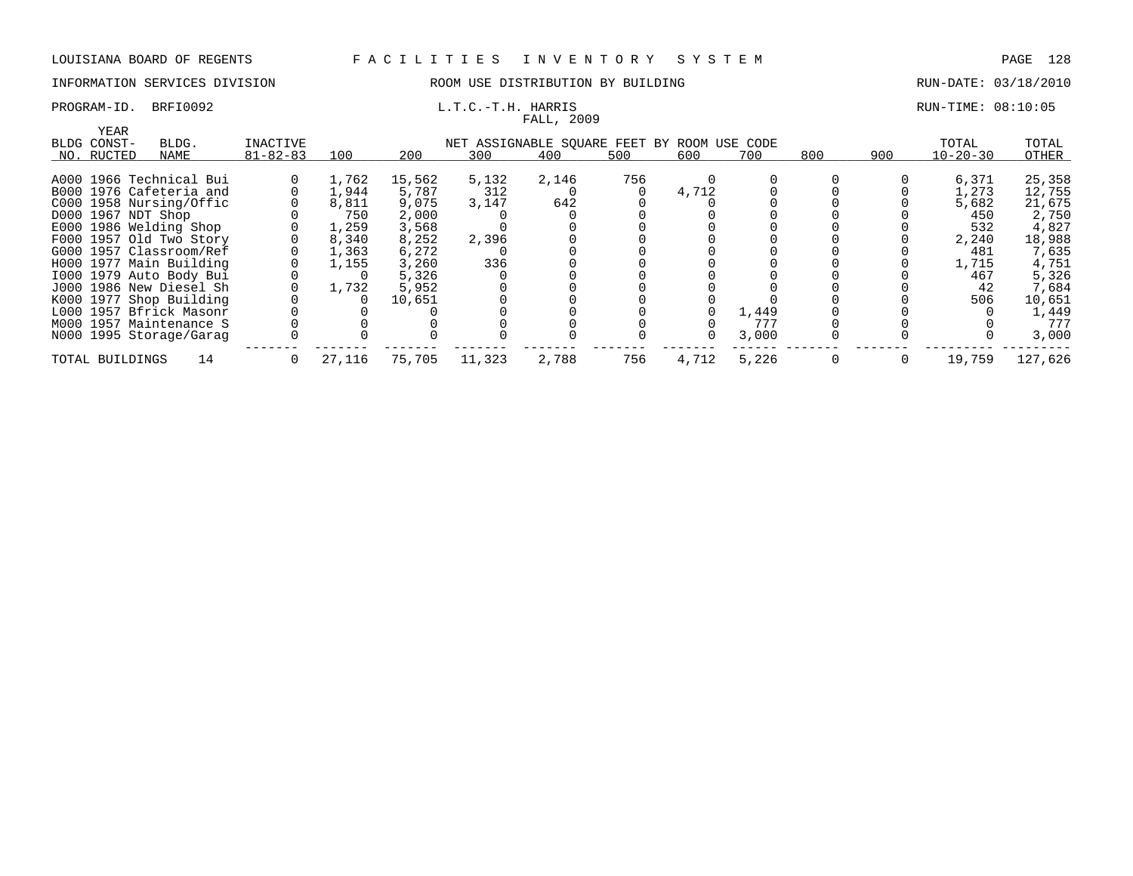## INFORMATION SERVICES DIVISION THE ROOM USE DISTRIBUTION BY BUILDING THE RUN-DATE: 03/18/2010

# FALL, 2009

### PROGRAM-ID. BRFI0092 **EXAM-ID.** BRFI0092 **L.T.C.-T.H. HARRIS** RUN-TIME: 08:10:05

|                         |       |                |        |        |                                             | there , avvi |     |       |       |     |     |                |         |
|-------------------------|-------|----------------|--------|--------|---------------------------------------------|--------------|-----|-------|-------|-----|-----|----------------|---------|
| YEAR                    |       |                |        |        |                                             |              |     |       |       |     |     |                |         |
| BLDG CONST-             | BLDG. | INACTIVE       |        |        | NET ASSIGNABLE SQUARE FEET BY ROOM USE CODE |              |     |       |       |     |     | TOTAL          | TOTAL   |
| NO. RUCTED              | NAME  | $81 - 82 - 83$ | 100    | 200    | 300                                         | 400          | 500 | 600   | 700   | 800 | 900 | $10 - 20 - 30$ | OTHER   |
|                         |       |                |        |        |                                             |              |     |       |       |     |     |                |         |
| A000 1966 Technical Bui |       |                | 1,762  | 15,562 | 5,132                                       | 2,146        | 756 |       |       |     |     | 6,371          | 25,358  |
| B000 1976 Cafeteria and |       |                | 1,944  | 5,787  | 312                                         |              |     | 4,712 |       |     |     | 1,273          | 12,755  |
| C000 1958 Nursing/Offic |       |                | 8,811  | 9,075  | 3,147                                       | 642          |     |       |       |     |     | 5,682          | 21,675  |
| D000 1967 NDT Shop      |       |                | 750    | 2,000  |                                             |              |     |       |       |     |     | 450            | 2,750   |
| E000 1986 Welding Shop  |       |                | 1,259  | 3,568  |                                             |              |     |       |       |     |     | 532            | 4,827   |
| F000 1957 Old Two Story |       |                | 8,340  | 8,252  | 2,396                                       |              |     |       |       |     |     | 2,240          | 18,988  |
| G000 1957 Classroom/Ref |       |                | 1,363  | 6,272  |                                             |              |     |       |       |     |     | 481            | 7,635   |
| H000 1977 Main Building |       |                | 1,155  | 3,260  | 336                                         |              |     |       |       |     |     | 1,715          | 4,751   |
| 1000 1979 Auto Body Bui |       |                |        | 5,326  |                                             |              |     |       |       |     |     | 467            | 5,326   |
| J000 1986 New Diesel Sh |       |                | 1,732  | 5,952  |                                             |              |     |       |       |     |     | 42             | 7,684   |
| K000 1977 Shop Building |       |                |        | 10,651 |                                             |              |     |       |       |     |     | 506            | 10,651  |
| L000 1957 Bfrick Masonr |       |                |        |        |                                             |              |     |       | 1,449 |     |     |                | 1,449   |
| M000 1957 Maintenance S |       |                |        |        |                                             |              |     |       | 777   |     |     |                | 777     |
| N000 1995 Storage/Garag |       |                |        |        |                                             |              |     |       | 3,000 |     |     |                | 3,000   |
| TOTAL BUILDINGS         | 14    |                | 27,116 | 75,705 | 11,323                                      | 2,788        | 756 | 4,712 | 5,226 |     |     | 19,759         | 127,626 |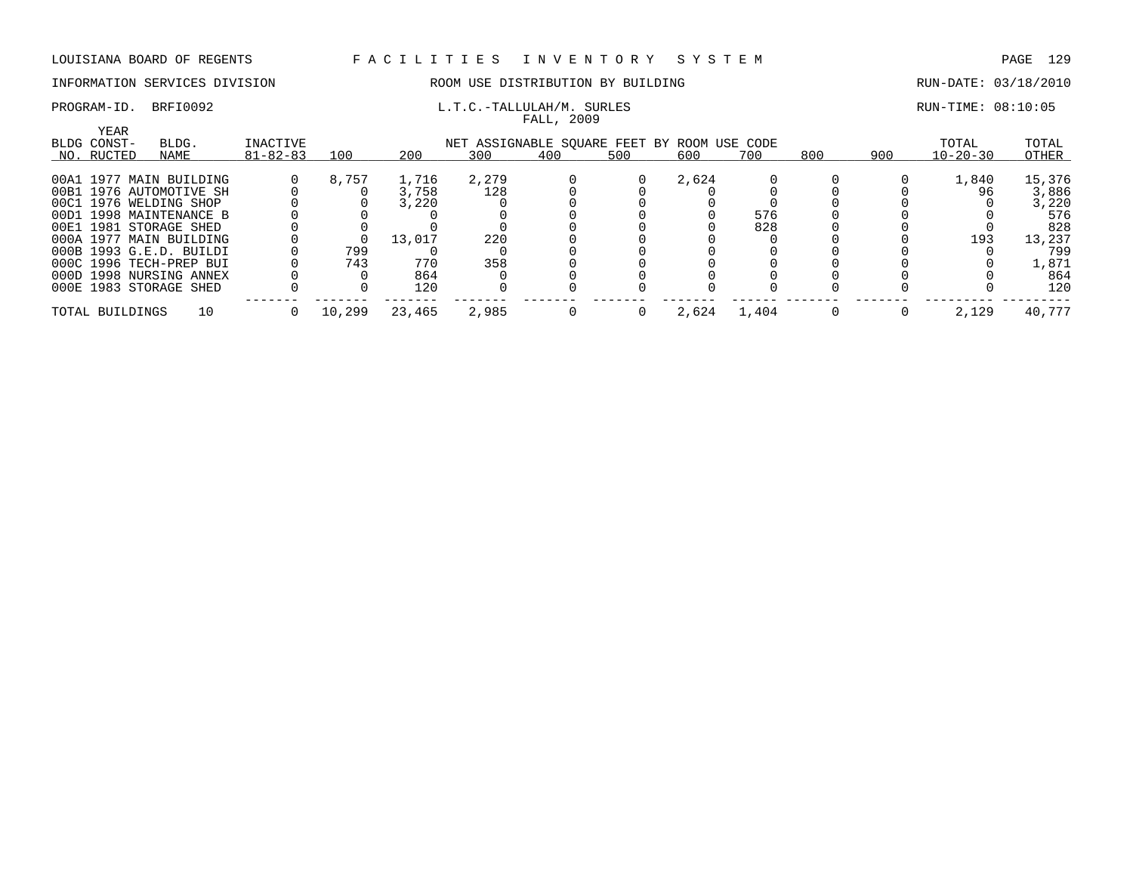FALL, 2009

### INFORMATION SERVICES DIVISION ROOM USE DISTRIBUTION BY BUILDING RUN-DATE: 03/18/2010

## PROGRAM-ID. BRFI0092 **EXAM-ID.** BRFI0092 **L.T.C.-TALLULAH/M.** SURLES RUN-TIME: 08:10:05

| YEAR<br>BLDG CONST- | BLDG.                   | INACTIVE       |        |        | NET ASSIGNABLE SOUARE FEET BY ROOM USE CODE |     |     |       |       |     |     | TOTAL          | TOTAL  |
|---------------------|-------------------------|----------------|--------|--------|---------------------------------------------|-----|-----|-------|-------|-----|-----|----------------|--------|
| NO. RUCTED          | NAME                    | $81 - 82 - 83$ | 100    | 200    | 300                                         | 400 | 500 | 600   | 700   | 800 | 900 | $10 - 20 - 30$ | OTHER  |
|                     | 00A1 1977 MAIN BUILDING |                | 8,757  | 1,716  | 2,279                                       |     |     | 2,624 |       |     |     | 1,840          | 15,376 |
|                     | 00B1 1976 AUTOMOTIVE SH |                |        | 3,758  | 128                                         |     |     |       |       |     |     | 96             | 3,886  |
|                     | 00C1 1976 WELDING SHOP  |                |        | 3,220  |                                             |     |     |       |       |     |     |                | 3,220  |
|                     | 00D1 1998 MAINTENANCE B |                |        |        |                                             |     |     |       | 576   |     |     |                | 576    |
|                     | 00E1 1981 STORAGE SHED  |                |        |        |                                             |     |     |       | 828   |     |     |                | 828    |
|                     | 000A 1977 MAIN BUILDING |                |        | 13,017 | 220                                         |     |     |       |       |     |     | 193            | 13,237 |
|                     | 000B 1993 G.E.D. BUILDI |                | 799    |        |                                             |     |     |       |       |     |     |                | 799    |
|                     | 000C 1996 TECH-PREP BUI |                | 743    | 770    | 358                                         |     |     |       |       |     |     |                | 1,871  |
|                     | 000D 1998 NURSING ANNEX |                |        | 864    |                                             |     |     |       |       |     |     |                | 864    |
|                     | 000E 1983 STORAGE SHED  |                |        | 120    |                                             |     |     |       |       |     |     |                | 120    |
| TOTAL BUILDINGS     | 10                      |                | 10,299 | 23,465 | 2,985                                       |     |     | 2,624 | 1,404 |     |     | 2,129          | 40,777 |